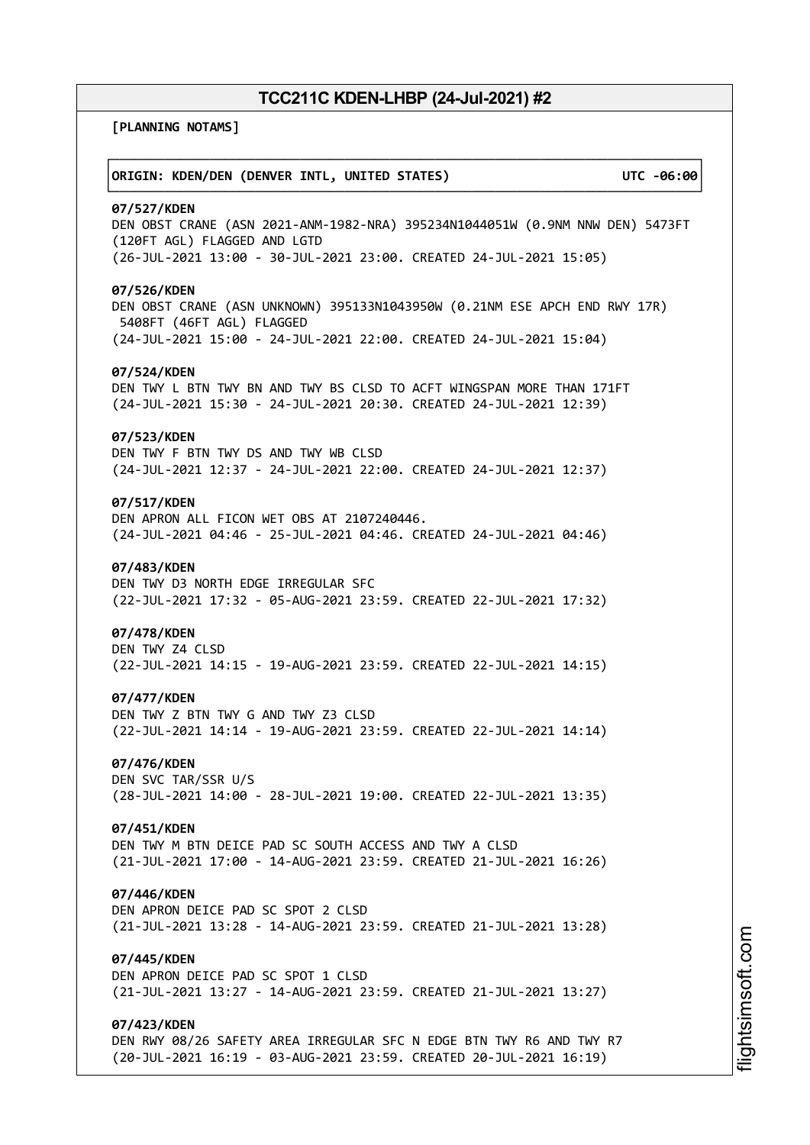┌──────────────────────────────────────────────────────────────────────────────┐

└──────────────────────────────────────────────────────────────────────────────┘

**[PLANNING NOTAMS]**

### │**ORIGIN: KDEN/DEN (DENVER INTL, UNITED STATES) UTC -06:00**│

#### **07/527/KDEN**

DEN OBST CRANE (ASN 2021-ANM-1982-NRA) 395234N1044051W (0.9NM NNW DEN) 5473FT (120FT AGL) FLAGGED AND LGTD (26-JUL-2021 13:00 - 30-JUL-2021 23:00. CREATED 24-JUL-2021 15:05)

### **07/526/KDEN**

DEN OBST CRANE (ASN UNKNOWN) 395133N1043950W (0.21NM ESE APCH END RWY 17R) 5408FT (46FT AGL) FLAGGED (24-JUL-2021 15:00 - 24-JUL-2021 22:00. CREATED 24-JUL-2021 15:04)

#### **07/524/KDEN**

DEN TWY L BTN TWY BN AND TWY BS CLSD TO ACFT WINGSPAN MORE THAN 171FT (24-JUL-2021 15:30 - 24-JUL-2021 20:30. CREATED 24-JUL-2021 12:39)

### **07/523/KDEN**

DEN TWY F BTN TWY DS AND TWY WB CLSD (24-JUL-2021 12:37 - 24-JUL-2021 22:00. CREATED 24-JUL-2021 12:37)

### **07/517/KDEN**

DEN APRON ALL FICON WET OBS AT 2107240446. (24-JUL-2021 04:46 - 25-JUL-2021 04:46. CREATED 24-JUL-2021 04:46)

#### **07/483/KDEN**

DEN TWY D3 NORTH EDGE IRREGULAR SFC (22-JUL-2021 17:32 - 05-AUG-2021 23:59. CREATED 22-JUL-2021 17:32)

#### **07/478/KDEN**

DEN TWY Z4 CLSD (22-JUL-2021 14:15 - 19-AUG-2021 23:59. CREATED 22-JUL-2021 14:15)

#### **07/477/KDEN**

DEN TWY Z BTN TWY G AND TWY Z3 CLSD (22-JUL-2021 14:14 - 19-AUG-2021 23:59. CREATED 22-JUL-2021 14:14)

### **07/476/KDEN**

DEN SVC TAR/SSR U/S (28-JUL-2021 14:00 - 28-JUL-2021 19:00. CREATED 22-JUL-2021 13:35)

### **07/451/KDEN**

DEN TWY M BTN DEICE PAD SC SOUTH ACCESS AND TWY A CLSD (21-JUL-2021 17:00 - 14-AUG-2021 23:59. CREATED 21-JUL-2021 16:26)

#### **07/446/KDEN**

DEN APRON DEICE PAD SC SPOT 2 CLSD (21-JUL-2021 13:28 - 14-AUG-2021 23:59. CREATED 21-JUL-2021 13:28)

## **07/445/KDEN**

DEN APRON DEICE PAD SC SPOT 1 CLSD (21-JUL-2021 13:27 - 14-AUG-2021 23:59. CREATED 21-JUL-2021 13:27)

### **07/423/KDEN**

DEN RWY 08/26 SAFETY AREA IRREGULAR SFC N EDGE BTN TWY R6 AND TWY R7 (20-JUL-2021 16:19 - 03-AUG-2021 23:59. CREATED 20-JUL-2021 16:19)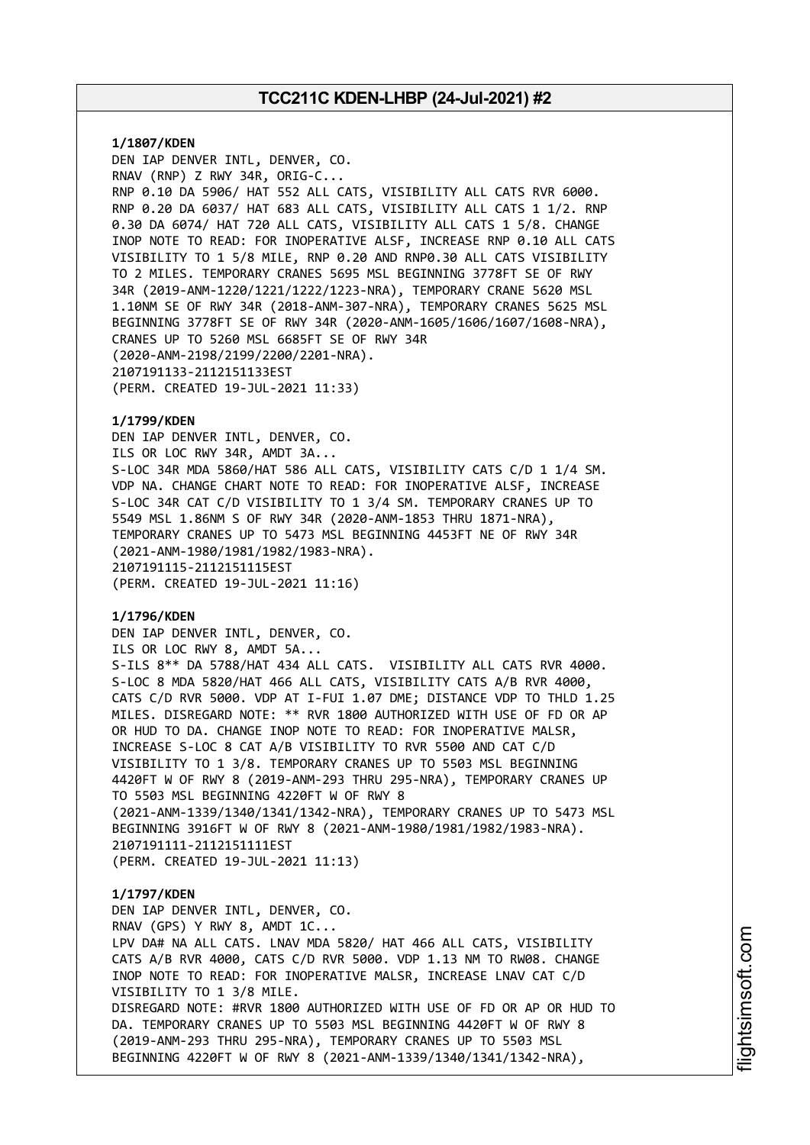**1/1807/KDEN** DEN IAP DENVER INTL, DENVER, CO. RNAV (RNP) Z RWY 34R, ORIG-C... RNP 0.10 DA 5906/ HAT 552 ALL CATS, VISIBILITY ALL CATS RVR 6000. RNP 0.20 DA 6037/ HAT 683 ALL CATS, VISIBILITY ALL CATS 1 1/2. RNP 0.30 DA 6074/ HAT 720 ALL CATS, VISIBILITY ALL CATS 1 5/8. CHANGE INOP NOTE TO READ: FOR INOPERATIVE ALSF, INCREASE RNP 0.10 ALL CATS VISIBILITY TO 1 5/8 MILE, RNP 0.20 AND RNP0.30 ALL CATS VISIBILITY TO 2 MILES. TEMPORARY CRANES 5695 MSL BEGINNING 3778FT SE OF RWY 34R (2019-ANM-1220/1221/1222/1223-NRA), TEMPORARY CRANE 5620 MSL 1.10NM SE OF RWY 34R (2018-ANM-307-NRA), TEMPORARY CRANES 5625 MSL BEGINNING 3778FT SE OF RWY 34R (2020-ANM-1605/1606/1607/1608-NRA), CRANES UP TO 5260 MSL 6685FT SE OF RWY 34R (2020-ANM-2198/2199/2200/2201-NRA). 2107191133-2112151133EST (PERM. CREATED 19-JUL-2021 11:33)

### **1/1799/KDEN**

DEN IAP DENVER INTL, DENVER, CO. ILS OR LOC RWY 34R, AMDT 3A... S-LOC 34R MDA 5860/HAT 586 ALL CATS, VISIBILITY CATS C/D 1 1/4 SM. VDP NA. CHANGE CHART NOTE TO READ: FOR INOPERATIVE ALSF, INCREASE S-LOC 34R CAT C/D VISIBILITY TO 1 3/4 SM. TEMPORARY CRANES UP TO 5549 MSL 1.86NM S OF RWY 34R (2020-ANM-1853 THRU 1871-NRA), TEMPORARY CRANES UP TO 5473 MSL BEGINNING 4453FT NE OF RWY 34R (2021-ANM-1980/1981/1982/1983-NRA). 2107191115-2112151115EST (PERM. CREATED 19-JUL-2021 11:16)

### **1/1796/KDEN**

DEN IAP DENVER INTL, DENVER, CO. ILS OR LOC RWY 8, AMDT 5A... S-ILS 8\*\* DA 5788/HAT 434 ALL CATS. VISIBILITY ALL CATS RVR 4000. S-LOC 8 MDA 5820/HAT 466 ALL CATS, VISIBILITY CATS A/B RVR 4000, CATS C/D RVR 5000. VDP AT I-FUI 1.07 DME; DISTANCE VDP TO THLD 1.25 MILES. DISREGARD NOTE: \*\* RVR 1800 AUTHORIZED WITH USE OF FD OR AP OR HUD TO DA. CHANGE INOP NOTE TO READ: FOR INOPERATIVE MALSR, INCREASE S-LOC 8 CAT A/B VISIBILITY TO RVR 5500 AND CAT C/D VISIBILITY TO 1 3/8. TEMPORARY CRANES UP TO 5503 MSL BEGINNING 4420FT W OF RWY 8 (2019-ANM-293 THRU 295-NRA), TEMPORARY CRANES UP TO 5503 MSL BEGINNING 4220FT W OF RWY 8 (2021-ANM-1339/1340/1341/1342-NRA), TEMPORARY CRANES UP TO 5473 MSL BEGINNING 3916FT W OF RWY 8 (2021-ANM-1980/1981/1982/1983-NRA). 2107191111-2112151111EST (PERM. CREATED 19-JUL-2021 11:13)

#### **1/1797/KDEN**

DEN IAP DENVER INTL, DENVER, CO. RNAV (GPS) Y RWY 8, AMDT 1C... LPV DA# NA ALL CATS. LNAV MDA 5820/ HAT 466 ALL CATS, VISIBILITY CATS A/B RVR 4000, CATS C/D RVR 5000. VDP 1.13 NM TO RW08. CHANGE INOP NOTE TO READ: FOR INOPERATIVE MALSR, INCREASE LNAV CAT C/D VISIBILITY TO 1 3/8 MILE. DISREGARD NOTE: #RVR 1800 AUTHORIZED WITH USE OF FD OR AP OR HUD TO DA. TEMPORARY CRANES UP TO 5503 MSL BEGINNING 4420FT W OF RWY 8 (2019-ANM-293 THRU 295-NRA), TEMPORARY CRANES UP TO 5503 MSL BEGINNING 4220FT W OF RWY 8 (2021-ANM-1339/1340/1341/1342-NRA),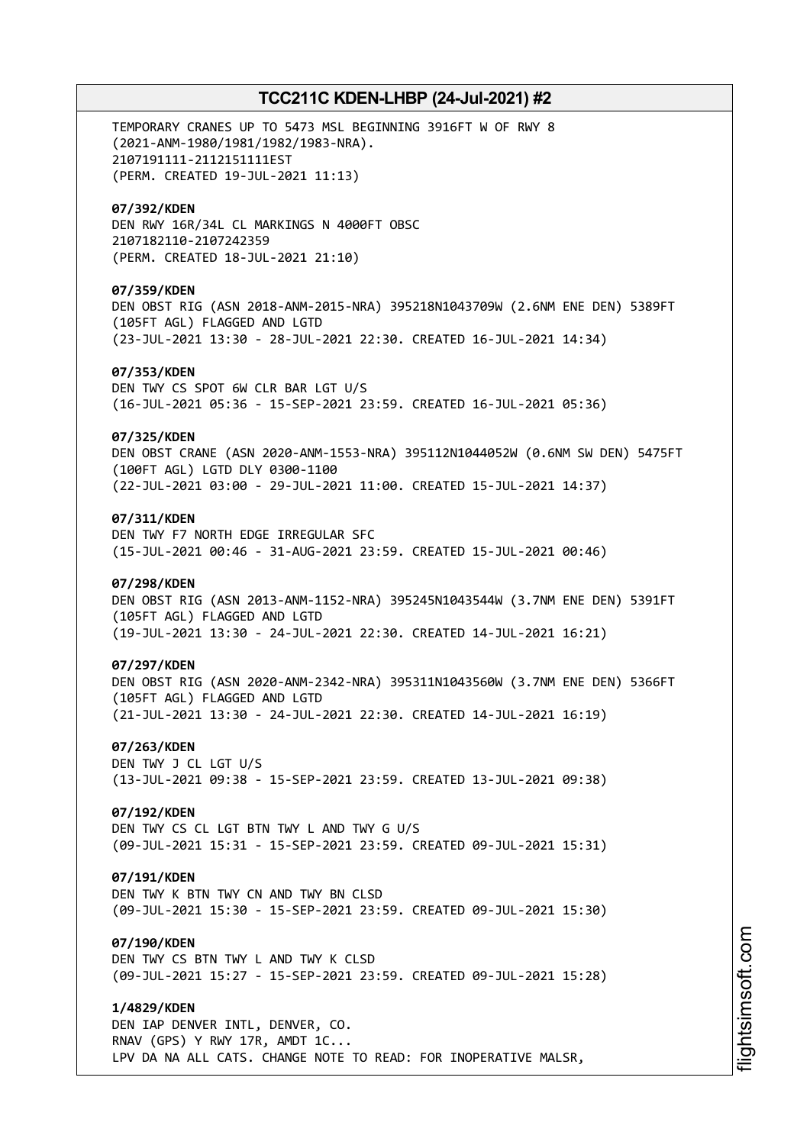TEMPORARY CRANES UP TO 5473 MSL BEGINNING 3916FT W OF RWY 8 (2021-ANM-1980/1981/1982/1983-NRA). 2107191111-2112151111EST (PERM. CREATED 19-JUL-2021 11:13) **07/392/KDEN** DEN RWY 16R/34L CL MARKINGS N 4000FT OBSC 2107182110-2107242359 (PERM. CREATED 18-JUL-2021 21:10) **07/359/KDEN** DEN OBST RIG (ASN 2018-ANM-2015-NRA) 395218N1043709W (2.6NM ENE DEN) 5389FT (105FT AGL) FLAGGED AND LGTD (23-JUL-2021 13:30 - 28-JUL-2021 22:30. CREATED 16-JUL-2021 14:34) **07/353/KDEN** DEN TWY CS SPOT 6W CLR BAR LGT U/S (16-JUL-2021 05:36 - 15-SEP-2021 23:59. CREATED 16-JUL-2021 05:36) **07/325/KDEN** DEN OBST CRANE (ASN 2020-ANM-1553-NRA) 395112N1044052W (0.6NM SW DEN) 5475FT (100FT AGL) LGTD DLY 0300-1100 (22-JUL-2021 03:00 - 29-JUL-2021 11:00. CREATED 15-JUL-2021 14:37) **07/311/KDEN** DEN TWY F7 NORTH EDGE IRREGULAR SFC (15-JUL-2021 00:46 - 31-AUG-2021 23:59. CREATED 15-JUL-2021 00:46) **07/298/KDEN** DEN OBST RIG (ASN 2013-ANM-1152-NRA) 395245N1043544W (3.7NM ENE DEN) 5391FT (105FT AGL) FLAGGED AND LGTD (19-JUL-2021 13:30 - 24-JUL-2021 22:30. CREATED 14-JUL-2021 16:21) **07/297/KDEN** DEN OBST RIG (ASN 2020-ANM-2342-NRA) 395311N1043560W (3.7NM ENE DEN) 5366FT (105FT AGL) FLAGGED AND LGTD (21-JUL-2021 13:30 - 24-JUL-2021 22:30. CREATED 14-JUL-2021 16:19) **07/263/KDEN** DEN TWY J CL LGT U/S (13-JUL-2021 09:38 - 15-SEP-2021 23:59. CREATED 13-JUL-2021 09:38) **07/192/KDEN** DEN TWY CS CL LGT BTN TWY L AND TWY G U/S (09-JUL-2021 15:31 - 15-SEP-2021 23:59. CREATED 09-JUL-2021 15:31) **07/191/KDEN** DEN TWY K BTN TWY CN AND TWY BN CLSD (09-JUL-2021 15:30 - 15-SEP-2021 23:59. CREATED 09-JUL-2021 15:30) **07/190/KDEN** DEN TWY CS BTN TWY L AND TWY K CLSD (09-JUL-2021 15:27 - 15-SEP-2021 23:59. CREATED 09-JUL-2021 15:28) **1/4829/KDEN** DEN IAP DENVER INTL, DENVER, CO. RNAV (GPS) Y RWY 17R, AMDT 1C... LPV DA NA ALL CATS. CHANGE NOTE TO READ: FOR INOPERATIVE MALSR,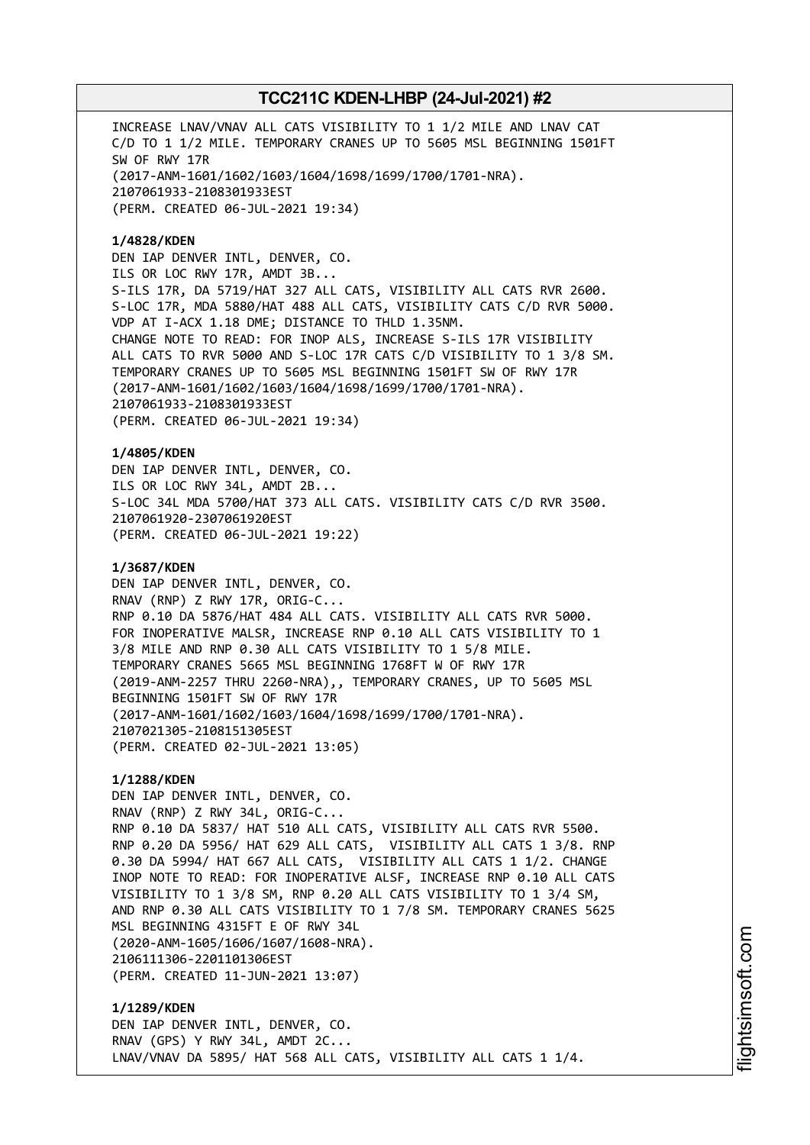INCREASE LNAV/VNAV ALL CATS VISIBILITY TO 1 1/2 MILE AND LNAV CAT C/D TO 1 1/2 MILE. TEMPORARY CRANES UP TO 5605 MSL BEGINNING 1501FT SW OF RWY 17R (2017-ANM-1601/1602/1603/1604/1698/1699/1700/1701-NRA). 2107061933-2108301933EST (PERM. CREATED 06-JUL-2021 19:34)

### **1/4828/KDEN**

DEN IAP DENVER INTL, DENVER, CO. ILS OR LOC RWY 17R, AMDT 3B... S-ILS 17R, DA 5719/HAT 327 ALL CATS, VISIBILITY ALL CATS RVR 2600. S-LOC 17R, MDA 5880/HAT 488 ALL CATS, VISIBILITY CATS C/D RVR 5000. VDP AT I-ACX 1.18 DME; DISTANCE TO THLD 1.35NM. CHANGE NOTE TO READ: FOR INOP ALS, INCREASE S-ILS 17R VISIBILITY ALL CATS TO RVR 5000 AND S-LOC 17R CATS C/D VISIBILITY TO 1 3/8 SM. TEMPORARY CRANES UP TO 5605 MSL BEGINNING 1501FT SW OF RWY 17R (2017-ANM-1601/1602/1603/1604/1698/1699/1700/1701-NRA). 2107061933-2108301933EST (PERM. CREATED 06-JUL-2021 19:34)

**1/4805/KDEN** DEN IAP DENVER INTL, DENVER, CO. ILS OR LOC RWY 34L, AMDT 2B... S-LOC 34L MDA 5700/HAT 373 ALL CATS. VISIBILITY CATS C/D RVR 3500. 2107061920-2307061920EST (PERM. CREATED 06-JUL-2021 19:22)

### **1/3687/KDEN**

DEN IAP DENVER INTL, DENVER, CO. RNAV (RNP) Z RWY 17R, ORIG-C... RNP 0.10 DA 5876/HAT 484 ALL CATS. VISIBILITY ALL CATS RVR 5000. FOR INOPERATIVE MALSR, INCREASE RNP 0.10 ALL CATS VISIBILITY TO 1 3/8 MILE AND RNP 0.30 ALL CATS VISIBILITY TO 1 5/8 MILE. TEMPORARY CRANES 5665 MSL BEGINNING 1768FT W OF RWY 17R (2019-ANM-2257 THRU 2260-NRA),, TEMPORARY CRANES, UP TO 5605 MSL BEGINNING 1501FT SW OF RWY 17R (2017-ANM-1601/1602/1603/1604/1698/1699/1700/1701-NRA). 2107021305-2108151305EST (PERM. CREATED 02-JUL-2021 13:05)

## **1/1288/KDEN**

DEN IAP DENVER INTL, DENVER, CO. RNAV (RNP) Z RWY 34L, ORIG-C... RNP 0.10 DA 5837/ HAT 510 ALL CATS, VISIBILITY ALL CATS RVR 5500. RNP 0.20 DA 5956/ HAT 629 ALL CATS, VISIBILITY ALL CATS 1 3/8. RNP 0.30 DA 5994/ HAT 667 ALL CATS, VISIBILITY ALL CATS 1 1/2. CHANGE INOP NOTE TO READ: FOR INOPERATIVE ALSF, INCREASE RNP 0.10 ALL CATS VISIBILITY TO 1 3/8 SM, RNP 0.20 ALL CATS VISIBILITY TO 1 3/4 SM, AND RNP 0.30 ALL CATS VISIBILITY TO 1 7/8 SM. TEMPORARY CRANES 5625 MSL BEGINNING 4315FT E OF RWY 34L (2020-ANM-1605/1606/1607/1608-NRA). 2106111306-2201101306EST (PERM. CREATED 11-JUN-2021 13:07)

**1/1289/KDEN** DEN IAP DENVER INTL, DENVER, CO. RNAV (GPS) Y RWY 34L, AMDT 2C... LNAV/VNAV DA 5895/ HAT 568 ALL CATS, VISIBILITY ALL CATS 1 1/4.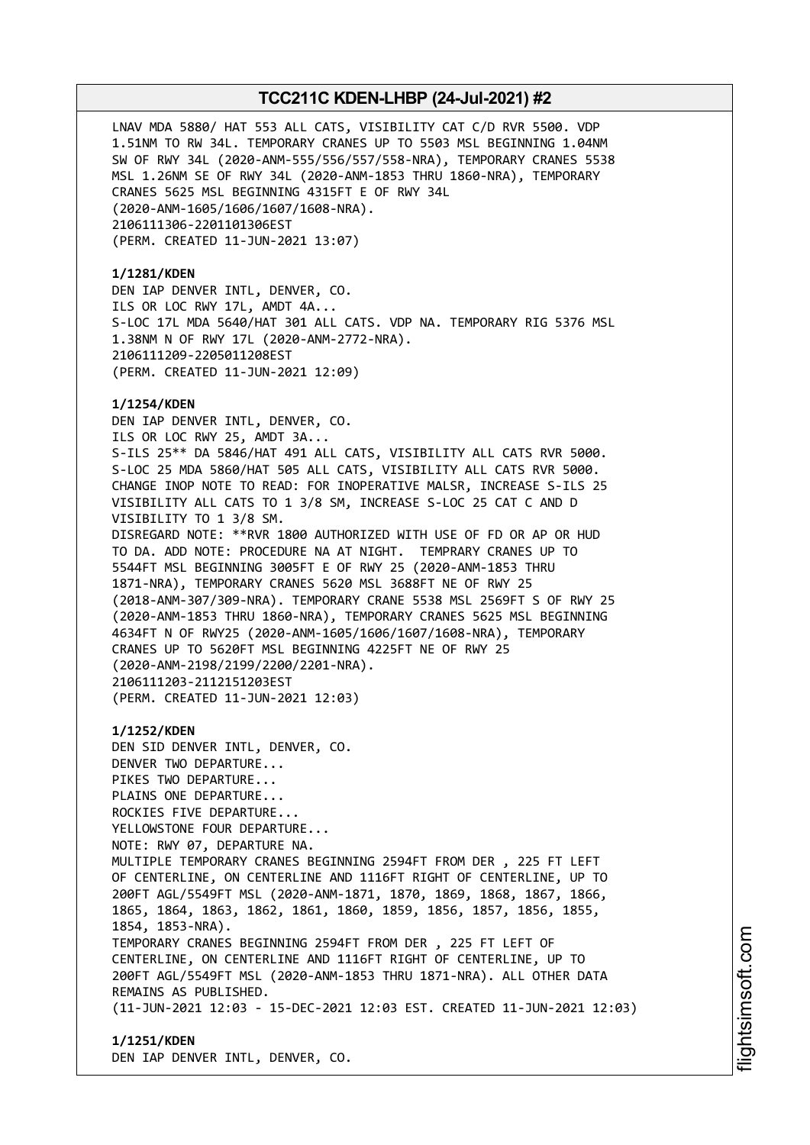LNAV MDA 5880/ HAT 553 ALL CATS, VISIBILITY CAT C/D RVR 5500. VDP 1.51NM TO RW 34L. TEMPORARY CRANES UP TO 5503 MSL BEGINNING 1.04NM SW OF RWY 34L (2020-ANM-555/556/557/558-NRA), TEMPORARY CRANES 5538 MSL 1.26NM SE OF RWY 34L (2020-ANM-1853 THRU 1860-NRA), TEMPORARY CRANES 5625 MSL BEGINNING 4315FT E OF RWY 34L (2020-ANM-1605/1606/1607/1608-NRA). 2106111306-2201101306EST (PERM. CREATED 11-JUN-2021 13:07)

### **1/1281/KDEN**

DEN IAP DENVER INTL, DENVER, CO. ILS OR LOC RWY 17L, AMDT 4A... S-LOC 17L MDA 5640/HAT 301 ALL CATS. VDP NA. TEMPORARY RIG 5376 MSL 1.38NM N OF RWY 17L (2020-ANM-2772-NRA). 2106111209-2205011208EST (PERM. CREATED 11-JUN-2021 12:09)

### **1/1254/KDEN**

DEN IAP DENVER INTL, DENVER, CO. ILS OR LOC RWY 25, AMDT 3A... S-ILS 25\*\* DA 5846/HAT 491 ALL CATS, VISIBILITY ALL CATS RVR 5000. S-LOC 25 MDA 5860/HAT 505 ALL CATS, VISIBILITY ALL CATS RVR 5000. CHANGE INOP NOTE TO READ: FOR INOPERATIVE MALSR, INCREASE S-ILS 25 VISIBILITY ALL CATS TO 1 3/8 SM, INCREASE S-LOC 25 CAT C AND D VISIBILITY TO 1 3/8 SM. DISREGARD NOTE: \*\*RVR 1800 AUTHORIZED WITH USE OF FD OR AP OR HUD TO DA. ADD NOTE: PROCEDURE NA AT NIGHT. TEMPRARY CRANES UP TO 5544FT MSL BEGINNING 3005FT E OF RWY 25 (2020-ANM-1853 THRU 1871-NRA), TEMPORARY CRANES 5620 MSL 3688FT NE OF RWY 25 (2018-ANM-307/309-NRA). TEMPORARY CRANE 5538 MSL 2569FT S OF RWY 25 (2020-ANM-1853 THRU 1860-NRA), TEMPORARY CRANES 5625 MSL BEGINNING 4634FT N OF RWY25 (2020-ANM-1605/1606/1607/1608-NRA), TEMPORARY CRANES UP TO 5620FT MSL BEGINNING 4225FT NE OF RWY 25 (2020-ANM-2198/2199/2200/2201-NRA). 2106111203-2112151203EST (PERM. CREATED 11-JUN-2021 12:03)

**1/1252/KDEN** DEN SID DENVER INTL, DENVER, CO. DENVER TWO DEPARTURE... PIKES TWO DEPARTURE... PLAINS ONE DEPARTURE... ROCKIES FIVE DEPARTURE... YELLOWSTONE FOUR DEPARTURE... NOTE: RWY 07, DEPARTURE NA. MULTIPLE TEMPORARY CRANES BEGINNING 2594FT FROM DER , 225 FT LEFT OF CENTERLINE, ON CENTERLINE AND 1116FT RIGHT OF CENTERLINE, UP TO 200FT AGL/5549FT MSL (2020-ANM-1871, 1870, 1869, 1868, 1867, 1866, 1865, 1864, 1863, 1862, 1861, 1860, 1859, 1856, 1857, 1856, 1855, 1854, 1853-NRA). TEMPORARY CRANES BEGINNING 2594FT FROM DER , 225 FT LEFT OF CENTERLINE, ON CENTERLINE AND 1116FT RIGHT OF CENTERLINE, UP TO 200FT AGL/5549FT MSL (2020-ANM-1853 THRU 1871-NRA). ALL OTHER DATA REMAINS AS PUBLISHED. (11-JUN-2021 12:03 - 15-DEC-2021 12:03 EST. CREATED 11-JUN-2021 12:03)

**1/1251/KDEN** DEN IAP DENVER INTL, DENVER, CO.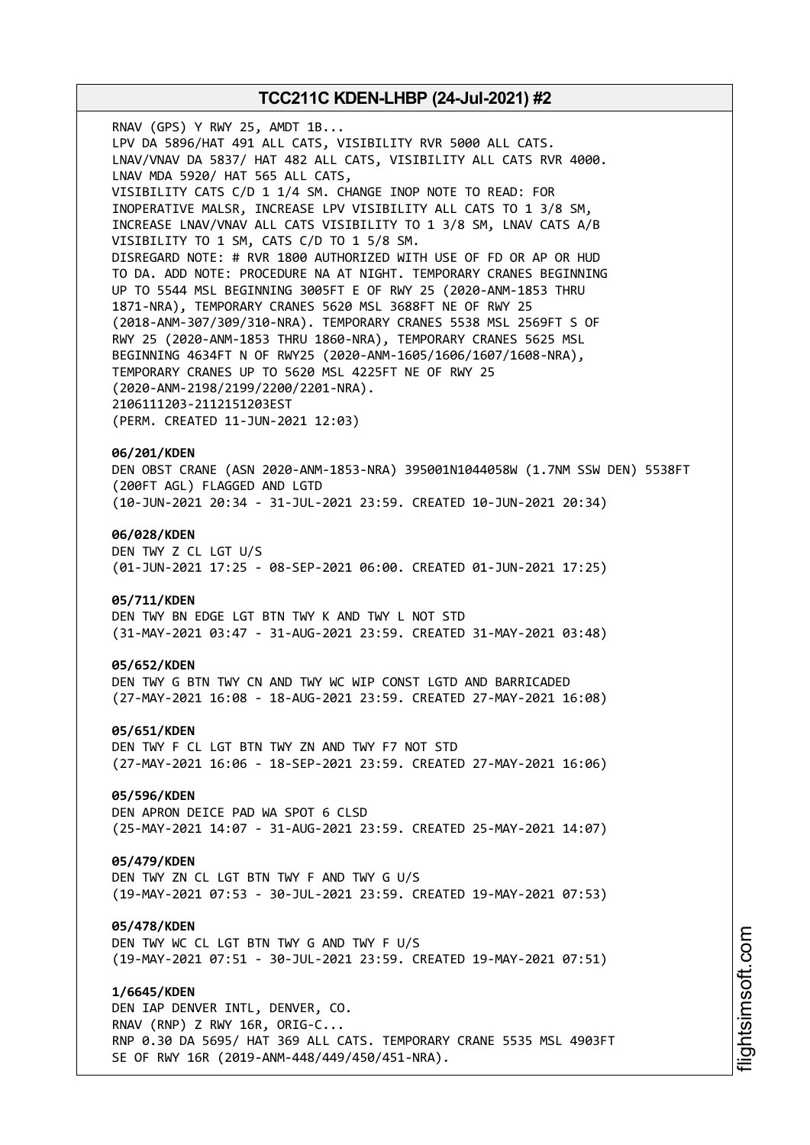RNAV (GPS) Y RWY 25, AMDT 1B... LPV DA 5896/HAT 491 ALL CATS, VISIBILITY RVR 5000 ALL CATS. LNAV/VNAV DA 5837/ HAT 482 ALL CATS, VISIBILITY ALL CATS RVR 4000. LNAV MDA 5920/ HAT 565 ALL CATS, VISIBILITY CATS C/D 1 1/4 SM. CHANGE INOP NOTE TO READ: FOR INOPERATIVE MALSR, INCREASE LPV VISIBILITY ALL CATS TO 1 3/8 SM, INCREASE LNAV/VNAV ALL CATS VISIBILITY TO 1 3/8 SM, LNAV CATS A/B VISIBILITY TO 1 SM, CATS C/D TO 1 5/8 SM. DISREGARD NOTE: # RVR 1800 AUTHORIZED WITH USE OF FD OR AP OR HUD TO DA. ADD NOTE: PROCEDURE NA AT NIGHT. TEMPORARY CRANES BEGINNING UP TO 5544 MSL BEGINNING 3005FT E OF RWY 25 (2020-ANM-1853 THRU 1871-NRA), TEMPORARY CRANES 5620 MSL 3688FT NE OF RWY 25 (2018-ANM-307/309/310-NRA). TEMPORARY CRANES 5538 MSL 2569FT S OF RWY 25 (2020-ANM-1853 THRU 1860-NRA), TEMPORARY CRANES 5625 MSL BEGINNING 4634FT N OF RWY25 (2020-ANM-1605/1606/1607/1608-NRA), TEMPORARY CRANES UP TO 5620 MSL 4225FT NE OF RWY 25 (2020-ANM-2198/2199/2200/2201-NRA). 2106111203-2112151203EST (PERM. CREATED 11-JUN-2021 12:03) **06/201/KDEN**

DEN OBST CRANE (ASN 2020-ANM-1853-NRA) 395001N1044058W (1.7NM SSW DEN) 5538FT (200FT AGL) FLAGGED AND LGTD (10-JUN-2021 20:34 - 31-JUL-2021 23:59. CREATED 10-JUN-2021 20:34)

### **06/028/KDEN**

DEN TWY Z CL LGT U/S (01-JUN-2021 17:25 - 08-SEP-2021 06:00. CREATED 01-JUN-2021 17:25)

#### **05/711/KDEN**

DEN TWY BN EDGE LGT BTN TWY K AND TWY L NOT STD (31-MAY-2021 03:47 - 31-AUG-2021 23:59. CREATED 31-MAY-2021 03:48)

### **05/652/KDEN**

DEN TWY G BTN TWY CN AND TWY WC WIP CONST LGTD AND BARRICADED (27-MAY-2021 16:08 - 18-AUG-2021 23:59. CREATED 27-MAY-2021 16:08)

#### **05/651/KDEN**

DEN TWY F CL LGT BTN TWY ZN AND TWY F7 NOT STD (27-MAY-2021 16:06 - 18-SEP-2021 23:59. CREATED 27-MAY-2021 16:06)

### **05/596/KDEN**

DEN APRON DEICE PAD WA SPOT 6 CLSD (25-MAY-2021 14:07 - 31-AUG-2021 23:59. CREATED 25-MAY-2021 14:07)

### **05/479/KDEN**

DEN TWY ZN CL LGT BTN TWY F AND TWY G U/S (19-MAY-2021 07:53 - 30-JUL-2021 23:59. CREATED 19-MAY-2021 07:53)

#### **05/478/KDEN**

DEN TWY WC CL LGT BTN TWY G AND TWY F U/S (19-MAY-2021 07:51 - 30-JUL-2021 23:59. CREATED 19-MAY-2021 07:51)

#### **1/6645/KDEN**

DEN IAP DENVER INTL, DENVER, CO. RNAV (RNP) Z RWY 16R, ORIG-C... RNP 0.30 DA 5695/ HAT 369 ALL CATS. TEMPORARY CRANE 5535 MSL 4903FT SE OF RWY 16R (2019-ANM-448/449/450/451-NRA).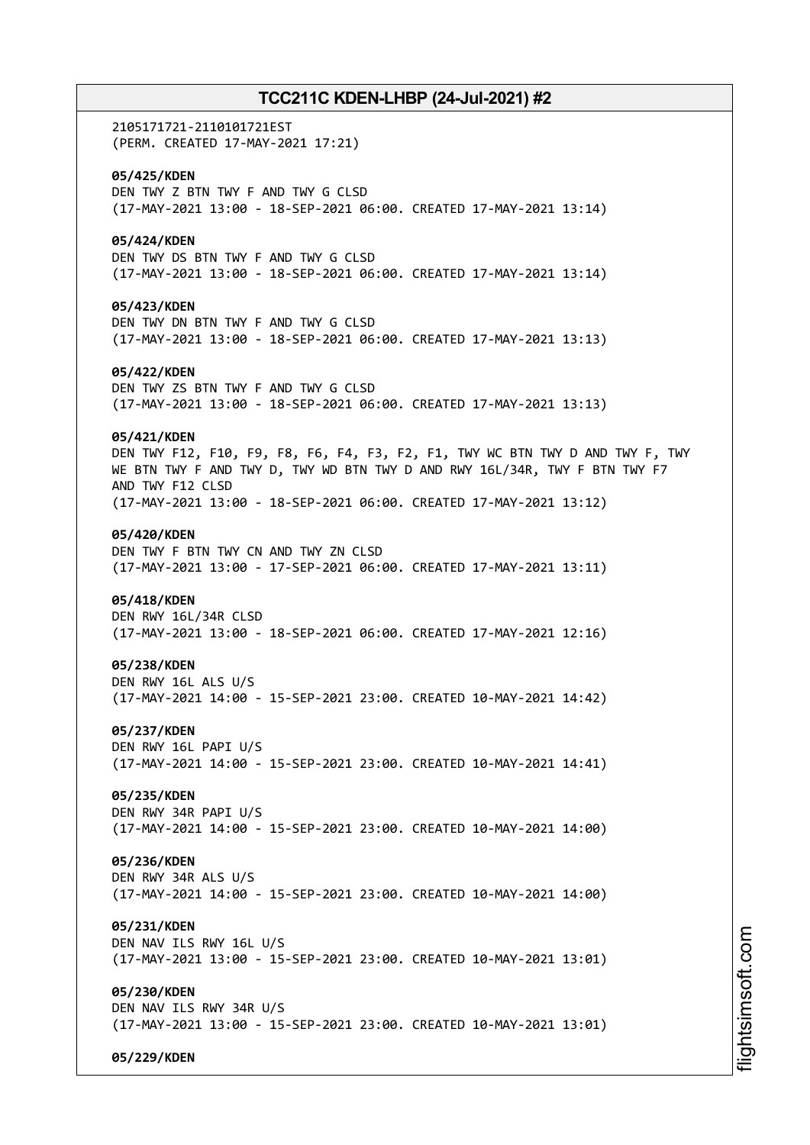2105171721-2110101721EST (PERM. CREATED 17-MAY-2021 17:21) **05/425/KDEN** DEN TWY Z BTN TWY F AND TWY G CLSD (17-MAY-2021 13:00 - 18-SEP-2021 06:00. CREATED 17-MAY-2021 13:14) **05/424/KDEN** DEN TWY DS BTN TWY F AND TWY G CLSD (17-MAY-2021 13:00 - 18-SEP-2021 06:00. CREATED 17-MAY-2021 13:14) **05/423/KDEN** DEN TWY DN BTN TWY F AND TWY G CLSD (17-MAY-2021 13:00 - 18-SEP-2021 06:00. CREATED 17-MAY-2021 13:13) **05/422/KDEN** DEN TWY ZS BTN TWY F AND TWY G CLSD (17-MAY-2021 13:00 - 18-SEP-2021 06:00. CREATED 17-MAY-2021 13:13) **05/421/KDEN** DEN TWY F12, F10, F9, F8, F6, F4, F3, F2, F1, TWY WC BTN TWY D AND TWY F, TWY WE BTN TWY F AND TWY D, TWY WD BTN TWY D AND RWY 16L/34R, TWY F BTN TWY F7 AND TWY F12 CLSD (17-MAY-2021 13:00 - 18-SEP-2021 06:00. CREATED 17-MAY-2021 13:12) **05/420/KDEN** DEN TWY F BTN TWY CN AND TWY ZN CLSD (17-MAY-2021 13:00 - 17-SEP-2021 06:00. CREATED 17-MAY-2021 13:11) **05/418/KDEN** DEN RWY 16L/34R CLSD (17-MAY-2021 13:00 - 18-SEP-2021 06:00. CREATED 17-MAY-2021 12:16) **05/238/KDEN** DEN RWY 16L ALS U/S (17-MAY-2021 14:00 - 15-SEP-2021 23:00. CREATED 10-MAY-2021 14:42) **05/237/KDEN** DEN RWY 16L PAPI U/S (17-MAY-2021 14:00 - 15-SEP-2021 23:00. CREATED 10-MAY-2021 14:41) **05/235/KDEN** DEN RWY 34R PAPI U/S (17-MAY-2021 14:00 - 15-SEP-2021 23:00. CREATED 10-MAY-2021 14:00) **05/236/KDEN** DEN RWY 34R ALS U/S (17-MAY-2021 14:00 - 15-SEP-2021 23:00. CREATED 10-MAY-2021 14:00) **05/231/KDEN** DEN NAV ILS RWY 16L U/S (17-MAY-2021 13:00 - 15-SEP-2021 23:00. CREATED 10-MAY-2021 13:01) **05/230/KDEN** DEN NAV ILS RWY 34R U/S (17-MAY-2021 13:00 - 15-SEP-2021 23:00. CREATED 10-MAY-2021 13:01) **05/229/KDEN**

m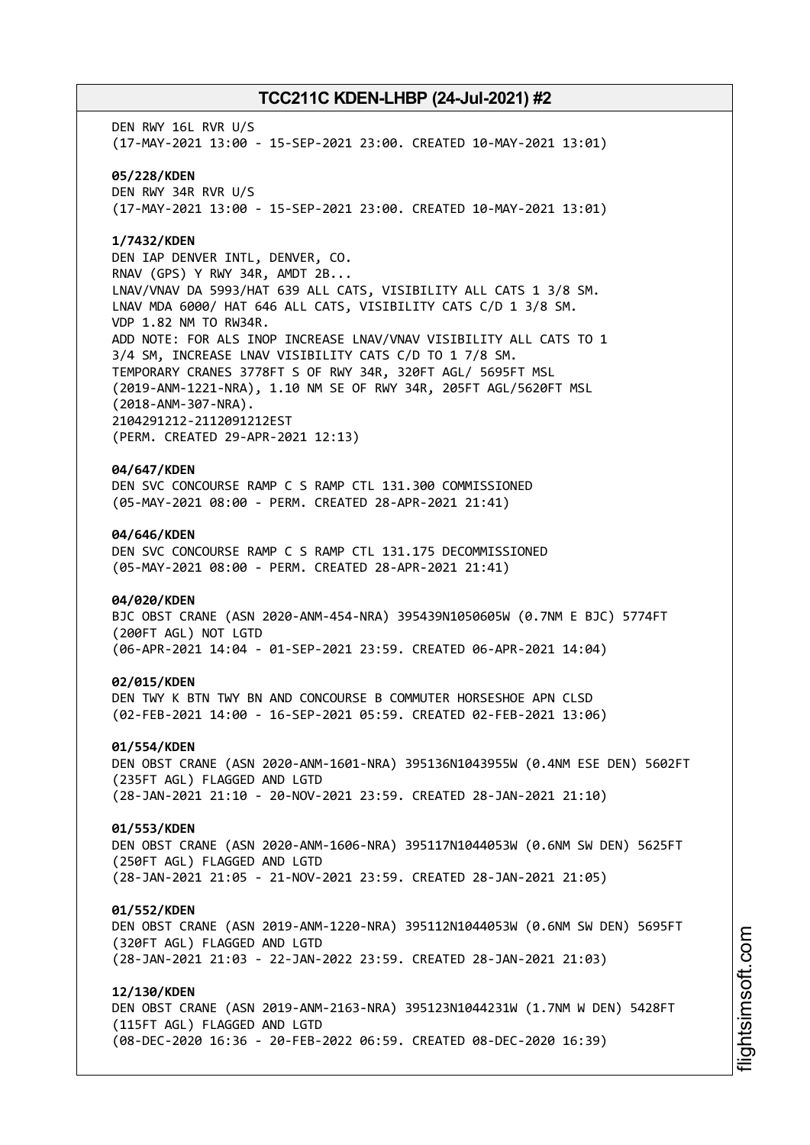DEN RWY 16L RVR U/S (17-MAY-2021 13:00 - 15-SEP-2021 23:00. CREATED 10-MAY-2021 13:01) **05/228/KDEN** DEN RWY 34R RVR U/S (17-MAY-2021 13:00 - 15-SEP-2021 23:00. CREATED 10-MAY-2021 13:01)

### **1/7432/KDEN**

DEN IAP DENVER INTL, DENVER, CO. RNAV (GPS) Y RWY 34R, AMDT 2B... LNAV/VNAV DA 5993/HAT 639 ALL CATS, VISIBILITY ALL CATS 1 3/8 SM. LNAV MDA 6000/ HAT 646 ALL CATS, VISIBILITY CATS C/D 1 3/8 SM. VDP 1.82 NM TO RW34R. ADD NOTE: FOR ALS INOP INCREASE LNAV/VNAV VISIBILITY ALL CATS TO 1 3/4 SM, INCREASE LNAV VISIBILITY CATS C/D TO 1 7/8 SM. TEMPORARY CRANES 3778FT S OF RWY 34R, 320FT AGL/ 5695FT MSL (2019-ANM-1221-NRA), 1.10 NM SE OF RWY 34R, 205FT AGL/5620FT MSL (2018-ANM-307-NRA). 2104291212-2112091212EST (PERM. CREATED 29-APR-2021 12:13)

### **04/647/KDEN**

DEN SVC CONCOURSE RAMP C S RAMP CTL 131.300 COMMISSIONED (05-MAY-2021 08:00 - PERM. CREATED 28-APR-2021 21:41)

#### **04/646/KDEN**

DEN SVC CONCOURSE RAMP C S RAMP CTL 131.175 DECOMMISSIONED (05-MAY-2021 08:00 - PERM. CREATED 28-APR-2021 21:41)

### **04/020/KDEN**

BJC OBST CRANE (ASN 2020-ANM-454-NRA) 395439N1050605W (0.7NM E BJC) 5774FT (200FT AGL) NOT LGTD (06-APR-2021 14:04 - 01-SEP-2021 23:59. CREATED 06-APR-2021 14:04)

#### **02/015/KDEN**

DEN TWY K BTN TWY BN AND CONCOURSE B COMMUTER HORSESHOE APN CLSD (02-FEB-2021 14:00 - 16-SEP-2021 05:59. CREATED 02-FEB-2021 13:06)

#### **01/554/KDEN**

DEN OBST CRANE (ASN 2020-ANM-1601-NRA) 395136N1043955W (0.4NM ESE DEN) 5602FT (235FT AGL) FLAGGED AND LGTD (28-JAN-2021 21:10 - 20-NOV-2021 23:59. CREATED 28-JAN-2021 21:10)

### **01/553/KDEN**

DEN OBST CRANE (ASN 2020-ANM-1606-NRA) 395117N1044053W (0.6NM SW DEN) 5625FT (250FT AGL) FLAGGED AND LGTD (28-JAN-2021 21:05 - 21-NOV-2021 23:59. CREATED 28-JAN-2021 21:05)

#### **01/552/KDEN**

DEN OBST CRANE (ASN 2019-ANM-1220-NRA) 395112N1044053W (0.6NM SW DEN) 5695FT (320FT AGL) FLAGGED AND LGTD (28-JAN-2021 21:03 - 22-JAN-2022 23:59. CREATED 28-JAN-2021 21:03)

#### **12/130/KDEN**

DEN OBST CRANE (ASN 2019-ANM-2163-NRA) 395123N1044231W (1.7NM W DEN) 5428FT (115FT AGL) FLAGGED AND LGTD (08-DEC-2020 16:36 - 20-FEB-2022 06:59. CREATED 08-DEC-2020 16:39)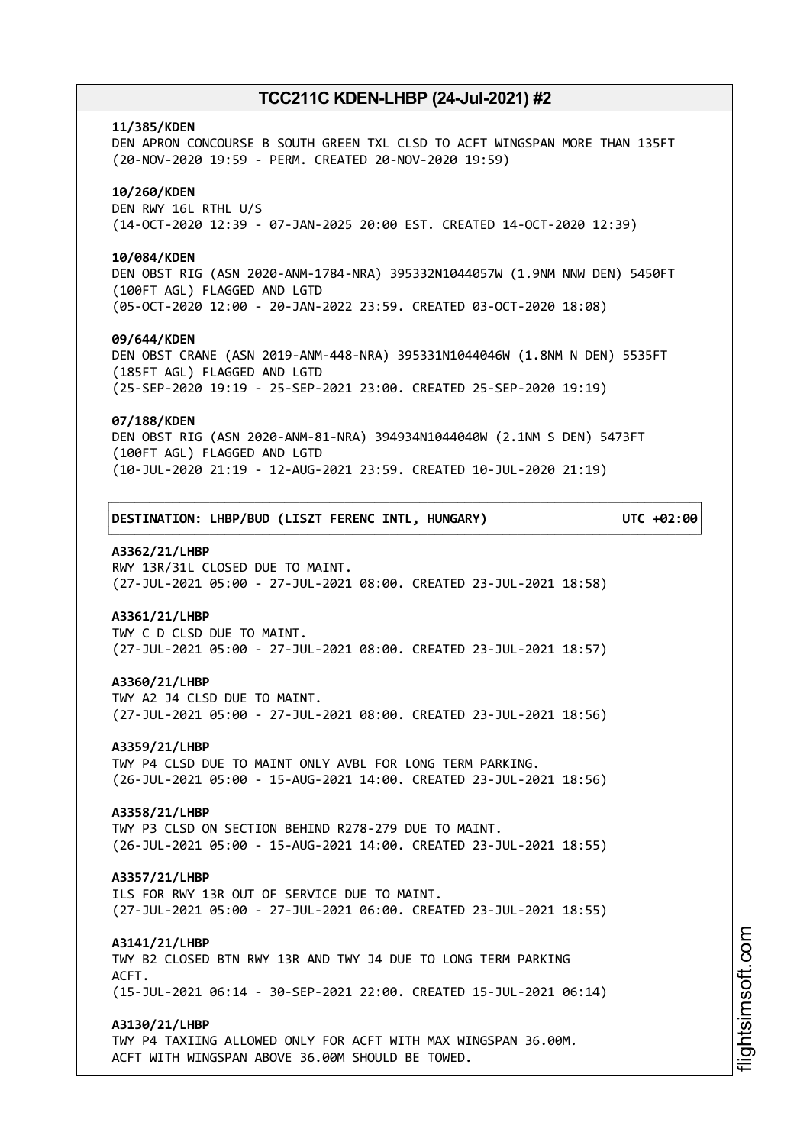### **11/385/KDEN**

DEN APRON CONCOURSE B SOUTH GREEN TXL CLSD TO ACFT WINGSPAN MORE THAN 135FT (20-NOV-2020 19:59 - PERM. CREATED 20-NOV-2020 19:59)

### **10/260/KDEN**

DEN RWY 16L RTHL U/S (14-OCT-2020 12:39 - 07-JAN-2025 20:00 EST. CREATED 14-OCT-2020 12:39)

### **10/084/KDEN**

DEN OBST RIG (ASN 2020-ANM-1784-NRA) 395332N1044057W (1.9NM NNW DEN) 5450FT (100FT AGL) FLAGGED AND LGTD (05-OCT-2020 12:00 - 20-JAN-2022 23:59. CREATED 03-OCT-2020 18:08)

### **09/644/KDEN**

DEN OBST CRANE (ASN 2019-ANM-448-NRA) 395331N1044046W (1.8NM N DEN) 5535FT (185FT AGL) FLAGGED AND LGTD (25-SEP-2020 19:19 - 25-SEP-2021 23:00. CREATED 25-SEP-2020 19:19)

#### **07/188/KDEN**

DEN OBST RIG (ASN 2020-ANM-81-NRA) 394934N1044040W (2.1NM S DEN) 5473FT (100FT AGL) FLAGGED AND LGTD (10-JUL-2020 21:19 - 12-AUG-2021 23:59. CREATED 10-JUL-2020 21:19)

┌──────────────────────────────────────────────────────────────────────────────┐

└──────────────────────────────────────────────────────────────────────────────┘

│**DESTINATION: LHBP/BUD (LISZT FERENC INTL, HUNGARY) UTC +02:00**│

### **A3362/21/LHBP**

RWY 13R/31L CLOSED DUE TO MAINT. (27-JUL-2021 05:00 - 27-JUL-2021 08:00. CREATED 23-JUL-2021 18:58)

### **A3361/21/LHBP**

TWY C D CLSD DUE TO MAINT. (27-JUL-2021 05:00 - 27-JUL-2021 08:00. CREATED 23-JUL-2021 18:57)

#### **A3360/21/LHBP**

TWY A2 J4 CLSD DUE TO MAINT. (27-JUL-2021 05:00 - 27-JUL-2021 08:00. CREATED 23-JUL-2021 18:56)

### **A3359/21/LHBP**

TWY P4 CLSD DUE TO MAINT ONLY AVBL FOR LONG TERM PARKING. (26-JUL-2021 05:00 - 15-AUG-2021 14:00. CREATED 23-JUL-2021 18:56)

#### **A3358/21/LHBP**

TWY P3 CLSD ON SECTION BEHIND R278-279 DUE TO MAINT. (26-JUL-2021 05:00 - 15-AUG-2021 14:00. CREATED 23-JUL-2021 18:55)

### **A3357/21/LHBP**

ILS FOR RWY 13R OUT OF SERVICE DUE TO MAINT. (27-JUL-2021 05:00 - 27-JUL-2021 06:00. CREATED 23-JUL-2021 18:55)

### **A3141/21/LHBP**

TWY B2 CLOSED BTN RWY 13R AND TWY J4 DUE TO LONG TERM PARKING ACFT. (15-JUL-2021 06:14 - 30-SEP-2021 22:00. CREATED 15-JUL-2021 06:14)

### **A3130/21/LHBP**

TWY P4 TAXIING ALLOWED ONLY FOR ACFT WITH MAX WINGSPAN 36.00M. ACFT WITH WINGSPAN ABOVE 36.00M SHOULD BE TOWED.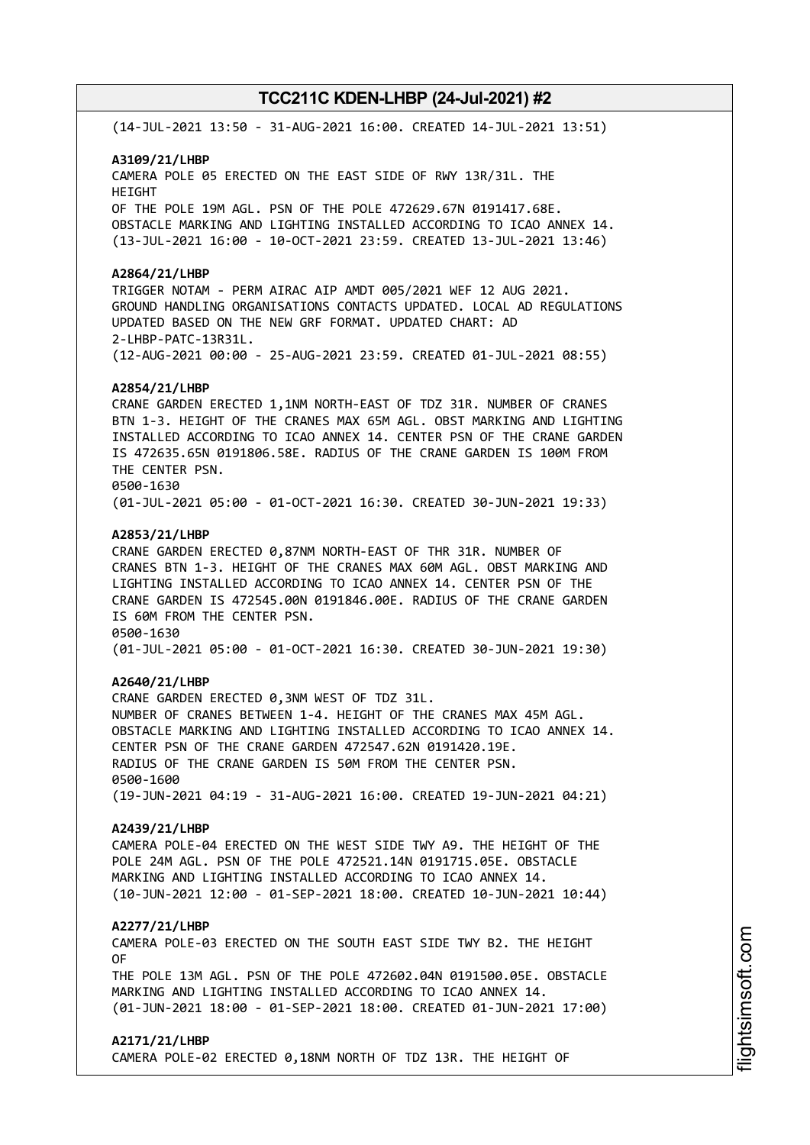(14-JUL-2021 13:50 - 31-AUG-2021 16:00. CREATED 14-JUL-2021 13:51)

### **A3109/21/LHBP**

CAMERA POLE 05 ERECTED ON THE EAST SIDE OF RWY 13R/31L. THE HEIGHT OF THE POLE 19M AGL. PSN OF THE POLE 472629.67N 0191417.68E. OBSTACLE MARKING AND LIGHTING INSTALLED ACCORDING TO ICAO ANNEX 14. (13-JUL-2021 16:00 - 10-OCT-2021 23:59. CREATED 13-JUL-2021 13:46)

### **A2864/21/LHBP**

TRIGGER NOTAM - PERM AIRAC AIP AMDT 005/2021 WEF 12 AUG 2021. GROUND HANDLING ORGANISATIONS CONTACTS UPDATED. LOCAL AD REGULATIONS UPDATED BASED ON THE NEW GRF FORMAT. UPDATED CHART: AD 2-LHBP-PATC-13R31L. (12-AUG-2021 00:00 - 25-AUG-2021 23:59. CREATED 01-JUL-2021 08:55)

### **A2854/21/LHBP**

CRANE GARDEN ERECTED 1,1NM NORTH-EAST OF TDZ 31R. NUMBER OF CRANES BTN 1-3. HEIGHT OF THE CRANES MAX 65M AGL. OBST MARKING AND LIGHTING INSTALLED ACCORDING TO ICAO ANNEX 14. CENTER PSN OF THE CRANE GARDEN IS 472635.65N 0191806.58E. RADIUS OF THE CRANE GARDEN IS 100M FROM THE CENTER PSN. 0500-1630

# (01-JUL-2021 05:00 - 01-OCT-2021 16:30. CREATED 30-JUN-2021 19:33)

### **A2853/21/LHBP**

CRANE GARDEN ERECTED 0,87NM NORTH-EAST OF THR 31R. NUMBER OF CRANES BTN 1-3. HEIGHT OF THE CRANES MAX 60M AGL. OBST MARKING AND LIGHTING INSTALLED ACCORDING TO ICAO ANNEX 14. CENTER PSN OF THE CRANE GARDEN IS 472545.00N 0191846.00E. RADIUS OF THE CRANE GARDEN IS 60M FROM THE CENTER PSN. 0500-1630 (01-JUL-2021 05:00 - 01-OCT-2021 16:30. CREATED 30-JUN-2021 19:30)

#### **A2640/21/LHBP**

CRANE GARDEN ERECTED 0,3NM WEST OF TDZ 31L. NUMBER OF CRANES BETWEEN 1-4. HEIGHT OF THE CRANES MAX 45M AGL. OBSTACLE MARKING AND LIGHTING INSTALLED ACCORDING TO ICAO ANNEX 14. CENTER PSN OF THE CRANE GARDEN 472547.62N 0191420.19E. RADIUS OF THE CRANE GARDEN IS 50M FROM THE CENTER PSN. 0500-1600 (19-JUN-2021 04:19 - 31-AUG-2021 16:00. CREATED 19-JUN-2021 04:21)

### **A2439/21/LHBP**

CAMERA POLE-04 ERECTED ON THE WEST SIDE TWY A9. THE HEIGHT OF THE POLE 24M AGL. PSN OF THE POLE 472521.14N 0191715.05E. OBSTACLE MARKING AND LIGHTING INSTALLED ACCORDING TO ICAO ANNEX 14. (10-JUN-2021 12:00 - 01-SEP-2021 18:00. CREATED 10-JUN-2021 10:44)

#### **A2277/21/LHBP**

CAMERA POLE-03 ERECTED ON THE SOUTH EAST SIDE TWY B2. THE HEIGHT OF

THE POLE 13M AGL. PSN OF THE POLE 472602.04N 0191500.05E. OBSTACLE MARKING AND LIGHTING INSTALLED ACCORDING TO ICAO ANNEX 14. (01-JUN-2021 18:00 - 01-SEP-2021 18:00. CREATED 01-JUN-2021 17:00)

### **A2171/21/LHBP**

CAMERA POLE-02 ERECTED 0,18NM NORTH OF TDZ 13R. THE HEIGHT OF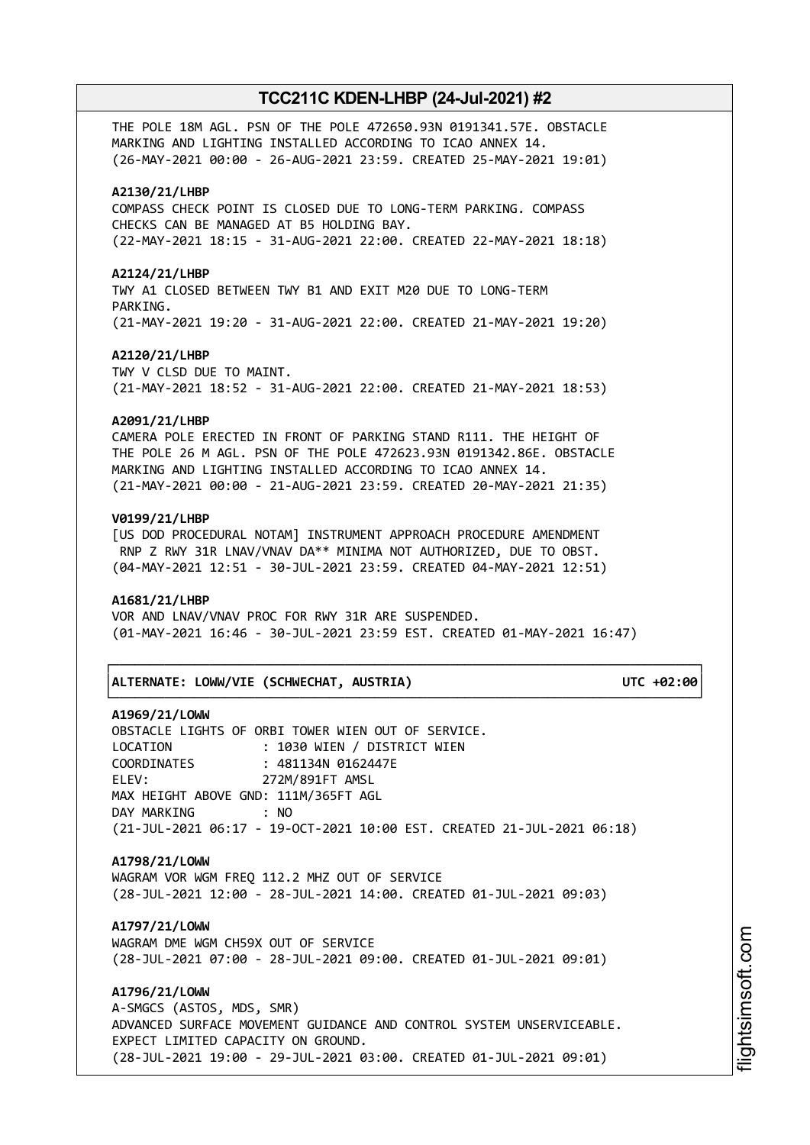THE POLE 18M AGL. PSN OF THE POLE 472650.93N 0191341.57E. OBSTACLE MARKING AND LIGHTING INSTALLED ACCORDING TO ICAO ANNEX 14. (26-MAY-2021 00:00 - 26-AUG-2021 23:59. CREATED 25-MAY-2021 19:01)

### **A2130/21/LHBP**

COMPASS CHECK POINT IS CLOSED DUE TO LONG-TERM PARKING. COMPASS CHECKS CAN BE MANAGED AT B5 HOLDING BAY. (22-MAY-2021 18:15 - 31-AUG-2021 22:00. CREATED 22-MAY-2021 18:18)

#### **A2124/21/LHBP**

TWY A1 CLOSED BETWEEN TWY B1 AND EXIT M20 DUE TO LONG-TERM PARKING. (21-MAY-2021 19:20 - 31-AUG-2021 22:00. CREATED 21-MAY-2021 19:20)

#### **A2120/21/LHBP**

TWY V CLSD DUE TO MAINT. (21-MAY-2021 18:52 - 31-AUG-2021 22:00. CREATED 21-MAY-2021 18:53)

#### **A2091/21/LHBP**

CAMERA POLE ERECTED IN FRONT OF PARKING STAND R111. THE HEIGHT OF THE POLE 26 M AGL. PSN OF THE POLE 472623.93N 0191342.86E. OBSTACLE MARKING AND LIGHTING INSTALLED ACCORDING TO ICAO ANNEX 14. (21-MAY-2021 00:00 - 21-AUG-2021 23:59. CREATED 20-MAY-2021 21:35)

### **V0199/21/LHBP**

[US DOD PROCEDURAL NOTAM] INSTRUMENT APPROACH PROCEDURE AMENDMENT RNP Z RWY 31R LNAV/VNAV DA\*\* MINIMA NOT AUTHORIZED, DUE TO OBST. (04-MAY-2021 12:51 - 30-JUL-2021 23:59. CREATED 04-MAY-2021 12:51)

### **A1681/21/LHBP**

VOR AND LNAV/VNAV PROC FOR RWY 31R ARE SUSPENDED. (01-MAY-2021 16:46 - 30-JUL-2021 23:59 EST. CREATED 01-MAY-2021 16:47)

└──────────────────────────────────────────────────────────────────────────────┘

#### │**ALTERNATE: LOWW/VIE (SCHWECHAT, AUSTRIA) UTC +02:00**│

┌──────────────────────────────────────────────────────────────────────────────┐

### **A1969/21/LOWW**

OBSTACLE LIGHTS OF ORBI TOWER WIEN OUT OF SERVICE. LOCATION : 1030 WIEN / DISTRICT WIEN COORDINATES : 481134N 0162447E ELEV: 272M/891FT AMSL MAX HEIGHT ABOVE GND: 111M/365FT AGL DAY MARKING : NO (21-JUL-2021 06:17 - 19-OCT-2021 10:00 EST. CREATED 21-JUL-2021 06:18)

## **A1798/21/LOWW**

WAGRAM VOR WGM FREQ 112.2 MHZ OUT OF SERVICE (28-JUL-2021 12:00 - 28-JUL-2021 14:00. CREATED 01-JUL-2021 09:03)

# **A1797/21/LOWW**

WAGRAM DME WGM CH59X OUT OF SERVICE (28-JUL-2021 07:00 - 28-JUL-2021 09:00. CREATED 01-JUL-2021 09:01)

**A1796/21/LOWW**

A-SMGCS (ASTOS, MDS, SMR) ADVANCED SURFACE MOVEMENT GUIDANCE AND CONTROL SYSTEM UNSERVICEABLE. EXPECT LIMITED CAPACITY ON GROUND. (28-JUL-2021 19:00 - 29-JUL-2021 03:00. CREATED 01-JUL-2021 09:01)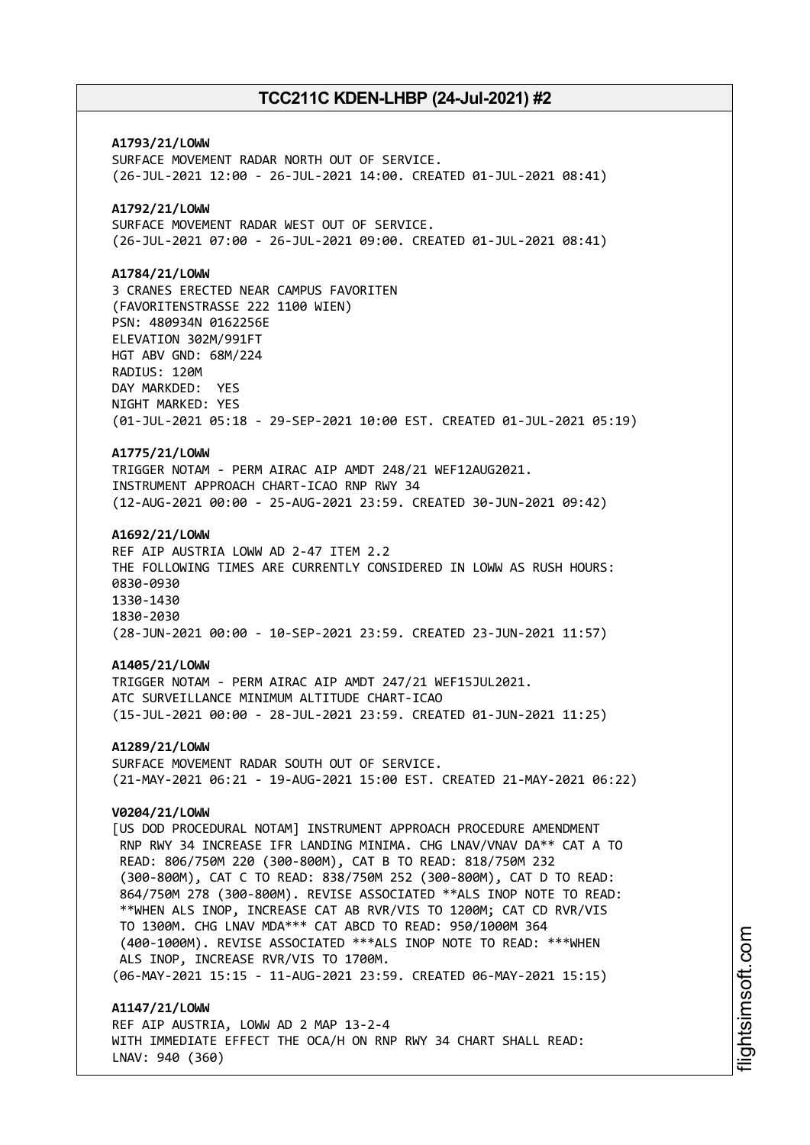**A1793/21/LOWW** SURFACE MOVEMENT RADAR NORTH OUT OF SERVICE. (26-JUL-2021 12:00 - 26-JUL-2021 14:00. CREATED 01-JUL-2021 08:41) **A1792/21/LOWW** SURFACE MOVEMENT RADAR WEST OUT OF SERVICE. (26-JUL-2021 07:00 - 26-JUL-2021 09:00. CREATED 01-JUL-2021 08:41) **A1784/21/LOWW** 3 CRANES ERECTED NEAR CAMPUS FAVORITEN (FAVORITENSTRASSE 222 1100 WIEN) PSN: 480934N 0162256E ELEVATION 302M/991FT HGT ABV GND: 68M/224 RADIUS: 120M DAY MARKDED: YES NIGHT MARKED: YES (01-JUL-2021 05:18 - 29-SEP-2021 10:00 EST. CREATED 01-JUL-2021 05:19) **A1775/21/LOWW** TRIGGER NOTAM - PERM AIRAC AIP AMDT 248/21 WEF12AUG2021. INSTRUMENT APPROACH CHART-ICAO RNP RWY 34 (12-AUG-2021 00:00 - 25-AUG-2021 23:59. CREATED 30-JUN-2021 09:42) **A1692/21/LOWW** REF AIP AUSTRIA LOWW AD 2-47 ITEM 2.2 THE FOLLOWING TIMES ARE CURRENTLY CONSIDERED IN LOWW AS RUSH HOURS: 0830-0930 1330-1430 1830-2030 (28-JUN-2021 00:00 - 10-SEP-2021 23:59. CREATED 23-JUN-2021 11:57) **A1405/21/LOWW** TRIGGER NOTAM - PERM AIRAC AIP AMDT 247/21 WEF15JUL2021. ATC SURVEILLANCE MINIMUM ALTITUDE CHART-ICAO (15-JUL-2021 00:00 - 28-JUL-2021 23:59. CREATED 01-JUN-2021 11:25) **A1289/21/LOWW** SURFACE MOVEMENT RADAR SOUTH OUT OF SERVICE. (21-MAY-2021 06:21 - 19-AUG-2021 15:00 EST. CREATED 21-MAY-2021 06:22) **V0204/21/LOWW** [US DOD PROCEDURAL NOTAM] INSTRUMENT APPROACH PROCEDURE AMENDMENT RNP RWY 34 INCREASE IFR LANDING MINIMA. CHG LNAV/VNAV DA\*\* CAT A TO READ: 806/750M 220 (300-800M), CAT B TO READ: 818/750M 232 (300-800M), CAT C TO READ: 838/750M 252 (300-800M), CAT D TO READ: 864/750M 278 (300-800M). REVISE ASSOCIATED \*\*ALS INOP NOTE TO READ: \*\*WHEN ALS INOP, INCREASE CAT AB RVR/VIS TO 1200M; CAT CD RVR/VIS TO 1300M. CHG LNAV MDA\*\*\* CAT ABCD TO READ: 950/1000M 364 (400-1000M). REVISE ASSOCIATED \*\*\*ALS INOP NOTE TO READ: \*\*\*WHEN ALS INOP, INCREASE RVR/VIS TO 1700M. (06-MAY-2021 15:15 - 11-AUG-2021 23:59. CREATED 06-MAY-2021 15:15) **A1147/21/LOWW** REF AIP AUSTRIA, LOWW AD 2 MAP 13-2-4

WITH IMMEDIATE EFFECT THE OCA/H ON RNP RWY 34 CHART SHALL READ: LNAV: 940 (360)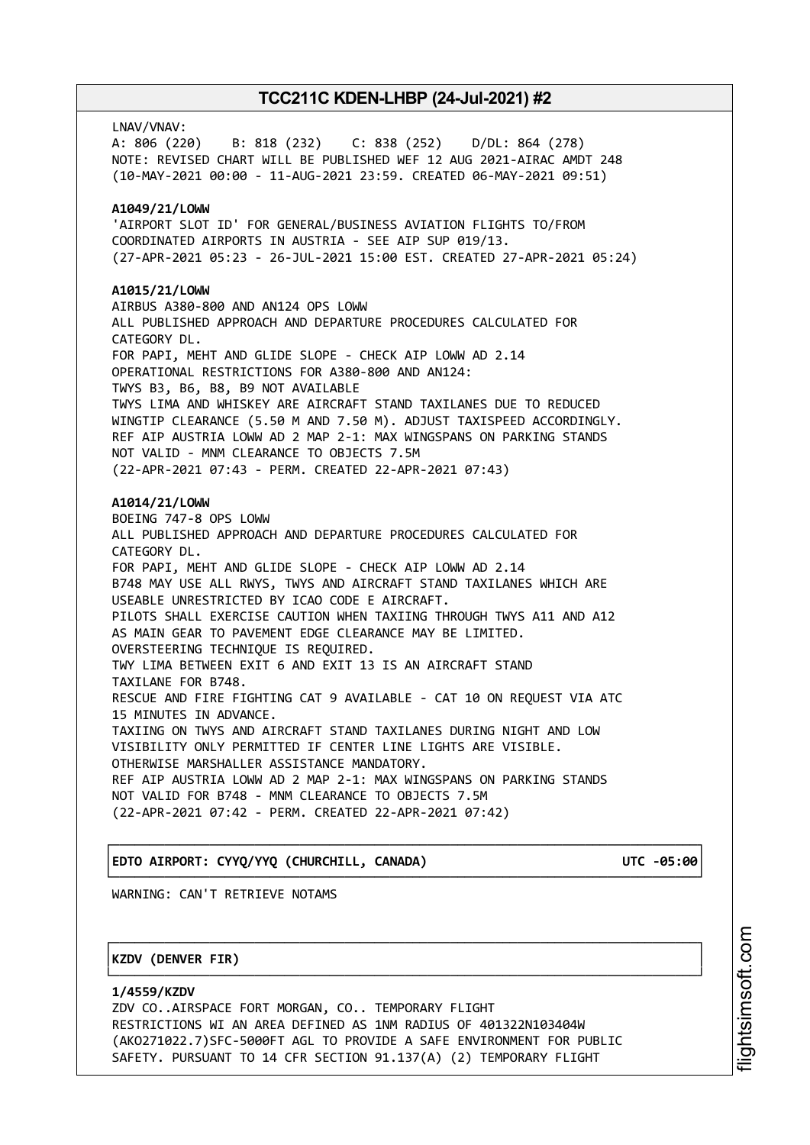LNAV/VNAV: A: 806 (220) B: 818 (232) C: 838 (252) D/DL: 864 (278) NOTE: REVISED CHART WILL BE PUBLISHED WEF 12 AUG 2021-AIRAC AMDT 248 (10-MAY-2021 00:00 - 11-AUG-2021 23:59. CREATED 06-MAY-2021 09:51) **A1049/21/LOWW** 'AIRPORT SLOT ID' FOR GENERAL/BUSINESS AVIATION FLIGHTS TO/FROM COORDINATED AIRPORTS IN AUSTRIA - SEE AIP SUP 019/13. (27-APR-2021 05:23 - 26-JUL-2021 15:00 EST. CREATED 27-APR-2021 05:24) **A1015/21/LOWW** AIRBUS A380-800 AND AN124 OPS LOWW ALL PUBLISHED APPROACH AND DEPARTURE PROCEDURES CALCULATED FOR CATEGORY DL. FOR PAPI, MEHT AND GLIDE SLOPE - CHECK AIP LOWW AD 2.14 OPERATIONAL RESTRICTIONS FOR A380-800 AND AN124: TWYS B3, B6, B8, B9 NOT AVAILABLE TWYS LIMA AND WHISKEY ARE AIRCRAFT STAND TAXILANES DUE TO REDUCED WINGTIP CLEARANCE (5.50 M AND 7.50 M). ADJUST TAXISPEED ACCORDINGLY. REF AIP AUSTRIA LOWW AD 2 MAP 2-1: MAX WINGSPANS ON PARKING STANDS NOT VALID - MNM CLEARANCE TO OBJECTS 7.5M (22-APR-2021 07:43 - PERM. CREATED 22-APR-2021 07:43) **A1014/21/LOWW** BOEING 747-8 OPS LOWW ALL PUBLISHED APPROACH AND DEPARTURE PROCEDURES CALCULATED FOR CATEGORY DL. FOR PAPI, MEHT AND GLIDE SLOPE - CHECK AIP LOWW AD 2.14 B748 MAY USE ALL RWYS, TWYS AND AIRCRAFT STAND TAXILANES WHICH ARE USEABLE UNRESTRICTED BY ICAO CODE E AIRCRAFT. PILOTS SHALL EXERCISE CAUTION WHEN TAXIING THROUGH TWYS A11 AND A12 AS MAIN GEAR TO PAVEMENT EDGE CLEARANCE MAY BE LIMITED. OVERSTEERING TECHNIQUE IS REQUIRED. TWY LIMA BETWEEN EXIT 6 AND EXIT 13 IS AN AIRCRAFT STAND TAXILANE FOR B748. RESCUE AND FIRE FIGHTING CAT 9 AVAILABLE - CAT 10 ON REQUEST VIA ATC 15 MINUTES IN ADVANCE. TAXIING ON TWYS AND AIRCRAFT STAND TAXILANES DURING NIGHT AND LOW VISIBILITY ONLY PERMITTED IF CENTER LINE LIGHTS ARE VISIBLE. OTHERWISE MARSHALLER ASSISTANCE MANDATORY. REF AIP AUSTRIA LOWW AD 2 MAP 2-1: MAX WINGSPANS ON PARKING STANDS NOT VALID FOR B748 - MNM CLEARANCE TO OBJECTS 7.5M (22-APR-2021 07:42 - PERM. CREATED 22-APR-2021 07:42)

# │**EDTO AIRPORT: CYYQ/YYQ (CHURCHILL, CANADA) UTC -05:00**│

┌──────────────────────────────────────────────────────────────────────────────┐

└──────────────────────────────────────────────────────────────────────────────┘ WARNING: CAN'T RETRIEVE NOTAMS

## │**KZDV (DENVER FIR)** │

**1/4559/KZDV** ZDV CO..AIRSPACE FORT MORGAN, CO.. TEMPORARY FLIGHT RESTRICTIONS WI AN AREA DEFINED AS 1NM RADIUS OF 401322N103404W (AKO271022.7)SFC-5000FT AGL TO PROVIDE A SAFE ENVIRONMENT FOR PUBLIC SAFETY. PURSUANT TO 14 CFR SECTION 91.137(A) (2) TEMPORARY FLIGHT

┌──────────────────────────────────────────────────────────────────────────────┐

└──────────────────────────────────────────────────────────────────────────────┘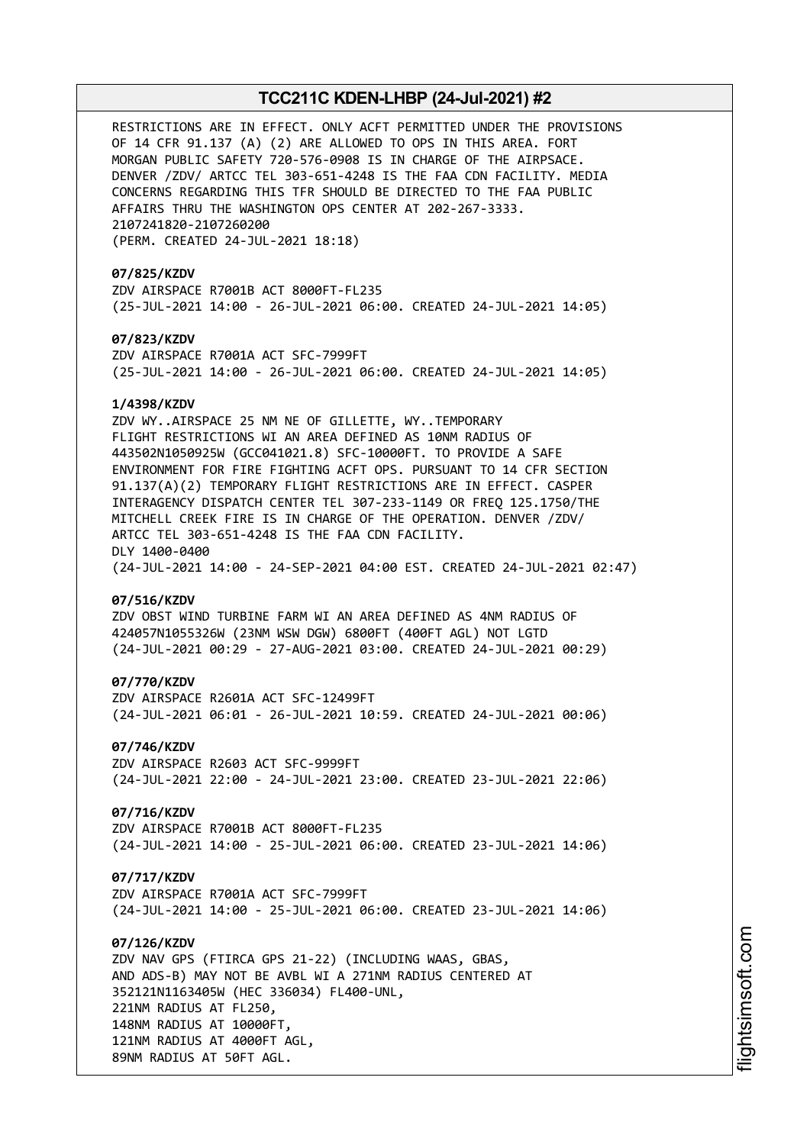RESTRICTIONS ARE IN EFFECT. ONLY ACFT PERMITTED UNDER THE PROVISIONS OF 14 CFR 91.137 (A) (2) ARE ALLOWED TO OPS IN THIS AREA. FORT MORGAN PUBLIC SAFETY 720-576-0908 IS IN CHARGE OF THE AIRPSACE. DENVER /ZDV/ ARTCC TEL 303-651-4248 IS THE FAA CDN FACILITY. MEDIA CONCERNS REGARDING THIS TFR SHOULD BE DIRECTED TO THE FAA PUBLIC AFFAIRS THRU THE WASHINGTON OPS CENTER AT 202-267-3333. 2107241820-2107260200 (PERM. CREATED 24-JUL-2021 18:18)

**07/825/KZDV** ZDV AIRSPACE R7001B ACT 8000FT-FL235 (25-JUL-2021 14:00 - 26-JUL-2021 06:00. CREATED 24-JUL-2021 14:05)

**07/823/KZDV** ZDV AIRSPACE R7001A ACT SFC-7999FT (25-JUL-2021 14:00 - 26-JUL-2021 06:00. CREATED 24-JUL-2021 14:05)

### **1/4398/KZDV**

ZDV WY..AIRSPACE 25 NM NE OF GILLETTE, WY..TEMPORARY FLIGHT RESTRICTIONS WI AN AREA DEFINED AS 10NM RADIUS OF 443502N1050925W (GCC041021.8) SFC-10000FT. TO PROVIDE A SAFE ENVIRONMENT FOR FIRE FIGHTING ACFT OPS. PURSUANT TO 14 CFR SECTION 91.137(A)(2) TEMPORARY FLIGHT RESTRICTIONS ARE IN EFFECT. CASPER INTERAGENCY DISPATCH CENTER TEL 307-233-1149 OR FREQ 125.1750/THE MITCHELL CREEK FIRE IS IN CHARGE OF THE OPERATION. DENVER /ZDV/ ARTCC TEL 303-651-4248 IS THE FAA CDN FACILITY. DLY 1400-0400 (24-JUL-2021 14:00 - 24-SEP-2021 04:00 EST. CREATED 24-JUL-2021 02:47)

### **07/516/KZDV**

ZDV OBST WIND TURBINE FARM WI AN AREA DEFINED AS 4NM RADIUS OF 424057N1055326W (23NM WSW DGW) 6800FT (400FT AGL) NOT LGTD (24-JUL-2021 00:29 - 27-AUG-2021 03:00. CREATED 24-JUL-2021 00:29)

#### **07/770/KZDV**

ZDV AIRSPACE R2601A ACT SFC-12499FT (24-JUL-2021 06:01 - 26-JUL-2021 10:59. CREATED 24-JUL-2021 00:06)

### **07/746/KZDV**

ZDV AIRSPACE R2603 ACT SFC-9999FT (24-JUL-2021 22:00 - 24-JUL-2021 23:00. CREATED 23-JUL-2021 22:06)

### **07/716/KZDV**

ZDV AIRSPACE R7001B ACT 8000FT-FL235 (24-JUL-2021 14:00 - 25-JUL-2021 06:00. CREATED 23-JUL-2021 14:06)

### **07/717/KZDV**

ZDV AIRSPACE R7001A ACT SFC-7999FT (24-JUL-2021 14:00 - 25-JUL-2021 06:00. CREATED 23-JUL-2021 14:06)

## **07/126/KZDV**

ZDV NAV GPS (FTIRCA GPS 21-22) (INCLUDING WAAS, GBAS, AND ADS-B) MAY NOT BE AVBL WI A 271NM RADIUS CENTERED AT 352121N1163405W (HEC 336034) FL400-UNL, 221NM RADIUS AT FL250, 148NM RADIUS AT 10000FT, 121NM RADIUS AT 4000FT AGL, 89NM RADIUS AT 50FT AGL.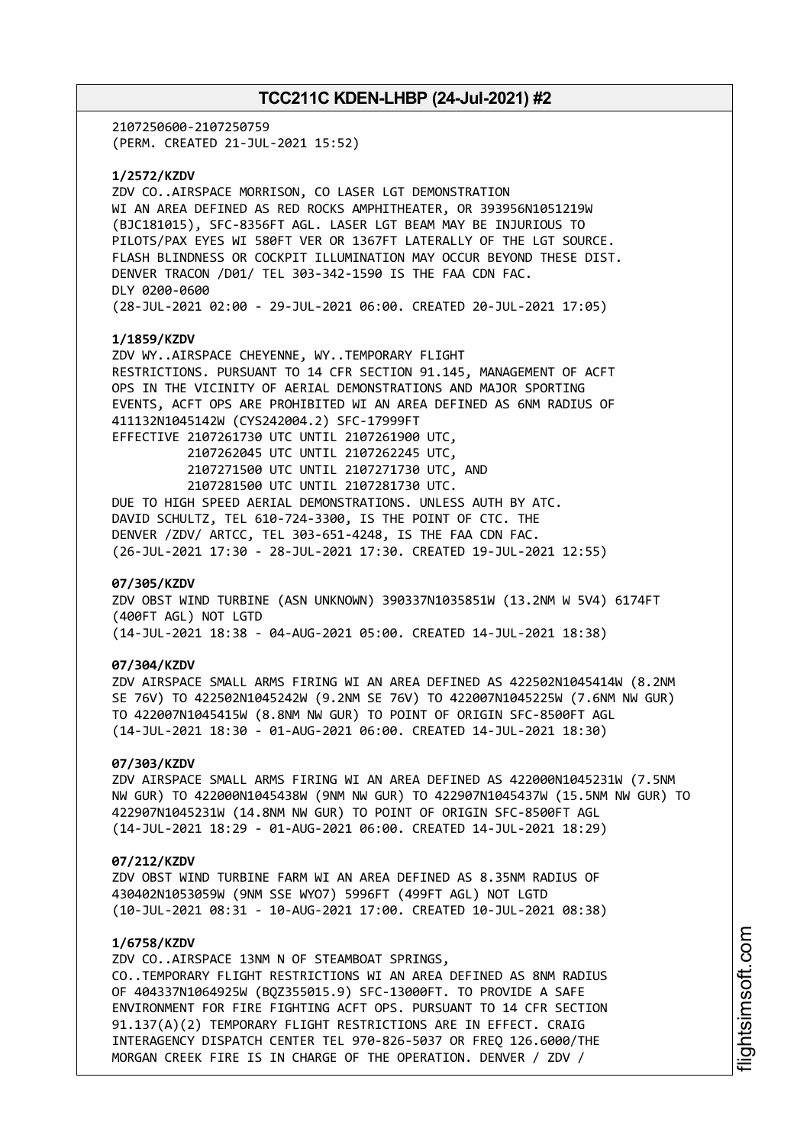2107250600-2107250759 (PERM. CREATED 21-JUL-2021 15:52)

**1/2572/KZDV**

ZDV CO..AIRSPACE MORRISON, CO LASER LGT DEMONSTRATION WI AN AREA DEFINED AS RED ROCKS AMPHITHEATER, OR 393956N1051219W (BJC181015), SFC-8356FT AGL. LASER LGT BEAM MAY BE INJURIOUS TO PILOTS/PAX EYES WI 580FT VER OR 1367FT LATERALLY OF THE LGT SOURCE. FLASH BLINDNESS OR COCKPIT ILLUMINATION MAY OCCUR BEYOND THESE DIST. DENVER TRACON /D01/ TEL 303-342-1590 IS THE FAA CDN FAC. DLY 0200-0600 (28-JUL-2021 02:00 - 29-JUL-2021 06:00. CREATED 20-JUL-2021 17:05)

### **1/1859/KZDV**

ZDV WY..AIRSPACE CHEYENNE, WY..TEMPORARY FLIGHT RESTRICTIONS. PURSUANT TO 14 CFR SECTION 91.145, MANAGEMENT OF ACFT OPS IN THE VICINITY OF AERIAL DEMONSTRATIONS AND MAJOR SPORTING EVENTS, ACFT OPS ARE PROHIBITED WI AN AREA DEFINED AS 6NM RADIUS OF 411132N1045142W (CYS242004.2) SFC-17999FT EFFECTIVE 2107261730 UTC UNTIL 2107261900 UTC, 2107262045 UTC UNTIL 2107262245 UTC, 2107271500 UTC UNTIL 2107271730 UTC, AND 2107281500 UTC UNTIL 2107281730 UTC. DUE TO HIGH SPEED AERIAL DEMONSTRATIONS. UNLESS AUTH BY ATC. DAVID SCHULTZ, TEL 610-724-3300, IS THE POINT OF CTC. THE DENVER /ZDV/ ARTCC, TEL 303-651-4248, IS THE FAA CDN FAC. (26-JUL-2021 17:30 - 28-JUL-2021 17:30. CREATED 19-JUL-2021 12:55)

#### **07/305/KZDV**

ZDV OBST WIND TURBINE (ASN UNKNOWN) 390337N1035851W (13.2NM W 5V4) 6174FT (400FT AGL) NOT LGTD (14-JUL-2021 18:38 - 04-AUG-2021 05:00. CREATED 14-JUL-2021 18:38)

### **07/304/KZDV**

ZDV AIRSPACE SMALL ARMS FIRING WI AN AREA DEFINED AS 422502N1045414W (8.2NM SE 76V) TO 422502N1045242W (9.2NM SE 76V) TO 422007N1045225W (7.6NM NW GUR) TO 422007N1045415W (8.8NM NW GUR) TO POINT OF ORIGIN SFC-8500FT AGL (14-JUL-2021 18:30 - 01-AUG-2021 06:00. CREATED 14-JUL-2021 18:30)

### **07/303/KZDV**

ZDV AIRSPACE SMALL ARMS FIRING WI AN AREA DEFINED AS 422000N1045231W (7.5NM NW GUR) TO 422000N1045438W (9NM NW GUR) TO 422907N1045437W (15.5NM NW GUR) TO 422907N1045231W (14.8NM NW GUR) TO POINT OF ORIGIN SFC-8500FT AGL (14-JUL-2021 18:29 - 01-AUG-2021 06:00. CREATED 14-JUL-2021 18:29)

#### **07/212/KZDV**

ZDV OBST WIND TURBINE FARM WI AN AREA DEFINED AS 8.35NM RADIUS OF 430402N1053059W (9NM SSE WYO7) 5996FT (499FT AGL) NOT LGTD (10-JUL-2021 08:31 - 10-AUG-2021 17:00. CREATED 10-JUL-2021 08:38)

## **1/6758/KZDV**

ZDV CO..AIRSPACE 13NM N OF STEAMBOAT SPRINGS, CO..TEMPORARY FLIGHT RESTRICTIONS WI AN AREA DEFINED AS 8NM RADIUS OF 404337N1064925W (BQZ355015.9) SFC-13000FT. TO PROVIDE A SAFE ENVIRONMENT FOR FIRE FIGHTING ACFT OPS. PURSUANT TO 14 CFR SECTION 91.137(A)(2) TEMPORARY FLIGHT RESTRICTIONS ARE IN EFFECT. CRAIG INTERAGENCY DISPATCH CENTER TEL 970-826-5037 OR FREQ 126.6000/THE MORGAN CREEK FIRE IS IN CHARGE OF THE OPERATION. DENVER / ZDV /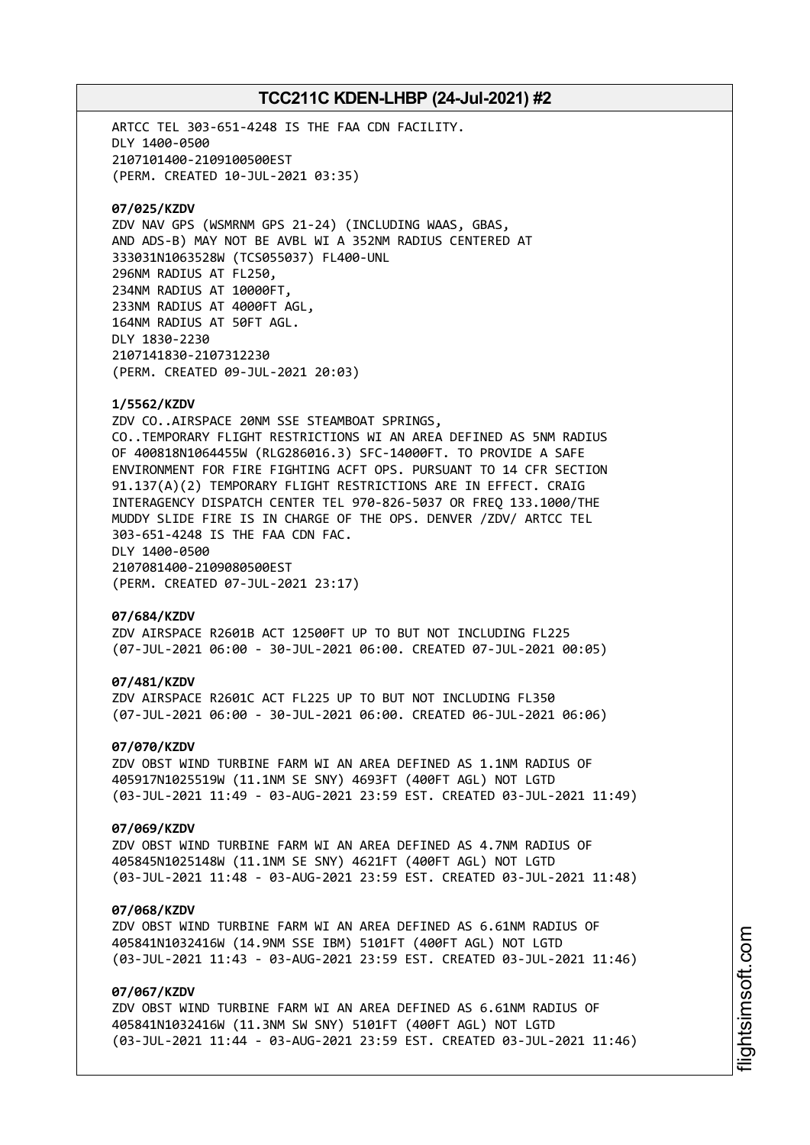ARTCC TEL 303-651-4248 IS THE FAA CDN FACILITY. DLY 1400-0500 2107101400-2109100500EST (PERM. CREATED 10-JUL-2021 03:35) **07/025/KZDV** ZDV NAV GPS (WSMRNM GPS 21-24) (INCLUDING WAAS, GBAS, AND ADS-B) MAY NOT BE AVBL WI A 352NM RADIUS CENTERED AT 333031N1063528W (TCS055037) FL400-UNL 296NM RADIUS AT FL250, 234NM RADIUS AT 10000FT, 233NM RADIUS AT 4000FT AGL, 164NM RADIUS AT 50FT AGL. DLY 1830-2230 2107141830-2107312230 (PERM. CREATED 09-JUL-2021 20:03) **1/5562/KZDV** ZDV CO..AIRSPACE 20NM SSE STEAMBOAT SPRINGS, CO..TEMPORARY FLIGHT RESTRICTIONS WI AN AREA DEFINED AS 5NM RADIUS OF 400818N1064455W (RLG286016.3) SFC-14000FT. TO PROVIDE A SAFE ENVIRONMENT FOR FIRE FIGHTING ACFT OPS. PURSUANT TO 14 CFR SECTION 91.137(A)(2) TEMPORARY FLIGHT RESTRICTIONS ARE IN EFFECT. CRAIG INTERAGENCY DISPATCH CENTER TEL 970-826-5037 OR FREQ 133.1000/THE MUDDY SLIDE FIRE IS IN CHARGE OF THE OPS. DENVER /ZDV/ ARTCC TEL 303-651-4248 IS THE FAA CDN FAC. DLY 1400-0500 2107081400-2109080500EST (PERM. CREATED 07-JUL-2021 23:17) **07/684/KZDV** ZDV AIRSPACE R2601B ACT 12500FT UP TO BUT NOT INCLUDING FL225 (07-JUL-2021 06:00 - 30-JUL-2021 06:00. CREATED 07-JUL-2021 00:05) **07/481/KZDV** ZDV AIRSPACE R2601C ACT FL225 UP TO BUT NOT INCLUDING FL350 (07-JUL-2021 06:00 - 30-JUL-2021 06:00. CREATED 06-JUL-2021 06:06) **07/070/KZDV** ZDV OBST WIND TURBINE FARM WI AN AREA DEFINED AS 1.1NM RADIUS OF 405917N1025519W (11.1NM SE SNY) 4693FT (400FT AGL) NOT LGTD (03-JUL-2021 11:49 - 03-AUG-2021 23:59 EST. CREATED 03-JUL-2021 11:49) **07/069/KZDV** ZDV OBST WIND TURBINE FARM WI AN AREA DEFINED AS 4.7NM RADIUS OF 405845N1025148W (11.1NM SE SNY) 4621FT (400FT AGL) NOT LGTD (03-JUL-2021 11:48 - 03-AUG-2021 23:59 EST. CREATED 03-JUL-2021 11:48) **07/068/KZDV** ZDV OBST WIND TURBINE FARM WI AN AREA DEFINED AS 6.61NM RADIUS OF 405841N1032416W (14.9NM SSE IBM) 5101FT (400FT AGL) NOT LGTD

(03-JUL-2021 11:43 - 03-AUG-2021 23:59 EST. CREATED 03-JUL-2021 11:46)

## **07/067/KZDV**

ZDV OBST WIND TURBINE FARM WI AN AREA DEFINED AS 6.61NM RADIUS OF 405841N1032416W (11.3NM SW SNY) 5101FT (400FT AGL) NOT LGTD (03-JUL-2021 11:44 - 03-AUG-2021 23:59 EST. CREATED 03-JUL-2021 11:46)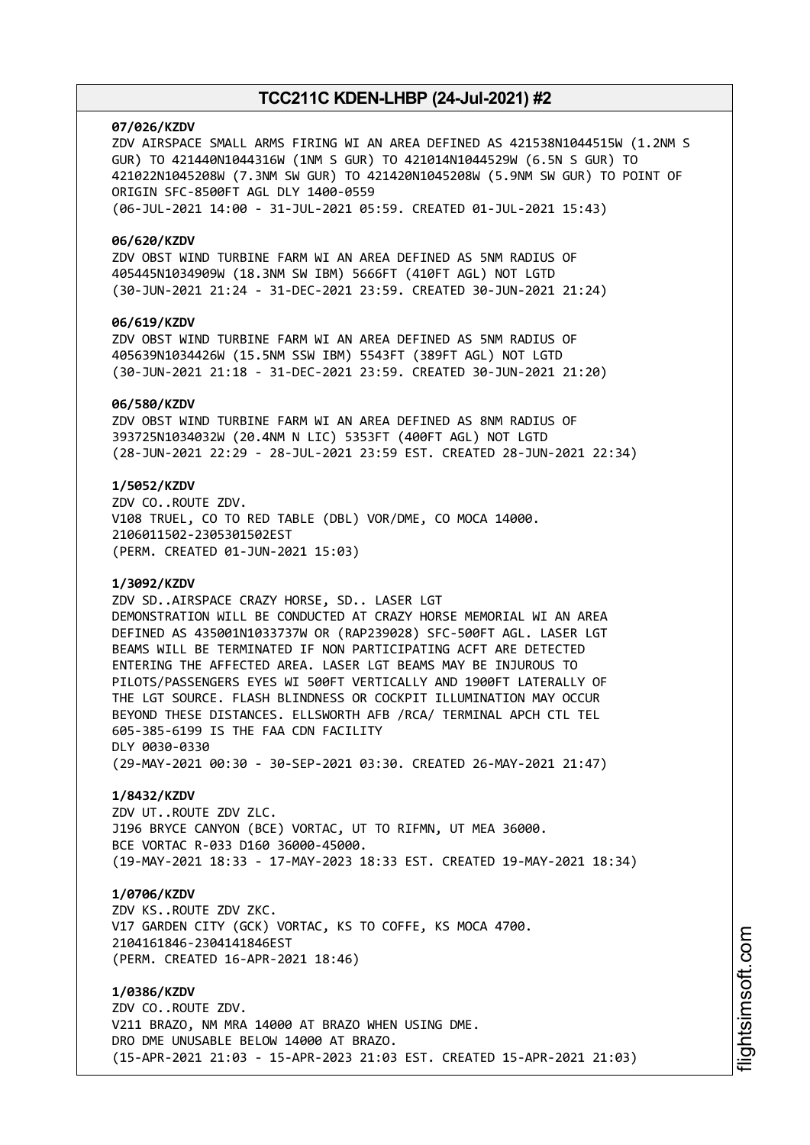#### **07/026/KZDV**

ZDV AIRSPACE SMALL ARMS FIRING WI AN AREA DEFINED AS 421538N1044515W (1.2NM S GUR) TO 421440N1044316W (1NM S GUR) TO 421014N1044529W (6.5N S GUR) TO 421022N1045208W (7.3NM SW GUR) TO 421420N1045208W (5.9NM SW GUR) TO POINT OF ORIGIN SFC-8500FT AGL DLY 1400-0559 (06-JUL-2021 14:00 - 31-JUL-2021 05:59. CREATED 01-JUL-2021 15:43)

#### **06/620/KZDV**

ZDV OBST WIND TURBINE FARM WI AN AREA DEFINED AS 5NM RADIUS OF 405445N1034909W (18.3NM SW IBM) 5666FT (410FT AGL) NOT LGTD (30-JUN-2021 21:24 - 31-DEC-2021 23:59. CREATED 30-JUN-2021 21:24)

### **06/619/KZDV**

ZDV OBST WIND TURBINE FARM WI AN AREA DEFINED AS 5NM RADIUS OF 405639N1034426W (15.5NM SSW IBM) 5543FT (389FT AGL) NOT LGTD (30-JUN-2021 21:18 - 31-DEC-2021 23:59. CREATED 30-JUN-2021 21:20)

#### **06/580/KZDV**

ZDV OBST WIND TURBINE FARM WI AN AREA DEFINED AS 8NM RADIUS OF 393725N1034032W (20.4NM N LIC) 5353FT (400FT AGL) NOT LGTD (28-JUN-2021 22:29 - 28-JUL-2021 23:59 EST. CREATED 28-JUN-2021 22:34)

### **1/5052/KZDV**

ZDV CO..ROUTE ZDV. V108 TRUEL, CO TO RED TABLE (DBL) VOR/DME, CO MOCA 14000. 2106011502-2305301502EST (PERM. CREATED 01-JUN-2021 15:03)

### **1/3092/KZDV**

ZDV SD..AIRSPACE CRAZY HORSE, SD.. LASER LGT DEMONSTRATION WILL BE CONDUCTED AT CRAZY HORSE MEMORIAL WI AN AREA DEFINED AS 435001N1033737W OR (RAP239028) SFC-500FT AGL. LASER LGT BEAMS WILL BE TERMINATED IF NON PARTICIPATING ACFT ARE DETECTED ENTERING THE AFFECTED AREA. LASER LGT BEAMS MAY BE INJUROUS TO PILOTS/PASSENGERS EYES WI 500FT VERTICALLY AND 1900FT LATERALLY OF THE LGT SOURCE. FLASH BLINDNESS OR COCKPIT ILLUMINATION MAY OCCUR BEYOND THESE DISTANCES. ELLSWORTH AFB /RCA/ TERMINAL APCH CTL TEL 605-385-6199 IS THE FAA CDN FACILITY DLY 0030-0330 (29-MAY-2021 00:30 - 30-SEP-2021 03:30. CREATED 26-MAY-2021 21:47)

#### **1/8432/KZDV**

ZDV UT..ROUTE ZDV ZLC. J196 BRYCE CANYON (BCE) VORTAC, UT TO RIFMN, UT MEA 36000. BCE VORTAC R-033 D160 36000-45000. (19-MAY-2021 18:33 - 17-MAY-2023 18:33 EST. CREATED 19-MAY-2021 18:34)

### **1/0706/KZDV**

ZDV KS..ROUTE ZDV ZKC. V17 GARDEN CITY (GCK) VORTAC, KS TO COFFE, KS MOCA 4700. 2104161846-2304141846EST (PERM. CREATED 16-APR-2021 18:46)

**1/0386/KZDV** ZDV CO..ROUTE ZDV. V211 BRAZO, NM MRA 14000 AT BRAZO WHEN USING DME. DRO DME UNUSABLE BELOW 14000 AT BRAZO. (15-APR-2021 21:03 - 15-APR-2023 21:03 EST. CREATED 15-APR-2021 21:03)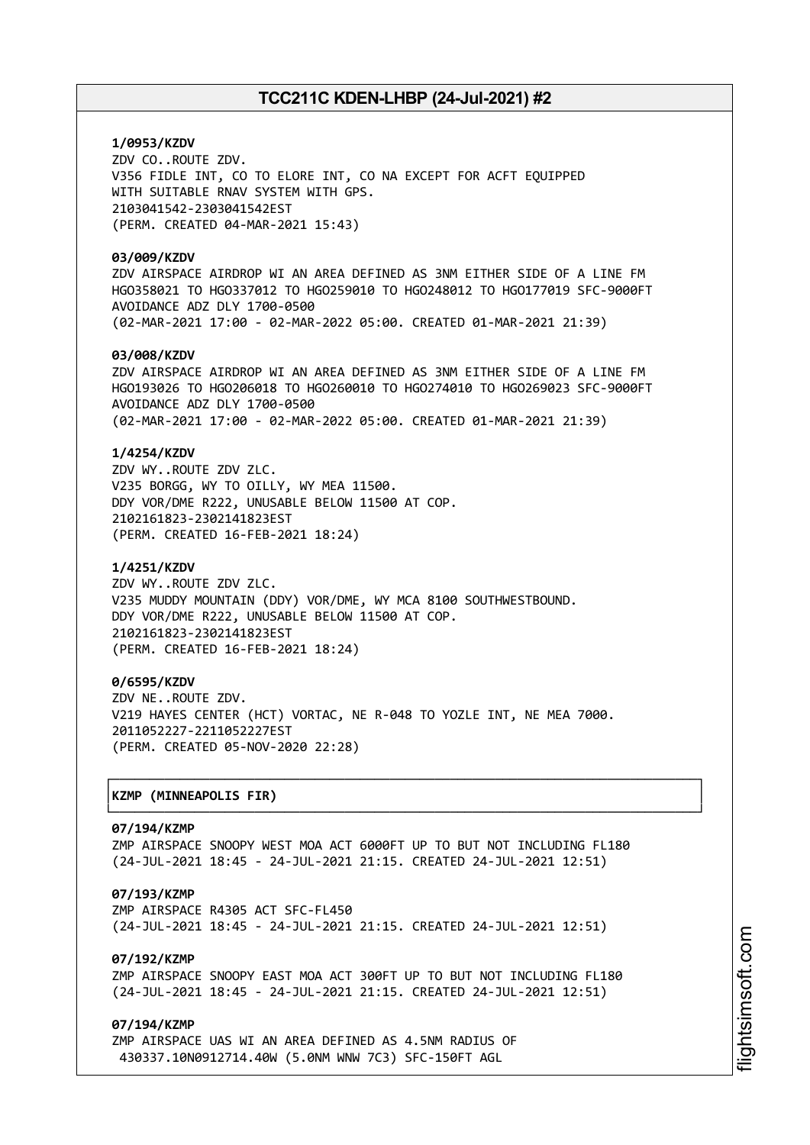## **1/0953/KZDV** ZDV CO..ROUTE ZDV. V356 FIDLE INT, CO TO ELORE INT, CO NA EXCEPT FOR ACFT EQUIPPED WITH SUITABLE RNAV SYSTEM WITH GPS. 2103041542-2303041542EST (PERM. CREATED 04-MAR-2021 15:43)

### **03/009/KZDV**

ZDV AIRSPACE AIRDROP WI AN AREA DEFINED AS 3NM EITHER SIDE OF A LINE FM HGO358021 TO HGO337012 TO HGO259010 TO HGO248012 TO HGO177019 SFC-9000FT AVOIDANCE ADZ DLY 1700-0500 (02-MAR-2021 17:00 - 02-MAR-2022 05:00. CREATED 01-MAR-2021 21:39)

### **03/008/KZDV**

ZDV AIRSPACE AIRDROP WI AN AREA DEFINED AS 3NM EITHER SIDE OF A LINE FM HGO193026 TO HGO206018 TO HGO260010 TO HGO274010 TO HGO269023 SFC-9000FT AVOIDANCE ADZ DLY 1700-0500 (02-MAR-2021 17:00 - 02-MAR-2022 05:00. CREATED 01-MAR-2021 21:39)

### **1/4254/KZDV**

ZDV WY..ROUTE ZDV ZLC. V235 BORGG, WY TO OILLY, WY MEA 11500. DDY VOR/DME R222, UNUSABLE BELOW 11500 AT COP. 2102161823-2302141823EST (PERM. CREATED 16-FEB-2021 18:24)

### **1/4251/KZDV**

ZDV WY..ROUTE ZDV ZLC. V235 MUDDY MOUNTAIN (DDY) VOR/DME, WY MCA 8100 SOUTHWESTBOUND. DDY VOR/DME R222, UNUSABLE BELOW 11500 AT COP. 2102161823-2302141823EST (PERM. CREATED 16-FEB-2021 18:24)

### **0/6595/KZDV**

ZDV NE..ROUTE ZDV. V219 HAYES CENTER (HCT) VORTAC, NE R-048 TO YOZLE INT, NE MEA 7000. 2011052227-2211052227EST (PERM. CREATED 05-NOV-2020 22:28)

### │**KZMP (MINNEAPOLIS FIR)** │

#### **07/194/KZMP**

ZMP AIRSPACE SNOOPY WEST MOA ACT 6000FT UP TO BUT NOT INCLUDING FL180 (24-JUL-2021 18:45 - 24-JUL-2021 21:15. CREATED 24-JUL-2021 12:51)

┌──────────────────────────────────────────────────────────────────────────────┐

└──────────────────────────────────────────────────────────────────────────────┘

### **07/193/KZMP**

ZMP AIRSPACE R4305 ACT SFC-FL450 (24-JUL-2021 18:45 - 24-JUL-2021 21:15. CREATED 24-JUL-2021 12:51)

### **07/192/KZMP**

ZMP AIRSPACE SNOOPY EAST MOA ACT 300FT UP TO BUT NOT INCLUDING FL180 (24-JUL-2021 18:45 - 24-JUL-2021 21:15. CREATED 24-JUL-2021 12:51)

### **07/194/KZMP**

ZMP AIRSPACE UAS WI AN AREA DEFINED AS 4.5NM RADIUS OF 430337.10N0912714.40W (5.0NM WNW 7C3) SFC-150FT AGL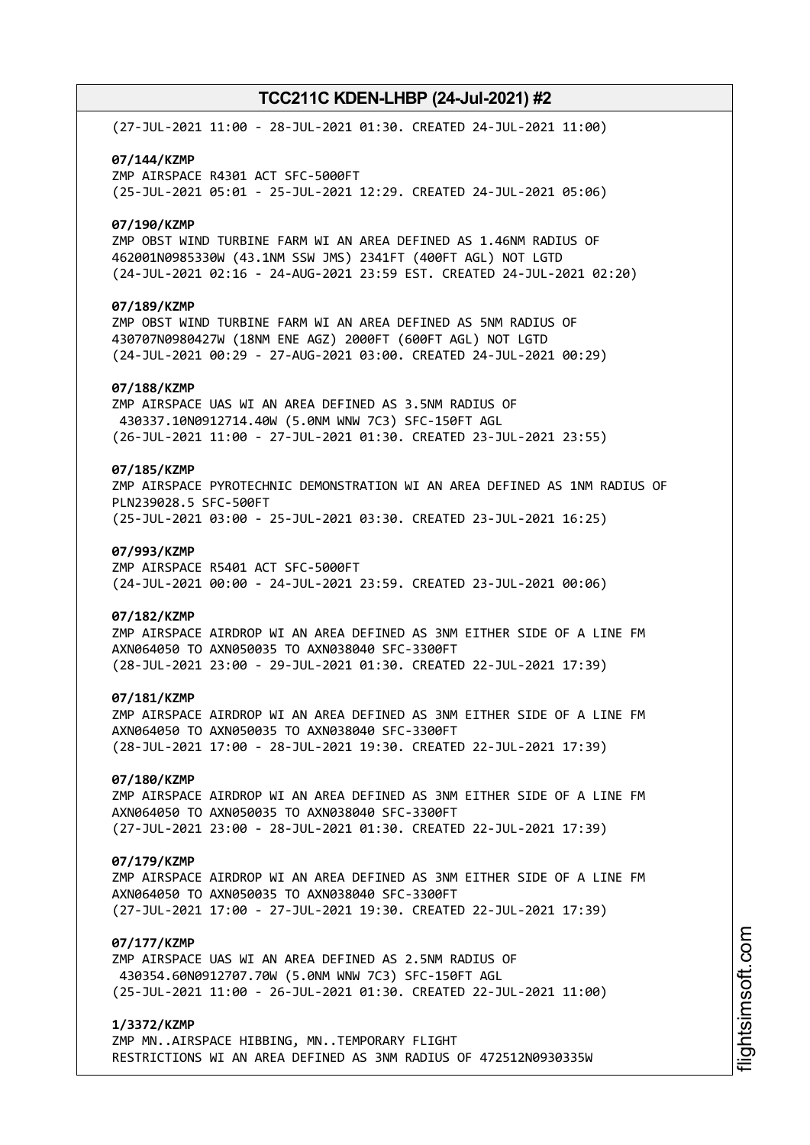(27-JUL-2021 11:00 - 28-JUL-2021 01:30. CREATED 24-JUL-2021 11:00) **07/144/KZMP** ZMP AIRSPACE R4301 ACT SFC-5000FT (25-JUL-2021 05:01 - 25-JUL-2021 12:29. CREATED 24-JUL-2021 05:06) **07/190/KZMP** ZMP OBST WIND TURBINE FARM WI AN AREA DEFINED AS 1.46NM RADIUS OF 462001N0985330W (43.1NM SSW JMS) 2341FT (400FT AGL) NOT LGTD (24-JUL-2021 02:16 - 24-AUG-2021 23:59 EST. CREATED 24-JUL-2021 02:20) **07/189/KZMP** ZMP OBST WIND TURBINE FARM WI AN AREA DEFINED AS 5NM RADIUS OF 430707N0980427W (18NM ENE AGZ) 2000FT (600FT AGL) NOT LGTD (24-JUL-2021 00:29 - 27-AUG-2021 03:00. CREATED 24-JUL-2021 00:29) **07/188/KZMP** ZMP AIRSPACE UAS WI AN AREA DEFINED AS 3.5NM RADIUS OF 430337.10N0912714.40W (5.0NM WNW 7C3) SFC-150FT AGL (26-JUL-2021 11:00 - 27-JUL-2021 01:30. CREATED 23-JUL-2021 23:55) **07/185/KZMP** ZMP AIRSPACE PYROTECHNIC DEMONSTRATION WI AN AREA DEFINED AS 1NM RADIUS OF PLN239028.5 SFC-500FT (25-JUL-2021 03:00 - 25-JUL-2021 03:30. CREATED 23-JUL-2021 16:25) **07/993/KZMP** ZMP AIRSPACE R5401 ACT SFC-5000FT (24-JUL-2021 00:00 - 24-JUL-2021 23:59. CREATED 23-JUL-2021 00:06) **07/182/KZMP** ZMP AIRSPACE AIRDROP WI AN AREA DEFINED AS 3NM EITHER SIDE OF A LINE FM AXN064050 TO AXN050035 TO AXN038040 SFC-3300FT (28-JUL-2021 23:00 - 29-JUL-2021 01:30. CREATED 22-JUL-2021 17:39) **07/181/KZMP** ZMP AIRSPACE AIRDROP WI AN AREA DEFINED AS 3NM EITHER SIDE OF A LINE FM AXN064050 TO AXN050035 TO AXN038040 SFC-3300FT (28-JUL-2021 17:00 - 28-JUL-2021 19:30. CREATED 22-JUL-2021 17:39) **07/180/KZMP** ZMP AIRSPACE AIRDROP WI AN AREA DEFINED AS 3NM EITHER SIDE OF A LINE FM AXN064050 TO AXN050035 TO AXN038040 SFC-3300FT (27-JUL-2021 23:00 - 28-JUL-2021 01:30. CREATED 22-JUL-2021 17:39) **07/179/KZMP** ZMP AIRSPACE AIRDROP WI AN AREA DEFINED AS 3NM EITHER SIDE OF A LINE FM AXN064050 TO AXN050035 TO AXN038040 SFC-3300FT (27-JUL-2021 17:00 - 27-JUL-2021 19:30. CREATED 22-JUL-2021 17:39) **07/177/KZMP** ZMP AIRSPACE UAS WI AN AREA DEFINED AS 2.5NM RADIUS OF 430354.60N0912707.70W (5.0NM WNW 7C3) SFC-150FT AGL (25-JUL-2021 11:00 - 26-JUL-2021 01:30. CREATED 22-JUL-2021 11:00) **1/3372/KZMP**

ZMP MN..AIRSPACE HIBBING, MN..TEMPORARY FLIGHT RESTRICTIONS WI AN AREA DEFINED AS 3NM RADIUS OF 472512N0930335W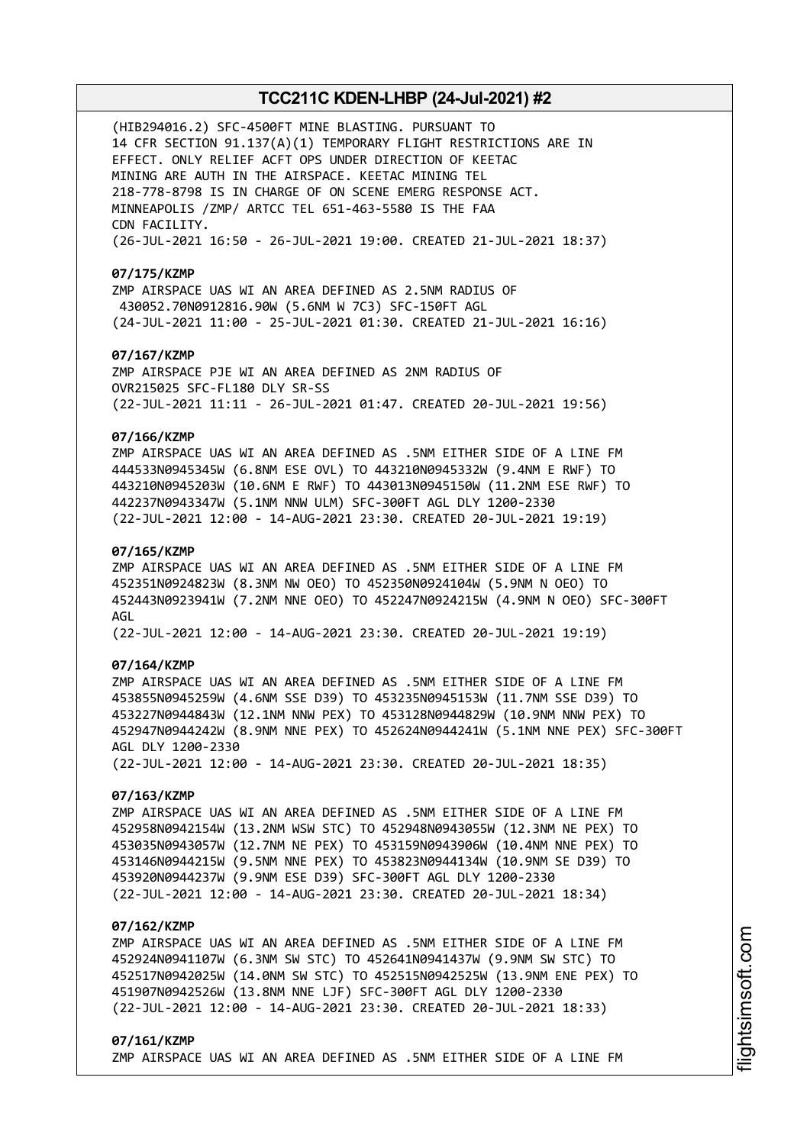(HIB294016.2) SFC-4500FT MINE BLASTING. PURSUANT TO 14 CFR SECTION 91.137(A)(1) TEMPORARY FLIGHT RESTRICTIONS ARE IN EFFECT. ONLY RELIEF ACFT OPS UNDER DIRECTION OF KEETAC MINING ARE AUTH IN THE AIRSPACE. KEETAC MINING TEL 218-778-8798 IS IN CHARGE OF ON SCENE EMERG RESPONSE ACT. MINNEAPOLIS /ZMP/ ARTCC TEL 651-463-5580 IS THE FAA CDN FACILITY. (26-JUL-2021 16:50 - 26-JUL-2021 19:00. CREATED 21-JUL-2021 18:37)

#### **07/175/KZMP**

ZMP AIRSPACE UAS WI AN AREA DEFINED AS 2.5NM RADIUS OF 430052.70N0912816.90W (5.6NM W 7C3) SFC-150FT AGL (24-JUL-2021 11:00 - 25-JUL-2021 01:30. CREATED 21-JUL-2021 16:16)

### **07/167/KZMP**

ZMP AIRSPACE PJE WI AN AREA DEFINED AS 2NM RADIUS OF OVR215025 SFC-FL180 DLY SR-SS (22-JUL-2021 11:11 - 26-JUL-2021 01:47. CREATED 20-JUL-2021 19:56)

### **07/166/KZMP**

ZMP AIRSPACE UAS WI AN AREA DEFINED AS .5NM EITHER SIDE OF A LINE FM 444533N0945345W (6.8NM ESE OVL) TO 443210N0945332W (9.4NM E RWF) TO 443210N0945203W (10.6NM E RWF) TO 443013N0945150W (11.2NM ESE RWF) TO 442237N0943347W (5.1NM NNW ULM) SFC-300FT AGL DLY 1200-2330 (22-JUL-2021 12:00 - 14-AUG-2021 23:30. CREATED 20-JUL-2021 19:19)

### **07/165/KZMP**

ZMP AIRSPACE UAS WI AN AREA DEFINED AS .5NM EITHER SIDE OF A LINE FM 452351N0924823W (8.3NM NW OEO) TO 452350N0924104W (5.9NM N OEO) TO 452443N0923941W (7.2NM NNE OEO) TO 452247N0924215W (4.9NM N OEO) SFC-300FT AGL

(22-JUL-2021 12:00 - 14-AUG-2021 23:30. CREATED 20-JUL-2021 19:19)

#### **07/164/KZMP**

ZMP AIRSPACE UAS WI AN AREA DEFINED AS .5NM EITHER SIDE OF A LINE FM 453855N0945259W (4.6NM SSE D39) TO 453235N0945153W (11.7NM SSE D39) TO 453227N0944843W (12.1NM NNW PEX) TO 453128N0944829W (10.9NM NNW PEX) TO 452947N0944242W (8.9NM NNE PEX) TO 452624N0944241W (5.1NM NNE PEX) SFC-300FT AGL DLY 1200-2330 (22-JUL-2021 12:00 - 14-AUG-2021 23:30. CREATED 20-JUL-2021 18:35)

### **07/163/KZMP**

ZMP AIRSPACE UAS WI AN AREA DEFINED AS .5NM EITHER SIDE OF A LINE FM 452958N0942154W (13.2NM WSW STC) TO 452948N0943055W (12.3NM NE PEX) TO 453035N0943057W (12.7NM NE PEX) TO 453159N0943906W (10.4NM NNE PEX) TO 453146N0944215W (9.5NM NNE PEX) TO 453823N0944134W (10.9NM SE D39) TO 453920N0944237W (9.9NM ESE D39) SFC-300FT AGL DLY 1200-2330 (22-JUL-2021 12:00 - 14-AUG-2021 23:30. CREATED 20-JUL-2021 18:34)

### **07/162/KZMP**

ZMP AIRSPACE UAS WI AN AREA DEFINED AS .5NM EITHER SIDE OF A LINE FM 452924N0941107W (6.3NM SW STC) TO 452641N0941437W (9.9NM SW STC) TO 452517N0942025W (14.0NM SW STC) TO 452515N0942525W (13.9NM ENE PEX) TO 451907N0942526W (13.8NM NNE LJF) SFC-300FT AGL DLY 1200-2330 (22-JUL-2021 12:00 - 14-AUG-2021 23:30. CREATED 20-JUL-2021 18:33)

#### **07/161/KZMP**

ZMP AIRSPACE UAS WI AN AREA DEFINED AS .5NM EITHER SIDE OF A LINE FM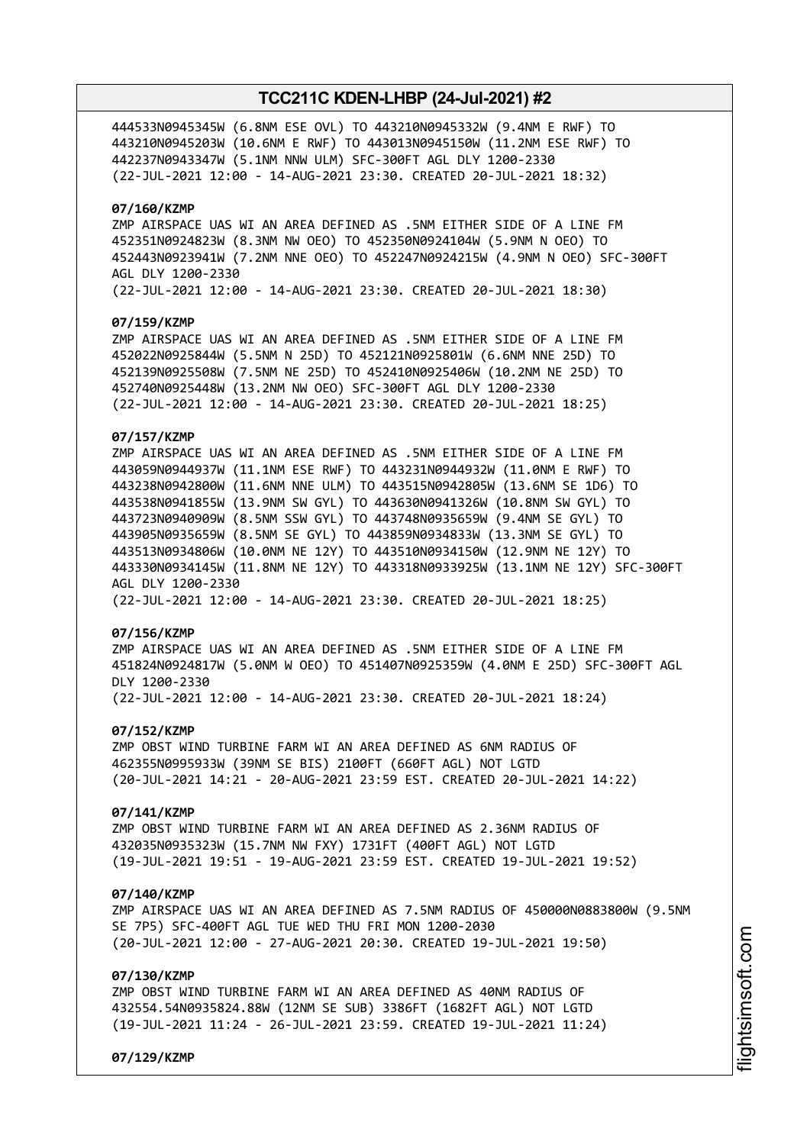444533N0945345W (6.8NM ESE OVL) TO 443210N0945332W (9.4NM E RWF) TO 443210N0945203W (10.6NM E RWF) TO 443013N0945150W (11.2NM ESE RWF) TO 442237N0943347W (5.1NM NNW ULM) SFC-300FT AGL DLY 1200-2330 (22-JUL-2021 12:00 - 14-AUG-2021 23:30. CREATED 20-JUL-2021 18:32)

### **07/160/KZMP**

ZMP AIRSPACE UAS WI AN AREA DEFINED AS .5NM EITHER SIDE OF A LINE FM 452351N0924823W (8.3NM NW OEO) TO 452350N0924104W (5.9NM N OEO) TO 452443N0923941W (7.2NM NNE OEO) TO 452247N0924215W (4.9NM N OEO) SFC-300FT AGL DLY 1200-2330 (22-JUL-2021 12:00 - 14-AUG-2021 23:30. CREATED 20-JUL-2021 18:30)

#### **07/159/KZMP**

ZMP AIRSPACE UAS WI AN AREA DEFINED AS .5NM EITHER SIDE OF A LINE FM 452022N0925844W (5.5NM N 25D) TO 452121N0925801W (6.6NM NNE 25D) TO 452139N0925508W (7.5NM NE 25D) TO 452410N0925406W (10.2NM NE 25D) TO 452740N0925448W (13.2NM NW OEO) SFC-300FT AGL DLY 1200-2330 (22-JUL-2021 12:00 - 14-AUG-2021 23:30. CREATED 20-JUL-2021 18:25)

### **07/157/KZMP**

ZMP AIRSPACE UAS WI AN AREA DEFINED AS .5NM EITHER SIDE OF A LINE FM 443059N0944937W (11.1NM ESE RWF) TO 443231N0944932W (11.0NM E RWF) TO 443238N0942800W (11.6NM NNE ULM) TO 443515N0942805W (13.6NM SE 1D6) TO 443538N0941855W (13.9NM SW GYL) TO 443630N0941326W (10.8NM SW GYL) TO 443723N0940909W (8.5NM SSW GYL) TO 443748N0935659W (9.4NM SE GYL) TO 443905N0935659W (8.5NM SE GYL) TO 443859N0934833W (13.3NM SE GYL) TO 443513N0934806W (10.0NM NE 12Y) TO 443510N0934150W (12.9NM NE 12Y) TO 443330N0934145W (11.8NM NE 12Y) TO 443318N0933925W (13.1NM NE 12Y) SFC-300FT AGL DLY 1200-2330 (22-JUL-2021 12:00 - 14-AUG-2021 23:30. CREATED 20-JUL-2021 18:25)

#### **07/156/KZMP**

ZMP AIRSPACE UAS WI AN AREA DEFINED AS .5NM EITHER SIDE OF A LINE FM 451824N0924817W (5.0NM W OEO) TO 451407N0925359W (4.0NM E 25D) SFC-300FT AGL DLY 1200-2330 (22-JUL-2021 12:00 - 14-AUG-2021 23:30. CREATED 20-JUL-2021 18:24)

#### **07/152/KZMP**

ZMP OBST WIND TURBINE FARM WI AN AREA DEFINED AS 6NM RADIUS OF 462355N0995933W (39NM SE BIS) 2100FT (660FT AGL) NOT LGTD (20-JUL-2021 14:21 - 20-AUG-2021 23:59 EST. CREATED 20-JUL-2021 14:22)

#### **07/141/KZMP**

ZMP OBST WIND TURBINE FARM WI AN AREA DEFINED AS 2.36NM RADIUS OF 432035N0935323W (15.7NM NW FXY) 1731FT (400FT AGL) NOT LGTD (19-JUL-2021 19:51 - 19-AUG-2021 23:59 EST. CREATED 19-JUL-2021 19:52)

#### **07/140/KZMP**

ZMP AIRSPACE UAS WI AN AREA DEFINED AS 7.5NM RADIUS OF 450000N0883800W (9.5NM SE 7P5) SFC-400FT AGL TUE WED THU FRI MON 1200-2030 (20-JUL-2021 12:00 - 27-AUG-2021 20:30. CREATED 19-JUL-2021 19:50)

### **07/130/KZMP**

ZMP OBST WIND TURBINE FARM WI AN AREA DEFINED AS 40NM RADIUS OF 432554.54N0935824.88W (12NM SE SUB) 3386FT (1682FT AGL) NOT LGTD (19-JUL-2021 11:24 - 26-JUL-2021 23:59. CREATED 19-JUL-2021 11:24)

**07/129/KZMP**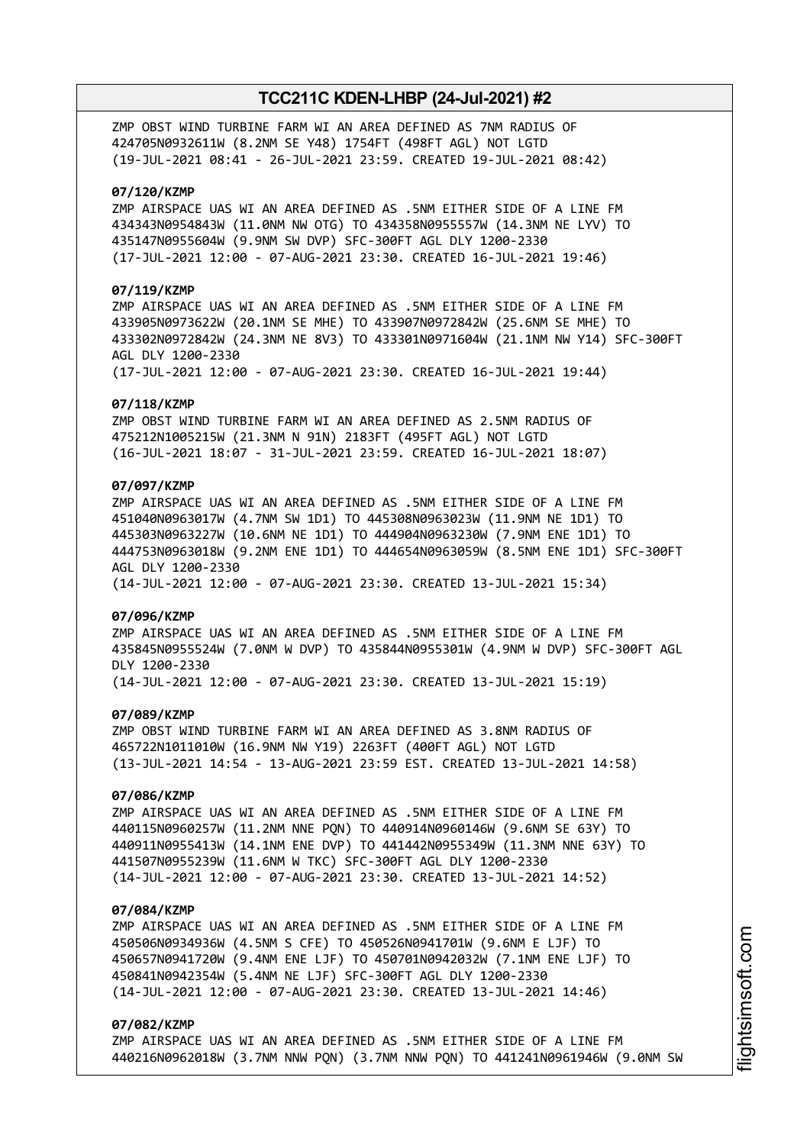ZMP OBST WIND TURBINE FARM WI AN AREA DEFINED AS 7NM RADIUS OF 424705N0932611W (8.2NM SE Y48) 1754FT (498FT AGL) NOT LGTD (19-JUL-2021 08:41 - 26-JUL-2021 23:59. CREATED 19-JUL-2021 08:42)

### **07/120/KZMP**

ZMP AIRSPACE UAS WI AN AREA DEFINED AS .5NM EITHER SIDE OF A LINE FM 434343N0954843W (11.0NM NW OTG) TO 434358N0955557W (14.3NM NE LYV) TO 435147N0955604W (9.9NM SW DVP) SFC-300FT AGL DLY 1200-2330 (17-JUL-2021 12:00 - 07-AUG-2021 23:30. CREATED 16-JUL-2021 19:46)

### **07/119/KZMP**

ZMP AIRSPACE UAS WI AN AREA DEFINED AS .5NM EITHER SIDE OF A LINE FM 433905N0973622W (20.1NM SE MHE) TO 433907N0972842W (25.6NM SE MHE) TO 433302N0972842W (24.3NM NE 8V3) TO 433301N0971604W (21.1NM NW Y14) SFC-300FT AGL DLY 1200-2330

(17-JUL-2021 12:00 - 07-AUG-2021 23:30. CREATED 16-JUL-2021 19:44)

#### **07/118/KZMP**

ZMP OBST WIND TURBINE FARM WI AN AREA DEFINED AS 2.5NM RADIUS OF 475212N1005215W (21.3NM N 91N) 2183FT (495FT AGL) NOT LGTD (16-JUL-2021 18:07 - 31-JUL-2021 23:59. CREATED 16-JUL-2021 18:07)

### **07/097/KZMP**

ZMP AIRSPACE UAS WI AN AREA DEFINED AS .5NM EITHER SIDE OF A LINE FM 451040N0963017W (4.7NM SW 1D1) TO 445308N0963023W (11.9NM NE 1D1) TO 445303N0963227W (10.6NM NE 1D1) TO 444904N0963230W (7.9NM ENE 1D1) TO 444753N0963018W (9.2NM ENE 1D1) TO 444654N0963059W (8.5NM ENE 1D1) SFC-300FT AGL DLY 1200-2330 (14-JUL-2021 12:00 - 07-AUG-2021 23:30. CREATED 13-JUL-2021 15:34)

# **07/096/KZMP**

ZMP AIRSPACE UAS WI AN AREA DEFINED AS .5NM EITHER SIDE OF A LINE FM 435845N0955524W (7.0NM W DVP) TO 435844N0955301W (4.9NM W DVP) SFC-300FT AGL DLY 1200-2330

(14-JUL-2021 12:00 - 07-AUG-2021 23:30. CREATED 13-JUL-2021 15:19)

### **07/089/KZMP**

ZMP OBST WIND TURBINE FARM WI AN AREA DEFINED AS 3.8NM RADIUS OF 465722N1011010W (16.9NM NW Y19) 2263FT (400FT AGL) NOT LGTD (13-JUL-2021 14:54 - 13-AUG-2021 23:59 EST. CREATED 13-JUL-2021 14:58)

### **07/086/KZMP**

ZMP AIRSPACE UAS WI AN AREA DEFINED AS .5NM EITHER SIDE OF A LINE FM 440115N0960257W (11.2NM NNE PQN) TO 440914N0960146W (9.6NM SE 63Y) TO 440911N0955413W (14.1NM ENE DVP) TO 441442N0955349W (11.3NM NNE 63Y) TO 441507N0955239W (11.6NM W TKC) SFC-300FT AGL DLY 1200-2330 (14-JUL-2021 12:00 - 07-AUG-2021 23:30. CREATED 13-JUL-2021 14:52)

#### **07/084/KZMP**

ZMP AIRSPACE UAS WI AN AREA DEFINED AS .5NM EITHER SIDE OF A LINE FM 450506N0934936W (4.5NM S CFE) TO 450526N0941701W (9.6NM E LJF) TO 450657N0941720W (9.4NM ENE LJF) TO 450701N0942032W (7.1NM ENE LJF) TO 450841N0942354W (5.4NM NE LJF) SFC-300FT AGL DLY 1200-2330 (14-JUL-2021 12:00 - 07-AUG-2021 23:30. CREATED 13-JUL-2021 14:46)

#### **07/082/KZMP**

ZMP AIRSPACE UAS WI AN AREA DEFINED AS .5NM EITHER SIDE OF A LINE FM 440216N0962018W (3.7NM NNW PQN) (3.7NM NNW PQN) TO 441241N0961946W (9.0NM SW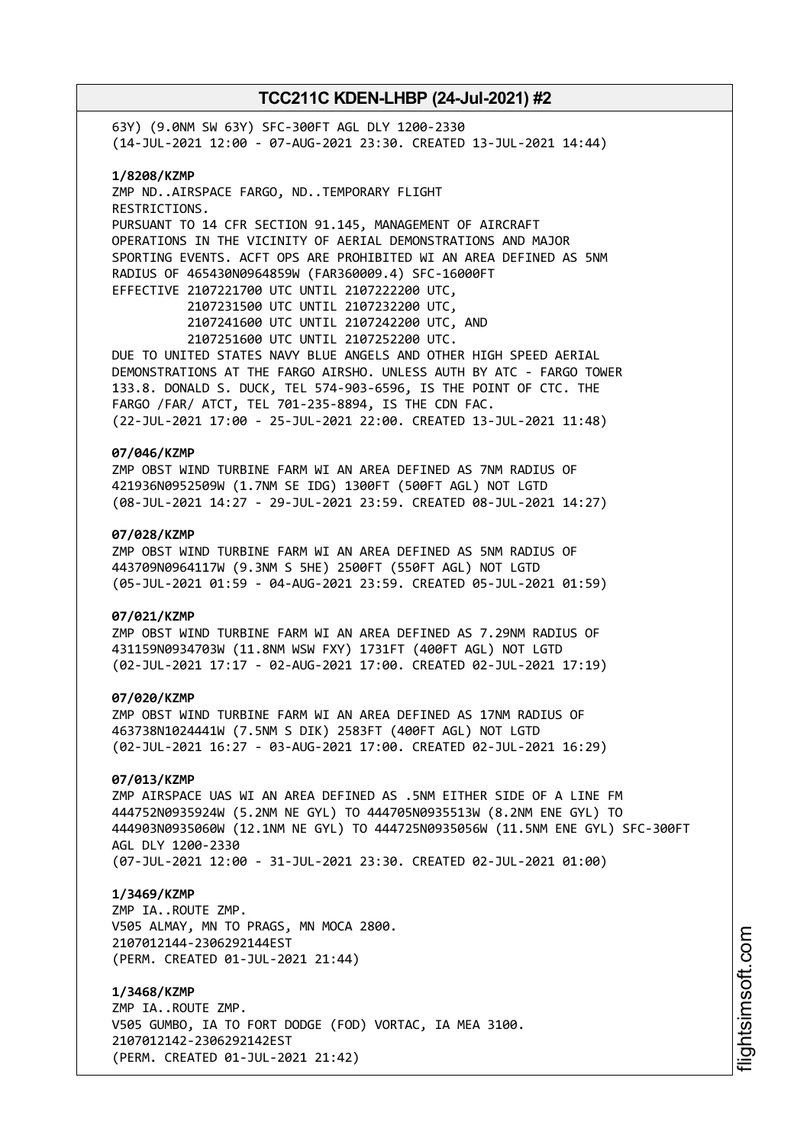63Y) (9.0NM SW 63Y) SFC-300FT AGL DLY 1200-2330 (14-JUL-2021 12:00 - 07-AUG-2021 23:30. CREATED 13-JUL-2021 14:44) **1/8208/KZMP** ZMP ND..AIRSPACE FARGO, ND..TEMPORARY FLIGHT RESTRICTIONS. PURSUANT TO 14 CFR SECTION 91.145, MANAGEMENT OF AIRCRAFT OPERATIONS IN THE VICINITY OF AERIAL DEMONSTRATIONS AND MAJOR SPORTING EVENTS. ACFT OPS ARE PROHIBITED WI AN AREA DEFINED AS 5NM RADIUS OF 465430N0964859W (FAR360009.4) SFC-16000FT EFFECTIVE 2107221700 UTC UNTIL 2107222200 UTC, 2107231500 UTC UNTIL 2107232200 UTC, 2107241600 UTC UNTIL 2107242200 UTC, AND 2107251600 UTC UNTIL 2107252200 UTC. DUE TO UNITED STATES NAVY BLUE ANGELS AND OTHER HIGH SPEED AERIAL DEMONSTRATIONS AT THE FARGO AIRSHO. UNLESS AUTH BY ATC - FARGO TOWER 133.8. DONALD S. DUCK, TEL 574-903-6596, IS THE POINT OF CTC. THE FARGO /FAR/ ATCT, TEL 701-235-8894, IS THE CDN FAC. (22-JUL-2021 17:00 - 25-JUL-2021 22:00. CREATED 13-JUL-2021 11:48) **07/046/KZMP** ZMP OBST WIND TURBINE FARM WI AN AREA DEFINED AS 7NM RADIUS OF 421936N0952509W (1.7NM SE IDG) 1300FT (500FT AGL) NOT LGTD (08-JUL-2021 14:27 - 29-JUL-2021 23:59. CREATED 08-JUL-2021 14:27) **07/028/KZMP** ZMP OBST WIND TURBINE FARM WI AN AREA DEFINED AS 5NM RADIUS OF 443709N0964117W (9.3NM S 5HE) 2500FT (550FT AGL) NOT LGTD (05-JUL-2021 01:59 - 04-AUG-2021 23:59. CREATED 05-JUL-2021 01:59) **07/021/KZMP** ZMP OBST WIND TURBINE FARM WI AN AREA DEFINED AS 7.29NM RADIUS OF 431159N0934703W (11.8NM WSW FXY) 1731FT (400FT AGL) NOT LGTD (02-JUL-2021 17:17 - 02-AUG-2021 17:00. CREATED 02-JUL-2021 17:19) **07/020/KZMP** ZMP OBST WIND TURBINE FARM WI AN AREA DEFINED AS 17NM RADIUS OF 463738N1024441W (7.5NM S DIK) 2583FT (400FT AGL) NOT LGTD (02-JUL-2021 16:27 - 03-AUG-2021 17:00. CREATED 02-JUL-2021 16:29) **07/013/KZMP** ZMP AIRSPACE UAS WI AN AREA DEFINED AS .5NM EITHER SIDE OF A LINE FM 444752N0935924W (5.2NM NE GYL) TO 444705N0935513W (8.2NM ENE GYL) TO 444903N0935060W (12.1NM NE GYL) TO 444725N0935056W (11.5NM ENE GYL) SFC-300FT AGL DLY 1200-2330 (07-JUL-2021 12:00 - 31-JUL-2021 23:30. CREATED 02-JUL-2021 01:00) **1/3469/KZMP** ZMP IA..ROUTE ZMP. V505 ALMAY, MN TO PRAGS, MN MOCA 2800. 2107012144-2306292144EST (PERM. CREATED 01-JUL-2021 21:44) **1/3468/KZMP** ZMP IA..ROUTE ZMP. V505 GUMBO, IA TO FORT DODGE (FOD) VORTAC, IA MEA 3100. 2107012142-2306292142EST

(PERM. CREATED 01-JUL-2021 21:42)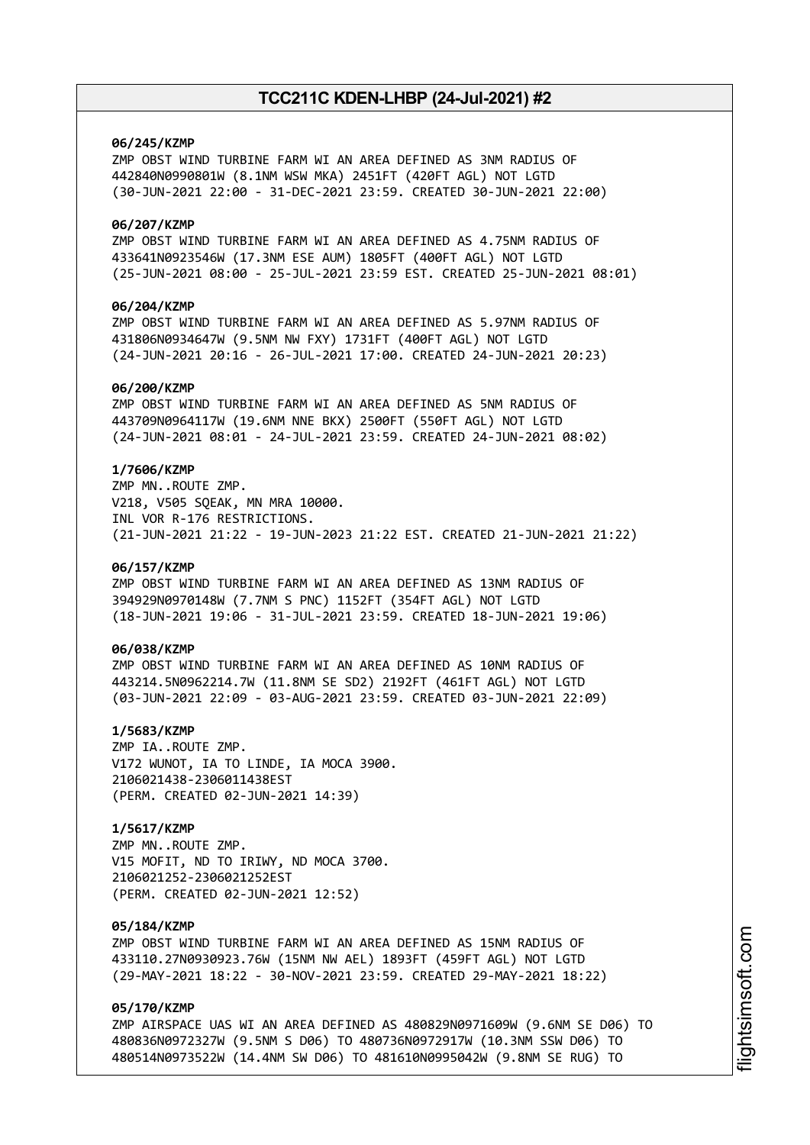### **06/245/KZMP**

ZMP OBST WIND TURBINE FARM WI AN AREA DEFINED AS 3NM RADIUS OF 442840N0990801W (8.1NM WSW MKA) 2451FT (420FT AGL) NOT LGTD (30-JUN-2021 22:00 - 31-DEC-2021 23:59. CREATED 30-JUN-2021 22:00)

### **06/207/KZMP**

ZMP OBST WIND TURBINE FARM WI AN AREA DEFINED AS 4.75NM RADIUS OF 433641N0923546W (17.3NM ESE AUM) 1805FT (400FT AGL) NOT LGTD (25-JUN-2021 08:00 - 25-JUL-2021 23:59 EST. CREATED 25-JUN-2021 08:01)

### **06/204/KZMP**

ZMP OBST WIND TURBINE FARM WI AN AREA DEFINED AS 5.97NM RADIUS OF 431806N0934647W (9.5NM NW FXY) 1731FT (400FT AGL) NOT LGTD (24-JUN-2021 20:16 - 26-JUL-2021 17:00. CREATED 24-JUN-2021 20:23)

### **06/200/KZMP**

ZMP OBST WIND TURBINE FARM WI AN AREA DEFINED AS 5NM RADIUS OF 443709N0964117W (19.6NM NNE BKX) 2500FT (550FT AGL) NOT LGTD (24-JUN-2021 08:01 - 24-JUL-2021 23:59. CREATED 24-JUN-2021 08:02)

### **1/7606/KZMP**

ZMP MN..ROUTE ZMP. V218, V505 SQEAK, MN MRA 10000. INL VOR R-176 RESTRICTIONS. (21-JUN-2021 21:22 - 19-JUN-2023 21:22 EST. CREATED 21-JUN-2021 21:22)

#### **06/157/KZMP**

ZMP OBST WIND TURBINE FARM WI AN AREA DEFINED AS 13NM RADIUS OF 394929N0970148W (7.7NM S PNC) 1152FT (354FT AGL) NOT LGTD (18-JUN-2021 19:06 - 31-JUL-2021 23:59. CREATED 18-JUN-2021 19:06)

### **06/038/KZMP**

ZMP OBST WIND TURBINE FARM WI AN AREA DEFINED AS 10NM RADIUS OF 443214.5N0962214.7W (11.8NM SE SD2) 2192FT (461FT AGL) NOT LGTD (03-JUN-2021 22:09 - 03-AUG-2021 23:59. CREATED 03-JUN-2021 22:09)

### **1/5683/KZMP**

ZMP IA..ROUTE ZMP. V172 WUNOT, IA TO LINDE, IA MOCA 3900. 2106021438-2306011438EST (PERM. CREATED 02-JUN-2021 14:39)

## **1/5617/KZMP**

ZMP MN..ROUTE ZMP. V15 MOFIT, ND TO IRIWY, ND MOCA 3700. 2106021252-2306021252EST (PERM. CREATED 02-JUN-2021 12:52)

#### **05/184/KZMP**

ZMP OBST WIND TURBINE FARM WI AN AREA DEFINED AS 15NM RADIUS OF 433110.27N0930923.76W (15NM NW AEL) 1893FT (459FT AGL) NOT LGTD (29-MAY-2021 18:22 - 30-NOV-2021 23:59. CREATED 29-MAY-2021 18:22)

### **05/170/KZMP**

ZMP AIRSPACE UAS WI AN AREA DEFINED AS 480829N0971609W (9.6NM SE D06) TO 480836N0972327W (9.5NM S D06) TO 480736N0972917W (10.3NM SSW D06) TO 480514N0973522W (14.4NM SW D06) TO 481610N0995042W (9.8NM SE RUG) TO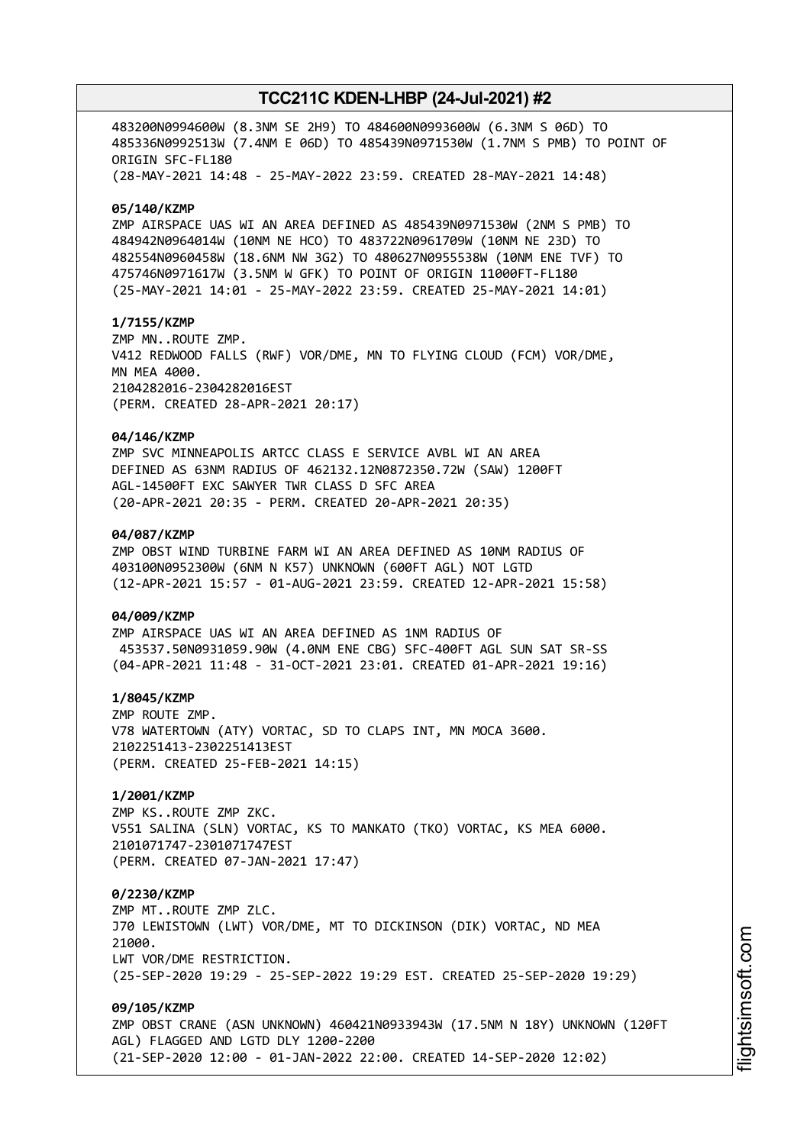483200N0994600W (8.3NM SE 2H9) TO 484600N0993600W (6.3NM S 06D) TO 485336N0992513W (7.4NM E 06D) TO 485439N0971530W (1.7NM S PMB) TO POINT OF ORIGIN SFC-FL180 (28-MAY-2021 14:48 - 25-MAY-2022 23:59. CREATED 28-MAY-2021 14:48) **05/140/KZMP** ZMP AIRSPACE UAS WI AN AREA DEFINED AS 485439N0971530W (2NM S PMB) TO 484942N0964014W (10NM NE HCO) TO 483722N0961709W (10NM NE 23D) TO 482554N0960458W (18.6NM NW 3G2) TO 480627N0955538W (10NM ENE TVF) TO 475746N0971617W (3.5NM W GFK) TO POINT OF ORIGIN 11000FT-FL180 (25-MAY-2021 14:01 - 25-MAY-2022 23:59. CREATED 25-MAY-2021 14:01) **1/7155/KZMP** ZMP MN..ROUTE ZMP. V412 REDWOOD FALLS (RWF) VOR/DME, MN TO FLYING CLOUD (FCM) VOR/DME, MN MEA 4000. 2104282016-2304282016EST (PERM. CREATED 28-APR-2021 20:17) **04/146/KZMP** ZMP SVC MINNEAPOLIS ARTCC CLASS E SERVICE AVBL WI AN AREA DEFINED AS 63NM RADIUS OF 462132.12N0872350.72W (SAW) 1200FT AGL-14500FT EXC SAWYER TWR CLASS D SFC AREA (20-APR-2021 20:35 - PERM. CREATED 20-APR-2021 20:35) **04/087/KZMP** ZMP OBST WIND TURBINE FARM WI AN AREA DEFINED AS 10NM RADIUS OF 403100N0952300W (6NM N K57) UNKNOWN (600FT AGL) NOT LGTD (12-APR-2021 15:57 - 01-AUG-2021 23:59. CREATED 12-APR-2021 15:58) **04/009/KZMP** ZMP AIRSPACE UAS WI AN AREA DEFINED AS 1NM RADIUS OF 453537.50N0931059.90W (4.0NM ENE CBG) SFC-400FT AGL SUN SAT SR-SS (04-APR-2021 11:48 - 31-OCT-2021 23:01. CREATED 01-APR-2021 19:16) **1/8045/KZMP** ZMP ROUTE ZMP. V78 WATERTOWN (ATY) VORTAC, SD TO CLAPS INT, MN MOCA 3600. 2102251413-2302251413EST (PERM. CREATED 25-FEB-2021 14:15) **1/2001/KZMP** ZMP KS..ROUTE ZMP ZKC. V551 SALINA (SLN) VORTAC, KS TO MANKATO (TKO) VORTAC, KS MEA 6000. 2101071747-2301071747EST (PERM. CREATED 07-JAN-2021 17:47) **0/2230/KZMP** ZMP MT..ROUTE ZMP ZLC. J70 LEWISTOWN (LWT) VOR/DME, MT TO DICKINSON (DIK) VORTAC, ND MEA 21000 LWT VOR/DME RESTRICTION. (25-SEP-2020 19:29 - 25-SEP-2022 19:29 EST. CREATED 25-SEP-2020 19:29) **09/105/KZMP** ZMP OBST CRANE (ASN UNKNOWN) 460421N0933943W (17.5NM N 18Y) UNKNOWN (120FT AGL) FLAGGED AND LGTD DLY 1200-2200 (21-SEP-2020 12:00 - 01-JAN-2022 22:00. CREATED 14-SEP-2020 12:02)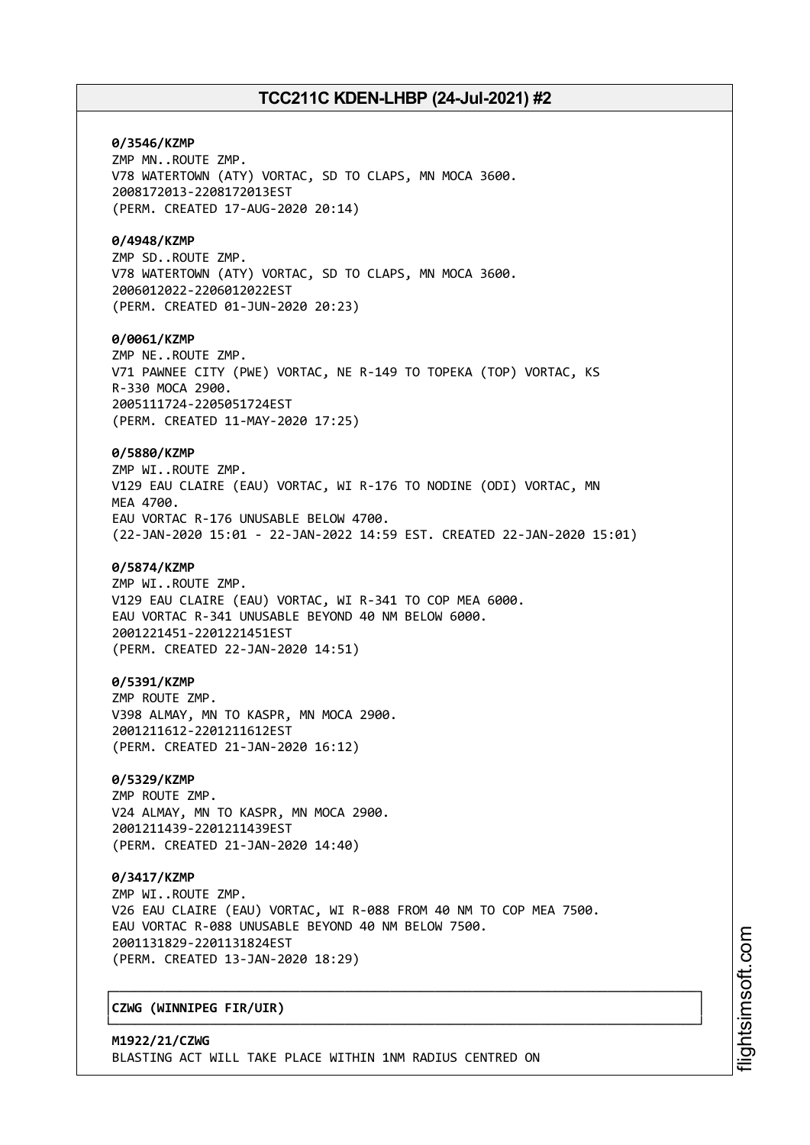**0/3546/KZMP** ZMP MN..ROUTE ZMP. V78 WATERTOWN (ATY) VORTAC, SD TO CLAPS, MN MOCA 3600. 2008172013-2208172013EST (PERM. CREATED 17-AUG-2020 20:14)

### **0/4948/KZMP**

ZMP SD..ROUTE ZMP. V78 WATERTOWN (ATY) VORTAC, SD TO CLAPS, MN MOCA 3600. 2006012022-2206012022EST (PERM. CREATED 01-JUN-2020 20:23)

#### **0/0061/KZMP**

ZMP NE..ROUTE ZMP. V71 PAWNEE CITY (PWE) VORTAC, NE R-149 TO TOPEKA (TOP) VORTAC, KS R-330 MOCA 2900. 2005111724-2205051724EST (PERM. CREATED 11-MAY-2020 17:25)

### **0/5880/KZMP**

ZMP WI..ROUTE ZMP. V129 EAU CLAIRE (EAU) VORTAC, WI R-176 TO NODINE (ODI) VORTAC, MN **MFA 4700.** EAU VORTAC R-176 UNUSABLE BELOW 4700. (22-JAN-2020 15:01 - 22-JAN-2022 14:59 EST. CREATED 22-JAN-2020 15:01)

### **0/5874/KZMP**

ZMP WI..ROUTE ZMP. V129 EAU CLAIRE (EAU) VORTAC, WI R-341 TO COP MEA 6000. EAU VORTAC R-341 UNUSABLE BEYOND 40 NM BELOW 6000. 2001221451-2201221451EST (PERM. CREATED 22-JAN-2020 14:51)

### **0/5391/KZMP**

ZMP ROUTE ZMP. V398 ALMAY, MN TO KASPR, MN MOCA 2900. 2001211612-2201211612EST (PERM. CREATED 21-JAN-2020 16:12)

## **0/5329/KZMP**

ZMP ROUTE ZMP. V24 ALMAY, MN TO KASPR, MN MOCA 2900. 2001211439-2201211439EST (PERM. CREATED 21-JAN-2020 14:40)

#### **0/3417/KZMP**

ZMP WI..ROUTE ZMP. V26 EAU CLAIRE (EAU) VORTAC, WI R-088 FROM 40 NM TO COP MEA 7500. EAU VORTAC R-088 UNUSABLE BEYOND 40 NM BELOW 7500. 2001131829-2201131824EST (PERM. CREATED 13-JAN-2020 18:29)

┌──────────────────────────────────────────────────────────────────────────────┐

└──────────────────────────────────────────────────────────────────────────────┘

# │**CZWG (WINNIPEG FIR/UIR)** │

**M1922/21/CZWG** BLASTING ACT WILL TAKE PLACE WITHIN 1NM RADIUS CENTRED ON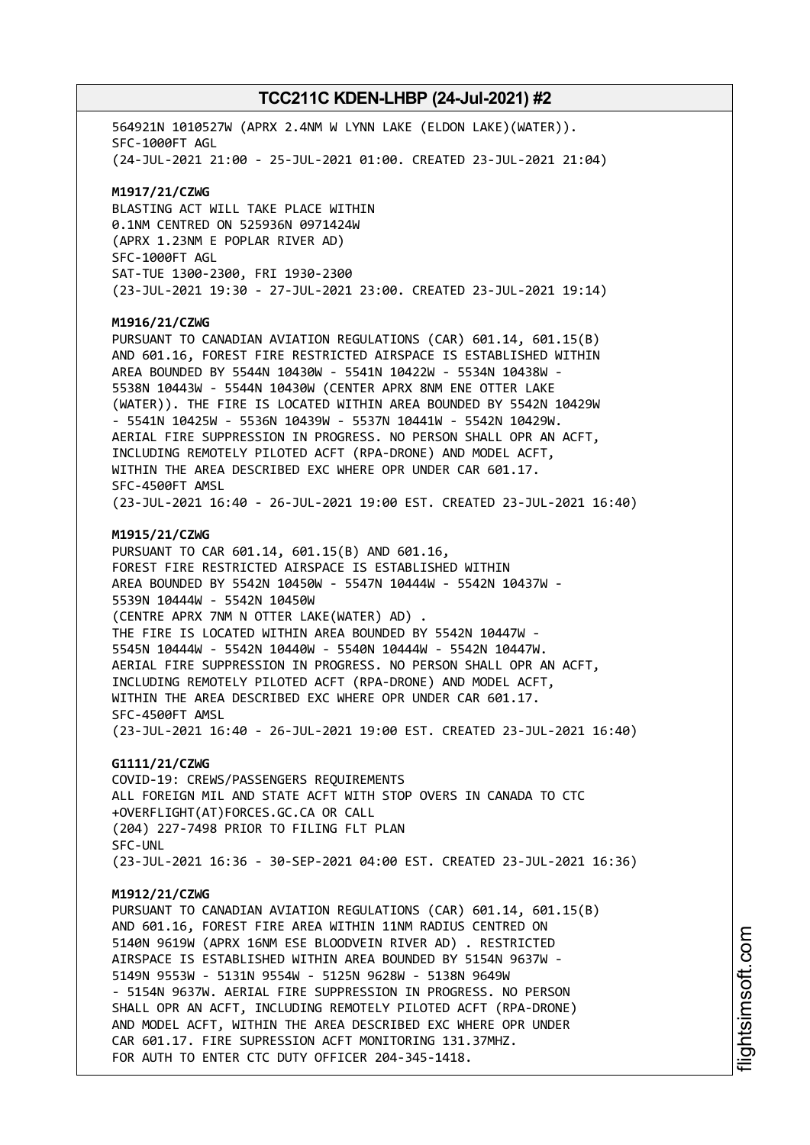564921N 1010527W (APRX 2.4NM W LYNN LAKE (ELDON LAKE)(WATER)). SFC-1000FT AGL (24-JUL-2021 21:00 - 25-JUL-2021 01:00. CREATED 23-JUL-2021 21:04) **M1917/21/CZWG** BLASTING ACT WILL TAKE PLACE WITHIN 0.1NM CENTRED ON 525936N 0971424W (APRX 1.23NM E POPLAR RIVER AD) SFC-1000FT AGL SAT-TUE 1300-2300, FRI 1930-2300 (23-JUL-2021 19:30 - 27-JUL-2021 23:00. CREATED 23-JUL-2021 19:14) **M1916/21/CZWG** PURSUANT TO CANADIAN AVIATION REGULATIONS (CAR) 601.14, 601.15(B) AND 601.16, FOREST FIRE RESTRICTED AIRSPACE IS ESTABLISHED WITHIN AREA BOUNDED BY 5544N 10430W - 5541N 10422W - 5534N 10438W - 5538N 10443W - 5544N 10430W (CENTER APRX 8NM ENE OTTER LAKE (WATER)). THE FIRE IS LOCATED WITHIN AREA BOUNDED BY 5542N 10429W - 5541N 10425W - 5536N 10439W - 5537N 10441W - 5542N 10429W. AERIAL FIRE SUPPRESSION IN PROGRESS. NO PERSON SHALL OPR AN ACFT, INCLUDING REMOTELY PILOTED ACFT (RPA-DRONE) AND MODEL ACFT, WITHIN THE AREA DESCRIBED EXC WHERE OPR UNDER CAR 601.17. SFC-4500FT AMSL (23-JUL-2021 16:40 - 26-JUL-2021 19:00 EST. CREATED 23-JUL-2021 16:40) **M1915/21/CZWG** PURSUANT TO CAR 601.14, 601.15(B) AND 601.16, FOREST FIRE RESTRICTED AIRSPACE IS ESTABLISHED WITHIN AREA BOUNDED BY 5542N 10450W - 5547N 10444W - 5542N 10437W - 5539N 10444W - 5542N 10450W (CENTRE APRX 7NM N OTTER LAKE(WATER) AD) . THE FIRE IS LOCATED WITHIN AREA BOUNDED BY 5542N 10447W - 5545N 10444W - 5542N 10440W - 5540N 10444W - 5542N 10447W. AERIAL FIRE SUPPRESSION IN PROGRESS. NO PERSON SHALL OPR AN ACFT, INCLUDING REMOTELY PILOTED ACFT (RPA-DRONE) AND MODEL ACFT, WITHIN THE AREA DESCRIBED EXC WHERE OPR UNDER CAR 601.17. SFC-4500FT AMSL (23-JUL-2021 16:40 - 26-JUL-2021 19:00 EST. CREATED 23-JUL-2021 16:40) **G1111/21/CZWG** COVID-19: CREWS/PASSENGERS REQUIREMENTS ALL FOREIGN MIL AND STATE ACFT WITH STOP OVERS IN CANADA TO CTC +OVERFLIGHT(AT)FORCES.GC.CA OR CALL (204) 227-7498 PRIOR TO FILING FLT PLAN SFC-UNL (23-JUL-2021 16:36 - 30-SEP-2021 04:00 EST. CREATED 23-JUL-2021 16:36) **M1912/21/CZWG** PURSUANT TO CANADIAN AVIATION REGULATIONS (CAR) 601.14, 601.15(B) AND 601.16, FOREST FIRE AREA WITHIN 11NM RADIUS CENTRED ON 5140N 9619W (APRX 16NM ESE BLOODVEIN RIVER AD) . RESTRICTED AIRSPACE IS ESTABLISHED WITHIN AREA BOUNDED BY 5154N 9637W - 5149N 9553W - 5131N 9554W - 5125N 9628W - 5138N 9649W - 5154N 9637W. AERIAL FIRE SUPPRESSION IN PROGRESS. NO PERSON SHALL OPR AN ACFT, INCLUDING REMOTELY PILOTED ACFT (RPA-DRONE) AND MODEL ACFT, WITHIN THE AREA DESCRIBED EXC WHERE OPR UNDER CAR 601.17. FIRE SUPRESSION ACFT MONITORING 131.37MHZ. FOR AUTH TO ENTER CTC DUTY OFFICER 204-345-1418.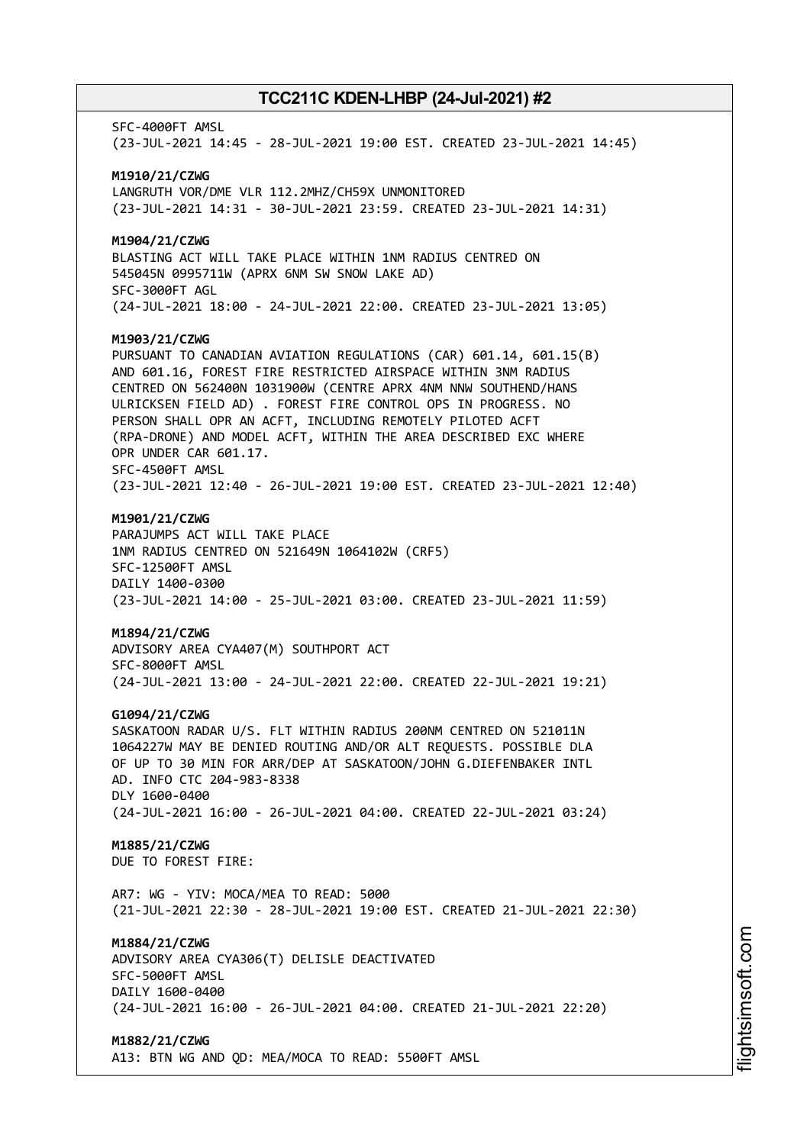SFC-4000FT AMSL (23-JUL-2021 14:45 - 28-JUL-2021 19:00 EST. CREATED 23-JUL-2021 14:45) **M1910/21/CZWG** LANGRUTH VOR/DME VLR 112.2MHZ/CH59X UNMONITORED (23-JUL-2021 14:31 - 30-JUL-2021 23:59. CREATED 23-JUL-2021 14:31) **M1904/21/CZWG** BLASTING ACT WILL TAKE PLACE WITHIN 1NM RADIUS CENTRED ON 545045N 0995711W (APRX 6NM SW SNOW LAKE AD) SFC-3000FT AGL (24-JUL-2021 18:00 - 24-JUL-2021 22:00. CREATED 23-JUL-2021 13:05) **M1903/21/CZWG** PURSUANT TO CANADIAN AVIATION REGULATIONS (CAR) 601.14, 601.15(B) AND 601.16, FOREST FIRE RESTRICTED AIRSPACE WITHIN 3NM RADIUS CENTRED ON 562400N 1031900W (CENTRE APRX 4NM NNW SOUTHEND/HANS ULRICKSEN FIELD AD) . FOREST FIRE CONTROL OPS IN PROGRESS. NO PERSON SHALL OPR AN ACFT, INCLUDING REMOTELY PILOTED ACFT (RPA-DRONE) AND MODEL ACFT, WITHIN THE AREA DESCRIBED EXC WHERE OPR UNDER CAR 601.17. SFC-4500FT AMSL (23-JUL-2021 12:40 - 26-JUL-2021 19:00 EST. CREATED 23-JUL-2021 12:40) **M1901/21/CZWG** PARAJUMPS ACT WILL TAKE PLACE 1NM RADIUS CENTRED ON 521649N 1064102W (CRF5) SFC-12500FT AMSL DAILY 1400-0300 (23-JUL-2021 14:00 - 25-JUL-2021 03:00. CREATED 23-JUL-2021 11:59) **M1894/21/CZWG** ADVISORY AREA CYA407(M) SOUTHPORT ACT SFC-8000FT AMSL (24-JUL-2021 13:00 - 24-JUL-2021 22:00. CREATED 22-JUL-2021 19:21) **G1094/21/CZWG** SASKATOON RADAR U/S. FLT WITHIN RADIUS 200NM CENTRED ON 521011N 1064227W MAY BE DENIED ROUTING AND/OR ALT REQUESTS. POSSIBLE DLA OF UP TO 30 MIN FOR ARR/DEP AT SASKATOON/JOHN G.DIEFENBAKER INTL AD. INFO CTC 204-983-8338 DLY 1600-0400 (24-JUL-2021 16:00 - 26-JUL-2021 04:00. CREATED 22-JUL-2021 03:24) **M1885/21/CZWG** DUE TO FOREST FIRE: AR7: WG - YIV: MOCA/MEA TO READ: 5000 (21-JUL-2021 22:30 - 28-JUL-2021 19:00 EST. CREATED 21-JUL-2021 22:30) **M1884/21/CZWG** ADVISORY AREA CYA306(T) DELISLE DEACTIVATED SFC-5000FT AMSL DAILY 1600-0400 (24-JUL-2021 16:00 - 26-JUL-2021 04:00. CREATED 21-JUL-2021 22:20) **M1882/21/CZWG** A13: BTN WG AND QD: MEA/MOCA TO READ: 5500FT AMSL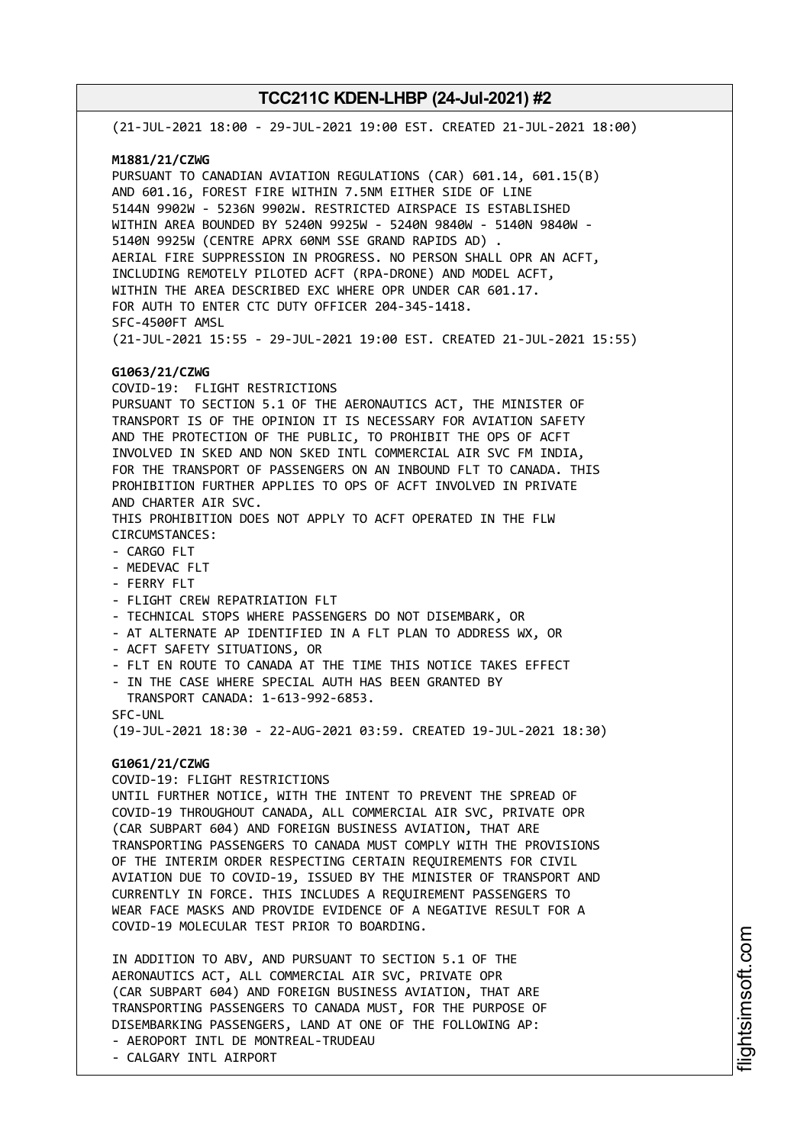(21-JUL-2021 18:00 - 29-JUL-2021 19:00 EST. CREATED 21-JUL-2021 18:00) **M1881/21/CZWG** PURSUANT TO CANADIAN AVIATION REGULATIONS (CAR) 601.14, 601.15(B) AND 601.16, FOREST FIRE WITHIN 7.5NM EITHER SIDE OF LINE 5144N 9902W - 5236N 9902W. RESTRICTED AIRSPACE IS ESTABLISHED WITHIN AREA BOUNDED BY 5240N 9925W - 5240N 9840W - 5140N 9840W - 5140N 9925W (CENTRE APRX 60NM SSE GRAND RAPIDS AD) . AERIAL FIRE SUPPRESSION IN PROGRESS. NO PERSON SHALL OPR AN ACFT, INCLUDING REMOTELY PILOTED ACFT (RPA-DRONE) AND MODEL ACFT, WITHIN THE AREA DESCRIBED EXC WHERE OPR UNDER CAR 601.17. FOR AUTH TO ENTER CTC DUTY OFFICER 204-345-1418. SFC-4500FT AMSL (21-JUL-2021 15:55 - 29-JUL-2021 19:00 EST. CREATED 21-JUL-2021 15:55) **G1063/21/CZWG** COVID-19: FLIGHT RESTRICTIONS PURSUANT TO SECTION 5.1 OF THE AERONAUTICS ACT, THE MINISTER OF TRANSPORT IS OF THE OPINION IT IS NECESSARY FOR AVIATION SAFETY AND THE PROTECTION OF THE PUBLIC, TO PROHIBIT THE OPS OF ACFT INVOLVED IN SKED AND NON SKED INTL COMMERCIAL AIR SVC FM INDIA, FOR THE TRANSPORT OF PASSENGERS ON AN INBOUND FLT TO CANADA. THIS PROHIBITION FURTHER APPLIES TO OPS OF ACFT INVOLVED IN PRIVATE AND CHARTER AIR SVC. THIS PROHIBITION DOES NOT APPLY TO ACFT OPERATED IN THE FLW CIRCUMSTANCES: - CARGO FLT - MEDEVAC FLT - FERRY FLT - FLIGHT CREW REPATRIATION FLT - TECHNICAL STOPS WHERE PASSENGERS DO NOT DISEMBARK, OR - AT ALTERNATE AP IDENTIFIED IN A FLT PLAN TO ADDRESS WX, OR - ACFT SAFETY SITUATIONS, OR - FLT EN ROUTE TO CANADA AT THE TIME THIS NOTICE TAKES EFFECT - IN THE CASE WHERE SPECIAL AUTH HAS BEEN GRANTED BY TRANSPORT CANADA: 1-613-992-6853. SFC-UNL (19-JUL-2021 18:30 - 22-AUG-2021 03:59. CREATED 19-JUL-2021 18:30) **G1061/21/CZWG** COVID-19: FLIGHT RESTRICTIONS UNTIL FURTHER NOTICE, WITH THE INTENT TO PREVENT THE SPREAD OF COVID-19 THROUGHOUT CANADA, ALL COMMERCIAL AIR SVC, PRIVATE OPR (CAR SUBPART 604) AND FOREIGN BUSINESS AVIATION, THAT ARE TRANSPORTING PASSENGERS TO CANADA MUST COMPLY WITH THE PROVISIONS OF THE INTERIM ORDER RESPECTING CERTAIN REQUIREMENTS FOR CIVIL AVIATION DUE TO COVID-19, ISSUED BY THE MINISTER OF TRANSPORT AND CURRENTLY IN FORCE. THIS INCLUDES A REQUIREMENT PASSENGERS TO WEAR FACE MASKS AND PROVIDE EVIDENCE OF A NEGATIVE RESULT FOR A COVID-19 MOLECULAR TEST PRIOR TO BOARDING. IN ADDITION TO ABV, AND PURSUANT TO SECTION 5.1 OF THE AERONAUTICS ACT, ALL COMMERCIAL AIR SVC, PRIVATE OPR

(CAR SUBPART 604) AND FOREIGN BUSINESS AVIATION, THAT ARE TRANSPORTING PASSENGERS TO CANADA MUST, FOR THE PURPOSE OF DISEMBARKING PASSENGERS, LAND AT ONE OF THE FOLLOWING AP: - AEROPORT INTL DE MONTREAL-TRUDEAU

- CALGARY INTL AIRPORT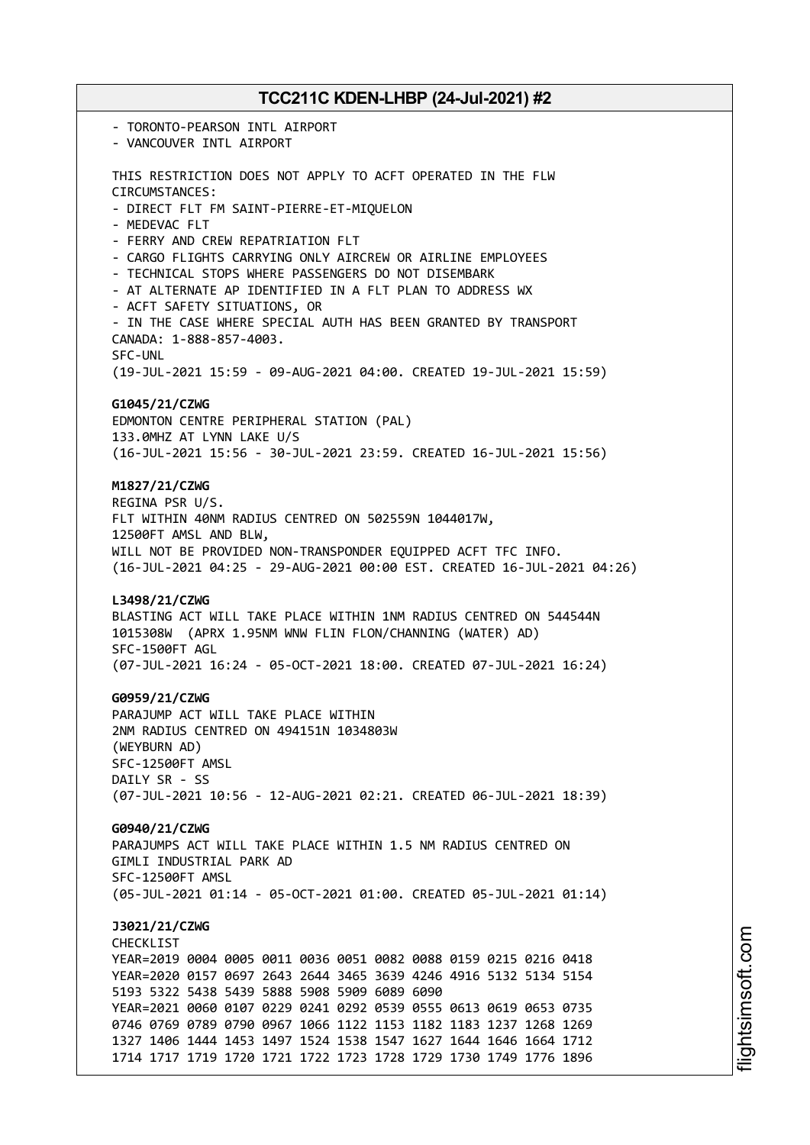- TORONTO-PEARSON INTL AIRPORT - VANCOUVER INTL AIRPORT THIS RESTRICTION DOES NOT APPLY TO ACFT OPERATED IN THE FLW CIRCUMSTANCES: - DIRECT FLT FM SAINT-PIERRE-ET-MIQUELON - MEDEVAC FLT - FERRY AND CREW REPATRIATION FLT - CARGO FLIGHTS CARRYING ONLY AIRCREW OR AIRLINE EMPLOYEES - TECHNICAL STOPS WHERE PASSENGERS DO NOT DISEMBARK - AT ALTERNATE AP IDENTIFIED IN A FLT PLAN TO ADDRESS WX - ACFT SAFETY SITUATIONS, OR - IN THE CASE WHERE SPECIAL AUTH HAS BEEN GRANTED BY TRANSPORT CANADA: 1-888-857-4003. SFC-UNL (19-JUL-2021 15:59 - 09-AUG-2021 04:00. CREATED 19-JUL-2021 15:59) **G1045/21/CZWG** EDMONTON CENTRE PERIPHERAL STATION (PAL) 133.0MHZ AT LYNN LAKE U/S (16-JUL-2021 15:56 - 30-JUL-2021 23:59. CREATED 16-JUL-2021 15:56) **M1827/21/CZWG** REGINA PSR U/S. FLT WITHIN 40NM RADIUS CENTRED ON 502559N 1044017W, 12500FT AMSL AND BLW, WILL NOT BE PROVIDED NON-TRANSPONDER EQUIPPED ACFT TFC INFO. (16-JUL-2021 04:25 - 29-AUG-2021 00:00 EST. CREATED 16-JUL-2021 04:26) **L3498/21/CZWG** BLASTING ACT WILL TAKE PLACE WITHIN 1NM RADIUS CENTRED ON 544544N 1015308W (APRX 1.95NM WNW FLIN FLON/CHANNING (WATER) AD) SFC-1500FT AGL (07-JUL-2021 16:24 - 05-OCT-2021 18:00. CREATED 07-JUL-2021 16:24) **G0959/21/CZWG** PARAJUMP ACT WILL TAKE PLACE WITHIN 2NM RADIUS CENTRED ON 494151N 1034803W (WEYBURN AD) SFC-12500FT AMSL DAILY SR - SS (07-JUL-2021 10:56 - 12-AUG-2021 02:21. CREATED 06-JUL-2021 18:39) **G0940/21/CZWG** PARAJUMPS ACT WILL TAKE PLACE WITHIN 1.5 NM RADIUS CENTRED ON GIMLI INDUSTRIAL PARK AD SFC-12500FT AMSL (05-JUL-2021 01:14 - 05-OCT-2021 01:00. CREATED 05-JUL-2021 01:14) **J3021/21/CZWG** CHECKL<sub>TST</sub> YEAR=2019 0004 0005 0011 0036 0051 0082 0088 0159 0215 0216 0418 YEAR=2020 0157 0697 2643 2644 3465 3639 4246 4916 5132 5134 5154 5193 5322 5438 5439 5888 5908 5909 6089 6090 YEAR=2021 0060 0107 0229 0241 0292 0539 0555 0613 0619 0653 0735 0746 0769 0789 0790 0967 1066 1122 1153 1182 1183 1237 1268 1269 1327 1406 1444 1453 1497 1524 1538 1547 1627 1644 1646 1664 1712 1714 1717 1719 1720 1721 1722 1723 1728 1729 1730 1749 1776 1896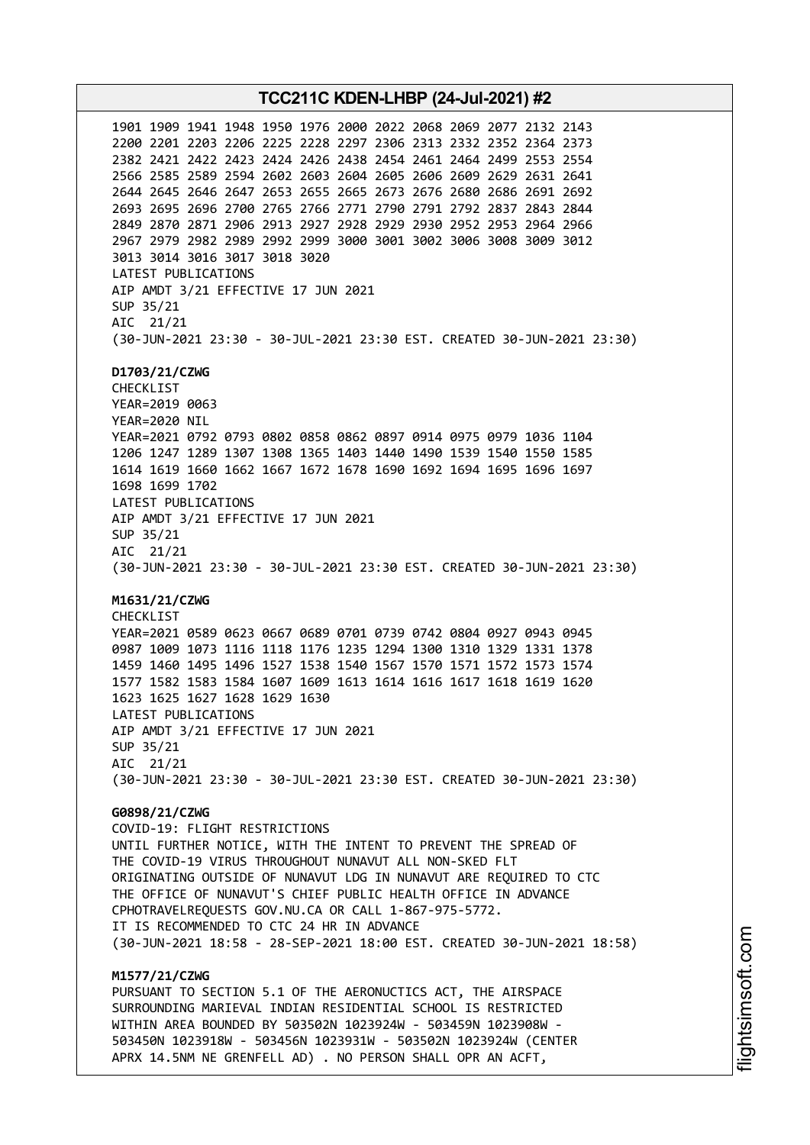**TCC211C KDEN-LHBP (24-Jul-2021) #2** 1901 1909 1941 1948 1950 1976 2000 2022 2068 2069 2077 2132 2143 2200 2201 2203 2206 2225 2228 2297 2306 2313 2332 2352 2364 2373 2382 2421 2422 2423 2424 2426 2438 2454 2461 2464 2499 2553 2554 2566 2585 2589 2594 2602 2603 2604 2605 2606 2609 2629 2631 2641 2644 2645 2646 2647 2653 2655 2665 2673 2676 2680 2686 2691 2692 2693 2695 2696 2700 2765 2766 2771 2790 2791 2792 2837 2843 2844 2849 2870 2871 2906 2913 2927 2928 2929 2930 2952 2953 2964 2966 2967 2979 2982 2989 2992 2999 3000 3001 3002 3006 3008 3009 3012 3013 3014 3016 3017 3018 3020 LATEST PUBLICATIONS AIP AMDT 3/21 EFFECTIVE 17 JUN 2021 SUP 35/21 AIC 21/21 (30-JUN-2021 23:30 - 30-JUL-2021 23:30 EST. CREATED 30-JUN-2021 23:30) **D1703/21/CZWG** CHECKLIST YEAR=2019 0063 YEAR=2020 NIL YEAR=2021 0792 0793 0802 0858 0862 0897 0914 0975 0979 1036 1104 1206 1247 1289 1307 1308 1365 1403 1440 1490 1539 1540 1550 1585 1614 1619 1660 1662 1667 1672 1678 1690 1692 1694 1695 1696 1697 1698 1699 1702 LATEST PUBLICATIONS AIP AMDT 3/21 EFFECTIVE 17 JUN 2021 SUP 35/21 AIC 21/21 (30-JUN-2021 23:30 - 30-JUL-2021 23:30 EST. CREATED 30-JUN-2021 23:30) **M1631/21/CZWG** CHECKLIST YEAR=2021 0589 0623 0667 0689 0701 0739 0742 0804 0927 0943 0945 0987 1009 1073 1116 1118 1176 1235 1294 1300 1310 1329 1331 1378 1459 1460 1495 1496 1527 1538 1540 1567 1570 1571 1572 1573 1574 1577 1582 1583 1584 1607 1609 1613 1614 1616 1617 1618 1619 1620 1623 1625 1627 1628 1629 1630 LATEST PUBLICATIONS AIP AMDT 3/21 EFFECTIVE 17 JUN 2021 SUP 35/21 AIC 21/21 (30-JUN-2021 23:30 - 30-JUL-2021 23:30 EST. CREATED 30-JUN-2021 23:30) **G0898/21/CZWG** COVID-19: FLIGHT RESTRICTIONS UNTIL FURTHER NOTICE, WITH THE INTENT TO PREVENT THE SPREAD OF THE COVID-19 VIRUS THROUGHOUT NUNAVUT ALL NON-SKED FLT ORIGINATING OUTSIDE OF NUNAVUT LDG IN NUNAVUT ARE REQUIRED TO CTC THE OFFICE OF NUNAVUT'S CHIEF PUBLIC HEALTH OFFICE IN ADVANCE CPHOTRAVELREQUESTS GOV.NU.CA OR CALL 1-867-975-5772. IT IS RECOMMENDED TO CTC 24 HR IN ADVANCE (30-JUN-2021 18:58 - 28-SEP-2021 18:00 EST. CREATED 30-JUN-2021 18:58) **M1577/21/CZWG** PURSUANT TO SECTION 5.1 OF THE AERONUCTICS ACT, THE AIRSPACE SURROUNDING MARIEVAL INDIAN RESIDENTIAL SCHOOL IS RESTRICTED WITHIN AREA BOUNDED BY 503502N 1023924W - 503459N 1023908W - 503450N 1023918W - 503456N 1023931W - 503502N 1023924W (CENTER

APRX 14.5NM NE GRENFELL AD) . NO PERSON SHALL OPR AN ACFT,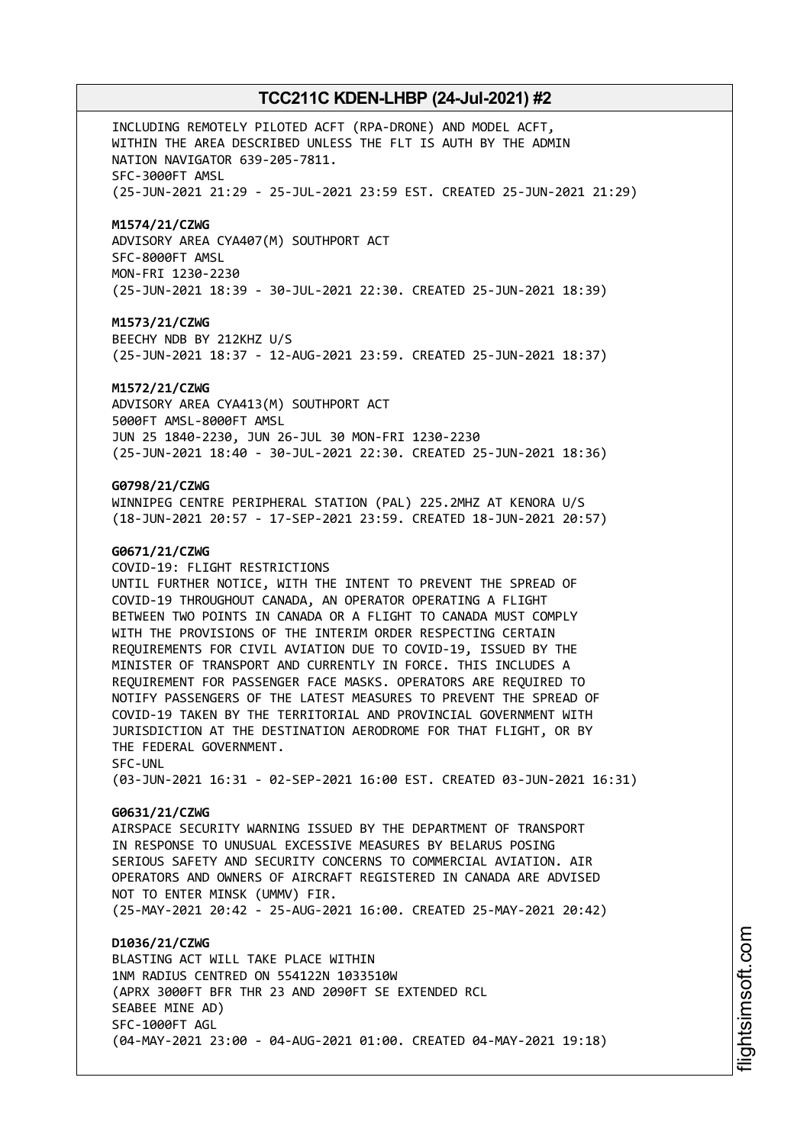INCLUDING REMOTELY PILOTED ACFT (RPA-DRONE) AND MODEL ACFT, WITHIN THE AREA DESCRIBED UNLESS THE FLT IS AUTH BY THE ADMIN NATION NAVIGATOR 639-205-7811. SFC-3000FT AMSL (25-JUN-2021 21:29 - 25-JUL-2021 23:59 EST. CREATED 25-JUN-2021 21:29)

### **M1574/21/CZWG**

ADVISORY AREA CYA407(M) SOUTHPORT ACT SFC-8000FT AMSL MON-FRI 1230-2230 (25-JUN-2021 18:39 - 30-JUL-2021 22:30. CREATED 25-JUN-2021 18:39)

### **M1573/21/CZWG**

BEECHY NDB BY 212KHZ U/S (25-JUN-2021 18:37 - 12-AUG-2021 23:59. CREATED 25-JUN-2021 18:37)

#### **M1572/21/CZWG**

ADVISORY AREA CYA413(M) SOUTHPORT ACT 5000FT AMSL-8000FT AMSL JUN 25 1840-2230, JUN 26-JUL 30 MON-FRI 1230-2230 (25-JUN-2021 18:40 - 30-JUL-2021 22:30. CREATED 25-JUN-2021 18:36)

### **G0798/21/CZWG**

WINNIPEG CENTRE PERIPHERAL STATION (PAL) 225.2MHZ AT KENORA U/S (18-JUN-2021 20:57 - 17-SEP-2021 23:59. CREATED 18-JUN-2021 20:57)

### **G0671/21/CZWG**

COVID-19: FLIGHT RESTRICTIONS UNTIL FURTHER NOTICE, WITH THE INTENT TO PREVENT THE SPREAD OF COVID-19 THROUGHOUT CANADA, AN OPERATOR OPERATING A FLIGHT BETWEEN TWO POINTS IN CANADA OR A FLIGHT TO CANADA MUST COMPLY WITH THE PROVISIONS OF THE INTERIM ORDER RESPECTING CERTAIN REQUIREMENTS FOR CIVIL AVIATION DUE TO COVID-19, ISSUED BY THE MINISTER OF TRANSPORT AND CURRENTLY IN FORCE. THIS INCLUDES A REQUIREMENT FOR PASSENGER FACE MASKS. OPERATORS ARE REQUIRED TO NOTIFY PASSENGERS OF THE LATEST MEASURES TO PREVENT THE SPREAD OF COVID-19 TAKEN BY THE TERRITORIAL AND PROVINCIAL GOVERNMENT WITH JURISDICTION AT THE DESTINATION AERODROME FOR THAT FLIGHT, OR BY THE FEDERAL GOVERNMENT. SFC-UNL

(03-JUN-2021 16:31 - 02-SEP-2021 16:00 EST. CREATED 03-JUN-2021 16:31)

#### **G0631/21/CZWG**

AIRSPACE SECURITY WARNING ISSUED BY THE DEPARTMENT OF TRANSPORT IN RESPONSE TO UNUSUAL EXCESSIVE MEASURES BY BELARUS POSING SERIOUS SAFETY AND SECURITY CONCERNS TO COMMERCIAL AVIATION. AIR OPERATORS AND OWNERS OF AIRCRAFT REGISTERED IN CANADA ARE ADVISED NOT TO ENTER MINSK (UMMV) FIR. (25-MAY-2021 20:42 - 25-AUG-2021 16:00. CREATED 25-MAY-2021 20:42)

### **D1036/21/CZWG**

BLASTING ACT WILL TAKE PLACE WITHIN 1NM RADIUS CENTRED ON 554122N 1033510W (APRX 3000FT BFR THR 23 AND 2090FT SE EXTENDED RCL SEABEE MINE AD) SFC-1000FT AGL (04-MAY-2021 23:00 - 04-AUG-2021 01:00. CREATED 04-MAY-2021 19:18)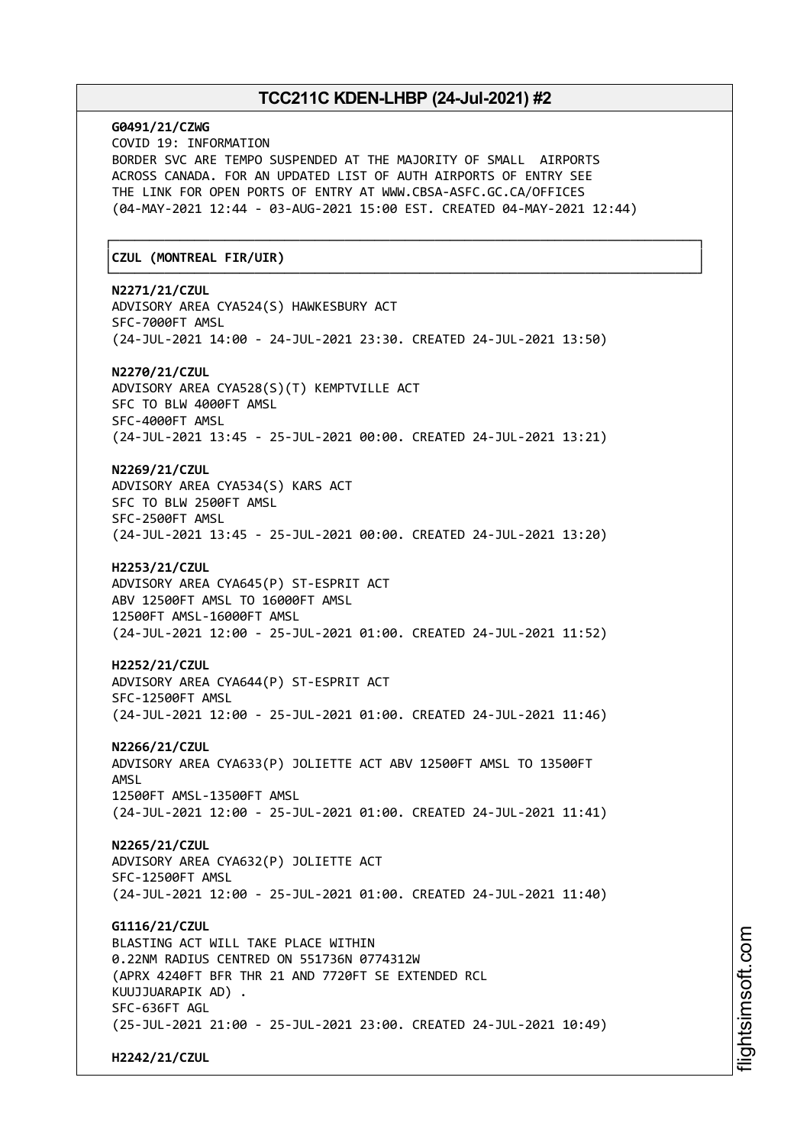# **G0491/21/CZWG** COVID 19: INFORMATION BORDER SVC ARE TEMPO SUSPENDED AT THE MAJORITY OF SMALL AIRPORTS ACROSS CANADA. FOR AN UPDATED LIST OF AUTH AIRPORTS OF ENTRY SEE THE LINK FOR OPEN PORTS OF ENTRY AT WWW.CBSA-ASFC.GC.CA/OFFICES (04-MAY-2021 12:44 - 03-AUG-2021 15:00 EST. CREATED 04-MAY-2021 12:44) ┌──────────────────────────────────────────────────────────────────────────────┐ │**CZUL (MONTREAL FIR/UIR)** │ └──────────────────────────────────────────────────────────────────────────────┘ **N2271/21/CZUL** ADVISORY AREA CYA524(S) HAWKESBURY ACT SFC-7000FT AMSL (24-JUL-2021 14:00 - 24-JUL-2021 23:30. CREATED 24-JUL-2021 13:50) **N2270/21/CZUL** ADVISORY AREA CYA528(S)(T) KEMPTVILLE ACT SFC TO BLW 4000FT AMSL SFC-4000FT AMSL (24-JUL-2021 13:45 - 25-JUL-2021 00:00. CREATED 24-JUL-2021 13:21) **N2269/21/CZUL** ADVISORY AREA CYA534(S) KARS ACT SFC TO BLW 2500FT AMSL SFC-2500FT AMSL (24-JUL-2021 13:45 - 25-JUL-2021 00:00. CREATED 24-JUL-2021 13:20) **H2253/21/CZUL** ADVISORY AREA CYA645(P) ST-ESPRIT ACT ABV 12500FT AMSL TO 16000FT AMSL 12500FT AMSL-16000FT AMSL (24-JUL-2021 12:00 - 25-JUL-2021 01:00. CREATED 24-JUL-2021 11:52) **H2252/21/CZUL** ADVISORY AREA CYA644(P) ST-ESPRIT ACT SFC-12500FT AMSL (24-JUL-2021 12:00 - 25-JUL-2021 01:00. CREATED 24-JUL-2021 11:46) **N2266/21/CZUL** ADVISORY AREA CYA633(P) JOLIETTE ACT ABV 12500FT AMSL TO 13500FT AMSL 12500FT AMSL-13500FT AMSL (24-JUL-2021 12:00 - 25-JUL-2021 01:00. CREATED 24-JUL-2021 11:41) **N2265/21/CZUL** ADVISORY AREA CYA632(P) JOLIETTE ACT SFC-12500FT AMSL (24-JUL-2021 12:00 - 25-JUL-2021 01:00. CREATED 24-JUL-2021 11:40) **G1116/21/CZUL** BLASTING ACT WILL TAKE PLACE WITHIN 0.22NM RADIUS CENTRED ON 551736N 0774312W (APRX 4240FT BFR THR 21 AND 7720FT SE EXTENDED RCL KUUJJUARAPIK AD) . SFC-636FT AGL (25-JUL-2021 21:00 - 25-JUL-2021 23:00. CREATED 24-JUL-2021 10:49) **H2242/21/CZUL**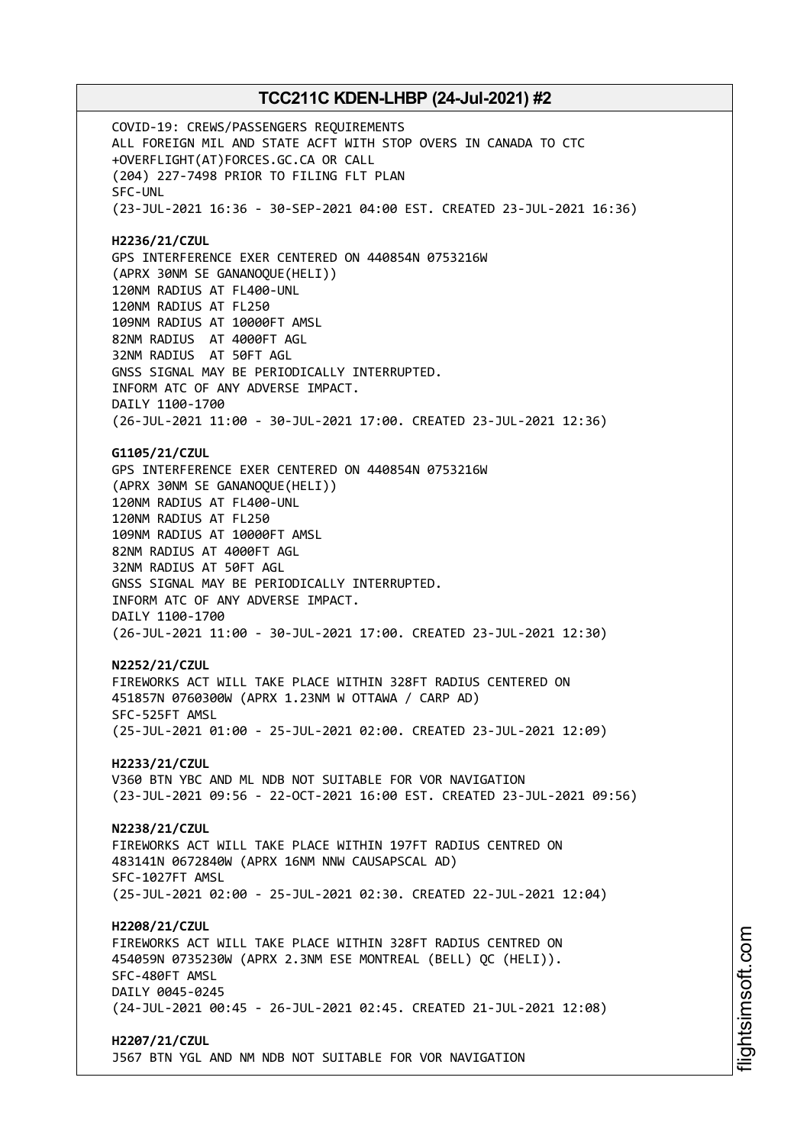COVID-19: CREWS/PASSENGERS REQUIREMENTS ALL FOREIGN MIL AND STATE ACFT WITH STOP OVERS IN CANADA TO CTC +OVERFLIGHT(AT)FORCES.GC.CA OR CALL (204) 227-7498 PRIOR TO FILING FLT PLAN SFC-UNL (23-JUL-2021 16:36 - 30-SEP-2021 04:00 EST. CREATED 23-JUL-2021 16:36) **H2236/21/CZUL** GPS INTERFERENCE EXER CENTERED ON 440854N 0753216W (APRX 30NM SE GANANOQUE(HELI)) 120NM RADIUS AT FL400-UNL 120NM RADIUS AT FL250 109NM RADIUS AT 10000FT AMSL 82NM RADIUS AT 4000FT AGL 32NM RADIUS AT 50FT AGL GNSS SIGNAL MAY BE PERIODICALLY INTERRUPTED. INFORM ATC OF ANY ADVERSE IMPACT. DAILY 1100-1700 (26-JUL-2021 11:00 - 30-JUL-2021 17:00. CREATED 23-JUL-2021 12:36) **G1105/21/CZUL** GPS INTERFERENCE EXER CENTERED ON 440854N 0753216W (APRX 30NM SE GANANOQUE(HELI)) 120NM RADIUS AT FL400-UNL 120NM RADIUS AT FL250 109NM RADIUS AT 10000FT AMSL 82NM RADIUS AT 4000FT AGL 32NM RADIUS AT 50FT AGL GNSS SIGNAL MAY BE PERIODICALLY INTERRUPTED. INFORM ATC OF ANY ADVERSE IMPACT. DAILY 1100-1700 (26-JUL-2021 11:00 - 30-JUL-2021 17:00. CREATED 23-JUL-2021 12:30) **N2252/21/CZUL** FIREWORKS ACT WILL TAKE PLACE WITHIN 328FT RADIUS CENTERED ON 451857N 0760300W (APRX 1.23NM W OTTAWA / CARP AD) SFC-525FT AMSL (25-JUL-2021 01:00 - 25-JUL-2021 02:00. CREATED 23-JUL-2021 12:09) **H2233/21/CZUL** V360 BTN YBC AND ML NDB NOT SUITABLE FOR VOR NAVIGATION (23-JUL-2021 09:56 - 22-OCT-2021 16:00 EST. CREATED 23-JUL-2021 09:56) **N2238/21/CZUL** FIREWORKS ACT WILL TAKE PLACE WITHIN 197FT RADIUS CENTRED ON 483141N 0672840W (APRX 16NM NNW CAUSAPSCAL AD) SFC-1027FT AMSL (25-JUL-2021 02:00 - 25-JUL-2021 02:30. CREATED 22-JUL-2021 12:04) **H2208/21/CZUL** FIREWORKS ACT WILL TAKE PLACE WITHIN 328FT RADIUS CENTRED ON 454059N 0735230W (APRX 2.3NM ESE MONTREAL (BELL) QC (HELI)). SFC-480FT AMSL DAILY 0045-0245 (24-JUL-2021 00:45 - 26-JUL-2021 02:45. CREATED 21-JUL-2021 12:08) **H2207/21/CZUL** J567 BTN YGL AND NM NDB NOT SUITABLE FOR VOR NAVIGATION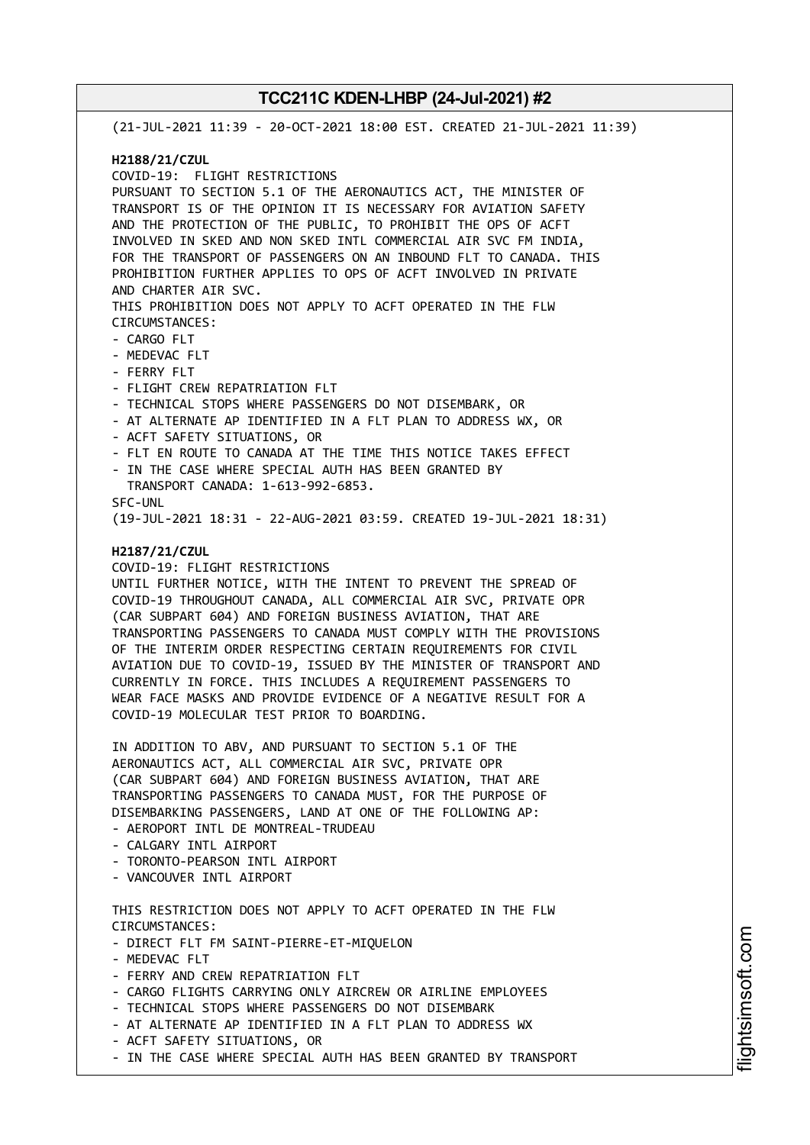(21-JUL-2021 11:39 - 20-OCT-2021 18:00 EST. CREATED 21-JUL-2021 11:39) **H2188/21/CZUL** COVID-19: FLIGHT RESTRICTIONS PURSUANT TO SECTION 5.1 OF THE AERONAUTICS ACT, THE MINISTER OF TRANSPORT IS OF THE OPINION IT IS NECESSARY FOR AVIATION SAFETY AND THE PROTECTION OF THE PUBLIC, TO PROHIBIT THE OPS OF ACFT INVOLVED IN SKED AND NON SKED INTL COMMERCIAL AIR SVC FM INDIA, FOR THE TRANSPORT OF PASSENGERS ON AN INBOUND FLT TO CANADA. THIS PROHIBITION FURTHER APPLIES TO OPS OF ACFT INVOLVED IN PRIVATE AND CHARTER AIR SVC. THIS PROHIBITION DOES NOT APPLY TO ACFT OPERATED IN THE FLW CIRCUMSTANCES: - CARGO FLT - MEDEVAC FLT - FERRY FLT - FLIGHT CREW REPATRIATION FLT - TECHNICAL STOPS WHERE PASSENGERS DO NOT DISEMBARK, OR - AT ALTERNATE AP IDENTIFIED IN A FLT PLAN TO ADDRESS WX, OR - ACFT SAFETY SITUATIONS, OR - FLT EN ROUTE TO CANADA AT THE TIME THIS NOTICE TAKES EFFECT - IN THE CASE WHERE SPECIAL AUTH HAS BEEN GRANTED BY TRANSPORT CANADA: 1-613-992-6853. SFC-UNL (19-JUL-2021 18:31 - 22-AUG-2021 03:59. CREATED 19-JUL-2021 18:31) **H2187/21/CZUL** COVID-19: FLIGHT RESTRICTIONS UNTIL FURTHER NOTICE, WITH THE INTENT TO PREVENT THE SPREAD OF COVID-19 THROUGHOUT CANADA, ALL COMMERCIAL AIR SVC, PRIVATE OPR (CAR SUBPART 604) AND FOREIGN BUSINESS AVIATION, THAT ARE TRANSPORTING PASSENGERS TO CANADA MUST COMPLY WITH THE PROVISIONS OF THE INTERIM ORDER RESPECTING CERTAIN REQUIREMENTS FOR CIVIL AVIATION DUE TO COVID-19, ISSUED BY THE MINISTER OF TRANSPORT AND CURRENTLY IN FORCE. THIS INCLUDES A REQUIREMENT PASSENGERS TO WEAR FACE MASKS AND PROVIDE EVIDENCE OF A NEGATIVE RESULT FOR A COVID-19 MOLECULAR TEST PRIOR TO BOARDING. IN ADDITION TO ABV, AND PURSUANT TO SECTION 5.1 OF THE AERONAUTICS ACT, ALL COMMERCIAL AIR SVC, PRIVATE OPR (CAR SUBPART 604) AND FOREIGN BUSINESS AVIATION, THAT ARE TRANSPORTING PASSENGERS TO CANADA MUST, FOR THE PURPOSE OF DISEMBARKING PASSENGERS, LAND AT ONE OF THE FOLLOWING AP: - AEROPORT INTL DE MONTREAL-TRUDEAU - CALGARY INTL AIRPORT - TORONTO-PEARSON INTL AIRPORT - VANCOUVER INTL AIRPORT THIS RESTRICTION DOES NOT APPLY TO ACFT OPERATED IN THE FLW CIRCUMSTANCES: - DIRECT FLT FM SAINT-PIERRE-ET-MIQUELON - MEDEVAC FLT - FERRY AND CREW REPATRIATION FLT - CARGO FLIGHTS CARRYING ONLY AIRCREW OR AIRLINE EMPLOYEES - TECHNICAL STOPS WHERE PASSENGERS DO NOT DISEMBARK - AT ALTERNATE AP IDENTIFIED IN A FLT PLAN TO ADDRESS WX - ACFT SAFETY SITUATIONS, OR

- IN THE CASE WHERE SPECIAL AUTH HAS BEEN GRANTED BY TRANSPORT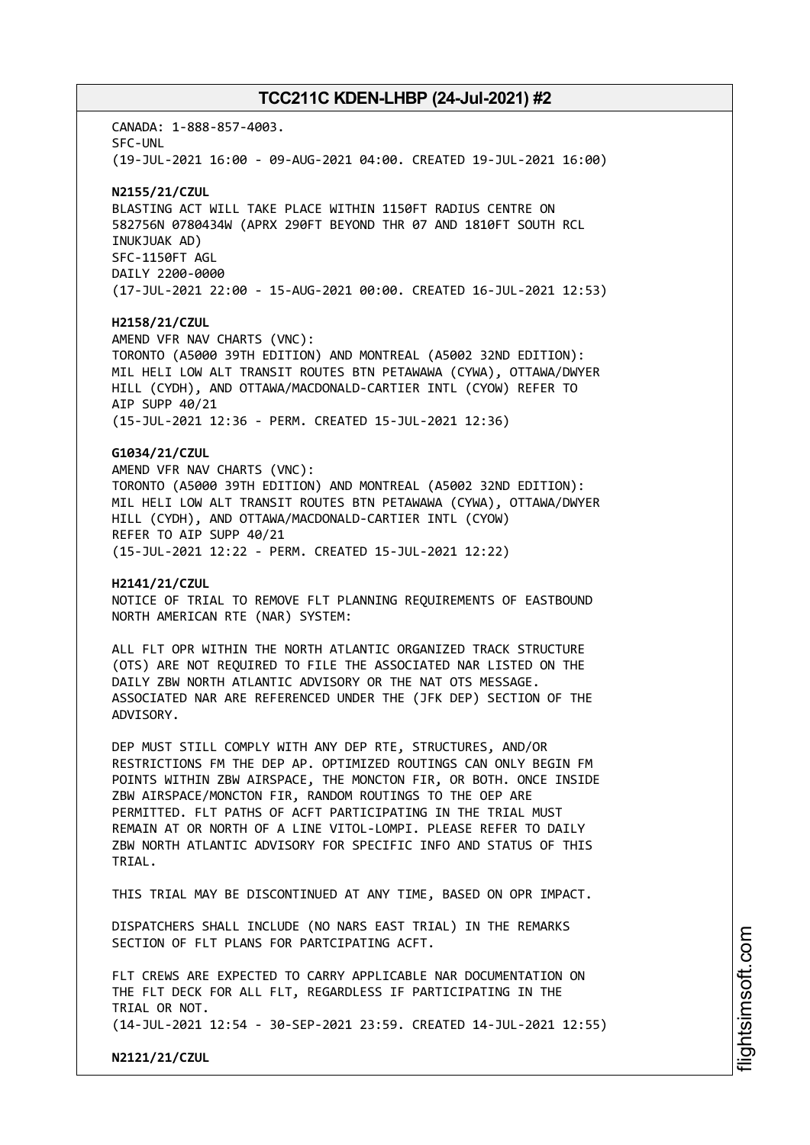CANADA: 1-888-857-4003. SFC-UNL (19-JUL-2021 16:00 - 09-AUG-2021 04:00. CREATED 19-JUL-2021 16:00)

### **N2155/21/CZUL**

BLASTING ACT WILL TAKE PLACE WITHIN 1150FT RADIUS CENTRE ON 582756N 0780434W (APRX 290FT BEYOND THR 07 AND 1810FT SOUTH RCL INUKJUAK AD) SFC-1150FT AGL DAILY 2200-0000 (17-JUL-2021 22:00 - 15-AUG-2021 00:00. CREATED 16-JUL-2021 12:53)

### **H2158/21/CZUL**

AMEND VFR NAV CHARTS (VNC): TORONTO (A5000 39TH EDITION) AND MONTREAL (A5002 32ND EDITION): MIL HELI LOW ALT TRANSIT ROUTES BTN PETAWAWA (CYWA), OTTAWA/DWYER HILL (CYDH), AND OTTAWA/MACDONALD-CARTIER INTL (CYOW) REFER TO AIP SUPP 40/21 (15-JUL-2021 12:36 - PERM. CREATED 15-JUL-2021 12:36)

## **G1034/21/CZUL**

AMEND VFR NAV CHARTS (VNC): TORONTO (A5000 39TH EDITION) AND MONTREAL (A5002 32ND EDITION): MIL HELI LOW ALT TRANSIT ROUTES BTN PETAWAWA (CYWA), OTTAWA/DWYER HILL (CYDH), AND OTTAWA/MACDONALD-CARTIER INTL (CYOW) REFER TO AIP SUPP 40/21 (15-JUL-2021 12:22 - PERM. CREATED 15-JUL-2021 12:22)

### **H2141/21/CZUL**

NOTICE OF TRIAL TO REMOVE FLT PLANNING REQUIREMENTS OF EASTBOUND NORTH AMERICAN RTE (NAR) SYSTEM:

ALL FLT OPR WITHIN THE NORTH ATLANTIC ORGANIZED TRACK STRUCTURE (OTS) ARE NOT REQUIRED TO FILE THE ASSOCIATED NAR LISTED ON THE DAILY ZBW NORTH ATLANTIC ADVISORY OR THE NAT OTS MESSAGE. ASSOCIATED NAR ARE REFERENCED UNDER THE (JFK DEP) SECTION OF THE ADVISORY.

DEP MUST STILL COMPLY WITH ANY DEP RTE, STRUCTURES, AND/OR RESTRICTIONS FM THE DEP AP. OPTIMIZED ROUTINGS CAN ONLY BEGIN FM POINTS WITHIN ZBW AIRSPACE, THE MONCTON FIR, OR BOTH. ONCE INSIDE ZBW AIRSPACE/MONCTON FIR, RANDOM ROUTINGS TO THE OEP ARE PERMITTED. FLT PATHS OF ACFT PARTICIPATING IN THE TRIAL MUST REMAIN AT OR NORTH OF A LINE VITOL-LOMPI. PLEASE REFER TO DAILY ZBW NORTH ATLANTIC ADVISORY FOR SPECIFIC INFO AND STATUS OF THIS TRIAL.

THIS TRIAL MAY BE DISCONTINUED AT ANY TIME, BASED ON OPR IMPACT.

DISPATCHERS SHALL INCLUDE (NO NARS EAST TRIAL) IN THE REMARKS SECTION OF FLT PLANS FOR PARTCIPATING ACFT.

FLT CREWS ARE EXPECTED TO CARRY APPLICABLE NAR DOCUMENTATION ON THE FLT DECK FOR ALL FLT, REGARDLESS IF PARTICIPATING IN THE TRIAL OR NOT. (14-JUL-2021 12:54 - 30-SEP-2021 23:59. CREATED 14-JUL-2021 12:55)

**N2121/21/CZUL**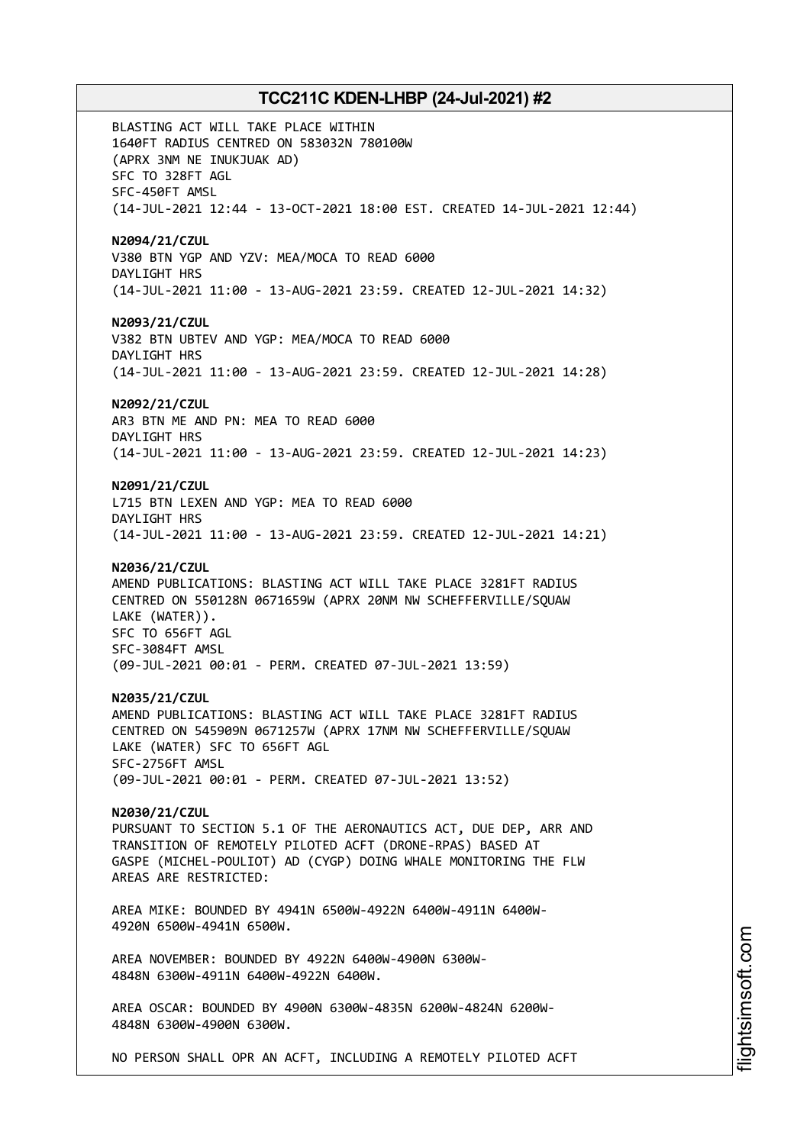BLASTING ACT WILL TAKE PLACE WITHIN 1640FT RADIUS CENTRED ON 583032N 780100W (APRX 3NM NE INUKJUAK AD) SFC TO 328FT AGL SFC-450FT AMSL (14-JUL-2021 12:44 - 13-OCT-2021 18:00 EST. CREATED 14-JUL-2021 12:44) **N2094/21/CZUL** V380 BTN YGP AND YZV: MEA/MOCA TO READ 6000 DAYLIGHT HRS (14-JUL-2021 11:00 - 13-AUG-2021 23:59. CREATED 12-JUL-2021 14:32) **N2093/21/CZUL** V382 BTN UBTEV AND YGP: MEA/MOCA TO READ 6000 DAYLIGHT HRS (14-JUL-2021 11:00 - 13-AUG-2021 23:59. CREATED 12-JUL-2021 14:28) **N2092/21/CZUL** AR3 BTN ME AND PN: MEA TO READ 6000 DAYLIGHT HRS (14-JUL-2021 11:00 - 13-AUG-2021 23:59. CREATED 12-JUL-2021 14:23) **N2091/21/CZUL** L715 BTN LEXEN AND YGP: MEA TO READ 6000 DAYLIGHT HRS (14-JUL-2021 11:00 - 13-AUG-2021 23:59. CREATED 12-JUL-2021 14:21) **N2036/21/CZUL** AMEND PUBLICATIONS: BLASTING ACT WILL TAKE PLACE 3281FT RADIUS CENTRED ON 550128N 0671659W (APRX 20NM NW SCHEFFERVILLE/SQUAW LAKE (WATER)). SFC TO 656FT AGL SFC-3084FT AMSL (09-JUL-2021 00:01 - PERM. CREATED 07-JUL-2021 13:59) **N2035/21/CZUL** AMEND PUBLICATIONS: BLASTING ACT WILL TAKE PLACE 3281FT RADIUS CENTRED ON 545909N 0671257W (APRX 17NM NW SCHEFFERVILLE/SQUAW LAKE (WATER) SFC TO 656FT AGL SFC-2756FT AMSL (09-JUL-2021 00:01 - PERM. CREATED 07-JUL-2021 13:52) **N2030/21/CZUL** PURSUANT TO SECTION 5.1 OF THE AERONAUTICS ACT, DUE DEP, ARR AND TRANSITION OF REMOTELY PILOTED ACFT (DRONE-RPAS) BASED AT GASPE (MICHEL-POULIOT) AD (CYGP) DOING WHALE MONITORING THE FLW AREAS ARE RESTRICTED: AREA MIKE: BOUNDED BY 4941N 6500W-4922N 6400W-4911N 6400W-4920N 6500W-4941N 6500W. AREA NOVEMBER: BOUNDED BY 4922N 6400W-4900N 6300W-4848N 6300W-4911N 6400W-4922N 6400W. AREA OSCAR: BOUNDED BY 4900N 6300W-4835N 6200W-4824N 6200W-4848N 6300W-4900N 6300W. NO PERSON SHALL OPR AN ACFT, INCLUDING A REMOTELY PILOTED ACFT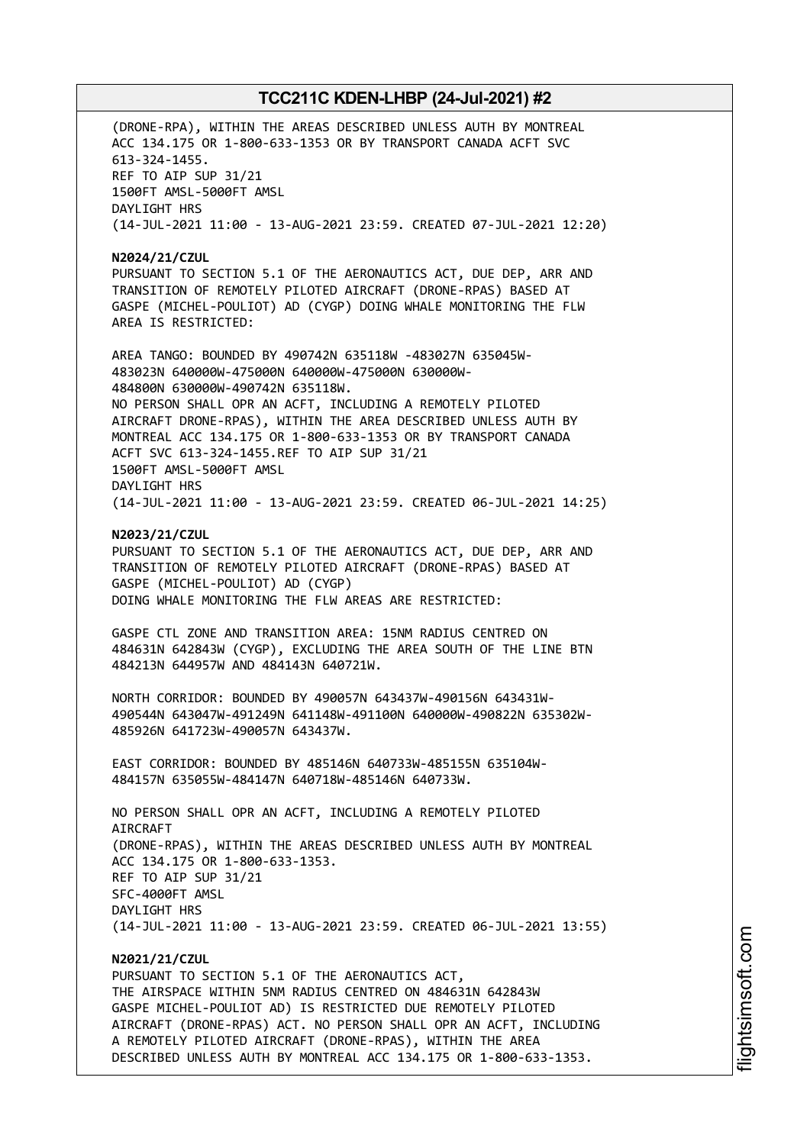(DRONE-RPA), WITHIN THE AREAS DESCRIBED UNLESS AUTH BY MONTREAL ACC 134.175 OR 1-800-633-1353 OR BY TRANSPORT CANADA ACFT SVC 613-324-1455. REF TO AIP SUP 31/21 1500FT AMSL-5000FT AMSL DAYLIGHT HRS (14-JUL-2021 11:00 - 13-AUG-2021 23:59. CREATED 07-JUL-2021 12:20)

**N2024/21/CZUL** PURSUANT TO SECTION 5.1 OF THE AERONAUTICS ACT, DUE DEP, ARR AND TRANSITION OF REMOTELY PILOTED AIRCRAFT (DRONE-RPAS) BASED AT GASPE (MICHEL-POULIOT) AD (CYGP) DOING WHALE MONITORING THE FLW AREA IS RESTRICTED:

AREA TANGO: BOUNDED BY 490742N 635118W -483027N 635045W-483023N 640000W-475000N 640000W-475000N 630000W-484800N 630000W-490742N 635118W. NO PERSON SHALL OPR AN ACFT, INCLUDING A REMOTELY PILOTED AIRCRAFT DRONE-RPAS), WITHIN THE AREA DESCRIBED UNLESS AUTH BY MONTREAL ACC 134.175 OR 1-800-633-1353 OR BY TRANSPORT CANADA ACFT SVC 613-324-1455.REF TO AIP SUP 31/21 1500FT AMSL-5000FT AMSL DAYLIGHT HRS (14-JUL-2021 11:00 - 13-AUG-2021 23:59. CREATED 06-JUL-2021 14:25)

**N2023/21/CZUL**

PURSUANT TO SECTION 5.1 OF THE AERONAUTICS ACT, DUE DEP, ARR AND TRANSITION OF REMOTELY PILOTED AIRCRAFT (DRONE-RPAS) BASED AT GASPE (MICHEL-POULIOT) AD (CYGP) DOING WHALE MONITORING THE FLW AREAS ARE RESTRICTED:

GASPE CTL ZONE AND TRANSITION AREA: 15NM RADIUS CENTRED ON 484631N 642843W (CYGP), EXCLUDING THE AREA SOUTH OF THE LINE BTN 484213N 644957W AND 484143N 640721W.

NORTH CORRIDOR: BOUNDED BY 490057N 643437W-490156N 643431W-490544N 643047W-491249N 641148W-491100N 640000W-490822N 635302W-485926N 641723W-490057N 643437W.

EAST CORRIDOR: BOUNDED BY 485146N 640733W-485155N 635104W-484157N 635055W-484147N 640718W-485146N 640733W.

NO PERSON SHALL OPR AN ACFT, INCLUDING A REMOTELY PILOTED **ATRCRAFT** (DRONE-RPAS), WITHIN THE AREAS DESCRIBED UNLESS AUTH BY MONTREAL ACC 134.175 OR 1-800-633-1353. REF TO AIP SUP 31/21 SFC-4000FT AMSL DAYLIGHT HRS (14-JUL-2021 11:00 - 13-AUG-2021 23:59. CREATED 06-JUL-2021 13:55)

# **N2021/21/CZUL**

PURSUANT TO SECTION 5.1 OF THE AERONAUTICS ACT, THE AIRSPACE WITHIN 5NM RADIUS CENTRED ON 484631N 642843W GASPE MICHEL-POULIOT AD) IS RESTRICTED DUE REMOTELY PILOTED AIRCRAFT (DRONE-RPAS) ACT. NO PERSON SHALL OPR AN ACFT, INCLUDING A REMOTELY PILOTED AIRCRAFT (DRONE-RPAS), WITHIN THE AREA DESCRIBED UNLESS AUTH BY MONTREAL ACC 134.175 OR 1-800-633-1353.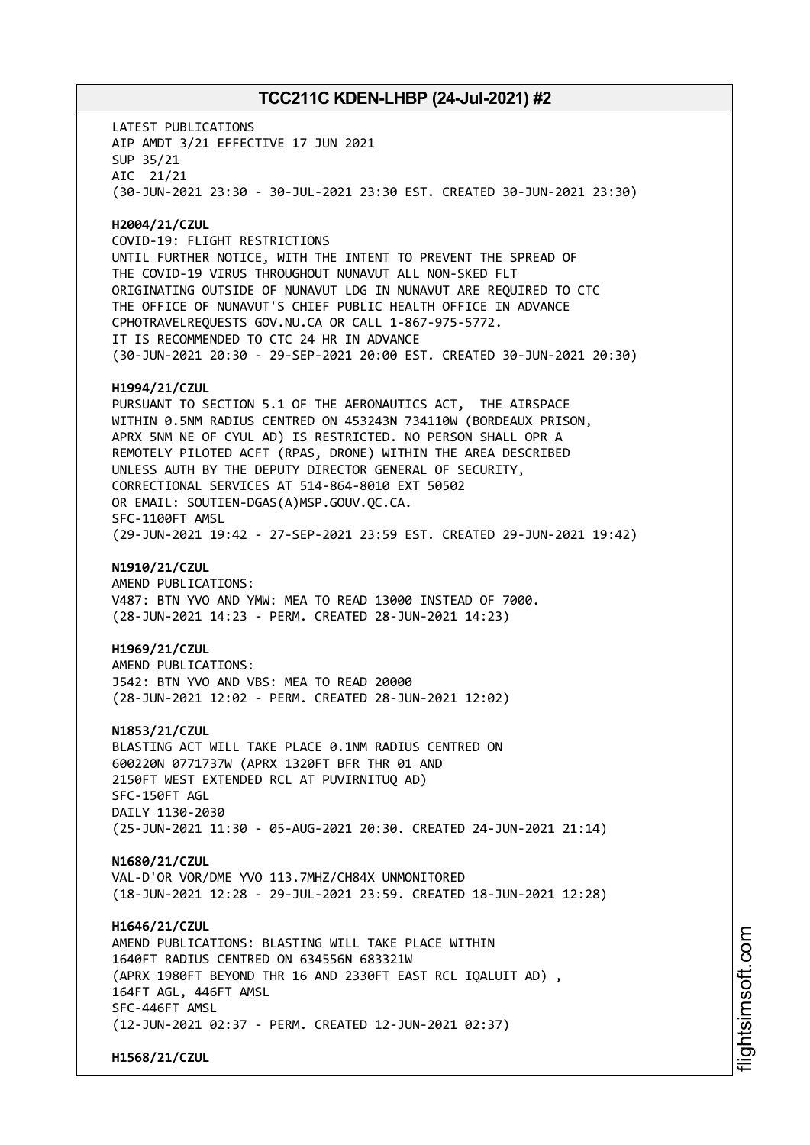LATEST PUBLICATIONS AIP AMDT 3/21 EFFECTIVE 17 JUN 2021 SUP 35/21 AIC 21/21 (30-JUN-2021 23:30 - 30-JUL-2021 23:30 EST. CREATED 30-JUN-2021 23:30) **H2004/21/CZUL** COVID-19: FLIGHT RESTRICTIONS UNTIL FURTHER NOTICE, WITH THE INTENT TO PREVENT THE SPREAD OF THE COVID-19 VIRUS THROUGHOUT NUNAVUT ALL NON-SKED FLT ORIGINATING OUTSIDE OF NUNAVUT LDG IN NUNAVUT ARE REQUIRED TO CTC THE OFFICE OF NUNAVUT'S CHIEF PUBLIC HEALTH OFFICE IN ADVANCE CPHOTRAVELREQUESTS GOV.NU.CA OR CALL 1-867-975-5772. IT IS RECOMMENDED TO CTC 24 HR IN ADVANCE (30-JUN-2021 20:30 - 29-SEP-2021 20:00 EST. CREATED 30-JUN-2021 20:30) **H1994/21/CZUL** PURSUANT TO SECTION 5.1 OF THE AERONAUTICS ACT, THE AIRSPACE WITHIN 0.5NM RADIUS CENTRED ON 453243N 734110W (BORDEAUX PRISON, APRX 5NM NE OF CYUL AD) IS RESTRICTED. NO PERSON SHALL OPR A REMOTELY PILOTED ACFT (RPAS, DRONE) WITHIN THE AREA DESCRIBED UNLESS AUTH BY THE DEPUTY DIRECTOR GENERAL OF SECURITY, CORRECTIONAL SERVICES AT 514-864-8010 EXT 50502 OR EMAIL: SOUTIEN-DGAS(A)MSP.GOUV.QC.CA. SFC-1100FT AMSL (29-JUN-2021 19:42 - 27-SEP-2021 23:59 EST. CREATED 29-JUN-2021 19:42) **N1910/21/CZUL** AMEND PUBLICATIONS: V487: BTN YVO AND YMW: MEA TO READ 13000 INSTEAD OF 7000. (28-JUN-2021 14:23 - PERM. CREATED 28-JUN-2021 14:23) **H1969/21/CZUL** AMEND PUBLICATIONS: J542: BTN YVO AND VBS: MEA TO READ 20000 (28-JUN-2021 12:02 - PERM. CREATED 28-JUN-2021 12:02) **N1853/21/CZUL** BLASTING ACT WILL TAKE PLACE 0.1NM RADIUS CENTRED ON 600220N 0771737W (APRX 1320FT BFR THR 01 AND 2150FT WEST EXTENDED RCL AT PUVIRNITUQ AD) SFC-150FT AGL DAILY 1130-2030 (25-JUN-2021 11:30 - 05-AUG-2021 20:30. CREATED 24-JUN-2021 21:14) **N1680/21/CZUL** VAL-D'OR VOR/DME YVO 113.7MHZ/CH84X UNMONITORED (18-JUN-2021 12:28 - 29-JUL-2021 23:59. CREATED 18-JUN-2021 12:28) **H1646/21/CZUL** AMEND PUBLICATIONS: BLASTING WILL TAKE PLACE WITHIN 1640FT RADIUS CENTRED ON 634556N 683321W (APRX 1980FT BEYOND THR 16 AND 2330FT EAST RCL IQALUIT AD) , 164FT AGL, 446FT AMSL SFC-446FT AMSL (12-JUN-2021 02:37 - PERM. CREATED 12-JUN-2021 02:37) **H1568/21/CZUL**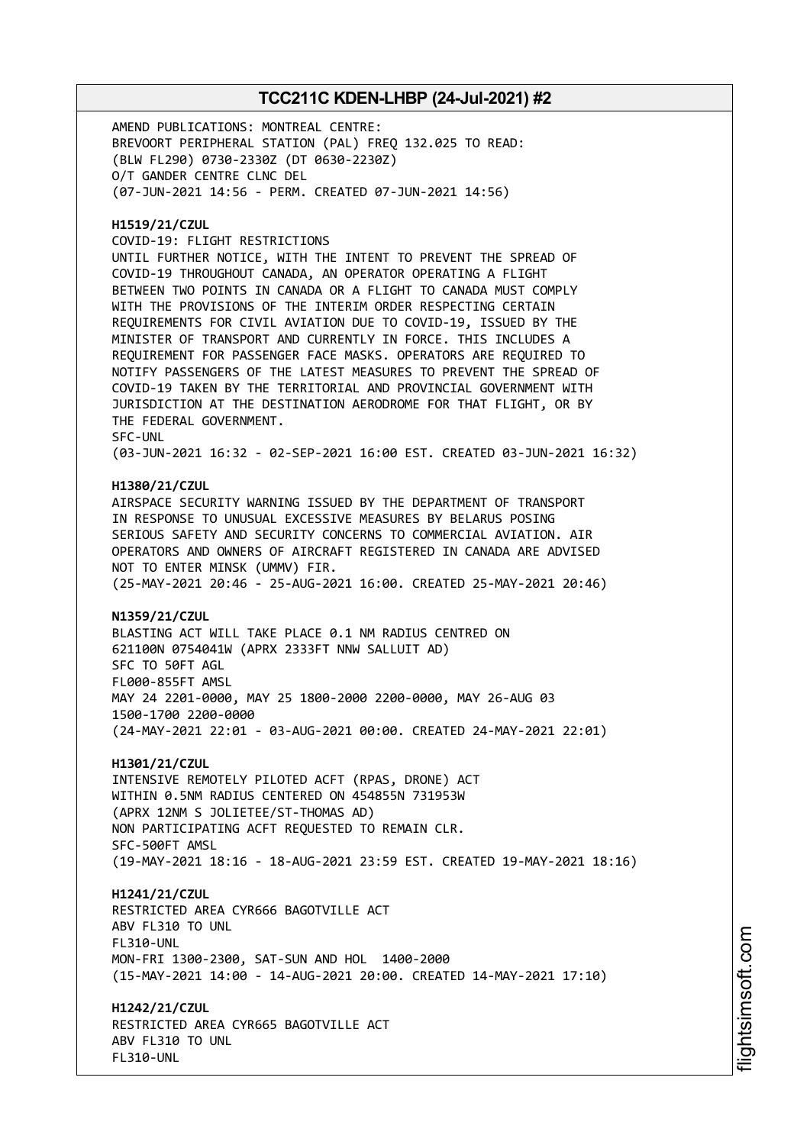AMEND PUBLICATIONS: MONTREAL CENTRE: BREVOORT PERIPHERAL STATION (PAL) FREQ 132.025 TO READ: (BLW FL290) 0730-2330Z (DT 0630-2230Z) O/T GANDER CENTRE CLNC DEL (07-JUN-2021 14:56 - PERM. CREATED 07-JUN-2021 14:56)

### **H1519/21/CZUL**

COVID-19: FLIGHT RESTRICTIONS

UNTIL FURTHER NOTICE, WITH THE INTENT TO PREVENT THE SPREAD OF COVID-19 THROUGHOUT CANADA, AN OPERATOR OPERATING A FLIGHT BETWEEN TWO POINTS IN CANADA OR A FLIGHT TO CANADA MUST COMPLY WITH THE PROVISIONS OF THE INTERIM ORDER RESPECTING CERTAIN REQUIREMENTS FOR CIVIL AVIATION DUE TO COVID-19, ISSUED BY THE MINISTER OF TRANSPORT AND CURRENTLY IN FORCE. THIS INCLUDES A REQUIREMENT FOR PASSENGER FACE MASKS. OPERATORS ARE REQUIRED TO NOTIFY PASSENGERS OF THE LATEST MEASURES TO PREVENT THE SPREAD OF COVID-19 TAKEN BY THE TERRITORIAL AND PROVINCIAL GOVERNMENT WITH JURISDICTION AT THE DESTINATION AERODROME FOR THAT FLIGHT, OR BY THE FEDERAL GOVERNMENT. SFC-UNL (03-JUN-2021 16:32 - 02-SEP-2021 16:00 EST. CREATED 03-JUN-2021 16:32)

#### **H1380/21/CZUL**

AIRSPACE SECURITY WARNING ISSUED BY THE DEPARTMENT OF TRANSPORT IN RESPONSE TO UNUSUAL EXCESSIVE MEASURES BY BELARUS POSING SERIOUS SAFETY AND SECURITY CONCERNS TO COMMERCIAL AVIATION. AIR OPERATORS AND OWNERS OF AIRCRAFT REGISTERED IN CANADA ARE ADVISED NOT TO ENTER MINSK (UMMV) FIR. (25-MAY-2021 20:46 - 25-AUG-2021 16:00. CREATED 25-MAY-2021 20:46)

#### **N1359/21/CZUL**

BLASTING ACT WILL TAKE PLACE 0.1 NM RADIUS CENTRED ON 621100N 0754041W (APRX 2333FT NNW SALLUIT AD) SFC TO 50FT AGL FL000-855FT AMSL MAY 24 2201-0000, MAY 25 1800-2000 2200-0000, MAY 26-AUG 03 1500-1700 2200-0000 (24-MAY-2021 22:01 - 03-AUG-2021 00:00. CREATED 24-MAY-2021 22:01)

#### **H1301/21/CZUL**

INTENSIVE REMOTELY PILOTED ACFT (RPAS, DRONE) ACT WITHIN 0.5NM RADIUS CENTERED ON 454855N 731953W (APRX 12NM S JOLIETEE/ST-THOMAS AD) NON PARTICIPATING ACFT REQUESTED TO REMAIN CLR. SFC-500FT AMSL (19-MAY-2021 18:16 - 18-AUG-2021 23:59 EST. CREATED 19-MAY-2021 18:16)

#### **H1241/21/CZUL**

RESTRICTED AREA CYR666 BAGOTVILLE ACT ABV FL310 TO UNL FL310-UNL MON-FRI 1300-2300, SAT-SUN AND HOL 1400-2000 (15-MAY-2021 14:00 - 14-AUG-2021 20:00. CREATED 14-MAY-2021 17:10)

**H1242/21/CZUL** RESTRICTED AREA CYR665 BAGOTVILLE ACT

ABV FL310 TO UNL FL310-UNL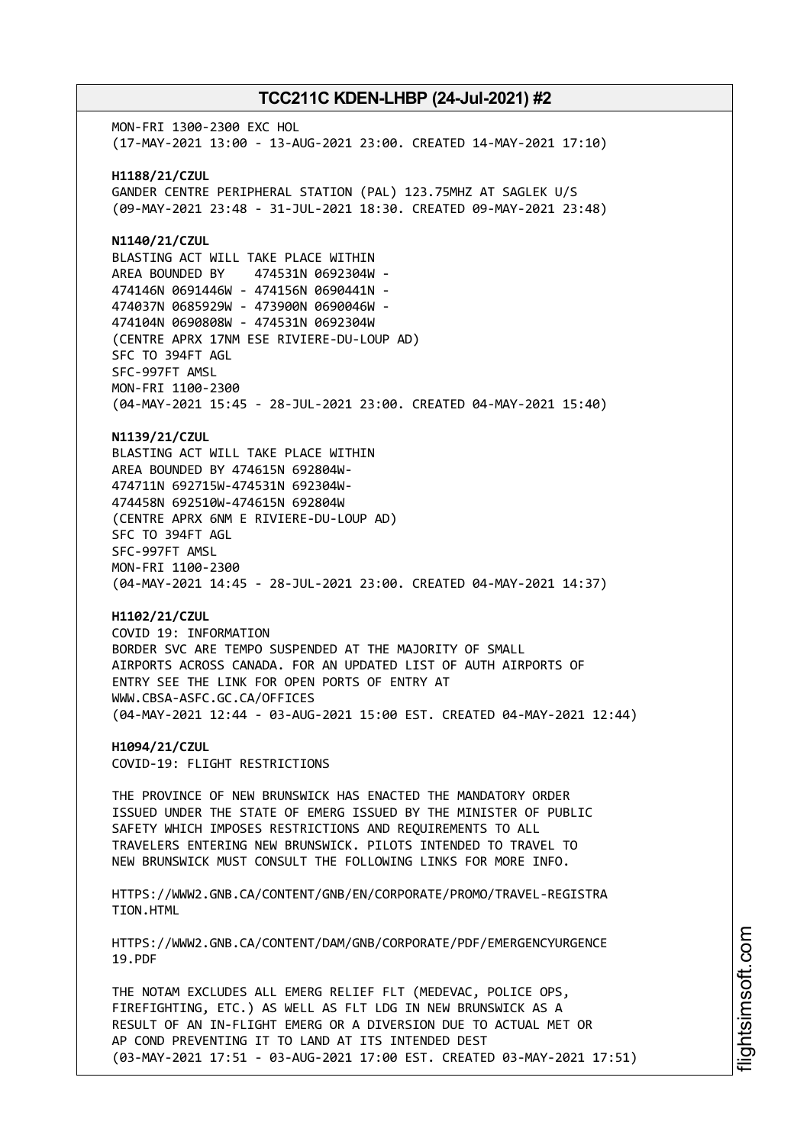MON-FRI 1300-2300 EXC HOL (17-MAY-2021 13:00 - 13-AUG-2021 23:00. CREATED 14-MAY-2021 17:10) **H1188/21/CZUL** GANDER CENTRE PERIPHERAL STATION (PAL) 123.75MHZ AT SAGLEK U/S (09-MAY-2021 23:48 - 31-JUL-2021 18:30. CREATED 09-MAY-2021 23:48) **N1140/21/CZUL** BLASTING ACT WILL TAKE PLACE WITHIN AREA BOUNDED BY 474531N 0692304W - 474146N 0691446W - 474156N 0690441N - 474037N 0685929W - 473900N 0690046W - 474104N 0690808W - 474531N 0692304W (CENTRE APRX 17NM ESE RIVIERE-DU-LOUP AD) SFC TO 394FT AGL SFC-997FT AMSL MON-FRI 1100-2300 (04-MAY-2021 15:45 - 28-JUL-2021 23:00. CREATED 04-MAY-2021 15:40) **N1139/21/CZUL** BLASTING ACT WILL TAKE PLACE WITHIN AREA BOUNDED BY 474615N 692804W-474711N 692715W-474531N 692304W-474458N 692510W-474615N 692804W (CENTRE APRX 6NM E RIVIERE-DU-LOUP AD) SFC TO 394FT AGL SFC-997FT AMSL MON-FRI 1100-2300 (04-MAY-2021 14:45 - 28-JUL-2021 23:00. CREATED 04-MAY-2021 14:37) **H1102/21/CZUL** COVID 19: INFORMATION BORDER SVC ARE TEMPO SUSPENDED AT THE MAJORITY OF SMALL AIRPORTS ACROSS CANADA. FOR AN UPDATED LIST OF AUTH AIRPORTS OF ENTRY SEE THE LINK FOR OPEN PORTS OF ENTRY AT WWW.CBSA-ASFC.GC.CA/OFFICES (04-MAY-2021 12:44 - 03-AUG-2021 15:00 EST. CREATED 04-MAY-2021 12:44) **H1094/21/CZUL** COVID-19: FLIGHT RESTRICTIONS THE PROVINCE OF NEW BRUNSWICK HAS ENACTED THE MANDATORY ORDER ISSUED UNDER THE STATE OF EMERG ISSUED BY THE MINISTER OF PUBLIC SAFETY WHICH IMPOSES RESTRICTIONS AND REQUIREMENTS TO ALL TRAVELERS ENTERING NEW BRUNSWICK. PILOTS INTENDED TO TRAVEL TO NEW BRUNSWICK MUST CONSULT THE FOLLOWING LINKS FOR MORE INFO. HTTPS://WWW2.GNB.CA/CONTENT/GNB/EN/CORPORATE/PROMO/TRAVEL-REGISTRA TION.HTML HTTPS://WWW2.GNB.CA/CONTENT/DAM/GNB/CORPORATE/PDF/EMERGENCYURGENCE 19.PDF THE NOTAM EXCLUDES ALL EMERG RELIEF FLT (MEDEVAC, POLICE OPS, FIREFIGHTING, ETC.) AS WELL AS FLT LDG IN NEW BRUNSWICK AS A RESULT OF AN IN-FLIGHT EMERG OR A DIVERSION DUE TO ACTUAL MET OR AP COND PREVENTING IT TO LAND AT ITS INTENDED DEST

(03-MAY-2021 17:51 - 03-AUG-2021 17:00 EST. CREATED 03-MAY-2021 17:51)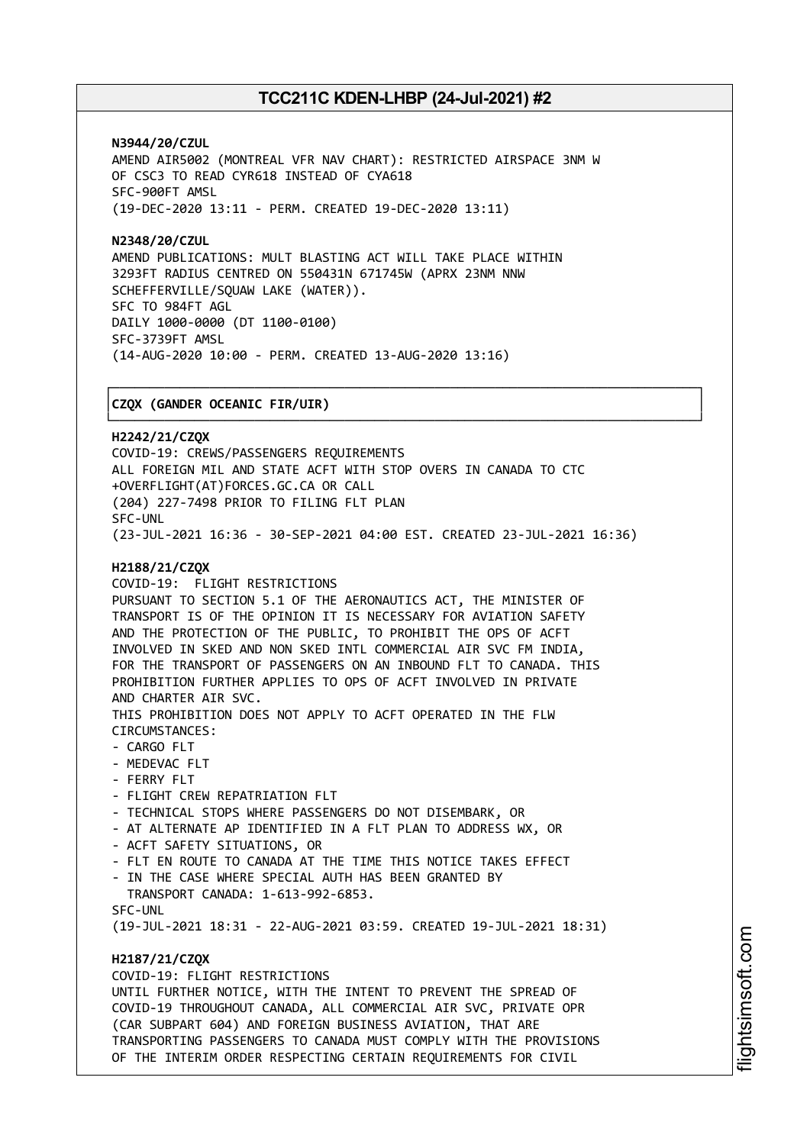┌──────────────────────────────────────────────────────────────────────────────┐

**N3944/20/CZUL** AMEND AIR5002 (MONTREAL VFR NAV CHART): RESTRICTED AIRSPACE 3NM W OF CSC3 TO READ CYR618 INSTEAD OF CYA618 SFC-900FT AMSL (19-DEC-2020 13:11 - PERM. CREATED 19-DEC-2020 13:11)

**N2348/20/CZUL** AMEND PUBLICATIONS: MULT BLASTING ACT WILL TAKE PLACE WITHIN 3293FT RADIUS CENTRED ON 550431N 671745W (APRX 23NM NNW SCHEFFERVILLE/SQUAW LAKE (WATER)). SFC TO 984FT AGL DAILY 1000-0000 (DT 1100-0100) SFC-3739FT AMSL (14-AUG-2020 10:00 - PERM. CREATED 13-AUG-2020 13:16)

### │**CZQX (GANDER OCEANIC FIR/UIR)** │

└──────────────────────────────────────────────────────────────────────────────┘ **H2242/21/CZQX** COVID-19: CREWS/PASSENGERS REQUIREMENTS ALL FOREIGN MIL AND STATE ACFT WITH STOP OVERS IN CANADA TO CTC +OVERFLIGHT(AT)FORCES.GC.CA OR CALL (204) 227-7498 PRIOR TO FILING FLT PLAN SFC-UNL (23-JUL-2021 16:36 - 30-SEP-2021 04:00 EST. CREATED 23-JUL-2021 16:36) **H2188/21/CZQX** COVID-19: FLIGHT RESTRICTIONS PURSUANT TO SECTION 5.1 OF THE AERONAUTICS ACT, THE MINISTER OF TRANSPORT IS OF THE OPINION IT IS NECESSARY FOR AVIATION SAFETY AND THE PROTECTION OF THE PUBLIC, TO PROHIBIT THE OPS OF ACFT INVOLVED IN SKED AND NON SKED INTL COMMERCIAL AIR SVC FM INDIA, FOR THE TRANSPORT OF PASSENGERS ON AN INBOUND FLT TO CANADA. THIS PROHIBITION FURTHER APPLIES TO OPS OF ACFT INVOLVED IN PRIVATE AND CHARTER AIR SVC. THIS PROHIBITION DOES NOT APPLY TO ACFT OPERATED IN THE FLW CIRCUMSTANCES: - CARGO FLT - MEDEVAC FLT - FERRY FLT - FLIGHT CREW REPATRIATION FLT - TECHNICAL STOPS WHERE PASSENGERS DO NOT DISEMBARK, OR - AT ALTERNATE AP IDENTIFIED IN A FLT PLAN TO ADDRESS WX, OR - ACFT SAFETY SITUATIONS, OR - FLT EN ROUTE TO CANADA AT THE TIME THIS NOTICE TAKES EFFECT IN THE CASE WHERE SPECIAL AUTH HAS BEEN GRANTED BY TRANSPORT CANADA: 1-613-992-6853. SFC-UNL (19-JUL-2021 18:31 - 22-AUG-2021 03:59. CREATED 19-JUL-2021 18:31) **H2187/21/CZQX** COVID-19: FLIGHT RESTRICTIONS UNTIL FURTHER NOTICE, WITH THE INTENT TO PREVENT THE SPREAD OF COVID-19 THROUGHOUT CANADA, ALL COMMERCIAL AIR SVC, PRIVATE OPR (CAR SUBPART 604) AND FOREIGN BUSINESS AVIATION, THAT ARE TRANSPORTING PASSENGERS TO CANADA MUST COMPLY WITH THE PROVISIONS OF THE INTERIM ORDER RESPECTING CERTAIN REQUIREMENTS FOR CIVIL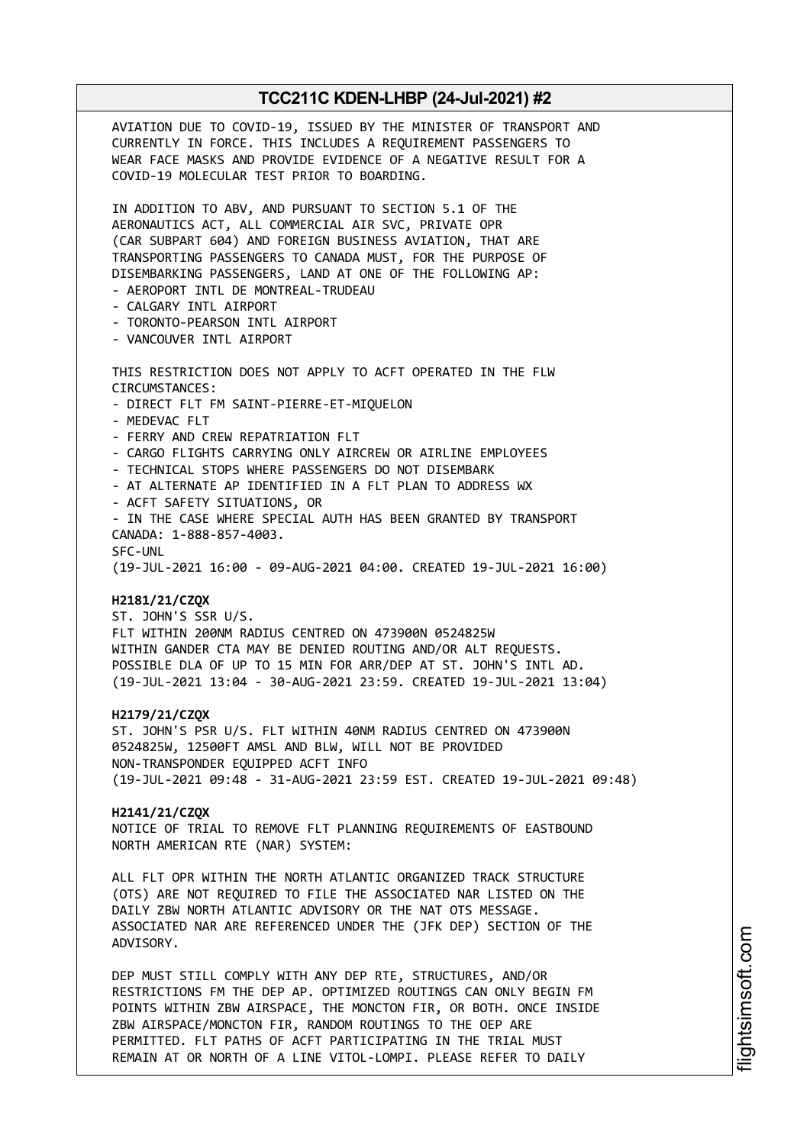AVIATION DUE TO COVID-19, ISSUED BY THE MINISTER OF TRANSPORT AND CURRENTLY IN FORCE. THIS INCLUDES A REQUIREMENT PASSENGERS TO WEAR FACE MASKS AND PROVIDE EVIDENCE OF A NEGATIVE RESULT FOR A COVID-19 MOLECULAR TEST PRIOR TO BOARDING. IN ADDITION TO ABV, AND PURSUANT TO SECTION 5.1 OF THE AERONAUTICS ACT, ALL COMMERCIAL AIR SVC, PRIVATE OPR (CAR SUBPART 604) AND FOREIGN BUSINESS AVIATION, THAT ARE TRANSPORTING PASSENGERS TO CANADA MUST, FOR THE PURPOSE OF DISEMBARKING PASSENGERS, LAND AT ONE OF THE FOLLOWING AP: - AEROPORT INTL DE MONTREAL-TRUDEAU - CALGARY INTL AIRPORT - TORONTO-PEARSON INTL AIRPORT - VANCOUVER INTL AIRPORT THIS RESTRICTION DOES NOT APPLY TO ACFT OPERATED IN THE FLW CIRCUMSTANCES: - DIRECT FLT FM SAINT-PIERRE-ET-MIQUELON - MEDEVAC FLT - FERRY AND CREW REPATRIATION FLT - CARGO FLIGHTS CARRYING ONLY AIRCREW OR AIRLINE EMPLOYEES - TECHNICAL STOPS WHERE PASSENGERS DO NOT DISEMBARK - AT ALTERNATE AP IDENTIFIED IN A FLT PLAN TO ADDRESS WX - ACFT SAFETY SITUATIONS, OR - IN THE CASE WHERE SPECIAL AUTH HAS BEEN GRANTED BY TRANSPORT CANADA: 1-888-857-4003. SFC-UNL (19-JUL-2021 16:00 - 09-AUG-2021 04:00. CREATED 19-JUL-2021 16:00) **H2181/21/CZQX** ST. JOHN'S SSR U/S. FLT WITHIN 200NM RADIUS CENTRED ON 473900N 0524825W WITHIN GANDER CTA MAY BE DENIED ROUTING AND/OR ALT REQUESTS. POSSIBLE DLA OF UP TO 15 MIN FOR ARR/DEP AT ST. JOHN'S INTL AD. (19-JUL-2021 13:04 - 30-AUG-2021 23:59. CREATED 19-JUL-2021 13:04) **H2179/21/CZQX** ST. JOHN'S PSR U/S. FLT WITHIN 40NM RADIUS CENTRED ON 473900N 0524825W, 12500FT AMSL AND BLW, WILL NOT BE PROVIDED NON-TRANSPONDER EQUIPPED ACFT INFO (19-JUL-2021 09:48 - 31-AUG-2021 23:59 EST. CREATED 19-JUL-2021 09:48) **H2141/21/CZQX** NOTICE OF TRIAL TO REMOVE FLT PLANNING REQUIREMENTS OF EASTBOUND NORTH AMERICAN RTE (NAR) SYSTEM: ALL FLT OPR WITHIN THE NORTH ATLANTIC ORGANIZED TRACK STRUCTURE (OTS) ARE NOT REQUIRED TO FILE THE ASSOCIATED NAR LISTED ON THE DAILY ZBW NORTH ATLANTIC ADVISORY OR THE NAT OTS MESSAGE. ASSOCIATED NAR ARE REFERENCED UNDER THE (JFK DEP) SECTION OF THE ADVISORY. DEP MUST STILL COMPLY WITH ANY DEP RTE, STRUCTURES, AND/OR RESTRICTIONS FM THE DEP AP. OPTIMIZED ROUTINGS CAN ONLY BEGIN FM POINTS WITHIN ZBW AIRSPACE, THE MONCTON FIR, OR BOTH. ONCE INSIDE ZBW AIRSPACE/MONCTON FIR, RANDOM ROUTINGS TO THE OEP ARE PERMITTED. FLT PATHS OF ACFT PARTICIPATING IN THE TRIAL MUST

REMAIN AT OR NORTH OF A LINE VITOL-LOMPI. PLEASE REFER TO DAILY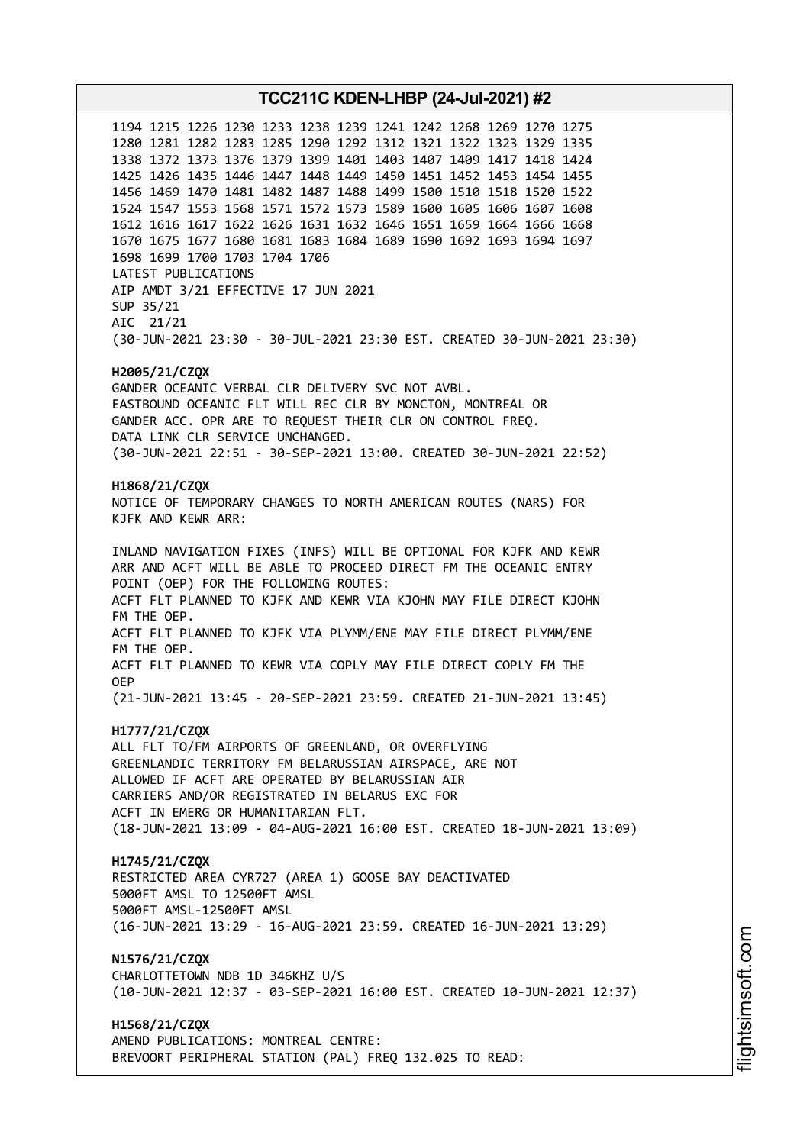1194 1215 1226 1230 1233 1238 1239 1241 1242 1268 1269 1270 1275 1280 1281 1282 1283 1285 1290 1292 1312 1321 1322 1323 1329 1335 1338 1372 1373 1376 1379 1399 1401 1403 1407 1409 1417 1418 1424 1425 1426 1435 1446 1447 1448 1449 1450 1451 1452 1453 1454 1455 1456 1469 1470 1481 1482 1487 1488 1499 1500 1510 1518 1520 1522 1524 1547 1553 1568 1571 1572 1573 1589 1600 1605 1606 1607 1608 1612 1616 1617 1622 1626 1631 1632 1646 1651 1659 1664 1666 1668 1670 1675 1677 1680 1681 1683 1684 1689 1690 1692 1693 1694 1697 1698 1699 1700 1703 1704 1706 LATEST PUBLICATIONS AIP AMDT 3/21 EFFECTIVE 17 JUN 2021 SUP 35/21 AIC 21/21 (30-JUN-2021 23:30 - 30-JUL-2021 23:30 EST. CREATED 30-JUN-2021 23:30) **H2005/21/CZQX** GANDER OCEANIC VERBAL CLR DELIVERY SVC NOT AVBL. EASTBOUND OCEANIC FLT WILL REC CLR BY MONCTON, MONTREAL OR GANDER ACC. OPR ARE TO REQUEST THEIR CLR ON CONTROL FREQ. DATA LINK CLR SERVICE UNCHANGED. (30-JUN-2021 22:51 - 30-SEP-2021 13:00. CREATED 30-JUN-2021 22:52) **H1868/21/CZQX** NOTICE OF TEMPORARY CHANGES TO NORTH AMERICAN ROUTES (NARS) FOR KJFK AND KEWR ARR: INLAND NAVIGATION FIXES (INFS) WILL BE OPTIONAL FOR KJFK AND KEWR ARR AND ACFT WILL BE ABLE TO PROCEED DIRECT FM THE OCEANIC ENTRY POINT (OEP) FOR THE FOLLOWING ROUTES: ACFT FLT PLANNED TO KJFK AND KEWR VIA KJOHN MAY FILE DIRECT KJOHN FM THE OEP. ACFT FLT PLANNED TO KJFK VIA PLYMM/ENE MAY FILE DIRECT PLYMM/ENE FM THE OEP. ACFT FLT PLANNED TO KEWR VIA COPLY MAY FILE DIRECT COPLY FM THE OEP (21-JUN-2021 13:45 - 20-SEP-2021 23:59. CREATED 21-JUN-2021 13:45) **H1777/21/CZQX** ALL FLT TO/FM AIRPORTS OF GREENLAND, OR OVERFLYING GREENLANDIC TERRITORY FM BELARUSSIAN AIRSPACE, ARE NOT ALLOWED IF ACFT ARE OPERATED BY BELARUSSIAN AIR CARRIERS AND/OR REGISTRATED IN BELARUS EXC FOR ACFT IN EMERG OR HUMANITARIAN FLT. (18-JUN-2021 13:09 - 04-AUG-2021 16:00 EST. CREATED 18-JUN-2021 13:09) **H1745/21/CZQX** RESTRICTED AREA CYR727 (AREA 1) GOOSE BAY DEACTIVATED 5000FT AMSL TO 12500FT AMSL 5000FT AMSL-12500FT AMSL (16-JUN-2021 13:29 - 16-AUG-2021 23:59. CREATED 16-JUN-2021 13:29) **N1576/21/CZQX** CHARLOTTETOWN NDB 1D 346KHZ U/S (10-JUN-2021 12:37 - 03-SEP-2021 16:00 EST. CREATED 10-JUN-2021 12:37) **H1568/21/CZQX** AMEND PUBLICATIONS: MONTREAL CENTRE: BREVOORT PERIPHERAL STATION (PAL) FREQ 132.025 TO READ: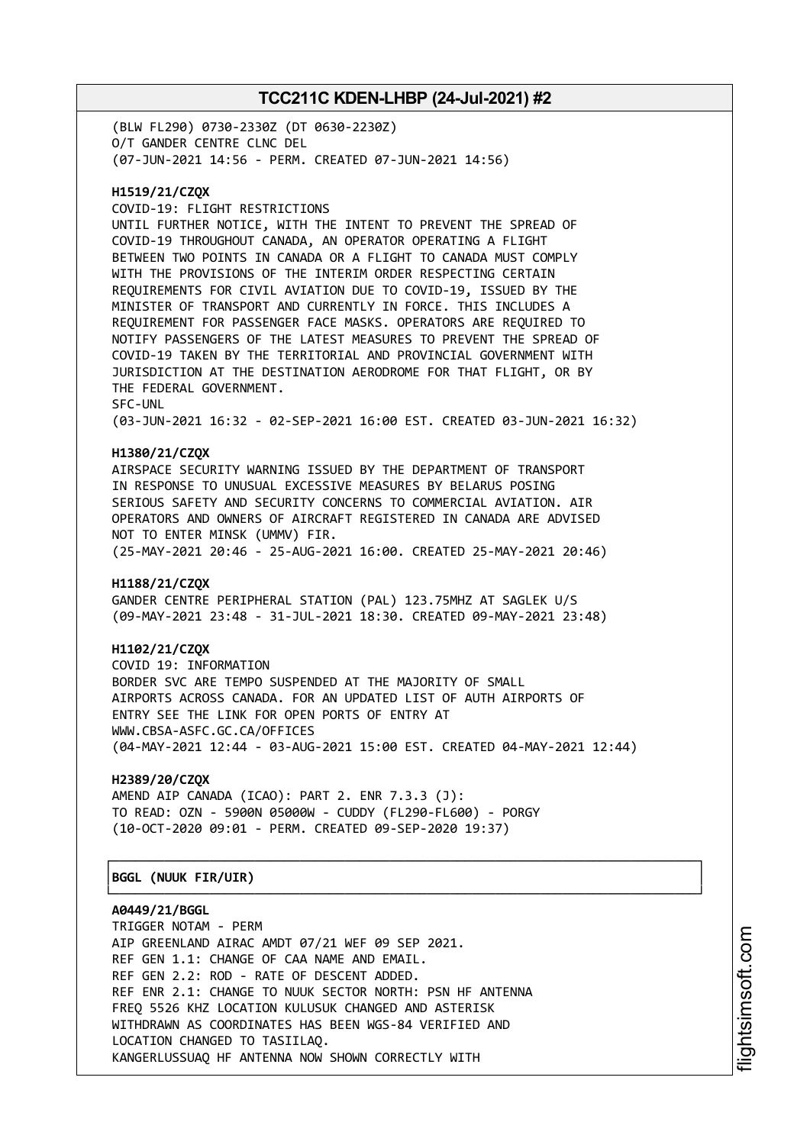(BLW FL290) 0730-2330Z (DT 0630-2230Z) O/T GANDER CENTRE CLNC DEL (07-JUN-2021 14:56 - PERM. CREATED 07-JUN-2021 14:56)

### **H1519/21/CZQX**

COVID-19: FLIGHT RESTRICTIONS UNTIL FURTHER NOTICE, WITH THE INTENT TO PREVENT THE SPREAD OF COVID-19 THROUGHOUT CANADA, AN OPERATOR OPERATING A FLIGHT BETWEEN TWO POINTS IN CANADA OR A FLIGHT TO CANADA MUST COMPLY WITH THE PROVISIONS OF THE INTERIM ORDER RESPECTING CERTAIN REQUIREMENTS FOR CIVIL AVIATION DUE TO COVID-19, ISSUED BY THE MINISTER OF TRANSPORT AND CURRENTLY IN FORCE. THIS INCLUDES A REQUIREMENT FOR PASSENGER FACE MASKS. OPERATORS ARE REQUIRED TO NOTIFY PASSENGERS OF THE LATEST MEASURES TO PREVENT THE SPREAD OF COVID-19 TAKEN BY THE TERRITORIAL AND PROVINCIAL GOVERNMENT WITH JURISDICTION AT THE DESTINATION AERODROME FOR THAT FLIGHT, OR BY THE FEDERAL GOVERNMENT. SFC-UNL (03-JUN-2021 16:32 - 02-SEP-2021 16:00 EST. CREATED 03-JUN-2021 16:32)

#### **H1380/21/CZQX**

AIRSPACE SECURITY WARNING ISSUED BY THE DEPARTMENT OF TRANSPORT IN RESPONSE TO UNUSUAL EXCESSIVE MEASURES BY BELARUS POSING SERIOUS SAFETY AND SECURITY CONCERNS TO COMMERCIAL AVIATION. AIR OPERATORS AND OWNERS OF AIRCRAFT REGISTERED IN CANADA ARE ADVISED NOT TO ENTER MINSK (UMMV) FIR. (25-MAY-2021 20:46 - 25-AUG-2021 16:00. CREATED 25-MAY-2021 20:46)

#### **H1188/21/CZQX**

GANDER CENTRE PERIPHERAL STATION (PAL) 123.75MHZ AT SAGLEK U/S (09-MAY-2021 23:48 - 31-JUL-2021 18:30. CREATED 09-MAY-2021 23:48)

#### **H1102/21/CZQX**

COVID 19: INFORMATION BORDER SVC ARE TEMPO SUSPENDED AT THE MAJORITY OF SMALL AIRPORTS ACROSS CANADA. FOR AN UPDATED LIST OF AUTH AIRPORTS OF ENTRY SEE THE LINK FOR OPEN PORTS OF ENTRY AT WWW.CBSA-ASFC.GC.CA/OFFICES (04-MAY-2021 12:44 - 03-AUG-2021 15:00 EST. CREATED 04-MAY-2021 12:44)

┌──────────────────────────────────────────────────────────────────────────────┐

└──────────────────────────────────────────────────────────────────────────────┘

### **H2389/20/CZQX**

AMEND AIP CANADA (ICAO): PART 2. ENR 7.3.3 (J): TO READ: OZN - 5900N 05000W - CUDDY (FL290-FL600) - PORGY (10-OCT-2020 09:01 - PERM. CREATED 09-SEP-2020 19:37)

#### │**BGGL (NUUK FIR/UIR)** │

**A0449/21/BGGL**

TRIGGER NOTAM - PERM AIP GREENLAND AIRAC AMDT 07/21 WEF 09 SEP 2021. REF GEN 1.1: CHANGE OF CAA NAME AND EMAIL. REF GEN 2.2: ROD - RATE OF DESCENT ADDED. REF ENR 2.1: CHANGE TO NUUK SECTOR NORTH: PSN HF ANTENNA FREQ 5526 KHZ LOCATION KULUSUK CHANGED AND ASTERISK WITHDRAWN AS COORDINATES HAS BEEN WGS-84 VERIFIED AND LOCATION CHANGED TO TASIILAQ. KANGERLUSSUAQ HF ANTENNA NOW SHOWN CORRECTLY WITH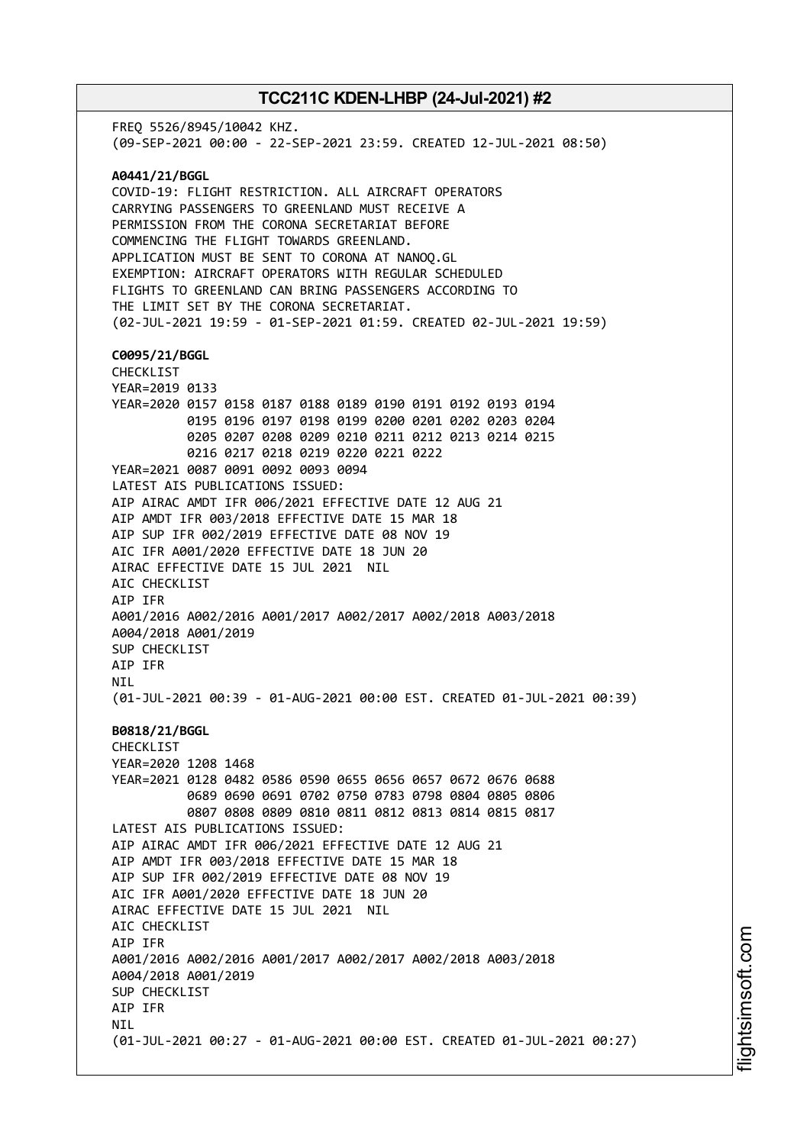FREQ 5526/8945/10042 KHZ. (09-SEP-2021 00:00 - 22-SEP-2021 23:59. CREATED 12-JUL-2021 08:50) **A0441/21/BGGL** COVID-19: FLIGHT RESTRICTION. ALL AIRCRAFT OPERATORS CARRYING PASSENGERS TO GREENLAND MUST RECEIVE A PERMISSION FROM THE CORONA SECRETARIAT BEFORE COMMENCING THE FLIGHT TOWARDS GREENLAND. APPLICATION MUST BE SENT TO CORONA AT NANOQ.GL EXEMPTION: AIRCRAFT OPERATORS WITH REGULAR SCHEDULED FLIGHTS TO GREENLAND CAN BRING PASSENGERS ACCORDING TO THE LIMIT SET BY THE CORONA SECRETARIAT. (02-JUL-2021 19:59 - 01-SEP-2021 01:59. CREATED 02-JUL-2021 19:59) **C0095/21/BGGL** CHECKLIST YEAR=2019 0133 YEAR=2020 0157 0158 0187 0188 0189 0190 0191 0192 0193 0194 0195 0196 0197 0198 0199 0200 0201 0202 0203 0204 0205 0207 0208 0209 0210 0211 0212 0213 0214 0215 0216 0217 0218 0219 0220 0221 0222 YEAR=2021 0087 0091 0092 0093 0094 LATEST AIS PUBLICATIONS ISSUED: AIP AIRAC AMDT IFR 006/2021 EFFECTIVE DATE 12 AUG 21 AIP AMDT IFR 003/2018 EFFECTIVE DATE 15 MAR 18 AIP SUP IFR 002/2019 EFFECTIVE DATE 08 NOV 19 AIC IFR A001/2020 EFFECTIVE DATE 18 JUN 20 AIRAC EFFECTIVE DATE 15 JUL 2021 NIL AIC CHECKLIST AIP IFR A001/2016 A002/2016 A001/2017 A002/2017 A002/2018 A003/2018 A004/2018 A001/2019 SUP CHECKLIST AIP IFR NIL (01-JUL-2021 00:39 - 01-AUG-2021 00:00 EST. CREATED 01-JUL-2021 00:39) **B0818/21/BGGL** CHECKLIST YEAR=2020 1208 1468 YEAR=2021 0128 0482 0586 0590 0655 0656 0657 0672 0676 0688 0689 0690 0691 0702 0750 0783 0798 0804 0805 0806 0807 0808 0809 0810 0811 0812 0813 0814 0815 0817 LATEST AIS PUBLICATIONS ISSUED: AIP AIRAC AMDT IFR 006/2021 EFFECTIVE DATE 12 AUG 21 AIP AMDT IFR 003/2018 EFFECTIVE DATE 15 MAR 18 AIP SUP IFR 002/2019 EFFECTIVE DATE 08 NOV 19 AIC IFR A001/2020 EFFECTIVE DATE 18 JUN 20 AIRAC EFFECTIVE DATE 15 JUL 2021 NIL AIC CHECKLIST AIP IFR A001/2016 A002/2016 A001/2017 A002/2017 A002/2018 A003/2018 A004/2018 A001/2019 SUP CHECKLIST AIP IFR **NTI** (01-JUL-2021 00:27 - 01-AUG-2021 00:00 EST. CREATED 01-JUL-2021 00:27)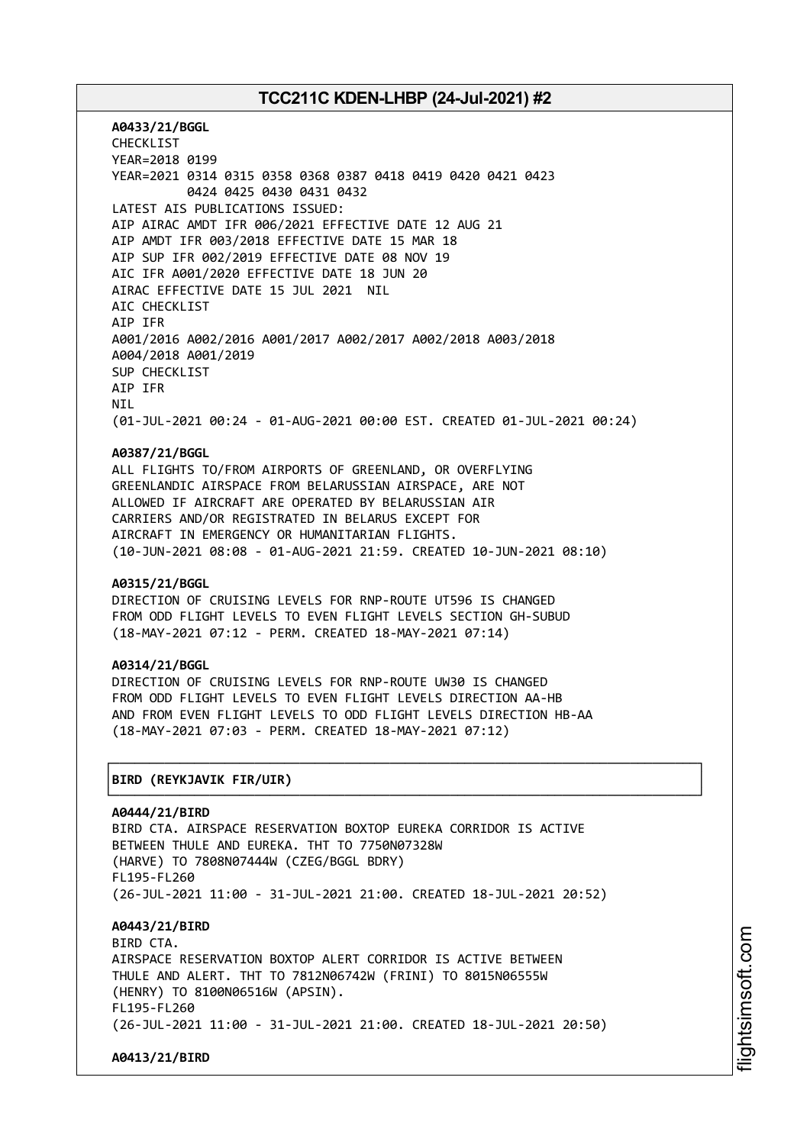**A0433/21/BGGL** CHECKLIST YEAR=2018 0199 YEAR=2021 0314 0315 0358 0368 0387 0418 0419 0420 0421 0423 0424 0425 0430 0431 0432 LATEST AIS PUBLICATIONS ISSUED: AIP AIRAC AMDT IFR 006/2021 EFFECTIVE DATE 12 AUG 21 AIP AMDT IFR 003/2018 EFFECTIVE DATE 15 MAR 18 AIP SUP IFR 002/2019 EFFECTIVE DATE 08 NOV 19 AIC IFR A001/2020 EFFECTIVE DATE 18 JUN 20 AIRAC EFFECTIVE DATE 15 JUL 2021 NIL AIC CHECKLIST AIP IFR A001/2016 A002/2016 A001/2017 A002/2017 A002/2018 A003/2018 A004/2018 A001/2019 SUP CHECKLIST AIP IFR NIL (01-JUL-2021 00:24 - 01-AUG-2021 00:00 EST. CREATED 01-JUL-2021 00:24)

#### **A0387/21/BGGL**

ALL FLIGHTS TO/FROM AIRPORTS OF GREENLAND, OR OVERFLYING GREENLANDIC AIRSPACE FROM BELARUSSIAN AIRSPACE, ARE NOT ALLOWED IF AIRCRAFT ARE OPERATED BY BELARUSSIAN AIR CARRIERS AND/OR REGISTRATED IN BELARUS EXCEPT FOR AIRCRAFT IN EMERGENCY OR HUMANITARIAN FLIGHTS. (10-JUN-2021 08:08 - 01-AUG-2021 21:59. CREATED 10-JUN-2021 08:10)

#### **A0315/21/BGGL**

DIRECTION OF CRUISING LEVELS FOR RNP-ROUTE UT596 IS CHANGED FROM ODD FLIGHT LEVELS TO EVEN FLIGHT LEVELS SECTION GH-SUBUD (18-MAY-2021 07:12 - PERM. CREATED 18-MAY-2021 07:14)

#### **A0314/21/BGGL**

DIRECTION OF CRUISING LEVELS FOR RNP-ROUTE UW30 IS CHANGED FROM ODD FLIGHT LEVELS TO EVEN FLIGHT LEVELS DIRECTION AA-HB AND FROM EVEN FLIGHT LEVELS TO ODD FLIGHT LEVELS DIRECTION HB-AA (18-MAY-2021 07:03 - PERM. CREATED 18-MAY-2021 07:12)

┌──────────────────────────────────────────────────────────────────────────────┐

└──────────────────────────────────────────────────────────────────────────────┘

### │**BIRD (REYKJAVIK FIR/UIR)** │

**A0444/21/BIRD** BIRD CTA. AIRSPACE RESERVATION BOXTOP EUREKA CORRIDOR IS ACTIVE BETWEEN THULE AND EUREKA. THT TO 7750N07328W (HARVE) TO 7808N07444W (CZEG/BGGL BDRY) FL195-FL260 (26-JUL-2021 11:00 - 31-JUL-2021 21:00. CREATED 18-JUL-2021 20:52) **A0443/21/BIRD** RTRD CTA AIRSPACE RESERVATION BOXTOP ALERT CORRIDOR IS ACTIVE BETWEEN THULE AND ALERT. THT TO 7812N06742W (FRINI) TO 8015N06555W (HENRY) TO 8100N06516W (APSIN). FL195-FL260 (26-JUL-2021 11:00 - 31-JUL-2021 21:00. CREATED 18-JUL-2021 20:50)

**A0413/21/BIRD**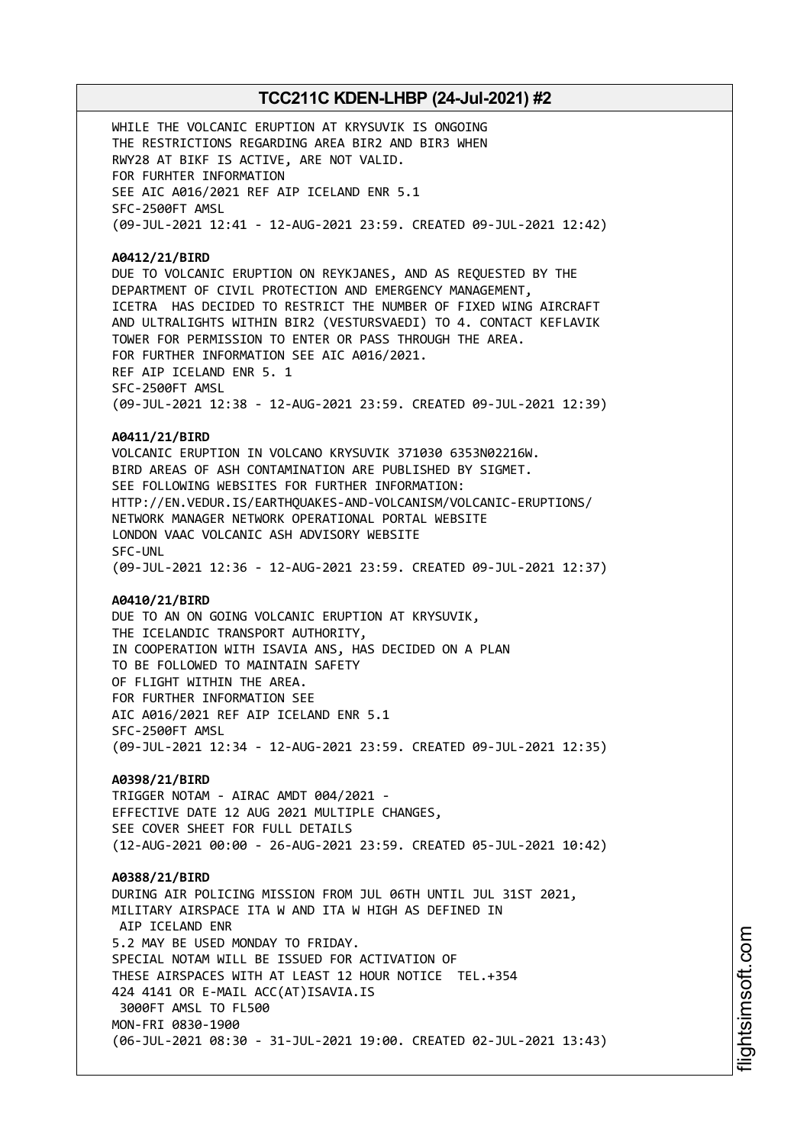WHILE THE VOLCANIC ERUPTION AT KRYSUVIK IS ONGOING THE RESTRICTIONS REGARDING AREA BIR2 AND BIR3 WHEN RWY28 AT BIKF IS ACTIVE, ARE NOT VALID. FOR FURHTER INFORMATION SEE AIC A016/2021 REF AIP ICELAND ENR 5.1 SFC-2500FT AMSL (09-JUL-2021 12:41 - 12-AUG-2021 23:59. CREATED 09-JUL-2021 12:42)

#### **A0412/21/BIRD**

DUE TO VOLCANIC ERUPTION ON REYKJANES, AND AS REQUESTED BY THE DEPARTMENT OF CIVIL PROTECTION AND EMERGENCY MANAGEMENT, ICETRA HAS DECIDED TO RESTRICT THE NUMBER OF FIXED WING AIRCRAFT AND ULTRALIGHTS WITHIN BIR2 (VESTURSVAEDI) TO 4. CONTACT KEFLAVIK TOWER FOR PERMISSION TO ENTER OR PASS THROUGH THE AREA. FOR FURTHER INFORMATION SEE AIC A016/2021. REF AIP ICELAND ENR 5. 1 SFC-2500FT AMSL (09-JUL-2021 12:38 - 12-AUG-2021 23:59. CREATED 09-JUL-2021 12:39)

### **A0411/21/BIRD**

VOLCANIC ERUPTION IN VOLCANO KRYSUVIK 371030 6353N02216W. BIRD AREAS OF ASH CONTAMINATION ARE PUBLISHED BY SIGMET. SEE FOLLOWING WEBSITES FOR FURTHER INFORMATION: HTTP://EN.VEDUR.IS/EARTHQUAKES-AND-VOLCANISM/VOLCANIC-ERUPTIONS/ NETWORK MANAGER NETWORK OPERATIONAL PORTAL WEBSITE LONDON VAAC VOLCANIC ASH ADVISORY WEBSITE SFC-UNL (09-JUL-2021 12:36 - 12-AUG-2021 23:59. CREATED 09-JUL-2021 12:37)

#### **A0410/21/BIRD**

DUE TO AN ON GOING VOLCANIC ERUPTION AT KRYSUVIK, THE ICELANDIC TRANSPORT AUTHORITY, IN COOPERATION WITH ISAVIA ANS, HAS DECIDED ON A PLAN TO BE FOLLOWED TO MAINTAIN SAFETY OF FLIGHT WITHIN THE AREA. FOR FURTHER INFORMATION SEE AIC A016/2021 REF AIP ICELAND ENR 5.1 SFC-2500FT AMSL (09-JUL-2021 12:34 - 12-AUG-2021 23:59. CREATED 09-JUL-2021 12:35)

**A0398/21/BIRD** TRIGGER NOTAM - AIRAC AMDT 004/2021 - EFFECTIVE DATE 12 AUG 2021 MULTIPLE CHANGES, SEE COVER SHEET FOR FULL DETAILS (12-AUG-2021 00:00 - 26-AUG-2021 23:59. CREATED 05-JUL-2021 10:42)

**A0388/21/BIRD** DURING AIR POLICING MISSION FROM JUL 06TH UNTIL JUL 31ST 2021, MILITARY AIRSPACE ITA W AND ITA W HIGH AS DEFINED IN AIP ICELAND ENR 5.2 MAY BE USED MONDAY TO FRIDAY. SPECIAL NOTAM WILL BE ISSUED FOR ACTIVATION OF THESE AIRSPACES WITH AT LEAST 12 HOUR NOTICE TEL.+354 424 4141 OR E-MAIL ACC(AT)ISAVIA.IS 3000FT AMSL TO FL500 MON-FRI 0830-1900 (06-JUL-2021 08:30 - 31-JUL-2021 19:00. CREATED 02-JUL-2021 13:43)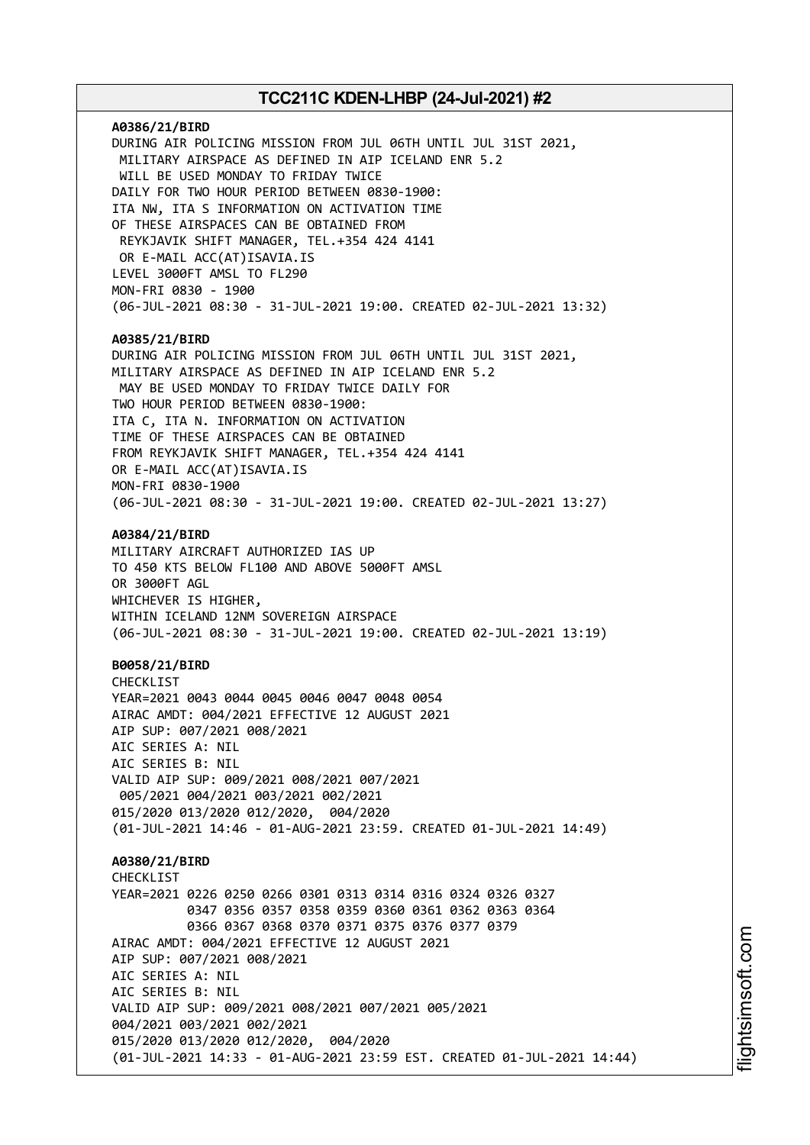**A0386/21/BIRD** DURING AIR POLICING MISSION FROM JUL 06TH UNTIL JUL 31ST 2021, MILITARY AIRSPACE AS DEFINED IN AIP ICELAND ENR 5.2 WILL BE USED MONDAY TO FRIDAY TWICE DAILY FOR TWO HOUR PERIOD BETWEEN 0830-1900: ITA NW, ITA S INFORMATION ON ACTIVATION TIME OF THESE AIRSPACES CAN BE OBTAINED FROM REYKJAVIK SHIFT MANAGER, TEL.+354 424 4141 OR E-MAIL ACC(AT)ISAVIA.IS LEVEL 3000FT AMSL TO FL290 MON-FRI 0830 - 1900 (06-JUL-2021 08:30 - 31-JUL-2021 19:00. CREATED 02-JUL-2021 13:32) **A0385/21/BIRD** DURING AIR POLICING MISSION FROM JUL 06TH UNTIL JUL 31ST 2021, MILITARY AIRSPACE AS DEFINED IN AIP ICELAND ENR 5.2 MAY BE USED MONDAY TO FRIDAY TWICE DAILY FOR TWO HOUR PERIOD BETWEEN 0830-1900: ITA C, ITA N. INFORMATION ON ACTIVATION TIME OF THESE AIRSPACES CAN BE OBTAINED FROM REYKJAVIK SHIFT MANAGER, TEL.+354 424 4141 OR E-MAIL ACC(AT)ISAVIA.IS MON-FRI 0830-1900 (06-JUL-2021 08:30 - 31-JUL-2021 19:00. CREATED 02-JUL-2021 13:27) **A0384/21/BIRD** MILITARY AIRCRAFT AUTHORIZED IAS UP TO 450 KTS BELOW FL100 AND ABOVE 5000FT AMSL OR 3000FT AGL WHICHEVER IS HIGHER, WITHIN ICELAND 12NM SOVEREIGN AIRSPACE (06-JUL-2021 08:30 - 31-JUL-2021 19:00. CREATED 02-JUL-2021 13:19) **B0058/21/BIRD** CHECKLIST YEAR=2021 0043 0044 0045 0046 0047 0048 0054 AIRAC AMDT: 004/2021 EFFECTIVE 12 AUGUST 2021 AIP SUP: 007/2021 008/2021 AIC SERIES A: NIL AIC SERIES B: NIL VALID AIP SUP: 009/2021 008/2021 007/2021 005/2021 004/2021 003/2021 002/2021 015/2020 013/2020 012/2020, 004/2020 (01-JUL-2021 14:46 - 01-AUG-2021 23:59. CREATED 01-JUL-2021 14:49) **A0380/21/BIRD CHECKLIST** YEAR=2021 0226 0250 0266 0301 0313 0314 0316 0324 0326 0327 0347 0356 0357 0358 0359 0360 0361 0362 0363 0364 0366 0367 0368 0370 0371 0375 0376 0377 0379 AIRAC AMDT: 004/2021 EFFECTIVE 12 AUGUST 2021 AIP SUP: 007/2021 008/2021 AIC SERIES A: NIL AIC SERIES B: NIL VALID AIP SUP: 009/2021 008/2021 007/2021 005/2021 004/2021 003/2021 002/2021 015/2020 013/2020 012/2020, 004/2020 (01-JUL-2021 14:33 - 01-AUG-2021 23:59 EST. CREATED 01-JUL-2021 14:44)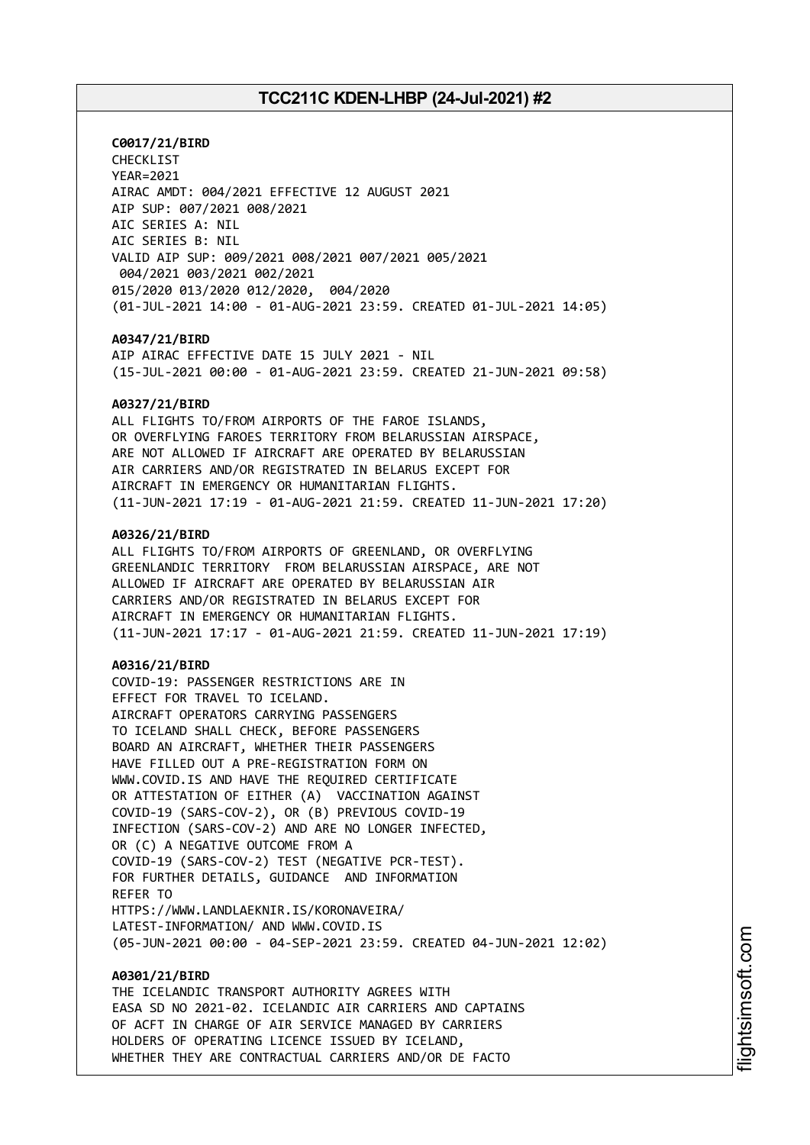**C0017/21/BIRD** CHECKLIST YEAR=2021 AIRAC AMDT: 004/2021 EFFECTIVE 12 AUGUST 2021 AIP SUP: 007/2021 008/2021 AIC SERIES A: NIL AIC SERIES B: NIL VALID AIP SUP: 009/2021 008/2021 007/2021 005/2021 004/2021 003/2021 002/2021 015/2020 013/2020 012/2020, 004/2020 (01-JUL-2021 14:00 - 01-AUG-2021 23:59. CREATED 01-JUL-2021 14:05)

#### **A0347/21/BIRD**

AIP AIRAC EFFECTIVE DATE 15 JULY 2021 - NIL (15-JUL-2021 00:00 - 01-AUG-2021 23:59. CREATED 21-JUN-2021 09:58)

#### **A0327/21/BIRD**

ALL FLIGHTS TO/FROM AIRPORTS OF THE FAROE ISLANDS, OR OVERFLYING FAROES TERRITORY FROM BELARUSSIAN AIRSPACE, ARE NOT ALLOWED IF AIRCRAFT ARE OPERATED BY BELARUSSIAN AIR CARRIERS AND/OR REGISTRATED IN BELARUS EXCEPT FOR AIRCRAFT IN EMERGENCY OR HUMANITARIAN FLIGHTS. (11-JUN-2021 17:19 - 01-AUG-2021 21:59. CREATED 11-JUN-2021 17:20)

#### **A0326/21/BIRD**

ALL FLIGHTS TO/FROM AIRPORTS OF GREENLAND, OR OVERFLYING GREENLANDIC TERRITORY FROM BELARUSSIAN AIRSPACE, ARE NOT ALLOWED IF AIRCRAFT ARE OPERATED BY BELARUSSIAN AIR CARRIERS AND/OR REGISTRATED IN BELARUS EXCEPT FOR AIRCRAFT IN EMERGENCY OR HUMANITARIAN FLIGHTS. (11-JUN-2021 17:17 - 01-AUG-2021 21:59. CREATED 11-JUN-2021 17:19)

### **A0316/21/BIRD**

COVID-19: PASSENGER RESTRICTIONS ARE IN EFFECT FOR TRAVEL TO ICELAND. AIRCRAFT OPERATORS CARRYING PASSENGERS TO ICELAND SHALL CHECK, BEFORE PASSENGERS BOARD AN AIRCRAFT, WHETHER THEIR PASSENGERS HAVE FILLED OUT A PRE-REGISTRATION FORM ON WWW.COVID.IS AND HAVE THE REQUIRED CERTIFICATE OR ATTESTATION OF EITHER (A) VACCINATION AGAINST COVID-19 (SARS-COV-2), OR (B) PREVIOUS COVID-19 INFECTION (SARS-COV-2) AND ARE NO LONGER INFECTED, OR (C) A NEGATIVE OUTCOME FROM A COVID-19 (SARS-COV-2) TEST (NEGATIVE PCR-TEST). FOR FURTHER DETAILS, GUIDANCE AND INFORMATION REFER TO HTTPS://WWW.LANDLAEKNIR.IS/KORONAVEIRA/ LATEST-INFORMATION/ AND WWW.COVID.IS (05-JUN-2021 00:00 - 04-SEP-2021 23:59. CREATED 04-JUN-2021 12:02)

#### **A0301/21/BIRD**

THE ICELANDIC TRANSPORT AUTHORITY AGREES WITH EASA SD NO 2021-02. ICELANDIC AIR CARRIERS AND CAPTAINS OF ACFT IN CHARGE OF AIR SERVICE MANAGED BY CARRIERS HOLDERS OF OPERATING LICENCE ISSUED BY ICELAND, WHETHER THEY ARE CONTRACTUAL CARRIERS AND/OR DE FACTO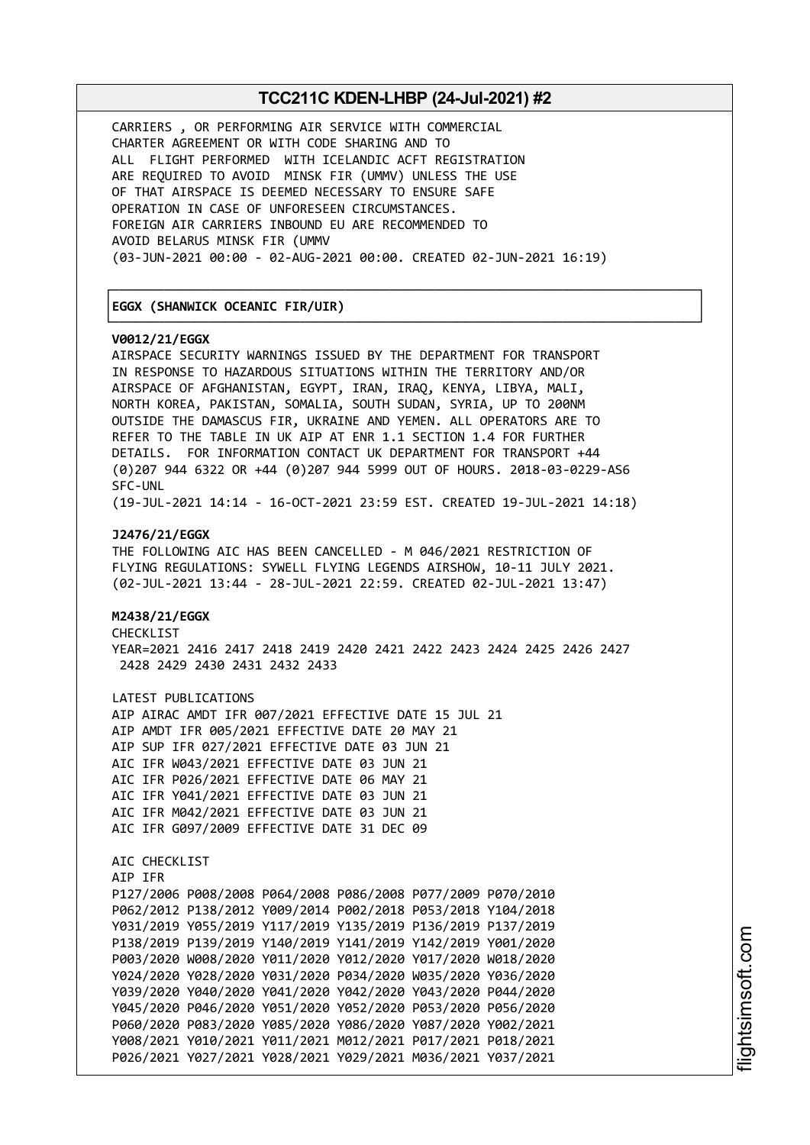┌──────────────────────────────────────────────────────────────────────────────┐

└──────────────────────────────────────────────────────────────────────────────┘

CARRIERS , OR PERFORMING AIR SERVICE WITH COMMERCIAL CHARTER AGREEMENT OR WITH CODE SHARING AND TO ALL FLIGHT PERFORMED WITH ICELANDIC ACFT REGISTRATION ARE REQUIRED TO AVOID MINSK FIR (UMMV) UNLESS THE USE OF THAT AIRSPACE IS DEEMED NECESSARY TO ENSURE SAFE OPERATION IN CASE OF UNFORESEEN CIRCUMSTANCES. FOREIGN AIR CARRIERS INBOUND EU ARE RECOMMENDED TO AVOID BELARUS MINSK FIR (UMMV (03-JUN-2021 00:00 - 02-AUG-2021 00:00. CREATED 02-JUN-2021 16:19)

### │**EGGX (SHANWICK OCEANIC FIR/UIR)** │

#### **V0012/21/EGGX**

AIRSPACE SECURITY WARNINGS ISSUED BY THE DEPARTMENT FOR TRANSPORT IN RESPONSE TO HAZARDOUS SITUATIONS WITHIN THE TERRITORY AND/OR AIRSPACE OF AFGHANISTAN, EGYPT, IRAN, IRAQ, KENYA, LIBYA, MALI, NORTH KOREA, PAKISTAN, SOMALIA, SOUTH SUDAN, SYRIA, UP TO 200NM OUTSIDE THE DAMASCUS FIR, UKRAINE AND YEMEN. ALL OPERATORS ARE TO REFER TO THE TABLE IN UK AIP AT ENR 1.1 SECTION 1.4 FOR FURTHER DETAILS. FOR INFORMATION CONTACT UK DEPARTMENT FOR TRANSPORT +44 (0)207 944 6322 OR +44 (0)207 944 5999 OUT OF HOURS. 2018-03-0229-AS6 SFC-UNL (19-JUL-2021 14:14 - 16-OCT-2021 23:59 EST. CREATED 19-JUL-2021 14:18) **J2476/21/EGGX** THE FOLLOWING AIC HAS BEEN CANCELLED - M 046/2021 RESTRICTION OF FLYING REGULATIONS: SYWELL FLYING LEGENDS AIRSHOW, 10-11 JULY 2021. (02-JUL-2021 13:44 - 28-JUL-2021 22:59. CREATED 02-JUL-2021 13:47) **M2438/21/EGGX** CHECKLIST YEAR=2021 2416 2417 2418 2419 2420 2421 2422 2423 2424 2425 2426 2427 2428 2429 2430 2431 2432 2433 LATEST PUBLICATIONS AIP AIRAC AMDT IFR 007/2021 EFFECTIVE DATE 15 JUL 21 AIP AMDT IFR 005/2021 EFFECTIVE DATE 20 MAY 21 AIP SUP IFR 027/2021 EFFECTIVE DATE 03 JUN 21 AIC IFR W043/2021 EFFECTIVE DATE 03 JUN 21 AIC IFR P026/2021 EFFECTIVE DATE 06 MAY 21 AIC IFR Y041/2021 EFFECTIVE DATE 03 JUN 21 AIC IFR M042/2021 EFFECTIVE DATE 03 JUN 21 AIC IFR G097/2009 EFFECTIVE DATE 31 DEC 09 AIC CHECKLIST AIP IFR P127/2006 P008/2008 P064/2008 P086/2008 P077/2009 P070/2010 P062/2012 P138/2012 Y009/2014 P002/2018 P053/2018 Y104/2018 Y031/2019 Y055/2019 Y117/2019 Y135/2019 P136/2019 P137/2019 P138/2019 P139/2019 Y140/2019 Y141/2019 Y142/2019 Y001/2020

P003/2020 W008/2020 Y011/2020 Y012/2020 Y017/2020 W018/2020 Y024/2020 Y028/2020 Y031/2020 P034/2020 W035/2020 Y036/2020 Y039/2020 Y040/2020 Y041/2020 Y042/2020 Y043/2020 P044/2020 Y045/2020 P046/2020 Y051/2020 Y052/2020 P053/2020 P056/2020 P060/2020 P083/2020 Y085/2020 Y086/2020 Y087/2020 Y002/2021 Y008/2021 Y010/2021 Y011/2021 M012/2021 P017/2021 P018/2021 P026/2021 Y027/2021 Y028/2021 Y029/2021 M036/2021 Y037/2021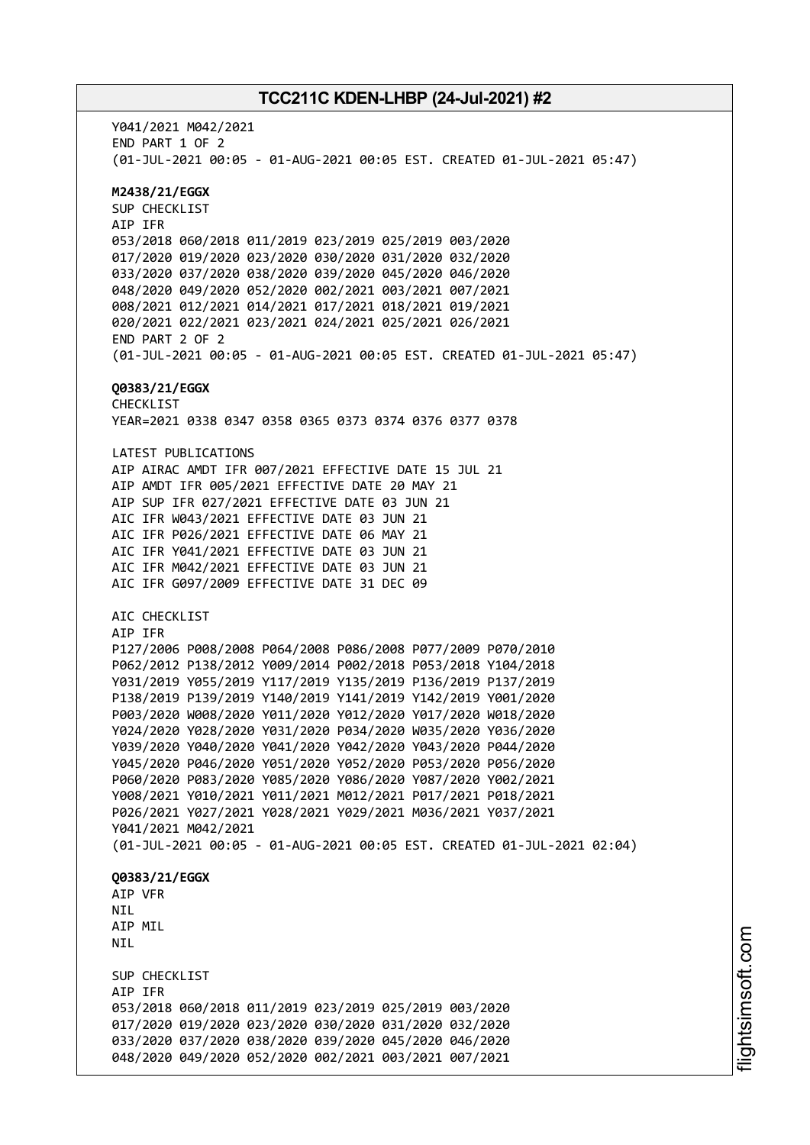Y041/2021 M042/2021 END PART 1 OF 2 (01-JUL-2021 00:05 - 01-AUG-2021 00:05 EST. CREATED 01-JUL-2021 05:47) **M2438/21/EGGX** SUP CHECKLIST AIP IFR 053/2018 060/2018 011/2019 023/2019 025/2019 003/2020 017/2020 019/2020 023/2020 030/2020 031/2020 032/2020 033/2020 037/2020 038/2020 039/2020 045/2020 046/2020 048/2020 049/2020 052/2020 002/2021 003/2021 007/2021 008/2021 012/2021 014/2021 017/2021 018/2021 019/2021 020/2021 022/2021 023/2021 024/2021 025/2021 026/2021 END PART 2 OF 2 (01-JUL-2021 00:05 - 01-AUG-2021 00:05 EST. CREATED 01-JUL-2021 05:47) **Q0383/21/EGGX** CHECKLIST YEAR=2021 0338 0347 0358 0365 0373 0374 0376 0377 0378 LATEST PUBLICATIONS AIP AIRAC AMDT IFR 007/2021 EFFECTIVE DATE 15 JUL 21 AIP AMDT IFR 005/2021 EFFECTIVE DATE 20 MAY 21 AIP SUP IFR 027/2021 EFFECTIVE DATE 03 JUN 21 AIC IFR W043/2021 EFFECTIVE DATE 03 JUN 21 AIC IFR P026/2021 EFFECTIVE DATE 06 MAY 21 AIC IFR Y041/2021 EFFECTIVE DATE 03 JUN 21 AIC IFR M042/2021 EFFECTIVE DATE 03 JUN 21 AIC IFR G097/2009 EFFECTIVE DATE 31 DEC 09 AIC CHECKLIST AIP IFR P127/2006 P008/2008 P064/2008 P086/2008 P077/2009 P070/2010 P062/2012 P138/2012 Y009/2014 P002/2018 P053/2018 Y104/2018 Y031/2019 Y055/2019 Y117/2019 Y135/2019 P136/2019 P137/2019 P138/2019 P139/2019 Y140/2019 Y141/2019 Y142/2019 Y001/2020 P003/2020 W008/2020 Y011/2020 Y012/2020 Y017/2020 W018/2020 Y024/2020 Y028/2020 Y031/2020 P034/2020 W035/2020 Y036/2020 Y039/2020 Y040/2020 Y041/2020 Y042/2020 Y043/2020 P044/2020 Y045/2020 P046/2020 Y051/2020 Y052/2020 P053/2020 P056/2020 P060/2020 P083/2020 Y085/2020 Y086/2020 Y087/2020 Y002/2021 Y008/2021 Y010/2021 Y011/2021 M012/2021 P017/2021 P018/2021 P026/2021 Y027/2021 Y028/2021 Y029/2021 M036/2021 Y037/2021 Y041/2021 M042/2021 (01-JUL-2021 00:05 - 01-AUG-2021 00:05 EST. CREATED 01-JUL-2021 02:04) **Q0383/21/EGGX** AIP VFR NIL AIP MIL NIL SUP CHECKLIST AIP IFR 053/2018 060/2018 011/2019 023/2019 025/2019 003/2020 017/2020 019/2020 023/2020 030/2020 031/2020 032/2020 033/2020 037/2020 038/2020 039/2020 045/2020 046/2020 048/2020 049/2020 052/2020 002/2021 003/2021 007/2021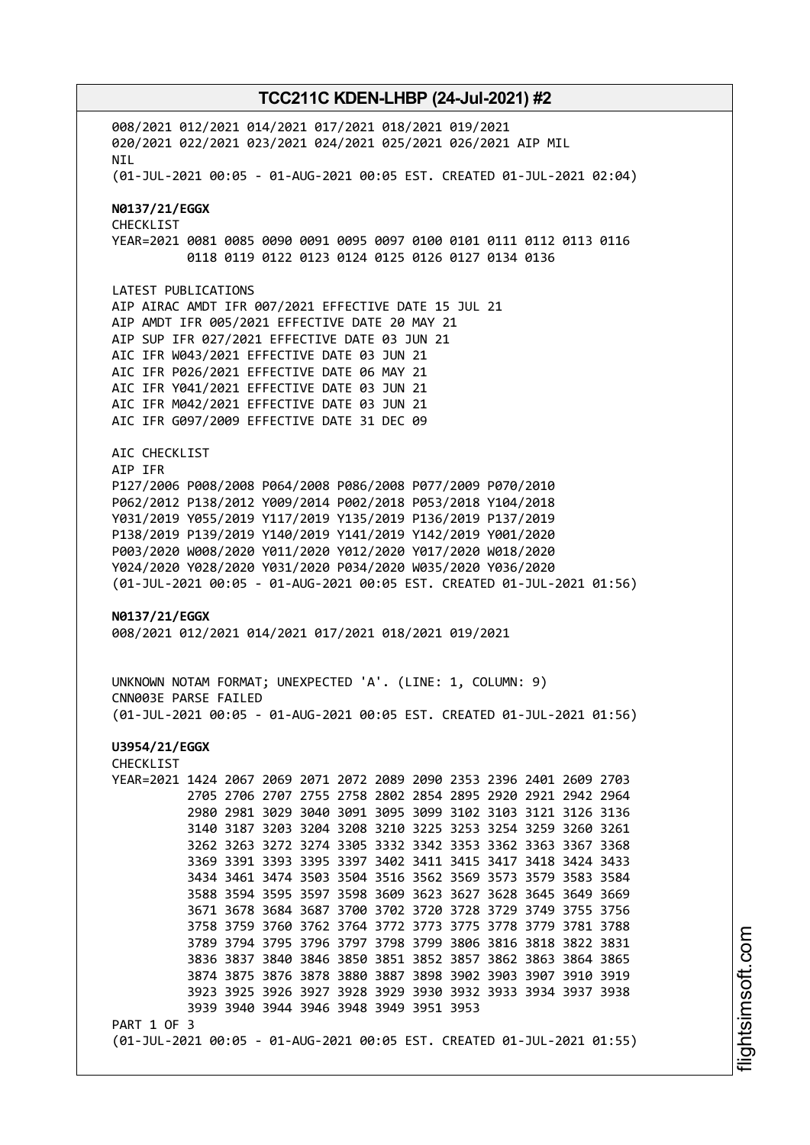008/2021 012/2021 014/2021 017/2021 018/2021 019/2021 020/2021 022/2021 023/2021 024/2021 025/2021 026/2021 AIP MIL NIL (01-JUL-2021 00:05 - 01-AUG-2021 00:05 EST. CREATED 01-JUL-2021 02:04) **N0137/21/EGGX** CHECKLIST YEAR=2021 0081 0085 0090 0091 0095 0097 0100 0101 0111 0112 0113 0116 0118 0119 0122 0123 0124 0125 0126 0127 0134 0136 LATEST PUBLICATIONS AIP AIRAC AMDT IFR 007/2021 EFFECTIVE DATE 15 JUL 21 AIP AMDT IFR 005/2021 EFFECTIVE DATE 20 MAY 21 AIP SUP IFR 027/2021 EFFECTIVE DATE 03 JUN 21 AIC IFR W043/2021 EFFECTIVE DATE 03 JUN 21 AIC IFR P026/2021 EFFECTIVE DATE 06 MAY 21 AIC IFR Y041/2021 EFFECTIVE DATE 03 JUN 21 AIC IFR M042/2021 EFFECTIVE DATE 03 JUN 21 AIC IFR G097/2009 EFFECTIVE DATE 31 DEC 09 AIC CHECKLIST AIP IFR P127/2006 P008/2008 P064/2008 P086/2008 P077/2009 P070/2010 P062/2012 P138/2012 Y009/2014 P002/2018 P053/2018 Y104/2018 Y031/2019 Y055/2019 Y117/2019 Y135/2019 P136/2019 P137/2019 P138/2019 P139/2019 Y140/2019 Y141/2019 Y142/2019 Y001/2020 P003/2020 W008/2020 Y011/2020 Y012/2020 Y017/2020 W018/2020 Y024/2020 Y028/2020 Y031/2020 P034/2020 W035/2020 Y036/2020 (01-JUL-2021 00:05 - 01-AUG-2021 00:05 EST. CREATED 01-JUL-2021 01:56) **N0137/21/EGGX** 008/2021 012/2021 014/2021 017/2021 018/2021 019/2021 UNKNOWN NOTAM FORMAT; UNEXPECTED 'A'. (LINE: 1, COLUMN: 9) CNN003E PARSE FAILED (01-JUL-2021 00:05 - 01-AUG-2021 00:05 EST. CREATED 01-JUL-2021 01:56) **U3954/21/EGGX** CHECKLIST YEAR=2021 1424 2067 2069 2071 2072 2089 2090 2353 2396 2401 2609 2703 2705 2706 2707 2755 2758 2802 2854 2895 2920 2921 2942 2964 2980 2981 3029 3040 3091 3095 3099 3102 3103 3121 3126 3136 3140 3187 3203 3204 3208 3210 3225 3253 3254 3259 3260 3261 3262 3263 3272 3274 3305 3332 3342 3353 3362 3363 3367 3368 3369 3391 3393 3395 3397 3402 3411 3415 3417 3418 3424 3433 3434 3461 3474 3503 3504 3516 3562 3569 3573 3579 3583 3584 3588 3594 3595 3597 3598 3609 3623 3627 3628 3645 3649 3669 3671 3678 3684 3687 3700 3702 3720 3728 3729 3749 3755 3756 3758 3759 3760 3762 3764 3772 3773 3775 3778 3779 3781 3788 3789 3794 3795 3796 3797 3798 3799 3806 3816 3818 3822 3831 3836 3837 3840 3846 3850 3851 3852 3857 3862 3863 3864 3865 3874 3875 3876 3878 3880 3887 3898 3902 3903 3907 3910 3919 3923 3925 3926 3927 3928 3929 3930 3932 3933 3934 3937 3938 3939 3940 3944 3946 3948 3949 3951 3953 PART 1 OF 3 (01-JUL-2021 00:05 - 01-AUG-2021 00:05 EST. CREATED 01-JUL-2021 01:55)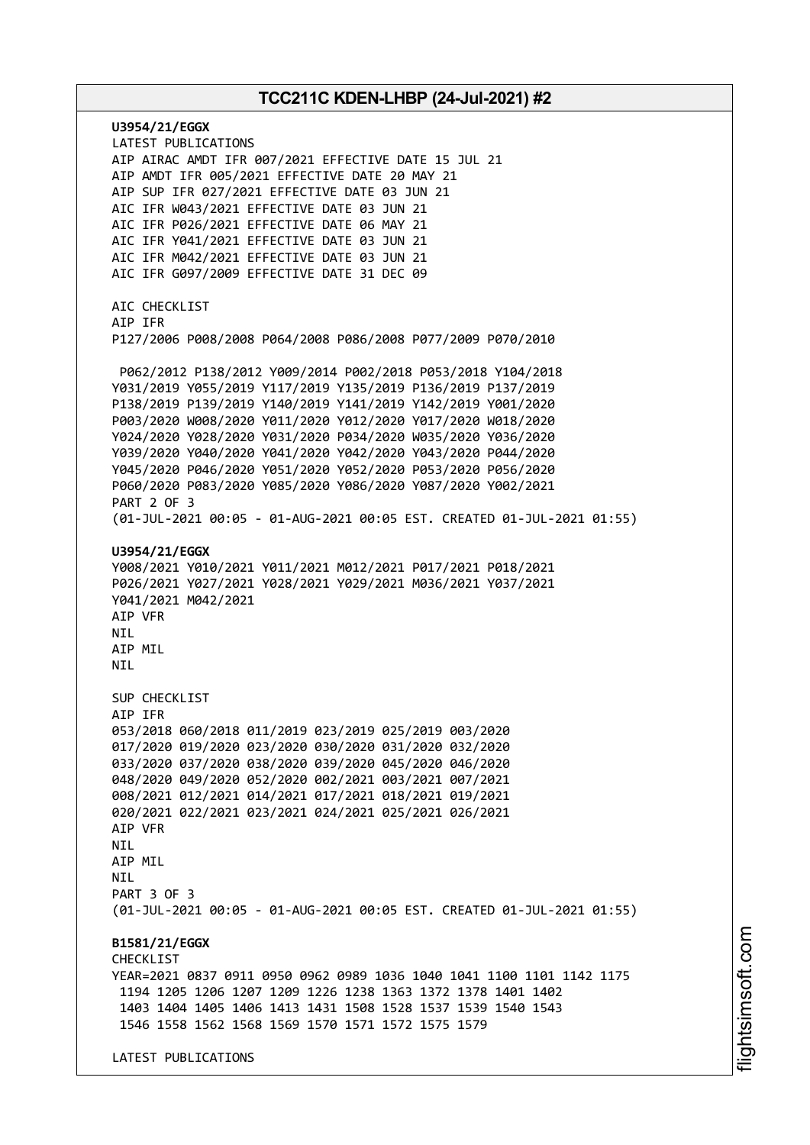**U3954/21/EGGX** LATEST PUBLICATIONS AIP AIRAC AMDT IFR 007/2021 EFFECTIVE DATE 15 JUL 21 AIP AMDT IFR 005/2021 EFFECTIVE DATE 20 MAY 21 AIP SUP IFR 027/2021 EFFECTIVE DATE 03 JUN 21 AIC IFR W043/2021 EFFECTIVE DATE 03 JUN 21 AIC IFR P026/2021 EFFECTIVE DATE 06 MAY 21 AIC IFR Y041/2021 EFFECTIVE DATE 03 JUN 21 AIC IFR M042/2021 EFFECTIVE DATE 03 JUN 21 AIC IFR G097/2009 EFFECTIVE DATE 31 DEC 09 AIC CHECKLIST AIP IFR P127/2006 P008/2008 P064/2008 P086/2008 P077/2009 P070/2010 P062/2012 P138/2012 Y009/2014 P002/2018 P053/2018 Y104/2018 Y031/2019 Y055/2019 Y117/2019 Y135/2019 P136/2019 P137/2019 P138/2019 P139/2019 Y140/2019 Y141/2019 Y142/2019 Y001/2020 P003/2020 W008/2020 Y011/2020 Y012/2020 Y017/2020 W018/2020 Y024/2020 Y028/2020 Y031/2020 P034/2020 W035/2020 Y036/2020 Y039/2020 Y040/2020 Y041/2020 Y042/2020 Y043/2020 P044/2020 Y045/2020 P046/2020 Y051/2020 Y052/2020 P053/2020 P056/2020 P060/2020 P083/2020 Y085/2020 Y086/2020 Y087/2020 Y002/2021 PART 2 OF 3 (01-JUL-2021 00:05 - 01-AUG-2021 00:05 EST. CREATED 01-JUL-2021 01:55) **U3954/21/EGGX** Y008/2021 Y010/2021 Y011/2021 M012/2021 P017/2021 P018/2021 P026/2021 Y027/2021 Y028/2021 Y029/2021 M036/2021 Y037/2021 Y041/2021 M042/2021 AIP VFR NIL AIP MIL **NTI** SUP CHECKLIST AIP IFR 053/2018 060/2018 011/2019 023/2019 025/2019 003/2020 017/2020 019/2020 023/2020 030/2020 031/2020 032/2020 033/2020 037/2020 038/2020 039/2020 045/2020 046/2020 048/2020 049/2020 052/2020 002/2021 003/2021 007/2021 008/2021 012/2021 014/2021 017/2021 018/2021 019/2021 020/2021 022/2021 023/2021 024/2021 025/2021 026/2021 AIP VFR **NTI** AIP MIL **NTI** PART 3 OF 3 (01-JUL-2021 00:05 - 01-AUG-2021 00:05 EST. CREATED 01-JUL-2021 01:55) **B1581/21/EGGX CHECKLIST** YEAR=2021 0837 0911 0950 0962 0989 1036 1040 1041 1100 1101 1142 1175 1194 1205 1206 1207 1209 1226 1238 1363 1372 1378 1401 1402 1403 1404 1405 1406 1413 1431 1508 1528 1537 1539 1540 1543 1546 1558 1562 1568 1569 1570 1571 1572 1575 1579 LATEST PUBLICATIONS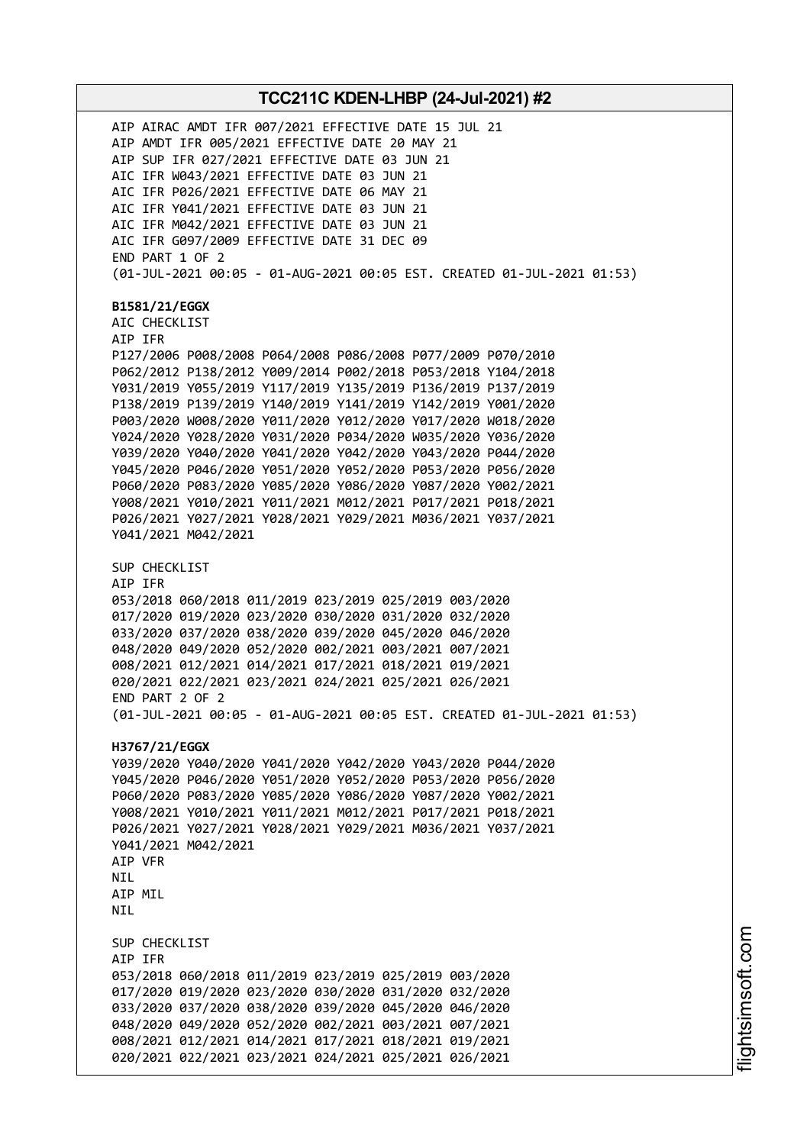AIP AIRAC AMDT IFR 007/2021 EFFECTIVE DATE 15 JUL 21 AIP AMDT IFR 005/2021 EFFECTIVE DATE 20 MAY 21 AIP SUP IFR 027/2021 EFFECTIVE DATE 03 JUN 21 AIC IFR W043/2021 EFFECTIVE DATE 03 JUN 21 AIC IFR P026/2021 EFFECTIVE DATE 06 MAY 21 AIC IFR Y041/2021 EFFECTIVE DATE 03 JUN 21 AIC IFR M042/2021 EFFECTIVE DATE 03 JUN 21 AIC IFR G097/2009 EFFECTIVE DATE 31 DEC 09 END PART 1 OF 2 (01-JUL-2021 00:05 - 01-AUG-2021 00:05 EST. CREATED 01-JUL-2021 01:53) **B1581/21/EGGX** AIC CHECKLIST AIP IFR P127/2006 P008/2008 P064/2008 P086/2008 P077/2009 P070/2010 P062/2012 P138/2012 Y009/2014 P002/2018 P053/2018 Y104/2018 Y031/2019 Y055/2019 Y117/2019 Y135/2019 P136/2019 P137/2019 P138/2019 P139/2019 Y140/2019 Y141/2019 Y142/2019 Y001/2020 P003/2020 W008/2020 Y011/2020 Y012/2020 Y017/2020 W018/2020 Y024/2020 Y028/2020 Y031/2020 P034/2020 W035/2020 Y036/2020 Y039/2020 Y040/2020 Y041/2020 Y042/2020 Y043/2020 P044/2020 Y045/2020 P046/2020 Y051/2020 Y052/2020 P053/2020 P056/2020 P060/2020 P083/2020 Y085/2020 Y086/2020 Y087/2020 Y002/2021 Y008/2021 Y010/2021 Y011/2021 M012/2021 P017/2021 P018/2021 P026/2021 Y027/2021 Y028/2021 Y029/2021 M036/2021 Y037/2021 Y041/2021 M042/2021 SUP CHECKLIST AIP IFR 053/2018 060/2018 011/2019 023/2019 025/2019 003/2020 017/2020 019/2020 023/2020 030/2020 031/2020 032/2020 033/2020 037/2020 038/2020 039/2020 045/2020 046/2020 048/2020 049/2020 052/2020 002/2021 003/2021 007/2021 008/2021 012/2021 014/2021 017/2021 018/2021 019/2021 020/2021 022/2021 023/2021 024/2021 025/2021 026/2021 END PART 2 OF 2 (01-JUL-2021 00:05 - 01-AUG-2021 00:05 EST. CREATED 01-JUL-2021 01:53) **H3767/21/EGGX** Y039/2020 Y040/2020 Y041/2020 Y042/2020 Y043/2020 P044/2020 Y045/2020 P046/2020 Y051/2020 Y052/2020 P053/2020 P056/2020 P060/2020 P083/2020 Y085/2020 Y086/2020 Y087/2020 Y002/2021 Y008/2021 Y010/2021 Y011/2021 M012/2021 P017/2021 P018/2021 P026/2021 Y027/2021 Y028/2021 Y029/2021 M036/2021 Y037/2021 Y041/2021 M042/2021 AIP VFR **NTL** AIP MIL **NTI** SUP CHECKLIST AIP IFR 053/2018 060/2018 011/2019 023/2019 025/2019 003/2020 017/2020 019/2020 023/2020 030/2020 031/2020 032/2020 033/2020 037/2020 038/2020 039/2020 045/2020 046/2020 048/2020 049/2020 052/2020 002/2021 003/2021 007/2021 008/2021 012/2021 014/2021 017/2021 018/2021 019/2021 020/2021 022/2021 023/2021 024/2021 025/2021 026/2021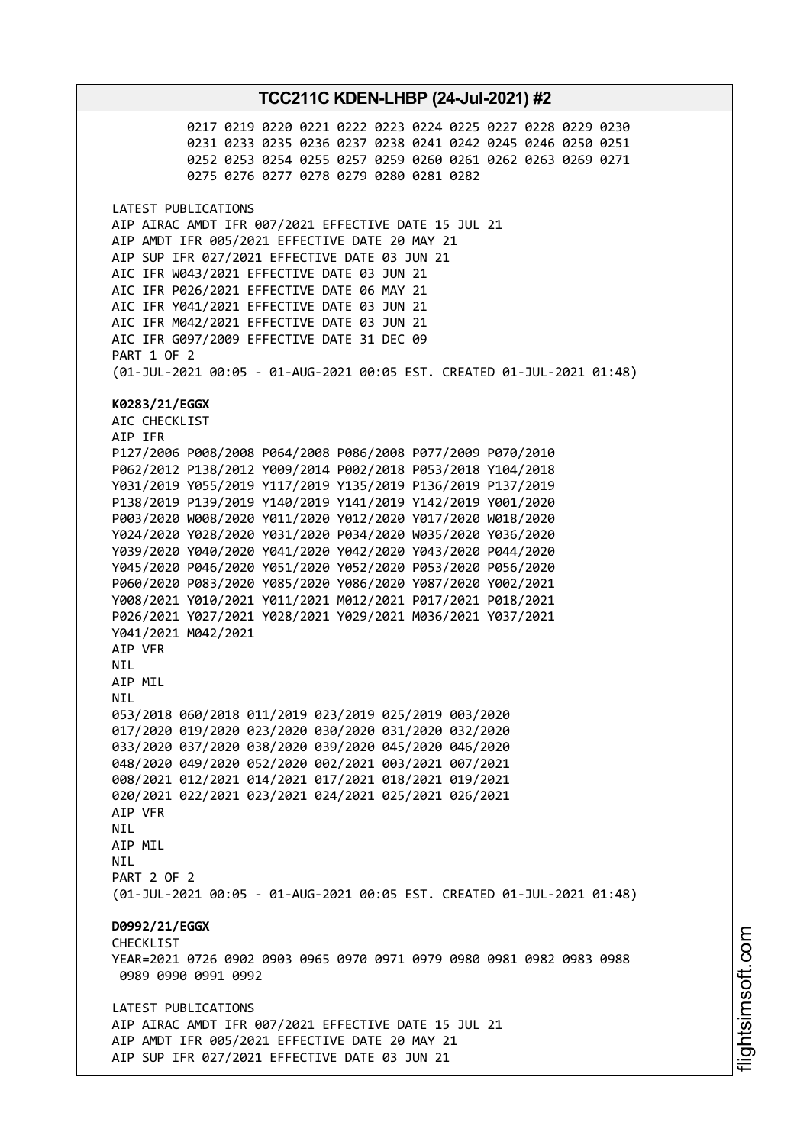0217 0219 0220 0221 0222 0223 0224 0225 0227 0228 0229 0230 0231 0233 0235 0236 0237 0238 0241 0242 0245 0246 0250 0251 0252 0253 0254 0255 0257 0259 0260 0261 0262 0263 0269 0271 0275 0276 0277 0278 0279 0280 0281 0282 LATEST PUBLICATIONS AIP AIRAC AMDT IFR 007/2021 EFFECTIVE DATE 15 JUL 21 AIP AMDT IFR 005/2021 EFFECTIVE DATE 20 MAY 21 AIP SUP IFR 027/2021 EFFECTIVE DATE 03 JUN 21 AIC IFR W043/2021 EFFECTIVE DATE 03 JUN 21 AIC IFR P026/2021 EFFECTIVE DATE 06 MAY 21 AIC IFR Y041/2021 EFFECTIVE DATE 03 JUN 21 AIC IFR M042/2021 EFFECTIVE DATE 03 JUN 21 AIC IFR G097/2009 EFFECTIVE DATE 31 DEC 09 PART 1 OF 2 (01-JUL-2021 00:05 - 01-AUG-2021 00:05 EST. CREATED 01-JUL-2021 01:48) **K0283/21/EGGX** AIC CHECKLIST AIP IFR P127/2006 P008/2008 P064/2008 P086/2008 P077/2009 P070/2010 P062/2012 P138/2012 Y009/2014 P002/2018 P053/2018 Y104/2018 Y031/2019 Y055/2019 Y117/2019 Y135/2019 P136/2019 P137/2019 P138/2019 P139/2019 Y140/2019 Y141/2019 Y142/2019 Y001/2020 P003/2020 W008/2020 Y011/2020 Y012/2020 Y017/2020 W018/2020 Y024/2020 Y028/2020 Y031/2020 P034/2020 W035/2020 Y036/2020 Y039/2020 Y040/2020 Y041/2020 Y042/2020 Y043/2020 P044/2020 Y045/2020 P046/2020 Y051/2020 Y052/2020 P053/2020 P056/2020 P060/2020 P083/2020 Y085/2020 Y086/2020 Y087/2020 Y002/2021 Y008/2021 Y010/2021 Y011/2021 M012/2021 P017/2021 P018/2021 P026/2021 Y027/2021 Y028/2021 Y029/2021 M036/2021 Y037/2021 Y041/2021 M042/2021 AIP VFR **NTI** AIP MIL **NTL** 053/2018 060/2018 011/2019 023/2019 025/2019 003/2020 017/2020 019/2020 023/2020 030/2020 031/2020 032/2020 033/2020 037/2020 038/2020 039/2020 045/2020 046/2020 048/2020 049/2020 052/2020 002/2021 003/2021 007/2021 008/2021 012/2021 014/2021 017/2021 018/2021 019/2021 020/2021 022/2021 023/2021 024/2021 025/2021 026/2021 AIP VFR NIL AIP MIL **NTI** PART 2 OF 2 (01-JUL-2021 00:05 - 01-AUG-2021 00:05 EST. CREATED 01-JUL-2021 01:48) **D0992/21/EGGX** CHECKL<sub>IST</sub> YEAR=2021 0726 0902 0903 0965 0970 0971 0979 0980 0981 0982 0983 0988 0989 0990 0991 0992 LATEST PUBLICATIONS AIP AIRAC AMDT IFR 007/2021 EFFECTIVE DATE 15 JUL 21 AIP AMDT IFR 005/2021 EFFECTIVE DATE 20 MAY 21 AIP SUP IFR 027/2021 EFFECTIVE DATE 03 JUN 21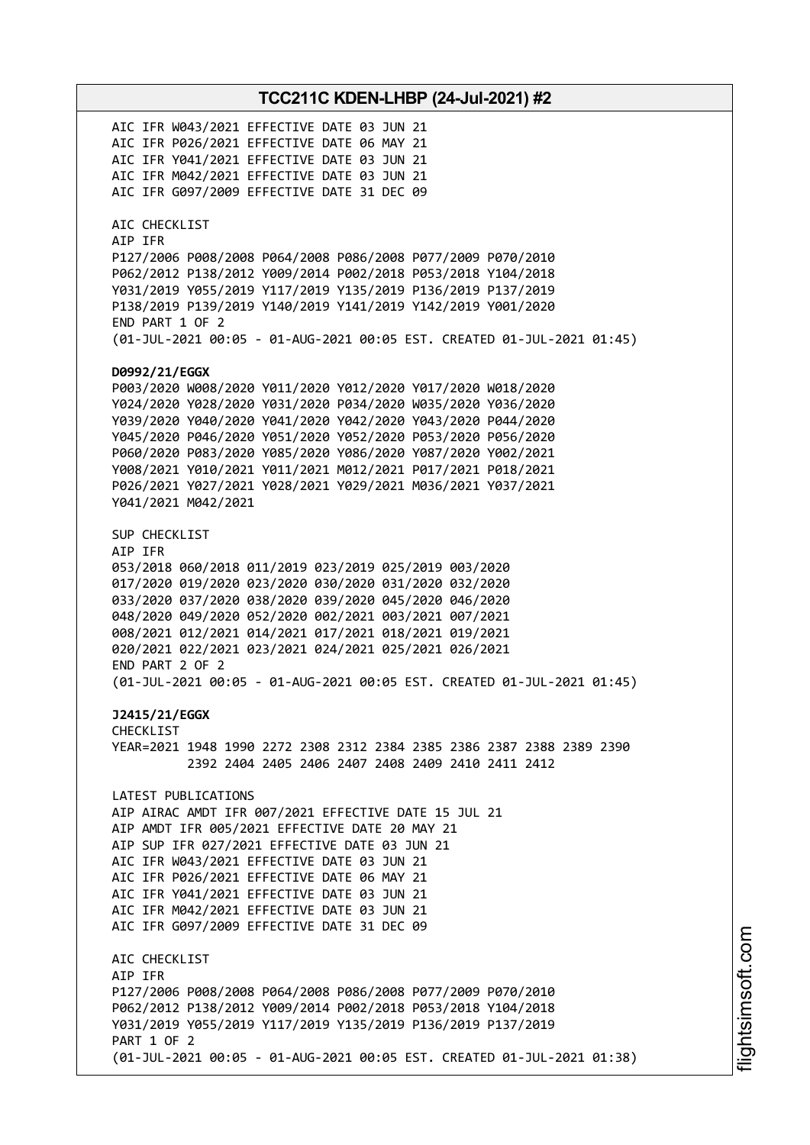AIC IFR W043/2021 EFFECTIVE DATE 03 JUN 21 AIC IFR P026/2021 EFFECTIVE DATE 06 MAY 21 AIC IFR Y041/2021 EFFECTIVE DATE 03 JUN 21 AIC IFR M042/2021 EFFECTIVE DATE 03 JUN 21 AIC IFR G097/2009 EFFECTIVE DATE 31 DEC 09 AIC CHECKLIST AIP IFR P127/2006 P008/2008 P064/2008 P086/2008 P077/2009 P070/2010 P062/2012 P138/2012 Y009/2014 P002/2018 P053/2018 Y104/2018 Y031/2019 Y055/2019 Y117/2019 Y135/2019 P136/2019 P137/2019 P138/2019 P139/2019 Y140/2019 Y141/2019 Y142/2019 Y001/2020 END PART 1 OF 2 (01-JUL-2021 00:05 - 01-AUG-2021 00:05 EST. CREATED 01-JUL-2021 01:45) **D0992/21/EGGX** P003/2020 W008/2020 Y011/2020 Y012/2020 Y017/2020 W018/2020 Y024/2020 Y028/2020 Y031/2020 P034/2020 W035/2020 Y036/2020 Y039/2020 Y040/2020 Y041/2020 Y042/2020 Y043/2020 P044/2020 Y045/2020 P046/2020 Y051/2020 Y052/2020 P053/2020 P056/2020 P060/2020 P083/2020 Y085/2020 Y086/2020 Y087/2020 Y002/2021 Y008/2021 Y010/2021 Y011/2021 M012/2021 P017/2021 P018/2021 P026/2021 Y027/2021 Y028/2021 Y029/2021 M036/2021 Y037/2021 Y041/2021 M042/2021 SUP CHECKLIST AIP IFR 053/2018 060/2018 011/2019 023/2019 025/2019 003/2020 017/2020 019/2020 023/2020 030/2020 031/2020 032/2020 033/2020 037/2020 038/2020 039/2020 045/2020 046/2020 048/2020 049/2020 052/2020 002/2021 003/2021 007/2021 008/2021 012/2021 014/2021 017/2021 018/2021 019/2021 020/2021 022/2021 023/2021 024/2021 025/2021 026/2021 END PART 2 OF 2 (01-JUL-2021 00:05 - 01-AUG-2021 00:05 EST. CREATED 01-JUL-2021 01:45) **J2415/21/EGGX** CHECKLIST YEAR=2021 1948 1990 2272 2308 2312 2384 2385 2386 2387 2388 2389 2390 2392 2404 2405 2406 2407 2408 2409 2410 2411 2412 LATEST PUBLICATIONS AIP AIRAC AMDT IFR 007/2021 EFFECTIVE DATE 15 JUL 21 AIP AMDT IFR 005/2021 EFFECTIVE DATE 20 MAY 21 AIP SUP IFR 027/2021 EFFECTIVE DATE 03 JUN 21 AIC IFR W043/2021 EFFECTIVE DATE 03 JUN 21 AIC IFR P026/2021 EFFECTIVE DATE 06 MAY 21 AIC IFR Y041/2021 EFFECTIVE DATE 03 JUN 21 AIC IFR M042/2021 EFFECTIVE DATE 03 JUN 21 AIC IFR G097/2009 EFFECTIVE DATE 31 DEC 09 AIC CHECKLIST AIP IFR P127/2006 P008/2008 P064/2008 P086/2008 P077/2009 P070/2010 P062/2012 P138/2012 Y009/2014 P002/2018 P053/2018 Y104/2018 Y031/2019 Y055/2019 Y117/2019 Y135/2019 P136/2019 P137/2019 PART 1 OF 2 (01-JUL-2021 00:05 - 01-AUG-2021 00:05 EST. CREATED 01-JUL-2021 01:38)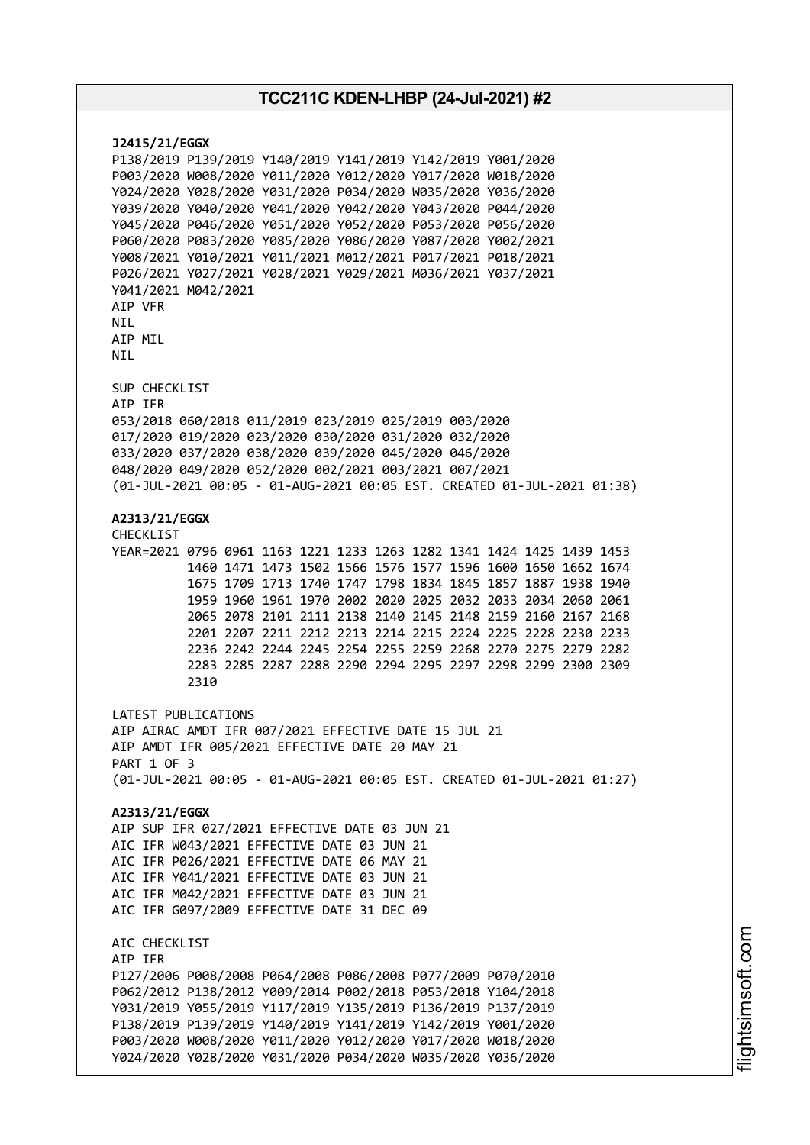**J2415/21/EGGX** P138/2019 P139/2019 Y140/2019 Y141/2019 Y142/2019 Y001/2020 P003/2020 W008/2020 Y011/2020 Y012/2020 Y017/2020 W018/2020 Y024/2020 Y028/2020 Y031/2020 P034/2020 W035/2020 Y036/2020 Y039/2020 Y040/2020 Y041/2020 Y042/2020 Y043/2020 P044/2020 Y045/2020 P046/2020 Y051/2020 Y052/2020 P053/2020 P056/2020 P060/2020 P083/2020 Y085/2020 Y086/2020 Y087/2020 Y002/2021 Y008/2021 Y010/2021 Y011/2021 M012/2021 P017/2021 P018/2021 P026/2021 Y027/2021 Y028/2021 Y029/2021 M036/2021 Y037/2021 Y041/2021 M042/2021 AIP VFR **NTI** AIP MIL NIL SUP CHECKLIST AIP IFR 053/2018 060/2018 011/2019 023/2019 025/2019 003/2020 017/2020 019/2020 023/2020 030/2020 031/2020 032/2020 033/2020 037/2020 038/2020 039/2020 045/2020 046/2020 048/2020 049/2020 052/2020 002/2021 003/2021 007/2021 (01-JUL-2021 00:05 - 01-AUG-2021 00:05 EST. CREATED 01-JUL-2021 01:38) **A2313/21/EGGX** CHECKLIST YEAR=2021 0796 0961 1163 1221 1233 1263 1282 1341 1424 1425 1439 1453 1460 1471 1473 1502 1566 1576 1577 1596 1600 1650 1662 1674 1675 1709 1713 1740 1747 1798 1834 1845 1857 1887 1938 1940 1959 1960 1961 1970 2002 2020 2025 2032 2033 2034 2060 2061 2065 2078 2101 2111 2138 2140 2145 2148 2159 2160 2167 2168 2201 2207 2211 2212 2213 2214 2215 2224 2225 2228 2230 2233 2236 2242 2244 2245 2254 2255 2259 2268 2270 2275 2279 2282 2283 2285 2287 2288 2290 2294 2295 2297 2298 2299 2300 2309 2310 LATEST PUBLICATIONS AIP AIRAC AMDT IFR 007/2021 EFFECTIVE DATE 15 JUL 21 AIP AMDT IFR 005/2021 EFFECTIVE DATE 20 MAY 21 PART 1 OF 3 (01-JUL-2021 00:05 - 01-AUG-2021 00:05 EST. CREATED 01-JUL-2021 01:27) **A2313/21/EGGX** AIP SUP IFR 027/2021 EFFECTIVE DATE 03 JUN 21 AIC IFR W043/2021 EFFECTIVE DATE 03 JUN 21 AIC IFR P026/2021 EFFECTIVE DATE 06 MAY 21 AIC IFR Y041/2021 EFFECTIVE DATE 03 JUN 21 AIC IFR M042/2021 EFFECTIVE DATE 03 JUN 21 AIC IFR G097/2009 EFFECTIVE DATE 31 DEC 09 AIC CHECKLIST AIP IFR P127/2006 P008/2008 P064/2008 P086/2008 P077/2009 P070/2010 P062/2012 P138/2012 Y009/2014 P002/2018 P053/2018 Y104/2018 Y031/2019 Y055/2019 Y117/2019 Y135/2019 P136/2019 P137/2019 P138/2019 P139/2019 Y140/2019 Y141/2019 Y142/2019 Y001/2020 P003/2020 W008/2020 Y011/2020 Y012/2020 Y017/2020 W018/2020 Y024/2020 Y028/2020 Y031/2020 P034/2020 W035/2020 Y036/2020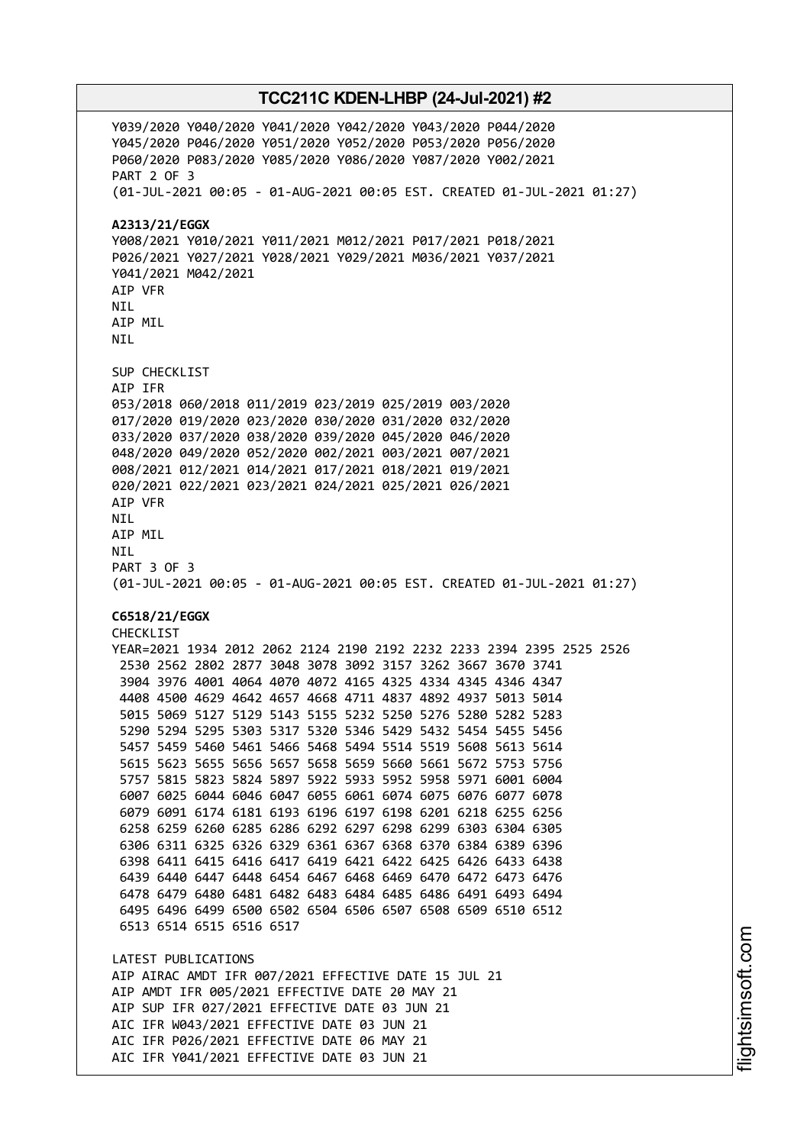Y039/2020 Y040/2020 Y041/2020 Y042/2020 Y043/2020 P044/2020 Y045/2020 P046/2020 Y051/2020 Y052/2020 P053/2020 P056/2020 P060/2020 P083/2020 Y085/2020 Y086/2020 Y087/2020 Y002/2021 PART 2 OF 3 (01-JUL-2021 00:05 - 01-AUG-2021 00:05 EST. CREATED 01-JUL-2021 01:27) **A2313/21/EGGX** Y008/2021 Y010/2021 Y011/2021 M012/2021 P017/2021 P018/2021 P026/2021 Y027/2021 Y028/2021 Y029/2021 M036/2021 Y037/2021 Y041/2021 M042/2021 AIP VFR **NTI** AIP MIL NIL SUP CHECKLIST AIP IFR 053/2018 060/2018 011/2019 023/2019 025/2019 003/2020 017/2020 019/2020 023/2020 030/2020 031/2020 032/2020 033/2020 037/2020 038/2020 039/2020 045/2020 046/2020 048/2020 049/2020 052/2020 002/2021 003/2021 007/2021 008/2021 012/2021 014/2021 017/2021 018/2021 019/2021 020/2021 022/2021 023/2021 024/2021 025/2021 026/2021 AIP VFR NIL AIP MIL NIL PART 3 OF 3 (01-JUL-2021 00:05 - 01-AUG-2021 00:05 EST. CREATED 01-JUL-2021 01:27) **C6518/21/EGGX** CHECKLIST YEAR=2021 1934 2012 2062 2124 2190 2192 2232 2233 2394 2395 2525 2526 2530 2562 2802 2877 3048 3078 3092 3157 3262 3667 3670 3741 3904 3976 4001 4064 4070 4072 4165 4325 4334 4345 4346 4347 4408 4500 4629 4642 4657 4668 4711 4837 4892 4937 5013 5014 5015 5069 5127 5129 5143 5155 5232 5250 5276 5280 5282 5283 5290 5294 5295 5303 5317 5320 5346 5429 5432 5454 5455 5456 5457 5459 5460 5461 5466 5468 5494 5514 5519 5608 5613 5614 5615 5623 5655 5656 5657 5658 5659 5660 5661 5672 5753 5756 5757 5815 5823 5824 5897 5922 5933 5952 5958 5971 6001 6004 6007 6025 6044 6046 6047 6055 6061 6074 6075 6076 6077 6078 6079 6091 6174 6181 6193 6196 6197 6198 6201 6218 6255 6256 6258 6259 6260 6285 6286 6292 6297 6298 6299 6303 6304 6305 6306 6311 6325 6326 6329 6361 6367 6368 6370 6384 6389 6396 6398 6411 6415 6416 6417 6419 6421 6422 6425 6426 6433 6438 6439 6440 6447 6448 6454 6467 6468 6469 6470 6472 6473 6476 6478 6479 6480 6481 6482 6483 6484 6485 6486 6491 6493 6494 6495 6496 6499 6500 6502 6504 6506 6507 6508 6509 6510 6512 6513 6514 6515 6516 6517 LATEST PUBLICATIONS AIP AIRAC AMDT IFR 007/2021 EFFECTIVE DATE 15 JUL 21 AIP AMDT IFR 005/2021 EFFECTIVE DATE 20 MAY 21 AIP SUP IFR 027/2021 EFFECTIVE DATE 03 JUN 21 AIC IFR W043/2021 EFFECTIVE DATE 03 JUN 21 AIC IFR P026/2021 EFFECTIVE DATE 06 MAY 21 AIC IFR Y041/2021 EFFECTIVE DATE 03 JUN 21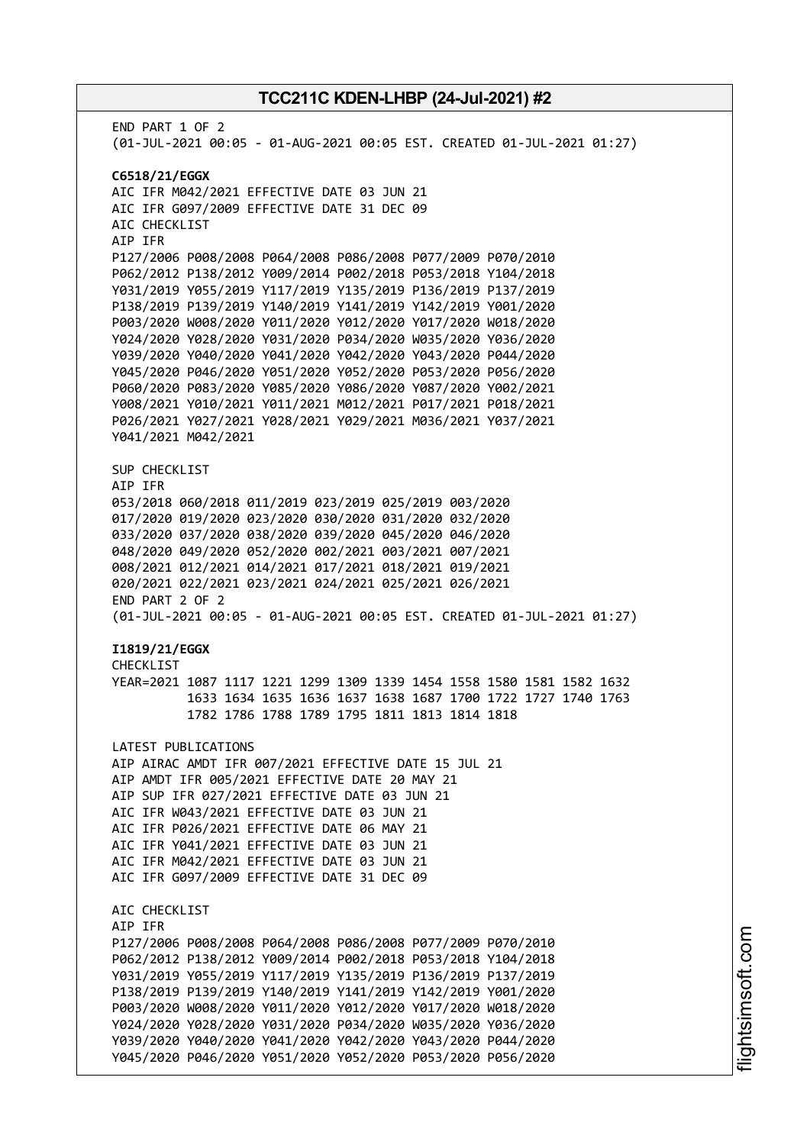END PART 1 OF 2 (01-JUL-2021 00:05 - 01-AUG-2021 00:05 EST. CREATED 01-JUL-2021 01:27) **C6518/21/EGGX** AIC IFR M042/2021 EFFECTIVE DATE 03 JUN 21 AIC IFR G097/2009 EFFECTIVE DATE 31 DEC 09 AIC CHECKLIST AIP IFR P127/2006 P008/2008 P064/2008 P086/2008 P077/2009 P070/2010 P062/2012 P138/2012 Y009/2014 P002/2018 P053/2018 Y104/2018 Y031/2019 Y055/2019 Y117/2019 Y135/2019 P136/2019 P137/2019 P138/2019 P139/2019 Y140/2019 Y141/2019 Y142/2019 Y001/2020 P003/2020 W008/2020 Y011/2020 Y012/2020 Y017/2020 W018/2020 Y024/2020 Y028/2020 Y031/2020 P034/2020 W035/2020 Y036/2020 Y039/2020 Y040/2020 Y041/2020 Y042/2020 Y043/2020 P044/2020 Y045/2020 P046/2020 Y051/2020 Y052/2020 P053/2020 P056/2020 P060/2020 P083/2020 Y085/2020 Y086/2020 Y087/2020 Y002/2021 Y008/2021 Y010/2021 Y011/2021 M012/2021 P017/2021 P018/2021 P026/2021 Y027/2021 Y028/2021 Y029/2021 M036/2021 Y037/2021 Y041/2021 M042/2021 SUP CHECKLIST AIP IFR 053/2018 060/2018 011/2019 023/2019 025/2019 003/2020 017/2020 019/2020 023/2020 030/2020 031/2020 032/2020 033/2020 037/2020 038/2020 039/2020 045/2020 046/2020 048/2020 049/2020 052/2020 002/2021 003/2021 007/2021 008/2021 012/2021 014/2021 017/2021 018/2021 019/2021 020/2021 022/2021 023/2021 024/2021 025/2021 026/2021 END PART 2 OF 2 (01-JUL-2021 00:05 - 01-AUG-2021 00:05 EST. CREATED 01-JUL-2021 01:27) **I1819/21/EGGX** CHECKL<sub>IST</sub> YEAR=2021 1087 1117 1221 1299 1309 1339 1454 1558 1580 1581 1582 1632 1633 1634 1635 1636 1637 1638 1687 1700 1722 1727 1740 1763 1782 1786 1788 1789 1795 1811 1813 1814 1818 LATEST PUBLICATIONS AIP AIRAC AMDT IFR 007/2021 EFFECTIVE DATE 15 JUL 21 AIP AMDT IFR 005/2021 EFFECTIVE DATE 20 MAY 21 AIP SUP IFR 027/2021 EFFECTIVE DATE 03 JUN 21 AIC IFR W043/2021 EFFECTIVE DATE 03 JUN 21 AIC IFR P026/2021 EFFECTIVE DATE 06 MAY 21 AIC IFR Y041/2021 EFFECTIVE DATE 03 JUN 21 AIC IFR M042/2021 EFFECTIVE DATE 03 JUN 21 AIC IFR G097/2009 EFFECTIVE DATE 31 DEC 09 AIC CHECKLIST AIP IFR P127/2006 P008/2008 P064/2008 P086/2008 P077/2009 P070/2010 P062/2012 P138/2012 Y009/2014 P002/2018 P053/2018 Y104/2018 Y031/2019 Y055/2019 Y117/2019 Y135/2019 P136/2019 P137/2019 P138/2019 P139/2019 Y140/2019 Y141/2019 Y142/2019 Y001/2020 P003/2020 W008/2020 Y011/2020 Y012/2020 Y017/2020 W018/2020 Y024/2020 Y028/2020 Y031/2020 P034/2020 W035/2020 Y036/2020 Y039/2020 Y040/2020 Y041/2020 Y042/2020 Y043/2020 P044/2020 Y045/2020 P046/2020 Y051/2020 Y052/2020 P053/2020 P056/2020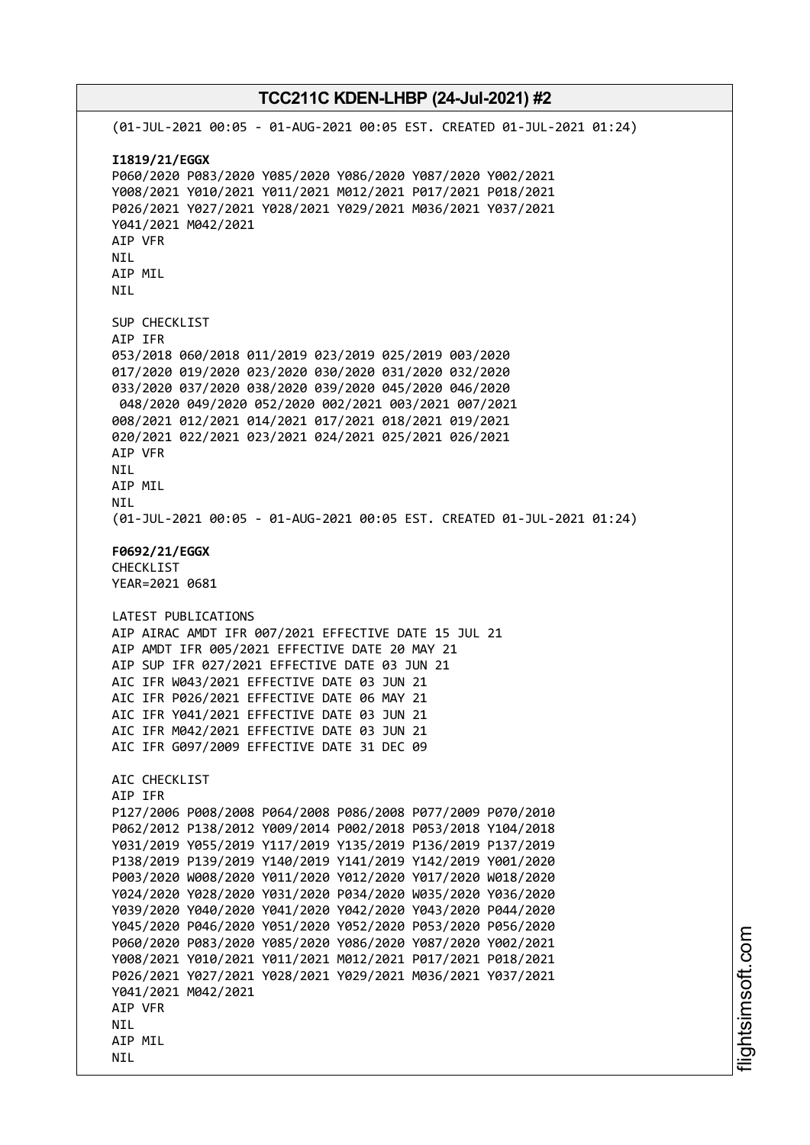# **TCC211C KDEN-LHBP (24-Jul-2021) #2** (01-JUL-2021 00:05 - 01-AUG-2021 00:05 EST. CREATED 01-JUL-2021 01:24) **I1819/21/EGGX** P060/2020 P083/2020 Y085/2020 Y086/2020 Y087/2020 Y002/2021 Y008/2021 Y010/2021 Y011/2021 M012/2021 P017/2021 P018/2021 P026/2021 Y027/2021 Y028/2021 Y029/2021 M036/2021 Y037/2021 Y041/2021 M042/2021 AIP VFR NIL AIP MIL NIL SUP CHECKLIST AIP IFR 053/2018 060/2018 011/2019 023/2019 025/2019 003/2020 017/2020 019/2020 023/2020 030/2020 031/2020 032/2020 033/2020 037/2020 038/2020 039/2020 045/2020 046/2020 048/2020 049/2020 052/2020 002/2021 003/2021 007/2021 008/2021 012/2021 014/2021 017/2021 018/2021 019/2021 020/2021 022/2021 023/2021 024/2021 025/2021 026/2021 AIP VFR NIL AIP MIL NIL (01-JUL-2021 00:05 - 01-AUG-2021 00:05 EST. CREATED 01-JUL-2021 01:24) **F0692/21/EGGX** CHECKLIST YEAR=2021 0681 LATEST PUBLICATIONS AIP AIRAC AMDT IFR 007/2021 EFFECTIVE DATE 15 JUL 21 AIP AMDT IFR 005/2021 EFFECTIVE DATE 20 MAY 21 AIP SUP IFR 027/2021 EFFECTIVE DATE 03 JUN 21 AIC IFR W043/2021 EFFECTIVE DATE 03 JUN 21 AIC IFR P026/2021 EFFECTIVE DATE 06 MAY 21 AIC IFR Y041/2021 EFFECTIVE DATE 03 JUN 21 AIC IFR M042/2021 EFFECTIVE DATE 03 JUN 21 AIC IFR G097/2009 EFFECTIVE DATE 31 DEC 09 AIC CHECKLIST AIP IFR P127/2006 P008/2008 P064/2008 P086/2008 P077/2009 P070/2010 P062/2012 P138/2012 Y009/2014 P002/2018 P053/2018 Y104/2018 Y031/2019 Y055/2019 Y117/2019 Y135/2019 P136/2019 P137/2019 P138/2019 P139/2019 Y140/2019 Y141/2019 Y142/2019 Y001/2020 P003/2020 W008/2020 Y011/2020 Y012/2020 Y017/2020 W018/2020 Y024/2020 Y028/2020 Y031/2020 P034/2020 W035/2020 Y036/2020 Y039/2020 Y040/2020 Y041/2020 Y042/2020 Y043/2020 P044/2020 Y045/2020 P046/2020 Y051/2020 Y052/2020 P053/2020 P056/2020 P060/2020 P083/2020 Y085/2020 Y086/2020 Y087/2020 Y002/2021 Y008/2021 Y010/2021 Y011/2021 M012/2021 P017/2021 P018/2021 P026/2021 Y027/2021 Y028/2021 Y029/2021 M036/2021 Y037/2021 Y041/2021 M042/2021 AIP VFR **NTL** AIP MIL NIL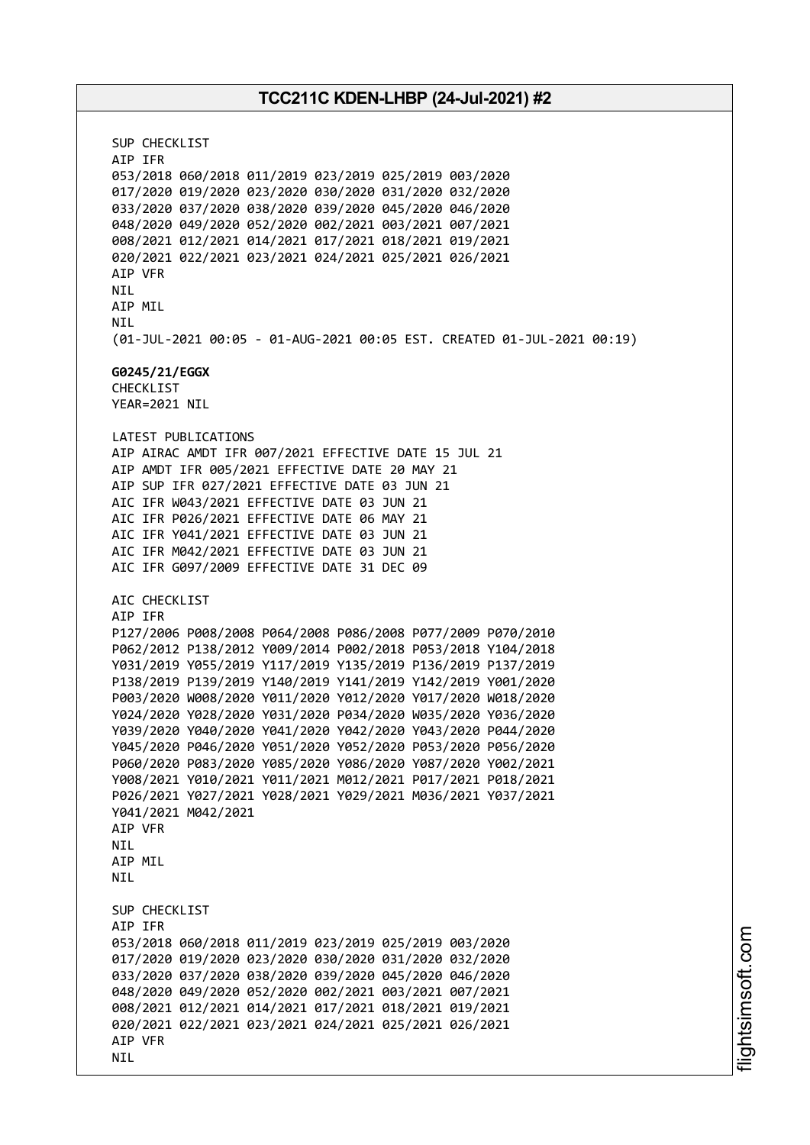SUP CHECKLIST AIP IFR 053/2018 060/2018 011/2019 023/2019 025/2019 003/2020 017/2020 019/2020 023/2020 030/2020 031/2020 032/2020 033/2020 037/2020 038/2020 039/2020 045/2020 046/2020 048/2020 049/2020 052/2020 002/2021 003/2021 007/2021 008/2021 012/2021 014/2021 017/2021 018/2021 019/2021 020/2021 022/2021 023/2021 024/2021 025/2021 026/2021 AIP VFR NIL AIP MIL NIL (01-JUL-2021 00:05 - 01-AUG-2021 00:05 EST. CREATED 01-JUL-2021 00:19) **G0245/21/EGGX** CHECKLIST YEAR=2021 NIL LATEST PUBLICATIONS AIP AIRAC AMDT IFR 007/2021 EFFECTIVE DATE 15 JUL 21 AIP AMDT IFR 005/2021 EFFECTIVE DATE 20 MAY 21 AIP SUP IFR 027/2021 EFFECTIVE DATE 03 JUN 21 AIC IFR W043/2021 EFFECTIVE DATE 03 JUN 21 AIC IFR P026/2021 EFFECTIVE DATE 06 MAY 21 AIC IFR Y041/2021 EFFECTIVE DATE 03 JUN 21 AIC IFR M042/2021 EFFECTIVE DATE 03 JUN 21 AIC IFR G097/2009 EFFECTIVE DATE 31 DEC 09 AIC CHECKLIST AIP IFR P127/2006 P008/2008 P064/2008 P086/2008 P077/2009 P070/2010 P062/2012 P138/2012 Y009/2014 P002/2018 P053/2018 Y104/2018 Y031/2019 Y055/2019 Y117/2019 Y135/2019 P136/2019 P137/2019 P138/2019 P139/2019 Y140/2019 Y141/2019 Y142/2019 Y001/2020 P003/2020 W008/2020 Y011/2020 Y012/2020 Y017/2020 W018/2020 Y024/2020 Y028/2020 Y031/2020 P034/2020 W035/2020 Y036/2020 Y039/2020 Y040/2020 Y041/2020 Y042/2020 Y043/2020 P044/2020 Y045/2020 P046/2020 Y051/2020 Y052/2020 P053/2020 P056/2020 P060/2020 P083/2020 Y085/2020 Y086/2020 Y087/2020 Y002/2021 Y008/2021 Y010/2021 Y011/2021 M012/2021 P017/2021 P018/2021 P026/2021 Y027/2021 Y028/2021 Y029/2021 M036/2021 Y037/2021 Y041/2021 M042/2021 AIP VFR **NTI** AIP MIL **NTI** SUP CHECKLIST AIP IFR 053/2018 060/2018 011/2019 023/2019 025/2019 003/2020 017/2020 019/2020 023/2020 030/2020 031/2020 032/2020 033/2020 037/2020 038/2020 039/2020 045/2020 046/2020 048/2020 049/2020 052/2020 002/2021 003/2021 007/2021 008/2021 012/2021 014/2021 017/2021 018/2021 019/2021 020/2021 022/2021 023/2021 024/2021 025/2021 026/2021 AIP VFR NIL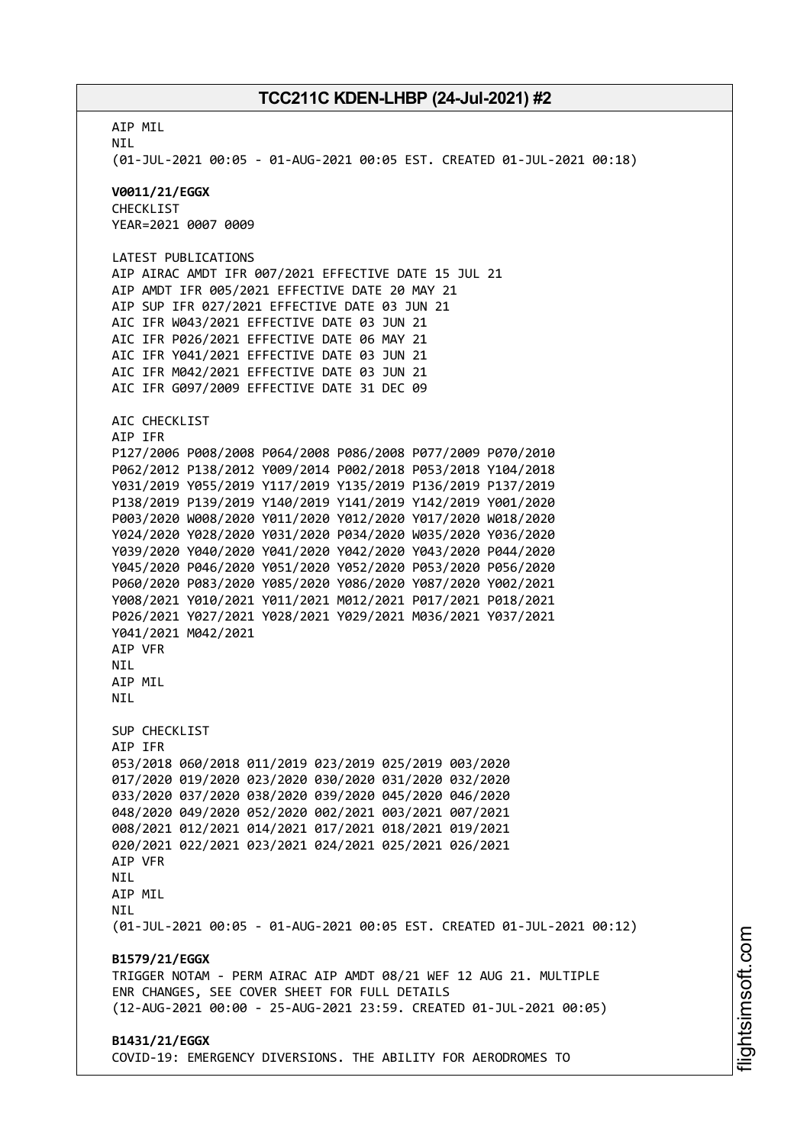AIP MIL NIL (01-JUL-2021 00:05 - 01-AUG-2021 00:05 EST. CREATED 01-JUL-2021 00:18) **V0011/21/EGGX** CHECKLIST YEAR=2021 0007 0009 LATEST PUBLICATIONS AIP AIRAC AMDT IFR 007/2021 EFFECTIVE DATE 15 JUL 21 AIP AMDT IFR 005/2021 EFFECTIVE DATE 20 MAY 21 AIP SUP IFR 027/2021 EFFECTIVE DATE 03 JUN 21 AIC IFR W043/2021 EFFECTIVE DATE 03 JUN 21 AIC IFR P026/2021 EFFECTIVE DATE 06 MAY 21 AIC IFR Y041/2021 EFFECTIVE DATE 03 JUN 21 AIC IFR M042/2021 EFFECTIVE DATE 03 JUN 21 AIC IFR G097/2009 EFFECTIVE DATE 31 DEC 09 AIC CHECKLIST AIP IFR P127/2006 P008/2008 P064/2008 P086/2008 P077/2009 P070/2010 P062/2012 P138/2012 Y009/2014 P002/2018 P053/2018 Y104/2018 Y031/2019 Y055/2019 Y117/2019 Y135/2019 P136/2019 P137/2019 P138/2019 P139/2019 Y140/2019 Y141/2019 Y142/2019 Y001/2020 P003/2020 W008/2020 Y011/2020 Y012/2020 Y017/2020 W018/2020 Y024/2020 Y028/2020 Y031/2020 P034/2020 W035/2020 Y036/2020 Y039/2020 Y040/2020 Y041/2020 Y042/2020 Y043/2020 P044/2020 Y045/2020 P046/2020 Y051/2020 Y052/2020 P053/2020 P056/2020 P060/2020 P083/2020 Y085/2020 Y086/2020 Y087/2020 Y002/2021 Y008/2021 Y010/2021 Y011/2021 M012/2021 P017/2021 P018/2021 P026/2021 Y027/2021 Y028/2021 Y029/2021 M036/2021 Y037/2021 Y041/2021 M042/2021 AIP VFR **NTI** AIP MIL **NTI** SUP CHECKLIST AIP IFR 053/2018 060/2018 011/2019 023/2019 025/2019 003/2020 017/2020 019/2020 023/2020 030/2020 031/2020 032/2020 033/2020 037/2020 038/2020 039/2020 045/2020 046/2020 048/2020 049/2020 052/2020 002/2021 003/2021 007/2021 008/2021 012/2021 014/2021 017/2021 018/2021 019/2021 020/2021 022/2021 023/2021 024/2021 025/2021 026/2021 AIP VFR **NTL** AIP MIL **NTI** (01-JUL-2021 00:05 - 01-AUG-2021 00:05 EST. CREATED 01-JUL-2021 00:12) **B1579/21/EGGX** TRIGGER NOTAM - PERM AIRAC AIP AMDT 08/21 WEF 12 AUG 21. MULTIPLE ENR CHANGES, SEE COVER SHEET FOR FULL DETAILS (12-AUG-2021 00:00 - 25-AUG-2021 23:59. CREATED 01-JUL-2021 00:05) **B1431/21/EGGX** COVID-19: EMERGENCY DIVERSIONS. THE ABILITY FOR AERODROMES TO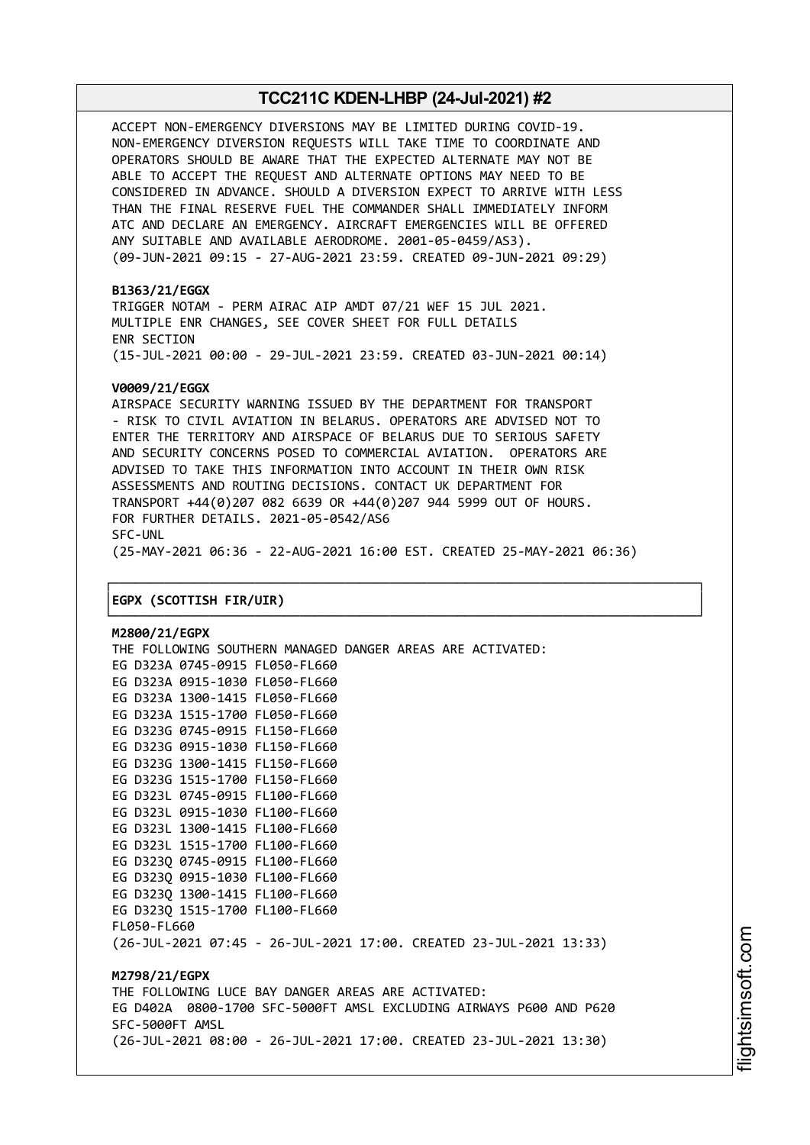ACCEPT NON-EMERGENCY DIVERSIONS MAY BE LIMITED DURING COVID-19. NON-EMERGENCY DIVERSION REQUESTS WILL TAKE TIME TO COORDINATE AND OPERATORS SHOULD BE AWARE THAT THE EXPECTED ALTERNATE MAY NOT BE ABLE TO ACCEPT THE REQUEST AND ALTERNATE OPTIONS MAY NEED TO BE CONSIDERED IN ADVANCE. SHOULD A DIVERSION EXPECT TO ARRIVE WITH LESS THAN THE FINAL RESERVE FUEL THE COMMANDER SHALL IMMEDIATELY INFORM ATC AND DECLARE AN EMERGENCY. AIRCRAFT EMERGENCIES WILL BE OFFERED ANY SUITABLE AND AVAILABLE AERODROME. 2001-05-0459/AS3). (09-JUN-2021 09:15 - 27-AUG-2021 23:59. CREATED 09-JUN-2021 09:29)

#### **B1363/21/EGGX**

TRIGGER NOTAM - PERM AIRAC AIP AMDT 07/21 WEF 15 JUL 2021. MULTIPLE ENR CHANGES, SEE COVER SHEET FOR FULL DETAILS ENR SECTION (15-JUL-2021 00:00 - 29-JUL-2021 23:59. CREATED 03-JUN-2021 00:14)

#### **V0009/21/EGGX**

AIRSPACE SECURITY WARNING ISSUED BY THE DEPARTMENT FOR TRANSPORT - RISK TO CIVIL AVIATION IN BELARUS. OPERATORS ARE ADVISED NOT TO ENTER THE TERRITORY AND AIRSPACE OF BELARUS DUE TO SERIOUS SAFETY AND SECURITY CONCERNS POSED TO COMMERCIAL AVIATION. OPERATORS ARE ADVISED TO TAKE THIS INFORMATION INTO ACCOUNT IN THEIR OWN RISK ASSESSMENTS AND ROUTING DECISIONS. CONTACT UK DEPARTMENT FOR TRANSPORT +44(0)207 082 6639 OR +44(0)207 944 5999 OUT OF HOURS. FOR FURTHER DETAILS. 2021-05-0542/AS6 SFC-UNL (25-MAY-2021 06:36 - 22-AUG-2021 16:00 EST. CREATED 25-MAY-2021 06:36)

┌──────────────────────────────────────────────────────────────────────────────┐

└──────────────────────────────────────────────────────────────────────────────┘

#### │**EGPX (SCOTTISH FIR/UIR)** │

**M2800/21/EGPX** THE FOLLOWING SOUTHERN MANAGED DANGER AREAS ARE ACTIVATED: EG D323A 0745-0915 FL050-FL660 EG D323A 0915-1030 FL050-FL660 EG D323A 1300-1415 FL050-FL660 EG D323A 1515-1700 FL050-FL660 EG D323G 0745-0915 FL150-FL660 EG D323G 0915-1030 FL150-FL660 EG D323G 1300-1415 FL150-FL660 EG D323G 1515-1700 FL150-FL660 EG D323L 0745-0915 FL100-FL660 EG D323L 0915-1030 FL100-FL660 EG D323L 1300-1415 FL100-FL660 EG D323L 1515-1700 FL100-FL660 EG D323Q 0745-0915 FL100-FL660 EG D323Q 0915-1030 FL100-FL660 EG D323Q 1300-1415 FL100-FL660 EG D323Q 1515-1700 FL100-FL660 FL050-FL660 (26-JUL-2021 07:45 - 26-JUL-2021 17:00. CREATED 23-JUL-2021 13:33) **M2798/21/EGPX** THE FOLLOWING LUCE BAY DANGER AREAS ARE ACTIVATED: EG D402A 0800-1700 SFC-5000FT AMSL EXCLUDING AIRWAYS P600 AND P620 SFC-5000FT AMSL (26-JUL-2021 08:00 - 26-JUL-2021 17:00. CREATED 23-JUL-2021 13:30)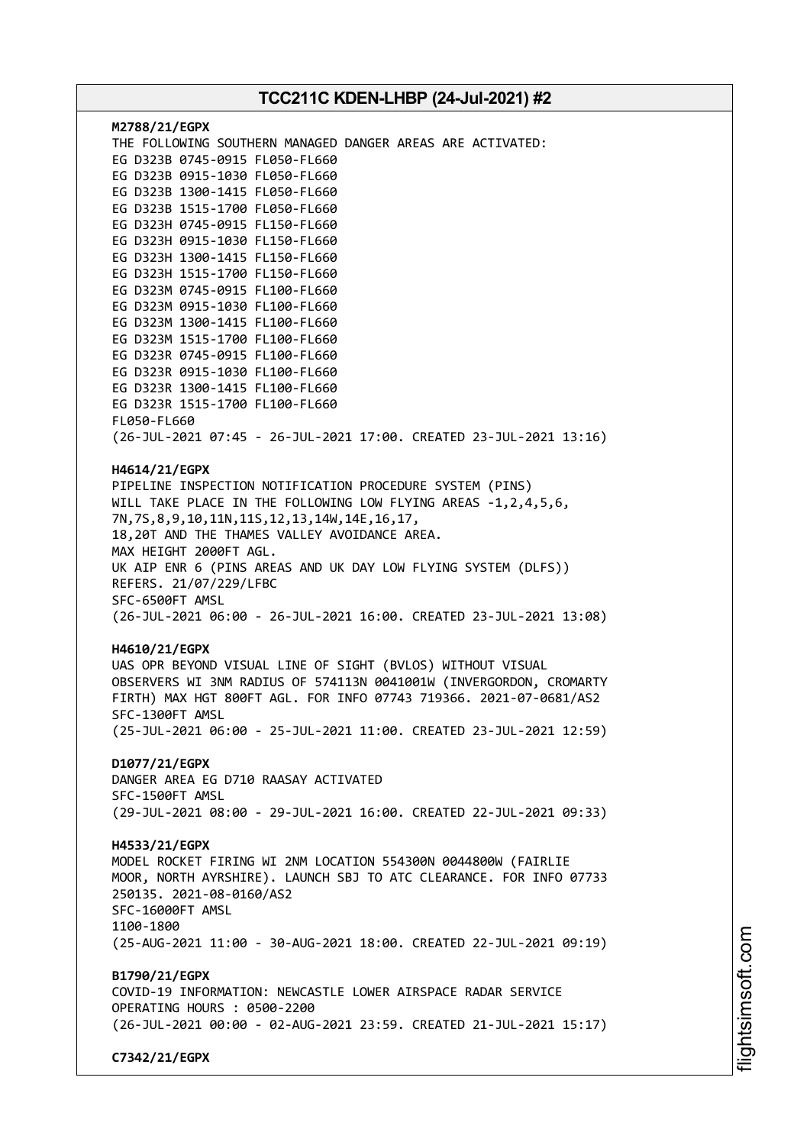| M2788/21/EGPX<br>THE FOLLOWING SOUTHERN MANAGED DANGER AREAS ARE ACTIVATED:<br>EG D323B 0745-0915 FL050-FL660<br>EG D323B 0915-1030 FL050-FL660<br>EG D323B 1300-1415 FL050-FL660<br>EG D323B 1515-1700 FL050-FL660<br>EG D323H 0745-0915 FL150-FL660<br>EG D323H 0915-1030 FL150-FL660<br>EG D323H 1300-1415 FL150-FL660<br>EG D323H 1515-1700 FL150-FL660<br>EG D323M 0745-0915 FL100-FL660<br>EG D323M 0915-1030 FL100-FL660<br>EG D323M 1300-1415 FL100-FL660<br>EG D323M 1515-1700 FL100-FL660<br>EG D323R 0745-0915 FL100-FL660<br>EG D323R 0915-1030 FL100-FL660<br>EG D323R 1300-1415 FL100-FL660<br>EG D323R 1515-1700 FL100-FL660<br>FL050-FL660<br>(26-JUL-2021 07:45 - 26-JUL-2021 17:00. CREATED 23-JUL-2021 13:16) |
|----------------------------------------------------------------------------------------------------------------------------------------------------------------------------------------------------------------------------------------------------------------------------------------------------------------------------------------------------------------------------------------------------------------------------------------------------------------------------------------------------------------------------------------------------------------------------------------------------------------------------------------------------------------------------------------------------------------------------------|
| H4614/21/EGPX                                                                                                                                                                                                                                                                                                                                                                                                                                                                                                                                                                                                                                                                                                                    |
| PIPELINE INSPECTION NOTIFICATION PROCEDURE SYSTEM (PINS)<br>WILL TAKE PLACE IN THE FOLLOWING LOW FLYING AREAS -1,2,4,5,6,<br>7N, 7S, 8, 9, 10, 11N, 11S, 12, 13, 14W, 14E, 16, 17,<br>18,20T AND THE THAMES VALLEY AVOIDANCE AREA.<br>MAX HEIGHT 2000FT AGL.                                                                                                                                                                                                                                                                                                                                                                                                                                                                     |
| UK AIP ENR 6 (PINS AREAS AND UK DAY LOW FLYING SYSTEM (DLFS))<br>REFERS. 21/07/229/LFBC                                                                                                                                                                                                                                                                                                                                                                                                                                                                                                                                                                                                                                          |
| SFC-6500FT AMSL<br>(26-JUL-2021 06:00 - 26-JUL-2021 16:00. CREATED 23-JUL-2021 13:08)                                                                                                                                                                                                                                                                                                                                                                                                                                                                                                                                                                                                                                            |
| H4610/21/EGPX<br>UAS OPR BEYOND VISUAL LINE OF SIGHT (BVLOS) WITHOUT VISUAL<br>OBSERVERS WI 3NM RADIUS OF 574113N 0041001W (INVERGORDON, CROMARTY<br>FIRTH) MAX HGT 800FT AGL. FOR INFO 07743 719366. 2021-07-0681/AS2<br>SFC-1300FT AMSL                                                                                                                                                                                                                                                                                                                                                                                                                                                                                        |
| (25-JUL-2021 06:00 - 25-JUL-2021 11:00. CREATED 23-JUL-2021 12:59)<br>D1077/21/EGPX                                                                                                                                                                                                                                                                                                                                                                                                                                                                                                                                                                                                                                              |
| DANGER AREA EG D710 RAASAY ACTIVATED<br>SFC-1500FT AMSL<br>(29-JUL-2021 08:00 - 29-JUL-2021 16:00. CREATED 22-JUL-2021 09:33)                                                                                                                                                                                                                                                                                                                                                                                                                                                                                                                                                                                                    |
| H4533/21/EGPX<br>MODEL ROCKET FIRING WI 2NM LOCATION 554300N 0044800W (FAIRLIE<br>MOOR, NORTH AYRSHIRE). LAUNCH SBJ TO ATC CLEARANCE. FOR INFO 07733<br>250135. 2021-08-0160/AS2<br>SFC-16000FT AMSL<br>1100-1800<br>(25-AUG-2021 11:00 - 30-AUG-2021 18:00. CREATED 22-JUL-2021 09:19)                                                                                                                                                                                                                                                                                                                                                                                                                                          |
| B1790/21/EGPX                                                                                                                                                                                                                                                                                                                                                                                                                                                                                                                                                                                                                                                                                                                    |
| COVID-19 INFORMATION: NEWCASTLE LOWER AIRSPACE RADAR SERVICE<br>OPERATING HOURS : 0500-2200                                                                                                                                                                                                                                                                                                                                                                                                                                                                                                                                                                                                                                      |
| (26-JUL-2021 00:00 - 02-AUG-2021 23:59. CREATED 21-JUL-2021 15:17)                                                                                                                                                                                                                                                                                                                                                                                                                                                                                                                                                                                                                                                               |
| C7342/21/EGPX                                                                                                                                                                                                                                                                                                                                                                                                                                                                                                                                                                                                                                                                                                                    |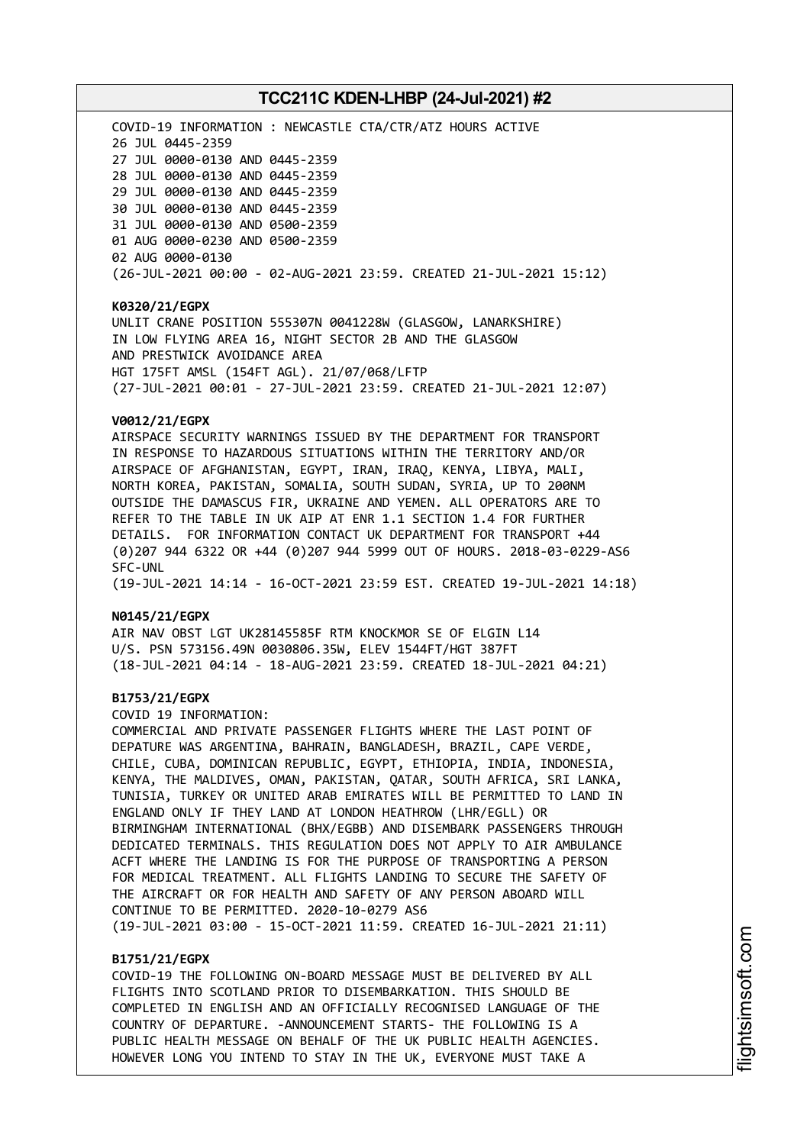COVID-19 INFORMATION : NEWCASTLE CTA/CTR/ATZ HOURS ACTIVE JUL 0445-2359 JUL 0000-0130 AND 0445-2359 JUL 0000-0130 AND 0445-2359 JUL 0000-0130 AND 0445-2359 JUL 0000-0130 AND 0445-2359 JUL 0000-0130 AND 0500-2359 AUG 0000-0230 AND 0500-2359 AUG 0000-0130 (26-JUL-2021 00:00 - 02-AUG-2021 23:59. CREATED 21-JUL-2021 15:12)

#### **K0320/21/EGPX**

UNLIT CRANE POSITION 555307N 0041228W (GLASGOW, LANARKSHIRE) IN LOW FLYING AREA 16, NIGHT SECTOR 2B AND THE GLASGOW AND PRESTWICK AVOIDANCE AREA HGT 175FT AMSL (154FT AGL). 21/07/068/LFTP (27-JUL-2021 00:01 - 27-JUL-2021 23:59. CREATED 21-JUL-2021 12:07)

#### **V0012/21/EGPX**

AIRSPACE SECURITY WARNINGS ISSUED BY THE DEPARTMENT FOR TRANSPORT IN RESPONSE TO HAZARDOUS SITUATIONS WITHIN THE TERRITORY AND/OR AIRSPACE OF AFGHANISTAN, EGYPT, IRAN, IRAQ, KENYA, LIBYA, MALI, NORTH KOREA, PAKISTAN, SOMALIA, SOUTH SUDAN, SYRIA, UP TO 200NM OUTSIDE THE DAMASCUS FIR, UKRAINE AND YEMEN. ALL OPERATORS ARE TO REFER TO THE TABLE IN UK AIP AT ENR 1.1 SECTION 1.4 FOR FURTHER DETAILS. FOR INFORMATION CONTACT UK DEPARTMENT FOR TRANSPORT +44 (0)207 944 6322 OR +44 (0)207 944 5999 OUT OF HOURS. 2018-03-0229-AS6 SFC-UNL

(19-JUL-2021 14:14 - 16-OCT-2021 23:59 EST. CREATED 19-JUL-2021 14:18)

#### **N0145/21/EGPX**

AIR NAV OBST LGT UK28145585F RTM KNOCKMOR SE OF ELGIN L14 U/S. PSN 573156.49N 0030806.35W, ELEV 1544FT/HGT 387FT (18-JUL-2021 04:14 - 18-AUG-2021 23:59. CREATED 18-JUL-2021 04:21)

#### **B1753/21/EGPX**

COVID 19 INFORMATION:

COMMERCIAL AND PRIVATE PASSENGER FLIGHTS WHERE THE LAST POINT OF DEPATURE WAS ARGENTINA, BAHRAIN, BANGLADESH, BRAZIL, CAPE VERDE, CHILE, CUBA, DOMINICAN REPUBLIC, EGYPT, ETHIOPIA, INDIA, INDONESIA, KENYA, THE MALDIVES, OMAN, PAKISTAN, QATAR, SOUTH AFRICA, SRI LANKA, TUNISIA, TURKEY OR UNITED ARAB EMIRATES WILL BE PERMITTED TO LAND IN ENGLAND ONLY IF THEY LAND AT LONDON HEATHROW (LHR/EGLL) OR BIRMINGHAM INTERNATIONAL (BHX/EGBB) AND DISEMBARK PASSENGERS THROUGH DEDICATED TERMINALS. THIS REGULATION DOES NOT APPLY TO AIR AMBULANCE ACFT WHERE THE LANDING IS FOR THE PURPOSE OF TRANSPORTING A PERSON FOR MEDICAL TREATMENT. ALL FLIGHTS LANDING TO SECURE THE SAFETY OF THE AIRCRAFT OR FOR HEALTH AND SAFETY OF ANY PERSON ABOARD WILL CONTINUE TO BE PERMITTED. 2020-10-0279 AS6 (19-JUL-2021 03:00 - 15-OCT-2021 11:59. CREATED 16-JUL-2021 21:11)

### **B1751/21/EGPX**

COVID-19 THE FOLLOWING ON-BOARD MESSAGE MUST BE DELIVERED BY ALL FLIGHTS INTO SCOTLAND PRIOR TO DISEMBARKATION. THIS SHOULD BE COMPLETED IN ENGLISH AND AN OFFICIALLY RECOGNISED LANGUAGE OF THE COUNTRY OF DEPARTURE. -ANNOUNCEMENT STARTS- THE FOLLOWING IS A PUBLIC HEALTH MESSAGE ON BEHALF OF THE UK PUBLIC HEALTH AGENCIES. HOWEVER LONG YOU INTEND TO STAY IN THE UK, EVERYONE MUST TAKE A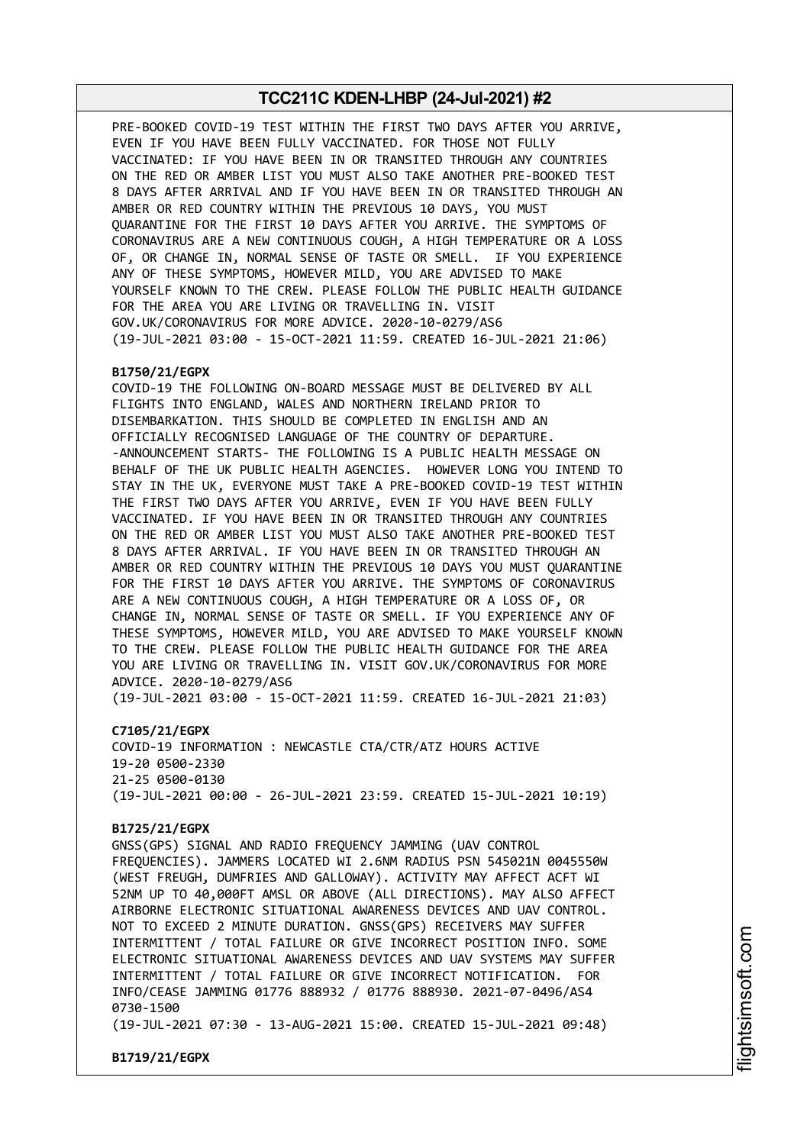PRE-BOOKED COVID-19 TEST WITHIN THE FIRST TWO DAYS AFTER YOU ARRIVE, EVEN IF YOU HAVE BEEN FULLY VACCINATED. FOR THOSE NOT FULLY VACCINATED: IF YOU HAVE BEEN IN OR TRANSITED THROUGH ANY COUNTRIES ON THE RED OR AMBER LIST YOU MUST ALSO TAKE ANOTHER PRE-BOOKED TEST 8 DAYS AFTER ARRIVAL AND IF YOU HAVE BEEN IN OR TRANSITED THROUGH AN AMBER OR RED COUNTRY WITHIN THE PREVIOUS 10 DAYS, YOU MUST QUARANTINE FOR THE FIRST 10 DAYS AFTER YOU ARRIVE. THE SYMPTOMS OF CORONAVIRUS ARE A NEW CONTINUOUS COUGH, A HIGH TEMPERATURE OR A LOSS OF, OR CHANGE IN, NORMAL SENSE OF TASTE OR SMELL. IF YOU EXPERIENCE ANY OF THESE SYMPTOMS, HOWEVER MILD, YOU ARE ADVISED TO MAKE YOURSELF KNOWN TO THE CREW. PLEASE FOLLOW THE PUBLIC HEALTH GUIDANCE FOR THE AREA YOU ARE LIVING OR TRAVELLING IN. VISIT GOV.UK/CORONAVIRUS FOR MORE ADVICE. 2020-10-0279/AS6 (19-JUL-2021 03:00 - 15-OCT-2021 11:59. CREATED 16-JUL-2021 21:06)

#### **B1750/21/EGPX**

COVID-19 THE FOLLOWING ON-BOARD MESSAGE MUST BE DELIVERED BY ALL FLIGHTS INTO ENGLAND, WALES AND NORTHERN IRELAND PRIOR TO DISEMBARKATION. THIS SHOULD BE COMPLETED IN ENGLISH AND AN OFFICIALLY RECOGNISED LANGUAGE OF THE COUNTRY OF DEPARTURE. -ANNOUNCEMENT STARTS- THE FOLLOWING IS A PUBLIC HEALTH MESSAGE ON BEHALF OF THE UK PUBLIC HEALTH AGENCIES. HOWEVER LONG YOU INTEND TO STAY IN THE UK, EVERYONE MUST TAKE A PRE-BOOKED COVID-19 TEST WITHIN THE FIRST TWO DAYS AFTER YOU ARRIVE, EVEN IF YOU HAVE BEEN FULLY VACCINATED. IF YOU HAVE BEEN IN OR TRANSITED THROUGH ANY COUNTRIES ON THE RED OR AMBER LIST YOU MUST ALSO TAKE ANOTHER PRE-BOOKED TEST 8 DAYS AFTER ARRIVAL. IF YOU HAVE BEEN IN OR TRANSITED THROUGH AN AMBER OR RED COUNTRY WITHIN THE PREVIOUS 10 DAYS YOU MUST QUARANTINE FOR THE FIRST 10 DAYS AFTER YOU ARRIVE. THE SYMPTOMS OF CORONAVIRUS ARE A NEW CONTINUOUS COUGH, A HIGH TEMPERATURE OR A LOSS OF, OR CHANGE IN, NORMAL SENSE OF TASTE OR SMELL. IF YOU EXPERIENCE ANY OF THESE SYMPTOMS, HOWEVER MILD, YOU ARE ADVISED TO MAKE YOURSELF KNOWN TO THE CREW. PLEASE FOLLOW THE PUBLIC HEALTH GUIDANCE FOR THE AREA YOU ARE LIVING OR TRAVELLING IN. VISIT GOV.UK/CORONAVIRUS FOR MORE ADVICE. 2020-10-0279/AS6

(19-JUL-2021 03:00 - 15-OCT-2021 11:59. CREATED 16-JUL-2021 21:03)

**C7105/21/EGPX**

COVID-19 INFORMATION : NEWCASTLE CTA/CTR/ATZ HOURS ACTIVE 19-20 0500-2330 21-25 0500-0130 (19-JUL-2021 00:00 - 26-JUL-2021 23:59. CREATED 15-JUL-2021 10:19)

#### **B1725/21/EGPX**

GNSS(GPS) SIGNAL AND RADIO FREQUENCY JAMMING (UAV CONTROL FREQUENCIES). JAMMERS LOCATED WI 2.6NM RADIUS PSN 545021N 0045550W (WEST FREUGH, DUMFRIES AND GALLOWAY). ACTIVITY MAY AFFECT ACFT WI 52NM UP TO 40,000FT AMSL OR ABOVE (ALL DIRECTIONS). MAY ALSO AFFECT AIRBORNE ELECTRONIC SITUATIONAL AWARENESS DEVICES AND UAV CONTROL. NOT TO EXCEED 2 MINUTE DURATION. GNSS(GPS) RECEIVERS MAY SUFFER INTERMITTENT / TOTAL FAILURE OR GIVE INCORRECT POSITION INFO. SOME ELECTRONIC SITUATIONAL AWARENESS DEVICES AND UAV SYSTEMS MAY SUFFER INTERMITTENT / TOTAL FAILURE OR GIVE INCORRECT NOTIFICATION. FOR INFO/CEASE JAMMING 01776 888932 / 01776 888930. 2021-07-0496/AS4 0730-1500

(19-JUL-2021 07:30 - 13-AUG-2021 15:00. CREATED 15-JUL-2021 09:48)

**B1719/21/EGPX**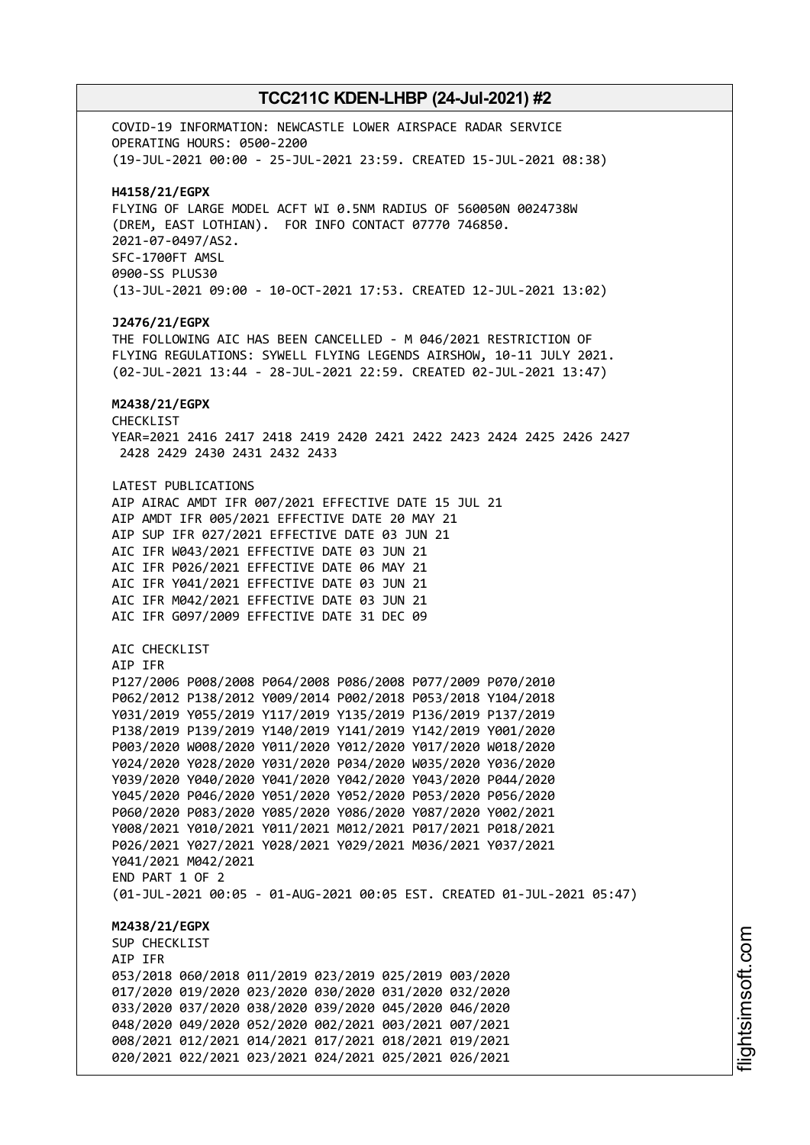COVID-19 INFORMATION: NEWCASTLE LOWER AIRSPACE RADAR SERVICE OPERATING HOURS: 0500-2200 (19-JUL-2021 00:00 - 25-JUL-2021 23:59. CREATED 15-JUL-2021 08:38) **H4158/21/EGPX** FLYING OF LARGE MODEL ACFT WI 0.5NM RADIUS OF 560050N 0024738W (DREM, EAST LOTHIAN). FOR INFO CONTACT 07770 746850. 2021-07-0497/AS2. SFC-1700FT AMSL 0900-SS PLUS30 (13-JUL-2021 09:00 - 10-OCT-2021 17:53. CREATED 12-JUL-2021 13:02) **J2476/21/EGPX** THE FOLLOWING AIC HAS BEEN CANCELLED - M 046/2021 RESTRICTION OF FLYING REGULATIONS: SYWELL FLYING LEGENDS AIRSHOW, 10-11 JULY 2021. (02-JUL-2021 13:44 - 28-JUL-2021 22:59. CREATED 02-JUL-2021 13:47) **M2438/21/EGPX** CHECKLIST YEAR=2021 2416 2417 2418 2419 2420 2421 2422 2423 2424 2425 2426 2427 2428 2429 2430 2431 2432 2433 LATEST PUBLICATIONS AIP AIRAC AMDT IFR 007/2021 EFFECTIVE DATE 15 JUL 21 AIP AMDT IFR 005/2021 EFFECTIVE DATE 20 MAY 21 AIP SUP IFR 027/2021 EFFECTIVE DATE 03 JUN 21 AIC IFR W043/2021 EFFECTIVE DATE 03 JUN 21 AIC IFR P026/2021 EFFECTIVE DATE 06 MAY 21 AIC IFR Y041/2021 EFFECTIVE DATE 03 JUN 21 AIC IFR M042/2021 EFFECTIVE DATE 03 JUN 21 AIC IFR G097/2009 EFFECTIVE DATE 31 DEC 09 AIC CHECKLIST AIP IFR P127/2006 P008/2008 P064/2008 P086/2008 P077/2009 P070/2010 P062/2012 P138/2012 Y009/2014 P002/2018 P053/2018 Y104/2018 Y031/2019 Y055/2019 Y117/2019 Y135/2019 P136/2019 P137/2019 P138/2019 P139/2019 Y140/2019 Y141/2019 Y142/2019 Y001/2020 P003/2020 W008/2020 Y011/2020 Y012/2020 Y017/2020 W018/2020 Y024/2020 Y028/2020 Y031/2020 P034/2020 W035/2020 Y036/2020 Y039/2020 Y040/2020 Y041/2020 Y042/2020 Y043/2020 P044/2020 Y045/2020 P046/2020 Y051/2020 Y052/2020 P053/2020 P056/2020 P060/2020 P083/2020 Y085/2020 Y086/2020 Y087/2020 Y002/2021 Y008/2021 Y010/2021 Y011/2021 M012/2021 P017/2021 P018/2021 P026/2021 Y027/2021 Y028/2021 Y029/2021 M036/2021 Y037/2021 Y041/2021 M042/2021 END PART 1 OF 2 (01-JUL-2021 00:05 - 01-AUG-2021 00:05 EST. CREATED 01-JUL-2021 05:47) **M2438/21/EGPX** SUP CHECKLIST AIP IFR 053/2018 060/2018 011/2019 023/2019 025/2019 003/2020 017/2020 019/2020 023/2020 030/2020 031/2020 032/2020 033/2020 037/2020 038/2020 039/2020 045/2020 046/2020 048/2020 049/2020 052/2020 002/2021 003/2021 007/2021 008/2021 012/2021 014/2021 017/2021 018/2021 019/2021 020/2021 022/2021 023/2021 024/2021 025/2021 026/2021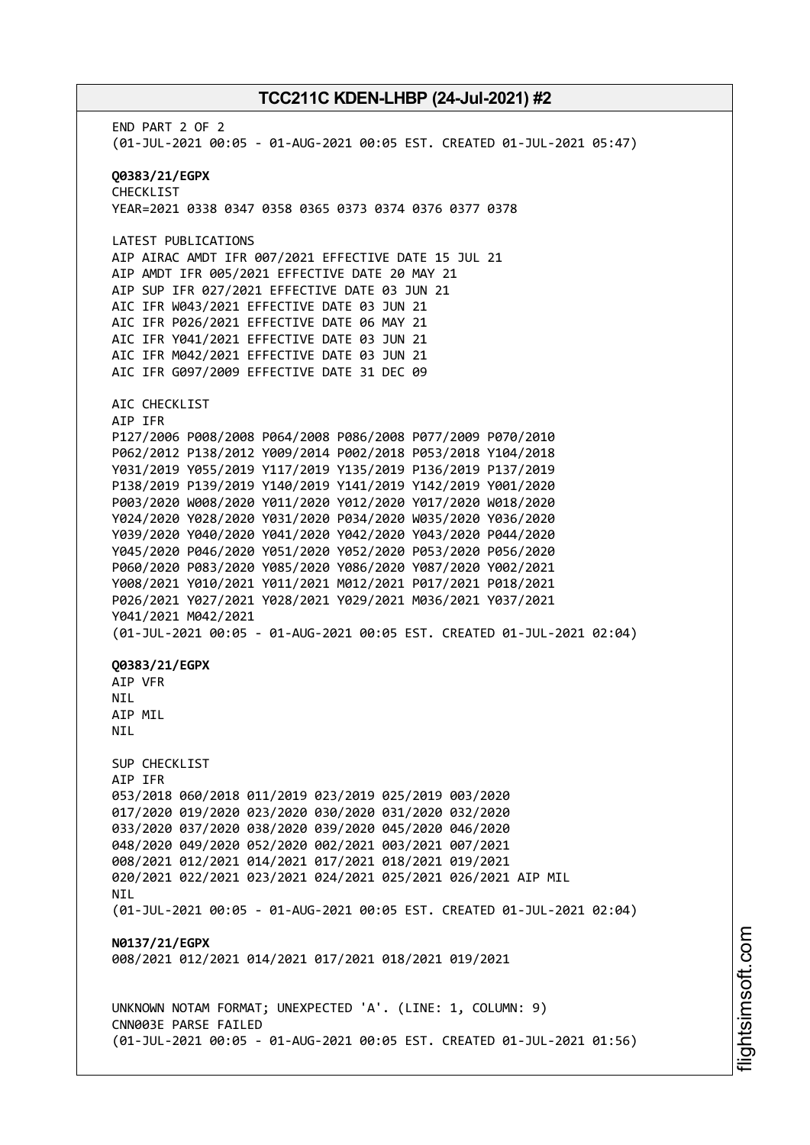END PART 2 OF 2 (01-JUL-2021 00:05 - 01-AUG-2021 00:05 EST. CREATED 01-JUL-2021 05:47) **Q0383/21/EGPX** CHECKLIST YEAR=2021 0338 0347 0358 0365 0373 0374 0376 0377 0378 LATEST PUBLICATIONS AIP AIRAC AMDT IFR 007/2021 EFFECTIVE DATE 15 JUL 21 AIP AMDT IFR 005/2021 EFFECTIVE DATE 20 MAY 21 AIP SUP IFR 027/2021 EFFECTIVE DATE 03 JUN 21 AIC IFR W043/2021 EFFECTIVE DATE 03 JUN 21 AIC IFR P026/2021 EFFECTIVE DATE 06 MAY 21 AIC IFR Y041/2021 EFFECTIVE DATE 03 JUN 21 AIC IFR M042/2021 EFFECTIVE DATE 03 JUN 21 AIC IFR G097/2009 EFFECTIVE DATE 31 DEC 09 AIC CHECKLIST AIP IFR P127/2006 P008/2008 P064/2008 P086/2008 P077/2009 P070/2010 P062/2012 P138/2012 Y009/2014 P002/2018 P053/2018 Y104/2018 Y031/2019 Y055/2019 Y117/2019 Y135/2019 P136/2019 P137/2019 P138/2019 P139/2019 Y140/2019 Y141/2019 Y142/2019 Y001/2020 P003/2020 W008/2020 Y011/2020 Y012/2020 Y017/2020 W018/2020 Y024/2020 Y028/2020 Y031/2020 P034/2020 W035/2020 Y036/2020 Y039/2020 Y040/2020 Y041/2020 Y042/2020 Y043/2020 P044/2020 Y045/2020 P046/2020 Y051/2020 Y052/2020 P053/2020 P056/2020 P060/2020 P083/2020 Y085/2020 Y086/2020 Y087/2020 Y002/2021 Y008/2021 Y010/2021 Y011/2021 M012/2021 P017/2021 P018/2021 P026/2021 Y027/2021 Y028/2021 Y029/2021 M036/2021 Y037/2021 Y041/2021 M042/2021 (01-JUL-2021 00:05 - 01-AUG-2021 00:05 EST. CREATED 01-JUL-2021 02:04) **Q0383/21/EGPX** AIP VFR **NTL** AIP MIL NIL SUP CHECKLIST AIP IFR 053/2018 060/2018 011/2019 023/2019 025/2019 003/2020 017/2020 019/2020 023/2020 030/2020 031/2020 032/2020 033/2020 037/2020 038/2020 039/2020 045/2020 046/2020 048/2020 049/2020 052/2020 002/2021 003/2021 007/2021 008/2021 012/2021 014/2021 017/2021 018/2021 019/2021 020/2021 022/2021 023/2021 024/2021 025/2021 026/2021 AIP MIL **NTI** (01-JUL-2021 00:05 - 01-AUG-2021 00:05 EST. CREATED 01-JUL-2021 02:04) **N0137/21/EGPX** 008/2021 012/2021 014/2021 017/2021 018/2021 019/2021 UNKNOWN NOTAM FORMAT; UNEXPECTED 'A'. (LINE: 1, COLUMN: 9) CNN003E PARSE FAILED (01-JUL-2021 00:05 - 01-AUG-2021 00:05 EST. CREATED 01-JUL-2021 01:56)

m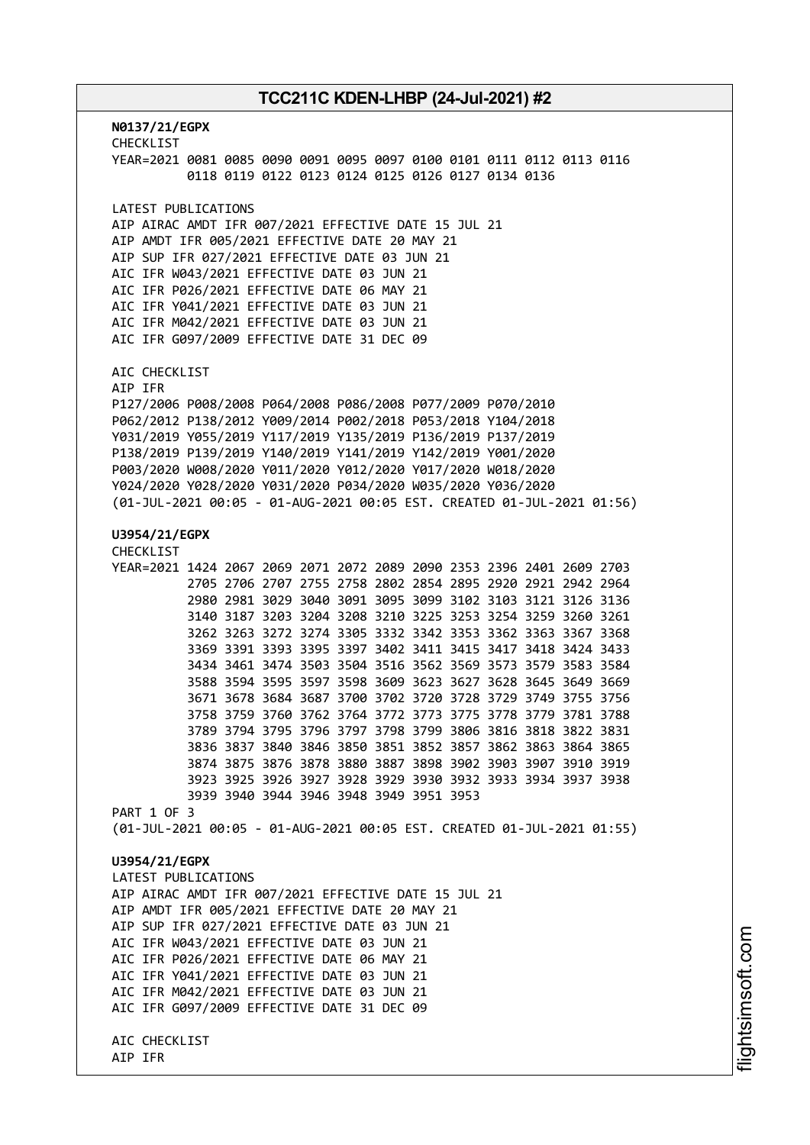**N0137/21/EGPX** CHECKLIST YEAR=2021 0081 0085 0090 0091 0095 0097 0100 0101 0111 0112 0113 0116 0118 0119 0122 0123 0124 0125 0126 0127 0134 0136 LATEST PUBLICATIONS AIP AIRAC AMDT IFR 007/2021 EFFECTIVE DATE 15 JUL 21 AIP AMDT IFR 005/2021 EFFECTIVE DATE 20 MAY 21 AIP SUP IFR 027/2021 EFFECTIVE DATE 03 JUN 21 AIC IFR W043/2021 EFFECTIVE DATE 03 JUN 21 AIC IFR P026/2021 EFFECTIVE DATE 06 MAY 21 AIC IFR Y041/2021 EFFECTIVE DATE 03 JUN 21 AIC IFR M042/2021 EFFECTIVE DATE 03 JUN 21 AIC IFR G097/2009 EFFECTIVE DATE 31 DEC 09 AIC CHECKLIST AIP IFR P127/2006 P008/2008 P064/2008 P086/2008 P077/2009 P070/2010 P062/2012 P138/2012 Y009/2014 P002/2018 P053/2018 Y104/2018 Y031/2019 Y055/2019 Y117/2019 Y135/2019 P136/2019 P137/2019 P138/2019 P139/2019 Y140/2019 Y141/2019 Y142/2019 Y001/2020 P003/2020 W008/2020 Y011/2020 Y012/2020 Y017/2020 W018/2020 Y024/2020 Y028/2020 Y031/2020 P034/2020 W035/2020 Y036/2020 (01-JUL-2021 00:05 - 01-AUG-2021 00:05 EST. CREATED 01-JUL-2021 01:56) **U3954/21/EGPX** CHECKLIST YEAR=2021 1424 2067 2069 2071 2072 2089 2090 2353 2396 2401 2609 2703 2705 2706 2707 2755 2758 2802 2854 2895 2920 2921 2942 2964 2980 2981 3029 3040 3091 3095 3099 3102 3103 3121 3126 3136 3140 3187 3203 3204 3208 3210 3225 3253 3254 3259 3260 3261 3262 3263 3272 3274 3305 3332 3342 3353 3362 3363 3367 3368 3369 3391 3393 3395 3397 3402 3411 3415 3417 3418 3424 3433 3434 3461 3474 3503 3504 3516 3562 3569 3573 3579 3583 3584 3588 3594 3595 3597 3598 3609 3623 3627 3628 3645 3649 3669 3671 3678 3684 3687 3700 3702 3720 3728 3729 3749 3755 3756 3758 3759 3760 3762 3764 3772 3773 3775 3778 3779 3781 3788 3789 3794 3795 3796 3797 3798 3799 3806 3816 3818 3822 3831 3836 3837 3840 3846 3850 3851 3852 3857 3862 3863 3864 3865 3874 3875 3876 3878 3880 3887 3898 3902 3903 3907 3910 3919 3923 3925 3926 3927 3928 3929 3930 3932 3933 3934 3937 3938 3939 3940 3944 3946 3948 3949 3951 3953 PART 1 OF 3 (01-JUL-2021 00:05 - 01-AUG-2021 00:05 EST. CREATED 01-JUL-2021 01:55) **U3954/21/EGPX** LATEST PUBLICATIONS AIP AIRAC AMDT IFR 007/2021 EFFECTIVE DATE 15 JUL 21 AIP AMDT IFR 005/2021 EFFECTIVE DATE 20 MAY 21 AIP SUP IFR 027/2021 EFFECTIVE DATE 03 JUN 21 AIC IFR W043/2021 EFFECTIVE DATE 03 JUN 21 AIC IFR P026/2021 EFFECTIVE DATE 06 MAY 21 AIC IFR Y041/2021 EFFECTIVE DATE 03 JUN 21 AIC IFR M042/2021 EFFECTIVE DATE 03 JUN 21 AIC IFR G097/2009 EFFECTIVE DATE 31 DEC 09 AIC CHECKLIST AIP IFR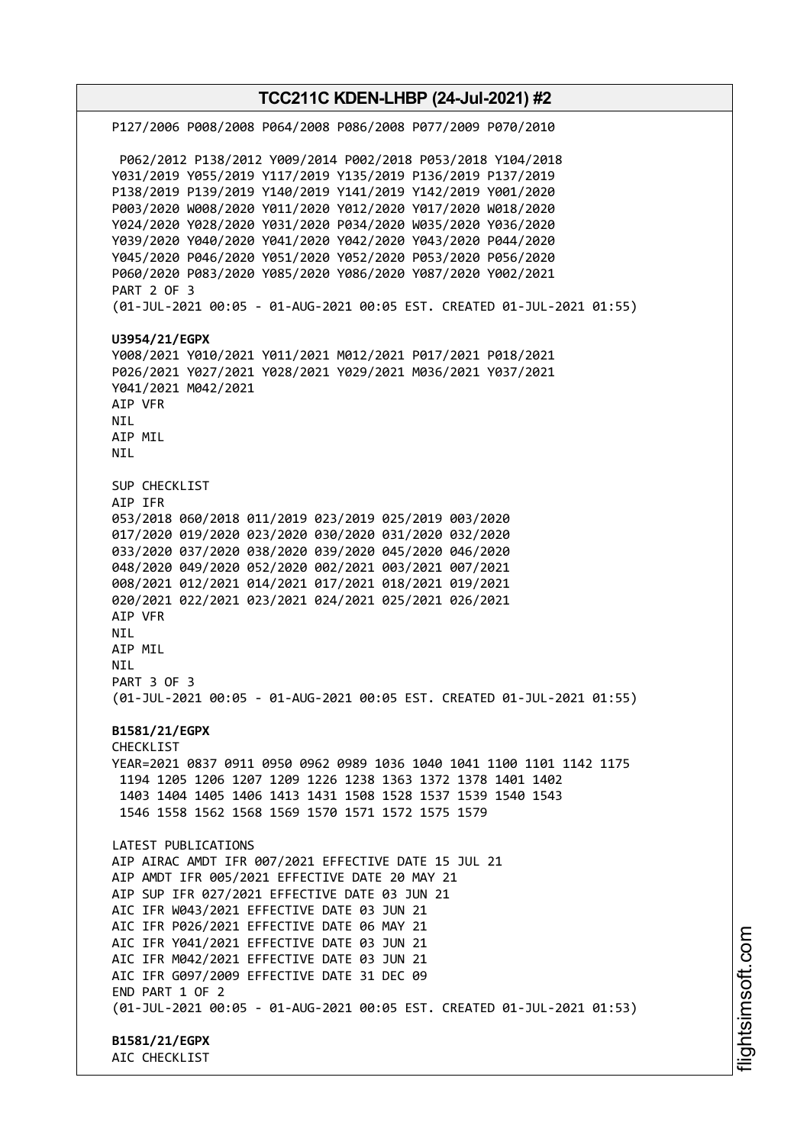**TCC211C KDEN-LHBP (24-Jul-2021) #2** P127/2006 P008/2008 P064/2008 P086/2008 P077/2009 P070/2010 P062/2012 P138/2012 Y009/2014 P002/2018 P053/2018 Y104/2018 Y031/2019 Y055/2019 Y117/2019 Y135/2019 P136/2019 P137/2019 P138/2019 P139/2019 Y140/2019 Y141/2019 Y142/2019 Y001/2020 P003/2020 W008/2020 Y011/2020 Y012/2020 Y017/2020 W018/2020 Y024/2020 Y028/2020 Y031/2020 P034/2020 W035/2020 Y036/2020 Y039/2020 Y040/2020 Y041/2020 Y042/2020 Y043/2020 P044/2020 Y045/2020 P046/2020 Y051/2020 Y052/2020 P053/2020 P056/2020 P060/2020 P083/2020 Y085/2020 Y086/2020 Y087/2020 Y002/2021 PART 2 OF 3 (01-JUL-2021 00:05 - 01-AUG-2021 00:05 EST. CREATED 01-JUL-2021 01:55) **U3954/21/EGPX** Y008/2021 Y010/2021 Y011/2021 M012/2021 P017/2021 P018/2021 P026/2021 Y027/2021 Y028/2021 Y029/2021 M036/2021 Y037/2021 Y041/2021 M042/2021 AIP VFR NIL AIP MIL NIL SUP CHECKLIST AIP IFR 053/2018 060/2018 011/2019 023/2019 025/2019 003/2020 017/2020 019/2020 023/2020 030/2020 031/2020 032/2020 033/2020 037/2020 038/2020 039/2020 045/2020 046/2020 048/2020 049/2020 052/2020 002/2021 003/2021 007/2021 008/2021 012/2021 014/2021 017/2021 018/2021 019/2021 020/2021 022/2021 023/2021 024/2021 025/2021 026/2021 AIP VFR NIL AIP MIL NIL PART 3 OF 3 (01-JUL-2021 00:05 - 01-AUG-2021 00:05 EST. CREATED 01-JUL-2021 01:55) **B1581/21/EGPX** CHECKLIST YEAR=2021 0837 0911 0950 0962 0989 1036 1040 1041 1100 1101 1142 1175 1194 1205 1206 1207 1209 1226 1238 1363 1372 1378 1401 1402 1403 1404 1405 1406 1413 1431 1508 1528 1537 1539 1540 1543 1546 1558 1562 1568 1569 1570 1571 1572 1575 1579 LATEST PUBLICATIONS AIP AIRAC AMDT IFR 007/2021 EFFECTIVE DATE 15 JUL 21 AIP AMDT IFR 005/2021 EFFECTIVE DATE 20 MAY 21 AIP SUP IFR 027/2021 EFFECTIVE DATE 03 JUN 21 AIC IFR W043/2021 EFFECTIVE DATE 03 JUN 21 AIC IFR P026/2021 EFFECTIVE DATE 06 MAY 21 AIC IFR Y041/2021 EFFECTIVE DATE 03 JUN 21 AIC IFR M042/2021 EFFECTIVE DATE 03 JUN 21 AIC IFR G097/2009 EFFECTIVE DATE 31 DEC 09 END PART 1 OF 2 (01-JUL-2021 00:05 - 01-AUG-2021 00:05 EST. CREATED 01-JUL-2021 01:53) **B1581/21/EGPX** AIC CHECKLIST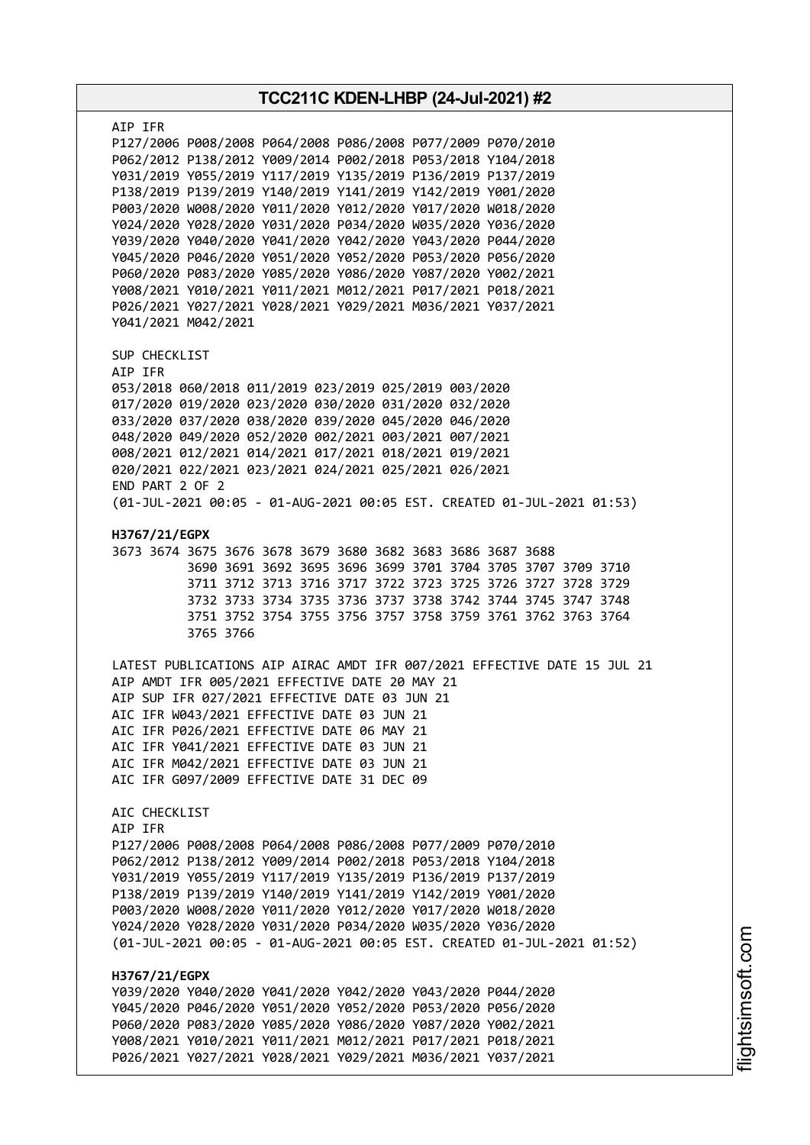| TCC211C KDEN-LHBP (24-Jul-2021) #2                                                                                                                                                                                                                                                                                                                                                                                                                                                                                                                                                                                                                                                                                                                  |  |  |  |
|-----------------------------------------------------------------------------------------------------------------------------------------------------------------------------------------------------------------------------------------------------------------------------------------------------------------------------------------------------------------------------------------------------------------------------------------------------------------------------------------------------------------------------------------------------------------------------------------------------------------------------------------------------------------------------------------------------------------------------------------------------|--|--|--|
| AIP IFR<br>P127/2006 P008/2008 P064/2008 P086/2008 P077/2009 P070/2010<br>P062/2012 P138/2012 Y009/2014 P002/2018 P053/2018 Y104/2018<br>Y031/2019 Y055/2019 Y117/2019 Y135/2019 P136/2019 P137/2019<br>P138/2019 P139/2019 Y140/2019 Y141/2019 Y142/2019 Y001/2020<br>P003/2020 W008/2020 Y011/2020 Y012/2020 Y017/2020 W018/2020<br>Y024/2020 Y028/2020 Y031/2020 P034/2020 W035/2020 Y036/2020<br>Y039/2020 Y040/2020 Y041/2020 Y042/2020 Y043/2020 P044/2020<br>Y045/2020 P046/2020 Y051/2020 Y052/2020 P053/2020 P056/2020<br>P060/2020 P083/2020 Y085/2020 Y086/2020 Y087/2020 Y002/2021<br>Y008/2021 Y010/2021 Y011/2021 M012/2021 P017/2021 P018/2021<br>P026/2021 Y027/2021 Y028/2021 Y029/2021 M036/2021 Y037/2021<br>Y041/2021 M042/2021 |  |  |  |
| SUP CHECKLIST<br>AIP IFR<br>053/2018 060/2018 011/2019 023/2019 025/2019 003/2020<br>017/2020 019/2020 023/2020 030/2020 031/2020 032/2020<br>033/2020 037/2020 038/2020 039/2020 045/2020 046/2020<br>048/2020 049/2020 052/2020 002/2021 003/2021 007/2021<br>008/2021 012/2021 014/2021 017/2021 018/2021 019/2021<br>020/2021 022/2021 023/2021 024/2021 025/2021 026/2021<br>END PART 2 OF 2<br>(01-JUL-2021 00:05 - 01-AUG-2021 00:05 EST. CREATED 01-JUL-2021 01:53)                                                                                                                                                                                                                                                                         |  |  |  |
| H3767/21/EGPX<br>3673 3674 3675 3676 3678 3679 3680 3682 3683 3686 3687 3688<br>3690 3691 3692 3695 3696 3699 3701 3704 3705 3707 3709 3710<br>3711 3712 3713 3716 3717 3722 3723 3725 3726 3727 3728 3729<br>3732 3733 3734 3735 3736 3737 3738 3742 3744 3745 3747 3748<br>3751 3752 3754 3755 3756 3757 3758 3759 3761 3762 3763 3764<br>3765 3766                                                                                                                                                                                                                                                                                                                                                                                               |  |  |  |
| LATEST PUBLICATIONS AIP AIRAC AMDT IFR 007/2021 EFFECTIVE DATE 15 JUL 21<br>AIP AMDT IFR 005/2021 EFFECTIVE DATE 20 MAY 21<br>AIP SUP IFR 027/2021 EFFECTIVE DATE 03 JUN 21<br>AIC IFR W043/2021 EFFECTIVE DATE 03 JUN 21<br>AIC IFR P026/2021 EFFECTIVE DATE 06 MAY 21<br>AIC IFR Y041/2021 EFFECTIVE DATE 03 JUN 21<br>AIC IFR M042/2021 EFFECTIVE DATE 03 JUN 21<br>AIC IFR G097/2009 EFFECTIVE DATE 31 DEC 09                                                                                                                                                                                                                                                                                                                                   |  |  |  |
| AIC CHECKLIST<br>AIP IFR<br>P127/2006 P008/2008 P064/2008 P086/2008 P077/2009 P070/2010<br>P062/2012 P138/2012 Y009/2014 P002/2018 P053/2018 Y104/2018<br>Y031/2019 Y055/2019 Y117/2019 Y135/2019 P136/2019 P137/2019<br>P138/2019 P139/2019 Y140/2019 Y141/2019 Y142/2019 Y001/2020<br>P003/2020 W008/2020 Y011/2020 Y012/2020 Y017/2020 W018/2020<br>Y024/2020 Y028/2020 Y031/2020 P034/2020 W035/2020 Y036/2020<br>(01-JUL-2021 00:05 - 01-AUG-2021 00:05 EST. CREATED 01-JUL-2021 01:52)                                                                                                                                                                                                                                                        |  |  |  |
| H3767/21/EGPX<br>Y039/2020 Y040/2020 Y041/2020 Y042/2020 Y043/2020 P044/2020<br>Y045/2020 P046/2020 Y051/2020 Y052/2020 P053/2020 P056/2020<br>P060/2020 P083/2020 Y085/2020 Y086/2020 Y087/2020 Y002/2021<br>Y008/2021 Y010/2021 Y011/2021 M012/2021 P017/2021 P018/2021<br>P026/2021 Y027/2021 Y028/2021 Y029/2021 M036/2021 Y037/2021                                                                                                                                                                                                                                                                                                                                                                                                            |  |  |  |

T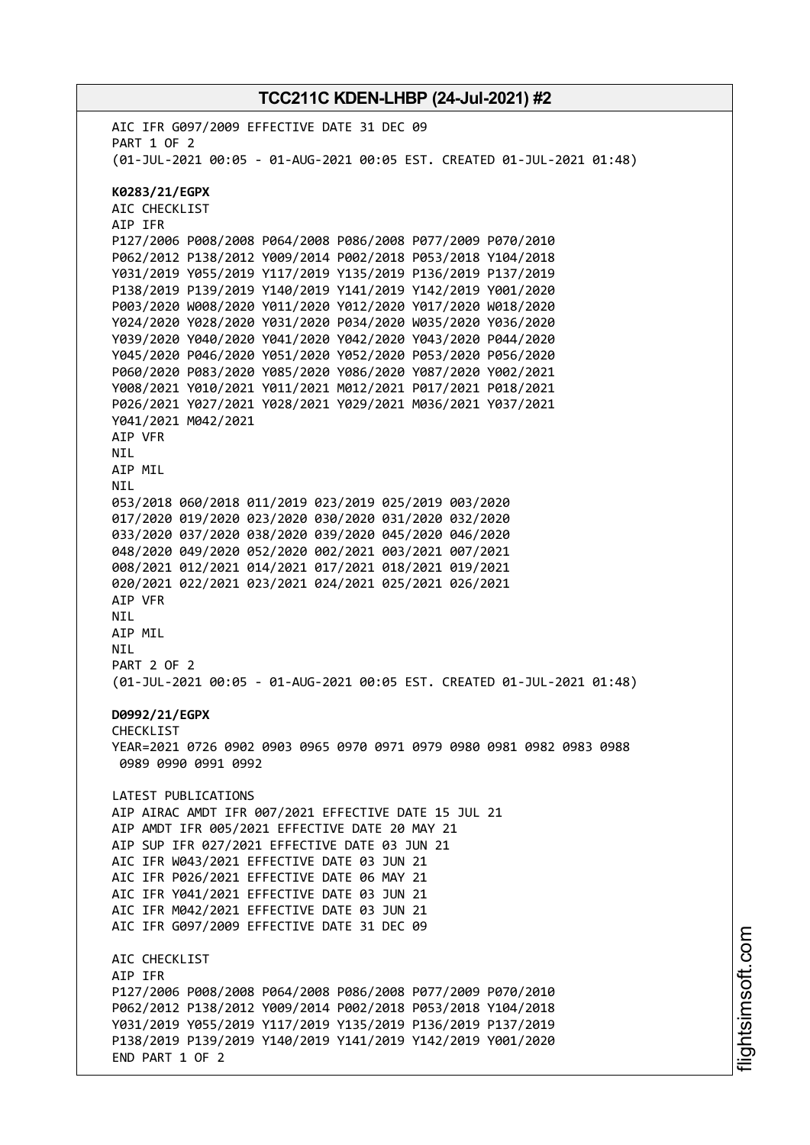AIC IFR G097/2009 EFFECTIVE DATE 31 DEC 09 PART 1 OF 2 (01-JUL-2021 00:05 - 01-AUG-2021 00:05 EST. CREATED 01-JUL-2021 01:48) **K0283/21/EGPX** AIC CHECKLIST AIP IFR P127/2006 P008/2008 P064/2008 P086/2008 P077/2009 P070/2010 P062/2012 P138/2012 Y009/2014 P002/2018 P053/2018 Y104/2018 Y031/2019 Y055/2019 Y117/2019 Y135/2019 P136/2019 P137/2019 P138/2019 P139/2019 Y140/2019 Y141/2019 Y142/2019 Y001/2020 P003/2020 W008/2020 Y011/2020 Y012/2020 Y017/2020 W018/2020 Y024/2020 Y028/2020 Y031/2020 P034/2020 W035/2020 Y036/2020 Y039/2020 Y040/2020 Y041/2020 Y042/2020 Y043/2020 P044/2020 Y045/2020 P046/2020 Y051/2020 Y052/2020 P053/2020 P056/2020 P060/2020 P083/2020 Y085/2020 Y086/2020 Y087/2020 Y002/2021 Y008/2021 Y010/2021 Y011/2021 M012/2021 P017/2021 P018/2021 P026/2021 Y027/2021 Y028/2021 Y029/2021 M036/2021 Y037/2021 Y041/2021 M042/2021 AIP VFR NIL AIP MIL **NTI** 053/2018 060/2018 011/2019 023/2019 025/2019 003/2020 017/2020 019/2020 023/2020 030/2020 031/2020 032/2020 033/2020 037/2020 038/2020 039/2020 045/2020 046/2020 048/2020 049/2020 052/2020 002/2021 003/2021 007/2021 008/2021 012/2021 014/2021 017/2021 018/2021 019/2021 020/2021 022/2021 023/2021 024/2021 025/2021 026/2021 AIP VFR NIL AIP MIL NIL PART 2 OF 2 (01-JUL-2021 00:05 - 01-AUG-2021 00:05 EST. CREATED 01-JUL-2021 01:48) **D0992/21/EGPX** CHECKL<sub>TST</sub> YEAR=2021 0726 0902 0903 0965 0970 0971 0979 0980 0981 0982 0983 0988 0989 0990 0991 0992 LATEST PUBLICATIONS AIP AIRAC AMDT IFR 007/2021 EFFECTIVE DATE 15 JUL 21 AIP AMDT IFR 005/2021 EFFECTIVE DATE 20 MAY 21 AIP SUP IFR 027/2021 EFFECTIVE DATE 03 JUN 21 AIC IFR W043/2021 EFFECTIVE DATE 03 JUN 21 AIC IFR P026/2021 EFFECTIVE DATE 06 MAY 21 AIC IFR Y041/2021 EFFECTIVE DATE 03 JUN 21 AIC IFR M042/2021 EFFECTIVE DATE 03 JUN 21 AIC IFR G097/2009 EFFECTIVE DATE 31 DEC 09 AIC CHECKLIST AIP IFR P127/2006 P008/2008 P064/2008 P086/2008 P077/2009 P070/2010 P062/2012 P138/2012 Y009/2014 P002/2018 P053/2018 Y104/2018 Y031/2019 Y055/2019 Y117/2019 Y135/2019 P136/2019 P137/2019 P138/2019 P139/2019 Y140/2019 Y141/2019 Y142/2019 Y001/2020 END PART 1 OF 2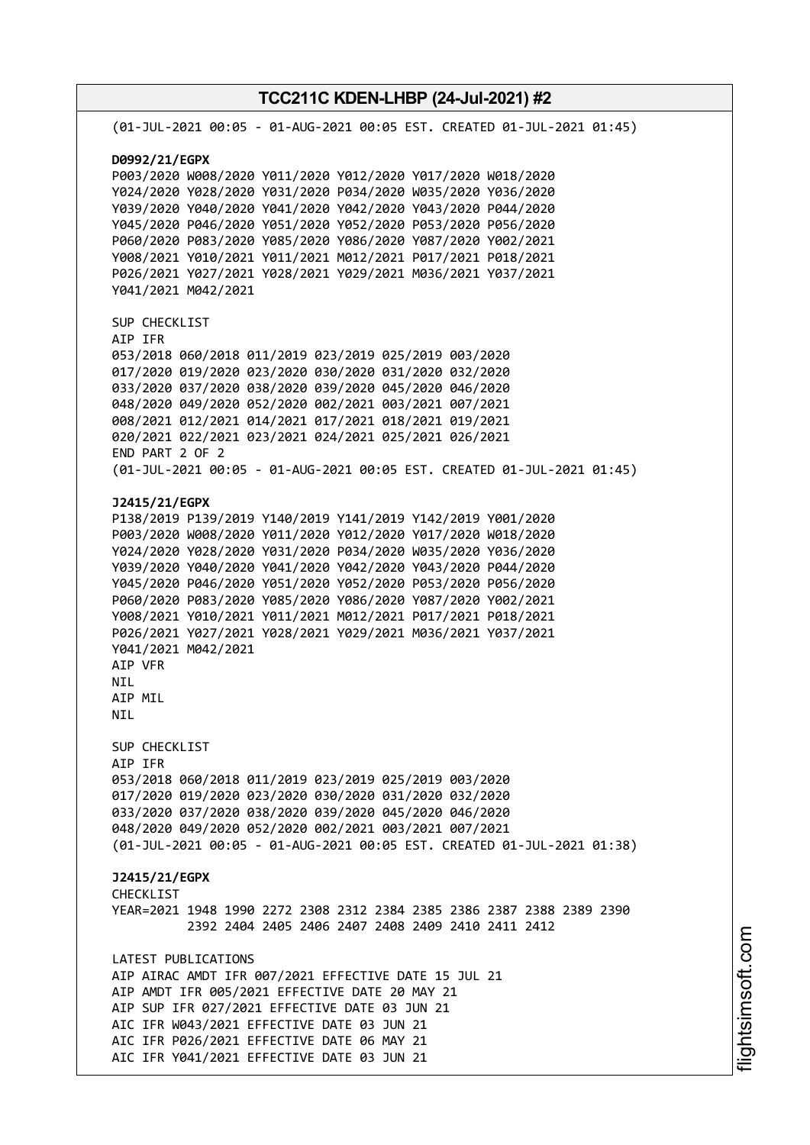**TCC211C KDEN-LHBP (24-Jul-2021) #2** (01-JUL-2021 00:05 - 01-AUG-2021 00:05 EST. CREATED 01-JUL-2021 01:45) **D0992/21/EGPX** P003/2020 W008/2020 Y011/2020 Y012/2020 Y017/2020 W018/2020 Y024/2020 Y028/2020 Y031/2020 P034/2020 W035/2020 Y036/2020 Y039/2020 Y040/2020 Y041/2020 Y042/2020 Y043/2020 P044/2020 Y045/2020 P046/2020 Y051/2020 Y052/2020 P053/2020 P056/2020 P060/2020 P083/2020 Y085/2020 Y086/2020 Y087/2020 Y002/2021 Y008/2021 Y010/2021 Y011/2021 M012/2021 P017/2021 P018/2021 P026/2021 Y027/2021 Y028/2021 Y029/2021 M036/2021 Y037/2021 Y041/2021 M042/2021 SUP CHECKLIST AIP IFR 053/2018 060/2018 011/2019 023/2019 025/2019 003/2020 017/2020 019/2020 023/2020 030/2020 031/2020 032/2020 033/2020 037/2020 038/2020 039/2020 045/2020 046/2020 048/2020 049/2020 052/2020 002/2021 003/2021 007/2021 008/2021 012/2021 014/2021 017/2021 018/2021 019/2021 020/2021 022/2021 023/2021 024/2021 025/2021 026/2021 END PART 2 OF 2 (01-JUL-2021 00:05 - 01-AUG-2021 00:05 EST. CREATED 01-JUL-2021 01:45) **J2415/21/EGPX** P138/2019 P139/2019 Y140/2019 Y141/2019 Y142/2019 Y001/2020 P003/2020 W008/2020 Y011/2020 Y012/2020 Y017/2020 W018/2020 Y024/2020 Y028/2020 Y031/2020 P034/2020 W035/2020 Y036/2020 Y039/2020 Y040/2020 Y041/2020 Y042/2020 Y043/2020 P044/2020 Y045/2020 P046/2020 Y051/2020 Y052/2020 P053/2020 P056/2020 P060/2020 P083/2020 Y085/2020 Y086/2020 Y087/2020 Y002/2021 Y008/2021 Y010/2021 Y011/2021 M012/2021 P017/2021 P018/2021 P026/2021 Y027/2021 Y028/2021 Y029/2021 M036/2021 Y037/2021 Y041/2021 M042/2021 AIP VFR NIL AIP MIL NIL SUP CHECKLIST AIP IFR 053/2018 060/2018 011/2019 023/2019 025/2019 003/2020 017/2020 019/2020 023/2020 030/2020 031/2020 032/2020 033/2020 037/2020 038/2020 039/2020 045/2020 046/2020 048/2020 049/2020 052/2020 002/2021 003/2021 007/2021 (01-JUL-2021 00:05 - 01-AUG-2021 00:05 EST. CREATED 01-JUL-2021 01:38) **J2415/21/EGPX CHECKLIST** YEAR=2021 1948 1990 2272 2308 2312 2384 2385 2386 2387 2388 2389 2390 2392 2404 2405 2406 2407 2408 2409 2410 2411 2412 LATEST PUBLICATIONS AIP AIRAC AMDT IFR 007/2021 EFFECTIVE DATE 15 JUL 21 AIP AMDT IFR 005/2021 EFFECTIVE DATE 20 MAY 21 AIP SUP IFR 027/2021 EFFECTIVE DATE 03 JUN 21 AIC IFR W043/2021 EFFECTIVE DATE 03 JUN 21 AIC IFR P026/2021 EFFECTIVE DATE 06 MAY 21 AIC IFR Y041/2021 EFFECTIVE DATE 03 JUN 21

i⊒<br>⊫

htsim soft.c o

m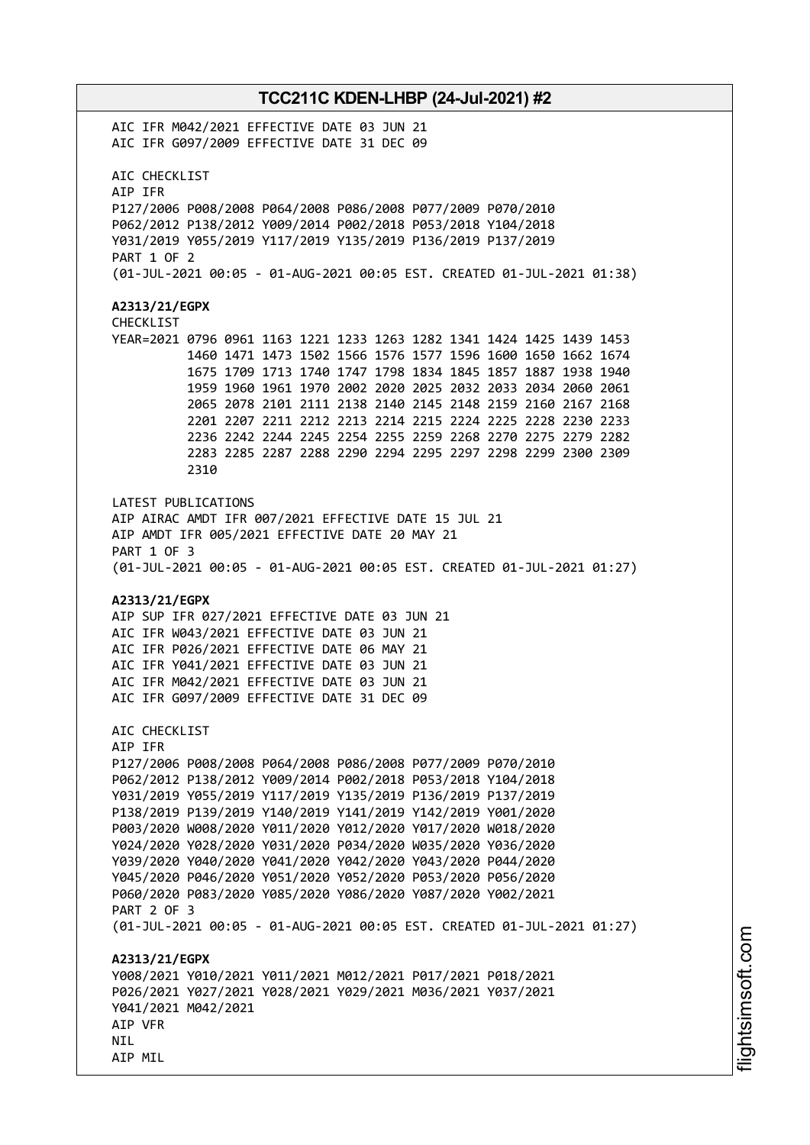# **TCC211C KDEN-LHBP (24-Jul-2021) #2** AIC IFR M042/2021 EFFECTIVE DATE 03 JUN 21 AIC IFR G097/2009 EFFECTIVE DATE 31 DEC 09 AIC CHECKLIST AIP IFR P127/2006 P008/2008 P064/2008 P086/2008 P077/2009 P070/2010 P062/2012 P138/2012 Y009/2014 P002/2018 P053/2018 Y104/2018 Y031/2019 Y055/2019 Y117/2019 Y135/2019 P136/2019 P137/2019 PART 1 OF 2 (01-JUL-2021 00:05 - 01-AUG-2021 00:05 EST. CREATED 01-JUL-2021 01:38) **A2313/21/EGPX** CHECKLIST YEAR=2021 0796 0961 1163 1221 1233 1263 1282 1341 1424 1425 1439 1453 1460 1471 1473 1502 1566 1576 1577 1596 1600 1650 1662 1674 1675 1709 1713 1740 1747 1798 1834 1845 1857 1887 1938 1940 1959 1960 1961 1970 2002 2020 2025 2032 2033 2034 2060 2061 2065 2078 2101 2111 2138 2140 2145 2148 2159 2160 2167 2168 2201 2207 2211 2212 2213 2214 2215 2224 2225 2228 2230 2233 2236 2242 2244 2245 2254 2255 2259 2268 2270 2275 2279 2282 2283 2285 2287 2288 2290 2294 2295 2297 2298 2299 2300 2309 2310 LATEST PUBLICATIONS AIP AIRAC AMDT IFR 007/2021 EFFECTIVE DATE 15 JUL 21 AIP AMDT IFR 005/2021 EFFECTIVE DATE 20 MAY 21 PART 1 OF 3 (01-JUL-2021 00:05 - 01-AUG-2021 00:05 EST. CREATED 01-JUL-2021 01:27) **A2313/21/EGPX** AIP SUP IFR 027/2021 EFFECTIVE DATE 03 JUN 21 AIC IFR W043/2021 EFFECTIVE DATE 03 JUN 21 AIC IFR P026/2021 EFFECTIVE DATE 06 MAY 21 AIC IFR Y041/2021 EFFECTIVE DATE 03 JUN 21 AIC IFR M042/2021 EFFECTIVE DATE 03 JUN 21 AIC IFR G097/2009 EFFECTIVE DATE 31 DEC 09 AIC CHECKLIST AIP IFR P127/2006 P008/2008 P064/2008 P086/2008 P077/2009 P070/2010 P062/2012 P138/2012 Y009/2014 P002/2018 P053/2018 Y104/2018 Y031/2019 Y055/2019 Y117/2019 Y135/2019 P136/2019 P137/2019 P138/2019 P139/2019 Y140/2019 Y141/2019 Y142/2019 Y001/2020 P003/2020 W008/2020 Y011/2020 Y012/2020 Y017/2020 W018/2020 Y024/2020 Y028/2020 Y031/2020 P034/2020 W035/2020 Y036/2020 Y039/2020 Y040/2020 Y041/2020 Y042/2020 Y043/2020 P044/2020 Y045/2020 P046/2020 Y051/2020 Y052/2020 P053/2020 P056/2020 P060/2020 P083/2020 Y085/2020 Y086/2020 Y087/2020 Y002/2021 PART 2 OF 3 (01-JUL-2021 00:05 - 01-AUG-2021 00:05 EST. CREATED 01-JUL-2021 01:27) **A2313/21/EGPX** Y008/2021 Y010/2021 Y011/2021 M012/2021 P017/2021 P018/2021 P026/2021 Y027/2021 Y028/2021 Y029/2021 M036/2021 Y037/2021 Y041/2021 M042/2021 AIP VFR NIL

AIP MIL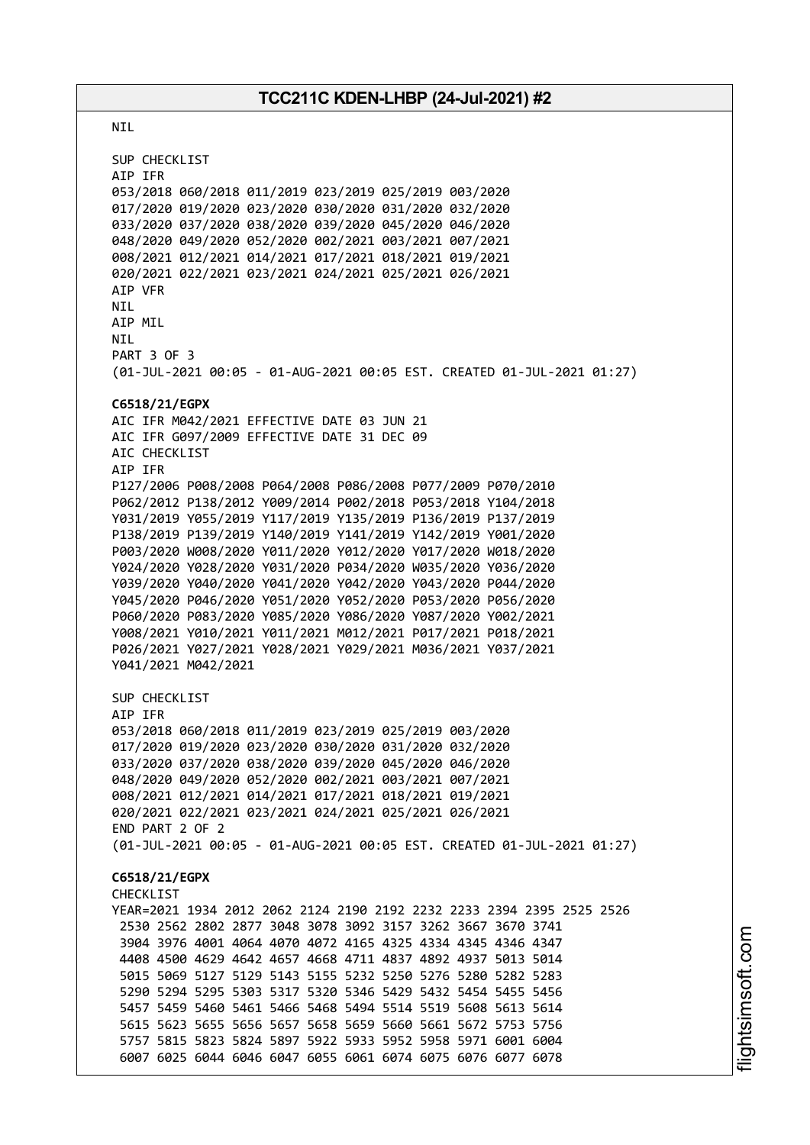NIL SUP CHECKLIST AIP IFR 053/2018 060/2018 011/2019 023/2019 025/2019 003/2020 017/2020 019/2020 023/2020 030/2020 031/2020 032/2020 033/2020 037/2020 038/2020 039/2020 045/2020 046/2020 048/2020 049/2020 052/2020 002/2021 003/2021 007/2021 008/2021 012/2021 014/2021 017/2021 018/2021 019/2021 020/2021 022/2021 023/2021 024/2021 025/2021 026/2021 AIP VFR NIL AIP MIL NIL PART 3 OF 3 (01-JUL-2021 00:05 - 01-AUG-2021 00:05 EST. CREATED 01-JUL-2021 01:27) **C6518/21/EGPX** AIC IFR M042/2021 EFFECTIVE DATE 03 JUN 21 AIC IFR G097/2009 EFFECTIVE DATE 31 DEC 09 AIC CHECKLIST AIP IFR P127/2006 P008/2008 P064/2008 P086/2008 P077/2009 P070/2010 P062/2012 P138/2012 Y009/2014 P002/2018 P053/2018 Y104/2018 Y031/2019 Y055/2019 Y117/2019 Y135/2019 P136/2019 P137/2019 P138/2019 P139/2019 Y140/2019 Y141/2019 Y142/2019 Y001/2020 P003/2020 W008/2020 Y011/2020 Y012/2020 Y017/2020 W018/2020 Y024/2020 Y028/2020 Y031/2020 P034/2020 W035/2020 Y036/2020 Y039/2020 Y040/2020 Y041/2020 Y042/2020 Y043/2020 P044/2020 Y045/2020 P046/2020 Y051/2020 Y052/2020 P053/2020 P056/2020 P060/2020 P083/2020 Y085/2020 Y086/2020 Y087/2020 Y002/2021 Y008/2021 Y010/2021 Y011/2021 M012/2021 P017/2021 P018/2021 P026/2021 Y027/2021 Y028/2021 Y029/2021 M036/2021 Y037/2021 Y041/2021 M042/2021 SUP CHECKLIST AIP IFR 053/2018 060/2018 011/2019 023/2019 025/2019 003/2020 017/2020 019/2020 023/2020 030/2020 031/2020 032/2020 033/2020 037/2020 038/2020 039/2020 045/2020 046/2020 048/2020 049/2020 052/2020 002/2021 003/2021 007/2021 008/2021 012/2021 014/2021 017/2021 018/2021 019/2021 020/2021 022/2021 023/2021 024/2021 025/2021 026/2021 END PART 2 OF 2 (01-JUL-2021 00:05 - 01-AUG-2021 00:05 EST. CREATED 01-JUL-2021 01:27) **C6518/21/EGPX** CHECKLIST YEAR=2021 1934 2012 2062 2124 2190 2192 2232 2233 2394 2395 2525 2526 2530 2562 2802 2877 3048 3078 3092 3157 3262 3667 3670 3741 3904 3976 4001 4064 4070 4072 4165 4325 4334 4345 4346 4347 4408 4500 4629 4642 4657 4668 4711 4837 4892 4937 5013 5014 5015 5069 5127 5129 5143 5155 5232 5250 5276 5280 5282 5283 5290 5294 5295 5303 5317 5320 5346 5429 5432 5454 5455 5456 5457 5459 5460 5461 5466 5468 5494 5514 5519 5608 5613 5614 5615 5623 5655 5656 5657 5658 5659 5660 5661 5672 5753 5756 5757 5815 5823 5824 5897 5922 5933 5952 5958 5971 6001 6004 6007 6025 6044 6046 6047 6055 6061 6074 6075 6076 6077 6078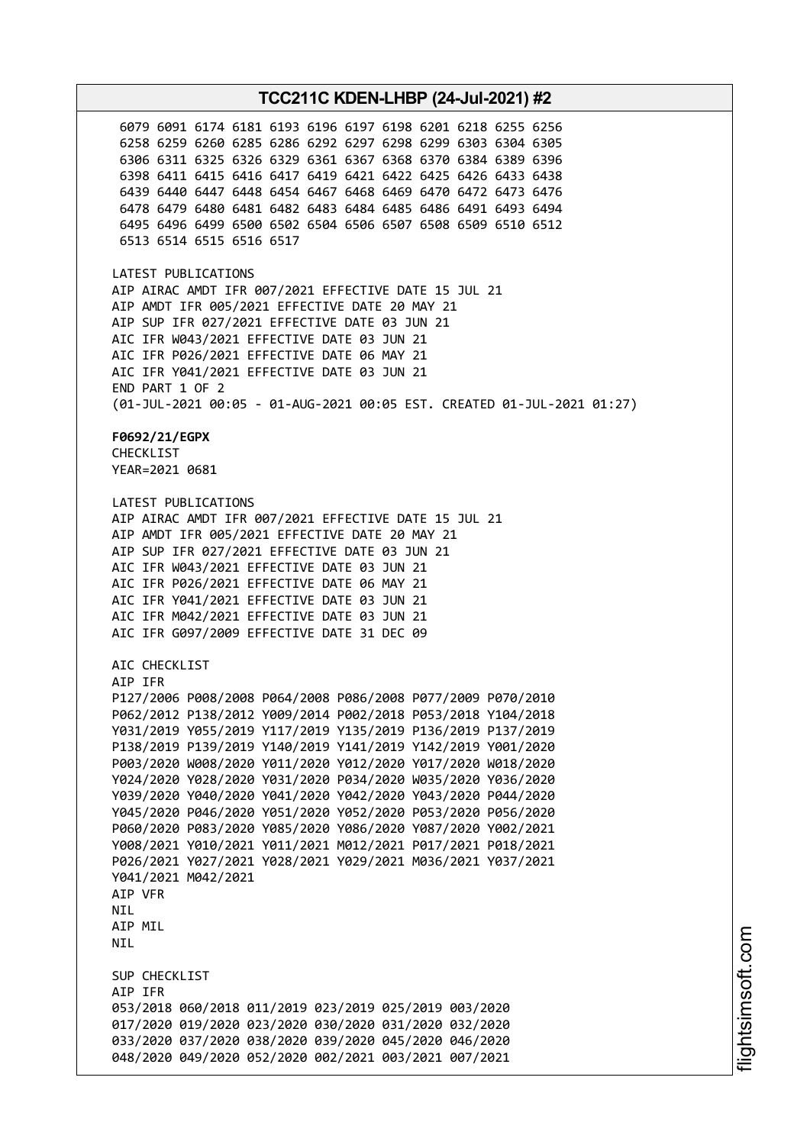6079 6091 6174 6181 6193 6196 6197 6198 6201 6218 6255 6256 6258 6259 6260 6285 6286 6292 6297 6298 6299 6303 6304 6305 6306 6311 6325 6326 6329 6361 6367 6368 6370 6384 6389 6396 6398 6411 6415 6416 6417 6419 6421 6422 6425 6426 6433 6438 6439 6440 6447 6448 6454 6467 6468 6469 6470 6472 6473 6476 6478 6479 6480 6481 6482 6483 6484 6485 6486 6491 6493 6494 6495 6496 6499 6500 6502 6504 6506 6507 6508 6509 6510 6512 6513 6514 6515 6516 6517 LATEST PUBLICATIONS AIP AIRAC AMDT IFR 007/2021 EFFECTIVE DATE 15 JUL 21 AIP AMDT IFR 005/2021 EFFECTIVE DATE 20 MAY 21 AIP SUP IFR 027/2021 EFFECTIVE DATE 03 JUN 21 AIC IFR W043/2021 EFFECTIVE DATE 03 JUN 21 AIC IFR P026/2021 EFFECTIVE DATE 06 MAY 21 AIC IFR Y041/2021 EFFECTIVE DATE 03 JUN 21 END PART 1 OF 2 (01-JUL-2021 00:05 - 01-AUG-2021 00:05 EST. CREATED 01-JUL-2021 01:27) **F0692/21/EGPX** CHECKLIST YEAR=2021 0681 LATEST PUBLICATIONS AIP AIRAC AMDT IFR 007/2021 EFFECTIVE DATE 15 JUL 21 AIP AMDT IFR 005/2021 EFFECTIVE DATE 20 MAY 21 AIP SUP IFR 027/2021 EFFECTIVE DATE 03 JUN 21 AIC IFR W043/2021 EFFECTIVE DATE 03 JUN 21 AIC IFR P026/2021 EFFECTIVE DATE 06 MAY 21 AIC IFR Y041/2021 EFFECTIVE DATE 03 JUN 21 AIC IFR M042/2021 EFFECTIVE DATE 03 JUN 21 AIC IFR G097/2009 EFFECTIVE DATE 31 DEC 09 AIC CHECKLIST AIP IFR P127/2006 P008/2008 P064/2008 P086/2008 P077/2009 P070/2010 P062/2012 P138/2012 Y009/2014 P002/2018 P053/2018 Y104/2018 Y031/2019 Y055/2019 Y117/2019 Y135/2019 P136/2019 P137/2019 P138/2019 P139/2019 Y140/2019 Y141/2019 Y142/2019 Y001/2020 P003/2020 W008/2020 Y011/2020 Y012/2020 Y017/2020 W018/2020 Y024/2020 Y028/2020 Y031/2020 P034/2020 W035/2020 Y036/2020 Y039/2020 Y040/2020 Y041/2020 Y042/2020 Y043/2020 P044/2020 Y045/2020 P046/2020 Y051/2020 Y052/2020 P053/2020 P056/2020 P060/2020 P083/2020 Y085/2020 Y086/2020 Y087/2020 Y002/2021 Y008/2021 Y010/2021 Y011/2021 M012/2021 P017/2021 P018/2021 P026/2021 Y027/2021 Y028/2021 Y029/2021 M036/2021 Y037/2021 Y041/2021 M042/2021 AIP VFR **NTI** AIP MIL NIL SUP CHECKLIST AIP IFR 053/2018 060/2018 011/2019 023/2019 025/2019 003/2020 017/2020 019/2020 023/2020 030/2020 031/2020 032/2020 033/2020 037/2020 038/2020 039/2020 045/2020 046/2020 048/2020 049/2020 052/2020 002/2021 003/2021 007/2021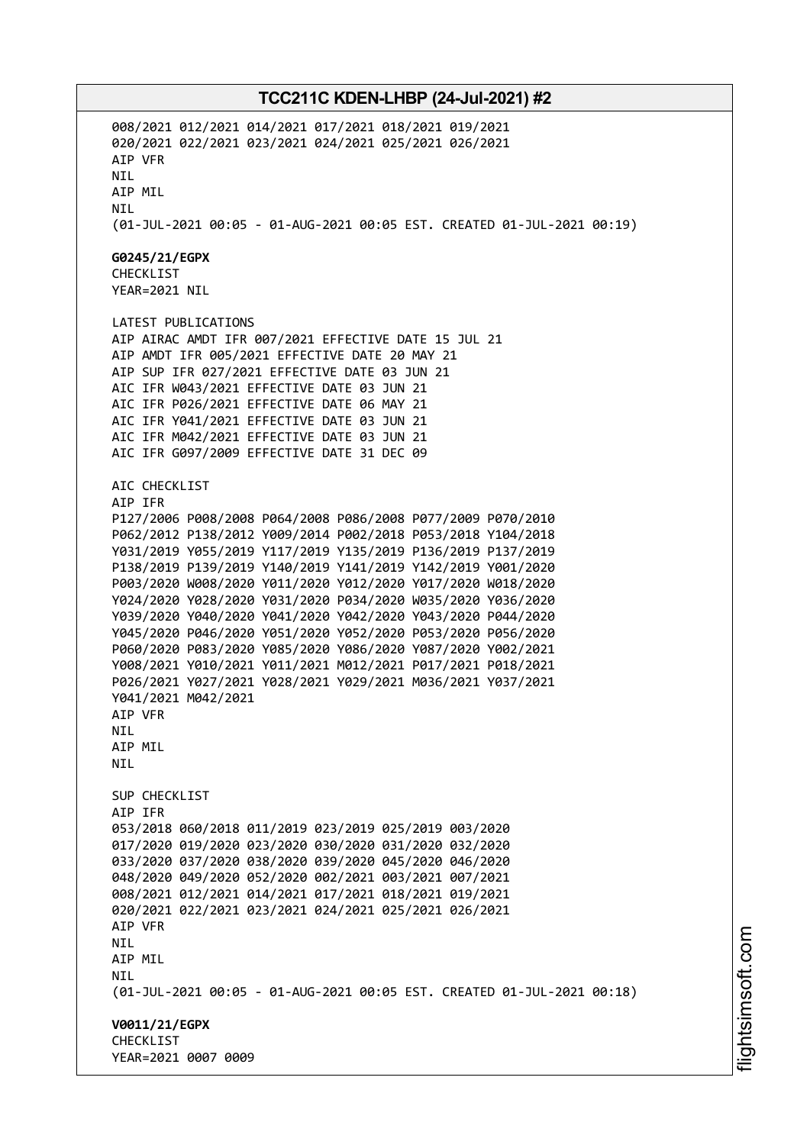008/2021 012/2021 014/2021 017/2021 018/2021 019/2021 020/2021 022/2021 023/2021 024/2021 025/2021 026/2021 AIP VFR NIL AIP MIL NIL (01-JUL-2021 00:05 - 01-AUG-2021 00:05 EST. CREATED 01-JUL-2021 00:19) **G0245/21/EGPX** CHECKLIST YEAR=2021 NIL LATEST PUBLICATIONS AIP AIRAC AMDT IFR 007/2021 EFFECTIVE DATE 15 JUL 21 AIP AMDT IFR 005/2021 EFFECTIVE DATE 20 MAY 21 AIP SUP IFR 027/2021 EFFECTIVE DATE 03 JUN 21 AIC IFR W043/2021 EFFECTIVE DATE 03 JUN 21 AIC IFR P026/2021 EFFECTIVE DATE 06 MAY 21 AIC IFR Y041/2021 EFFECTIVE DATE 03 JUN 21 AIC IFR M042/2021 EFFECTIVE DATE 03 JUN 21 AIC IFR G097/2009 EFFECTIVE DATE 31 DEC 09 AIC CHECKLIST AIP IFR P127/2006 P008/2008 P064/2008 P086/2008 P077/2009 P070/2010 P062/2012 P138/2012 Y009/2014 P002/2018 P053/2018 Y104/2018 Y031/2019 Y055/2019 Y117/2019 Y135/2019 P136/2019 P137/2019 P138/2019 P139/2019 Y140/2019 Y141/2019 Y142/2019 Y001/2020 P003/2020 W008/2020 Y011/2020 Y012/2020 Y017/2020 W018/2020 Y024/2020 Y028/2020 Y031/2020 P034/2020 W035/2020 Y036/2020 Y039/2020 Y040/2020 Y041/2020 Y042/2020 Y043/2020 P044/2020 Y045/2020 P046/2020 Y051/2020 Y052/2020 P053/2020 P056/2020 P060/2020 P083/2020 Y085/2020 Y086/2020 Y087/2020 Y002/2021 Y008/2021 Y010/2021 Y011/2021 M012/2021 P017/2021 P018/2021 P026/2021 Y027/2021 Y028/2021 Y029/2021 M036/2021 Y037/2021 Y041/2021 M042/2021 AIP VFR NIL AIP MIL NIL SUP CHECKLIST AIP IFR 053/2018 060/2018 011/2019 023/2019 025/2019 003/2020 017/2020 019/2020 023/2020 030/2020 031/2020 032/2020 033/2020 037/2020 038/2020 039/2020 045/2020 046/2020 048/2020 049/2020 052/2020 002/2021 003/2021 007/2021 008/2021 012/2021 014/2021 017/2021 018/2021 019/2021 020/2021 022/2021 023/2021 024/2021 025/2021 026/2021 AIP VFR NIL AIP MIL NIL (01-JUL-2021 00:05 - 01-AUG-2021 00:05 EST. CREATED 01-JUL-2021 00:18) **V0011/21/EGPX** CHECKLIST YEAR=2021 0007 0009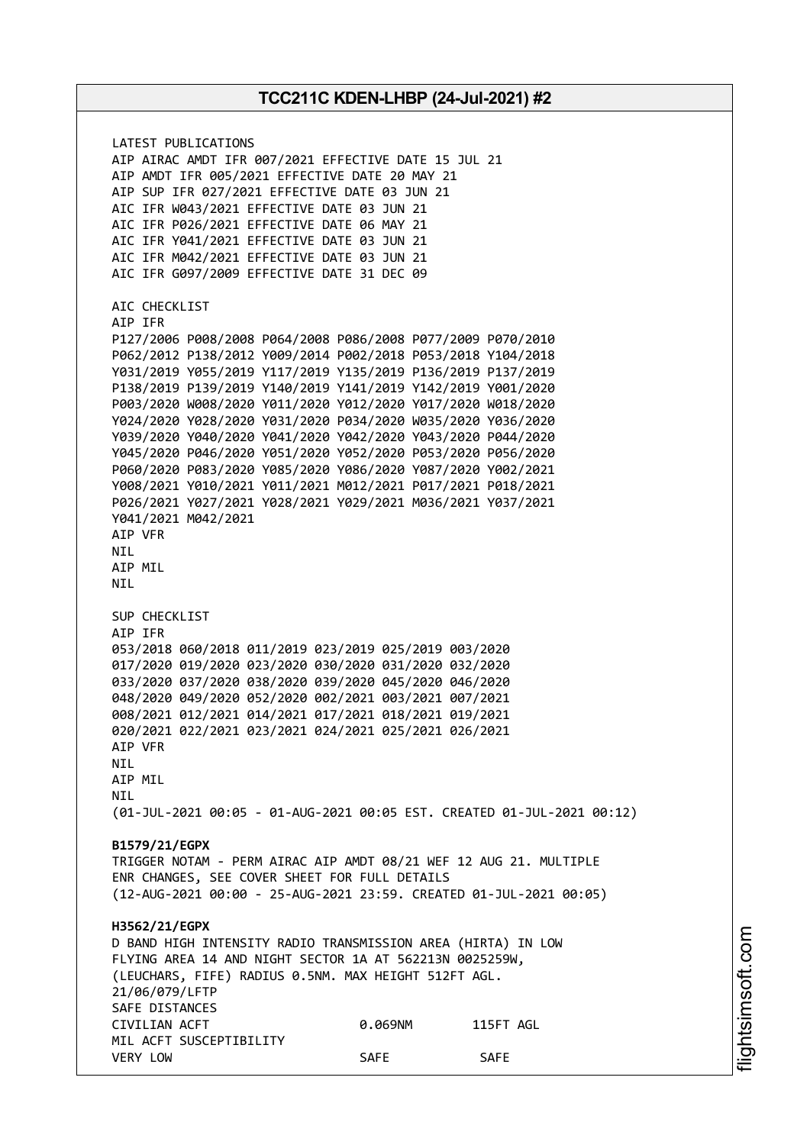LATEST PUBLICATIONS AIP AIRAC AMDT IFR 007/2021 EFFECTIVE DATE 15 JUL 21 AIP AMDT IFR 005/2021 EFFECTIVE DATE 20 MAY 21 AIP SUP IFR 027/2021 EFFECTIVE DATE 03 JUN 21 AIC IFR W043/2021 EFFECTIVE DATE 03 JUN 21 AIC IFR P026/2021 EFFECTIVE DATE 06 MAY 21 AIC IFR Y041/2021 EFFECTIVE DATE 03 JUN 21 AIC IFR M042/2021 EFFECTIVE DATE 03 JUN 21 AIC IFR G097/2009 EFFECTIVE DATE 31 DEC 09 AIC CHECKLIST AIP IFR P127/2006 P008/2008 P064/2008 P086/2008 P077/2009 P070/2010 P062/2012 P138/2012 Y009/2014 P002/2018 P053/2018 Y104/2018 Y031/2019 Y055/2019 Y117/2019 Y135/2019 P136/2019 P137/2019 P138/2019 P139/2019 Y140/2019 Y141/2019 Y142/2019 Y001/2020 P003/2020 W008/2020 Y011/2020 Y012/2020 Y017/2020 W018/2020 Y024/2020 Y028/2020 Y031/2020 P034/2020 W035/2020 Y036/2020 Y039/2020 Y040/2020 Y041/2020 Y042/2020 Y043/2020 P044/2020 Y045/2020 P046/2020 Y051/2020 Y052/2020 P053/2020 P056/2020 P060/2020 P083/2020 Y085/2020 Y086/2020 Y087/2020 Y002/2021 Y008/2021 Y010/2021 Y011/2021 M012/2021 P017/2021 P018/2021 P026/2021 Y027/2021 Y028/2021 Y029/2021 M036/2021 Y037/2021 Y041/2021 M042/2021 AIP VFR NIL AIP MIL NIL SUP CHECKLIST AIP IFR 053/2018 060/2018 011/2019 023/2019 025/2019 003/2020 017/2020 019/2020 023/2020 030/2020 031/2020 032/2020 033/2020 037/2020 038/2020 039/2020 045/2020 046/2020 048/2020 049/2020 052/2020 002/2021 003/2021 007/2021 008/2021 012/2021 014/2021 017/2021 018/2021 019/2021 020/2021 022/2021 023/2021 024/2021 025/2021 026/2021 AIP VFR NIL AIP MIL **NTI** (01-JUL-2021 00:05 - 01-AUG-2021 00:05 EST. CREATED 01-JUL-2021 00:12) **B1579/21/EGPX** TRIGGER NOTAM - PERM AIRAC AIP AMDT 08/21 WEF 12 AUG 21. MULTIPLE ENR CHANGES, SEE COVER SHEET FOR FULL DETAILS (12-AUG-2021 00:00 - 25-AUG-2021 23:59. CREATED 01-JUL-2021 00:05) **H3562/21/EGPX** D BAND HIGH INTENSITY RADIO TRANSMISSION AREA (HIRTA) IN LOW FLYING AREA 14 AND NIGHT SECTOR 1A AT 562213N 0025259W, (LEUCHARS, FIFE) RADIUS 0.5NM. MAX HEIGHT 512FT AGL. 21/06/079/LFTP SAFE DISTANCES CIVILIAN ACFT 0.069NM 115FT AGL MIL ACFT SUSCEPTIBILITY VERY LOW SAFE SAFE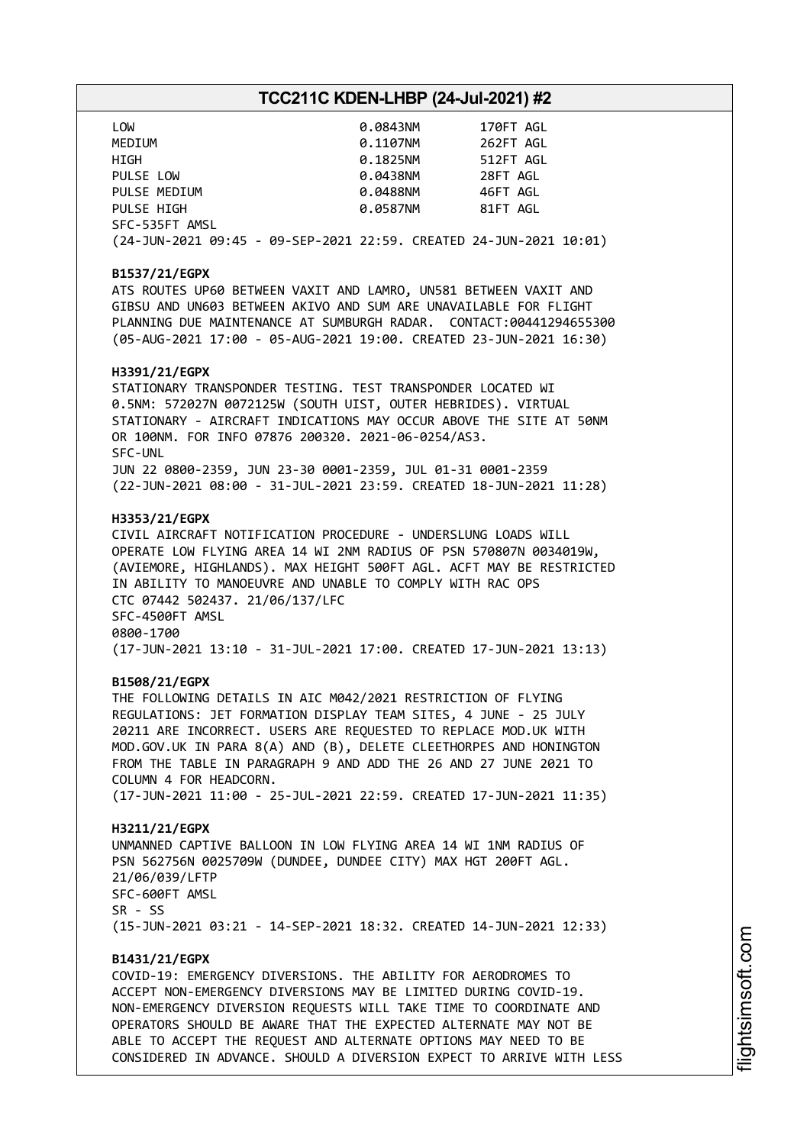| LOW                                                                | 0.0843NM | 170FT AGL |
|--------------------------------------------------------------------|----------|-----------|
| MEDIUM                                                             | 0.1107NM | 262FT AGL |
| HIGH                                                               | 0.1825NM | 512FT AGL |
| PULSE LOW                                                          | 0.0438NM | 28FT AGL  |
| PULSE MEDIUM                                                       | 0.0488NM | 46FT AGL  |
| PULSE HIGH                                                         | 0.0587NM | 81FT AGL  |
| SFC-535FT AMSL                                                     |          |           |
| (24-JUN-2021 09:45 - 09-SEP-2021 22:59. CREATED 24-JUN-2021 10:01) |          |           |

#### **B1537/21/EGPX**

ATS ROUTES UP60 BETWEEN VAXIT AND LAMRO, UN581 BETWEEN VAXIT AND GIBSU AND UN603 BETWEEN AKIVO AND SUM ARE UNAVAILABLE FOR FLIGHT PLANNING DUE MAINTENANCE AT SUMBURGH RADAR. CONTACT:00441294655300 (05-AUG-2021 17:00 - 05-AUG-2021 19:00. CREATED 23-JUN-2021 16:30)

#### **H3391/21/EGPX**

STATIONARY TRANSPONDER TESTING. TEST TRANSPONDER LOCATED WI 0.5NM: 572027N 0072125W (SOUTH UIST, OUTER HEBRIDES). VIRTUAL STATIONARY - AIRCRAFT INDICATIONS MAY OCCUR ABOVE THE SITE AT 50NM OR 100NM. FOR INFO 07876 200320. 2021-06-0254/AS3. SFC-UNL JUN 22 0800-2359, JUN 23-30 0001-2359, JUL 01-31 0001-2359 (22-JUN-2021 08:00 - 31-JUL-2021 23:59. CREATED 18-JUN-2021 11:28)

#### **H3353/21/EGPX**

CIVIL AIRCRAFT NOTIFICATION PROCEDURE - UNDERSLUNG LOADS WILL OPERATE LOW FLYING AREA 14 WI 2NM RADIUS OF PSN 570807N 0034019W, (AVIEMORE, HIGHLANDS). MAX HEIGHT 500FT AGL. ACFT MAY BE RESTRICTED IN ABILITY TO MANOEUVRE AND UNABLE TO COMPLY WITH RAC OPS CTC 07442 502437. 21/06/137/LFC SFC-4500FT AMSL 0800-1700 (17-JUN-2021 13:10 - 31-JUL-2021 17:00. CREATED 17-JUN-2021 13:13)

#### **B1508/21/EGPX**

THE FOLLOWING DETAILS IN AIC M042/2021 RESTRICTION OF FLYING REGULATIONS: JET FORMATION DISPLAY TEAM SITES, 4 JUNE - 25 JULY 20211 ARE INCORRECT. USERS ARE REQUESTED TO REPLACE MOD.UK WITH MOD.GOV.UK IN PARA 8(A) AND (B), DELETE CLEETHORPES AND HONINGTON FROM THE TABLE IN PARAGRAPH 9 AND ADD THE 26 AND 27 JUNE 2021 TO COLUMN 4 FOR HEADCORN.

(17-JUN-2021 11:00 - 25-JUL-2021 22:59. CREATED 17-JUN-2021 11:35)

#### **H3211/21/EGPX**

UNMANNED CAPTIVE BALLOON IN LOW FLYING AREA 14 WI 1NM RADIUS OF PSN 562756N 0025709W (DUNDEE, DUNDEE CITY) MAX HGT 200FT AGL. 21/06/039/LFTP SFC-600FT AMSL SR - SS (15-JUN-2021 03:21 - 14-SEP-2021 18:32. CREATED 14-JUN-2021 12:33)

### **B1431/21/EGPX**

COVID-19: EMERGENCY DIVERSIONS. THE ABILITY FOR AERODROMES TO ACCEPT NON-EMERGENCY DIVERSIONS MAY BE LIMITED DURING COVID-19. NON-EMERGENCY DIVERSION REQUESTS WILL TAKE TIME TO COORDINATE AND OPERATORS SHOULD BE AWARE THAT THE EXPECTED ALTERNATE MAY NOT BE ABLE TO ACCEPT THE REQUEST AND ALTERNATE OPTIONS MAY NEED TO BE CONSIDERED IN ADVANCE. SHOULD A DIVERSION EXPECT TO ARRIVE WITH LESS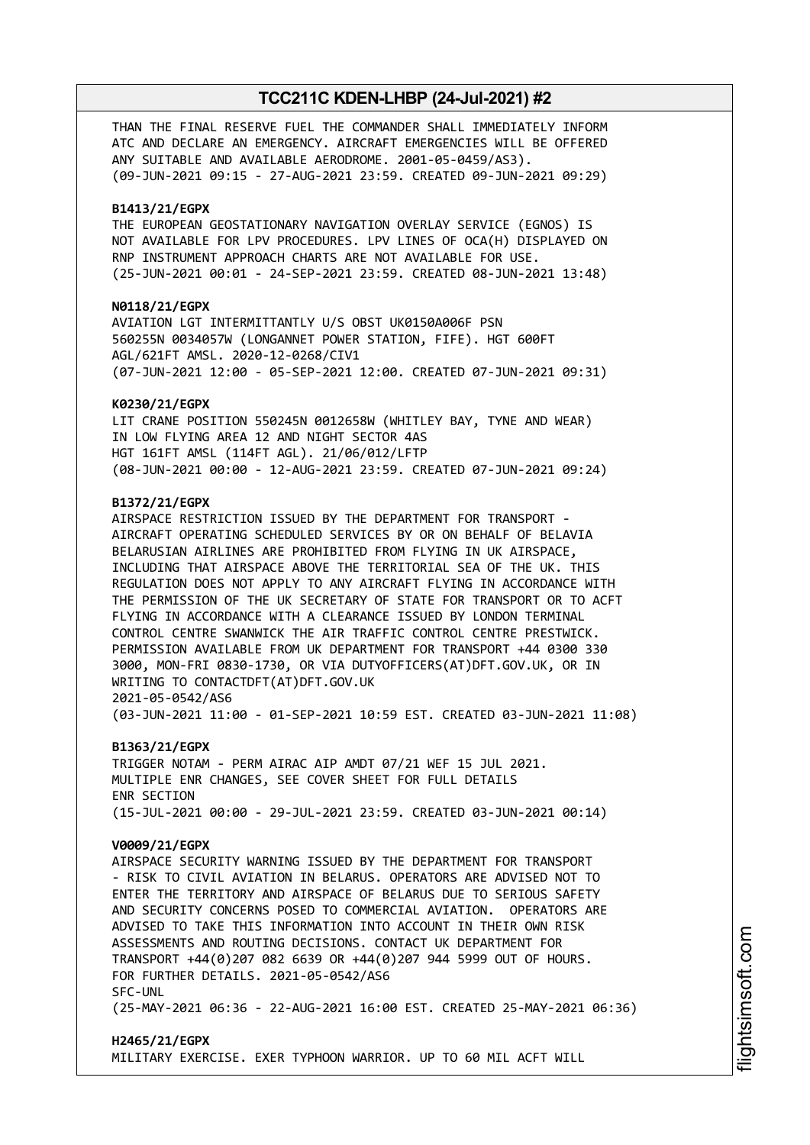THAN THE FINAL RESERVE FUEL THE COMMANDER SHALL IMMEDIATELY INFORM ATC AND DECLARE AN EMERGENCY. AIRCRAFT EMERGENCIES WILL BE OFFERED ANY SUITABLE AND AVAILABLE AERODROME. 2001-05-0459/AS3). (09-JUN-2021 09:15 - 27-AUG-2021 23:59. CREATED 09-JUN-2021 09:29)

#### **B1413/21/EGPX**

THE EUROPEAN GEOSTATIONARY NAVIGATION OVERLAY SERVICE (EGNOS) IS NOT AVAILABLE FOR LPV PROCEDURES. LPV LINES OF OCA(H) DISPLAYED ON RNP INSTRUMENT APPROACH CHARTS ARE NOT AVAILABLE FOR USE. (25-JUN-2021 00:01 - 24-SEP-2021 23:59. CREATED 08-JUN-2021 13:48)

#### **N0118/21/EGPX**

AVIATION LGT INTERMITTANTLY U/S OBST UK0150A006F PSN 560255N 0034057W (LONGANNET POWER STATION, FIFE). HGT 600FT AGL/621FT AMSL. 2020-12-0268/CIV1 (07-JUN-2021 12:00 - 05-SEP-2021 12:00. CREATED 07-JUN-2021 09:31)

#### **K0230/21/EGPX**

LIT CRANE POSITION 550245N 0012658W (WHITLEY BAY, TYNE AND WEAR) IN LOW FLYING AREA 12 AND NIGHT SECTOR 4AS HGT 161FT AMSL (114FT AGL). 21/06/012/LFTP (08-JUN-2021 00:00 - 12-AUG-2021 23:59. CREATED 07-JUN-2021 09:24)

#### **B1372/21/EGPX**

AIRSPACE RESTRICTION ISSUED BY THE DEPARTMENT FOR TRANSPORT - AIRCRAFT OPERATING SCHEDULED SERVICES BY OR ON BEHALF OF BELAVIA BELARUSIAN AIRLINES ARE PROHIBITED FROM FLYING IN UK AIRSPACE, INCLUDING THAT AIRSPACE ABOVE THE TERRITORIAL SEA OF THE UK. THIS REGULATION DOES NOT APPLY TO ANY AIRCRAFT FLYING IN ACCORDANCE WITH THE PERMISSION OF THE UK SECRETARY OF STATE FOR TRANSPORT OR TO ACFT FLYING IN ACCORDANCE WITH A CLEARANCE ISSUED BY LONDON TERMINAL CONTROL CENTRE SWANWICK THE AIR TRAFFIC CONTROL CENTRE PRESTWICK. PERMISSION AVAILABLE FROM UK DEPARTMENT FOR TRANSPORT +44 0300 330 3000, MON-FRI 0830-1730, OR VIA DUTYOFFICERS(AT)DFT.GOV.UK, OR IN WRITING TO CONTACTDFT(AT)DFT.GOV.UK 2021-05-0542/AS6 (03-JUN-2021 11:00 - 01-SEP-2021 10:59 EST. CREATED 03-JUN-2021 11:08)

**B1363/21/EGPX**

TRIGGER NOTAM - PERM AIRAC AIP AMDT 07/21 WEF 15 JUL 2021. MULTIPLE ENR CHANGES, SEE COVER SHEET FOR FULL DETAILS ENR SECTION (15-JUL-2021 00:00 - 29-JUL-2021 23:59. CREATED 03-JUN-2021 00:14)

#### **V0009/21/EGPX**

AIRSPACE SECURITY WARNING ISSUED BY THE DEPARTMENT FOR TRANSPORT - RISK TO CIVIL AVIATION IN BELARUS. OPERATORS ARE ADVISED NOT TO ENTER THE TERRITORY AND AIRSPACE OF BELARUS DUE TO SERIOUS SAFETY AND SECURITY CONCERNS POSED TO COMMERCIAL AVIATION. OPERATORS ARE ADVISED TO TAKE THIS INFORMATION INTO ACCOUNT IN THEIR OWN RISK ASSESSMENTS AND ROUTING DECISIONS. CONTACT UK DEPARTMENT FOR TRANSPORT +44(0)207 082 6639 OR +44(0)207 944 5999 OUT OF HOURS. FOR FURTHER DETAILS. 2021-05-0542/AS6 SFC-UNL (25-MAY-2021 06:36 - 22-AUG-2021 16:00 EST. CREATED 25-MAY-2021 06:36)

### **H2465/21/EGPX** MILITARY EXERCISE. EXER TYPHOON WARRIOR. UP TO 60 MIL ACFT WILL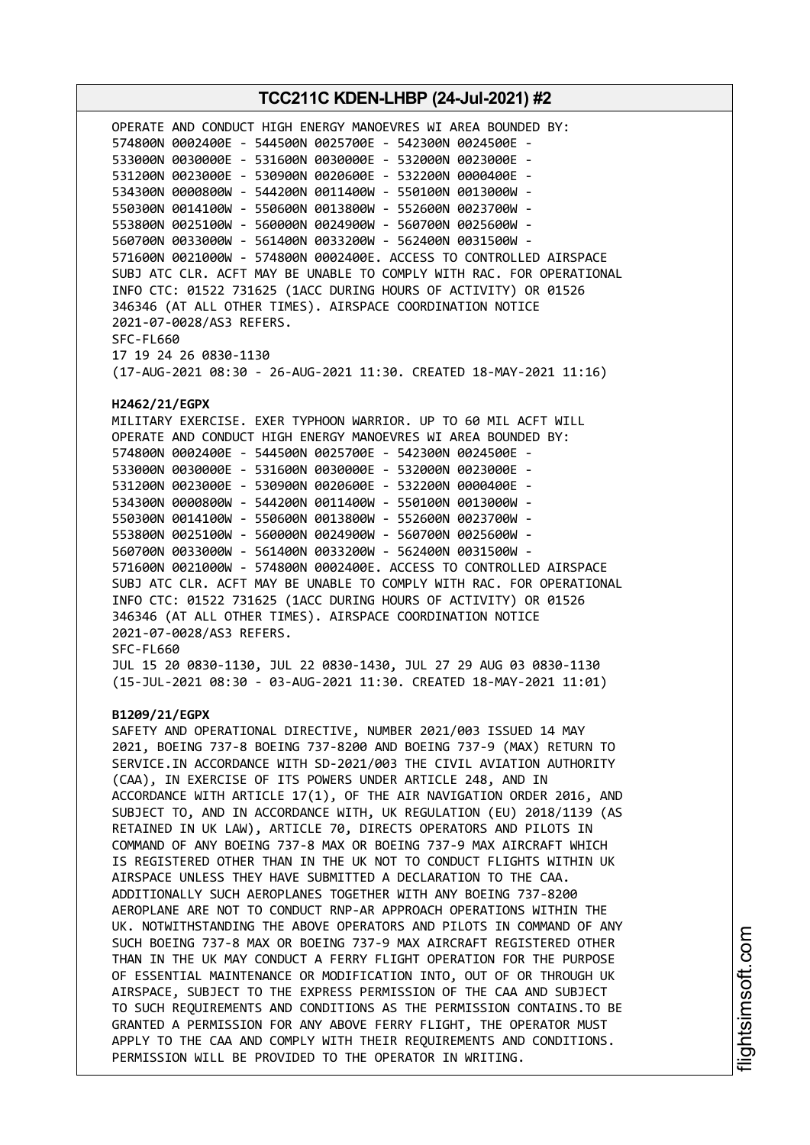# **TCC211C KDEN-LHBP (24-Jul-2021) #2** OPERATE AND CONDUCT HIGH ENERGY MANOEVRES WI AREA BOUNDED BY: 574800N 0002400E - 544500N 0025700E - 542300N 0024500E - 533000N 0030000E - 531600N 0030000E - 532000N 0023000E - 531200N 0023000E - 530900N 0020600E - 532200N 0000400E - 534300N 0000800W - 544200N 0011400W - 550100N 0013000W - 550300N 0014100W - 550600N 0013800W - 552600N 0023700W - 553800N 0025100W - 560000N 0024900W - 560700N 0025600W - 560700N 0033000W - 561400N 0033200W - 562400N 0031500W - 571600N 0021000W - 574800N 0002400E. ACCESS TO CONTROLLED AIRSPACE SUBJ ATC CLR. ACFT MAY BE UNABLE TO COMPLY WITH RAC. FOR OPERATIONAL INFO CTC: 01522 731625 (1ACC DURING HOURS OF ACTIVITY) OR 01526 346346 (AT ALL OTHER TIMES). AIRSPACE COORDINATION NOTICE 2021-07-0028/AS3 REFERS. SFC-FL660 17 19 24 26 0830-1130 (17-AUG-2021 08:30 - 26-AUG-2021 11:30. CREATED 18-MAY-2021 11:16) **H2462/21/EGPX** MILITARY EXERCISE. EXER TYPHOON WARRIOR. UP TO 60 MIL ACFT WILL OPERATE AND CONDUCT HIGH ENERGY MANOEVRES WI AREA BOUNDED BY: 574800N 0002400E - 544500N 0025700E - 542300N 0024500E - 533000N 0030000E - 531600N 0030000E - 532000N 0023000E - 531200N 0023000E - 530900N 0020600E - 532200N 0000400E - 534300N 0000800W - 544200N 0011400W - 550100N 0013000W - 550300N 0014100W - 550600N 0013800W - 552600N 0023700W - 553800N 0025100W - 560000N 0024900W - 560700N 0025600W - 560700N 0033000W - 561400N 0033200W - 562400N 0031500W - 571600N 0021000W - 574800N 0002400E. ACCESS TO CONTROLLED AIRSPACE SUBJ ATC CLR. ACFT MAY BE UNABLE TO COMPLY WITH RAC. FOR OPERATIONAL INFO CTC: 01522 731625 (1ACC DURING HOURS OF ACTIVITY) OR 01526 346346 (AT ALL OTHER TIMES). AIRSPACE COORDINATION NOTICE 2021-07-0028/AS3 REFERS. SFC-FL660 JUL 15 20 0830-1130, JUL 22 0830-1430, JUL 27 29 AUG 03 0830-1130 (15-JUL-2021 08:30 - 03-AUG-2021 11:30. CREATED 18-MAY-2021 11:01) **B1209/21/EGPX** SAFETY AND OPERATIONAL DIRECTIVE, NUMBER 2021/003 ISSUED 14 MAY 2021, BOEING 737-8 BOEING 737-8200 AND BOEING 737-9 (MAX) RETURN TO SERVICE.IN ACCORDANCE WITH SD-2021/003 THE CIVIL AVIATION AUTHORITY (CAA), IN EXERCISE OF ITS POWERS UNDER ARTICLE 248, AND IN ACCORDANCE WITH ARTICLE 17(1), OF THE AIR NAVIGATION ORDER 2016, AND SUBJECT TO, AND IN ACCORDANCE WITH, UK REGULATION (EU) 2018/1139 (AS RETAINED IN UK LAW), ARTICLE 70, DIRECTS OPERATORS AND PILOTS IN COMMAND OF ANY BOEING 737-8 MAX OR BOEING 737-9 MAX AIRCRAFT WHICH IS REGISTERED OTHER THAN IN THE UK NOT TO CONDUCT FLIGHTS WITHIN UK AIRSPACE UNLESS THEY HAVE SUBMITTED A DECLARATION TO THE CAA. ADDITIONALLY SUCH AEROPLANES TOGETHER WITH ANY BOEING 737-8200 AEROPLANE ARE NOT TO CONDUCT RNP-AR APPROACH OPERATIONS WITHIN THE UK. NOTWITHSTANDING THE ABOVE OPERATORS AND PILOTS IN COMMAND OF ANY SUCH BOEING 737-8 MAX OR BOEING 737-9 MAX AIRCRAFT REGISTERED OTHER THAN IN THE UK MAY CONDUCT A FERRY FLIGHT OPERATION FOR THE PURPOSE OF ESSENTIAL MAINTENANCE OR MODIFICATION INTO, OUT OF OR THROUGH UK AIRSPACE, SUBJECT TO THE EXPRESS PERMISSION OF THE CAA AND SUBJECT TO SUCH REQUIREMENTS AND CONDITIONS AS THE PERMISSION CONTAINS.TO BE GRANTED A PERMISSION FOR ANY ABOVE FERRY FLIGHT, THE OPERATOR MUST APPLY TO THE CAA AND COMPLY WITH THEIR REQUIREMENTS AND CONDITIONS. PERMISSION WILL BE PROVIDED TO THE OPERATOR IN WRITING.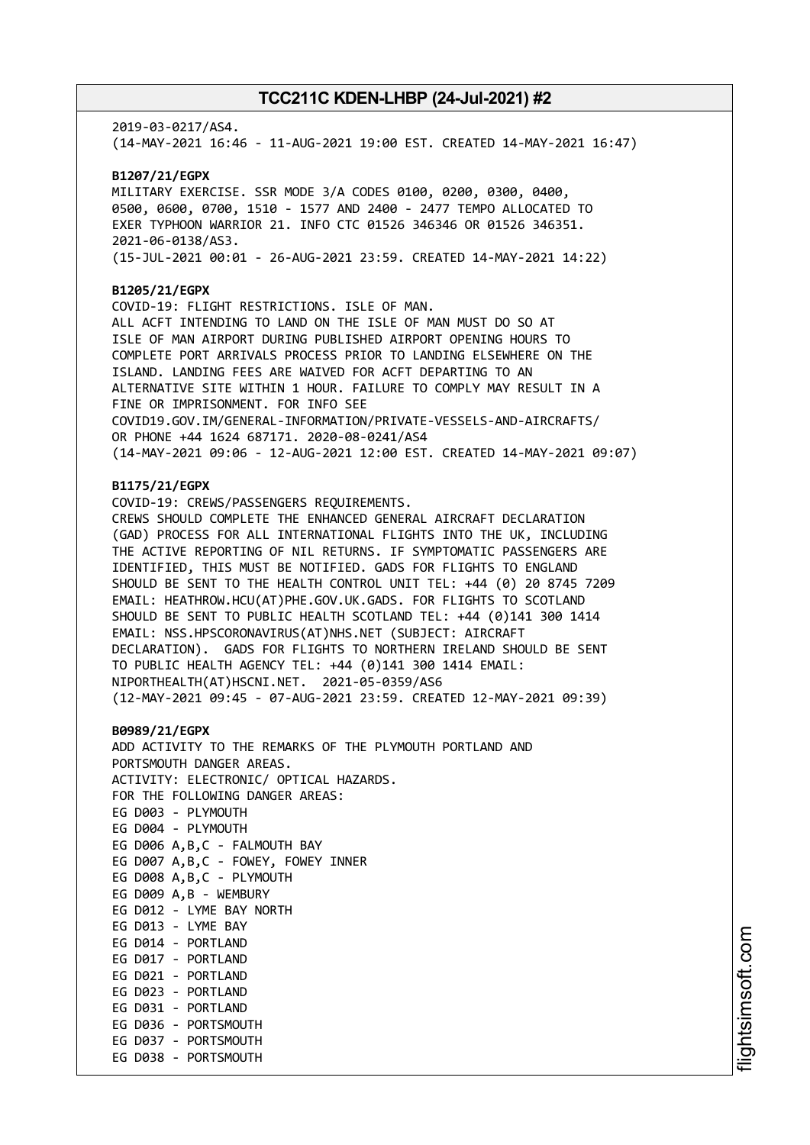2019-03-0217/AS4. (14-MAY-2021 16:46 - 11-AUG-2021 19:00 EST. CREATED 14-MAY-2021 16:47) **B1207/21/EGPX** MILITARY EXERCISE. SSR MODE 3/A CODES 0100, 0200, 0300, 0400, 0500, 0600, 0700, 1510 - 1577 AND 2400 - 2477 TEMPO ALLOCATED TO EXER TYPHOON WARRIOR 21. INFO CTC 01526 346346 OR 01526 346351. 2021-06-0138/AS3. (15-JUL-2021 00:01 - 26-AUG-2021 23:59. CREATED 14-MAY-2021 14:22) **B1205/21/EGPX** COVID-19: FLIGHT RESTRICTIONS. ISLE OF MAN. ALL ACFT INTENDING TO LAND ON THE ISLE OF MAN MUST DO SO AT ISLE OF MAN AIRPORT DURING PUBLISHED AIRPORT OPENING HOURS TO COMPLETE PORT ARRIVALS PROCESS PRIOR TO LANDING ELSEWHERE ON THE ISLAND. LANDING FEES ARE WAIVED FOR ACFT DEPARTING TO AN ALTERNATIVE SITE WITHIN 1 HOUR. FAILURE TO COMPLY MAY RESULT IN A FINE OR IMPRISONMENT. FOR INFO SEE COVID19.GOV.IM/GENERAL-INFORMATION/PRIVATE-VESSELS-AND-AIRCRAFTS/ OR PHONE +44 1624 687171. 2020-08-0241/AS4 (14-MAY-2021 09:06 - 12-AUG-2021 12:00 EST. CREATED 14-MAY-2021 09:07) **B1175/21/EGPX** COVID-19: CREWS/PASSENGERS REQUIREMENTS. CREWS SHOULD COMPLETE THE ENHANCED GENERAL AIRCRAFT DECLARATION (GAD) PROCESS FOR ALL INTERNATIONAL FLIGHTS INTO THE UK, INCLUDING THE ACTIVE REPORTING OF NIL RETURNS. IF SYMPTOMATIC PASSENGERS ARE IDENTIFIED, THIS MUST BE NOTIFIED. GADS FOR FLIGHTS TO ENGLAND SHOULD BE SENT TO THE HEALTH CONTROL UNIT TEL: +44 (0) 20 8745 7209 EMAIL: HEATHROW.HCU(AT)PHE.GOV.UK.GADS. FOR FLIGHTS TO SCOTLAND SHOULD BE SENT TO PUBLIC HEALTH SCOTLAND TEL: +44 (0)141 300 1414 EMAIL: NSS.HPSCORONAVIRUS(AT)NHS.NET (SUBJECT: AIRCRAFT DECLARATION). GADS FOR FLIGHTS TO NORTHERN IRELAND SHOULD BE SENT TO PUBLIC HEALTH AGENCY TEL: +44 (0)141 300 1414 EMAIL: NIPORTHEALTH(AT)HSCNI.NET. 2021-05-0359/AS6 (12-MAY-2021 09:45 - 07-AUG-2021 23:59. CREATED 12-MAY-2021 09:39) **B0989/21/EGPX** ADD ACTIVITY TO THE REMARKS OF THE PLYMOUTH PORTLAND AND PORTSMOUTH DANGER AREAS. ACTIVITY: ELECTRONIC/ OPTICAL HAZARDS. FOR THE FOLLOWING DANGER AREAS: EG D003 - PLYMOUTH EG D004 - PLYMOUTH EG D006 A,B,C - FALMOUTH BAY EG D007 A,B,C - FOWEY, FOWEY INNER EG D008 A,B,C - PLYMOUTH EG D009 A,B - WEMBURY EG D012 - LYME BAY NORTH EG D013 - LYME BAY EG D014 - PORTLAND EG D017 - PORTLAND EG D021 - PORTLAND EG D023 - PORTLAND EG D031 - PORTLAND EG D036 - PORTSMOUTH EG D037 - PORTSMOUTH EG D038 - PORTSMOUTH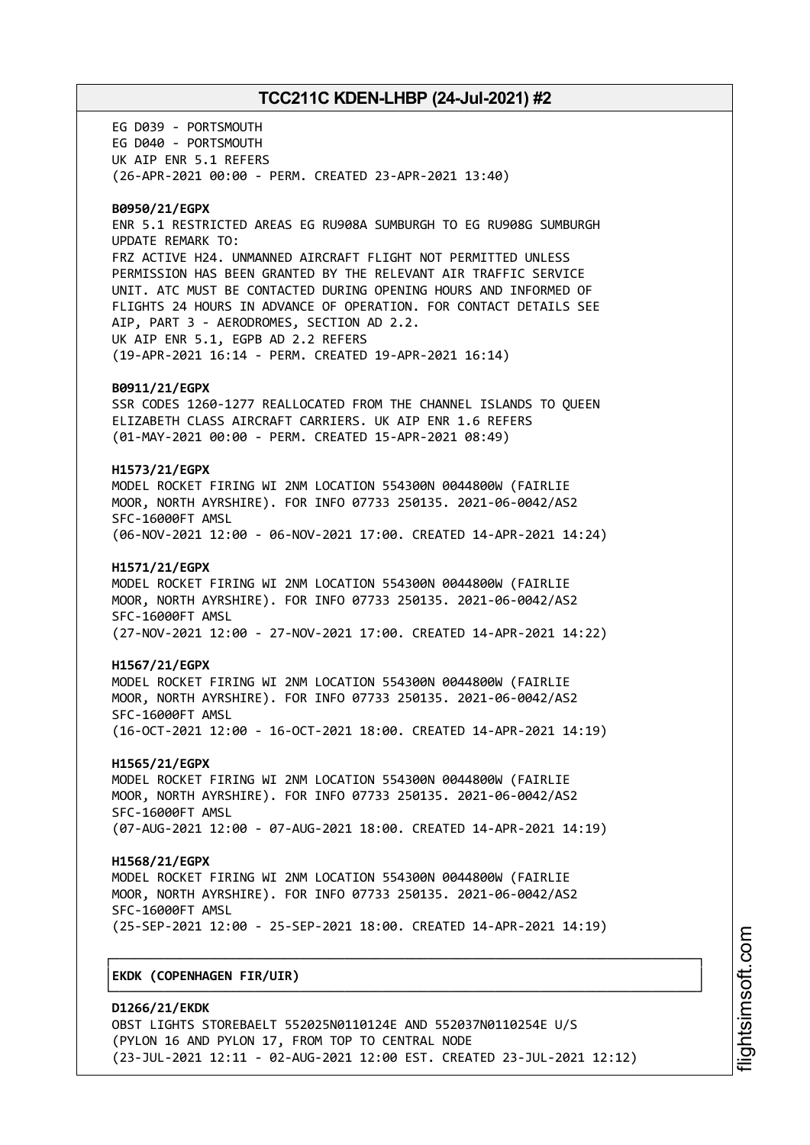EG D039 - PORTSMOUTH EG D040 - PORTSMOUTH UK AIP ENR 5.1 REFERS (26-APR-2021 00:00 - PERM. CREATED 23-APR-2021 13:40) **B0950/21/EGPX** ENR 5.1 RESTRICTED AREAS EG RU908A SUMBURGH TO EG RU908G SUMBURGH UPDATE REMARK TO: FRZ ACTIVE H24. UNMANNED AIRCRAFT FLIGHT NOT PERMITTED UNLESS PERMISSION HAS BEEN GRANTED BY THE RELEVANT AIR TRAFFIC SERVICE UNIT. ATC MUST BE CONTACTED DURING OPENING HOURS AND INFORMED OF FLIGHTS 24 HOURS IN ADVANCE OF OPERATION. FOR CONTACT DETAILS SEE AIP, PART 3 - AERODROMES, SECTION AD 2.2. UK AIP ENR 5.1, EGPB AD 2.2 REFERS (19-APR-2021 16:14 - PERM. CREATED 19-APR-2021 16:14) **B0911/21/EGPX** SSR CODES 1260-1277 REALLOCATED FROM THE CHANNEL ISLANDS TO QUEEN ELIZABETH CLASS AIRCRAFT CARRIERS. UK AIP ENR 1.6 REFERS (01-MAY-2021 00:00 - PERM. CREATED 15-APR-2021 08:49) **H1573/21/EGPX** MODEL ROCKET FIRING WI 2NM LOCATION 554300N 0044800W (FAIRLIE MOOR, NORTH AYRSHIRE). FOR INFO 07733 250135. 2021-06-0042/AS2 SFC-16000FT AMSL (06-NOV-2021 12:00 - 06-NOV-2021 17:00. CREATED 14-APR-2021 14:24) **H1571/21/EGPX** MODEL ROCKET FIRING WI 2NM LOCATION 554300N 0044800W (FAIRLIE MOOR, NORTH AYRSHIRE). FOR INFO 07733 250135. 2021-06-0042/AS2 SFC-16000FT AMSL (27-NOV-2021 12:00 - 27-NOV-2021 17:00. CREATED 14-APR-2021 14:22) **H1567/21/EGPX** MODEL ROCKET FIRING WI 2NM LOCATION 554300N 0044800W (FAIRLIE MOOR, NORTH AYRSHIRE). FOR INFO 07733 250135. 2021-06-0042/AS2 SFC-16000FT AMSL (16-OCT-2021 12:00 - 16-OCT-2021 18:00. CREATED 14-APR-2021 14:19) **H1565/21/EGPX** MODEL ROCKET FIRING WI 2NM LOCATION 554300N 0044800W (FAIRLIE MOOR, NORTH AYRSHIRE). FOR INFO 07733 250135. 2021-06-0042/AS2 SFC-16000FT AMSL (07-AUG-2021 12:00 - 07-AUG-2021 18:00. CREATED 14-APR-2021 14:19) **H1568/21/EGPX** MODEL ROCKET FIRING WI 2NM LOCATION 554300N 0044800W (FAIRLIE MOOR, NORTH AYRSHIRE). FOR INFO 07733 250135. 2021-06-0042/AS2 SFC-16000FT AMSL (25-SEP-2021 12:00 - 25-SEP-2021 18:00. CREATED 14-APR-2021 14:19) ┌──────────────────────────────────────────────────────────────────────────────┐ │**EKDK (COPENHAGEN FIR/UIR)** │ └──────────────────────────────────────────────────────────────────────────────┘

**D1266/21/EKDK** OBST LIGHTS STOREBAELT 552025N0110124E AND 552037N0110254E U/S (PYLON 16 AND PYLON 17, FROM TOP TO CENTRAL NODE (23-JUL-2021 12:11 - 02-AUG-2021 12:00 EST. CREATED 23-JUL-2021 12:12)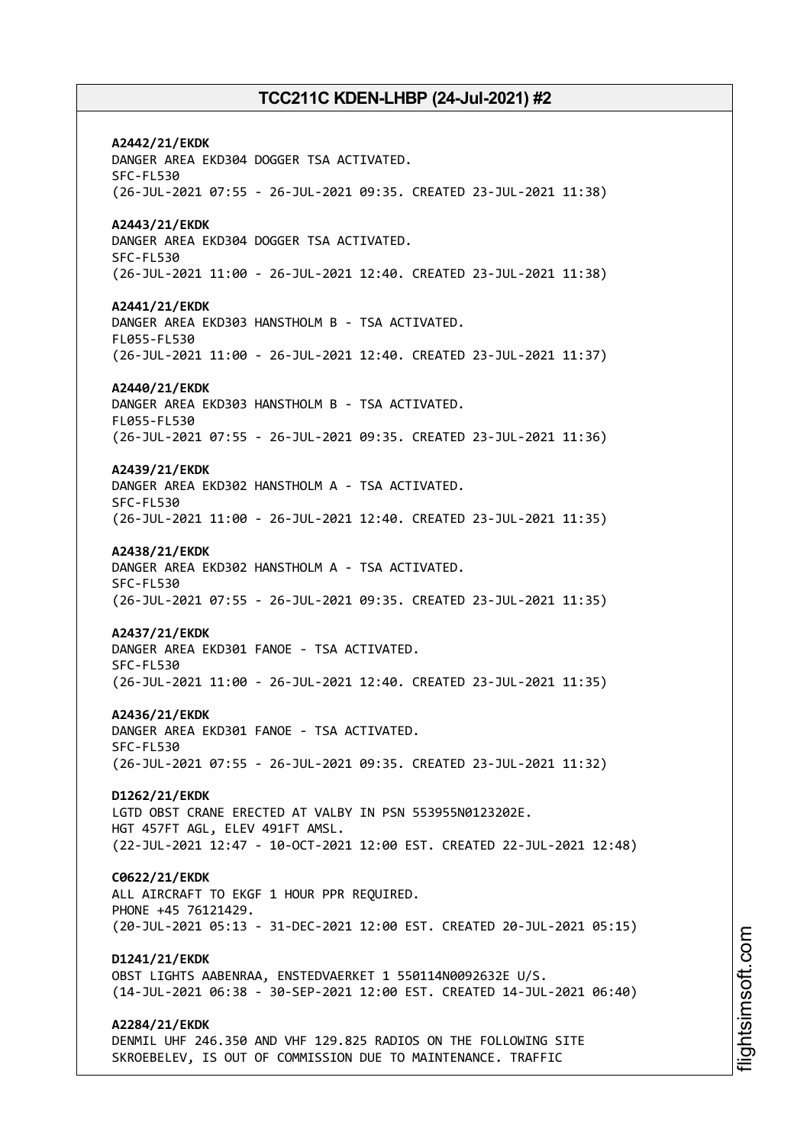**A2442/21/EKDK** DANGER AREA EKD304 DOGGER TSA ACTIVATED. SFC-FL530 (26-JUL-2021 07:55 - 26-JUL-2021 09:35. CREATED 23-JUL-2021 11:38) **A2443/21/EKDK** DANGER AREA EKD304 DOGGER TSA ACTIVATED. SFC-FL530 (26-JUL-2021 11:00 - 26-JUL-2021 12:40. CREATED 23-JUL-2021 11:38) **A2441/21/EKDK** DANGER AREA EKD303 HANSTHOLM B - TSA ACTIVATED. FL055-FL530 (26-JUL-2021 11:00 - 26-JUL-2021 12:40. CREATED 23-JUL-2021 11:37) **A2440/21/EKDK** DANGER AREA EKD303 HANSTHOLM B - TSA ACTIVATED. FL055-FL530 (26-JUL-2021 07:55 - 26-JUL-2021 09:35. CREATED 23-JUL-2021 11:36) **A2439/21/EKDK** DANGER AREA EKD302 HANSTHOLM A - TSA ACTIVATED. SFC-FL530 (26-JUL-2021 11:00 - 26-JUL-2021 12:40. CREATED 23-JUL-2021 11:35) **A2438/21/EKDK** DANGER AREA EKD302 HANSTHOLM A - TSA ACTIVATED. SFC-FL530 (26-JUL-2021 07:55 - 26-JUL-2021 09:35. CREATED 23-JUL-2021 11:35) **A2437/21/EKDK** DANGER AREA EKD301 FANOE - TSA ACTIVATED. SFC-FL530 (26-JUL-2021 11:00 - 26-JUL-2021 12:40. CREATED 23-JUL-2021 11:35) **A2436/21/EKDK** DANGER AREA EKD301 FANOE - TSA ACTIVATED. SFC-FL530 (26-JUL-2021 07:55 - 26-JUL-2021 09:35. CREATED 23-JUL-2021 11:32) **D1262/21/EKDK** LGTD OBST CRANE ERECTED AT VALBY IN PSN 553955N0123202E. HGT 457FT AGL, ELEV 491FT AMSL. (22-JUL-2021 12:47 - 10-OCT-2021 12:00 EST. CREATED 22-JUL-2021 12:48) **C0622/21/EKDK** ALL AIRCRAFT TO EKGF 1 HOUR PPR REQUIRED. PHONE +45 76121429. (20-JUL-2021 05:13 - 31-DEC-2021 12:00 EST. CREATED 20-JUL-2021 05:15) **D1241/21/EKDK** OBST LIGHTS AABENRAA, ENSTEDVAERKET 1 550114N0092632E U/S. (14-JUL-2021 06:38 - 30-SEP-2021 12:00 EST. CREATED 14-JUL-2021 06:40) **A2284/21/EKDK** DENMIL UHF 246.350 AND VHF 129.825 RADIOS ON THE FOLLOWING SITE SKROEBELEV, IS OUT OF COMMISSION DUE TO MAINTENANCE. TRAFFIC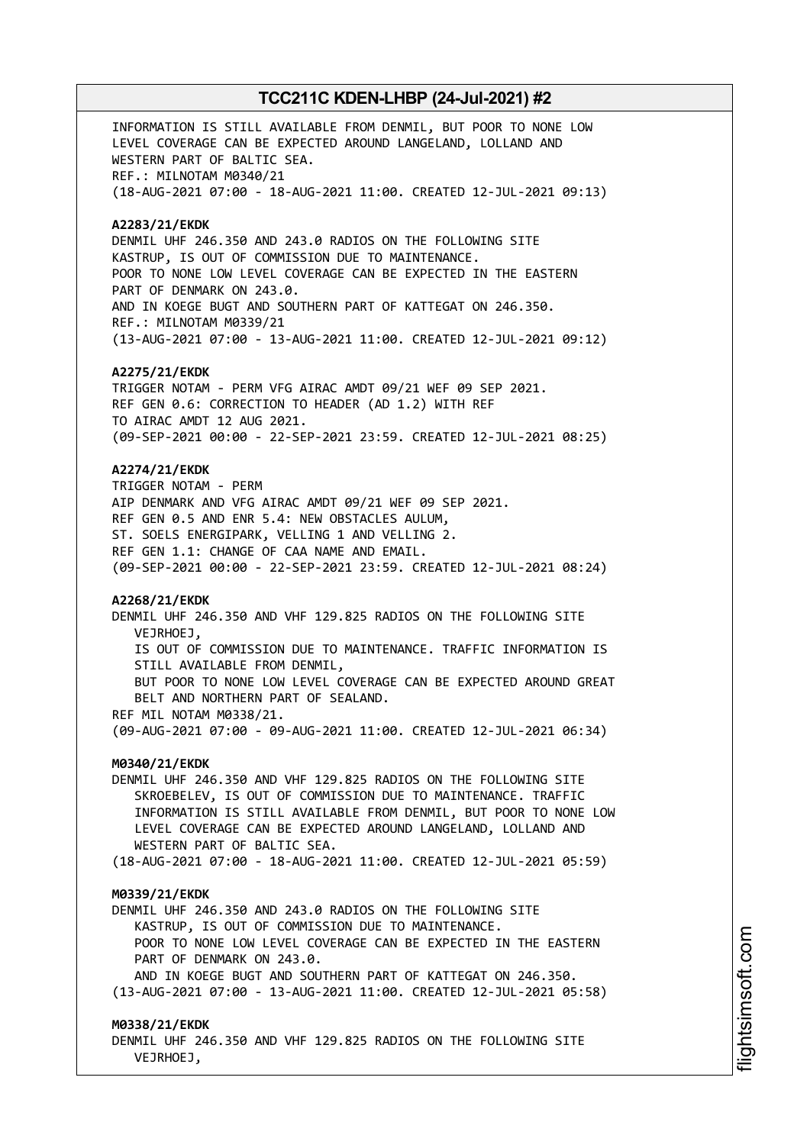INFORMATION IS STILL AVAILABLE FROM DENMIL, BUT POOR TO NONE LOW LEVEL COVERAGE CAN BE EXPECTED AROUND LANGELAND, LOLLAND AND WESTERN PART OF BALTIC SEA. REF.: MILNOTAM M0340/21 (18-AUG-2021 07:00 - 18-AUG-2021 11:00. CREATED 12-JUL-2021 09:13) **A2283/21/EKDK** DENMIL UHF 246.350 AND 243.0 RADIOS ON THE FOLLOWING SITE KASTRUP, IS OUT OF COMMISSION DUE TO MAINTENANCE. POOR TO NONE LOW LEVEL COVERAGE CAN BE EXPECTED IN THE EASTERN PART OF DENMARK ON 243.0. AND IN KOEGE BUGT AND SOUTHERN PART OF KATTEGAT ON 246.350. REF.: MILNOTAM M0339/21 (13-AUG-2021 07:00 - 13-AUG-2021 11:00. CREATED 12-JUL-2021 09:12) **A2275/21/EKDK** TRIGGER NOTAM - PERM VFG AIRAC AMDT 09/21 WEF 09 SEP 2021. REF GEN 0.6: CORRECTION TO HEADER (AD 1.2) WITH REF TO AIRAC AMDT 12 AUG 2021. (09-SEP-2021 00:00 - 22-SEP-2021 23:59. CREATED 12-JUL-2021 08:25) **A2274/21/EKDK** TRIGGER NOTAM - PERM AIP DENMARK AND VFG AIRAC AMDT 09/21 WEF 09 SEP 2021. REF GEN 0.5 AND ENR 5.4: NEW OBSTACLES AULUM, ST. SOELS ENERGIPARK, VELLING 1 AND VELLING 2. REF GEN 1.1: CHANGE OF CAA NAME AND EMAIL. (09-SEP-2021 00:00 - 22-SEP-2021 23:59. CREATED 12-JUL-2021 08:24) **A2268/21/EKDK** DENMIL UHF 246.350 AND VHF 129.825 RADIOS ON THE FOLLOWING SITE VEJRHOEJ, IS OUT OF COMMISSION DUE TO MAINTENANCE. TRAFFIC INFORMATION IS STILL AVAILABLE FROM DENMIL, BUT POOR TO NONE LOW LEVEL COVERAGE CAN BE EXPECTED AROUND GREAT BELT AND NORTHERN PART OF SEALAND. REF MIL NOTAM M0338/21. (09-AUG-2021 07:00 - 09-AUG-2021 11:00. CREATED 12-JUL-2021 06:34) **M0340/21/EKDK** DENMIL UHF 246.350 AND VHF 129.825 RADIOS ON THE FOLLOWING SITE SKROEBELEV, IS OUT OF COMMISSION DUE TO MAINTENANCE. TRAFFIC INFORMATION IS STILL AVAILABLE FROM DENMIL, BUT POOR TO NONE LOW LEVEL COVERAGE CAN BE EXPECTED AROUND LANGELAND, LOLLAND AND WESTERN PART OF BALTIC SEA. (18-AUG-2021 07:00 - 18-AUG-2021 11:00. CREATED 12-JUL-2021 05:59) **M0339/21/EKDK** DENMIL UHF 246.350 AND 243.0 RADIOS ON THE FOLLOWING SITE KASTRUP, IS OUT OF COMMISSION DUE TO MAINTENANCE. POOR TO NONE LOW LEVEL COVERAGE CAN BE EXPECTED IN THE EASTERN PART OF DENMARK ON 243.0. AND IN KOEGE BUGT AND SOUTHERN PART OF KATTEGAT ON 246.350. (13-AUG-2021 07:00 - 13-AUG-2021 11:00. CREATED 12-JUL-2021 05:58) **M0338/21/EKDK** DENMIL UHF 246.350 AND VHF 129.825 RADIOS ON THE FOLLOWING SITE VEJRHOEJ,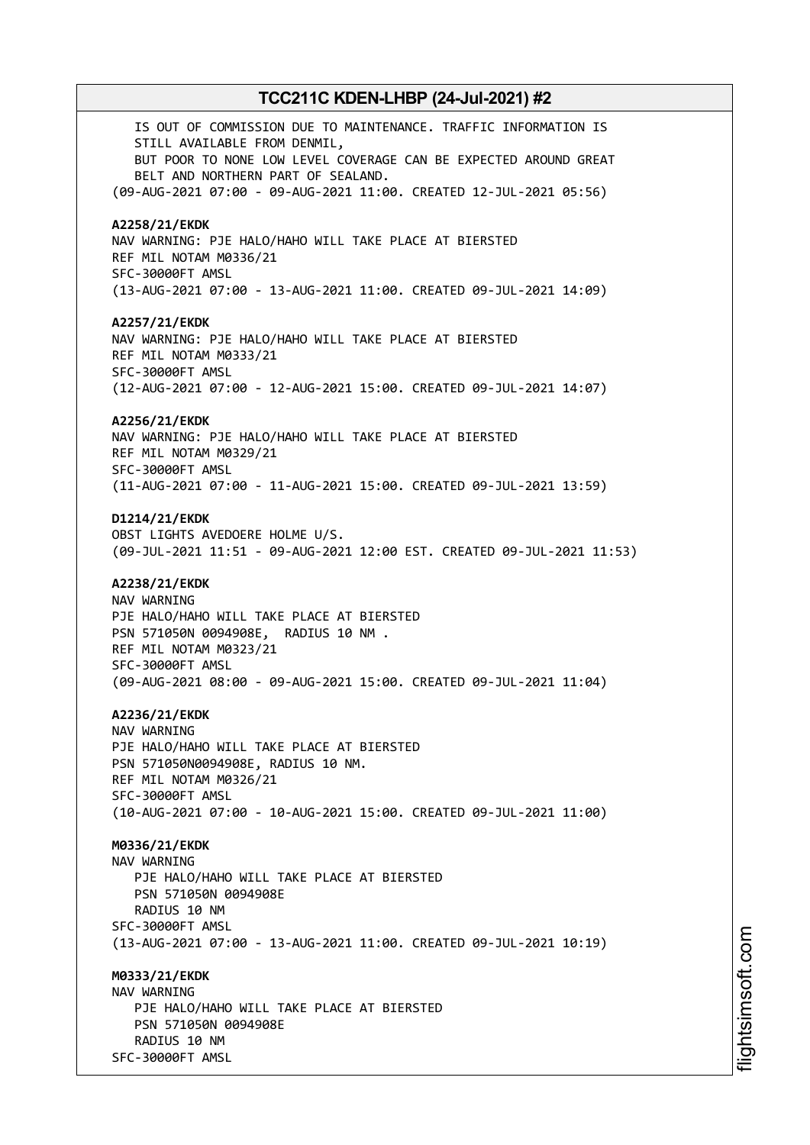IS OUT OF COMMISSION DUE TO MAINTENANCE. TRAFFIC INFORMATION IS STILL AVAILABLE FROM DENMIL, BUT POOR TO NONE LOW LEVEL COVERAGE CAN BE EXPECTED AROUND GREAT BELT AND NORTHERN PART OF SEALAND. (09-AUG-2021 07:00 - 09-AUG-2021 11:00. CREATED 12-JUL-2021 05:56) **A2258/21/EKDK** NAV WARNING: PJE HALO/HAHO WILL TAKE PLACE AT BIERSTED REF MIL NOTAM M0336/21 SFC-30000FT AMSL (13-AUG-2021 07:00 - 13-AUG-2021 11:00. CREATED 09-JUL-2021 14:09) **A2257/21/EKDK** NAV WARNING: PJE HALO/HAHO WILL TAKE PLACE AT BIERSTED REF MIL NOTAM M0333/21 SFC-30000FT AMSL (12-AUG-2021 07:00 - 12-AUG-2021 15:00. CREATED 09-JUL-2021 14:07) **A2256/21/EKDK** NAV WARNING: PJE HALO/HAHO WILL TAKE PLACE AT BIERSTED REF MIL NOTAM M0329/21 SFC-30000FT AMSL (11-AUG-2021 07:00 - 11-AUG-2021 15:00. CREATED 09-JUL-2021 13:59) **D1214/21/EKDK** OBST LIGHTS AVEDOERE HOLME U/S. (09-JUL-2021 11:51 - 09-AUG-2021 12:00 EST. CREATED 09-JUL-2021 11:53) **A2238/21/EKDK** NAV WARNING PJE HALO/HAHO WILL TAKE PLACE AT BIERSTED PSN 571050N 0094908E, RADIUS 10 NM . REF MIL NOTAM M0323/21 SFC-30000FT AMSL (09-AUG-2021 08:00 - 09-AUG-2021 15:00. CREATED 09-JUL-2021 11:04) **A2236/21/EKDK** NAV WARNING PJE HALO/HAHO WILL TAKE PLACE AT BIERSTED PSN 571050N0094908E, RADIUS 10 NM. REF MIL NOTAM M0326/21 SFC-30000FT AMSL (10-AUG-2021 07:00 - 10-AUG-2021 15:00. CREATED 09-JUL-2021 11:00) **M0336/21/EKDK** NAV WARNING PJE HALO/HAHO WILL TAKE PLACE AT BIERSTED PSN 571050N 0094908E RADIUS 10 NM SFC-30000FT AMSL (13-AUG-2021 07:00 - 13-AUG-2021 11:00. CREATED 09-JUL-2021 10:19) **M0333/21/EKDK** NAV WARNING PJE HALO/HAHO WILL TAKE PLACE AT BIERSTED PSN 571050N 0094908E RADIUS 10 NM SFC-30000FT AMSL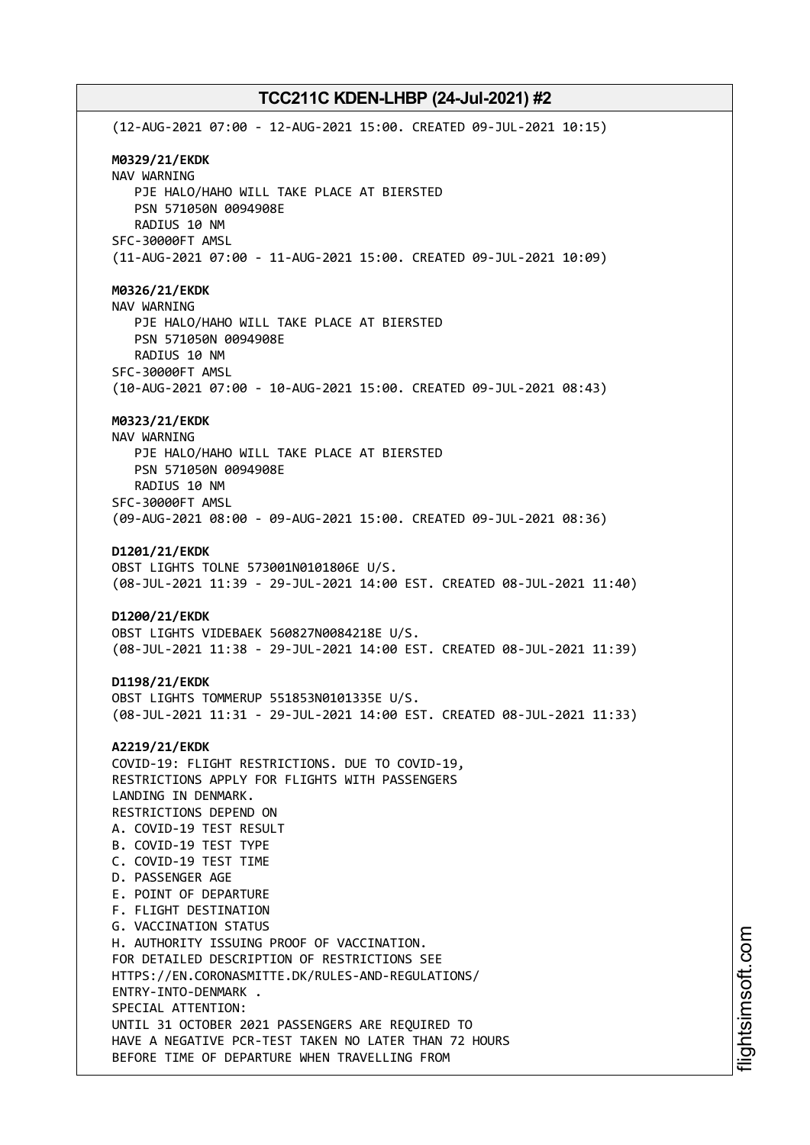(12-AUG-2021 07:00 - 12-AUG-2021 15:00. CREATED 09-JUL-2021 10:15) **M0329/21/EKDK** NAV WARNING PJE HALO/HAHO WILL TAKE PLACE AT BIERSTED PSN 571050N 0094908E RADIUS 10 NM SFC-30000FT AMSL (11-AUG-2021 07:00 - 11-AUG-2021 15:00. CREATED 09-JUL-2021 10:09) **M0326/21/EKDK** NAV WARNING PJE HALO/HAHO WILL TAKE PLACE AT BIERSTED PSN 571050N 0094908E RADIUS 10 NM SFC-30000FT AMSL (10-AUG-2021 07:00 - 10-AUG-2021 15:00. CREATED 09-JUL-2021 08:43) **M0323/21/EKDK** NAV WARNING PJE HALO/HAHO WILL TAKE PLACE AT BIERSTED PSN 571050N 0094908E RADIUS 10 NM SFC-30000FT AMSL (09-AUG-2021 08:00 - 09-AUG-2021 15:00. CREATED 09-JUL-2021 08:36) **D1201/21/EKDK** OBST LIGHTS TOLNE 573001N0101806E U/S. (08-JUL-2021 11:39 - 29-JUL-2021 14:00 EST. CREATED 08-JUL-2021 11:40) **D1200/21/EKDK** OBST LIGHTS VIDEBAEK 560827N0084218E U/S. (08-JUL-2021 11:38 - 29-JUL-2021 14:00 EST. CREATED 08-JUL-2021 11:39) **D1198/21/EKDK** OBST LIGHTS TOMMERUP 551853N0101335E U/S. (08-JUL-2021 11:31 - 29-JUL-2021 14:00 EST. CREATED 08-JUL-2021 11:33) **A2219/21/EKDK** COVID-19: FLIGHT RESTRICTIONS. DUE TO COVID-19, RESTRICTIONS APPLY FOR FLIGHTS WITH PASSENGERS LANDING IN DENMARK. RESTRICTIONS DEPEND ON A. COVID-19 TEST RESULT B. COVID-19 TEST TYPE C. COVID-19 TEST TIME D. PASSENGER AGE E. POINT OF DEPARTURE F. FLIGHT DESTINATION G. VACCINATION STATUS H. AUTHORITY ISSUING PROOF OF VACCINATION. FOR DETAILED DESCRIPTION OF RESTRICTIONS SEE HTTPS://EN.CORONASMITTE.DK/RULES-AND-REGULATIONS/ ENTRY-INTO-DENMARK . SPECIAL ATTENTION: UNTIL 31 OCTOBER 2021 PASSENGERS ARE REQUIRED TO HAVE A NEGATIVE PCR-TEST TAKEN NO LATER THAN 72 HOURS BEFORE TIME OF DEPARTURE WHEN TRAVELLING FROM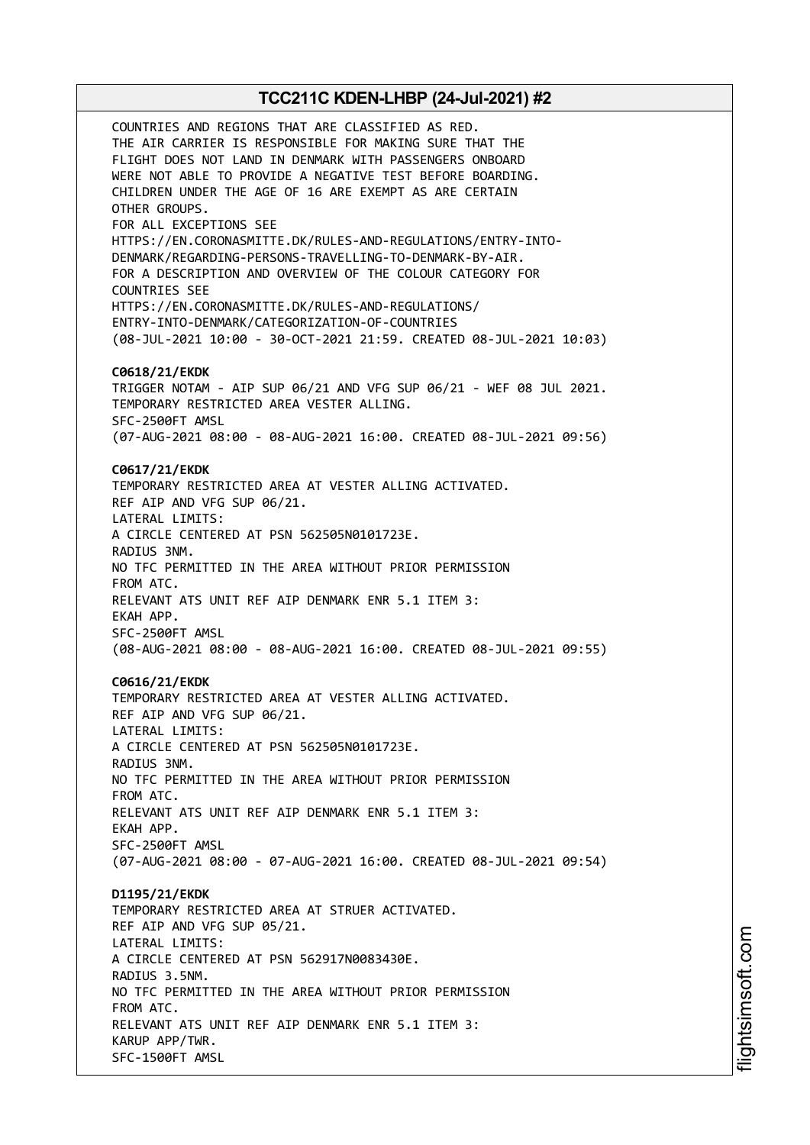COUNTRIES AND REGIONS THAT ARE CLASSIFIED AS RED. THE AIR CARRIER IS RESPONSIBLE FOR MAKING SURE THAT THE FLIGHT DOES NOT LAND IN DENMARK WITH PASSENGERS ONBOARD WERE NOT ABLE TO PROVIDE A NEGATIVE TEST BEFORE BOARDING. CHILDREN UNDER THE AGE OF 16 ARE EXEMPT AS ARE CERTAIN OTHER GROUPS. FOR ALL EXCEPTIONS SEE HTTPS://EN.CORONASMITTE.DK/RULES-AND-REGULATIONS/ENTRY-INTO-DENMARK/REGARDING-PERSONS-TRAVELLING-TO-DENMARK-BY-AIR. FOR A DESCRIPTION AND OVERVIEW OF THE COLOUR CATEGORY FOR COUNTRIES SEE HTTPS://EN.CORONASMITTE.DK/RULES-AND-REGULATIONS/ ENTRY-INTO-DENMARK/CATEGORIZATION-OF-COUNTRIES (08-JUL-2021 10:00 - 30-OCT-2021 21:59. CREATED 08-JUL-2021 10:03) **C0618/21/EKDK** TRIGGER NOTAM - AIP SUP 06/21 AND VFG SUP 06/21 - WEF 08 JUL 2021. TEMPORARY RESTRICTED AREA VESTER ALLING. SFC-2500FT AMSL (07-AUG-2021 08:00 - 08-AUG-2021 16:00. CREATED 08-JUL-2021 09:56) **C0617/21/EKDK** TEMPORARY RESTRICTED AREA AT VESTER ALLING ACTIVATED. REF AIP AND VFG SUP 06/21. LATERAL LIMITS: A CIRCLE CENTERED AT PSN 562505N0101723E. RADIUS 3NM. NO TFC PERMITTED IN THE AREA WITHOUT PRIOR PERMISSION FROM ATC. RELEVANT ATS UNIT REF AIP DENMARK ENR 5.1 ITEM 3: EKAH APP. SFC-2500FT AMSL (08-AUG-2021 08:00 - 08-AUG-2021 16:00. CREATED 08-JUL-2021 09:55) **C0616/21/EKDK** TEMPORARY RESTRICTED AREA AT VESTER ALLING ACTIVATED. REF AIP AND VFG SUP 06/21. LATERAL LIMITS: A CIRCLE CENTERED AT PSN 562505N0101723E. RADIUS 3NM. NO TFC PERMITTED IN THE AREA WITHOUT PRIOR PERMISSION FROM ATC. RELEVANT ATS UNIT REF AIP DENMARK ENR 5.1 ITEM 3: EKAH APP. SFC-2500FT AMSL (07-AUG-2021 08:00 - 07-AUG-2021 16:00. CREATED 08-JUL-2021 09:54) **D1195/21/EKDK** TEMPORARY RESTRICTED AREA AT STRUER ACTIVATED. REF AIP AND VFG SUP 05/21. LATERAL LIMITS: A CIRCLE CENTERED AT PSN 562917N0083430E. RADIUS 3.5NM. NO TFC PERMITTED IN THE AREA WITHOUT PRIOR PERMISSION FROM ATC. RELEVANT ATS UNIT REF AIP DENMARK ENR 5.1 ITEM 3: KARUP APP/TWR. SFC-1500FT AMSL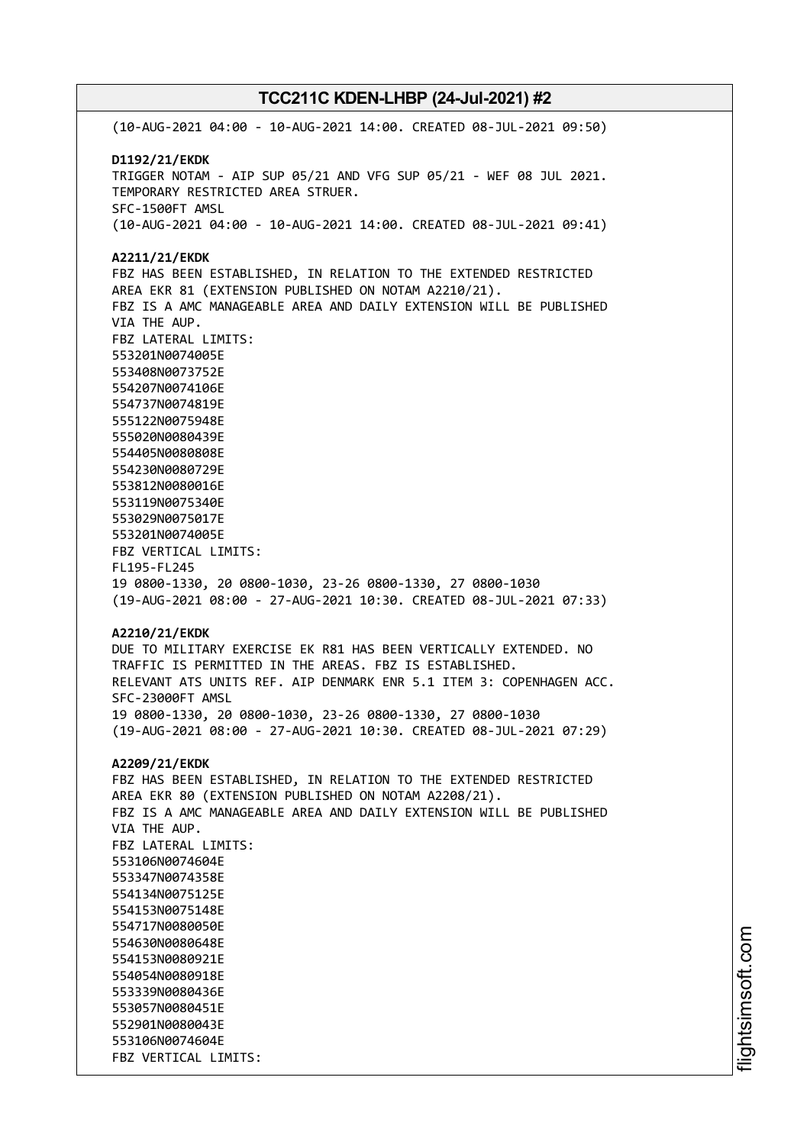(10-AUG-2021 04:00 - 10-AUG-2021 14:00. CREATED 08-JUL-2021 09:50) **D1192/21/EKDK** TRIGGER NOTAM - AIP SUP 05/21 AND VFG SUP 05/21 - WEF 08 JUL 2021. TEMPORARY RESTRICTED AREA STRUER. SFC-1500FT AMSL (10-AUG-2021 04:00 - 10-AUG-2021 14:00. CREATED 08-JUL-2021 09:41) **A2211/21/EKDK** FBZ HAS BEEN ESTABLISHED, IN RELATION TO THE EXTENDED RESTRICTED AREA EKR 81 (EXTENSION PUBLISHED ON NOTAM A2210/21). FBZ IS A AMC MANAGEABLE AREA AND DAILY EXTENSION WILL BE PUBLISHED VIA THE AUP. FBZ LATERAL LIMITS: 553201N0074005E 553408N0073752E 554207N0074106E 554737N0074819E 555122N0075948E 555020N0080439E 554405N0080808E 554230N0080729E 553812N0080016E 553119N0075340E 553029N0075017E 553201N0074005E FBZ VERTICAL LIMITS: FL195-FL245 19 0800-1330, 20 0800-1030, 23-26 0800-1330, 27 0800-1030 (19-AUG-2021 08:00 - 27-AUG-2021 10:30. CREATED 08-JUL-2021 07:33) **A2210/21/EKDK** DUE TO MILITARY EXERCISE EK R81 HAS BEEN VERTICALLY EXTENDED. NO TRAFFIC IS PERMITTED IN THE AREAS. FBZ IS ESTABLISHED. RELEVANT ATS UNITS REF. AIP DENMARK ENR 5.1 ITEM 3: COPENHAGEN ACC. SFC-23000FT AMSL 19 0800-1330, 20 0800-1030, 23-26 0800-1330, 27 0800-1030 (19-AUG-2021 08:00 - 27-AUG-2021 10:30. CREATED 08-JUL-2021 07:29) **A2209/21/EKDK** FBZ HAS BEEN ESTABLISHED, IN RELATION TO THE EXTENDED RESTRICTED AREA EKR 80 (EXTENSION PUBLISHED ON NOTAM A2208/21). FBZ IS A AMC MANAGEABLE AREA AND DAILY EXTENSION WILL BE PUBLISHED VIA THE AUP. FBZ LATERAL LIMITS: 553106N0074604E 553347N0074358E 554134N0075125E 554153N0075148E 554717N0080050E 554630N0080648E 554153N0080921E 554054N0080918E 553339N0080436E 553057N0080451E 552901N0080043E 553106N0074604E FBZ VERTICAL LIMITS: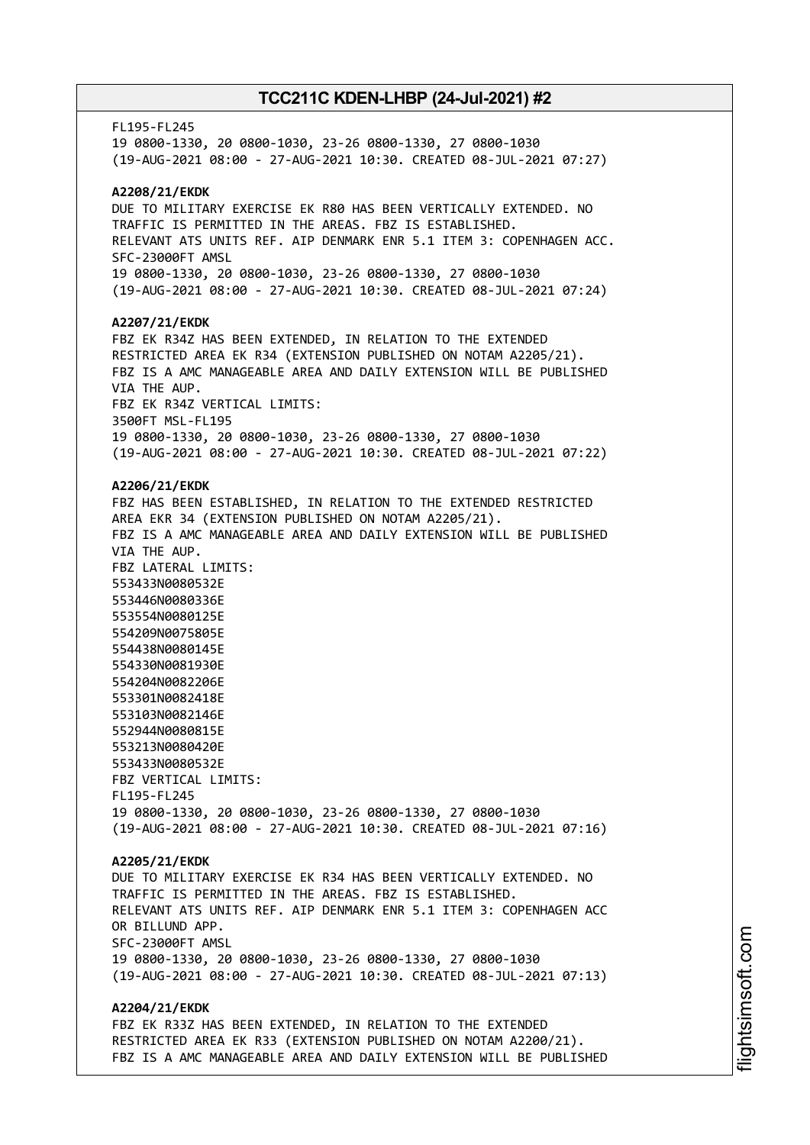FL195-FL245 19 0800-1330, 20 0800-1030, 23-26 0800-1330, 27 0800-1030 (19-AUG-2021 08:00 - 27-AUG-2021 10:30. CREATED 08-JUL-2021 07:27) **A2208/21/EKDK** DUE TO MILITARY EXERCISE EK R80 HAS BEEN VERTICALLY EXTENDED. NO TRAFFIC IS PERMITTED IN THE AREAS. FBZ IS ESTABLISHED. RELEVANT ATS UNITS REF. AIP DENMARK ENR 5.1 ITEM 3: COPENHAGEN ACC. SFC-23000FT AMSL 19 0800-1330, 20 0800-1030, 23-26 0800-1330, 27 0800-1030 (19-AUG-2021 08:00 - 27-AUG-2021 10:30. CREATED 08-JUL-2021 07:24) **A2207/21/EKDK** FBZ EK R34Z HAS BEEN EXTENDED, IN RELATION TO THE EXTENDED RESTRICTED AREA EK R34 (EXTENSION PUBLISHED ON NOTAM A2205/21). FBZ IS A AMC MANAGEABLE AREA AND DAILY EXTENSION WILL BE PUBLISHED VIA THE AUP. FBZ EK R34Z VERTICAL LIMITS: 3500FT MSL-FL195 19 0800-1330, 20 0800-1030, 23-26 0800-1330, 27 0800-1030 (19-AUG-2021 08:00 - 27-AUG-2021 10:30. CREATED 08-JUL-2021 07:22) **A2206/21/EKDK** FBZ HAS BEEN ESTABLISHED, IN RELATION TO THE EXTENDED RESTRICTED AREA EKR 34 (EXTENSION PUBLISHED ON NOTAM A2205/21). FBZ IS A AMC MANAGEABLE AREA AND DAILY EXTENSION WILL BE PUBLISHED VIA THE AUP. FBZ LATERAL LIMITS: 553433N0080532E 553446N0080336E 553554N0080125E 554209N0075805E 554438N0080145E 554330N0081930E 554204N0082206E 553301N0082418E 553103N0082146E 552944N0080815E 553213N0080420E 553433N0080532E FBZ VERTICAL LIMITS: FL195-FL245 19 0800-1330, 20 0800-1030, 23-26 0800-1330, 27 0800-1030 (19-AUG-2021 08:00 - 27-AUG-2021 10:30. CREATED 08-JUL-2021 07:16) **A2205/21/EKDK** DUE TO MILITARY EXERCISE EK R34 HAS BEEN VERTICALLY EXTENDED. NO TRAFFIC IS PERMITTED IN THE AREAS. FBZ IS ESTABLISHED. RELEVANT ATS UNITS REF. AIP DENMARK ENR 5.1 ITEM 3: COPENHAGEN ACC OR BILLUND APP. SFC-23000FT AMSL 19 0800-1330, 20 0800-1030, 23-26 0800-1330, 27 0800-1030 (19-AUG-2021 08:00 - 27-AUG-2021 10:30. CREATED 08-JUL-2021 07:13) **A2204/21/EKDK** FBZ EK R33Z HAS BEEN EXTENDED, IN RELATION TO THE EXTENDED RESTRICTED AREA EK R33 (EXTENSION PUBLISHED ON NOTAM A2200/21). FBZ IS A AMC MANAGEABLE AREA AND DAILY EXTENSION WILL BE PUBLISHED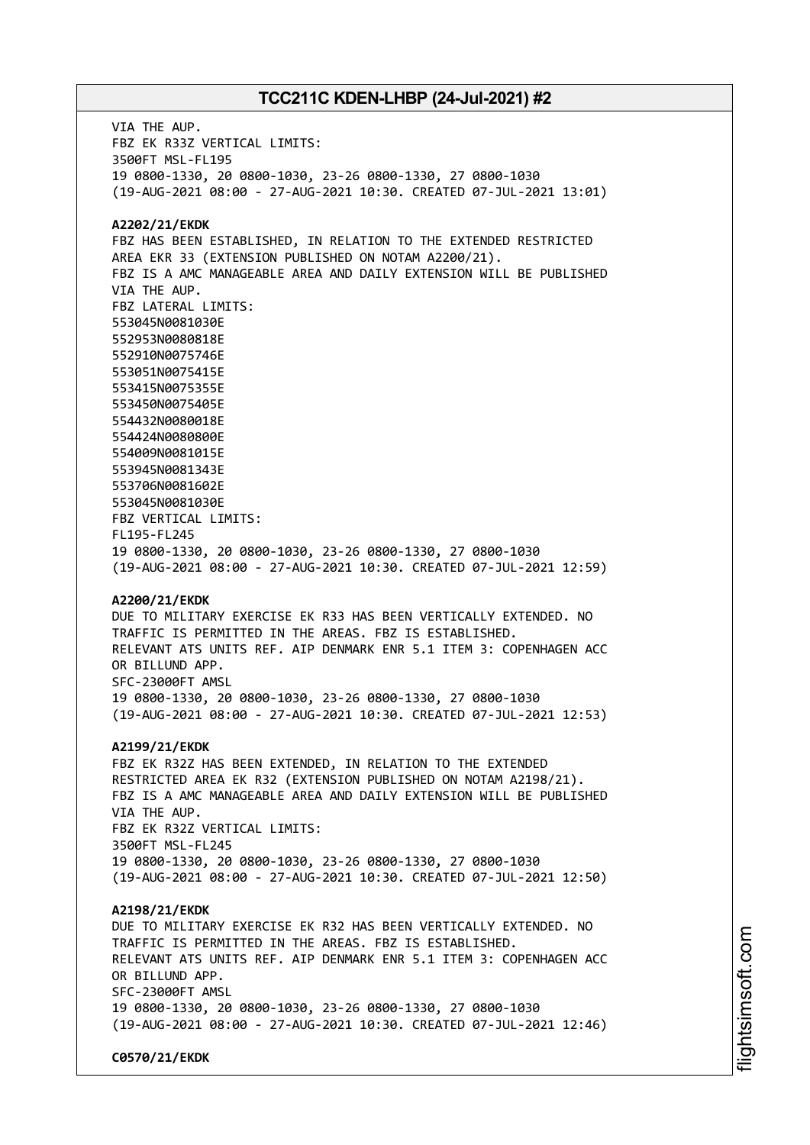VIA THE AUP. FBZ EK R33Z VERTICAL LIMITS: 3500FT MSL-FL195 19 0800-1330, 20 0800-1030, 23-26 0800-1330, 27 0800-1030 (19-AUG-2021 08:00 - 27-AUG-2021 10:30. CREATED 07-JUL-2021 13:01) **A2202/21/EKDK** FBZ HAS BEEN ESTABLISHED, IN RELATION TO THE EXTENDED RESTRICTED AREA EKR 33 (EXTENSION PUBLISHED ON NOTAM A2200/21). FBZ IS A AMC MANAGEABLE AREA AND DAILY EXTENSION WILL BE PUBLISHED VIA THE AUP. FBZ LATERAL LIMITS: 553045N0081030E 552953N0080818E 552910N0075746E 553051N0075415E 553415N0075355E 553450N0075405E 554432N0080018E 554424N0080800E 554009N0081015E 553945N0081343E 553706N0081602E 553045N0081030E FBZ VERTICAL LIMITS: FL195-FL245 19 0800-1330, 20 0800-1030, 23-26 0800-1330, 27 0800-1030 (19-AUG-2021 08:00 - 27-AUG-2021 10:30. CREATED 07-JUL-2021 12:59) **A2200/21/EKDK** DUE TO MILITARY EXERCISE EK R33 HAS BEEN VERTICALLY EXTENDED. NO TRAFFIC IS PERMITTED IN THE AREAS. FBZ IS ESTABLISHED. RELEVANT ATS UNITS REF. AIP DENMARK ENR 5.1 ITEM 3: COPENHAGEN ACC OR BILLUND APP. SFC-23000FT AMSL 19 0800-1330, 20 0800-1030, 23-26 0800-1330, 27 0800-1030 (19-AUG-2021 08:00 - 27-AUG-2021 10:30. CREATED 07-JUL-2021 12:53) **A2199/21/EKDK** FBZ EK R32Z HAS BEEN EXTENDED, IN RELATION TO THE EXTENDED RESTRICTED AREA EK R32 (EXTENSION PUBLISHED ON NOTAM A2198/21). FBZ IS A AMC MANAGEABLE AREA AND DAILY EXTENSION WILL BE PUBLISHED VIA THE AUP. FBZ EK R32Z VERTICAL LIMITS: 3500FT MSL-FL245 19 0800-1330, 20 0800-1030, 23-26 0800-1330, 27 0800-1030 (19-AUG-2021 08:00 - 27-AUG-2021 10:30. CREATED 07-JUL-2021 12:50) **A2198/21/EKDK** DUE TO MILITARY EXERCISE EK R32 HAS BEEN VERTICALLY EXTENDED. NO TRAFFIC IS PERMITTED IN THE AREAS. FBZ IS ESTABLISHED. RELEVANT ATS UNITS REF. AIP DENMARK ENR 5.1 ITEM 3: COPENHAGEN ACC OR BILLUND APP. SFC-23000FT AMSL 19 0800-1330, 20 0800-1030, 23-26 0800-1330, 27 0800-1030 (19-AUG-2021 08:00 - 27-AUG-2021 10:30. CREATED 07-JUL-2021 12:46) **C0570/21/EKDK**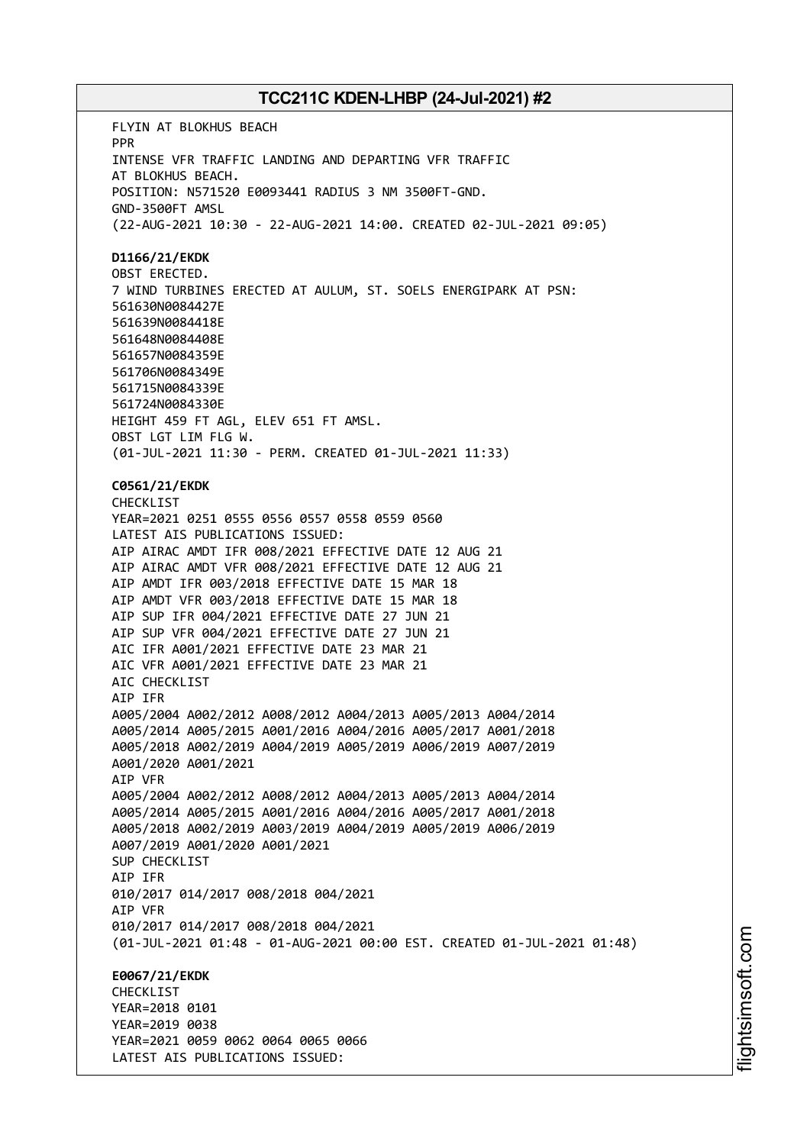FLYIN AT BLOKHUS BEACH PPR INTENSE VFR TRAFFIC LANDING AND DEPARTING VFR TRAFFIC AT BLOKHUS BEACH. POSITION: N571520 E0093441 RADIUS 3 NM 3500FT-GND. GND-3500FT AMSL (22-AUG-2021 10:30 - 22-AUG-2021 14:00. CREATED 02-JUL-2021 09:05) **D1166/21/EKDK** OBST ERECTED. 7 WIND TURBINES ERECTED AT AULUM, ST. SOELS ENERGIPARK AT PSN: 561630N0084427E 561639N0084418E 561648N0084408E 561657N0084359E 561706N0084349E 561715N0084339E 561724N0084330E HEIGHT 459 FT AGL, ELEV 651 FT AMSL. OBST LGT LIM FLG W. (01-JUL-2021 11:30 - PERM. CREATED 01-JUL-2021 11:33) **C0561/21/EKDK** CHECKLIST YEAR=2021 0251 0555 0556 0557 0558 0559 0560 LATEST AIS PUBLICATIONS ISSUED: AIP AIRAC AMDT IFR 008/2021 EFFECTIVE DATE 12 AUG 21 AIP AIRAC AMDT VFR 008/2021 EFFECTIVE DATE 12 AUG 21 AIP AMDT IFR 003/2018 EFFECTIVE DATE 15 MAR 18 AIP AMDT VFR 003/2018 EFFECTIVE DATE 15 MAR 18 AIP SUP IFR 004/2021 EFFECTIVE DATE 27 JUN 21 AIP SUP VFR 004/2021 EFFECTIVE DATE 27 JUN 21 AIC IFR A001/2021 EFFECTIVE DATE 23 MAR 21 AIC VFR A001/2021 EFFECTIVE DATE 23 MAR 21 AIC CHECKLIST AIP IFR A005/2004 A002/2012 A008/2012 A004/2013 A005/2013 A004/2014 A005/2014 A005/2015 A001/2016 A004/2016 A005/2017 A001/2018 A005/2018 A002/2019 A004/2019 A005/2019 A006/2019 A007/2019 A001/2020 A001/2021 AIP VFR A005/2004 A002/2012 A008/2012 A004/2013 A005/2013 A004/2014 A005/2014 A005/2015 A001/2016 A004/2016 A005/2017 A001/2018 A005/2018 A002/2019 A003/2019 A004/2019 A005/2019 A006/2019 A007/2019 A001/2020 A001/2021 SUP CHECKLIST AIP IFR 010/2017 014/2017 008/2018 004/2021 AIP VFR 010/2017 014/2017 008/2018 004/2021 (01-JUL-2021 01:48 - 01-AUG-2021 00:00 EST. CREATED 01-JUL-2021 01:48) **E0067/21/EKDK CHECKLIST** YEAR=2018 0101 YEAR=2019 0038 YEAR=2021 0059 0062 0064 0065 0066 LATEST AIS PUBLICATIONS ISSUED: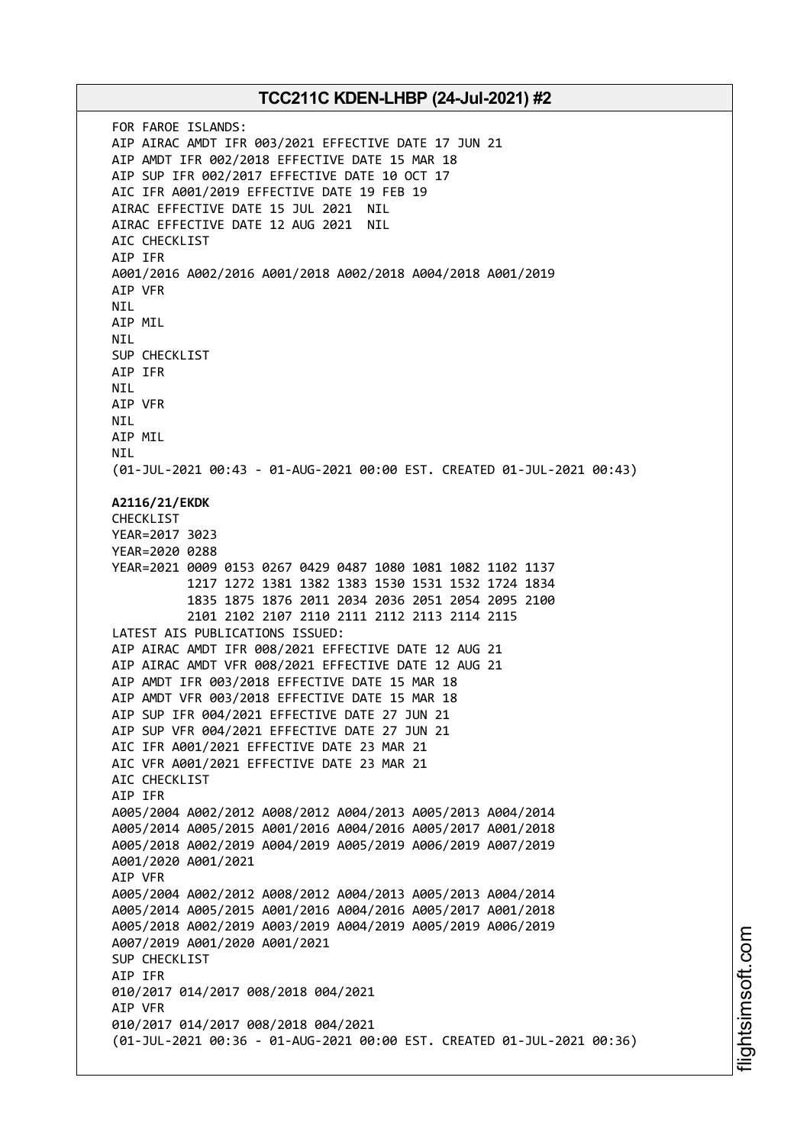FOR FAROE ISLANDS: AIP AIRAC AMDT IFR 003/2021 EFFECTIVE DATE 17 JUN 21 AIP AMDT IFR 002/2018 EFFECTIVE DATE 15 MAR 18 AIP SUP IFR 002/2017 EFFECTIVE DATE 10 OCT 17 AIC IFR A001/2019 EFFECTIVE DATE 19 FEB 19 AIRAC EFFECTIVE DATE 15 JUL 2021 NIL AIRAC EFFECTIVE DATE 12 AUG 2021 NIL AIC CHECKLIST AIP IFR A001/2016 A002/2016 A001/2018 A002/2018 A004/2018 A001/2019 AIP VFR **NTI** AIP MIL NIL SUP CHECKLIST AIP IFR NIL AIP VFR NIL AIP MIL NIL (01-JUL-2021 00:43 - 01-AUG-2021 00:00 EST. CREATED 01-JUL-2021 00:43) **A2116/21/EKDK** CHECKLIST YEAR=2017 3023 YEAR=2020 0288 YEAR=2021 0009 0153 0267 0429 0487 1080 1081 1082 1102 1137 1217 1272 1381 1382 1383 1530 1531 1532 1724 1834 1835 1875 1876 2011 2034 2036 2051 2054 2095 2100 2101 2102 2107 2110 2111 2112 2113 2114 2115 LATEST AIS PUBLICATIONS ISSUED: AIP AIRAC AMDT IFR 008/2021 EFFECTIVE DATE 12 AUG 21 AIP AIRAC AMDT VFR 008/2021 EFFECTIVE DATE 12 AUG 21 AIP AMDT IFR 003/2018 EFFECTIVE DATE 15 MAR 18 AIP AMDT VFR 003/2018 EFFECTIVE DATE 15 MAR 18 AIP SUP IFR 004/2021 EFFECTIVE DATE 27 JUN 21 AIP SUP VFR 004/2021 EFFECTIVE DATE 27 JUN 21 AIC IFR A001/2021 EFFECTIVE DATE 23 MAR 21 AIC VFR A001/2021 EFFECTIVE DATE 23 MAR 21 AIC CHECKLIST AIP IFR A005/2004 A002/2012 A008/2012 A004/2013 A005/2013 A004/2014 A005/2014 A005/2015 A001/2016 A004/2016 A005/2017 A001/2018 A005/2018 A002/2019 A004/2019 A005/2019 A006/2019 A007/2019 A001/2020 A001/2021 AIP VFR A005/2004 A002/2012 A008/2012 A004/2013 A005/2013 A004/2014 A005/2014 A005/2015 A001/2016 A004/2016 A005/2017 A001/2018 A005/2018 A002/2019 A003/2019 A004/2019 A005/2019 A006/2019 A007/2019 A001/2020 A001/2021 SUP CHECKLIST AIP IFR 010/2017 014/2017 008/2018 004/2021 AIP VFR 010/2017 014/2017 008/2018 004/2021 (01-JUL-2021 00:36 - 01-AUG-2021 00:00 EST. CREATED 01-JUL-2021 00:36)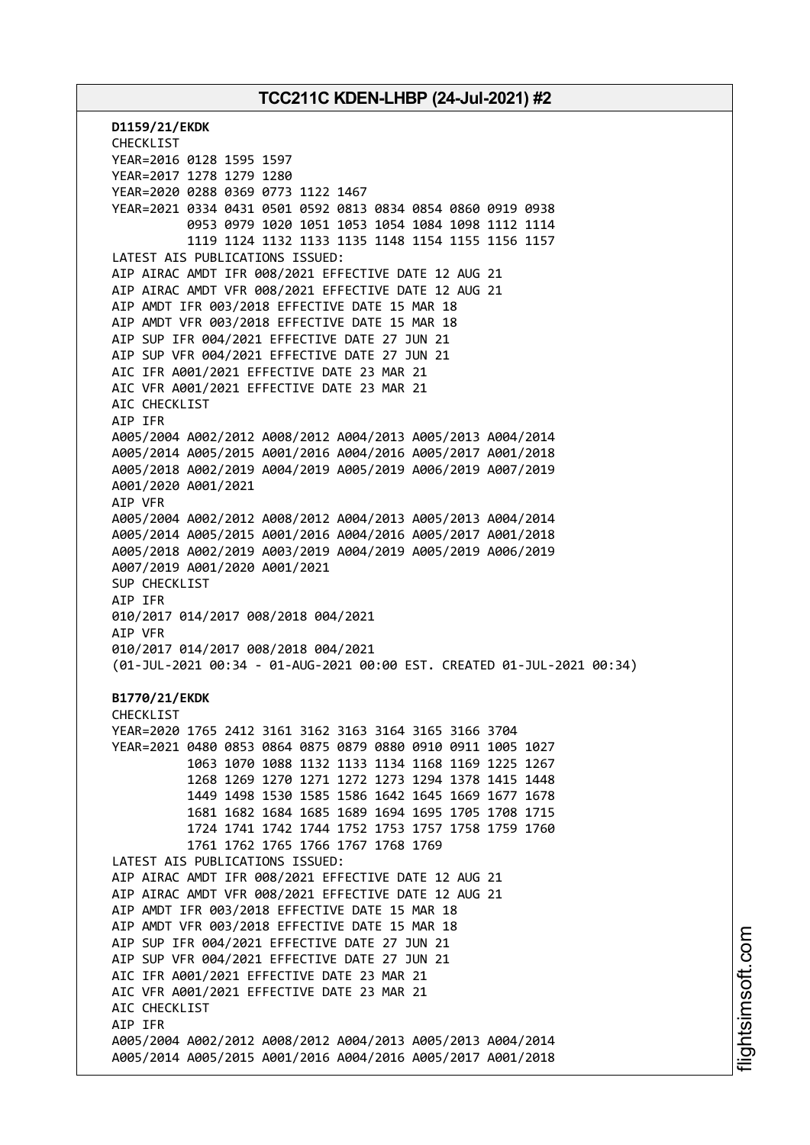**D1159/21/EKDK** CHECKLIST YEAR=2016 0128 1595 1597 YEAR=2017 1278 1279 1280 YEAR=2020 0288 0369 0773 1122 1467 YEAR=2021 0334 0431 0501 0592 0813 0834 0854 0860 0919 0938 0953 0979 1020 1051 1053 1054 1084 1098 1112 1114 1119 1124 1132 1133 1135 1148 1154 1155 1156 1157 LATEST AIS PUBLICATIONS ISSUED: AIP AIRAC AMDT IFR 008/2021 EFFECTIVE DATE 12 AUG 21 AIP AIRAC AMDT VFR 008/2021 EFFECTIVE DATE 12 AUG 21 AIP AMDT IFR 003/2018 EFFECTIVE DATE 15 MAR 18 AIP AMDT VFR 003/2018 EFFECTIVE DATE 15 MAR 18 AIP SUP IFR 004/2021 EFFECTIVE DATE 27 JUN 21 AIP SUP VFR 004/2021 EFFECTIVE DATE 27 JUN 21 AIC IFR A001/2021 EFFECTIVE DATE 23 MAR 21 AIC VFR A001/2021 EFFECTIVE DATE 23 MAR 21 AIC CHECKLIST AIP IFR A005/2004 A002/2012 A008/2012 A004/2013 A005/2013 A004/2014 A005/2014 A005/2015 A001/2016 A004/2016 A005/2017 A001/2018 A005/2018 A002/2019 A004/2019 A005/2019 A006/2019 A007/2019 A001/2020 A001/2021 AIP VFR A005/2004 A002/2012 A008/2012 A004/2013 A005/2013 A004/2014 A005/2014 A005/2015 A001/2016 A004/2016 A005/2017 A001/2018 A005/2018 A002/2019 A003/2019 A004/2019 A005/2019 A006/2019 A007/2019 A001/2020 A001/2021 SUP CHECKLIST AIP IFR 010/2017 014/2017 008/2018 004/2021 AIP VFR 010/2017 014/2017 008/2018 004/2021 (01-JUL-2021 00:34 - 01-AUG-2021 00:00 EST. CREATED 01-JUL-2021 00:34) **B1770/21/EKDK** CHECKLIST YEAR=2020 1765 2412 3161 3162 3163 3164 3165 3166 3704 YEAR=2021 0480 0853 0864 0875 0879 0880 0910 0911 1005 1027 1063 1070 1088 1132 1133 1134 1168 1169 1225 1267 1268 1269 1270 1271 1272 1273 1294 1378 1415 1448 1449 1498 1530 1585 1586 1642 1645 1669 1677 1678 1681 1682 1684 1685 1689 1694 1695 1705 1708 1715 1724 1741 1742 1744 1752 1753 1757 1758 1759 1760 1761 1762 1765 1766 1767 1768 1769 LATEST AIS PUBLICATIONS ISSUED: AIP AIRAC AMDT IFR 008/2021 EFFECTIVE DATE 12 AUG 21 AIP AIRAC AMDT VFR 008/2021 EFFECTIVE DATE 12 AUG 21 AIP AMDT IFR 003/2018 EFFECTIVE DATE 15 MAR 18 AIP AMDT VFR 003/2018 EFFECTIVE DATE 15 MAR 18 AIP SUP IFR 004/2021 EFFECTIVE DATE 27 JUN 21 AIP SUP VFR 004/2021 EFFECTIVE DATE 27 JUN 21 AIC IFR A001/2021 EFFECTIVE DATE 23 MAR 21 AIC VFR A001/2021 EFFECTIVE DATE 23 MAR 21 AIC CHECKLIST AIP IFR A005/2004 A002/2012 A008/2012 A004/2013 A005/2013 A004/2014 A005/2014 A005/2015 A001/2016 A004/2016 A005/2017 A001/2018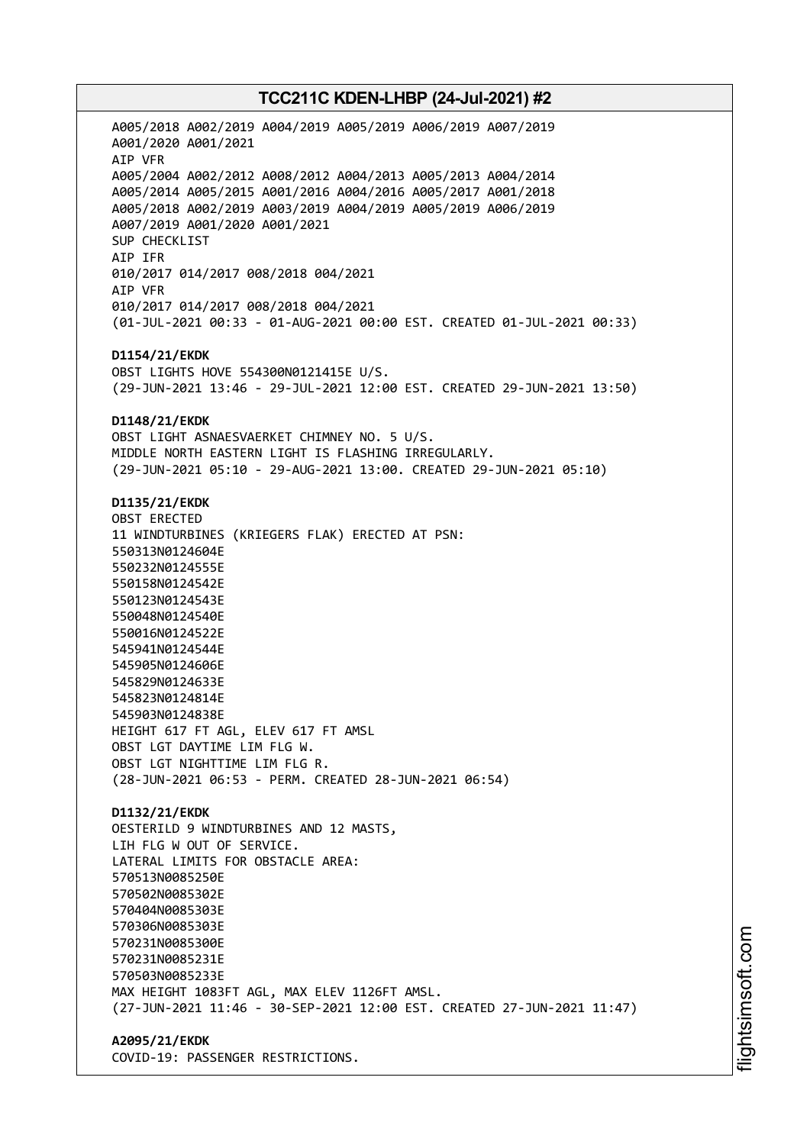A005/2018 A002/2019 A004/2019 A005/2019 A006/2019 A007/2019 A001/2020 A001/2021 AIP VFR A005/2004 A002/2012 A008/2012 A004/2013 A005/2013 A004/2014 A005/2014 A005/2015 A001/2016 A004/2016 A005/2017 A001/2018 A005/2018 A002/2019 A003/2019 A004/2019 A005/2019 A006/2019 A007/2019 A001/2020 A001/2021 SUP CHECKLIST AIP IFR 010/2017 014/2017 008/2018 004/2021 AIP VFR 010/2017 014/2017 008/2018 004/2021 (01-JUL-2021 00:33 - 01-AUG-2021 00:00 EST. CREATED 01-JUL-2021 00:33) **D1154/21/EKDK** OBST LIGHTS HOVE 554300N0121415E U/S. (29-JUN-2021 13:46 - 29-JUL-2021 12:00 EST. CREATED 29-JUN-2021 13:50) **D1148/21/EKDK** OBST LIGHT ASNAESVAERKET CHIMNEY NO. 5 U/S. MIDDLE NORTH EASTERN LIGHT IS FLASHING IRREGULARLY. (29-JUN-2021 05:10 - 29-AUG-2021 13:00. CREATED 29-JUN-2021 05:10) **D1135/21/EKDK** OBST ERECTED 11 WINDTURBINES (KRIEGERS FLAK) ERECTED AT PSN: 550313N0124604E 550232N0124555E 550158N0124542E 550123N0124543E 550048N0124540E 550016N0124522E 545941N0124544E 545905N0124606E 545829N0124633E 545823N0124814E 545903N0124838E HEIGHT 617 FT AGL, ELEV 617 FT AMSL OBST LGT DAYTIME LIM FLG W. OBST LGT NIGHTTIME LIM FLG R. (28-JUN-2021 06:53 - PERM. CREATED 28-JUN-2021 06:54) **D1132/21/EKDK** OESTERILD 9 WINDTURBINES AND 12 MASTS, LIH FLG W OUT OF SERVICE. LATERAL LIMITS FOR OBSTACLE AREA: 570513N0085250E 570502N0085302E 570404N0085303E 570306N0085303E 570231N0085300E 570231N0085231E 570503N0085233E MAX HEIGHT 1083FT AGL, MAX ELEV 1126FT AMSL. (27-JUN-2021 11:46 - 30-SEP-2021 12:00 EST. CREATED 27-JUN-2021 11:47)

**A2095/21/EKDK** COVID-19: PASSENGER RESTRICTIONS.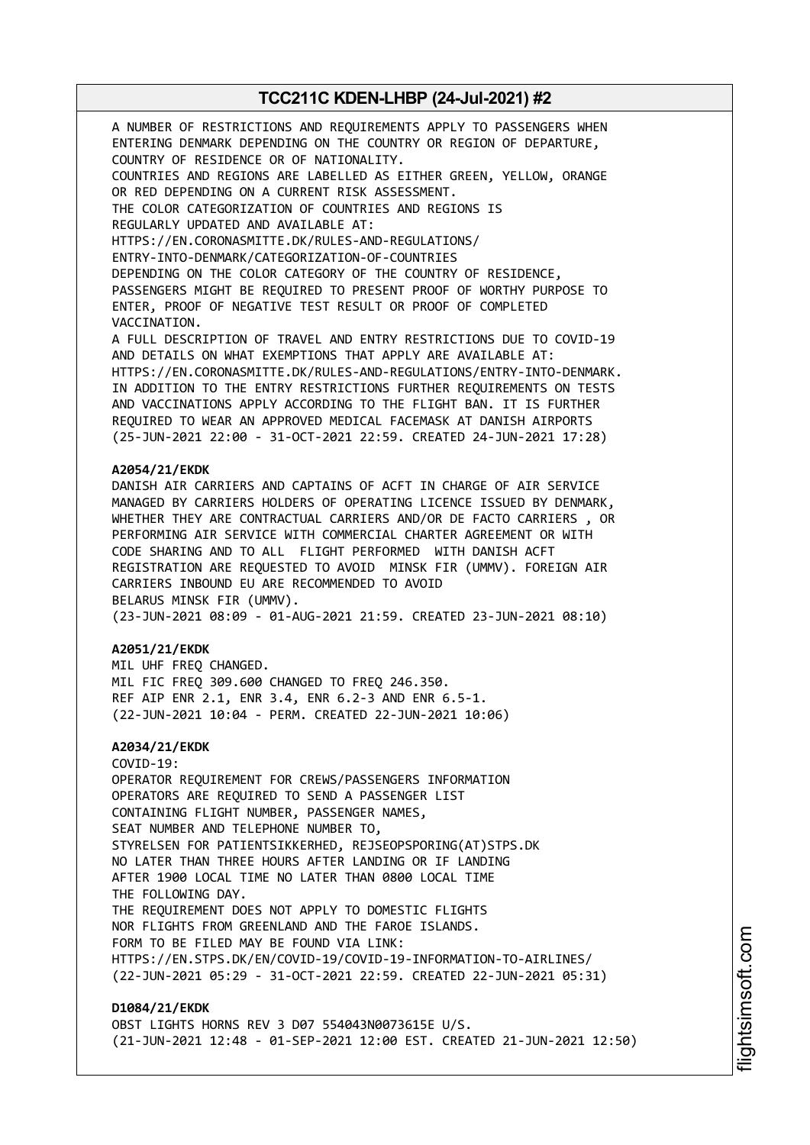A NUMBER OF RESTRICTIONS AND REQUIREMENTS APPLY TO PASSENGERS WHEN ENTERING DENMARK DEPENDING ON THE COUNTRY OR REGION OF DEPARTURE, COUNTRY OF RESIDENCE OR OF NATIONALITY. COUNTRIES AND REGIONS ARE LABELLED AS EITHER GREEN, YELLOW, ORANGE OR RED DEPENDING ON A CURRENT RISK ASSESSMENT. THE COLOR CATEGORIZATION OF COUNTRIES AND REGIONS IS REGULARLY UPDATED AND AVAILABLE AT: HTTPS://EN.CORONASMITTE.DK/RULES-AND-REGULATIONS/ ENTRY-INTO-DENMARK/CATEGORIZATION-OF-COUNTRIES DEPENDING ON THE COLOR CATEGORY OF THE COUNTRY OF RESIDENCE, PASSENGERS MIGHT BE REQUIRED TO PRESENT PROOF OF WORTHY PURPOSE TO ENTER, PROOF OF NEGATIVE TEST RESULT OR PROOF OF COMPLETED VACCINATION. A FULL DESCRIPTION OF TRAVEL AND ENTRY RESTRICTIONS DUE TO COVID-19 AND DETAILS ON WHAT EXEMPTIONS THAT APPLY ARE AVAILABLE AT: HTTPS://EN.CORONASMITTE.DK/RULES-AND-REGULATIONS/ENTRY-INTO-DENMARK. IN ADDITION TO THE ENTRY RESTRICTIONS FURTHER REQUIREMENTS ON TESTS AND VACCINATIONS APPLY ACCORDING TO THE FLIGHT BAN. IT IS FURTHER REQUIRED TO WEAR AN APPROVED MEDICAL FACEMASK AT DANISH AIRPORTS (25-JUN-2021 22:00 - 31-OCT-2021 22:59. CREATED 24-JUN-2021 17:28) **A2054/21/EKDK** DANISH AIR CARRIERS AND CAPTAINS OF ACFT IN CHARGE OF AIR SERVICE MANAGED BY CARRIERS HOLDERS OF OPERATING LICENCE ISSUED BY DENMARK, WHETHER THEY ARE CONTRACTUAL CARRIERS AND/OR DE FACTO CARRIERS , OR PERFORMING AIR SERVICE WITH COMMERCIAL CHARTER AGREEMENT OR WITH CODE SHARING AND TO ALL FLIGHT PERFORMED WITH DANISH ACFT REGISTRATION ARE REQUESTED TO AVOID MINSK FIR (UMMV). FOREIGN AIR CARRIERS INBOUND EU ARE RECOMMENDED TO AVOID BELARUS MINSK FIR (UMMV). (23-JUN-2021 08:09 - 01-AUG-2021 21:59. CREATED 23-JUN-2021 08:10) **A2051/21/EKDK** MIL UHF FREQ CHANGED. MIL FIC FREQ 309.600 CHANGED TO FREQ 246.350. REF AIP ENR 2.1, ENR 3.4, ENR 6.2-3 AND ENR 6.5-1. (22-JUN-2021 10:04 - PERM. CREATED 22-JUN-2021 10:06) **A2034/21/EKDK** COVID-19: OPERATOR REQUIREMENT FOR CREWS/PASSENGERS INFORMATION OPERATORS ARE REQUIRED TO SEND A PASSENGER LIST CONTAINING FLIGHT NUMBER, PASSENGER NAMES, SEAT NUMBER AND TELEPHONE NUMBER TO, STYRELSEN FOR PATIENTSIKKERHED, REJSEOPSPORING(AT)STPS.DK NO LATER THAN THREE HOURS AFTER LANDING OR IF LANDING AFTER 1900 LOCAL TIME NO LATER THAN 0800 LOCAL TIME THE FOLLOWING DAY. THE REQUIREMENT DOES NOT APPLY TO DOMESTIC FLIGHTS NOR FLIGHTS FROM GREENLAND AND THE FAROE ISLANDS. FORM TO BE FILED MAY BE FOUND VIA LINK: HTTPS://EN.STPS.DK/EN/COVID-19/COVID-19-INFORMATION-TO-AIRLINES/ (22-JUN-2021 05:29 - 31-OCT-2021 22:59. CREATED 22-JUN-2021 05:31) **D1084/21/EKDK**

OBST LIGHTS HORNS REV 3 D07 554043N0073615E U/S. (21-JUN-2021 12:48 - 01-SEP-2021 12:00 EST. CREATED 21-JUN-2021 12:50)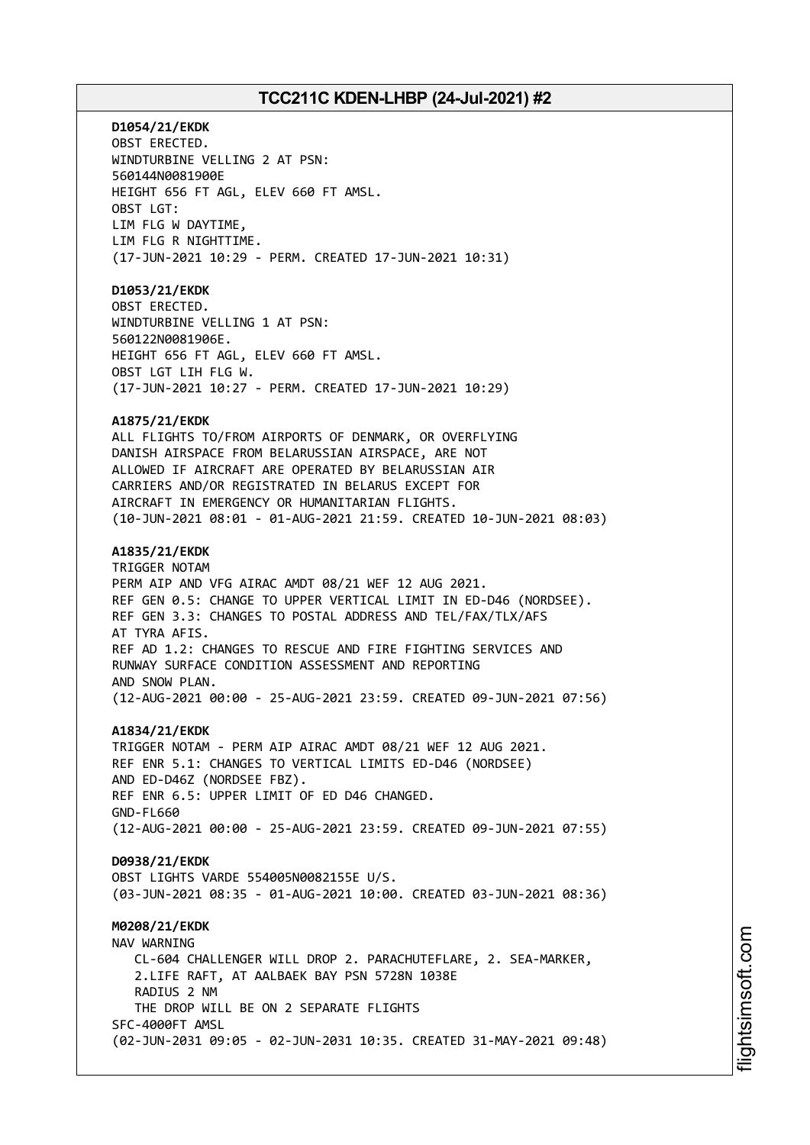**D1054/21/EKDK** OBST ERECTED. WINDTURBINE VELLING 2 AT PSN: 560144N0081900E HEIGHT 656 FT AGL, ELEV 660 FT AMSL. OBST LGT: LIM FLG W DAYTIME, LIM FLG R NIGHTTIME. (17-JUN-2021 10:29 - PERM. CREATED 17-JUN-2021 10:31) **D1053/21/EKDK** OBST ERECTED. WINDTURBINE VELLING 1 AT PSN: 560122N0081906E. HEIGHT 656 FT AGL, ELEV 660 FT AMSL. OBST LGT LIH FLG W. (17-JUN-2021 10:27 - PERM. CREATED 17-JUN-2021 10:29) **A1875/21/EKDK** ALL FLIGHTS TO/FROM AIRPORTS OF DENMARK, OR OVERFLYING DANISH AIRSPACE FROM BELARUSSIAN AIRSPACE, ARE NOT ALLOWED IF AIRCRAFT ARE OPERATED BY BELARUSSIAN AIR CARRIERS AND/OR REGISTRATED IN BELARUS EXCEPT FOR AIRCRAFT IN EMERGENCY OR HUMANITARIAN FLIGHTS. (10-JUN-2021 08:01 - 01-AUG-2021 21:59. CREATED 10-JUN-2021 08:03) **A1835/21/EKDK** TRIGGER NOTAM PERM AIP AND VFG AIRAC AMDT 08/21 WEF 12 AUG 2021. REF GEN 0.5: CHANGE TO UPPER VERTICAL LIMIT IN ED-D46 (NORDSEE). REF GEN 3.3: CHANGES TO POSTAL ADDRESS AND TEL/FAX/TLX/AFS AT TYRA AFIS. REF AD 1.2: CHANGES TO RESCUE AND FIRE FIGHTING SERVICES AND RUNWAY SURFACE CONDITION ASSESSMENT AND REPORTING AND SNOW PLAN. (12-AUG-2021 00:00 - 25-AUG-2021 23:59. CREATED 09-JUN-2021 07:56) **A1834/21/EKDK** TRIGGER NOTAM - PERM AIP AIRAC AMDT 08/21 WEF 12 AUG 2021. REF ENR 5.1: CHANGES TO VERTICAL LIMITS ED-D46 (NORDSEE) AND ED-D46Z (NORDSEE FBZ). REF ENR 6.5: UPPER LIMIT OF ED D46 CHANGED. GND-FL660 (12-AUG-2021 00:00 - 25-AUG-2021 23:59. CREATED 09-JUN-2021 07:55) **D0938/21/EKDK** OBST LIGHTS VARDE 554005N0082155E U/S. (03-JUN-2021 08:35 - 01-AUG-2021 10:00. CREATED 03-JUN-2021 08:36) **M0208/21/EKDK** NAV WARNING CL-604 CHALLENGER WILL DROP 2. PARACHUTEFLARE, 2. SEA-MARKER, 2.LIFE RAFT, AT AALBAEK BAY PSN 5728N 1038E RADIUS 2 NM THE DROP WILL BE ON 2 SEPARATE FLIGHTS SFC-4000FT AMSL (02-JUN-2031 09:05 - 02-JUN-2031 10:35. CREATED 31-MAY-2021 09:48)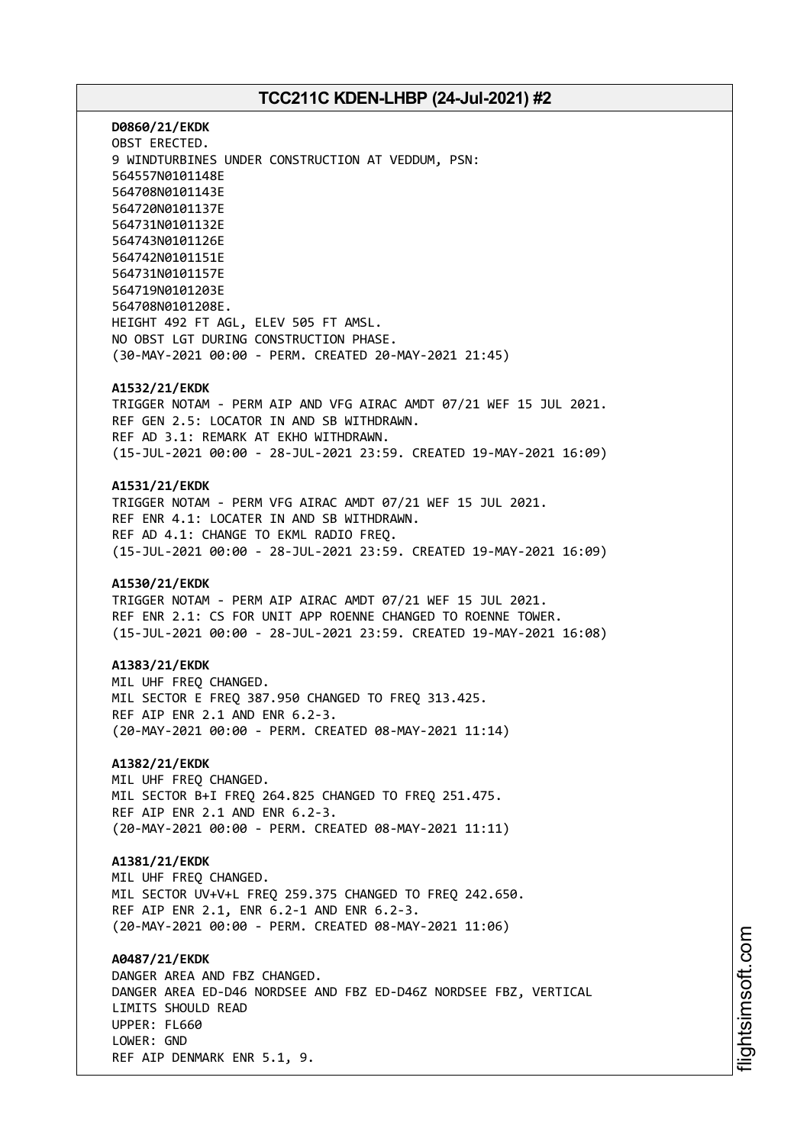**D0860/21/EKDK** OBST ERECTED. 9 WINDTURBINES UNDER CONSTRUCTION AT VEDDUM, PSN: 564557N0101148E 564708N0101143E 564720N0101137E 564731N0101132E 564743N0101126E 564742N0101151E 564731N0101157E 564719N0101203E 564708N0101208E. HEIGHT 492 FT AGL, ELEV 505 FT AMSL. NO OBST LGT DURING CONSTRUCTION PHASE. (30-MAY-2021 00:00 - PERM. CREATED 20-MAY-2021 21:45)

#### **A1532/21/EKDK**

TRIGGER NOTAM - PERM AIP AND VFG AIRAC AMDT 07/21 WEF 15 JUL 2021. REF GEN 2.5: LOCATOR IN AND SB WITHDRAWN. REF AD 3.1: REMARK AT EKHO WITHDRAWN. (15-JUL-2021 00:00 - 28-JUL-2021 23:59. CREATED 19-MAY-2021 16:09)

#### **A1531/21/EKDK**

TRIGGER NOTAM - PERM VFG AIRAC AMDT 07/21 WEF 15 JUL 2021. REF ENR 4.1: LOCATER IN AND SB WITHDRAWN. REF AD 4.1: CHANGE TO EKML RADIO FREQ. (15-JUL-2021 00:00 - 28-JUL-2021 23:59. CREATED 19-MAY-2021 16:09)

#### **A1530/21/EKDK**

TRIGGER NOTAM - PERM AIP AIRAC AMDT 07/21 WEF 15 JUL 2021. REF ENR 2.1: CS FOR UNIT APP ROENNE CHANGED TO ROENNE TOWER. (15-JUL-2021 00:00 - 28-JUL-2021 23:59. CREATED 19-MAY-2021 16:08)

#### **A1383/21/EKDK**

MIL UHF FREQ CHANGED. MIL SECTOR E FREO 387.950 CHANGED TO FREO 313.425. REF AIP ENR 2.1 AND ENR 6.2-3. (20-MAY-2021 00:00 - PERM. CREATED 08-MAY-2021 11:14)

### **A1382/21/EKDK**

MIL UHF FREQ CHANGED. MIL SECTOR B+I FREQ 264.825 CHANGED TO FREQ 251.475. REF AIP ENR 2.1 AND ENR 6.2-3. (20-MAY-2021 00:00 - PERM. CREATED 08-MAY-2021 11:11)

#### **A1381/21/EKDK**

MIL UHF FREQ CHANGED. MIL SECTOR UV+V+L FREQ 259.375 CHANGED TO FREQ 242.650. REF AIP ENR 2.1, ENR 6.2-1 AND ENR 6.2-3. (20-MAY-2021 00:00 - PERM. CREATED 08-MAY-2021 11:06)

**A0487/21/EKDK** DANGER AREA AND FBZ CHANGED. DANGER AREA ED-D46 NORDSEE AND FBZ ED-D46Z NORDSEE FBZ, VERTICAL LIMITS SHOULD READ UPPER: FL660 LOWER: GND REF AIP DENMARK ENR 5.1, 9.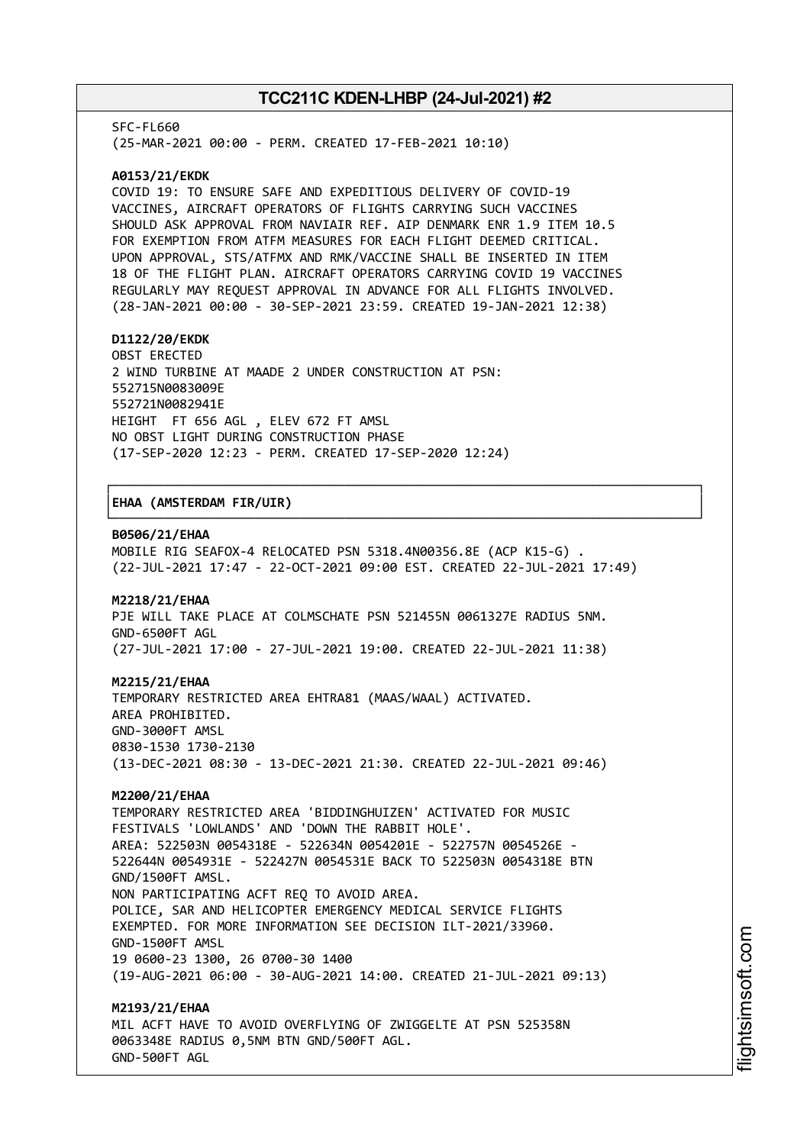SFC-FL660

(25-MAR-2021 00:00 - PERM. CREATED 17-FEB-2021 10:10)

#### **A0153/21/EKDK**

COVID 19: TO ENSURE SAFE AND EXPEDITIOUS DELIVERY OF COVID-19 VACCINES, AIRCRAFT OPERATORS OF FLIGHTS CARRYING SUCH VACCINES SHOULD ASK APPROVAL FROM NAVIAIR REF. AIP DENMARK ENR 1.9 ITEM 10.5 FOR EXEMPTION FROM ATFM MEASURES FOR EACH FLIGHT DEEMED CRITICAL. UPON APPROVAL, STS/ATFMX AND RMK/VACCINE SHALL BE INSERTED IN ITEM 18 OF THE FLIGHT PLAN. AIRCRAFT OPERATORS CARRYING COVID 19 VACCINES REGULARLY MAY REQUEST APPROVAL IN ADVANCE FOR ALL FLIGHTS INVOLVED. (28-JAN-2021 00:00 - 30-SEP-2021 23:59. CREATED 19-JAN-2021 12:38)

#### **D1122/20/EKDK**

OBST ERECTED 2 WIND TURBINE AT MAADE 2 UNDER CONSTRUCTION AT PSN: 552715N0083009E 552721N0082941E HEIGHT FT 656 AGL , ELEV 672 FT AMSL NO OBST LIGHT DURING CONSTRUCTION PHASE (17-SEP-2020 12:23 - PERM. CREATED 17-SEP-2020 12:24)

#### │**EHAA (AMSTERDAM FIR/UIR)** │

#### **B0506/21/EHAA**

MOBILE RIG SEAFOX-4 RELOCATED PSN 5318.4N00356.8E (ACP K15-G) . (22-JUL-2021 17:47 - 22-OCT-2021 09:00 EST. CREATED 22-JUL-2021 17:49)

┌──────────────────────────────────────────────────────────────────────────────┐

└──────────────────────────────────────────────────────────────────────────────┘

#### **M2218/21/EHAA**

PJE WILL TAKE PLACE AT COLMSCHATE PSN 521455N 0061327E RADIUS 5NM. GND-6500FT AGL (27-JUL-2021 17:00 - 27-JUL-2021 19:00. CREATED 22-JUL-2021 11:38)

#### **M2215/21/EHAA**

TEMPORARY RESTRICTED AREA EHTRA81 (MAAS/WAAL) ACTIVATED. AREA PROHIBITED. GND-3000FT AMSL 0830-1530 1730-2130 (13-DEC-2021 08:30 - 13-DEC-2021 21:30. CREATED 22-JUL-2021 09:46)

#### **M2200/21/EHAA**

TEMPORARY RESTRICTED AREA 'BIDDINGHUIZEN' ACTIVATED FOR MUSIC FESTIVALS 'LOWLANDS' AND 'DOWN THE RABBIT HOLE'. AREA: 522503N 0054318E - 522634N 0054201E - 522757N 0054526E - 522644N 0054931E - 522427N 0054531E BACK TO 522503N 0054318E BTN GND/1500FT AMSL. NON PARTICIPATING ACFT REQ TO AVOID AREA. POLICE, SAR AND HELICOPTER EMERGENCY MEDICAL SERVICE FLIGHTS EXEMPTED. FOR MORE INFORMATION SEE DECISION ILT-2021/33960. GND-1500FT AMSL 19 0600-23 1300, 26 0700-30 1400 (19-AUG-2021 06:00 - 30-AUG-2021 14:00. CREATED 21-JUL-2021 09:13) **M2193/21/EHAA**

MIL ACFT HAVE TO AVOID OVERFLYING OF ZWIGGELTE AT PSN 525358N 0063348E RADIUS 0,5NM BTN GND/500FT AGL. GND-500FT AGL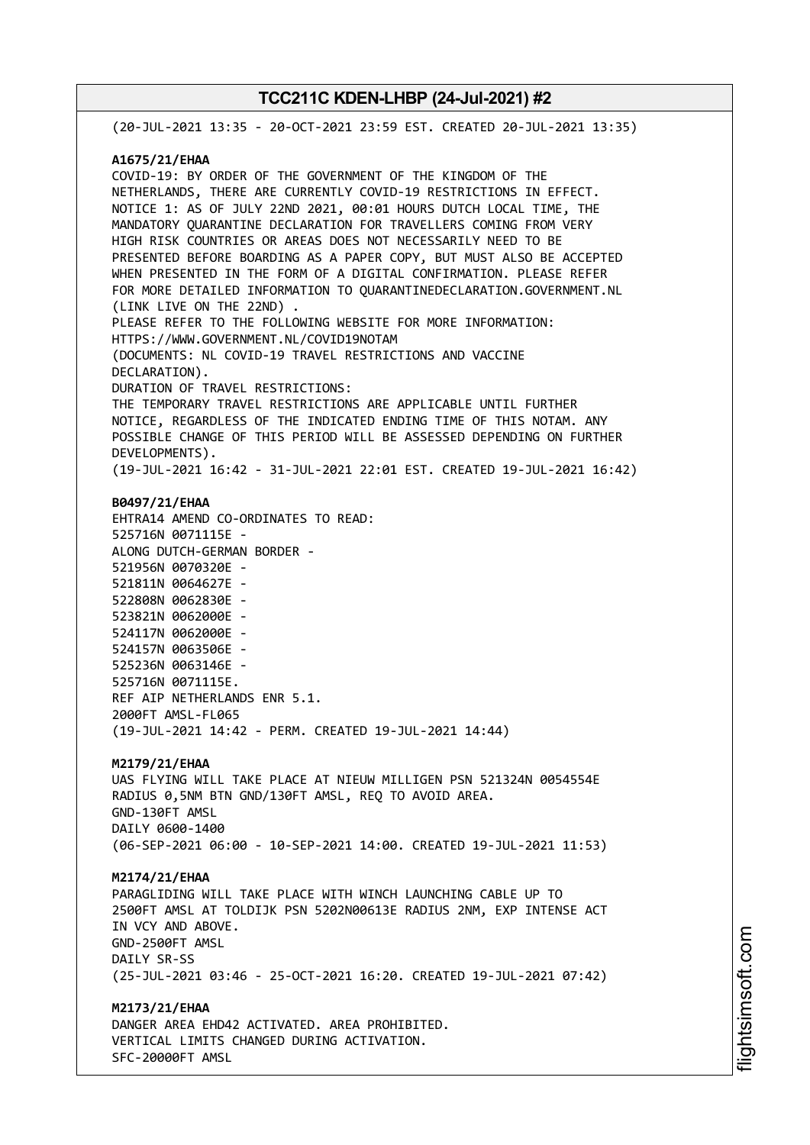(20-JUL-2021 13:35 - 20-OCT-2021 23:59 EST. CREATED 20-JUL-2021 13:35) **A1675/21/EHAA** COVID-19: BY ORDER OF THE GOVERNMENT OF THE KINGDOM OF THE NETHERLANDS, THERE ARE CURRENTLY COVID-19 RESTRICTIONS IN EFFECT. NOTICE 1: AS OF JULY 22ND 2021, 00:01 HOURS DUTCH LOCAL TIME, THE MANDATORY QUARANTINE DECLARATION FOR TRAVELLERS COMING FROM VERY HIGH RISK COUNTRIES OR AREAS DOES NOT NECESSARILY NEED TO BE PRESENTED BEFORE BOARDING AS A PAPER COPY, BUT MUST ALSO BE ACCEPTED WHEN PRESENTED IN THE FORM OF A DIGITAL CONFIRMATION. PLEASE REFER FOR MORE DETAILED INFORMATION TO QUARANTINEDECLARATION.GOVERNMENT.NL (LINK LIVE ON THE 22ND) . PLEASE REFER TO THE FOLLOWING WEBSITE FOR MORE INFORMATION: HTTPS://WWW.GOVERNMENT.NL/COVID19NOTAM (DOCUMENTS: NL COVID-19 TRAVEL RESTRICTIONS AND VACCINE DECLARATION). DURATION OF TRAVEL RESTRICTIONS: THE TEMPORARY TRAVEL RESTRICTIONS ARE APPLICABLE UNTIL FURTHER NOTICE, REGARDLESS OF THE INDICATED ENDING TIME OF THIS NOTAM. ANY POSSIBLE CHANGE OF THIS PERIOD WILL BE ASSESSED DEPENDING ON FURTHER DEVELOPMENTS). (19-JUL-2021 16:42 - 31-JUL-2021 22:01 EST. CREATED 19-JUL-2021 16:42) **B0497/21/EHAA** EHTRA14 AMEND CO-ORDINATES TO READ: 525716N 0071115E - ALONG DUTCH-GERMAN BORDER - 521956N 0070320E - 521811N 0064627E - 522808N 0062830E - 523821N 0062000E - 524117N 0062000E - 524157N 0063506E - 525236N 0063146E - 525716N 0071115E. REF AIP NETHERLANDS ENR 5.1. 2000FT AMSL-FL065 (19-JUL-2021 14:42 - PERM. CREATED 19-JUL-2021 14:44) **M2179/21/EHAA** UAS FLYING WILL TAKE PLACE AT NIEUW MILLIGEN PSN 521324N 0054554E RADIUS 0,5NM BTN GND/130FT AMSL, REQ TO AVOID AREA. GND-130FT AMSL DAILY 0600-1400 (06-SEP-2021 06:00 - 10-SEP-2021 14:00. CREATED 19-JUL-2021 11:53) **M2174/21/EHAA** PARAGLIDING WILL TAKE PLACE WITH WINCH LAUNCHING CABLE UP TO 2500FT AMSL AT TOLDIJK PSN 5202N00613E RADIUS 2NM, EXP INTENSE ACT IN VCY AND ABOVE. GND-2500FT AMSL DATLY SR-SS (25-JUL-2021 03:46 - 25-OCT-2021 16:20. CREATED 19-JUL-2021 07:42) **M2173/21/EHAA** DANGER AREA EHD42 ACTIVATED. AREA PROHIBITED. VERTICAL LIMITS CHANGED DURING ACTIVATION. SFC-20000FT AMSL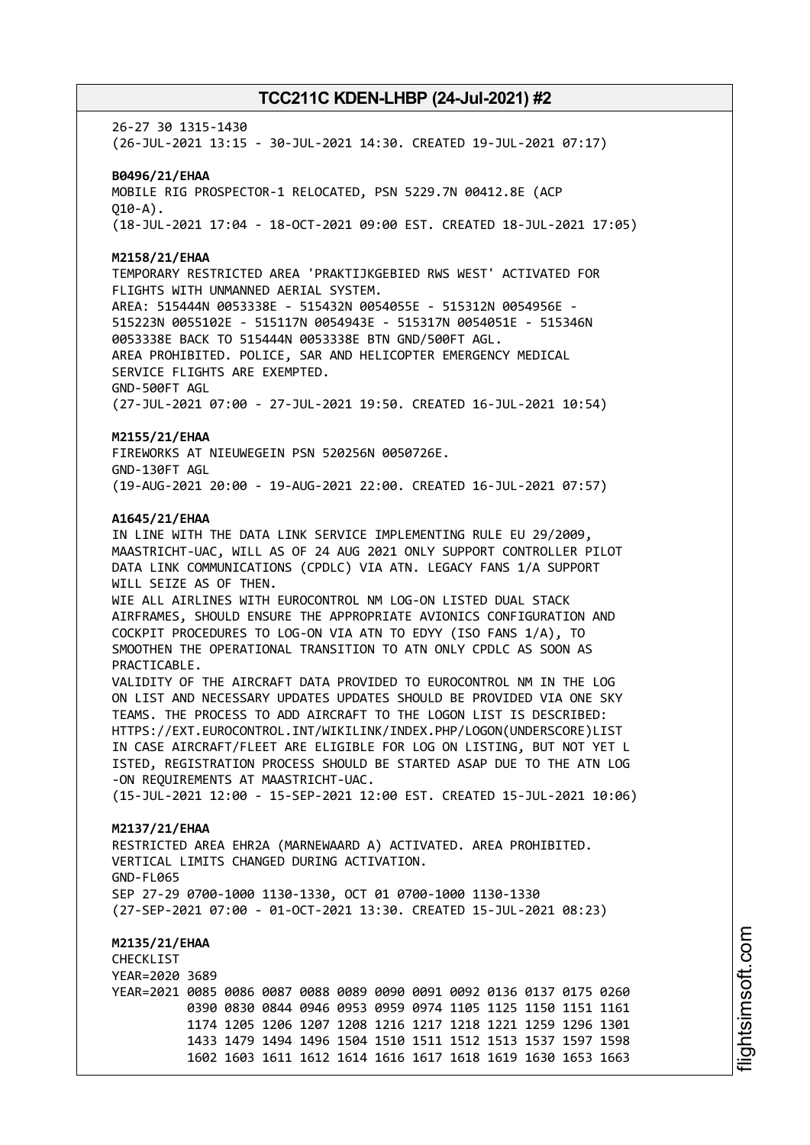26-27 30 1315-1430 (26-JUL-2021 13:15 - 30-JUL-2021 14:30. CREATED 19-JUL-2021 07:17)

**B0496/21/EHAA** MOBILE RIG PROSPECTOR-1 RELOCATED, PSN 5229.7N 00412.8E (ACP  $010 - A$ ). (18-JUL-2021 17:04 - 18-OCT-2021 09:00 EST. CREATED 18-JUL-2021 17:05)

**M2158/21/EHAA**

TEMPORARY RESTRICTED AREA 'PRAKTIJKGEBIED RWS WEST' ACTIVATED FOR FLIGHTS WITH UNMANNED AERIAL SYSTEM. AREA: 515444N 0053338E - 515432N 0054055E - 515312N 0054956E - 515223N 0055102E - 515117N 0054943E - 515317N 0054051E - 515346N 0053338E BACK TO 515444N 0053338E BTN GND/500FT AGL. AREA PROHIBITED. POLICE, SAR AND HELICOPTER EMERGENCY MEDICAL SERVICE FLIGHTS ARE EXEMPTED. GND-500FT AGL

(27-JUL-2021 07:00 - 27-JUL-2021 19:50. CREATED 16-JUL-2021 10:54)

#### **M2155/21/EHAA**

FIREWORKS AT NIEUWEGEIN PSN 520256N 0050726E. GND-130FT AGL (19-AUG-2021 20:00 - 19-AUG-2021 22:00. CREATED 16-JUL-2021 07:57)

#### **A1645/21/EHAA**

IN LINE WITH THE DATA LINK SERVICE IMPLEMENTING RULE EU 29/2009, MAASTRICHT-UAC, WILL AS OF 24 AUG 2021 ONLY SUPPORT CONTROLLER PILOT DATA LINK COMMUNICATIONS (CPDLC) VIA ATN. LEGACY FANS 1/A SUPPORT WILL SEIZE AS OF THEN.

WIE ALL AIRLINES WITH EUROCONTROL NM LOG-ON LISTED DUAL STACK AIRFRAMES, SHOULD ENSURE THE APPROPRIATE AVIONICS CONFIGURATION AND COCKPIT PROCEDURES TO LOG-ON VIA ATN TO EDYY (ISO FANS 1/A), TO SMOOTHEN THE OPERATIONAL TRANSITION TO ATN ONLY CPDLC AS SOON AS PRACTICABLE.

VALIDITY OF THE AIRCRAFT DATA PROVIDED TO EUROCONTROL NM IN THE LOG ON LIST AND NECESSARY UPDATES UPDATES SHOULD BE PROVIDED VIA ONE SKY TEAMS. THE PROCESS TO ADD AIRCRAFT TO THE LOGON LIST IS DESCRIBED: HTTPS://EXT.EUROCONTROL.INT/WIKILINK/INDEX.PHP/LOGON(UNDERSCORE)LIST IN CASE AIRCRAFT/FLEET ARE ELIGIBLE FOR LOG ON LISTING, BUT NOT YET L ISTED, REGISTRATION PROCESS SHOULD BE STARTED ASAP DUE TO THE ATN LOG -ON REQUIREMENTS AT MAASTRICHT-UAC.

(15-JUL-2021 12:00 - 15-SEP-2021 12:00 EST. CREATED 15-JUL-2021 10:06)

#### **M2137/21/EHAA**

RESTRICTED AREA EHR2A (MARNEWAARD A) ACTIVATED. AREA PROHIBITED. VERTICAL LIMITS CHANGED DURING ACTIVATION. GND-FL065 SEP 27-29 0700-1000 1130-1330, OCT 01 0700-1000 1130-1330 (27-SEP-2021 07:00 - 01-OCT-2021 13:30. CREATED 15-JUL-2021 08:23)

**M2135/21/EHAA CHECKLIST** YEAR=2020 3689 YEAR=2021 0085 0086 0087 0088 0089 0090 0091 0092 0136 0137 0175 0260 0390 0830 0844 0946 0953 0959 0974 1105 1125 1150 1151 1161 1174 1205 1206 1207 1208 1216 1217 1218 1221 1259 1296 1301 1433 1479 1494 1496 1504 1510 1511 1512 1513 1537 1597 1598 1602 1603 1611 1612 1614 1616 1617 1618 1619 1630 1653 1663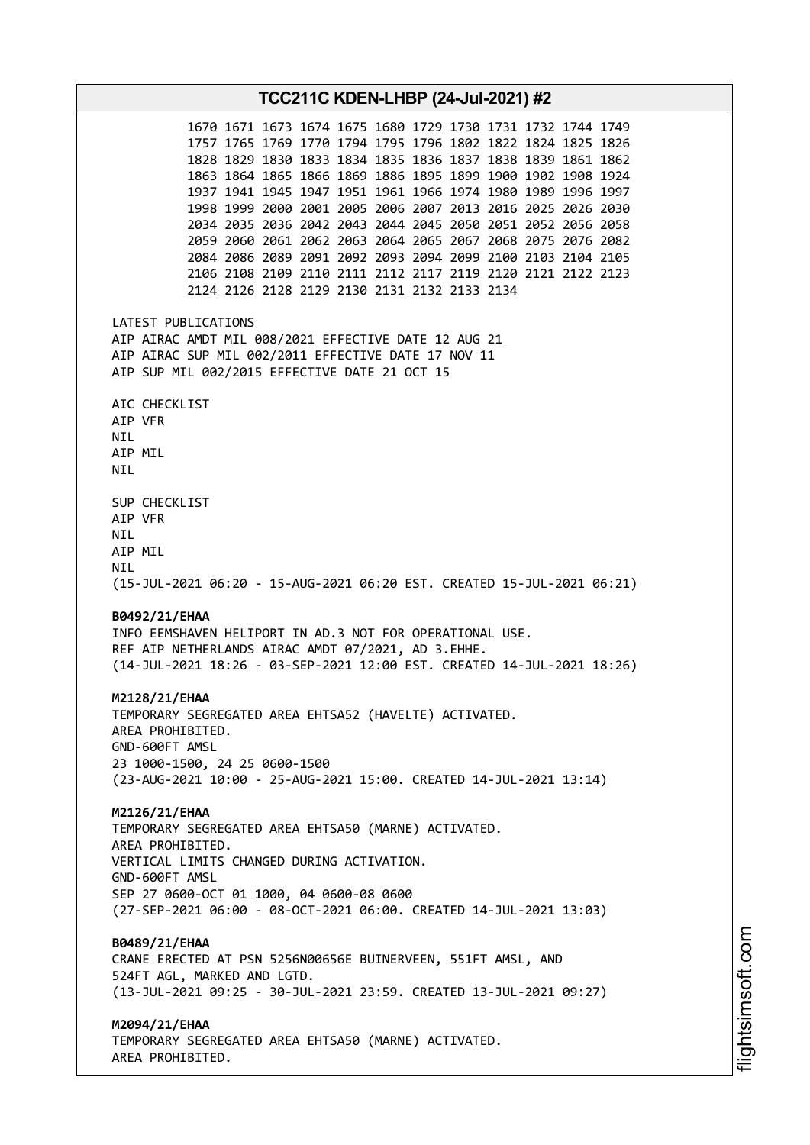**TCC211C KDEN-LHBP (24-Jul-2021) #2** 1670 1671 1673 1674 1675 1680 1729 1730 1731 1732 1744 1749 1757 1765 1769 1770 1794 1795 1796 1802 1822 1824 1825 1826 1828 1829 1830 1833 1834 1835 1836 1837 1838 1839 1861 1862 1863 1864 1865 1866 1869 1886 1895 1899 1900 1902 1908 1924 1937 1941 1945 1947 1951 1961 1966 1974 1980 1989 1996 1997 1998 1999 2000 2001 2005 2006 2007 2013 2016 2025 2026 2030 2034 2035 2036 2042 2043 2044 2045 2050 2051 2052 2056 2058 2059 2060 2061 2062 2063 2064 2065 2067 2068 2075 2076 2082 2084 2086 2089 2091 2092 2093 2094 2099 2100 2103 2104 2105 2106 2108 2109 2110 2111 2112 2117 2119 2120 2121 2122 2123 2124 2126 2128 2129 2130 2131 2132 2133 2134 LATEST PUBLICATIONS AIP AIRAC AMDT MIL 008/2021 EFFECTIVE DATE 12 AUG 21 AIP AIRAC SUP MIL 002/2011 EFFECTIVE DATE 17 NOV 11 AIP SUP MIL 002/2015 EFFECTIVE DATE 21 OCT 15 AIC CHECKLIST AIP VFR NIL AIP MIL NIL SUP CHECKLIST AIP VFR NIL AIP MIL NIL (15-JUL-2021 06:20 - 15-AUG-2021 06:20 EST. CREATED 15-JUL-2021 06:21) **B0492/21/EHAA** INFO EEMSHAVEN HELIPORT IN AD.3 NOT FOR OPERATIONAL USE. REF AIP NETHERLANDS AIRAC AMDT 07/2021, AD 3.EHHE. (14-JUL-2021 18:26 - 03-SEP-2021 12:00 EST. CREATED 14-JUL-2021 18:26) **M2128/21/EHAA** TEMPORARY SEGREGATED AREA EHTSA52 (HAVELTE) ACTIVATED. AREA PROHIBITED. GND-600FT AMSL 23 1000-1500, 24 25 0600-1500 (23-AUG-2021 10:00 - 25-AUG-2021 15:00. CREATED 14-JUL-2021 13:14) **M2126/21/EHAA** TEMPORARY SEGREGATED AREA EHTSA50 (MARNE) ACTIVATED. AREA PROHIBITED. VERTICAL LIMITS CHANGED DURING ACTIVATION. GND-600FT AMSL SEP 27 0600-OCT 01 1000, 04 0600-08 0600 (27-SEP-2021 06:00 - 08-OCT-2021 06:00. CREATED 14-JUL-2021 13:03) **B0489/21/EHAA** CRANE ERECTED AT PSN 5256N00656E BUINERVEEN, 551FT AMSL, AND 524FT AGL, MARKED AND LGTD. (13-JUL-2021 09:25 - 30-JUL-2021 23:59. CREATED 13-JUL-2021 09:27) **M2094/21/EHAA** TEMPORARY SEGREGATED AREA EHTSA50 (MARNE) ACTIVATED. AREA PROHIBITED.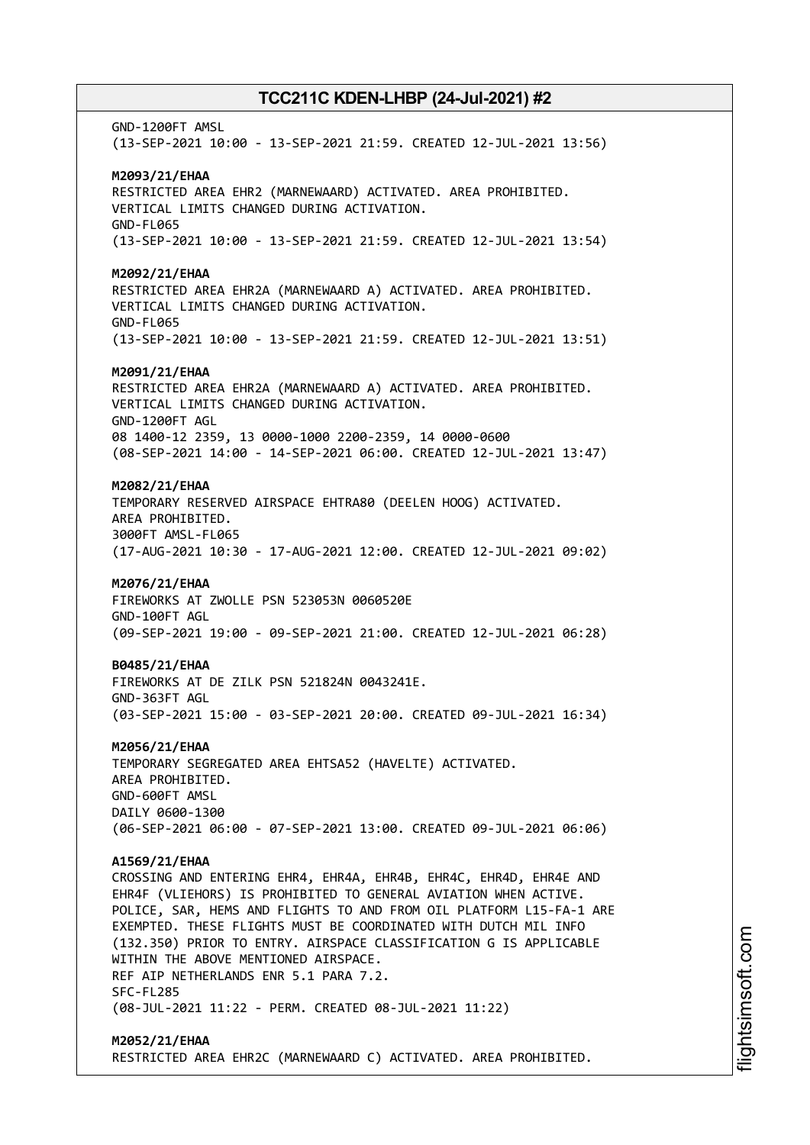GND-1200FT AMSL (13-SEP-2021 10:00 - 13-SEP-2021 21:59. CREATED 12-JUL-2021 13:56) **M2093/21/EHAA** RESTRICTED AREA EHR2 (MARNEWAARD) ACTIVATED. AREA PROHIBITED. VERTICAL LIMITS CHANGED DURING ACTIVATION. GND-FL065 (13-SEP-2021 10:00 - 13-SEP-2021 21:59. CREATED 12-JUL-2021 13:54) **M2092/21/EHAA** RESTRICTED AREA EHR2A (MARNEWAARD A) ACTIVATED. AREA PROHIBITED. VERTICAL LIMITS CHANGED DURING ACTIVATION. GND-FL065 (13-SEP-2021 10:00 - 13-SEP-2021 21:59. CREATED 12-JUL-2021 13:51) **M2091/21/EHAA** RESTRICTED AREA EHR2A (MARNEWAARD A) ACTIVATED. AREA PROHIBITED. VERTICAL LIMITS CHANGED DURING ACTIVATION. GND-1200FT AGL 08 1400-12 2359, 13 0000-1000 2200-2359, 14 0000-0600 (08-SEP-2021 14:00 - 14-SEP-2021 06:00. CREATED 12-JUL-2021 13:47) **M2082/21/EHAA** TEMPORARY RESERVED AIRSPACE EHTRA80 (DEELEN HOOG) ACTIVATED. AREA PROHIBITED. 3000FT AMSL-FL065 (17-AUG-2021 10:30 - 17-AUG-2021 12:00. CREATED 12-JUL-2021 09:02) **M2076/21/EHAA** FIREWORKS AT ZWOLLE PSN 523053N 0060520E GND-100FT AGL (09-SEP-2021 19:00 - 09-SEP-2021 21:00. CREATED 12-JUL-2021 06:28) **B0485/21/EHAA** FIREWORKS AT DE ZILK PSN 521824N 0043241E. GND-363FT AGL (03-SEP-2021 15:00 - 03-SEP-2021 20:00. CREATED 09-JUL-2021 16:34) **M2056/21/EHAA** TEMPORARY SEGREGATED AREA EHTSA52 (HAVELTE) ACTIVATED. AREA PROHIBITED. GND-600FT AMSL DAILY 0600-1300 (06-SEP-2021 06:00 - 07-SEP-2021 13:00. CREATED 09-JUL-2021 06:06) **A1569/21/EHAA** CROSSING AND ENTERING EHR4, EHR4A, EHR4B, EHR4C, EHR4D, EHR4E AND EHR4F (VLIEHORS) IS PROHIBITED TO GENERAL AVIATION WHEN ACTIVE. POLICE, SAR, HEMS AND FLIGHTS TO AND FROM OIL PLATFORM L15-FA-1 ARE EXEMPTED. THESE FLIGHTS MUST BE COORDINATED WITH DUTCH MIL INFO (132.350) PRIOR TO ENTRY. AIRSPACE CLASSIFICATION G IS APPLICABLE WITHIN THE ABOVE MENTIONED AIRSPACE. REF AIP NETHERLANDS ENR 5.1 PARA 7.2. SFC-FL285 (08-JUL-2021 11:22 - PERM. CREATED 08-JUL-2021 11:22) **M2052/21/EHAA** RESTRICTED AREA EHR2C (MARNEWAARD C) ACTIVATED. AREA PROHIBITED.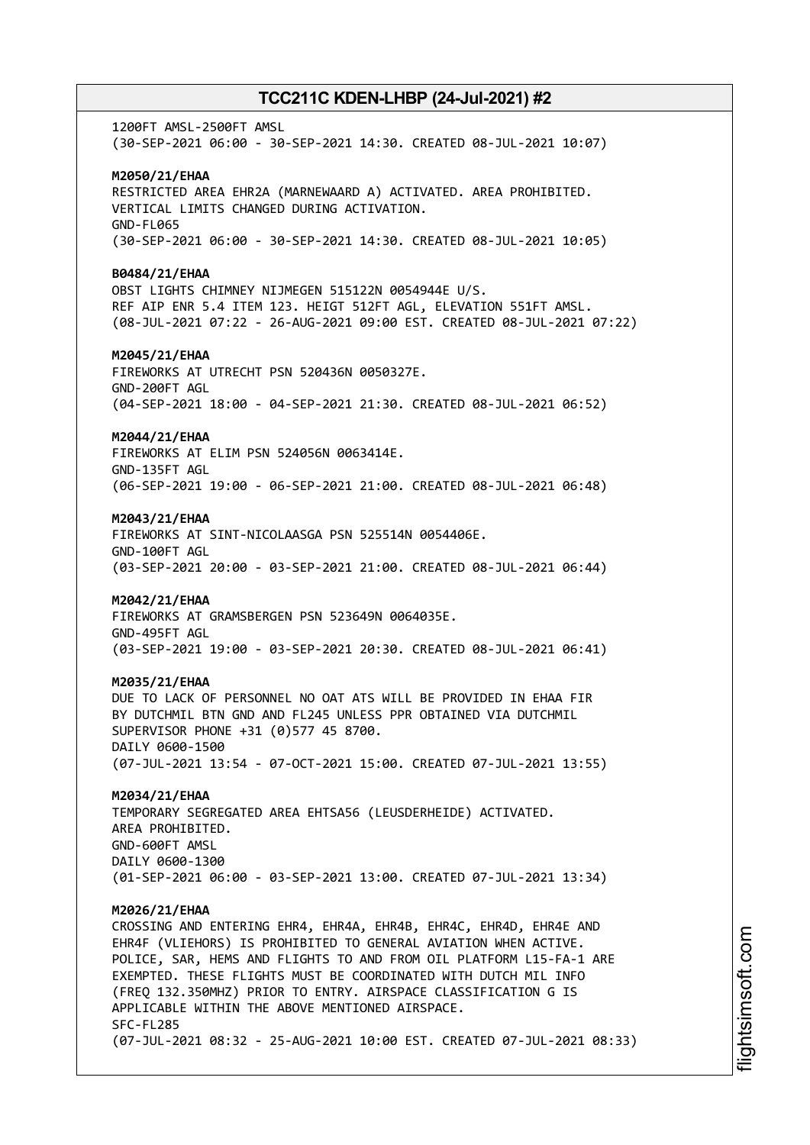1200FT AMSL-2500FT AMSL (30-SEP-2021 06:00 - 30-SEP-2021 14:30. CREATED 08-JUL-2021 10:07) **M2050/21/EHAA** RESTRICTED AREA EHR2A (MARNEWAARD A) ACTIVATED. AREA PROHIBITED. VERTICAL LIMITS CHANGED DURING ACTIVATION. GND-FL065 (30-SEP-2021 06:00 - 30-SEP-2021 14:30. CREATED 08-JUL-2021 10:05) **B0484/21/EHAA** OBST LIGHTS CHIMNEY NIJMEGEN 515122N 0054944E U/S. REF AIP ENR 5.4 ITEM 123. HEIGT 512FT AGL, ELEVATION 551FT AMSL. (08-JUL-2021 07:22 - 26-AUG-2021 09:00 EST. CREATED 08-JUL-2021 07:22) **M2045/21/EHAA** FIREWORKS AT UTRECHT PSN 520436N 0050327E. GND-200FT AGL (04-SEP-2021 18:00 - 04-SEP-2021 21:30. CREATED 08-JUL-2021 06:52) **M2044/21/EHAA** FIREWORKS AT ELIM PSN 524056N 0063414E. GND-135FT AGL (06-SEP-2021 19:00 - 06-SEP-2021 21:00. CREATED 08-JUL-2021 06:48) **M2043/21/EHAA** FIREWORKS AT SINT-NICOLAASGA PSN 525514N 0054406E. GND-100FT AGL (03-SEP-2021 20:00 - 03-SEP-2021 21:00. CREATED 08-JUL-2021 06:44) **M2042/21/EHAA** FIREWORKS AT GRAMSBERGEN PSN 523649N 0064035E. GND-495FT AGL (03-SEP-2021 19:00 - 03-SEP-2021 20:30. CREATED 08-JUL-2021 06:41) **M2035/21/EHAA** DUE TO LACK OF PERSONNEL NO OAT ATS WILL BE PROVIDED IN EHAA FIR BY DUTCHMIL BTN GND AND FL245 UNLESS PPR OBTAINED VIA DUTCHMIL SUPERVISOR PHONE +31 (0)577 45 8700. DAILY 0600-1500 (07-JUL-2021 13:54 - 07-OCT-2021 15:00. CREATED 07-JUL-2021 13:55) **M2034/21/EHAA** TEMPORARY SEGREGATED AREA EHTSA56 (LEUSDERHEIDE) ACTIVATED. AREA PROHIBITED. GND-600FT AMSL DAILY 0600-1300 (01-SEP-2021 06:00 - 03-SEP-2021 13:00. CREATED 07-JUL-2021 13:34) **M2026/21/EHAA** CROSSING AND ENTERING EHR4, EHR4A, EHR4B, EHR4C, EHR4D, EHR4E AND EHR4F (VLIEHORS) IS PROHIBITED TO GENERAL AVIATION WHEN ACTIVE. POLICE, SAR, HEMS AND FLIGHTS TO AND FROM OIL PLATFORM L15-FA-1 ARE EXEMPTED. THESE FLIGHTS MUST BE COORDINATED WITH DUTCH MIL INFO (FREQ 132.350MHZ) PRIOR TO ENTRY. AIRSPACE CLASSIFICATION G IS APPLICABLE WITHIN THE ABOVE MENTIONED AIRSPACE. SFC-FL285 (07-JUL-2021 08:32 - 25-AUG-2021 10:00 EST. CREATED 07-JUL-2021 08:33)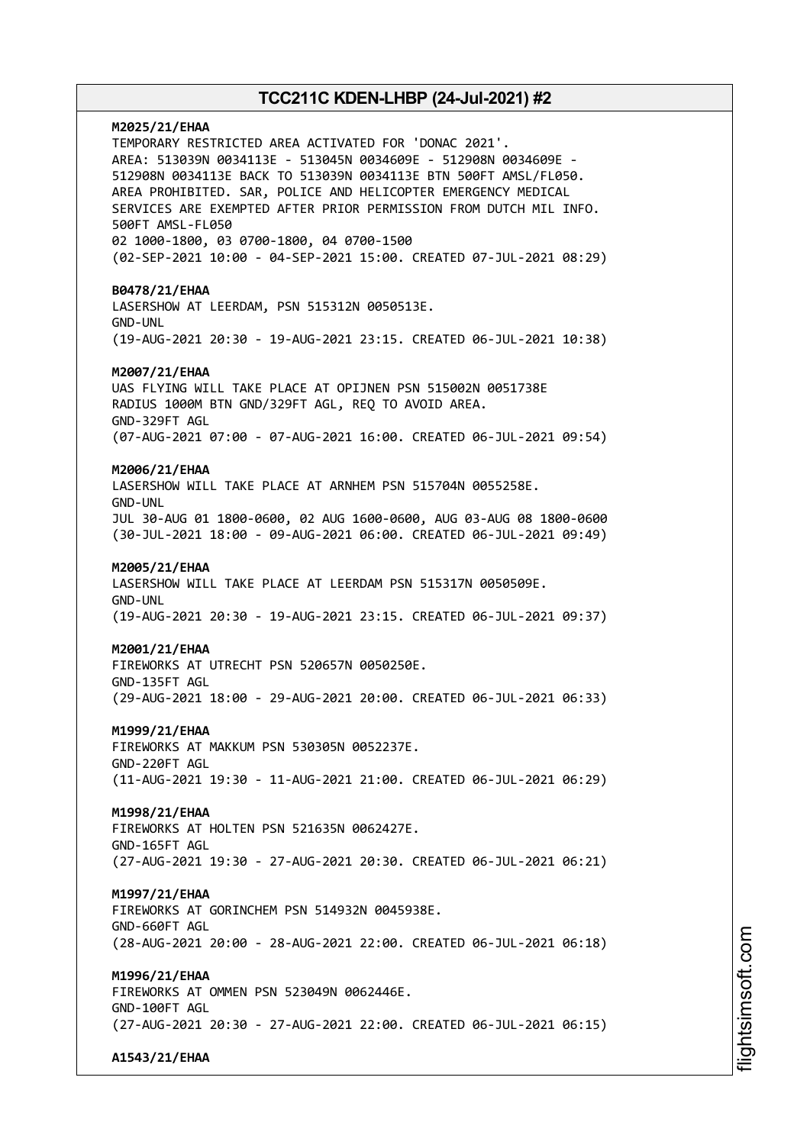# **M2025/21/EHAA** TEMPORARY RESTRICTED AREA ACTIVATED FOR 'DONAC 2021'. AREA: 513039N 0034113E - 513045N 0034609E - 512908N 0034609E - 512908N 0034113E BACK TO 513039N 0034113E BTN 500FT AMSL/FL050. AREA PROHIBITED. SAR, POLICE AND HELICOPTER EMERGENCY MEDICAL SERVICES ARE EXEMPTED AFTER PRIOR PERMISSION FROM DUTCH MIL INFO. 500FT AMSL-FL050 02 1000-1800, 03 0700-1800, 04 0700-1500 (02-SEP-2021 10:00 - 04-SEP-2021 15:00. CREATED 07-JUL-2021 08:29) **B0478/21/EHAA** LASERSHOW AT LEERDAM, PSN 515312N 0050513E. GND-UNL (19-AUG-2021 20:30 - 19-AUG-2021 23:15. CREATED 06-JUL-2021 10:38) **M2007/21/EHAA** UAS FLYING WILL TAKE PLACE AT OPIJNEN PSN 515002N 0051738E RADIUS 1000M BTN GND/329FT AGL, REQ TO AVOID AREA. GND-329FT AGL (07-AUG-2021 07:00 - 07-AUG-2021 16:00. CREATED 06-JUL-2021 09:54) **M2006/21/EHAA** LASERSHOW WILL TAKE PLACE AT ARNHEM PSN 515704N 0055258E. GND-UNL JUL 30-AUG 01 1800-0600, 02 AUG 1600-0600, AUG 03-AUG 08 1800-0600 (30-JUL-2021 18:00 - 09-AUG-2021 06:00. CREATED 06-JUL-2021 09:49) **M2005/21/EHAA** LASERSHOW WILL TAKE PLACE AT LEERDAM PSN 515317N 0050509E. GND-UNL (19-AUG-2021 20:30 - 19-AUG-2021 23:15. CREATED 06-JUL-2021 09:37) **M2001/21/EHAA** FIREWORKS AT UTRECHT PSN 520657N 0050250E. GND-135FT AGL (29-AUG-2021 18:00 - 29-AUG-2021 20:00. CREATED 06-JUL-2021 06:33) **M1999/21/EHAA** FIREWORKS AT MAKKUM PSN 530305N 0052237E. GND-220FT AGL (11-AUG-2021 19:30 - 11-AUG-2021 21:00. CREATED 06-JUL-2021 06:29) **M1998/21/EHAA** FIREWORKS AT HOLTEN PSN 521635N 0062427E. GND-165FT AGL (27-AUG-2021 19:30 - 27-AUG-2021 20:30. CREATED 06-JUL-2021 06:21) **M1997/21/EHAA** FIREWORKS AT GORINCHEM PSN 514932N 0045938E. GND-660FT AGL (28-AUG-2021 20:00 - 28-AUG-2021 22:00. CREATED 06-JUL-2021 06:18) **M1996/21/EHAA** FIREWORKS AT OMMEN PSN 523049N 0062446E. GND-100FT AGL (27-AUG-2021 20:30 - 27-AUG-2021 22:00. CREATED 06-JUL-2021 06:15)

**A1543/21/EHAA**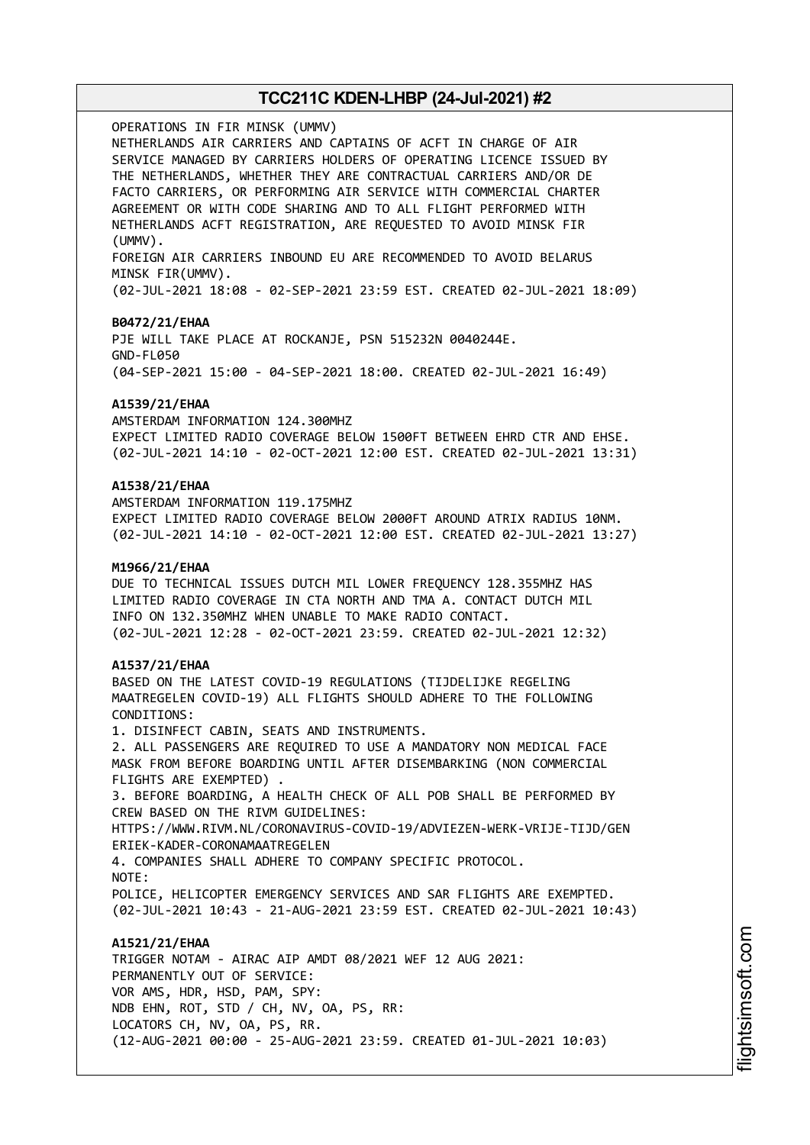OPERATIONS IN FIR MINSK (UMMV) NETHERLANDS AIR CARRIERS AND CAPTAINS OF ACFT IN CHARGE OF AIR SERVICE MANAGED BY CARRIERS HOLDERS OF OPERATING LICENCE ISSUED BY THE NETHERLANDS, WHETHER THEY ARE CONTRACTUAL CARRIERS AND/OR DE FACTO CARRIERS, OR PERFORMING AIR SERVICE WITH COMMERCIAL CHARTER AGREEMENT OR WITH CODE SHARING AND TO ALL FLIGHT PERFORMED WITH NETHERLANDS ACFT REGISTRATION, ARE REQUESTED TO AVOID MINSK FIR (UMMV). FOREIGN AIR CARRIERS INBOUND EU ARE RECOMMENDED TO AVOID BELARUS MINSK FIR(UMMV). (02-JUL-2021 18:08 - 02-SEP-2021 23:59 EST. CREATED 02-JUL-2021 18:09) **B0472/21/EHAA** PJE WILL TAKE PLACE AT ROCKANJE, PSN 515232N 0040244E. GND-FL050 (04-SEP-2021 15:00 - 04-SEP-2021 18:00. CREATED 02-JUL-2021 16:49) **A1539/21/EHAA** AMSTERDAM INFORMATION 124.300MHZ EXPECT LIMITED RADIO COVERAGE BELOW 1500FT BETWEEN EHRD CTR AND EHSE. (02-JUL-2021 14:10 - 02-OCT-2021 12:00 EST. CREATED 02-JUL-2021 13:31) **A1538/21/EHAA** AMSTERDAM INFORMATION 119.175MHZ EXPECT LIMITED RADIO COVERAGE BELOW 2000FT AROUND ATRIX RADIUS 10NM. (02-JUL-2021 14:10 - 02-OCT-2021 12:00 EST. CREATED 02-JUL-2021 13:27) **M1966/21/EHAA** DUE TO TECHNICAL ISSUES DUTCH MIL LOWER FREQUENCY 128.355MHZ HAS LIMITED RADIO COVERAGE IN CTA NORTH AND TMA A. CONTACT DUTCH MIL INFO ON 132.350MHZ WHEN UNABLE TO MAKE RADIO CONTACT. (02-JUL-2021 12:28 - 02-OCT-2021 23:59. CREATED 02-JUL-2021 12:32) **A1537/21/EHAA** BASED ON THE LATEST COVID-19 REGULATIONS (TIJDELIJKE REGELING MAATREGELEN COVID-19) ALL FLIGHTS SHOULD ADHERE TO THE FOLLOWING CONDITIONS: 1. DISINFECT CABIN, SEATS AND INSTRUMENTS. 2. ALL PASSENGERS ARE REQUIRED TO USE A MANDATORY NON MEDICAL FACE MASK FROM BEFORE BOARDING UNTIL AFTER DISEMBARKING (NON COMMERCIAL FLIGHTS ARE EXEMPTED) . 3. BEFORE BOARDING, A HEALTH CHECK OF ALL POB SHALL BE PERFORMED BY CREW BASED ON THE RIVM GUIDELINES: HTTPS://WWW.RIVM.NL/CORONAVIRUS-COVID-19/ADVIEZEN-WERK-VRIJE-TIJD/GEN ERIEK-KADER-CORONAMAATREGELEN 4. COMPANIES SHALL ADHERE TO COMPANY SPECIFIC PROTOCOL. NOTE: POLICE, HELICOPTER EMERGENCY SERVICES AND SAR FLIGHTS ARE EXEMPTED. (02-JUL-2021 10:43 - 21-AUG-2021 23:59 EST. CREATED 02-JUL-2021 10:43) **A1521/21/EHAA** TRIGGER NOTAM - AIRAC AIP AMDT 08/2021 WEF 12 AUG 2021: PERMANENTLY OUT OF SERVICE: VOR AMS, HDR, HSD, PAM, SPY: NDB EHN, ROT, STD / CH, NV, OA, PS, RR: LOCATORS CH, NV, OA, PS, RR. (12-AUG-2021 00:00 - 25-AUG-2021 23:59. CREATED 01-JUL-2021 10:03)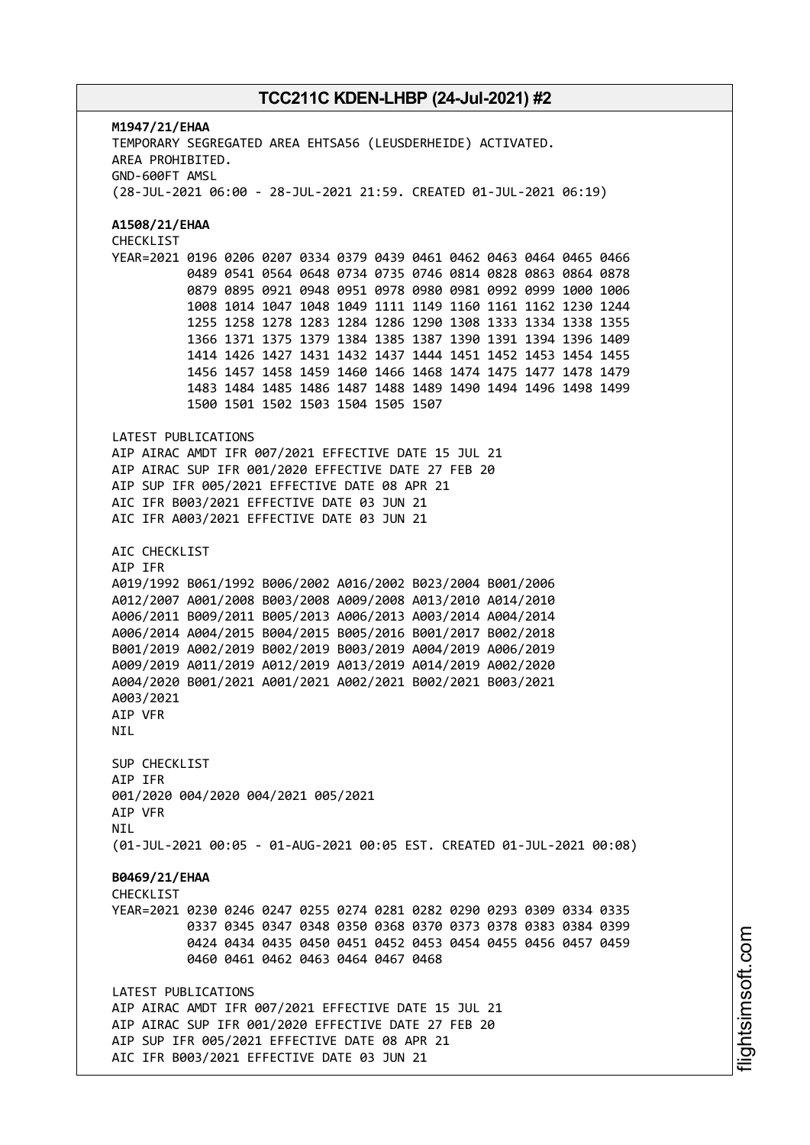**M1947/21/EHAA** TEMPORARY SEGREGATED AREA EHTSA56 (LEUSDERHEIDE) ACTIVATED. AREA PROHIBITED. GND-600FT AMSL (28-JUL-2021 06:00 - 28-JUL-2021 21:59. CREATED 01-JUL-2021 06:19) **A1508/21/EHAA** CHECKLIST YEAR=2021 0196 0206 0207 0334 0379 0439 0461 0462 0463 0464 0465 0466 0489 0541 0564 0648 0734 0735 0746 0814 0828 0863 0864 0878 0879 0895 0921 0948 0951 0978 0980 0981 0992 0999 1000 1006 1008 1014 1047 1048 1049 1111 1149 1160 1161 1162 1230 1244 1255 1258 1278 1283 1284 1286 1290 1308 1333 1334 1338 1355 1366 1371 1375 1379 1384 1385 1387 1390 1391 1394 1396 1409 1414 1426 1427 1431 1432 1437 1444 1451 1452 1453 1454 1455 1456 1457 1458 1459 1460 1466 1468 1474 1475 1477 1478 1479 1483 1484 1485 1486 1487 1488 1489 1490 1494 1496 1498 1499 1500 1501 1502 1503 1504 1505 1507 LATEST PUBLICATIONS AIP AIRAC AMDT IFR 007/2021 EFFECTIVE DATE 15 JUL 21 AIP AIRAC SUP IFR 001/2020 EFFECTIVE DATE 27 FEB 20 AIP SUP IFR 005/2021 EFFECTIVE DATE 08 APR 21 AIC IFR B003/2021 EFFECTIVE DATE 03 JUN 21 AIC IFR A003/2021 EFFECTIVE DATE 03 JUN 21 AIC CHECKLIST AIP IFR A019/1992 B061/1992 B006/2002 A016/2002 B023/2004 B001/2006 A012/2007 A001/2008 B003/2008 A009/2008 A013/2010 A014/2010 A006/2011 B009/2011 B005/2013 A006/2013 A003/2014 A004/2014 A006/2014 A004/2015 B004/2015 B005/2016 B001/2017 B002/2018 B001/2019 A002/2019 B002/2019 B003/2019 A004/2019 A006/2019 A009/2019 A011/2019 A012/2019 A013/2019 A014/2019 A002/2020 A004/2020 B001/2021 A001/2021 A002/2021 B002/2021 B003/2021 A003/2021 AIP VFR NIL SUP CHECKLIST AIP IFR 001/2020 004/2020 004/2021 005/2021 AIP VFR **NTI** (01-JUL-2021 00:05 - 01-AUG-2021 00:05 EST. CREATED 01-JUL-2021 00:08) **B0469/21/EHAA CHECKLIST** YEAR=2021 0230 0246 0247 0255 0274 0281 0282 0290 0293 0309 0334 0335 0337 0345 0347 0348 0350 0368 0370 0373 0378 0383 0384 0399 0424 0434 0435 0450 0451 0452 0453 0454 0455 0456 0457 0459 0460 0461 0462 0463 0464 0467 0468 LATEST PUBLICATIONS AIP AIRAC AMDT IFR 007/2021 EFFECTIVE DATE 15 JUL 21 AIP AIRAC SUP IFR 001/2020 EFFECTIVE DATE 27 FEB 20 AIP SUP IFR 005/2021 EFFECTIVE DATE 08 APR 21 AIC IFR B003/2021 EFFECTIVE DATE 03 JUN 21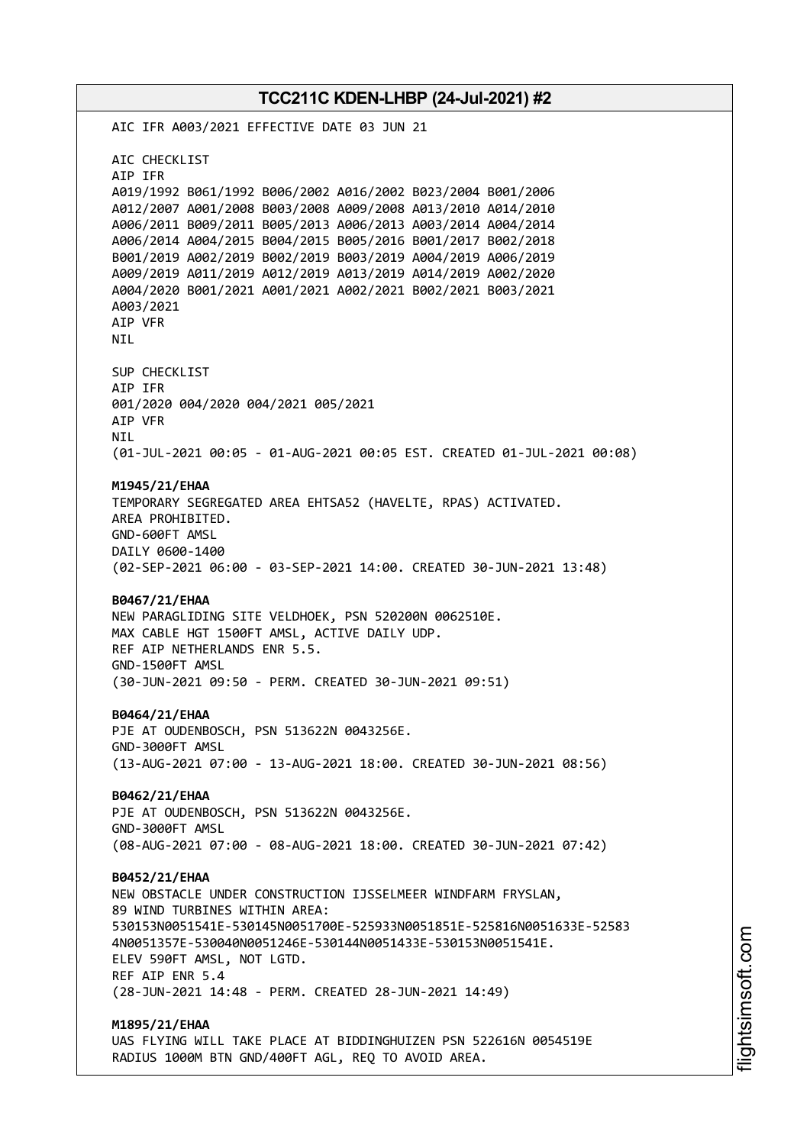AIC IFR A003/2021 EFFECTIVE DATE 03 JUN 21 AIC CHECKLIST AIP IFR A019/1992 B061/1992 B006/2002 A016/2002 B023/2004 B001/2006 A012/2007 A001/2008 B003/2008 A009/2008 A013/2010 A014/2010 A006/2011 B009/2011 B005/2013 A006/2013 A003/2014 A004/2014 A006/2014 A004/2015 B004/2015 B005/2016 B001/2017 B002/2018 B001/2019 A002/2019 B002/2019 B003/2019 A004/2019 A006/2019 A009/2019 A011/2019 A012/2019 A013/2019 A014/2019 A002/2020 A004/2020 B001/2021 A001/2021 A002/2021 B002/2021 B003/2021 A003/2021 AIP VFR NIL SUP CHECKLIST AIP IFR 001/2020 004/2020 004/2021 005/2021 AIP VFR NIL (01-JUL-2021 00:05 - 01-AUG-2021 00:05 EST. CREATED 01-JUL-2021 00:08) **M1945/21/EHAA** TEMPORARY SEGREGATED AREA EHTSA52 (HAVELTE, RPAS) ACTIVATED. AREA PROHIBITED. GND-600FT AMSL DAILY 0600-1400 (02-SEP-2021 06:00 - 03-SEP-2021 14:00. CREATED 30-JUN-2021 13:48) **B0467/21/EHAA** NEW PARAGLIDING SITE VELDHOEK, PSN 520200N 0062510E. MAX CABLE HGT 1500FT AMSL, ACTIVE DAILY UDP. REF AIP NETHERLANDS ENR 5.5. GND-1500FT AMSL (30-JUN-2021 09:50 - PERM. CREATED 30-JUN-2021 09:51) **B0464/21/EHAA** PJE AT OUDENBOSCH, PSN 513622N 0043256E. GND-3000FT AMSL (13-AUG-2021 07:00 - 13-AUG-2021 18:00. CREATED 30-JUN-2021 08:56) **B0462/21/EHAA** PJE AT OUDENBOSCH, PSN 513622N 0043256E. GND-3000FT AMSL (08-AUG-2021 07:00 - 08-AUG-2021 18:00. CREATED 30-JUN-2021 07:42) **B0452/21/EHAA** NEW OBSTACLE UNDER CONSTRUCTION IJSSELMEER WINDFARM FRYSLAN, 89 WIND TURBINES WITHIN AREA: 530153N0051541E-530145N0051700E-525933N0051851E-525816N0051633E-52583 4N0051357E-530040N0051246E-530144N0051433E-530153N0051541E. ELEV 590FT AMSL, NOT LGTD. REF AIP ENR 5.4 (28-JUN-2021 14:48 - PERM. CREATED 28-JUN-2021 14:49) **M1895/21/EHAA** UAS FLYING WILL TAKE PLACE AT BIDDINGHUIZEN PSN 522616N 0054519E

RADIUS 1000M BTN GND/400FT AGL, REQ TO AVOID AREA.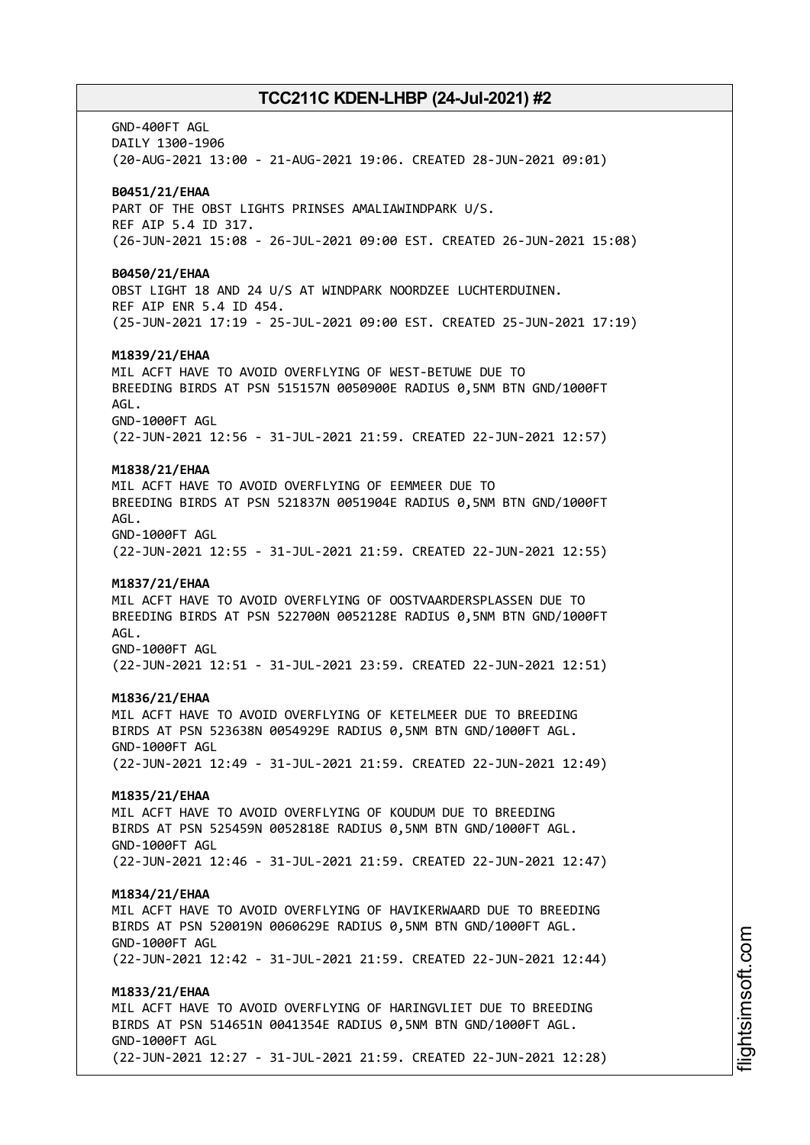GND-400FT AGL DAILY 1300-1906 (20-AUG-2021 13:00 - 21-AUG-2021 19:06. CREATED 28-JUN-2021 09:01) **B0451/21/EHAA** PART OF THE OBST LIGHTS PRINSES AMALIAWINDPARK U/S. REF AIP 5.4 ID 317. (26-JUN-2021 15:08 - 26-JUL-2021 09:00 EST. CREATED 26-JUN-2021 15:08) **B0450/21/EHAA** OBST LIGHT 18 AND 24 U/S AT WINDPARK NOORDZEE LUCHTERDUINEN. REF AIP ENR 5.4 ID 454. (25-JUN-2021 17:19 - 25-JUL-2021 09:00 EST. CREATED 25-JUN-2021 17:19) **M1839/21/EHAA** MIL ACFT HAVE TO AVOID OVERFLYING OF WEST-BETUWE DUE TO BREEDING BIRDS AT PSN 515157N 0050900E RADIUS 0,5NM BTN GND/1000FT AGL. GND-1000FT AGL (22-JUN-2021 12:56 - 31-JUL-2021 21:59. CREATED 22-JUN-2021 12:57) **M1838/21/EHAA** MIL ACFT HAVE TO AVOID OVERFLYING OF EEMMEER DUE TO BREEDING BIRDS AT PSN 521837N 0051904E RADIUS 0,5NM BTN GND/1000FT AGL. GND-1000FT AGL (22-JUN-2021 12:55 - 31-JUL-2021 21:59. CREATED 22-JUN-2021 12:55) **M1837/21/EHAA** MIL ACFT HAVE TO AVOID OVERFLYING OF OOSTVAARDERSPLASSEN DUE TO BREEDING BIRDS AT PSN 522700N 0052128E RADIUS 0,5NM BTN GND/1000FT AGL. GND-1000FT AGL (22-JUN-2021 12:51 - 31-JUL-2021 23:59. CREATED 22-JUN-2021 12:51) **M1836/21/EHAA** MIL ACFT HAVE TO AVOID OVERFLYING OF KETELMEER DUE TO BREEDING BIRDS AT PSN 523638N 0054929E RADIUS 0,5NM BTN GND/1000FT AGL. GND-1000FT AGL (22-JUN-2021 12:49 - 31-JUL-2021 21:59. CREATED 22-JUN-2021 12:49) **M1835/21/EHAA** MIL ACFT HAVE TO AVOID OVERFLYING OF KOUDUM DUE TO BREEDING BIRDS AT PSN 525459N 0052818E RADIUS 0,5NM BTN GND/1000FT AGL. GND-1000FT AGL (22-JUN-2021 12:46 - 31-JUL-2021 21:59. CREATED 22-JUN-2021 12:47) **M1834/21/EHAA** MIL ACFT HAVE TO AVOID OVERFLYING OF HAVIKERWAARD DUE TO BREEDING BIRDS AT PSN 520019N 0060629E RADIUS 0,5NM BTN GND/1000FT AGL. GND-1000FT AGL (22-JUN-2021 12:42 - 31-JUL-2021 21:59. CREATED 22-JUN-2021 12:44) **M1833/21/EHAA** MIL ACFT HAVE TO AVOID OVERFLYING OF HARINGVLIET DUE TO BREEDING BIRDS AT PSN 514651N 0041354E RADIUS 0,5NM BTN GND/1000FT AGL. GND-1000FT AGL (22-JUN-2021 12:27 - 31-JUL-2021 21:59. CREATED 22-JUN-2021 12:28)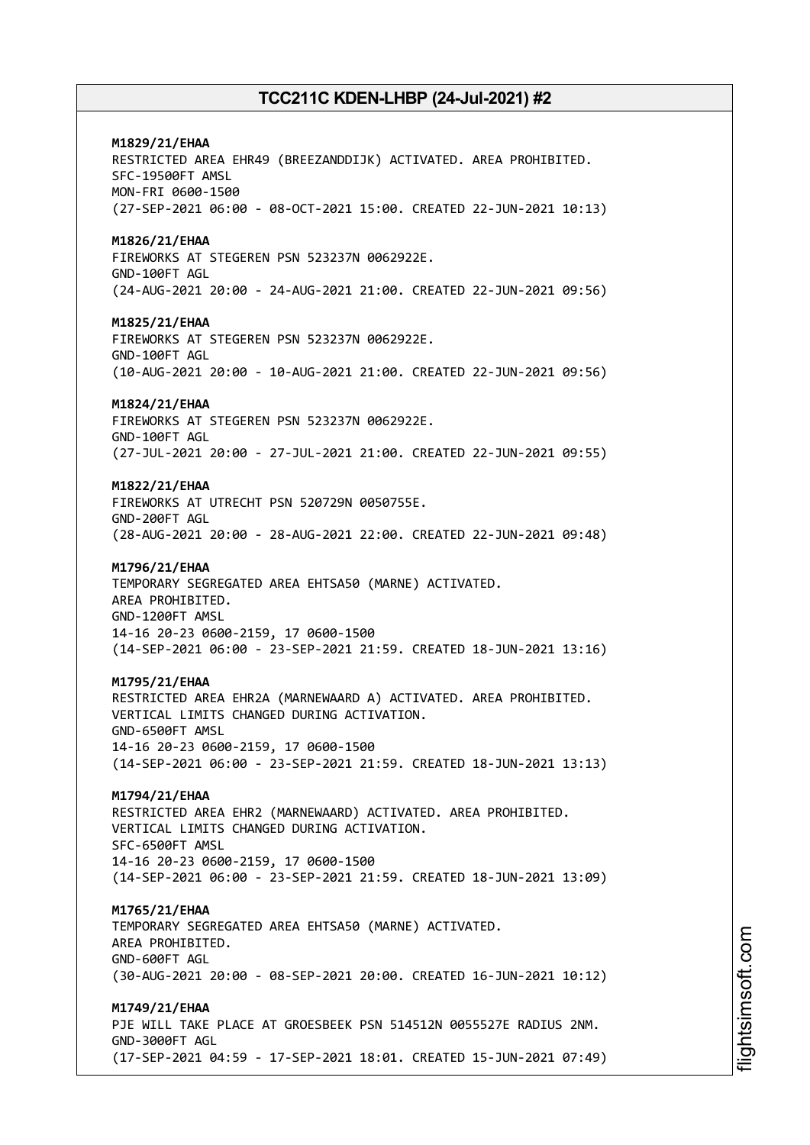**M1829/21/EHAA** RESTRICTED AREA EHR49 (BREEZANDDIJK) ACTIVATED. AREA PROHIBITED. SFC-19500FT AMSL MON-FRI 0600-1500 (27-SEP-2021 06:00 - 08-OCT-2021 15:00. CREATED 22-JUN-2021 10:13) **M1826/21/EHAA** FIREWORKS AT STEGEREN PSN 523237N 0062922E. GND-100FT AGL (24-AUG-2021 20:00 - 24-AUG-2021 21:00. CREATED 22-JUN-2021 09:56) **M1825/21/EHAA** FIREWORKS AT STEGEREN PSN 523237N 0062922E. GND-100FT AGL (10-AUG-2021 20:00 - 10-AUG-2021 21:00. CREATED 22-JUN-2021 09:56) **M1824/21/EHAA** FIREWORKS AT STEGEREN PSN 523237N 0062922E. GND-100FT AGL (27-JUL-2021 20:00 - 27-JUL-2021 21:00. CREATED 22-JUN-2021 09:55) **M1822/21/EHAA** FIREWORKS AT UTRECHT PSN 520729N 0050755E. GND-200FT AGL (28-AUG-2021 20:00 - 28-AUG-2021 22:00. CREATED 22-JUN-2021 09:48) **M1796/21/EHAA** TEMPORARY SEGREGATED AREA EHTSA50 (MARNE) ACTIVATED. AREA PROHIBITED. GND-1200FT AMSL 14-16 20-23 0600-2159, 17 0600-1500 (14-SEP-2021 06:00 - 23-SEP-2021 21:59. CREATED 18-JUN-2021 13:16) **M1795/21/EHAA** RESTRICTED AREA EHR2A (MARNEWAARD A) ACTIVATED. AREA PROHIBITED. VERTICAL LIMITS CHANGED DURING ACTIVATION. GND-6500FT AMSL 14-16 20-23 0600-2159, 17 0600-1500 (14-SEP-2021 06:00 - 23-SEP-2021 21:59. CREATED 18-JUN-2021 13:13) **M1794/21/EHAA** RESTRICTED AREA EHR2 (MARNEWAARD) ACTIVATED. AREA PROHIBITED. VERTICAL LIMITS CHANGED DURING ACTIVATION. SFC-6500FT AMSL 14-16 20-23 0600-2159, 17 0600-1500 (14-SEP-2021 06:00 - 23-SEP-2021 21:59. CREATED 18-JUN-2021 13:09) **M1765/21/EHAA** TEMPORARY SEGREGATED AREA EHTSA50 (MARNE) ACTIVATED. AREA PROHIBITED. GND-600FT AGL (30-AUG-2021 20:00 - 08-SEP-2021 20:00. CREATED 16-JUN-2021 10:12) **M1749/21/EHAA** PJE WILL TAKE PLACE AT GROESBEEK PSN 514512N 0055527E RADIUS 2NM. GND-3000FT AGL (17-SEP-2021 04:59 - 17-SEP-2021 18:01. CREATED 15-JUN-2021 07:49)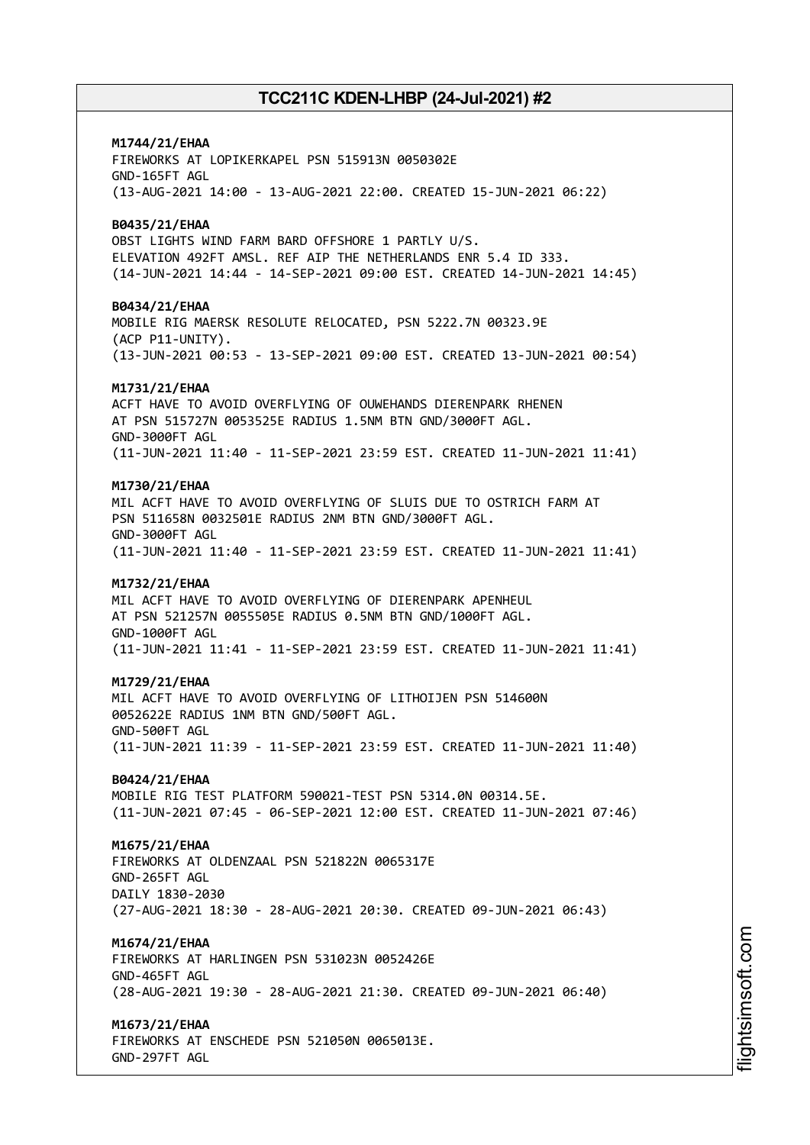# **M1744/21/EHAA**

FIREWORKS AT LOPIKERKAPEL PSN 515913N 0050302E GND-165FT AGL (13-AUG-2021 14:00 - 13-AUG-2021 22:00. CREATED 15-JUN-2021 06:22)

### **B0435/21/EHAA**

OBST LIGHTS WIND FARM BARD OFFSHORE 1 PARTLY U/S. ELEVATION 492FT AMSL. REF AIP THE NETHERLANDS ENR 5.4 ID 333. (14-JUN-2021 14:44 - 14-SEP-2021 09:00 EST. CREATED 14-JUN-2021 14:45)

### **B0434/21/EHAA**

MOBILE RIG MAERSK RESOLUTE RELOCATED, PSN 5222.7N 00323.9E (ACP P11-UNITY). (13-JUN-2021 00:53 - 13-SEP-2021 09:00 EST. CREATED 13-JUN-2021 00:54)

### **M1731/21/EHAA**

ACFT HAVE TO AVOID OVERFLYING OF OUWEHANDS DIERENPARK RHENEN AT PSN 515727N 0053525E RADIUS 1.5NM BTN GND/3000FT AGL. GND-3000FT AGL (11-JUN-2021 11:40 - 11-SEP-2021 23:59 EST. CREATED 11-JUN-2021 11:41)

### **M1730/21/EHAA**

MIL ACFT HAVE TO AVOID OVERFLYING OF SLUIS DUE TO OSTRICH FARM AT PSN 511658N 0032501E RADIUS 2NM BTN GND/3000FT AGL. GND-3000FT AGL (11-JUN-2021 11:40 - 11-SEP-2021 23:59 EST. CREATED 11-JUN-2021 11:41)

## **M1732/21/EHAA**

MIL ACFT HAVE TO AVOID OVERFLYING OF DIERENPARK APENHEUL AT PSN 521257N 0055505E RADIUS 0.5NM BTN GND/1000FT AGL. GND-1000FT AGL (11-JUN-2021 11:41 - 11-SEP-2021 23:59 EST. CREATED 11-JUN-2021 11:41)

### **M1729/21/EHAA**

MIL ACFT HAVE TO AVOID OVERFLYING OF LITHOIJEN PSN 514600N 0052622E RADIUS 1NM BTN GND/500FT AGL. GND-500FT AGL (11-JUN-2021 11:39 - 11-SEP-2021 23:59 EST. CREATED 11-JUN-2021 11:40)

## **B0424/21/EHAA**

MOBILE RIG TEST PLATFORM 590021-TEST PSN 5314.0N 00314.5E. (11-JUN-2021 07:45 - 06-SEP-2021 12:00 EST. CREATED 11-JUN-2021 07:46)

## **M1675/21/EHAA**

FIREWORKS AT OLDENZAAL PSN 521822N 0065317E GND-265FT AGL DAILY 1830-2030 (27-AUG-2021 18:30 - 28-AUG-2021 20:30. CREATED 09-JUN-2021 06:43)

## **M1674/21/EHAA**

FIREWORKS AT HARLINGEN PSN 531023N 0052426E GND-465FT AGL (28-AUG-2021 19:30 - 28-AUG-2021 21:30. CREATED 09-JUN-2021 06:40)

## **M1673/21/EHAA**

FIREWORKS AT ENSCHEDE PSN 521050N 0065013E. GND-297FT AGL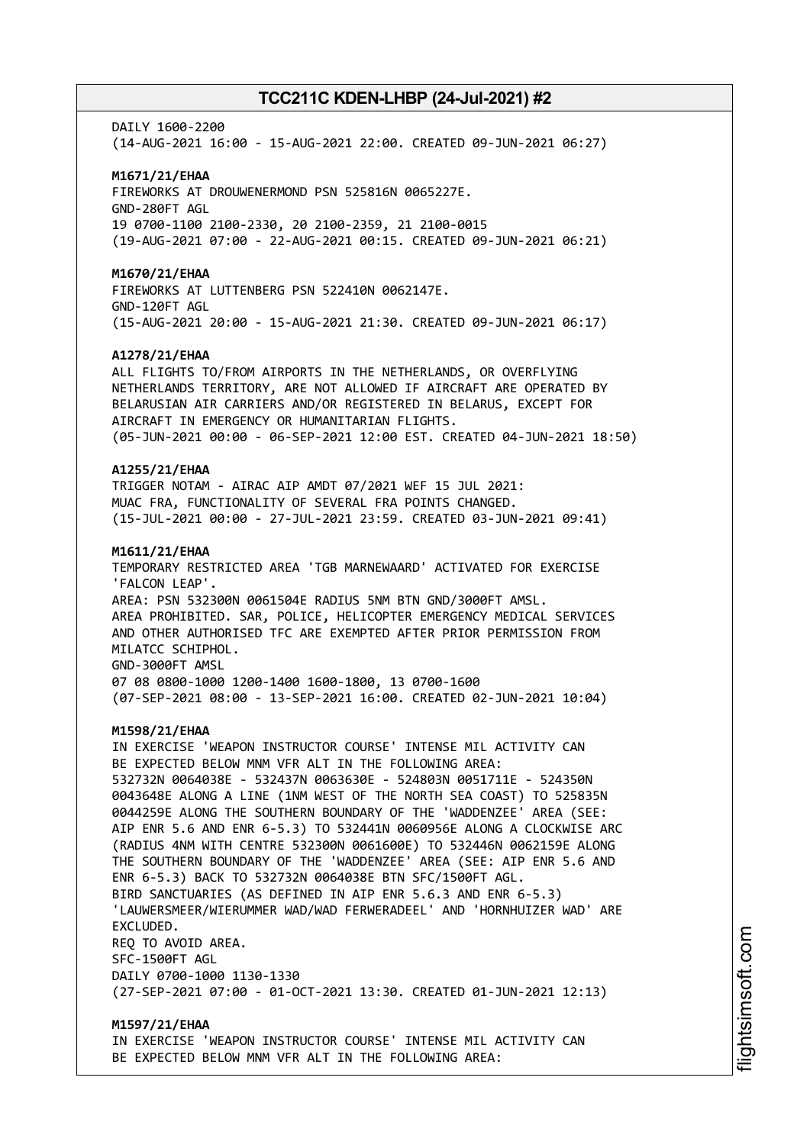#### DATIY 1600-2200

(14-AUG-2021 16:00 - 15-AUG-2021 22:00. CREATED 09-JUN-2021 06:27)

#### **M1671/21/EHAA**

FIREWORKS AT DROUWENERMOND PSN 525816N 0065227E. GND-280FT AGL 19 0700-1100 2100-2330, 20 2100-2359, 21 2100-0015 (19-AUG-2021 07:00 - 22-AUG-2021 00:15. CREATED 09-JUN-2021 06:21)

#### **M1670/21/EHAA**

FIREWORKS AT LUTTENBERG PSN 522410N 0062147E. GND-120FT AGL (15-AUG-2021 20:00 - 15-AUG-2021 21:30. CREATED 09-JUN-2021 06:17)

#### **A1278/21/EHAA**

ALL FLIGHTS TO/FROM AIRPORTS IN THE NETHERLANDS, OR OVERFLYING NETHERLANDS TERRITORY, ARE NOT ALLOWED IF AIRCRAFT ARE OPERATED BY BELARUSIAN AIR CARRIERS AND/OR REGISTERED IN BELARUS, EXCEPT FOR AIRCRAFT IN EMERGENCY OR HUMANITARIAN FLIGHTS. (05-JUN-2021 00:00 - 06-SEP-2021 12:00 EST. CREATED 04-JUN-2021 18:50)

### **A1255/21/EHAA**

TRIGGER NOTAM - AIRAC AIP AMDT 07/2021 WEF 15 JUL 2021: MUAC FRA, FUNCTIONALITY OF SEVERAL FRA POINTS CHANGED. (15-JUL-2021 00:00 - 27-JUL-2021 23:59. CREATED 03-JUN-2021 09:41)

#### **M1611/21/EHAA**

TEMPORARY RESTRICTED AREA 'TGB MARNEWAARD' ACTIVATED FOR EXERCISE 'FALCON LEAP'. AREA: PSN 532300N 0061504E RADIUS 5NM BTN GND/3000FT AMSL. AREA PROHIBITED. SAR, POLICE, HELICOPTER EMERGENCY MEDICAL SERVICES AND OTHER AUTHORISED TFC ARE EXEMPTED AFTER PRIOR PERMISSION FROM MILATCC SCHIPHOL. GND-3000FT AMSL 07 08 0800-1000 1200-1400 1600-1800, 13 0700-1600 (07-SEP-2021 08:00 - 13-SEP-2021 16:00. CREATED 02-JUN-2021 10:04)

#### **M1598/21/EHAA**

IN EXERCISE 'WEAPON INSTRUCTOR COURSE' INTENSE MIL ACTIVITY CAN BE EXPECTED BELOW MNM VFR ALT IN THE FOLLOWING AREA: 532732N 0064038E - 532437N 0063630E - 524803N 0051711E - 524350N 0043648E ALONG A LINE (1NM WEST OF THE NORTH SEA COAST) TO 525835N 0044259E ALONG THE SOUTHERN BOUNDARY OF THE 'WADDENZEE' AREA (SEE: AIP ENR 5.6 AND ENR 6-5.3) TO 532441N 0060956E ALONG A CLOCKWISE ARC (RADIUS 4NM WITH CENTRE 532300N 0061600E) TO 532446N 0062159E ALONG THE SOUTHERN BOUNDARY OF THE 'WADDENZEE' AREA (SEE: AIP ENR 5.6 AND ENR 6-5.3) BACK TO 532732N 0064038E BTN SFC/1500FT AGL. BIRD SANCTUARIES (AS DEFINED IN AIP ENR 5.6.3 AND ENR 6-5.3) 'LAUWERSMEER/WIERUMMER WAD/WAD FERWERADEEL' AND 'HORNHUIZER WAD' ARE EXCLUDED. REQ TO AVOID AREA. SFC-1500FT AGL DAILY 0700-1000 1130-1330 (27-SEP-2021 07:00 - 01-OCT-2021 13:30. CREATED 01-JUN-2021 12:13)

**M1597/21/EHAA** IN EXERCISE 'WEAPON INSTRUCTOR COURSE' INTENSE MIL ACTIVITY CAN BE EXPECTED BELOW MNM VFR ALT IN THE FOLLOWING AREA: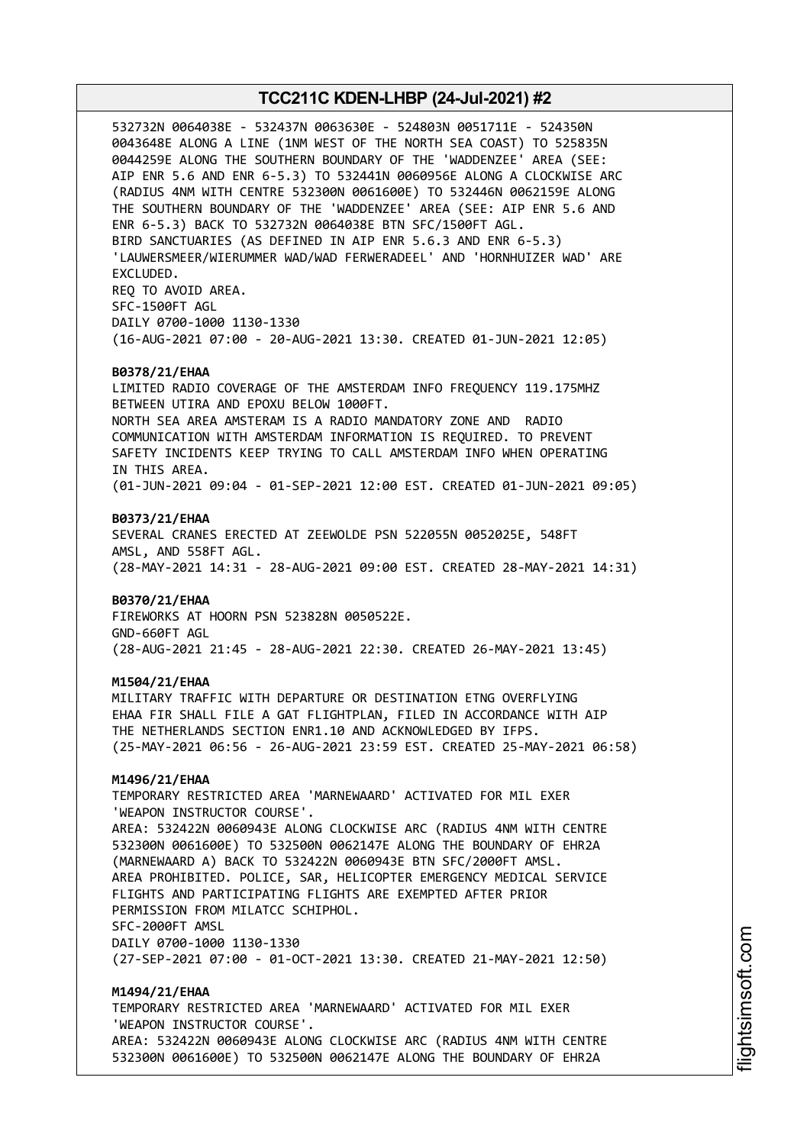532732N 0064038E - 532437N 0063630E - 524803N 0051711E - 524350N 0043648E ALONG A LINE (1NM WEST OF THE NORTH SEA COAST) TO 525835N 0044259E ALONG THE SOUTHERN BOUNDARY OF THE 'WADDENZEE' AREA (SEE: AIP ENR 5.6 AND ENR 6-5.3) TO 532441N 0060956E ALONG A CLOCKWISE ARC (RADIUS 4NM WITH CENTRE 532300N 0061600E) TO 532446N 0062159E ALONG THE SOUTHERN BOUNDARY OF THE 'WADDENZEE' AREA (SEE: AIP ENR 5.6 AND ENR 6-5.3) BACK TO 532732N 0064038E BTN SFC/1500FT AGL. BIRD SANCTUARIES (AS DEFINED IN AIP ENR 5.6.3 AND ENR 6-5.3) 'LAUWERSMEER/WIERUMMER WAD/WAD FERWERADEEL' AND 'HORNHUIZER WAD' ARE EXCLUDED. REQ TO AVOID AREA. SFC-1500FT AGL DAILY 0700-1000 1130-1330 (16-AUG-2021 07:00 - 20-AUG-2021 13:30. CREATED 01-JUN-2021 12:05) **B0378/21/EHAA** LIMITED RADIO COVERAGE OF THE AMSTERDAM INFO FREQUENCY 119.175MHZ BETWEEN UTIRA AND EPOXU BELOW 1000FT. NORTH SEA AREA AMSTERAM IS A RADIO MANDATORY ZONE AND RADIO COMMUNICATION WITH AMSTERDAM INFORMATION IS REQUIRED. TO PREVENT SAFETY INCIDENTS KEEP TRYING TO CALL AMSTERDAM INFO WHEN OPERATING IN THIS AREA. (01-JUN-2021 09:04 - 01-SEP-2021 12:00 EST. CREATED 01-JUN-2021 09:05) **B0373/21/EHAA** SEVERAL CRANES ERECTED AT ZEEWOLDE PSN 522055N 0052025E, 548FT AMSL, AND 558FT AGL. (28-MAY-2021 14:31 - 28-AUG-2021 09:00 EST. CREATED 28-MAY-2021 14:31) **B0370/21/EHAA** FIREWORKS AT HOORN PSN 523828N 0050522E. GND-660FT AGL (28-AUG-2021 21:45 - 28-AUG-2021 22:30. CREATED 26-MAY-2021 13:45) **M1504/21/EHAA** MILITARY TRAFFIC WITH DEPARTURE OR DESTINATION ETNG OVERFLYING EHAA FIR SHALL FILE A GAT FLIGHTPLAN, FILED IN ACCORDANCE WITH AIP THE NETHERLANDS SECTION ENR1.10 AND ACKNOWLEDGED BY IFPS. (25-MAY-2021 06:56 - 26-AUG-2021 23:59 EST. CREATED 25-MAY-2021 06:58) **M1496/21/EHAA** TEMPORARY RESTRICTED AREA 'MARNEWAARD' ACTIVATED FOR MIL EXER 'WEAPON INSTRUCTOR COURSE'. AREA: 532422N 0060943E ALONG CLOCKWISE ARC (RADIUS 4NM WITH CENTRE 532300N 0061600E) TO 532500N 0062147E ALONG THE BOUNDARY OF EHR2A (MARNEWAARD A) BACK TO 532422N 0060943E BTN SFC/2000FT AMSL. AREA PROHIBITED. POLICE, SAR, HELICOPTER EMERGENCY MEDICAL SERVICE FLIGHTS AND PARTICIPATING FLIGHTS ARE EXEMPTED AFTER PRIOR PERMISSION FROM MILATCC SCHIPHOL. SFC-2000FT AMSL DAILY 0700-1000 1130-1330 (27-SEP-2021 07:00 - 01-OCT-2021 13:30. CREATED 21-MAY-2021 12:50) **M1494/21/EHAA** TEMPORARY RESTRICTED AREA 'MARNEWAARD' ACTIVATED FOR MIL EXER 'WEAPON INSTRUCTOR COURSE'. AREA: 532422N 0060943E ALONG CLOCKWISE ARC (RADIUS 4NM WITH CENTRE 532300N 0061600E) TO 532500N 0062147E ALONG THE BOUNDARY OF EHR2A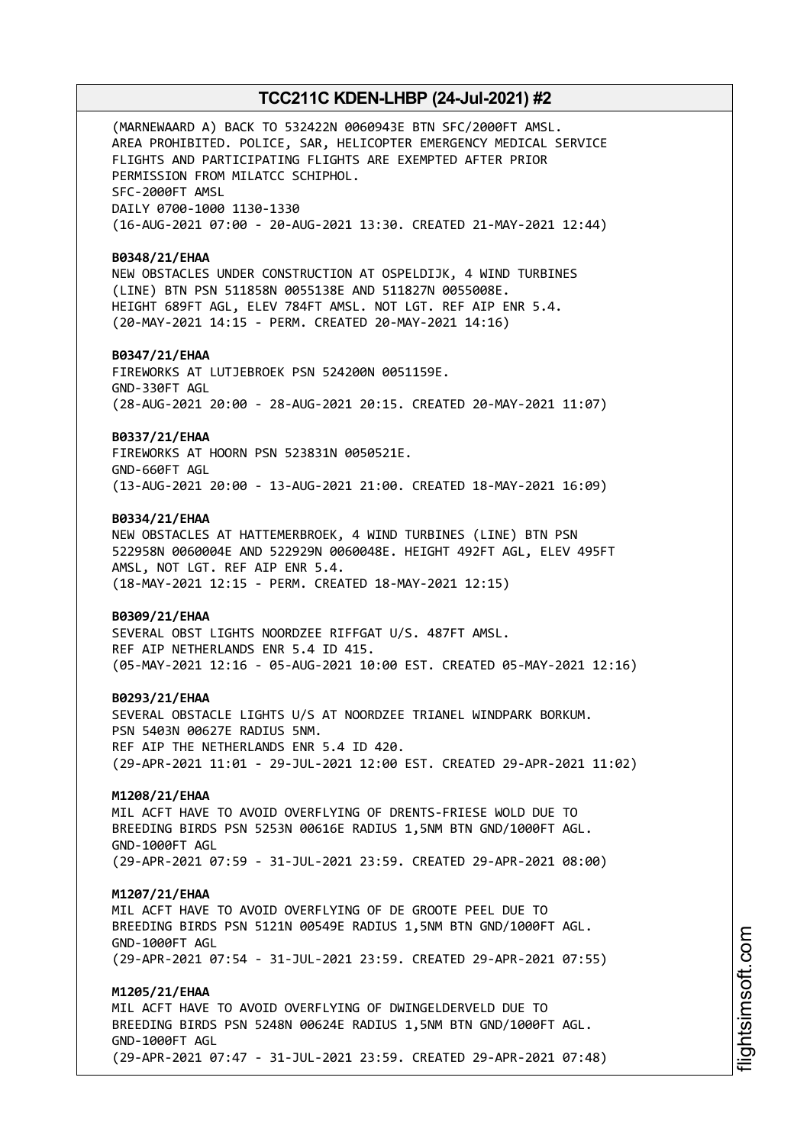(MARNEWAARD A) BACK TO 532422N 0060943E BTN SFC/2000FT AMSL. AREA PROHIBITED. POLICE, SAR, HELICOPTER EMERGENCY MEDICAL SERVICE FLIGHTS AND PARTICIPATING FLIGHTS ARE EXEMPTED AFTER PRIOR PERMISSION FROM MILATCC SCHIPHOL. SFC-2000FT AMSL DAILY 0700-1000 1130-1330 (16-AUG-2021 07:00 - 20-AUG-2021 13:30. CREATED 21-MAY-2021 12:44)

#### **B0348/21/EHAA**

NEW OBSTACLES UNDER CONSTRUCTION AT OSPELDIJK, 4 WIND TURBINES (LINE) BTN PSN 511858N 0055138E AND 511827N 0055008E. HEIGHT 689FT AGL, ELEV 784FT AMSL. NOT LGT. REF AIP ENR 5.4. (20-MAY-2021 14:15 - PERM. CREATED 20-MAY-2021 14:16)

### **B0347/21/EHAA**

FIREWORKS AT LUTJEBROEK PSN 524200N 0051159E. GND-330FT AGL (28-AUG-2021 20:00 - 28-AUG-2021 20:15. CREATED 20-MAY-2021 11:07)

#### **B0337/21/EHAA**

FIREWORKS AT HOORN PSN 523831N 0050521E. GND-660FT AGL (13-AUG-2021 20:00 - 13-AUG-2021 21:00. CREATED 18-MAY-2021 16:09)

### **B0334/21/EHAA**

NEW OBSTACLES AT HATTEMERBROEK, 4 WIND TURBINES (LINE) BTN PSN 522958N 0060004E AND 522929N 0060048E. HEIGHT 492FT AGL, ELEV 495FT AMSL, NOT LGT. REF AIP ENR 5.4. (18-MAY-2021 12:15 - PERM. CREATED 18-MAY-2021 12:15)

### **B0309/21/EHAA**

SEVERAL OBST LIGHTS NOORDZEE RIFFGAT U/S. 487FT AMSL. REF AIP NETHERLANDS ENR 5.4 ID 415. (05-MAY-2021 12:16 - 05-AUG-2021 10:00 EST. CREATED 05-MAY-2021 12:16)

#### **B0293/21/EHAA**

SEVERAL OBSTACLE LIGHTS U/S AT NOORDZEE TRIANEL WINDPARK BORKUM. PSN 5403N 00627E RADIUS 5NM. REF AIP THE NETHERLANDS ENR 5.4 ID 420. (29-APR-2021 11:01 - 29-JUL-2021 12:00 EST. CREATED 29-APR-2021 11:02)

### **M1208/21/EHAA**

MIL ACFT HAVE TO AVOID OVERFLYING OF DRENTS-FRIESE WOLD DUE TO BREEDING BIRDS PSN 5253N 00616E RADIUS 1,5NM BTN GND/1000FT AGL. GND-1000FT AGL (29-APR-2021 07:59 - 31-JUL-2021 23:59. CREATED 29-APR-2021 08:00)

### **M1207/21/EHAA**

MIL ACFT HAVE TO AVOID OVERFLYING OF DE GROOTE PEEL DUE TO BREEDING BIRDS PSN 5121N 00549E RADIUS 1,5NM BTN GND/1000FT AGL. GND-1000FT AGL (29-APR-2021 07:54 - 31-JUL-2021 23:59. CREATED 29-APR-2021 07:55)

#### **M1205/21/EHAA**

MIL ACFT HAVE TO AVOID OVERFLYING OF DWINGELDERVELD DUE TO BREEDING BIRDS PSN 5248N 00624E RADIUS 1,5NM BTN GND/1000FT AGL. GND-1000FT AGL (29-APR-2021 07:47 - 31-JUL-2021 23:59. CREATED 29-APR-2021 07:48)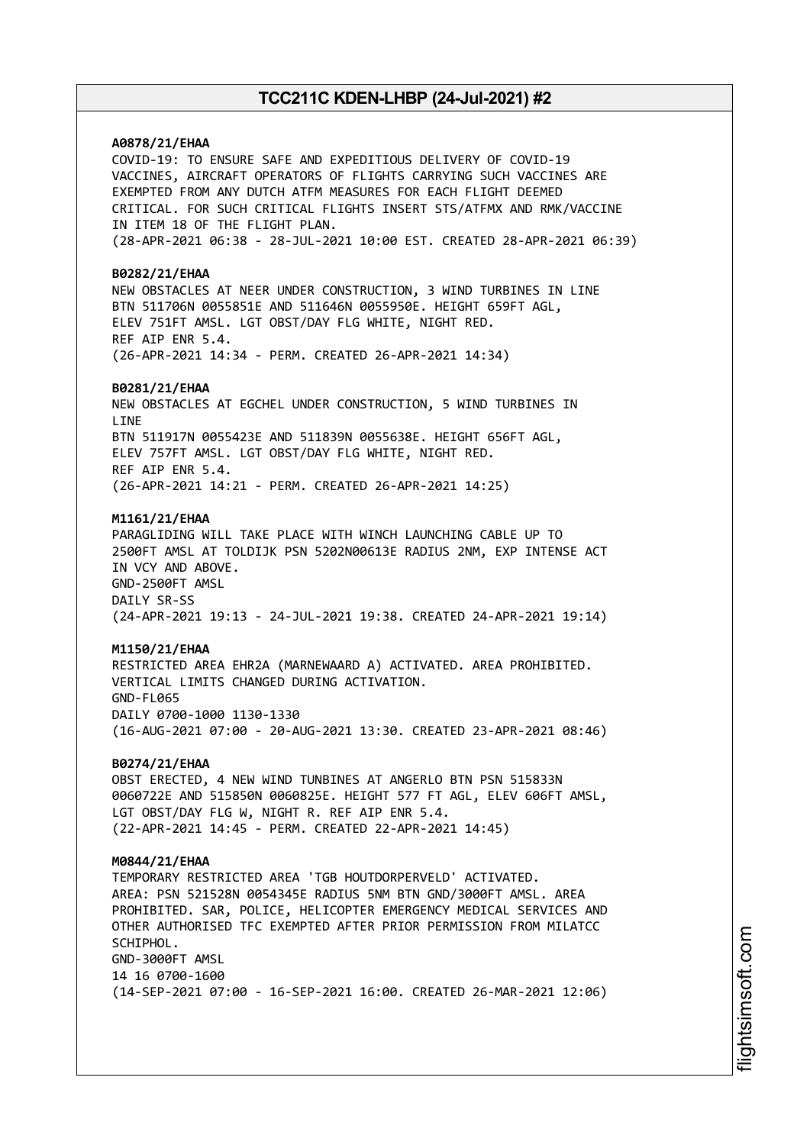## **A0878/21/EHAA**

COVID-19: TO ENSURE SAFE AND EXPEDITIOUS DELIVERY OF COVID-19 VACCINES, AIRCRAFT OPERATORS OF FLIGHTS CARRYING SUCH VACCINES ARE EXEMPTED FROM ANY DUTCH ATFM MEASURES FOR EACH FLIGHT DEEMED CRITICAL. FOR SUCH CRITICAL FLIGHTS INSERT STS/ATFMX AND RMK/VACCINE IN ITEM 18 OF THE FLIGHT PLAN. (28-APR-2021 06:38 - 28-JUL-2021 10:00 EST. CREATED 28-APR-2021 06:39)

#### **B0282/21/EHAA**

NEW OBSTACLES AT NEER UNDER CONSTRUCTION, 3 WIND TURBINES IN LINE BTN 511706N 0055851E AND 511646N 0055950E. HEIGHT 659FT AGL, ELEV 751FT AMSL. LGT OBST/DAY FLG WHITE, NIGHT RED. REF AIP ENR 5.4. (26-APR-2021 14:34 - PERM. CREATED 26-APR-2021 14:34)

#### **B0281/21/EHAA**

NEW OBSTACLES AT EGCHEL UNDER CONSTRUCTION, 5 WIND TURBINES IN **LTNF** BTN 511917N 0055423E AND 511839N 0055638E. HEIGHT 656FT AGL, ELEV 757FT AMSL. LGT OBST/DAY FLG WHITE, NIGHT RED. REF AIP ENR 5.4. (26-APR-2021 14:21 - PERM. CREATED 26-APR-2021 14:25)

#### **M1161/21/EHAA**

PARAGLIDING WILL TAKE PLACE WITH WINCH LAUNCHING CABLE UP TO 2500FT AMSL AT TOLDIJK PSN 5202N00613E RADIUS 2NM, EXP INTENSE ACT IN VCY AND ABOVE. GND-2500FT AMSL DAILY SR-SS (24-APR-2021 19:13 - 24-JUL-2021 19:38. CREATED 24-APR-2021 19:14)

### **M1150/21/EHAA**

RESTRICTED AREA EHR2A (MARNEWAARD A) ACTIVATED. AREA PROHIBITED. VERTICAL LIMITS CHANGED DURING ACTIVATION. GND-FL065 DAILY 0700-1000 1130-1330 (16-AUG-2021 07:00 - 20-AUG-2021 13:30. CREATED 23-APR-2021 08:46)

#### **B0274/21/EHAA**

OBST ERECTED, 4 NEW WIND TUNBINES AT ANGERLO BTN PSN 515833N 0060722E AND 515850N 0060825E. HEIGHT 577 FT AGL, ELEV 606FT AMSL, LGT OBST/DAY FLG W, NIGHT R. REF AIP ENR 5.4. (22-APR-2021 14:45 - PERM. CREATED 22-APR-2021 14:45)

#### **M0844/21/EHAA**

TEMPORARY RESTRICTED AREA 'TGB HOUTDORPERVELD' ACTIVATED. AREA: PSN 521528N 0054345E RADIUS 5NM BTN GND/3000FT AMSL. AREA PROHIBITED. SAR, POLICE, HELICOPTER EMERGENCY MEDICAL SERVICES AND OTHER AUTHORISED TFC EXEMPTED AFTER PRIOR PERMISSION FROM MILATCC SCHIPHOL. GND-3000FT AMSL 14 16 0700-1600 (14-SEP-2021 07:00 - 16-SEP-2021 16:00. CREATED 26-MAR-2021 12:06)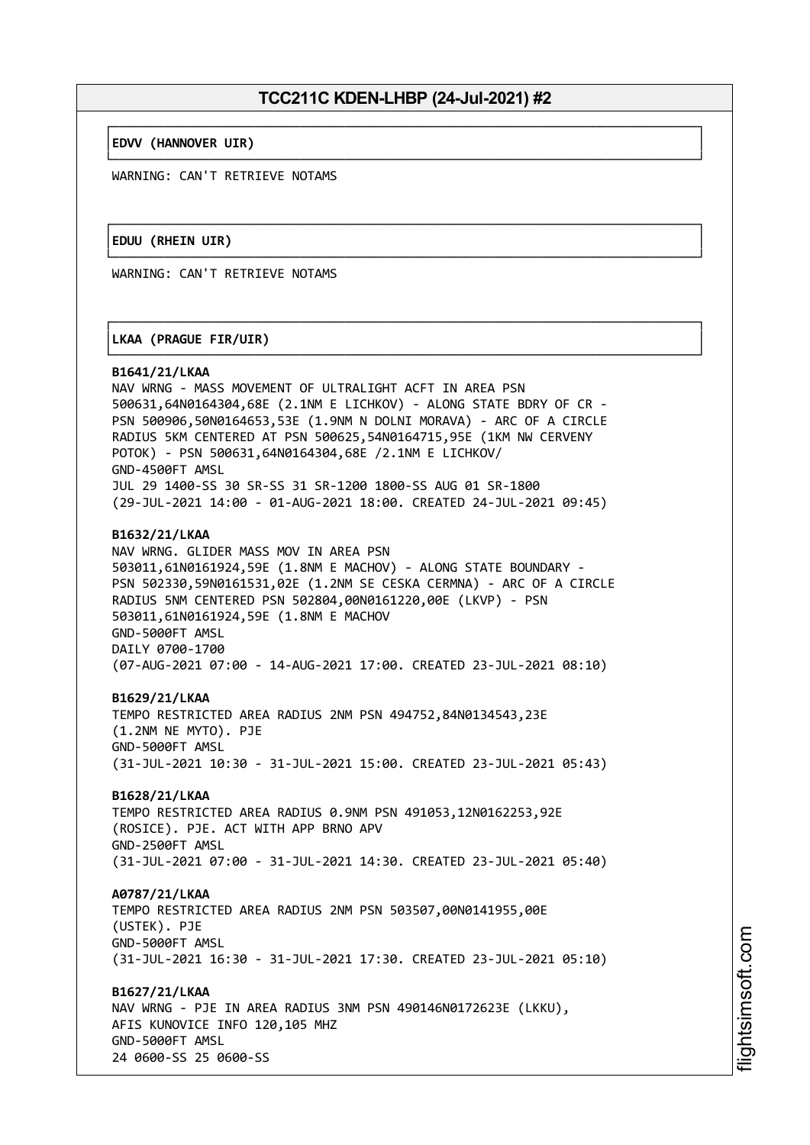└──────────────────────────────────────────────────────────────────────────────┘

└──────────────────────────────────────────────────────────────────────────────┘

#### ┌──────────────────────────────────────────────────────────────────────────────┐ │**EDVV (HANNOVER UIR)** │

WARNING: CAN'T RETRIEVE NOTAMS

### ┌──────────────────────────────────────────────────────────────────────────────┐ │**EDUU (RHEIN UIR)** │

WARNING: CAN'T RETRIEVE NOTAMS

### ┌──────────────────────────────────────────────────────────────────────────────┐ │**LKAA (PRAGUE FIR/UIR)** │

### └──────────────────────────────────────────────────────────────────────────────┘ **B1641/21/LKAA**

NAV WRNG - MASS MOVEMENT OF ULTRALIGHT ACFT IN AREA PSN 500631,64N0164304,68E (2.1NM E LICHKOV) - ALONG STATE BDRY OF CR - PSN 500906,50N0164653,53E (1.9NM N DOLNI MORAVA) - ARC OF A CIRCLE RADIUS 5KM CENTERED AT PSN 500625,54N0164715,95E (1KM NW CERVENY POTOK) - PSN 500631,64N0164304,68E /2.1NM E LICHKOV/ GND-4500FT AMSL JUL 29 1400-SS 30 SR-SS 31 SR-1200 1800-SS AUG 01 SR-1800 (29-JUL-2021 14:00 - 01-AUG-2021 18:00. CREATED 24-JUL-2021 09:45)

### **B1632/21/LKAA**

NAV WRNG. GLIDER MASS MOV IN AREA PSN 503011,61N0161924,59E (1.8NM E MACHOV) - ALONG STATE BOUNDARY - PSN 502330,59N0161531,02E (1.2NM SE CESKA CERMNA) - ARC OF A CIRCLE RADIUS 5NM CENTERED PSN 502804,00N0161220,00E (LKVP) - PSN 503011,61N0161924,59E (1.8NM E MACHOV GND-5000FT AMSL DAILY 0700-1700 (07-AUG-2021 07:00 - 14-AUG-2021 17:00. CREATED 23-JUL-2021 08:10)

## **B1629/21/LKAA**

TEMPO RESTRICTED AREA RADIUS 2NM PSN 494752,84N0134543,23E (1.2NM NE MYTO). PJE GND-5000FT AMSL (31-JUL-2021 10:30 - 31-JUL-2021 15:00. CREATED 23-JUL-2021 05:43)

## **B1628/21/LKAA**

TEMPO RESTRICTED AREA RADIUS 0.9NM PSN 491053,12N0162253,92E (ROSICE). PJE. ACT WITH APP BRNO APV GND-2500FT AMSL (31-JUL-2021 07:00 - 31-JUL-2021 14:30. CREATED 23-JUL-2021 05:40)

## **A0787/21/LKAA**

TEMPO RESTRICTED AREA RADIUS 2NM PSN 503507,00N0141955,00E (USTEK). PJE GND-5000FT AMSL (31-JUL-2021 16:30 - 31-JUL-2021 17:30. CREATED 23-JUL-2021 05:10)

## **B1627/21/LKAA**

NAV WRNG - PJE IN AREA RADIUS 3NM PSN 490146N0172623E (LKKU), AFIS KUNOVICE INFO 120,105 MHZ GND-5000FT AMSL 24 0600-SS 25 0600-SS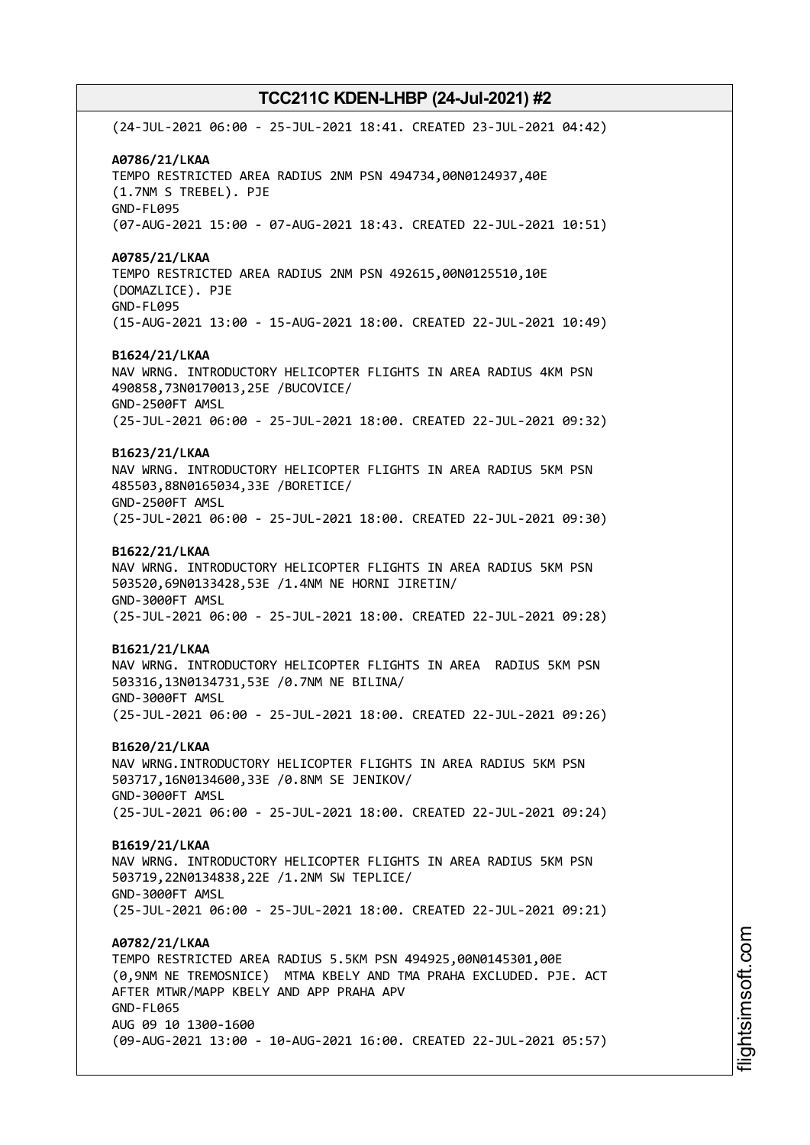(24-JUL-2021 06:00 - 25-JUL-2021 18:41. CREATED 23-JUL-2021 04:42) **A0786/21/LKAA** TEMPO RESTRICTED AREA RADIUS 2NM PSN 494734,00N0124937,40E (1.7NM S TREBEL). PJE GND-FL095 (07-AUG-2021 15:00 - 07-AUG-2021 18:43. CREATED 22-JUL-2021 10:51) **A0785/21/LKAA** TEMPO RESTRICTED AREA RADIUS 2NM PSN 492615,00N0125510,10E (DOMAZLICE). PJE GND-FL095 (15-AUG-2021 13:00 - 15-AUG-2021 18:00. CREATED 22-JUL-2021 10:49) **B1624/21/LKAA** NAV WRNG. INTRODUCTORY HELICOPTER FLIGHTS IN AREA RADIUS 4KM PSN 490858,73N0170013,25E /BUCOVICE/ GND-2500FT AMSL (25-JUL-2021 06:00 - 25-JUL-2021 18:00. CREATED 22-JUL-2021 09:32) **B1623/21/LKAA** NAV WRNG. INTRODUCTORY HELICOPTER FLIGHTS IN AREA RADIUS 5KM PSN 485503,88N0165034,33E /BORETICE/ GND-2500FT AMSL (25-JUL-2021 06:00 - 25-JUL-2021 18:00. CREATED 22-JUL-2021 09:30) **B1622/21/LKAA** NAV WRNG. INTRODUCTORY HELICOPTER FLIGHTS IN AREA RADIUS 5KM PSN 503520,69N0133428,53E /1.4NM NE HORNI JIRETIN/ GND-3000FT AMSL (25-JUL-2021 06:00 - 25-JUL-2021 18:00. CREATED 22-JUL-2021 09:28) **B1621/21/LKAA** NAV WRNG. INTRODUCTORY HELICOPTER FLIGHTS IN AREA RADIUS 5KM PSN 503316,13N0134731,53E /0.7NM NE BILINA/ GND-3000FT AMSL (25-JUL-2021 06:00 - 25-JUL-2021 18:00. CREATED 22-JUL-2021 09:26) **B1620/21/LKAA** NAV WRNG.INTRODUCTORY HELICOPTER FLIGHTS IN AREA RADIUS 5KM PSN 503717,16N0134600,33E /0.8NM SE JENIKOV/ GND-3000FT AMSL (25-JUL-2021 06:00 - 25-JUL-2021 18:00. CREATED 22-JUL-2021 09:24) **B1619/21/LKAA** NAV WRNG. INTRODUCTORY HELICOPTER FLIGHTS IN AREA RADIUS 5KM PSN 503719,22N0134838,22E /1.2NM SW TEPLICE/ GND-3000FT AMSL (25-JUL-2021 06:00 - 25-JUL-2021 18:00. CREATED 22-JUL-2021 09:21) **A0782/21/LKAA** TEMPO RESTRICTED AREA RADIUS 5.5KM PSN 494925,00N0145301,00E (0,9NM NE TREMOSNICE) MTMA KBELY AND TMA PRAHA EXCLUDED. PJE. ACT AFTER MTWR/MAPP KBELY AND APP PRAHA APV GND-FL065 AUG 09 10 1300-1600 (09-AUG-2021 13:00 - 10-AUG-2021 16:00. CREATED 22-JUL-2021 05:57)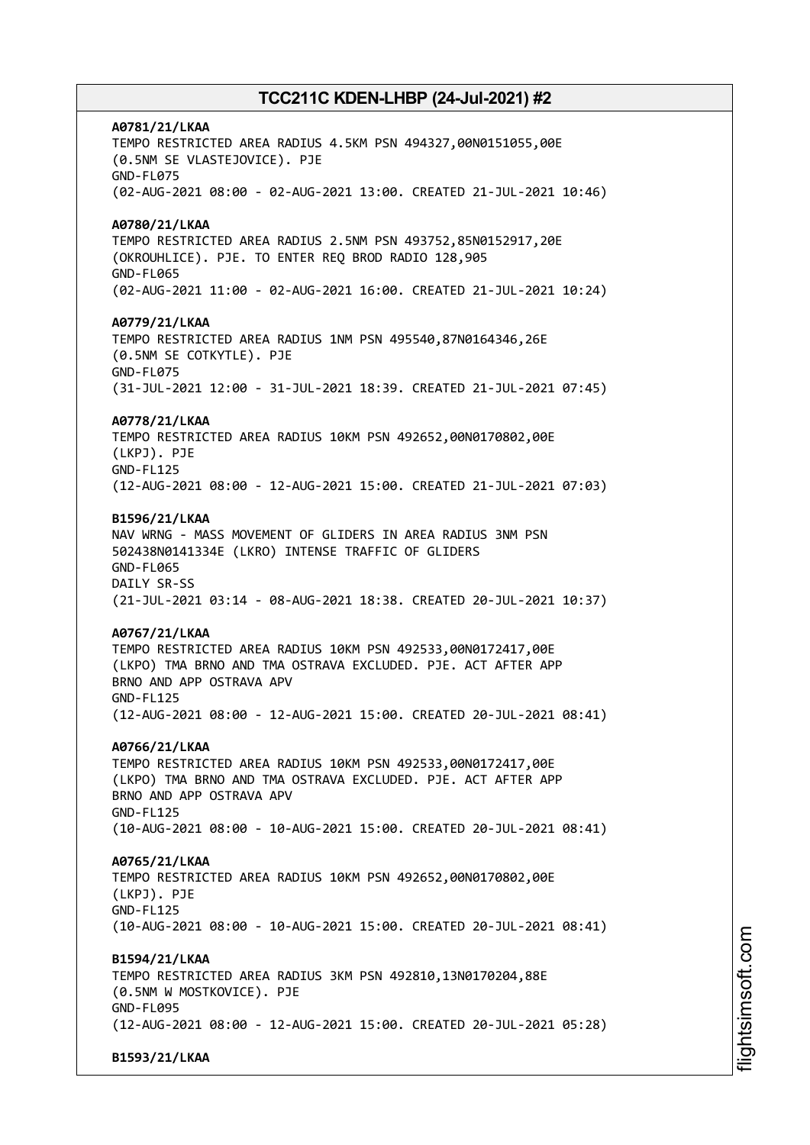**A0781/21/LKAA** TEMPO RESTRICTED AREA RADIUS 4.5KM PSN 494327,00N0151055,00E (0.5NM SE VLASTEJOVICE). PJE GND-FL075 (02-AUG-2021 08:00 - 02-AUG-2021 13:00. CREATED 21-JUL-2021 10:46) **A0780/21/LKAA** TEMPO RESTRICTED AREA RADIUS 2.5NM PSN 493752,85N0152917,20E (OKROUHLICE). PJE. TO ENTER REQ BROD RADIO 128,905 GND-FL065 (02-AUG-2021 11:00 - 02-AUG-2021 16:00. CREATED 21-JUL-2021 10:24) **A0779/21/LKAA** TEMPO RESTRICTED AREA RADIUS 1NM PSN 495540,87N0164346,26E (0.5NM SE COTKYTLE). PJE GND-FL075 (31-JUL-2021 12:00 - 31-JUL-2021 18:39. CREATED 21-JUL-2021 07:45) **A0778/21/LKAA** TEMPO RESTRICTED AREA RADIUS 10KM PSN 492652,00N0170802,00E (LKPJ). PJE GND-FL125 (12-AUG-2021 08:00 - 12-AUG-2021 15:00. CREATED 21-JUL-2021 07:03) **B1596/21/LKAA** NAV WRNG - MASS MOVEMENT OF GLIDERS IN AREA RADIUS 3NM PSN 502438N0141334E (LKRO) INTENSE TRAFFIC OF GLIDERS GND-FL065 DAILY SR-SS (21-JUL-2021 03:14 - 08-AUG-2021 18:38. CREATED 20-JUL-2021 10:37) **A0767/21/LKAA** TEMPO RESTRICTED AREA RADIUS 10KM PSN 492533,00N0172417,00E (LKPO) TMA BRNO AND TMA OSTRAVA EXCLUDED. PJE. ACT AFTER APP BRNO AND APP OSTRAVA APV GND-FL125 (12-AUG-2021 08:00 - 12-AUG-2021 15:00. CREATED 20-JUL-2021 08:41) **A0766/21/LKAA** TEMPO RESTRICTED AREA RADIUS 10KM PSN 492533,00N0172417,00E (LKPO) TMA BRNO AND TMA OSTRAVA EXCLUDED. PJE. ACT AFTER APP BRNO AND APP OSTRAVA APV GND-FL125 (10-AUG-2021 08:00 - 10-AUG-2021 15:00. CREATED 20-JUL-2021 08:41) **A0765/21/LKAA** TEMPO RESTRICTED AREA RADIUS 10KM PSN 492652,00N0170802,00E (LKPJ). PJE GND-FL125 (10-AUG-2021 08:00 - 10-AUG-2021 15:00. CREATED 20-JUL-2021 08:41) **B1594/21/LKAA** TEMPO RESTRICTED AREA RADIUS 3KM PSN 492810,13N0170204,88E (0.5NM W MOSTKOVICE). PJE GND-FL095 (12-AUG-2021 08:00 - 12-AUG-2021 15:00. CREATED 20-JUL-2021 05:28) **B1593/21/LKAA**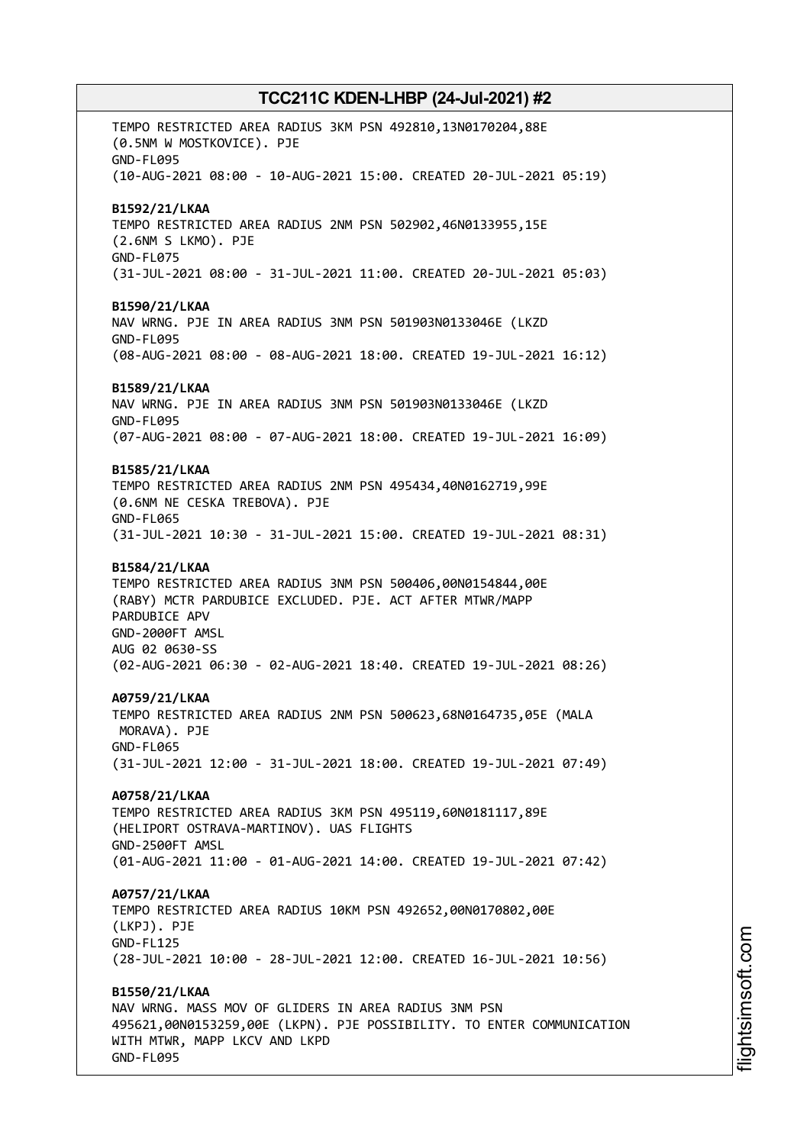TEMPO RESTRICTED AREA RADIUS 3KM PSN 492810,13N0170204,88E (0.5NM W MOSTKOVICE). PJE GND-FL095 (10-AUG-2021 08:00 - 10-AUG-2021 15:00. CREATED 20-JUL-2021 05:19) **B1592/21/LKAA** TEMPO RESTRICTED AREA RADIUS 2NM PSN 502902,46N0133955,15E (2.6NM S LKMO). PJE GND-FL075 (31-JUL-2021 08:00 - 31-JUL-2021 11:00. CREATED 20-JUL-2021 05:03) **B1590/21/LKAA** NAV WRNG. PJE IN AREA RADIUS 3NM PSN 501903N0133046E (LKZD GND-FL095 (08-AUG-2021 08:00 - 08-AUG-2021 18:00. CREATED 19-JUL-2021 16:12) **B1589/21/LKAA** NAV WRNG. PJE IN AREA RADIUS 3NM PSN 501903N0133046E (LKZD GND-FL095 (07-AUG-2021 08:00 - 07-AUG-2021 18:00. CREATED 19-JUL-2021 16:09) **B1585/21/LKAA** TEMPO RESTRICTED AREA RADIUS 2NM PSN 495434,40N0162719,99E (0.6NM NE CESKA TREBOVA). PJE GND-FL065 (31-JUL-2021 10:30 - 31-JUL-2021 15:00. CREATED 19-JUL-2021 08:31) **B1584/21/LKAA** TEMPO RESTRICTED AREA RADIUS 3NM PSN 500406,00N0154844,00E (RABY) MCTR PARDUBICE EXCLUDED. PJE. ACT AFTER MTWR/MAPP PARDUBICE APV GND-2000FT AMSL AUG 02 0630-SS (02-AUG-2021 06:30 - 02-AUG-2021 18:40. CREATED 19-JUL-2021 08:26) **A0759/21/LKAA** TEMPO RESTRICTED AREA RADIUS 2NM PSN 500623,68N0164735,05E (MALA MORAVA). PJE GND-FL065 (31-JUL-2021 12:00 - 31-JUL-2021 18:00. CREATED 19-JUL-2021 07:49) **A0758/21/LKAA** TEMPO RESTRICTED AREA RADIUS 3KM PSN 495119,60N0181117,89E (HELIPORT OSTRAVA-MARTINOV). UAS FLIGHTS GND-2500FT AMSL (01-AUG-2021 11:00 - 01-AUG-2021 14:00. CREATED 19-JUL-2021 07:42) **A0757/21/LKAA** TEMPO RESTRICTED AREA RADIUS 10KM PSN 492652,00N0170802,00E (LKPJ). PJE GND-FL125 (28-JUL-2021 10:00 - 28-JUL-2021 12:00. CREATED 16-JUL-2021 10:56) **B1550/21/LKAA** NAV WRNG. MASS MOV OF GLIDERS IN AREA RADIUS 3NM PSN 495621,00N0153259,00E (LKPN). PJE POSSIBILITY. TO ENTER COMMUNICATION WITH MTWR, MAPP LKCV AND LKPD

GND-FL095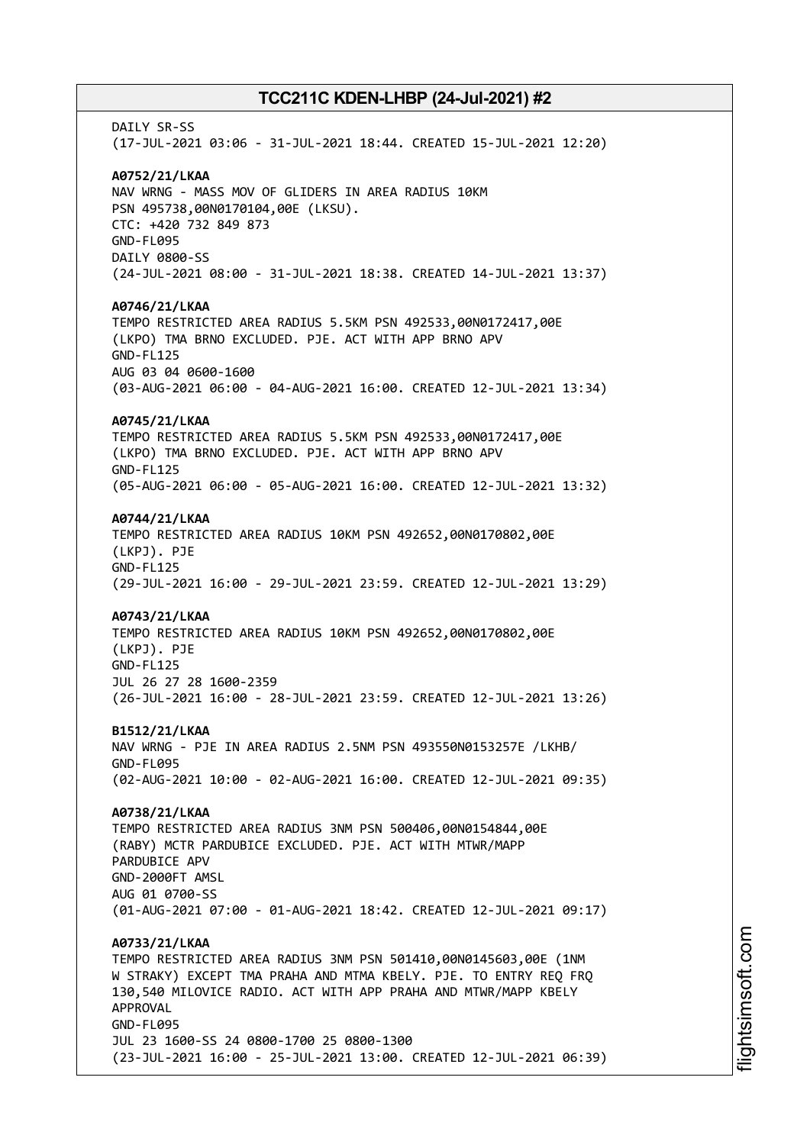DATIY SR-SS (17-JUL-2021 03:06 - 31-JUL-2021 18:44. CREATED 15-JUL-2021 12:20) **A0752/21/LKAA** NAV WRNG - MASS MOV OF GLIDERS IN AREA RADIUS 10KM PSN 495738,00N0170104,00E (LKSU). CTC: +420 732 849 873 GND-FL095 DAILY 0800-SS (24-JUL-2021 08:00 - 31-JUL-2021 18:38. CREATED 14-JUL-2021 13:37) **A0746/21/LKAA** TEMPO RESTRICTED AREA RADIUS 5.5KM PSN 492533,00N0172417,00E (LKPO) TMA BRNO EXCLUDED. PJE. ACT WITH APP BRNO APV GND-FL125 AUG 03 04 0600-1600 (03-AUG-2021 06:00 - 04-AUG-2021 16:00. CREATED 12-JUL-2021 13:34) **A0745/21/LKAA** TEMPO RESTRICTED AREA RADIUS 5.5KM PSN 492533,00N0172417,00E (LKPO) TMA BRNO EXCLUDED. PJE. ACT WITH APP BRNO APV GND-FL125 (05-AUG-2021 06:00 - 05-AUG-2021 16:00. CREATED 12-JUL-2021 13:32) **A0744/21/LKAA** TEMPO RESTRICTED AREA RADIUS 10KM PSN 492652,00N0170802,00E (LKPJ). PJE GND-FL125 (29-JUL-2021 16:00 - 29-JUL-2021 23:59. CREATED 12-JUL-2021 13:29) **A0743/21/LKAA** TEMPO RESTRICTED AREA RADIUS 10KM PSN 492652,00N0170802,00E (LKPJ). PJE GND-FL125 JUL 26 27 28 1600-2359 (26-JUL-2021 16:00 - 28-JUL-2021 23:59. CREATED 12-JUL-2021 13:26) **B1512/21/LKAA** NAV WRNG - PJE IN AREA RADIUS 2.5NM PSN 493550N0153257E /LKHB/ GND-FL095 (02-AUG-2021 10:00 - 02-AUG-2021 16:00. CREATED 12-JUL-2021 09:35) **A0738/21/LKAA** TEMPO RESTRICTED AREA RADIUS 3NM PSN 500406,00N0154844,00E (RABY) MCTR PARDUBICE EXCLUDED. PJE. ACT WITH MTWR/MAPP PARDUBICE APV GND-2000FT AMSL AUG 01 0700-SS (01-AUG-2021 07:00 - 01-AUG-2021 18:42. CREATED 12-JUL-2021 09:17) **A0733/21/LKAA** TEMPO RESTRICTED AREA RADIUS 3NM PSN 501410,00N0145603,00E (1NM W STRAKY) EXCEPT TMA PRAHA AND MTMA KBELY. PJE. TO ENTRY REQ FRQ 130,540 MILOVICE RADIO. ACT WITH APP PRAHA AND MTWR/MAPP KBELY APPROVAL GND-FL095 JUL 23 1600-SS 24 0800-1700 25 0800-1300 (23-JUL-2021 16:00 - 25-JUL-2021 13:00. CREATED 12-JUL-2021 06:39)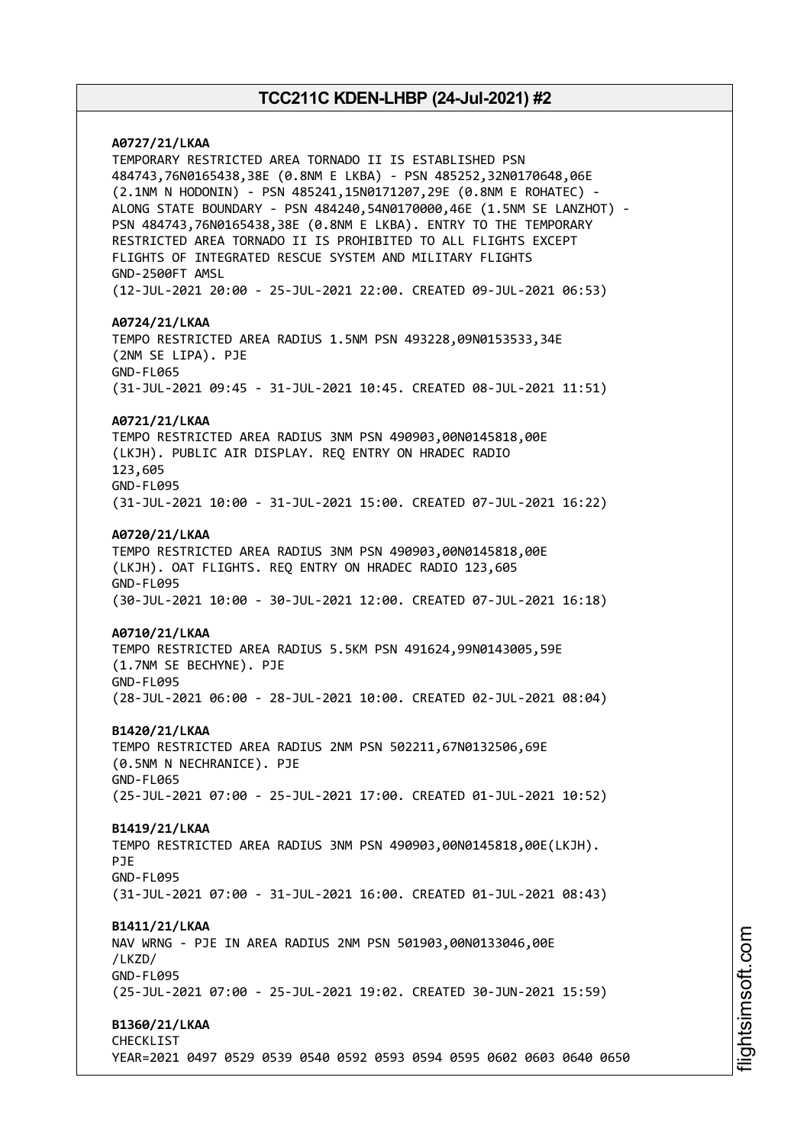# **A0727/21/LKAA** TEMPORARY RESTRICTED AREA TORNADO II IS ESTABLISHED PSN 484743,76N0165438,38E (0.8NM E LKBA) - PSN 485252,32N0170648,06E (2.1NM N HODONIN) - PSN 485241,15N0171207,29E (0.8NM E ROHATEC) - ALONG STATE BOUNDARY - PSN 484240,54N0170000,46E (1.5NM SE LANZHOT) - PSN 484743,76N0165438,38E (0.8NM E LKBA). ENTRY TO THE TEMPORARY RESTRICTED AREA TORNADO II IS PROHIBITED TO ALL FLIGHTS EXCEPT FLIGHTS OF INTEGRATED RESCUE SYSTEM AND MILITARY FLIGHTS GND-2500FT AMSL (12-JUL-2021 20:00 - 25-JUL-2021 22:00. CREATED 09-JUL-2021 06:53) **A0724/21/LKAA** TEMPO RESTRICTED AREA RADIUS 1.5NM PSN 493228,09N0153533,34E (2NM SE LIPA). PJE GND-FL065 (31-JUL-2021 09:45 - 31-JUL-2021 10:45. CREATED 08-JUL-2021 11:51) **A0721/21/LKAA** TEMPO RESTRICTED AREA RADIUS 3NM PSN 490903,00N0145818,00E (LKJH). PUBLIC AIR DISPLAY. REQ ENTRY ON HRADEC RADIO 123,605 GND-FL095 (31-JUL-2021 10:00 - 31-JUL-2021 15:00. CREATED 07-JUL-2021 16:22) **A0720/21/LKAA** TEMPO RESTRICTED AREA RADIUS 3NM PSN 490903,00N0145818,00E (LKJH). OAT FLIGHTS. REQ ENTRY ON HRADEC RADIO 123,605 GND-FL095 (30-JUL-2021 10:00 - 30-JUL-2021 12:00. CREATED 07-JUL-2021 16:18) **A0710/21/LKAA** TEMPO RESTRICTED AREA RADIUS 5.5KM PSN 491624,99N0143005,59E (1.7NM SE BECHYNE). PJE GND-FL095 (28-JUL-2021 06:00 - 28-JUL-2021 10:00. CREATED 02-JUL-2021 08:04) **B1420/21/LKAA** TEMPO RESTRICTED AREA RADIUS 2NM PSN 502211,67N0132506,69E (0.5NM N NECHRANICE). PJE GND-FL065 (25-JUL-2021 07:00 - 25-JUL-2021 17:00. CREATED 01-JUL-2021 10:52) **B1419/21/LKAA** TEMPO RESTRICTED AREA RADIUS 3NM PSN 490903,00N0145818,00E(LKJH). PJE GND-FL095 (31-JUL-2021 07:00 - 31-JUL-2021 16:00. CREATED 01-JUL-2021 08:43) **B1411/21/LKAA** NAV WRNG - PJE IN AREA RADIUS 2NM PSN 501903,00N0133046,00E /LKZD/ GND-FL095 (25-JUL-2021 07:00 - 25-JUL-2021 19:02. CREATED 30-JUN-2021 15:59) **B1360/21/LKAA** CHECKLIST YEAR=2021 0497 0529 0539 0540 0592 0593 0594 0595 0602 0603 0640 0650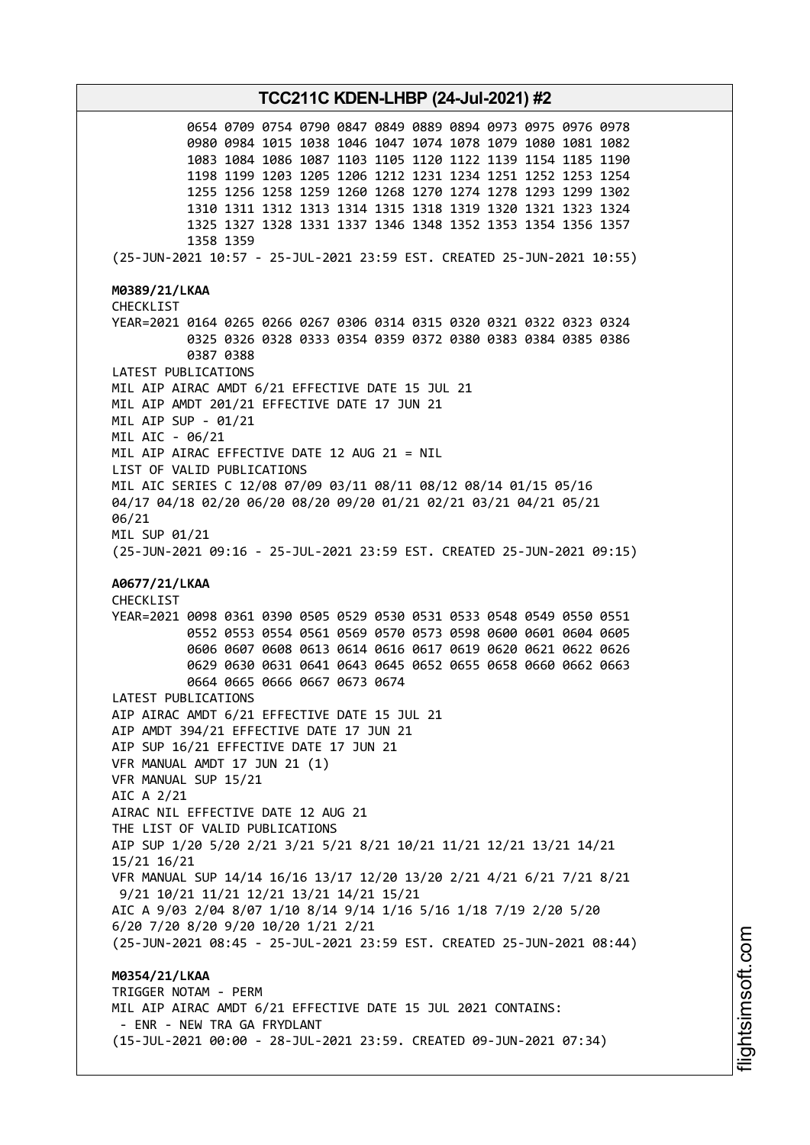0654 0709 0754 0790 0847 0849 0889 0894 0973 0975 0976 0978 0980 0984 1015 1038 1046 1047 1074 1078 1079 1080 1081 1082 1083 1084 1086 1087 1103 1105 1120 1122 1139 1154 1185 1190 1198 1199 1203 1205 1206 1212 1231 1234 1251 1252 1253 1254 1255 1256 1258 1259 1260 1268 1270 1274 1278 1293 1299 1302 1310 1311 1312 1313 1314 1315 1318 1319 1320 1321 1323 1324 1325 1327 1328 1331 1337 1346 1348 1352 1353 1354 1356 1357 1358 1359 (25-JUN-2021 10:57 - 25-JUL-2021 23:59 EST. CREATED 25-JUN-2021 10:55) **M0389/21/LKAA** CHECKLIST YEAR=2021 0164 0265 0266 0267 0306 0314 0315 0320 0321 0322 0323 0324 0325 0326 0328 0333 0354 0359 0372 0380 0383 0384 0385 0386 0387 0388 LATEST PUBLICATIONS MIL AIP AIRAC AMDT 6/21 EFFECTIVE DATE 15 JUL 21 MIL AIP AMDT 201/21 EFFECTIVE DATE 17 JUN 21 MIL AIP SUP - 01/21 MIL AIC - 06/21 MIL AIP AIRAC EFFECTIVE DATE 12 AUG 21 = NIL LIST OF VALID PUBLICATIONS MIL AIC SERIES C 12/08 07/09 03/11 08/11 08/12 08/14 01/15 05/16 04/17 04/18 02/20 06/20 08/20 09/20 01/21 02/21 03/21 04/21 05/21 06/21 MIL SUP 01/21 (25-JUN-2021 09:16 - 25-JUL-2021 23:59 EST. CREATED 25-JUN-2021 09:15) **A0677/21/LKAA** CHECKLIST YEAR=2021 0098 0361 0390 0505 0529 0530 0531 0533 0548 0549 0550 0551 0552 0553 0554 0561 0569 0570 0573 0598 0600 0601 0604 0605 0606 0607 0608 0613 0614 0616 0617 0619 0620 0621 0622 0626 0629 0630 0631 0641 0643 0645 0652 0655 0658 0660 0662 0663 0664 0665 0666 0667 0673 0674 LATEST PUBLICATIONS AIP AIRAC AMDT 6/21 EFFECTIVE DATE 15 JUL 21 AIP AMDT 394/21 EFFECTIVE DATE 17 JUN 21 AIP SUP 16/21 EFFECTIVE DATE 17 JUN 21 VFR MANUAL AMDT 17 JUN 21 (1) VFR MANUAL SUP 15/21 AIC A 2/21 AIRAC NIL EFFECTIVE DATE 12 AUG 21 THE LIST OF VALID PUBLICATIONS AIP SUP 1/20 5/20 2/21 3/21 5/21 8/21 10/21 11/21 12/21 13/21 14/21 15/21 16/21 VFR MANUAL SUP 14/14 16/16 13/17 12/20 13/20 2/21 4/21 6/21 7/21 8/21 9/21 10/21 11/21 12/21 13/21 14/21 15/21 AIC A 9/03 2/04 8/07 1/10 8/14 9/14 1/16 5/16 1/18 7/19 2/20 5/20 6/20 7/20 8/20 9/20 10/20 1/21 2/21 (25-JUN-2021 08:45 - 25-JUL-2021 23:59 EST. CREATED 25-JUN-2021 08:44) **M0354/21/LKAA** TRIGGER NOTAM - PERM MIL AIP AIRAC AMDT 6/21 EFFECTIVE DATE 15 JUL 2021 CONTAINS: - ENR - NEW TRA GA FRYDLANT (15-JUL-2021 00:00 - 28-JUL-2021 23:59. CREATED 09-JUN-2021 07:34)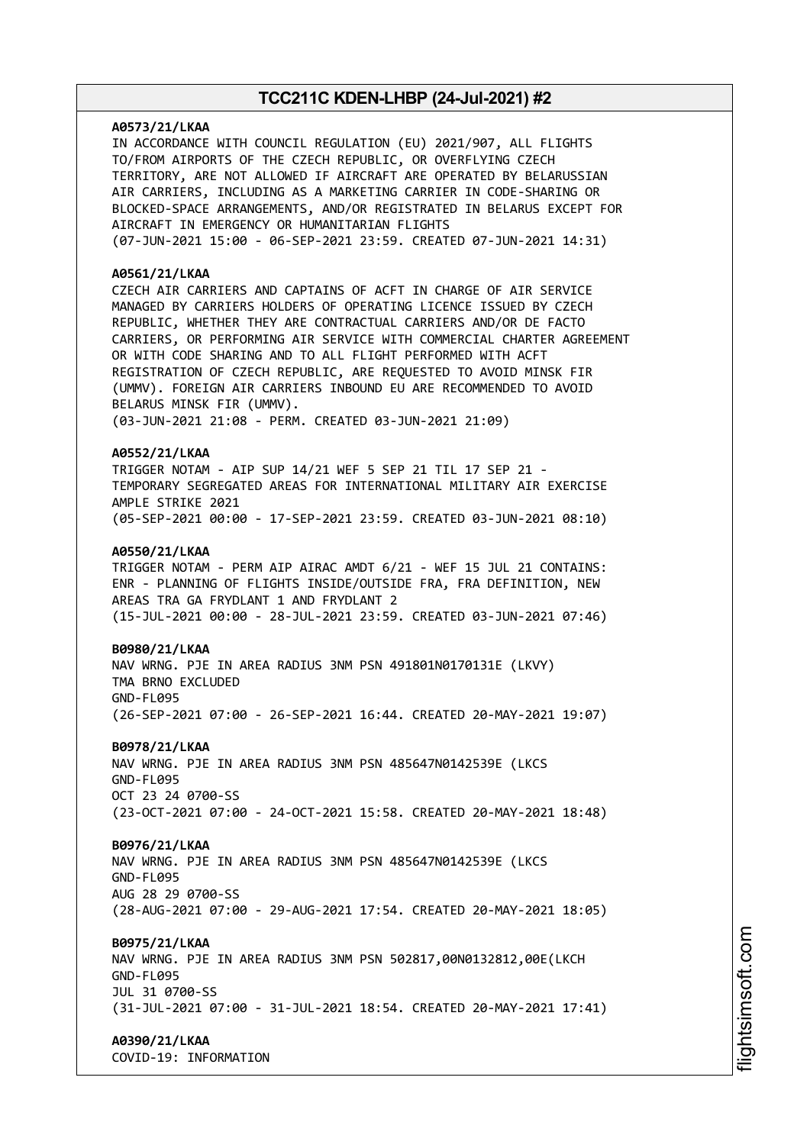# **A0573/21/LKAA** IN ACCORDANCE WITH COUNCIL REGULATION (EU) 2021/907, ALL FLIGHTS TO/FROM AIRPORTS OF THE CZECH REPUBLIC, OR OVERFLYING CZECH TERRITORY, ARE NOT ALLOWED IF AIRCRAFT ARE OPERATED BY BELARUSSIAN AIR CARRIERS, INCLUDING AS A MARKETING CARRIER IN CODE-SHARING OR BLOCKED-SPACE ARRANGEMENTS, AND/OR REGISTRATED IN BELARUS EXCEPT FOR AIRCRAFT IN EMERGENCY OR HUMANITARIAN FLIGHTS (07-JUN-2021 15:00 - 06-SEP-2021 23:59. CREATED 07-JUN-2021 14:31) **A0561/21/LKAA** CZECH AIR CARRIERS AND CAPTAINS OF ACFT IN CHARGE OF AIR SERVICE MANAGED BY CARRIERS HOLDERS OF OPERATING LICENCE ISSUED BY CZECH REPUBLIC, WHETHER THEY ARE CONTRACTUAL CARRIERS AND/OR DE FACTO CARRIERS, OR PERFORMING AIR SERVICE WITH COMMERCIAL CHARTER AGREEMENT OR WITH CODE SHARING AND TO ALL FLIGHT PERFORMED WITH ACFT REGISTRATION OF CZECH REPUBLIC, ARE REQUESTED TO AVOID MINSK FIR (UMMV). FOREIGN AIR CARRIERS INBOUND EU ARE RECOMMENDED TO AVOID BELARUS MINSK FIR (UMMV). (03-JUN-2021 21:08 - PERM. CREATED 03-JUN-2021 21:09) **A0552/21/LKAA** TRIGGER NOTAM - AIP SUP 14/21 WEF 5 SEP 21 TIL 17 SEP 21 - TEMPORARY SEGREGATED AREAS FOR INTERNATIONAL MILITARY AIR EXERCISE AMPLE STRIKE 2021 (05-SEP-2021 00:00 - 17-SEP-2021 23:59. CREATED 03-JUN-2021 08:10) **A0550/21/LKAA** TRIGGER NOTAM - PERM AIP AIRAC AMDT 6/21 - WEF 15 JUL 21 CONTAINS: ENR - PLANNING OF FLIGHTS INSIDE/OUTSIDE FRA, FRA DEFINITION, NEW AREAS TRA GA FRYDLANT 1 AND FRYDLANT 2 (15-JUL-2021 00:00 - 28-JUL-2021 23:59. CREATED 03-JUN-2021 07:46) **B0980/21/LKAA** NAV WRNG. PJE IN AREA RADIUS 3NM PSN 491801N0170131E (LKVY) TMA BRNO EXCLUDED GND-FL095 (26-SEP-2021 07:00 - 26-SEP-2021 16:44. CREATED 20-MAY-2021 19:07) **B0978/21/LKAA** NAV WRNG. PJE IN AREA RADIUS 3NM PSN 485647N0142539E (LKCS GND-FL095 OCT 23 24 0700-SS (23-OCT-2021 07:00 - 24-OCT-2021 15:58. CREATED 20-MAY-2021 18:48) **B0976/21/LKAA** NAV WRNG. PJE IN AREA RADIUS 3NM PSN 485647N0142539E (LKCS GND-FL095 AUG 28 29 0700-SS (28-AUG-2021 07:00 - 29-AUG-2021 17:54. CREATED 20-MAY-2021 18:05) **B0975/21/LKAA** NAV WRNG. PJE IN AREA RADIUS 3NM PSN 502817,00N0132812,00E(LKCH GND-FL095 JUL 31 0700-SS (31-JUL-2021 07:00 - 31-JUL-2021 18:54. CREATED 20-MAY-2021 17:41) **A0390/21/LKAA**

COVID-19: INFORMATION

m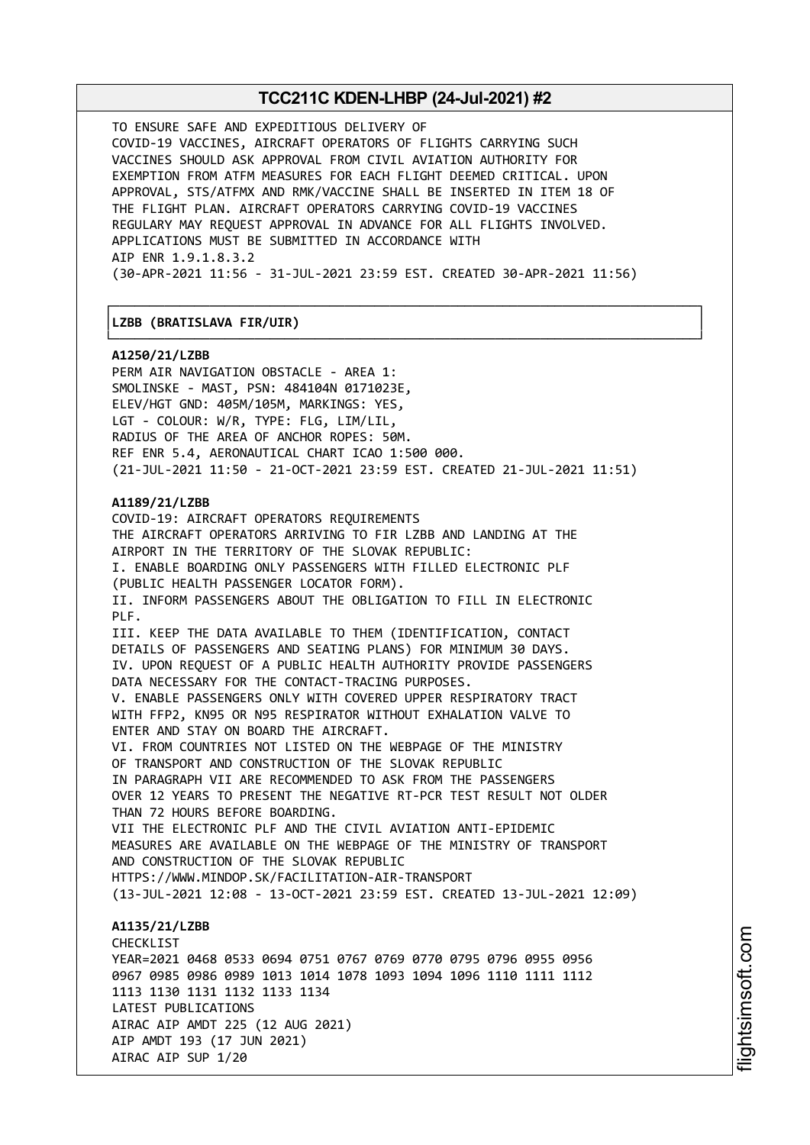┌──────────────────────────────────────────────────────────────────────────────┐

└──────────────────────────────────────────────────────────────────────────────┘

TO ENSURE SAFE AND EXPEDITIOUS DELIVERY OF COVID-19 VACCINES, AIRCRAFT OPERATORS OF FLIGHTS CARRYING SUCH VACCINES SHOULD ASK APPROVAL FROM CIVIL AVIATION AUTHORITY FOR EXEMPTION FROM ATFM MEASURES FOR EACH FLIGHT DEEMED CRITICAL. UPON APPROVAL, STS/ATFMX AND RMK/VACCINE SHALL BE INSERTED IN ITEM 18 OF THE FLIGHT PLAN. AIRCRAFT OPERATORS CARRYING COVID-19 VACCINES REGULARY MAY REQUEST APPROVAL IN ADVANCE FOR ALL FLIGHTS INVOLVED. APPLICATIONS MUST BE SUBMITTED IN ACCORDANCE WITH AIP ENR 1.9.1.8.3.2 (30-APR-2021 11:56 - 31-JUL-2021 23:59 EST. CREATED 30-APR-2021 11:56)

### │**LZBB (BRATISLAVA FIR/UIR)** │

**A1250/21/LZBB**

PERM AIR NAVIGATION OBSTACLE - AREA 1: SMOLINSKE - MAST, PSN: 484104N 0171023E, ELEV/HGT GND: 405M/105M, MARKINGS: YES, LGT - COLOUR: W/R, TYPE: FLG, LIM/LIL, RADIUS OF THE AREA OF ANCHOR ROPES: 50M. REF ENR 5.4, AERONAUTICAL CHART ICAO 1:500 000. (21-JUL-2021 11:50 - 21-OCT-2021 23:59 EST. CREATED 21-JUL-2021 11:51)

#### **A1189/21/LZBB**

LATEST PUBLICATIONS

AIRAC AIP SUP 1/20

AIRAC AIP AMDT 225 (12 AUG 2021)

AIP AMDT 193 (17 JUN 2021)

COVID-19: AIRCRAFT OPERATORS REQUIREMENTS THE AIRCRAFT OPERATORS ARRIVING TO FIR LZBB AND LANDING AT THE AIRPORT IN THE TERRITORY OF THE SLOVAK REPUBLIC: I. ENABLE BOARDING ONLY PASSENGERS WITH FILLED ELECTRONIC PLF (PUBLIC HEALTH PASSENGER LOCATOR FORM). II. INFORM PASSENGERS ABOUT THE OBLIGATION TO FILL IN ELECTRONIC PLF. III. KEEP THE DATA AVAILABLE TO THEM (IDENTIFICATION, CONTACT DETAILS OF PASSENGERS AND SEATING PLANS) FOR MINIMUM 30 DAYS. IV. UPON REQUEST OF A PUBLIC HEALTH AUTHORITY PROVIDE PASSENGERS DATA NECESSARY FOR THE CONTACT-TRACING PURPOSES. V. ENABLE PASSENGERS ONLY WITH COVERED UPPER RESPIRATORY TRACT WITH FFP2, KN95 OR N95 RESPIRATOR WITHOUT EXHALATION VALVE TO ENTER AND STAY ON BOARD THE AIRCRAFT. VI. FROM COUNTRIES NOT LISTED ON THE WEBPAGE OF THE MINISTRY OF TRANSPORT AND CONSTRUCTION OF THE SLOVAK REPUBLIC IN PARAGRAPH VII ARE RECOMMENDED TO ASK FROM THE PASSENGERS OVER 12 YEARS TO PRESENT THE NEGATIVE RT-PCR TEST RESULT NOT OLDER THAN 72 HOURS BEFORE BOARDING. VII THE ELECTRONIC PLF AND THE CIVIL AVIATION ANTI-EPIDEMIC MEASURES ARE AVAILABLE ON THE WEBPAGE OF THE MINISTRY OF TRANSPORT AND CONSTRUCTION OF THE SLOVAK REPUBLIC HTTPS://WWW.MINDOP.SK/FACILITATION-AIR-TRANSPORT (13-JUL-2021 12:08 - 13-OCT-2021 23:59 EST. CREATED 13-JUL-2021 12:09) **A1135/21/LZBB** CHECKL<sub>TST</sub> YEAR=2021 0468 0533 0694 0751 0767 0769 0770 0795 0796 0955 0956 0967 0985 0986 0989 1013 1014 1078 1093 1094 1096 1110 1111 1112 1113 1130 1131 1132 1133 1134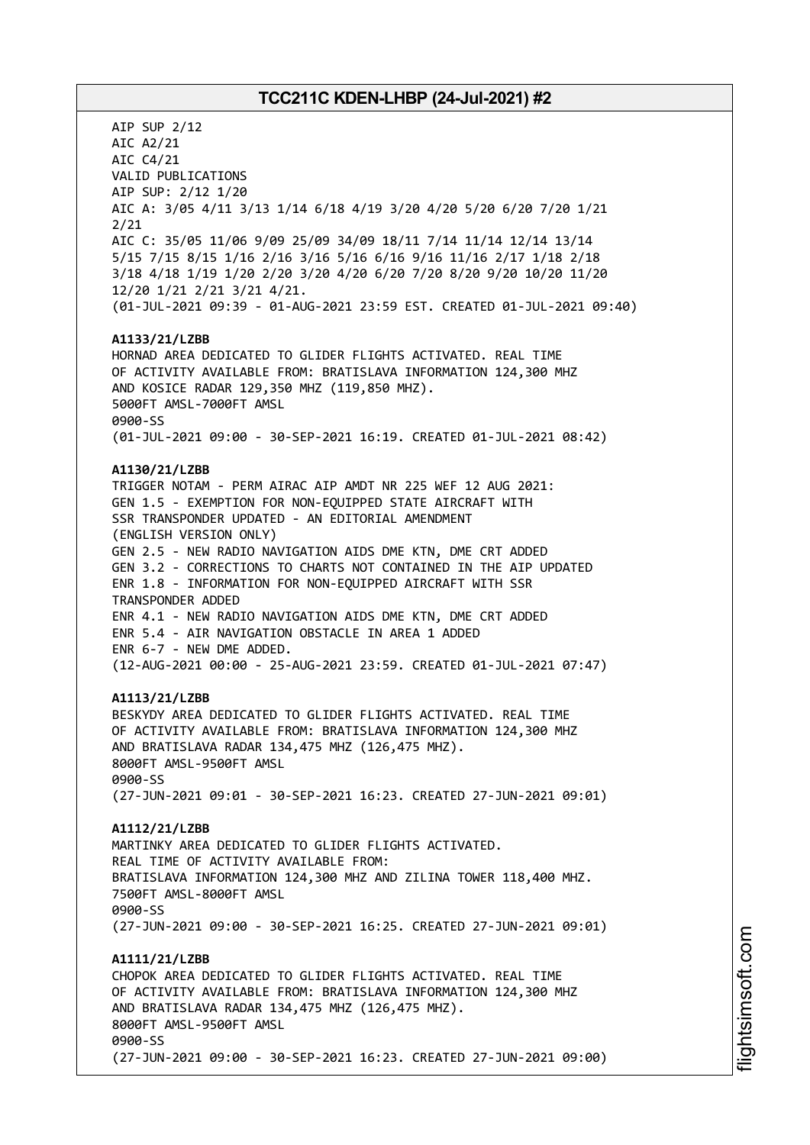AIP SUP 2/12 AIC A2/21 AIC C4/21 VALID PUBLICATIONS AIP SUP: 2/12 1/20 AIC A: 3/05 4/11 3/13 1/14 6/18 4/19 3/20 4/20 5/20 6/20 7/20 1/21 2/21 AIC C: 35/05 11/06 9/09 25/09 34/09 18/11 7/14 11/14 12/14 13/14 5/15 7/15 8/15 1/16 2/16 3/16 5/16 6/16 9/16 11/16 2/17 1/18 2/18 3/18 4/18 1/19 1/20 2/20 3/20 4/20 6/20 7/20 8/20 9/20 10/20 11/20 12/20 1/21 2/21 3/21 4/21. (01-JUL-2021 09:39 - 01-AUG-2021 23:59 EST. CREATED 01-JUL-2021 09:40) **A1133/21/LZBB** HORNAD AREA DEDICATED TO GLIDER FLIGHTS ACTIVATED. REAL TIME OF ACTIVITY AVAILABLE FROM: BRATISLAVA INFORMATION 124,300 MHZ AND KOSICE RADAR 129,350 MHZ (119,850 MHZ). 5000FT AMSL-7000FT AMSL 0900-SS (01-JUL-2021 09:00 - 30-SEP-2021 16:19. CREATED 01-JUL-2021 08:42) **A1130/21/LZBB** TRIGGER NOTAM - PERM AIRAC AIP AMDT NR 225 WEF 12 AUG 2021: GEN 1.5 - EXEMPTION FOR NON-EQUIPPED STATE AIRCRAFT WITH SSR TRANSPONDER UPDATED - AN EDITORIAL AMENDMENT (ENGLISH VERSION ONLY) GEN 2.5 - NEW RADIO NAVIGATION AIDS DME KTN, DME CRT ADDED GEN 3.2 - CORRECTIONS TO CHARTS NOT CONTAINED IN THE AIP UPDATED ENR 1.8 - INFORMATION FOR NON-EQUIPPED AIRCRAFT WITH SSR TRANSPONDER ADDED ENR 4.1 - NEW RADIO NAVIGATION AIDS DME KTN, DME CRT ADDED ENR 5.4 - AIR NAVIGATION OBSTACLE IN AREA 1 ADDED ENR 6-7 - NEW DME ADDED. (12-AUG-2021 00:00 - 25-AUG-2021 23:59. CREATED 01-JUL-2021 07:47) **A1113/21/LZBB** BESKYDY AREA DEDICATED TO GLIDER FLIGHTS ACTIVATED. REAL TIME OF ACTIVITY AVAILABLE FROM: BRATISLAVA INFORMATION 124,300 MHZ AND BRATISLAVA RADAR 134,475 MHZ (126,475 MHZ). 8000FT AMSL-9500FT AMSL 0900-SS (27-JUN-2021 09:01 - 30-SEP-2021 16:23. CREATED 27-JUN-2021 09:01) **A1112/21/LZBB** MARTINKY AREA DEDICATED TO GLIDER FLIGHTS ACTIVATED. REAL TIME OF ACTIVITY AVAILABLE FROM: BRATISLAVA INFORMATION 124,300 MHZ AND ZILINA TOWER 118,400 MHZ. 7500FT AMSL-8000FT AMSL 0900-SS (27-JUN-2021 09:00 - 30-SEP-2021 16:25. CREATED 27-JUN-2021 09:01) **A1111/21/LZBB** CHOPOK AREA DEDICATED TO GLIDER FLIGHTS ACTIVATED. REAL TIME OF ACTIVITY AVAILABLE FROM: BRATISLAVA INFORMATION 124,300 MHZ AND BRATISLAVA RADAR 134,475 MHZ (126,475 MHZ). 8000FT AMSL-9500FT AMSL 0900-SS (27-JUN-2021 09:00 - 30-SEP-2021 16:23. CREATED 27-JUN-2021 09:00)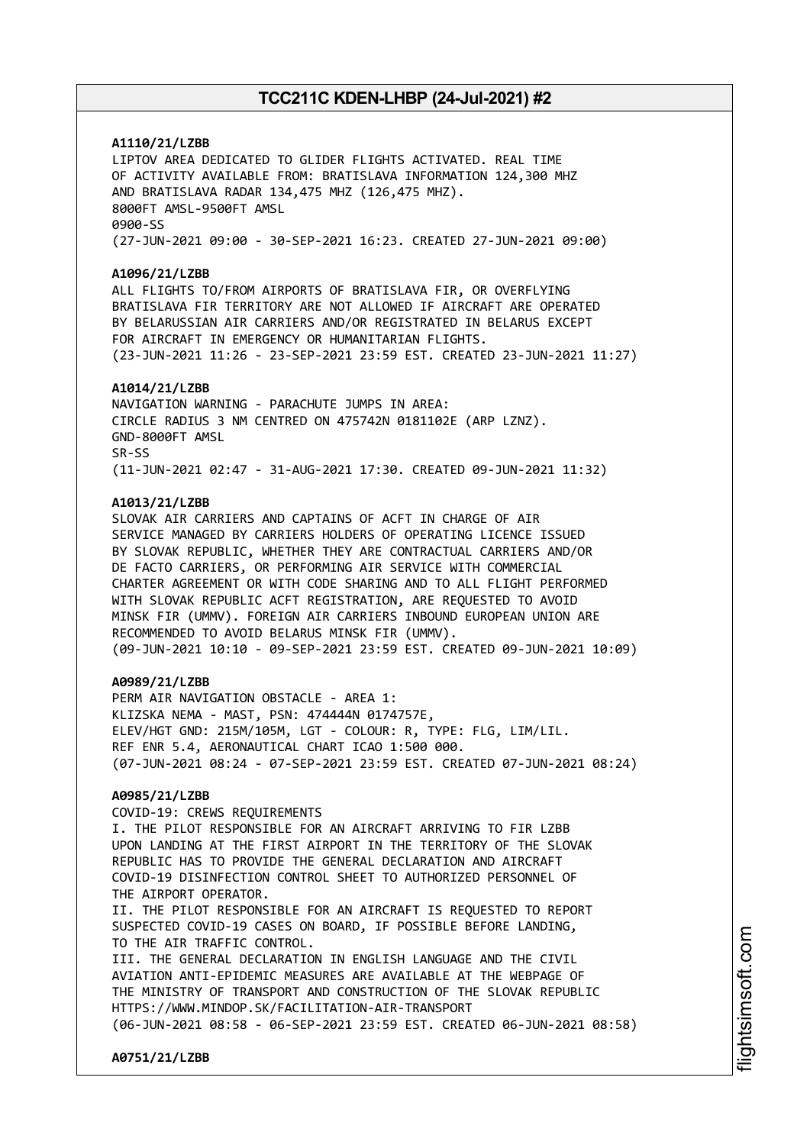# **A1110/21/LZBB**

LIPTOV AREA DEDICATED TO GLIDER FLIGHTS ACTIVATED. REAL TIME OF ACTIVITY AVAILABLE FROM: BRATISLAVA INFORMATION 124,300 MHZ AND BRATISLAVA RADAR 134,475 MHZ (126,475 MHZ). 8000FT AMSL-9500FT AMSL 0900-SS (27-JUN-2021 09:00 - 30-SEP-2021 16:23. CREATED 27-JUN-2021 09:00)

### **A1096/21/LZBB**

ALL FLIGHTS TO/FROM AIRPORTS OF BRATISLAVA FIR, OR OVERFLYING BRATISLAVA FIR TERRITORY ARE NOT ALLOWED IF AIRCRAFT ARE OPERATED BY BELARUSSIAN AIR CARRIERS AND/OR REGISTRATED IN BELARUS EXCEPT FOR AIRCRAFT IN EMERGENCY OR HUMANITARIAN FLIGHTS. (23-JUN-2021 11:26 - 23-SEP-2021 23:59 EST. CREATED 23-JUN-2021 11:27)

#### **A1014/21/LZBB**

NAVIGATION WARNING - PARACHUTE JUMPS IN AREA: CIRCLE RADIUS 3 NM CENTRED ON 475742N 0181102E (ARP LZNZ). GND-8000FT AMSL SR-SS (11-JUN-2021 02:47 - 31-AUG-2021 17:30. CREATED 09-JUN-2021 11:32)

#### **A1013/21/LZBB**

SLOVAK AIR CARRIERS AND CAPTAINS OF ACFT IN CHARGE OF AIR SERVICE MANAGED BY CARRIERS HOLDERS OF OPERATING LICENCE ISSUED BY SLOVAK REPUBLIC, WHETHER THEY ARE CONTRACTUAL CARRIERS AND/OR DE FACTO CARRIERS, OR PERFORMING AIR SERVICE WITH COMMERCIAL CHARTER AGREEMENT OR WITH CODE SHARING AND TO ALL FLIGHT PERFORMED WITH SLOVAK REPUBLIC ACFT REGISTRATION, ARE REQUESTED TO AVOID MINSK FIR (UMMV). FOREIGN AIR CARRIERS INBOUND EUROPEAN UNION ARE RECOMMENDED TO AVOID BELARUS MINSK FIR (UMMV). (09-JUN-2021 10:10 - 09-SEP-2021 23:59 EST. CREATED 09-JUN-2021 10:09)

### **A0989/21/LZBB**

PERM AIR NAVIGATION OBSTACLE - AREA 1: KLIZSKA NEMA - MAST, PSN: 474444N 0174757E, ELEV/HGT GND: 215M/105M, LGT - COLOUR: R, TYPE: FLG, LIM/LIL. REF ENR 5.4, AERONAUTICAL CHART ICAO 1:500 000. (07-JUN-2021 08:24 - 07-SEP-2021 23:59 EST. CREATED 07-JUN-2021 08:24)

## **A0985/21/LZBB**

**A0751/21/LZBB**

COVID-19: CREWS REQUIREMENTS I. THE PILOT RESPONSIBLE FOR AN AIRCRAFT ARRIVING TO FIR LZBB UPON LANDING AT THE FIRST AIRPORT IN THE TERRITORY OF THE SLOVAK REPUBLIC HAS TO PROVIDE THE GENERAL DECLARATION AND AIRCRAFT COVID-19 DISINFECTION CONTROL SHEET TO AUTHORIZED PERSONNEL OF THE AIRPORT OPERATOR. II. THE PILOT RESPONSIBLE FOR AN AIRCRAFT IS REQUESTED TO REPORT SUSPECTED COVID-19 CASES ON BOARD, IF POSSIBLE BEFORE LANDING, TO THE AIR TRAFFIC CONTROL. III. THE GENERAL DECLARATION IN ENGLISH LANGUAGE AND THE CIVIL AVIATION ANTI-EPIDEMIC MEASURES ARE AVAILABLE AT THE WEBPAGE OF THE MINISTRY OF TRANSPORT AND CONSTRUCTION OF THE SLOVAK REPUBLIC HTTPS://WWW.MINDOP.SK/FACILITATION-AIR-TRANSPORT (06-JUN-2021 08:58 - 06-SEP-2021 23:59 EST. CREATED 06-JUN-2021 08:58)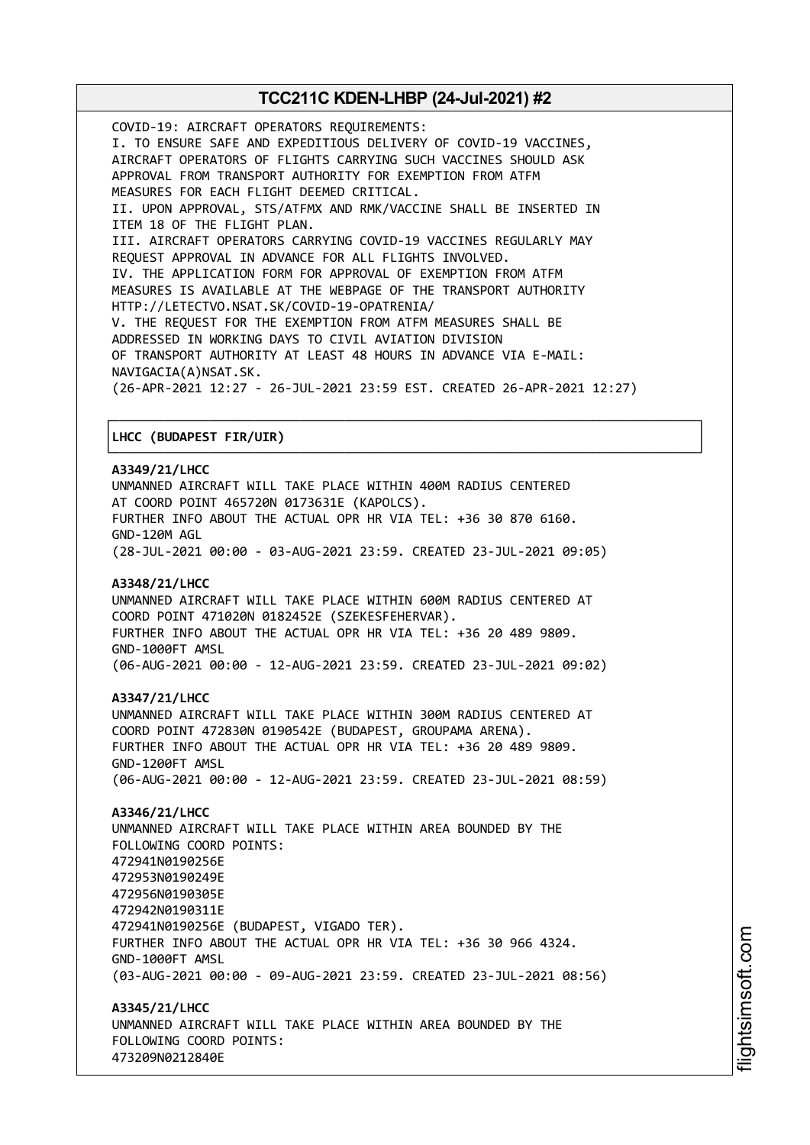COVID-19: AIRCRAFT OPERATORS REQUIREMENTS: I. TO ENSURE SAFE AND EXPEDITIOUS DELIVERY OF COVID-19 VACCINES, AIRCRAFT OPERATORS OF FLIGHTS CARRYING SUCH VACCINES SHOULD ASK APPROVAL FROM TRANSPORT AUTHORITY FOR EXEMPTION FROM ATFM MEASURES FOR EACH FLIGHT DEEMED CRITICAL. II. UPON APPROVAL, STS/ATFMX AND RMK/VACCINE SHALL BE INSERTED IN ITEM 18 OF THE FLIGHT PLAN. III. AIRCRAFT OPERATORS CARRYING COVID-19 VACCINES REGULARLY MAY REQUEST APPROVAL IN ADVANCE FOR ALL FLIGHTS INVOLVED. IV. THE APPLICATION FORM FOR APPROVAL OF EXEMPTION FROM ATFM MEASURES IS AVAILABLE AT THE WEBPAGE OF THE TRANSPORT AUTHORITY HTTP://LETECTVO.NSAT.SK/COVID-19-OPATRENIA/ V. THE REQUEST FOR THE EXEMPTION FROM ATFM MEASURES SHALL BE ADDRESSED IN WORKING DAYS TO CIVIL AVIATION DIVISION OF TRANSPORT AUTHORITY AT LEAST 48 HOURS IN ADVANCE VIA E-MAIL: NAVIGACIA(A)NSAT.SK. (26-APR-2021 12:27 - 26-JUL-2021 23:59 EST. CREATED 26-APR-2021 12:27)

## │**LHCC (BUDAPEST FIR/UIR)** │

### **A3349/21/LHCC**

UNMANNED AIRCRAFT WILL TAKE PLACE WITHIN 400M RADIUS CENTERED AT COORD POINT 465720N 0173631E (KAPOLCS). FURTHER INFO ABOUT THE ACTUAL OPR HR VIA TEL: +36 30 870 6160. GND-120M AGL (28-JUL-2021 00:00 - 03-AUG-2021 23:59. CREATED 23-JUL-2021 09:05)

┌──────────────────────────────────────────────────────────────────────────────┐

└──────────────────────────────────────────────────────────────────────────────┘

### **A3348/21/LHCC**

UNMANNED AIRCRAFT WILL TAKE PLACE WITHIN 600M RADIUS CENTERED AT COORD POINT 471020N 0182452E (SZEKESFEHERVAR). FURTHER INFO ABOUT THE ACTUAL OPR HR VIA TEL: +36 20 489 9809. GND-1000FT AMSL (06-AUG-2021 00:00 - 12-AUG-2021 23:59. CREATED 23-JUL-2021 09:02)

### **A3347/21/LHCC**

UNMANNED AIRCRAFT WILL TAKE PLACE WITHIN 300M RADIUS CENTERED AT COORD POINT 472830N 0190542E (BUDAPEST, GROUPAMA ARENA). FURTHER INFO ABOUT THE ACTUAL OPR HR VIA TEL: +36 20 489 9809. GND-1200FT AMSL (06-AUG-2021 00:00 - 12-AUG-2021 23:59. CREATED 23-JUL-2021 08:59)

### **A3346/21/LHCC**

UNMANNED AIRCRAFT WILL TAKE PLACE WITHIN AREA BOUNDED BY THE FOLLOWING COORD POINTS: 472941N0190256E 472953N0190249E 472956N0190305E 472942N0190311E 472941N0190256E (BUDAPEST, VIGADO TER). FURTHER INFO ABOUT THE ACTUAL OPR HR VIA TEL: +36 30 966 4324. GND-1000FT AMSL (03-AUG-2021 00:00 - 09-AUG-2021 23:59. CREATED 23-JUL-2021 08:56)

**A3345/21/LHCC** UNMANNED AIRCRAFT WILL TAKE PLACE WITHIN AREA BOUNDED BY THE FOLLOWING COORD POINTS: 473209N0212840E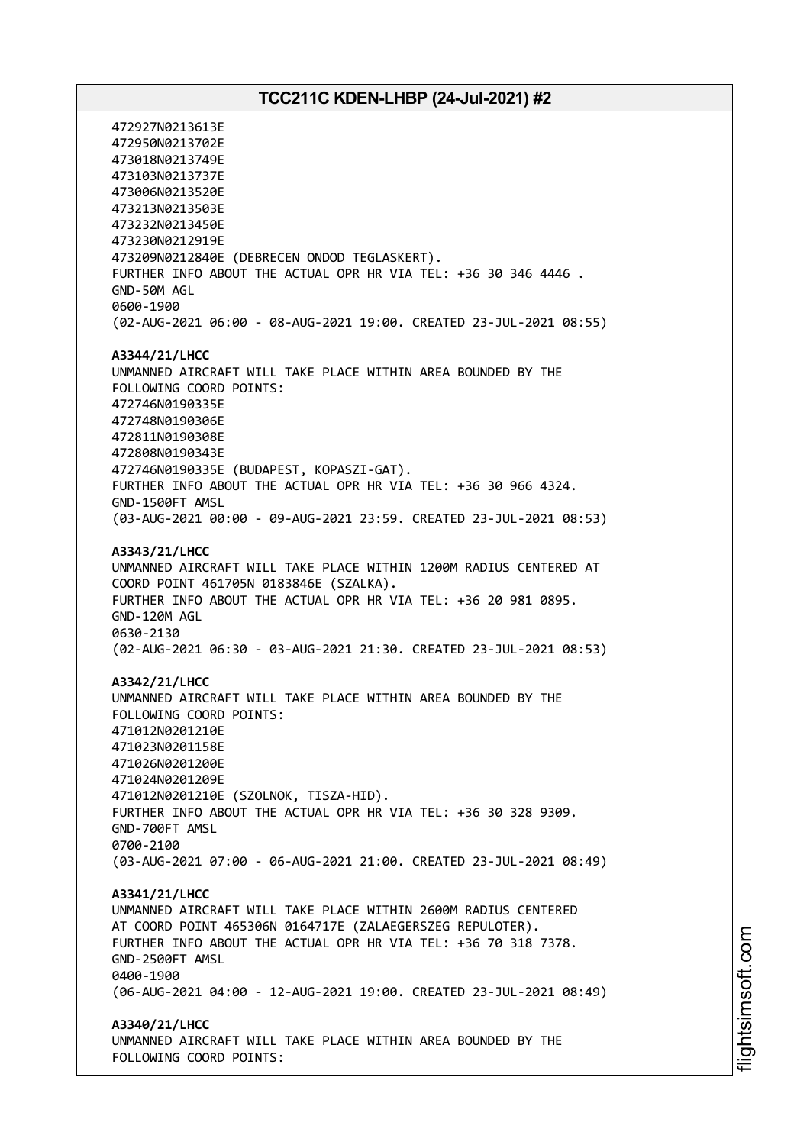472927N0213613E 472950N0213702E 473018N0213749E 473103N0213737E 473006N0213520E 473213N0213503E 473232N0213450E 473230N0212919E 473209N0212840E (DEBRECEN ONDOD TEGLASKERT). FURTHER INFO ABOUT THE ACTUAL OPR HR VIA TEL: +36 30 346 4446 . GND-50M AGL 0600-1900 (02-AUG-2021 06:00 - 08-AUG-2021 19:00. CREATED 23-JUL-2021 08:55) **A3344/21/LHCC** UNMANNED AIRCRAFT WILL TAKE PLACE WITHIN AREA BOUNDED BY THE FOLLOWING COORD POINTS: 472746N0190335E 472748N0190306E 472811N0190308E 472808N0190343E 472746N0190335E (BUDAPEST, KOPASZI-GAT). FURTHER INFO ABOUT THE ACTUAL OPR HR VIA TEL: +36 30 966 4324. GND-1500FT AMSL (03-AUG-2021 00:00 - 09-AUG-2021 23:59. CREATED 23-JUL-2021 08:53) **A3343/21/LHCC** UNMANNED AIRCRAFT WILL TAKE PLACE WITHIN 1200M RADIUS CENTERED AT COORD POINT 461705N 0183846E (SZALKA). FURTHER INFO ABOUT THE ACTUAL OPR HR VIA TEL: +36 20 981 0895. GND-120M AGL 0630-2130 (02-AUG-2021 06:30 - 03-AUG-2021 21:30. CREATED 23-JUL-2021 08:53) **A3342/21/LHCC** UNMANNED AIRCRAFT WILL TAKE PLACE WITHIN AREA BOUNDED BY THE FOLLOWING COORD POINTS: 471012N0201210E 471023N0201158E 471026N0201200E 471024N0201209E 471012N0201210E (SZOLNOK, TISZA-HID). FURTHER INFO ABOUT THE ACTUAL OPR HR VIA TEL: +36 30 328 9309. GND-700FT AMSL 0700-2100 (03-AUG-2021 07:00 - 06-AUG-2021 21:00. CREATED 23-JUL-2021 08:49) **A3341/21/LHCC** UNMANNED AIRCRAFT WILL TAKE PLACE WITHIN 2600M RADIUS CENTERED AT COORD POINT 465306N 0164717E (ZALAEGERSZEG REPULOTER). FURTHER INFO ABOUT THE ACTUAL OPR HR VIA TEL: +36 70 318 7378. GND-2500FT AMSL 0400-1900 (06-AUG-2021 04:00 - 12-AUG-2021 19:00. CREATED 23-JUL-2021 08:49) **A3340/21/LHCC** UNMANNED AIRCRAFT WILL TAKE PLACE WITHIN AREA BOUNDED BY THE FOLLOWING COORD POINTS: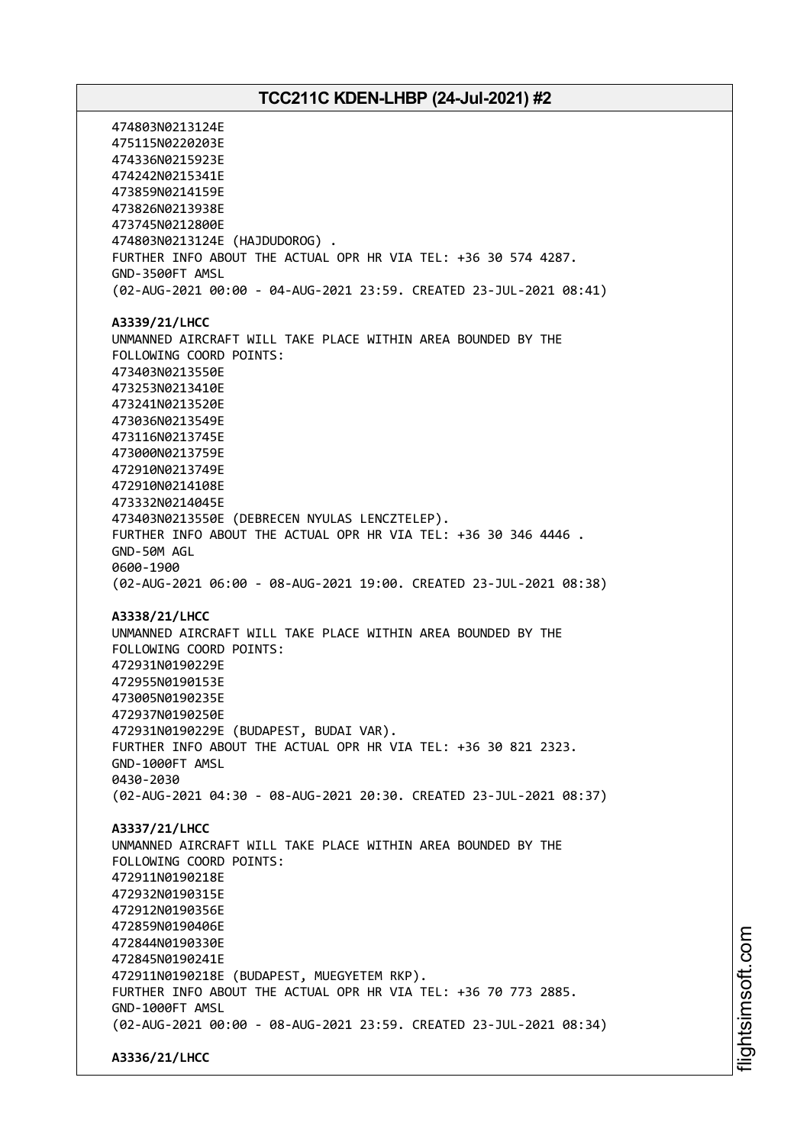474803N0213124E 475115N0220203E 474336N0215923E 474242N0215341E 473859N0214159E 473826N0213938E 473745N0212800E 474803N0213124E (HAJDUDOROG) . FURTHER INFO ABOUT THE ACTUAL OPR HR VIA TEL: +36 30 574 4287. GND-3500FT AMSL (02-AUG-2021 00:00 - 04-AUG-2021 23:59. CREATED 23-JUL-2021 08:41) **A3339/21/LHCC** UNMANNED AIRCRAFT WILL TAKE PLACE WITHIN AREA BOUNDED BY THE FOLLOWING COORD POINTS: 473403N0213550E 473253N0213410E 473241N0213520E 473036N0213549E 473116N0213745E 473000N0213759E 472910N0213749E 472910N0214108E 473332N0214045E 473403N0213550E (DEBRECEN NYULAS LENCZTELEP). FURTHER INFO ABOUT THE ACTUAL OPR HR VIA TEL: +36 30 346 4446 . GND-50M AGL 0600-1900 (02-AUG-2021 06:00 - 08-AUG-2021 19:00. CREATED 23-JUL-2021 08:38) **A3338/21/LHCC** UNMANNED AIRCRAFT WILL TAKE PLACE WITHIN AREA BOUNDED BY THE FOLLOWING COORD POINTS: 472931N0190229E 472955N0190153E 473005N0190235E 472937N0190250E 472931N0190229E (BUDAPEST, BUDAI VAR). FURTHER INFO ABOUT THE ACTUAL OPR HR VIA TEL: +36 30 821 2323. GND-1000FT AMSL 0430-2030 (02-AUG-2021 04:30 - 08-AUG-2021 20:30. CREATED 23-JUL-2021 08:37) **A3337/21/LHCC** UNMANNED AIRCRAFT WILL TAKE PLACE WITHIN AREA BOUNDED BY THE FOLLOWING COORD POINTS: 472911N0190218E 472932N0190315E 472912N0190356E 472859N0190406E 472844N0190330E 472845N0190241E 472911N0190218E (BUDAPEST, MUEGYETEM RKP). FURTHER INFO ABOUT THE ACTUAL OPR HR VIA TEL: +36 70 773 2885. GND-1000FT AMSL (02-AUG-2021 00:00 - 08-AUG-2021 23:59. CREATED 23-JUL-2021 08:34) **A3336/21/LHCC**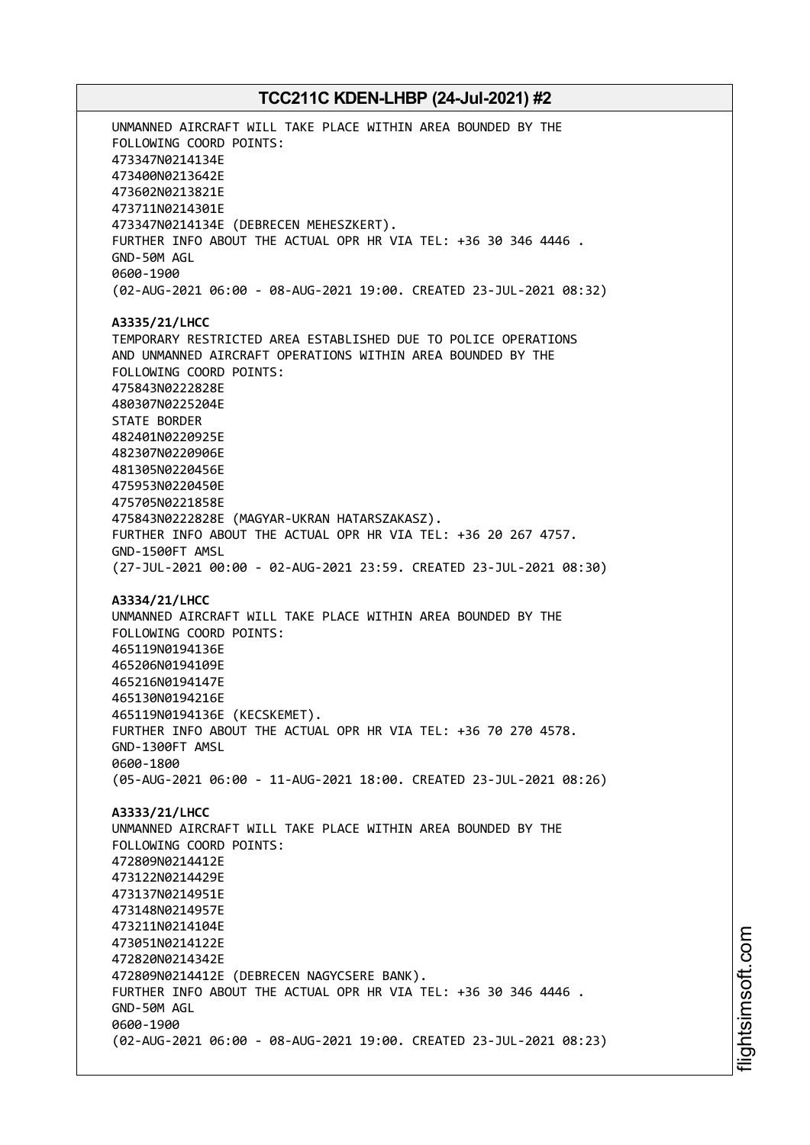UNMANNED AIRCRAFT WILL TAKE PLACE WITHIN AREA BOUNDED BY THE FOLLOWING COORD POINTS: 473347N0214134E 473400N0213642E 473602N0213821E 473711N0214301E 473347N0214134E (DEBRECEN MEHESZKERT). FURTHER INFO ABOUT THE ACTUAL OPR HR VIA TEL: +36 30 346 4446 . GND-50M AGL 0600-1900 (02-AUG-2021 06:00 - 08-AUG-2021 19:00. CREATED 23-JUL-2021 08:32) **A3335/21/LHCC** TEMPORARY RESTRICTED AREA ESTABLISHED DUE TO POLICE OPERATIONS AND UNMANNED AIRCRAFT OPERATIONS WITHIN AREA BOUNDED BY THE FOLLOWING COORD POINTS: 475843N0222828E 480307N0225204E STATE BORDER 482401N0220925E 482307N0220906E 481305N0220456E 475953N0220450E 475705N0221858E 475843N0222828E (MAGYAR-UKRAN HATARSZAKASZ). FURTHER INFO ABOUT THE ACTUAL OPR HR VIA TEL: +36 20 267 4757. GND-1500FT AMSL (27-JUL-2021 00:00 - 02-AUG-2021 23:59. CREATED 23-JUL-2021 08:30) **A3334/21/LHCC** UNMANNED AIRCRAFT WILL TAKE PLACE WITHIN AREA BOUNDED BY THE FOLLOWING COORD POINTS: 465119N0194136E 465206N0194109E 465216N0194147E 465130N0194216E 465119N0194136E (KECSKEMET). FURTHER INFO ABOUT THE ACTUAL OPR HR VIA TEL: +36 70 270 4578. GND-1300FT AMSL 0600-1800 (05-AUG-2021 06:00 - 11-AUG-2021 18:00. CREATED 23-JUL-2021 08:26) **A3333/21/LHCC** UNMANNED AIRCRAFT WILL TAKE PLACE WITHIN AREA BOUNDED BY THE FOLLOWING COORD POINTS: 472809N0214412E 473122N0214429E 473137N0214951E 473148N0214957E 473211N0214104E 473051N0214122E 472820N0214342E 472809N0214412E (DEBRECEN NAGYCSERE BANK). FURTHER INFO ABOUT THE ACTUAL OPR HR VIA TEL: +36 30 346 4446 . GND-50M AGL 0600-1900 (02-AUG-2021 06:00 - 08-AUG-2021 19:00. CREATED 23-JUL-2021 08:23)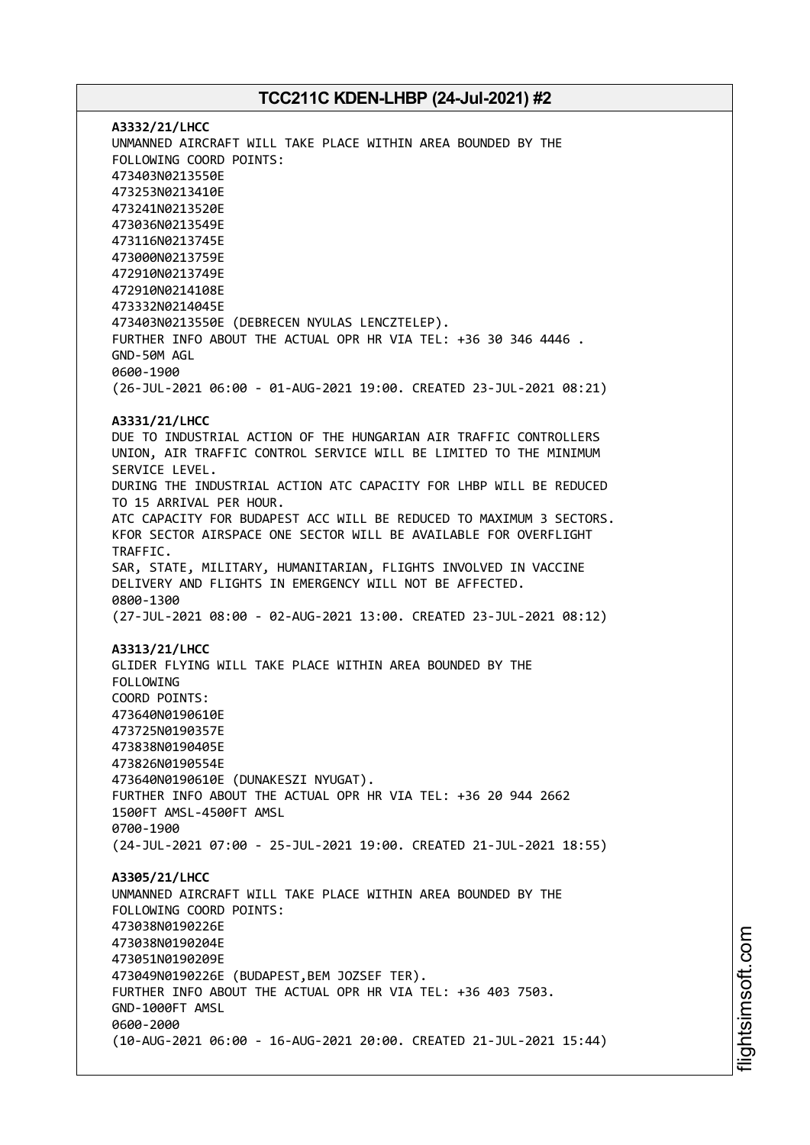**A3332/21/LHCC** UNMANNED AIRCRAFT WILL TAKE PLACE WITHIN AREA BOUNDED BY THE FOLLOWING COORD POINTS: 473403N0213550E 473253N0213410E 473241N0213520E 473036N0213549E 473116N0213745E 473000N0213759E 472910N0213749E 472910N0214108E 473332N0214045E 473403N0213550E (DEBRECEN NYULAS LENCZTELEP). FURTHER INFO ABOUT THE ACTUAL OPR HR VIA TEL: +36 30 346 4446 . GND-50M AGL 0600-1900 (26-JUL-2021 06:00 - 01-AUG-2021 19:00. CREATED 23-JUL-2021 08:21) **A3331/21/LHCC** DUE TO INDUSTRIAL ACTION OF THE HUNGARIAN AIR TRAFFIC CONTROLLERS UNION, AIR TRAFFIC CONTROL SERVICE WILL BE LIMITED TO THE MINIMUM SERVICE LEVEL. DURING THE INDUSTRIAL ACTION ATC CAPACITY FOR LHBP WILL BE REDUCED TO 15 ARRIVAL PER HOUR. ATC CAPACITY FOR BUDAPEST ACC WILL BE REDUCED TO MAXIMUM 3 SECTORS. KFOR SECTOR AIRSPACE ONE SECTOR WILL BE AVAILABLE FOR OVERFLIGHT TRAFFIC. SAR, STATE, MILITARY, HUMANITARIAN, FLIGHTS INVOLVED IN VACCINE DELIVERY AND FLIGHTS IN EMERGENCY WILL NOT BE AFFECTED. 0800-1300 (27-JUL-2021 08:00 - 02-AUG-2021 13:00. CREATED 23-JUL-2021 08:12) **A3313/21/LHCC** GLIDER FLYING WILL TAKE PLACE WITHIN AREA BOUNDED BY THE FOLLOWING COORD POINTS: 473640N0190610E 473725N0190357E 473838N0190405E 473826N0190554E 473640N0190610E (DUNAKESZI NYUGAT). FURTHER INFO ABOUT THE ACTUAL OPR HR VIA TEL: +36 20 944 2662 1500FT AMSL-4500FT AMSL 0700-1900 (24-JUL-2021 07:00 - 25-JUL-2021 19:00. CREATED 21-JUL-2021 18:55) **A3305/21/LHCC** UNMANNED AIRCRAFT WILL TAKE PLACE WITHIN AREA BOUNDED BY THE FOLLOWING COORD POINTS: 473038N0190226E 473038N0190204E 473051N0190209E 473049N0190226E (BUDAPEST,BEM JOZSEF TER). FURTHER INFO ABOUT THE ACTUAL OPR HR VIA TEL: +36 403 7503. GND-1000FT AMSL 0600-2000 (10-AUG-2021 06:00 - 16-AUG-2021 20:00. CREATED 21-JUL-2021 15:44)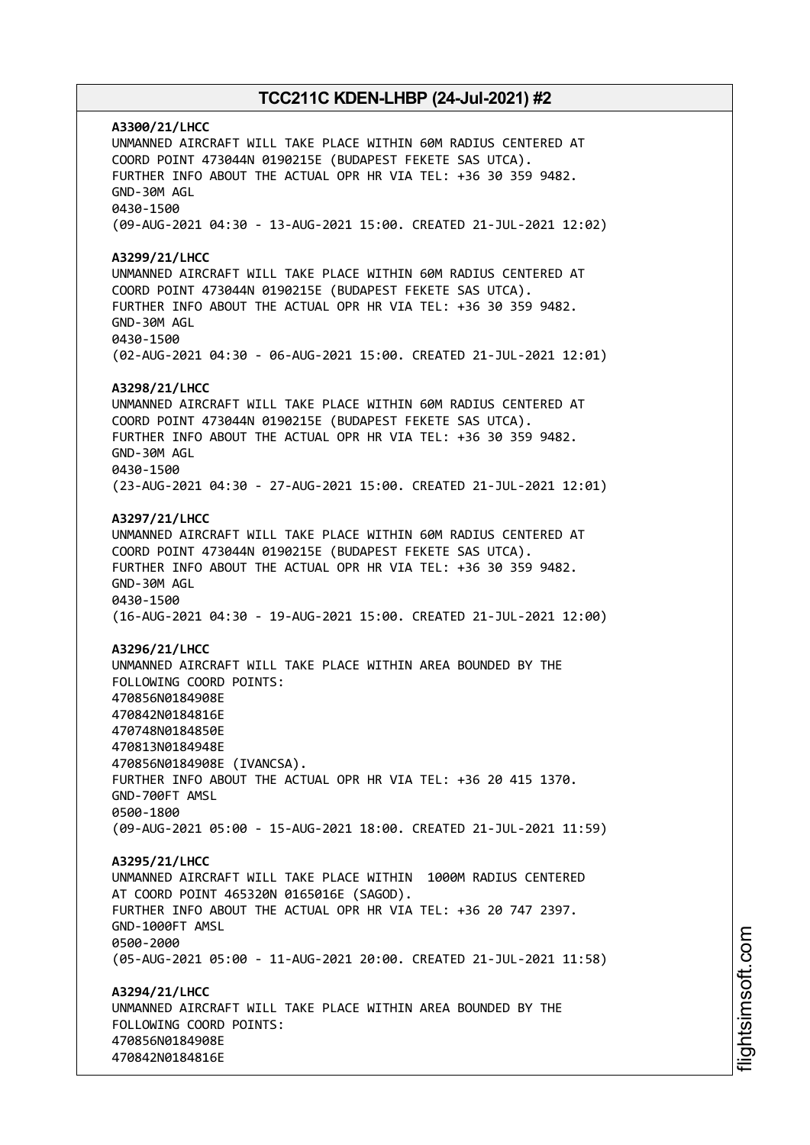**A3300/21/LHCC** UNMANNED AIRCRAFT WILL TAKE PLACE WITHIN 60M RADIUS CENTERED AT COORD POINT 473044N 0190215E (BUDAPEST FEKETE SAS UTCA). FURTHER INFO ABOUT THE ACTUAL OPR HR VIA TEL: +36 30 359 9482. GND-30M AGL 0430-1500 (09-AUG-2021 04:30 - 13-AUG-2021 15:00. CREATED 21-JUL-2021 12:02) **A3299/21/LHCC** UNMANNED AIRCRAFT WILL TAKE PLACE WITHIN 60M RADIUS CENTERED AT COORD POINT 473044N 0190215E (BUDAPEST FEKETE SAS UTCA). FURTHER INFO ABOUT THE ACTUAL OPR HR VIA TEL: +36 30 359 9482. GND-30M AGL 0430-1500 (02-AUG-2021 04:30 - 06-AUG-2021 15:00. CREATED 21-JUL-2021 12:01) **A3298/21/LHCC** UNMANNED AIRCRAFT WILL TAKE PLACE WITHIN 60M RADIUS CENTERED AT COORD POINT 473044N 0190215E (BUDAPEST FEKETE SAS UTCA). FURTHER INFO ABOUT THE ACTUAL OPR HR VIA TEL: +36 30 359 9482. GND-30M AGL 0430-1500 (23-AUG-2021 04:30 - 27-AUG-2021 15:00. CREATED 21-JUL-2021 12:01) **A3297/21/LHCC** UNMANNED AIRCRAFT WILL TAKE PLACE WITHIN 60M RADIUS CENTERED AT COORD POINT 473044N 0190215E (BUDAPEST FEKETE SAS UTCA). FURTHER INFO ABOUT THE ACTUAL OPR HR VIA TEL: +36 30 359 9482. GND-30M AGL 0430-1500 (16-AUG-2021 04:30 - 19-AUG-2021 15:00. CREATED 21-JUL-2021 12:00) **A3296/21/LHCC** UNMANNED AIRCRAFT WILL TAKE PLACE WITHIN AREA BOUNDED BY THE FOLLOWING COORD POINTS: 470856N0184908E 470842N0184816E 470748N0184850E 470813N0184948E 470856N0184908E (IVANCSA). FURTHER INFO ABOUT THE ACTUAL OPR HR VIA TEL: +36 20 415 1370. GND-700FT AMSL 0500-1800 (09-AUG-2021 05:00 - 15-AUG-2021 18:00. CREATED 21-JUL-2021 11:59) **A3295/21/LHCC** UNMANNED AIRCRAFT WILL TAKE PLACE WITHIN 1000M RADIUS CENTERED AT COORD POINT 465320N 0165016E (SAGOD). FURTHER INFO ABOUT THE ACTUAL OPR HR VIA TEL: +36 20 747 2397. GND-1000FT AMSL 0500-2000 (05-AUG-2021 05:00 - 11-AUG-2021 20:00. CREATED 21-JUL-2021 11:58) **A3294/21/LHCC** UNMANNED AIRCRAFT WILL TAKE PLACE WITHIN AREA BOUNDED BY THE FOLLOWING COORD POINTS: 470856N0184908E 470842N0184816E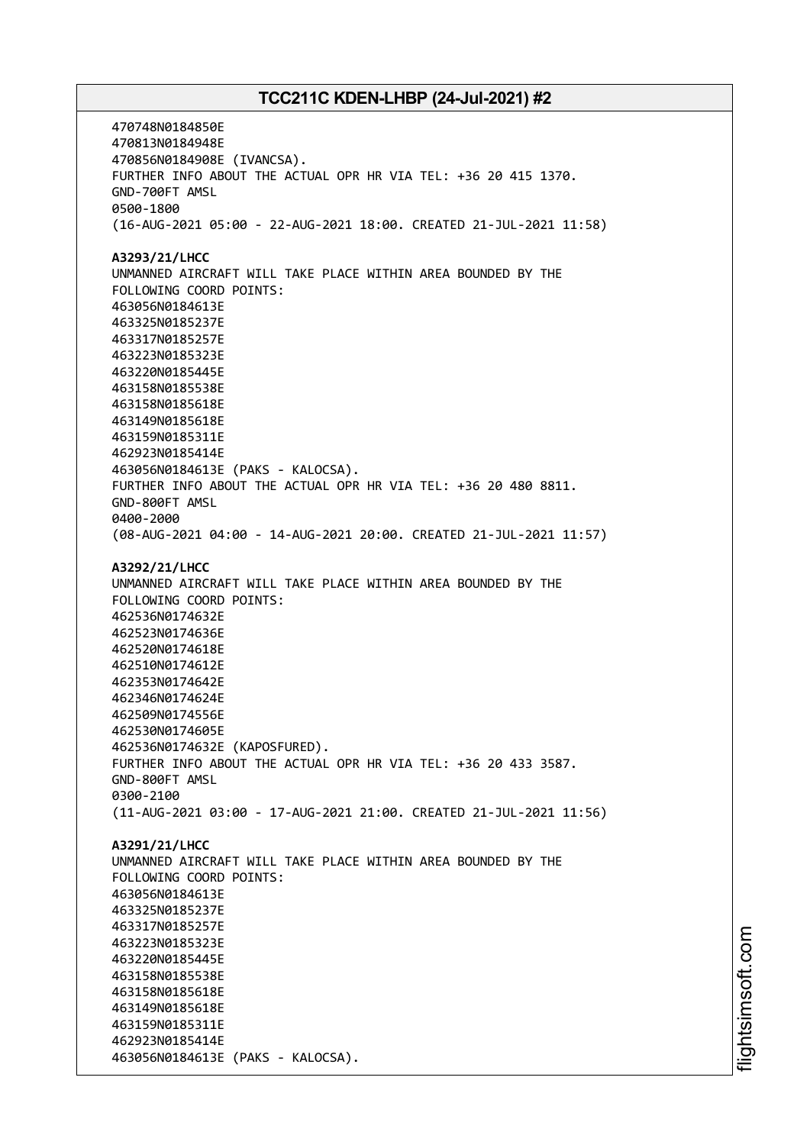470748N0184850E 470813N0184948E 470856N0184908E (IVANCSA). FURTHER INFO ABOUT THE ACTUAL OPR HR VIA TEL: +36 20 415 1370. GND-700FT AMSL 0500-1800 (16-AUG-2021 05:00 - 22-AUG-2021 18:00. CREATED 21-JUL-2021 11:58) **A3293/21/LHCC** UNMANNED AIRCRAFT WILL TAKE PLACE WITHIN AREA BOUNDED BY THE FOLLOWING COORD POINTS: 463056N0184613E 463325N0185237E 463317N0185257E 463223N0185323E 463220N0185445E 463158N0185538E 463158N0185618E 463149N0185618E 463159N0185311E 462923N0185414E 463056N0184613E (PAKS - KALOCSA). FURTHER INFO ABOUT THE ACTUAL OPR HR VIA TEL: +36 20 480 8811. GND-800FT AMSL 0400-2000 (08-AUG-2021 04:00 - 14-AUG-2021 20:00. CREATED 21-JUL-2021 11:57) **A3292/21/LHCC** UNMANNED AIRCRAFT WILL TAKE PLACE WITHIN AREA BOUNDED BY THE FOLLOWING COORD POINTS: 462536N0174632E 462523N0174636E 462520N0174618E 462510N0174612E 462353N0174642E 462346N0174624E 462509N0174556E 462530N0174605E 462536N0174632E (KAPOSFURED). FURTHER INFO ABOUT THE ACTUAL OPR HR VIA TEL: +36 20 433 3587. GND-800FT AMSL 0300-2100 (11-AUG-2021 03:00 - 17-AUG-2021 21:00. CREATED 21-JUL-2021 11:56) **A3291/21/LHCC** UNMANNED AIRCRAFT WILL TAKE PLACE WITHIN AREA BOUNDED BY THE FOLLOWING COORD POINTS: 463056N0184613E 463325N0185237E 463317N0185257E 463223N0185323E 463220N0185445E 463158N0185538E 463158N0185618E 463149N0185618E 463159N0185311E 462923N0185414E 463056N0184613E (PAKS - KALOCSA).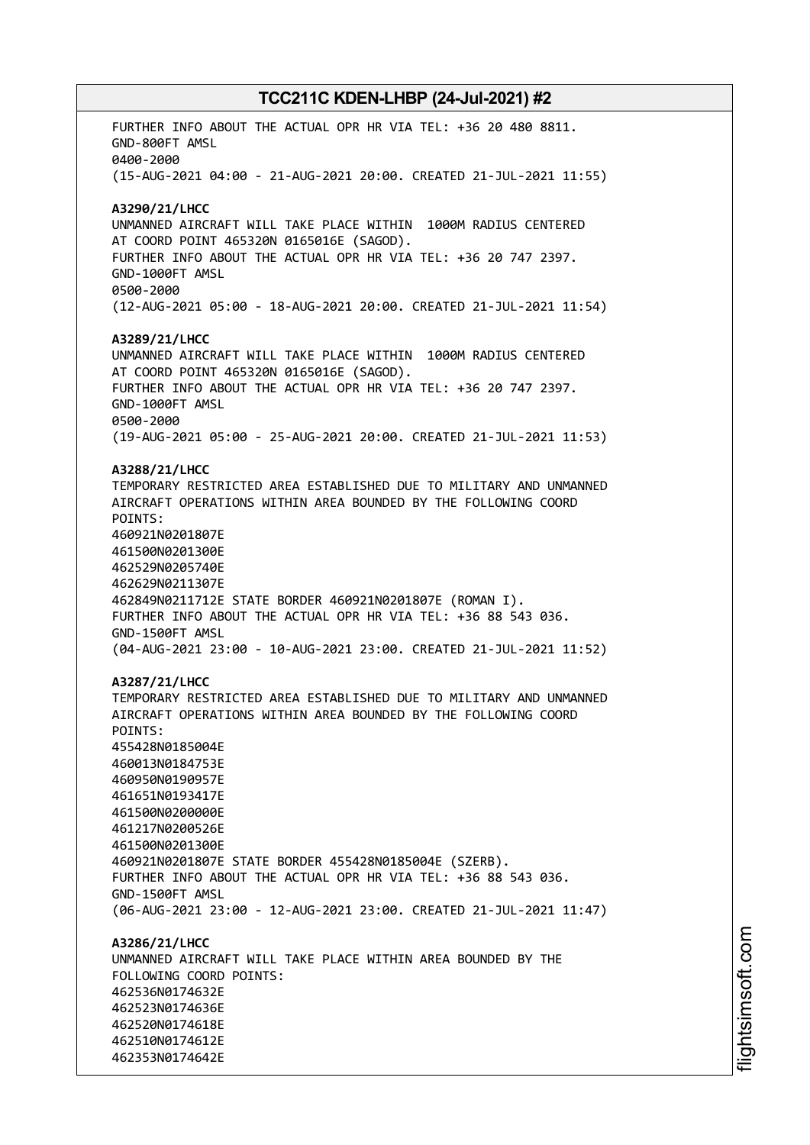FURTHER INFO ABOUT THE ACTUAL OPR HR VIA TEL: +36 20 480 8811. GND-800FT AMSL 0400-2000 (15-AUG-2021 04:00 - 21-AUG-2021 20:00. CREATED 21-JUL-2021 11:55) **A3290/21/LHCC** UNMANNED AIRCRAFT WILL TAKE PLACE WITHIN 1000M RADIUS CENTERED AT COORD POINT 465320N 0165016E (SAGOD). FURTHER INFO ABOUT THE ACTUAL OPR HR VIA TEL: +36 20 747 2397. GND-1000FT AMSL 0500-2000 (12-AUG-2021 05:00 - 18-AUG-2021 20:00. CREATED 21-JUL-2021 11:54) **A3289/21/LHCC** UNMANNED AIRCRAFT WILL TAKE PLACE WITHIN 1000M RADIUS CENTERED AT COORD POINT 465320N 0165016E (SAGOD). FURTHER INFO ABOUT THE ACTUAL OPR HR VIA TEL: +36 20 747 2397. GND-1000FT AMSL 0500-2000 (19-AUG-2021 05:00 - 25-AUG-2021 20:00. CREATED 21-JUL-2021 11:53) **A3288/21/LHCC** TEMPORARY RESTRICTED AREA ESTABLISHED DUE TO MILITARY AND UNMANNED AIRCRAFT OPERATIONS WITHIN AREA BOUNDED BY THE FOLLOWING COORD POINTS: 460921N0201807E 461500N0201300E 462529N0205740E 462629N0211307E 462849N0211712E STATE BORDER 460921N0201807E (ROMAN I). FURTHER INFO ABOUT THE ACTUAL OPR HR VIA TEL: +36 88 543 036. GND-1500FT AMSL (04-AUG-2021 23:00 - 10-AUG-2021 23:00. CREATED 21-JUL-2021 11:52) **A3287/21/LHCC** TEMPORARY RESTRICTED AREA ESTABLISHED DUE TO MILITARY AND UNMANNED AIRCRAFT OPERATIONS WITHIN AREA BOUNDED BY THE FOLLOWING COORD POINTS: 455428N0185004E 460013N0184753E 460950N0190957E 461651N0193417E 461500N0200000E 461217N0200526E 461500N0201300E 460921N0201807E STATE BORDER 455428N0185004E (SZERB). FURTHER INFO ABOUT THE ACTUAL OPR HR VIA TEL: +36 88 543 036. GND-1500FT AMSL (06-AUG-2021 23:00 - 12-AUG-2021 23:00. CREATED 21-JUL-2021 11:47) **A3286/21/LHCC** UNMANNED AIRCRAFT WILL TAKE PLACE WITHIN AREA BOUNDED BY THE FOLLOWING COORD POINTS: 462536N0174632E 462523N0174636E 462520N0174618E 462510N0174612E 462353N0174642E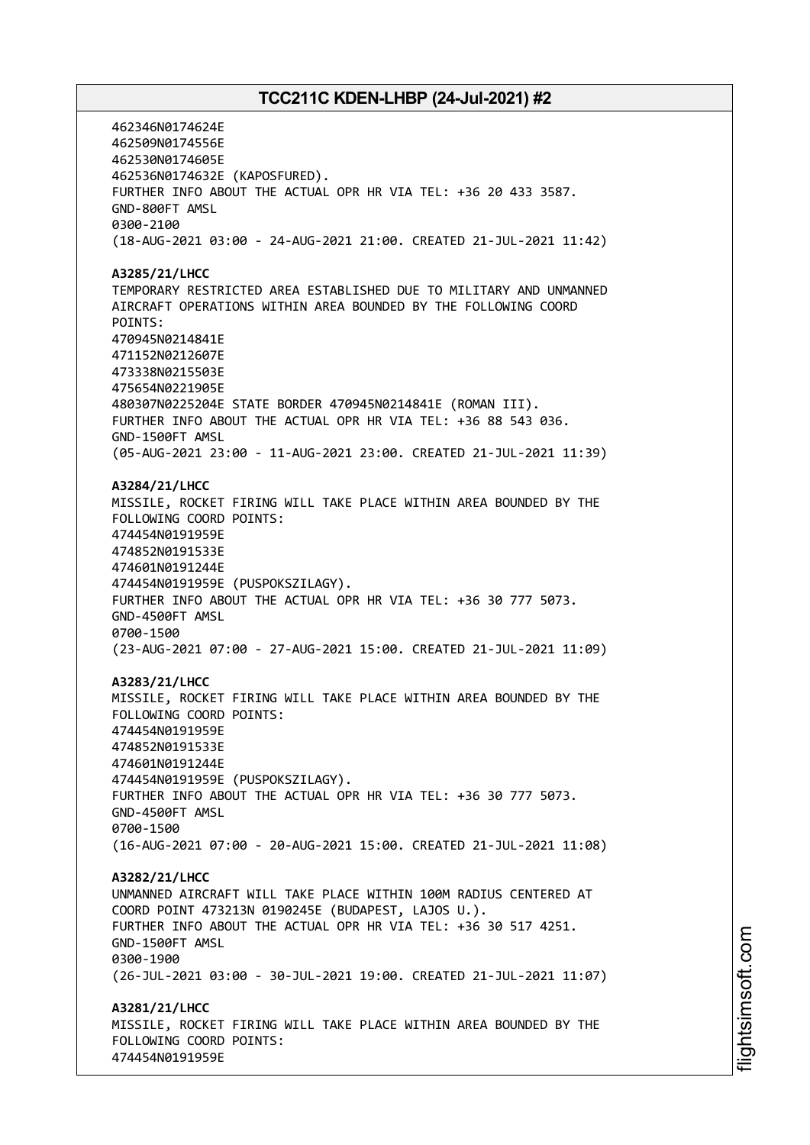462346N0174624E 462509N0174556E 462530N0174605E 462536N0174632E (KAPOSFURED). FURTHER INFO ABOUT THE ACTUAL OPR HR VIA TEL: +36 20 433 3587. GND-800FT AMSL 0300-2100 (18-AUG-2021 03:00 - 24-AUG-2021 21:00. CREATED 21-JUL-2021 11:42) **A3285/21/LHCC** TEMPORARY RESTRICTED AREA ESTABLISHED DUE TO MILITARY AND UNMANNED AIRCRAFT OPERATIONS WITHIN AREA BOUNDED BY THE FOLLOWING COORD POINTS: 470945N0214841E 471152N0212607E 473338N0215503E 475654N0221905E 480307N0225204E STATE BORDER 470945N0214841E (ROMAN III). FURTHER INFO ABOUT THE ACTUAL OPR HR VIA TEL: +36 88 543 036. GND-1500FT AMSL (05-AUG-2021 23:00 - 11-AUG-2021 23:00. CREATED 21-JUL-2021 11:39) **A3284/21/LHCC** MISSILE, ROCKET FIRING WILL TAKE PLACE WITHIN AREA BOUNDED BY THE FOLLOWING COORD POINTS: 474454N0191959E 474852N0191533E 474601N0191244E 474454N0191959E (PUSPOKSZILAGY). FURTHER INFO ABOUT THE ACTUAL OPR HR VIA TEL: +36 30 777 5073. GND-4500FT AMSL 0700-1500 (23-AUG-2021 07:00 - 27-AUG-2021 15:00. CREATED 21-JUL-2021 11:09) **A3283/21/LHCC** MISSILE, ROCKET FIRING WILL TAKE PLACE WITHIN AREA BOUNDED BY THE FOLLOWING COORD POINTS: 474454N0191959E 474852N0191533E 474601N0191244E 474454N0191959E (PUSPOKSZILAGY). FURTHER INFO ABOUT THE ACTUAL OPR HR VIA TEL: +36 30 777 5073. GND-4500FT AMSL 0700-1500 (16-AUG-2021 07:00 - 20-AUG-2021 15:00. CREATED 21-JUL-2021 11:08) **A3282/21/LHCC** UNMANNED AIRCRAFT WILL TAKE PLACE WITHIN 100M RADIUS CENTERED AT COORD POINT 473213N 0190245E (BUDAPEST, LAJOS U.). FURTHER INFO ABOUT THE ACTUAL OPR HR VIA TEL: +36 30 517 4251. GND-1500FT AMSL 0300-1900 (26-JUL-2021 03:00 - 30-JUL-2021 19:00. CREATED 21-JUL-2021 11:07) **A3281/21/LHCC** MISSILE, ROCKET FIRING WILL TAKE PLACE WITHIN AREA BOUNDED BY THE FOLLOWING COORD POINTS: 474454N0191959E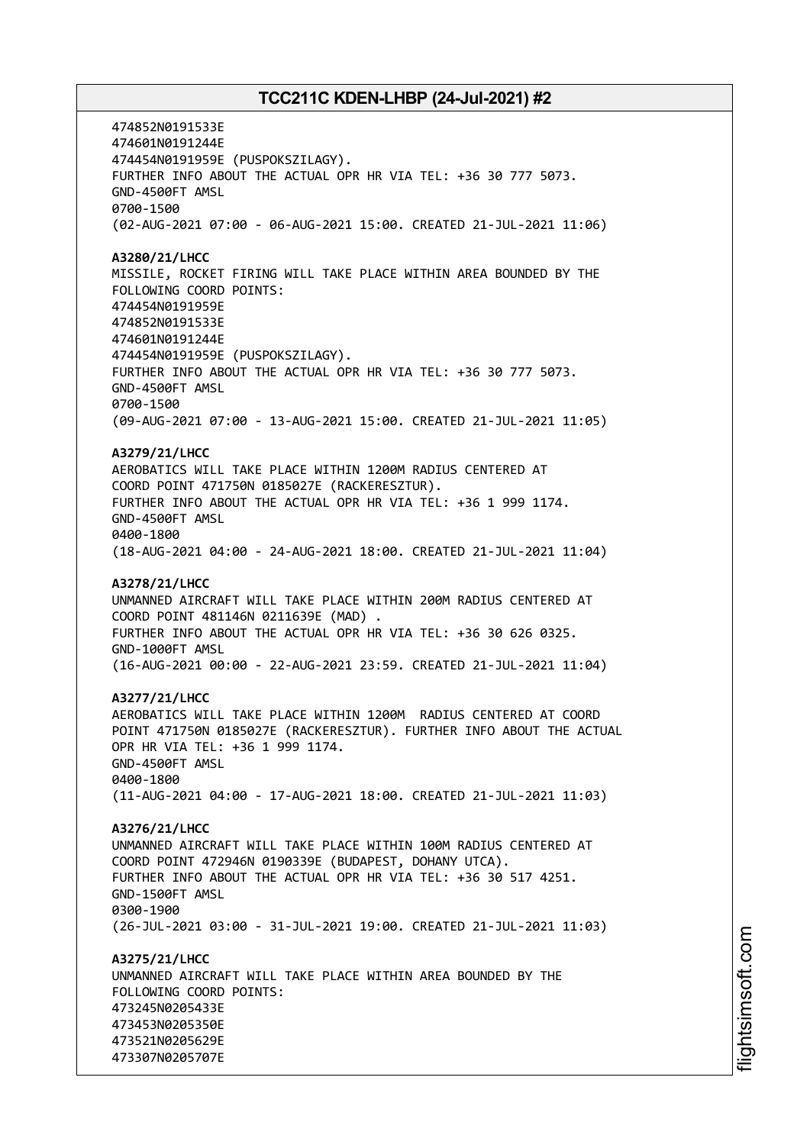474852N0191533E 474601N0191244E 474454N0191959E (PUSPOKSZILAGY). FURTHER INFO ABOUT THE ACTUAL OPR HR VIA TEL: +36 30 777 5073. GND-4500FT AMSL 0700-1500 (02-AUG-2021 07:00 - 06-AUG-2021 15:00. CREATED 21-JUL-2021 11:06) **A3280/21/LHCC** MISSILE, ROCKET FIRING WILL TAKE PLACE WITHIN AREA BOUNDED BY THE FOLLOWING COORD POINTS: 474454N0191959E 474852N0191533E 474601N0191244E 474454N0191959E (PUSPOKSZILAGY). FURTHER INFO ABOUT THE ACTUAL OPR HR VIA TEL: +36 30 777 5073. GND-4500FT AMSL 0700-1500 (09-AUG-2021 07:00 - 13-AUG-2021 15:00. CREATED 21-JUL-2021 11:05) **A3279/21/LHCC** AEROBATICS WILL TAKE PLACE WITHIN 1200M RADIUS CENTERED AT COORD POINT 471750N 0185027E (RACKERESZTUR). FURTHER INFO ABOUT THE ACTUAL OPR HR VIA TEL: +36 1 999 1174. GND-4500FT AMSL 0400-1800 (18-AUG-2021 04:00 - 24-AUG-2021 18:00. CREATED 21-JUL-2021 11:04) **A3278/21/LHCC** UNMANNED AIRCRAFT WILL TAKE PLACE WITHIN 200M RADIUS CENTERED AT COORD POINT 481146N 0211639E (MAD) . FURTHER INFO ABOUT THE ACTUAL OPR HR VIA TEL: +36 30 626 0325. GND-1000FT AMSL (16-AUG-2021 00:00 - 22-AUG-2021 23:59. CREATED 21-JUL-2021 11:04) **A3277/21/LHCC** AEROBATICS WILL TAKE PLACE WITHIN 1200M RADIUS CENTERED AT COORD POINT 471750N 0185027E (RACKERESZTUR). FURTHER INFO ABOUT THE ACTUAL OPR HR VIA TEL: +36 1 999 1174. GND-4500FT AMSL 0400-1800 (11-AUG-2021 04:00 - 17-AUG-2021 18:00. CREATED 21-JUL-2021 11:03) **A3276/21/LHCC** UNMANNED AIRCRAFT WILL TAKE PLACE WITHIN 100M RADIUS CENTERED AT COORD POINT 472946N 0190339E (BUDAPEST, DOHANY UTCA). FURTHER INFO ABOUT THE ACTUAL OPR HR VIA TEL: +36 30 517 4251. GND-1500FT AMSL 0300-1900 (26-JUL-2021 03:00 - 31-JUL-2021 19:00. CREATED 21-JUL-2021 11:03) **A3275/21/LHCC** UNMANNED AIRCRAFT WILL TAKE PLACE WITHIN AREA BOUNDED BY THE FOLLOWING COORD POINTS: 473245N0205433E 473453N0205350E 473521N0205629E 473307N0205707E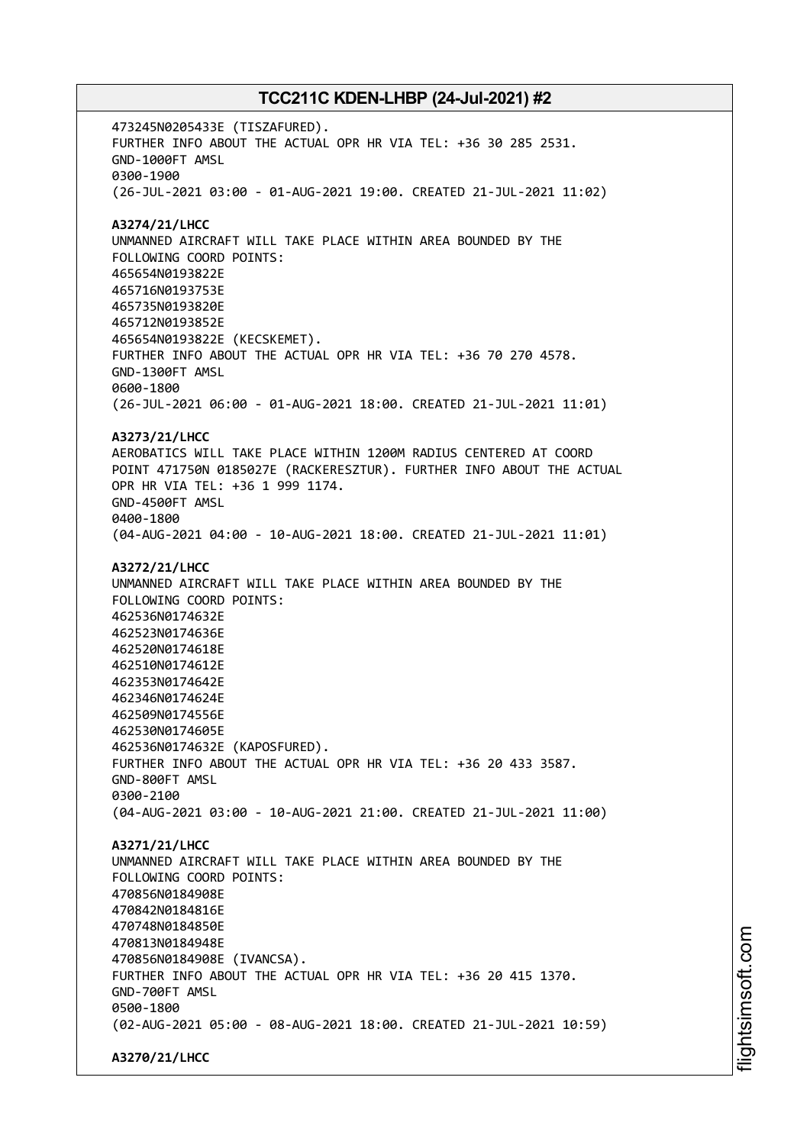473245N0205433E (TISZAFURED). FURTHER INFO ABOUT THE ACTUAL OPR HR VIA TEL: +36 30 285 2531. GND-1000FT AMSL 0300-1900 (26-JUL-2021 03:00 - 01-AUG-2021 19:00. CREATED 21-JUL-2021 11:02) **A3274/21/LHCC** UNMANNED AIRCRAFT WILL TAKE PLACE WITHIN AREA BOUNDED BY THE FOLLOWING COORD POINTS: 465654N0193822E 465716N0193753E 465735N0193820E 465712N0193852E 465654N0193822E (KECSKEMET). FURTHER INFO ABOUT THE ACTUAL OPR HR VIA TEL: +36 70 270 4578. GND-1300FT AMSL 0600-1800 (26-JUL-2021 06:00 - 01-AUG-2021 18:00. CREATED 21-JUL-2021 11:01) **A3273/21/LHCC** AEROBATICS WILL TAKE PLACE WITHIN 1200M RADIUS CENTERED AT COORD POINT 471750N 0185027E (RACKERESZTUR). FURTHER INFO ABOUT THE ACTUAL OPR HR VIA TEL: +36 1 999 1174. GND-4500FT AMSL 0400-1800 (04-AUG-2021 04:00 - 10-AUG-2021 18:00. CREATED 21-JUL-2021 11:01) **A3272/21/LHCC** UNMANNED AIRCRAFT WILL TAKE PLACE WITHIN AREA BOUNDED BY THE FOLLOWING COORD POINTS: 462536N0174632E 462523N0174636E 462520N0174618E 462510N0174612E 462353N0174642E 462346N0174624E 462509N0174556E 462530N0174605E 462536N0174632E (KAPOSFURED). FURTHER INFO ABOUT THE ACTUAL OPR HR VIA TEL: +36 20 433 3587. GND-800FT AMSL 0300-2100 (04-AUG-2021 03:00 - 10-AUG-2021 21:00. CREATED 21-JUL-2021 11:00) **A3271/21/LHCC** UNMANNED AIRCRAFT WILL TAKE PLACE WITHIN AREA BOUNDED BY THE FOLLOWING COORD POINTS: 470856N0184908E 470842N0184816E 470748N0184850E 470813N0184948E 470856N0184908E (IVANCSA). FURTHER INFO ABOUT THE ACTUAL OPR HR VIA TEL: +36 20 415 1370. GND-700FT AMSL 0500-1800 (02-AUG-2021 05:00 - 08-AUG-2021 18:00. CREATED 21-JUL-2021 10:59) **A3270/21/LHCC**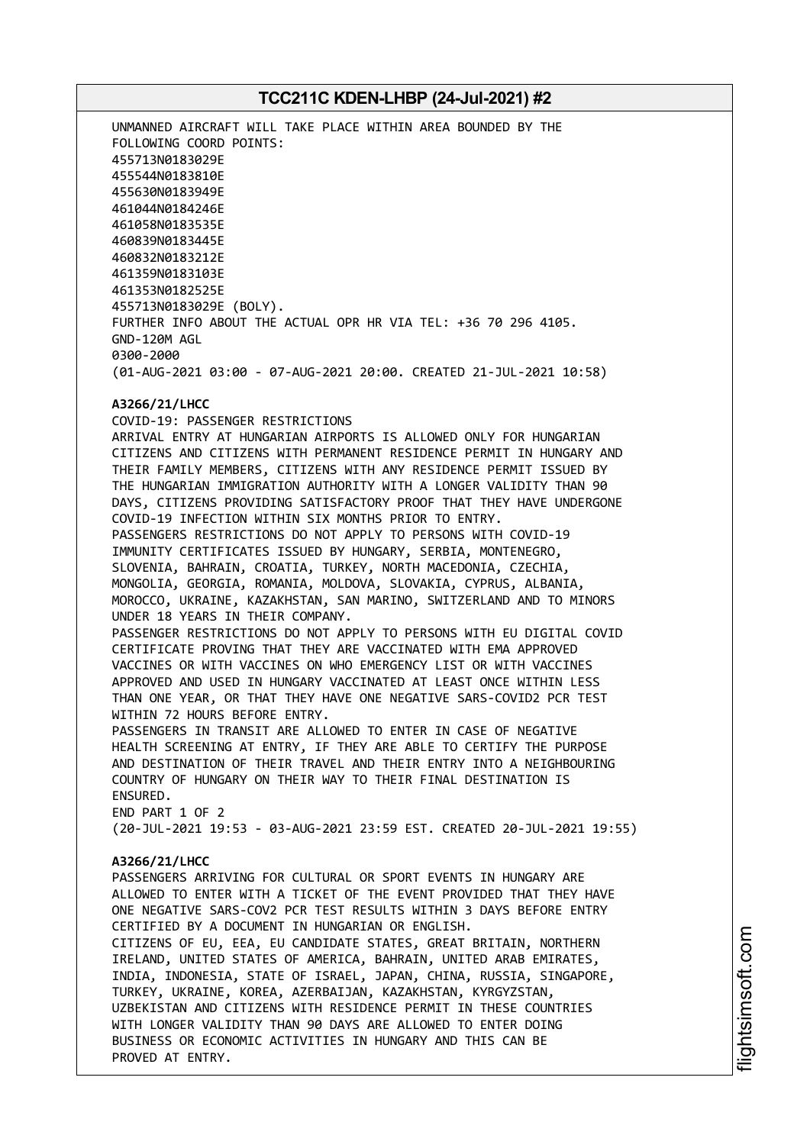UNMANNED AIRCRAFT WILL TAKE PLACE WITHIN AREA BOUNDED BY THE FOLLOWING COORD POINTS: 455713N0183029E 455544N0183810E 455630N0183949E 461044N0184246E 461058N0183535E 460839N0183445E 460832N0183212E 461359N0183103E 461353N0182525E 455713N0183029E (BOLY). FURTHER INFO ABOUT THE ACTUAL OPR HR VIA TEL: +36 70 296 4105. GND-120M AGL 0300-2000 (01-AUG-2021 03:00 - 07-AUG-2021 20:00. CREATED 21-JUL-2021 10:58)

### **A3266/21/LHCC** COVID-19: PASSENGER RESTRICTIONS

ARRIVAL ENTRY AT HUNGARIAN AIRPORTS IS ALLOWED ONLY FOR HUNGARIAN CITIZENS AND CITIZENS WITH PERMANENT RESIDENCE PERMIT IN HUNGARY AND THEIR FAMILY MEMBERS, CITIZENS WITH ANY RESIDENCE PERMIT ISSUED BY THE HUNGARIAN IMMIGRATION AUTHORITY WITH A LONGER VALIDITY THAN 90 DAYS, CITIZENS PROVIDING SATISFACTORY PROOF THAT THEY HAVE UNDERGONE COVID-19 INFECTION WITHIN SIX MONTHS PRIOR TO ENTRY. PASSENGERS RESTRICTIONS DO NOT APPLY TO PERSONS WITH COVID-19 IMMUNITY CERTIFICATES ISSUED BY HUNGARY, SERBIA, MONTENEGRO, SLOVENIA, BAHRAIN, CROATIA, TURKEY, NORTH MACEDONIA, CZECHIA, MONGOLIA, GEORGIA, ROMANIA, MOLDOVA, SLOVAKIA, CYPRUS, ALBANIA, MOROCCO, UKRAINE, KAZAKHSTAN, SAN MARINO, SWITZERLAND AND TO MINORS UNDER 18 YEARS IN THEIR COMPANY. PASSENGER RESTRICTIONS DO NOT APPLY TO PERSONS WITH EU DIGITAL COVID CERTIFICATE PROVING THAT THEY ARE VACCINATED WITH EMA APPROVED VACCINES OR WITH VACCINES ON WHO EMERGENCY LIST OR WITH VACCINES APPROVED AND USED IN HUNGARY VACCINATED AT LEAST ONCE WITHIN LESS THAN ONE YEAR, OR THAT THEY HAVE ONE NEGATIVE SARS-COVID2 PCR TEST WITHIN 72 HOURS BEFORE ENTRY.

PASSENGERS IN TRANSIT ARE ALLOWED TO ENTER IN CASE OF NEGATIVE HEALTH SCREENING AT ENTRY, IF THEY ARE ABLE TO CERTIFY THE PURPOSE AND DESTINATION OF THEIR TRAVEL AND THEIR ENTRY INTO A NEIGHBOURING COUNTRY OF HUNGARY ON THEIR WAY TO THEIR FINAL DESTINATION IS ENSURED.

END PART 1 OF 2 (20-JUL-2021 19:53 - 03-AUG-2021 23:59 EST. CREATED 20-JUL-2021 19:55)

## **A3266/21/LHCC**

PASSENGERS ARRIVING FOR CULTURAL OR SPORT EVENTS IN HUNGARY ARE ALLOWED TO ENTER WITH A TICKET OF THE EVENT PROVIDED THAT THEY HAVE ONE NEGATIVE SARS-COV2 PCR TEST RESULTS WITHIN 3 DAYS BEFORE ENTRY CERTIFIED BY A DOCUMENT IN HUNGARIAN OR ENGLISH. CITIZENS OF EU, EEA, EU CANDIDATE STATES, GREAT BRITAIN, NORTHERN IRELAND, UNITED STATES OF AMERICA, BAHRAIN, UNITED ARAB EMIRATES, INDIA, INDONESIA, STATE OF ISRAEL, JAPAN, CHINA, RUSSIA, SINGAPORE, TURKEY, UKRAINE, KOREA, AZERBAIJAN, KAZAKHSTAN, KYRGYZSTAN, UZBEKISTAN AND CITIZENS WITH RESIDENCE PERMIT IN THESE COUNTRIES WITH LONGER VALIDITY THAN 90 DAYS ARE ALLOWED TO ENTER DOING BUSINESS OR ECONOMIC ACTIVITIES IN HUNGARY AND THIS CAN BE PROVED AT ENTRY.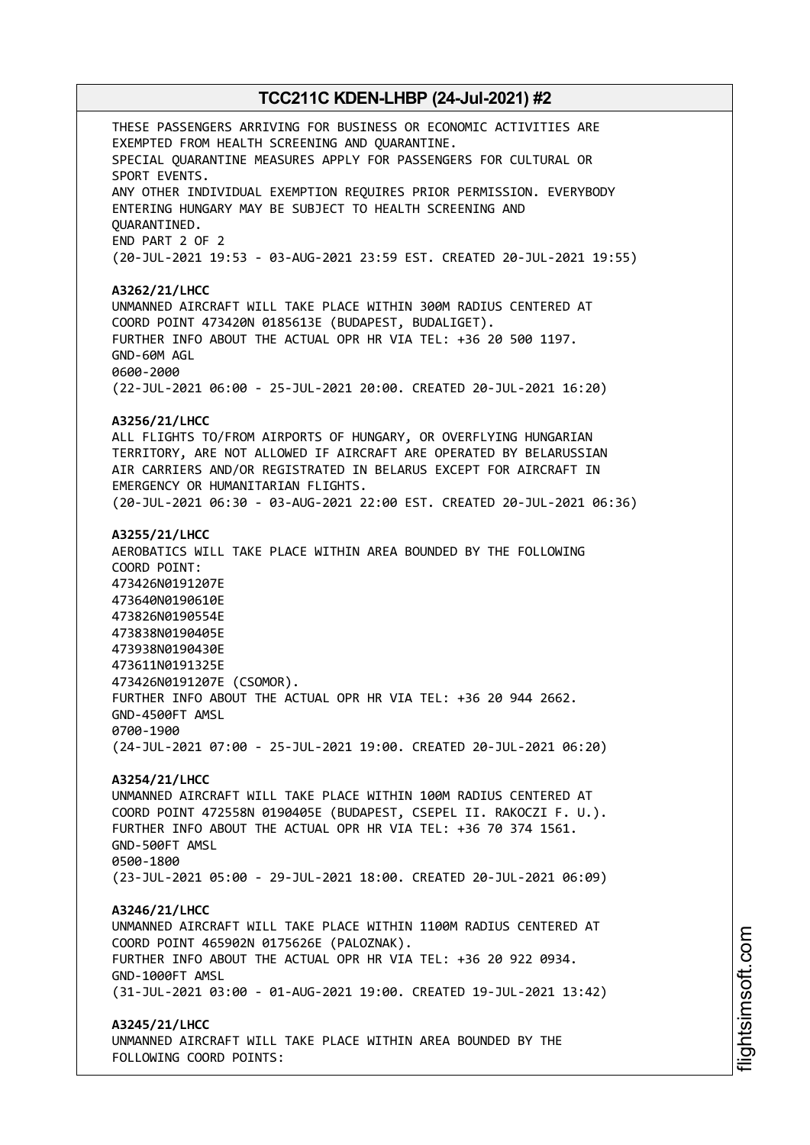THESE PASSENGERS ARRIVING FOR BUSINESS OR ECONOMIC ACTIVITIES ARE EXEMPTED FROM HEALTH SCREENING AND QUARANTINE. SPECIAL QUARANTINE MEASURES APPLY FOR PASSENGERS FOR CULTURAL OR SPORT EVENTS. ANY OTHER INDIVIDUAL EXEMPTION REQUIRES PRIOR PERMISSION. EVERYBODY ENTERING HUNGARY MAY BE SUBJECT TO HEALTH SCREENING AND QUARANTINED. END PART 2 OF 2 (20-JUL-2021 19:53 - 03-AUG-2021 23:59 EST. CREATED 20-JUL-2021 19:55) **A3262/21/LHCC** UNMANNED AIRCRAFT WILL TAKE PLACE WITHIN 300M RADIUS CENTERED AT COORD POINT 473420N 0185613E (BUDAPEST, BUDALIGET). FURTHER INFO ABOUT THE ACTUAL OPR HR VIA TEL: +36 20 500 1197. GND-60M AGL 0600-2000 (22-JUL-2021 06:00 - 25-JUL-2021 20:00. CREATED 20-JUL-2021 16:20) **A3256/21/LHCC** ALL FLIGHTS TO/FROM AIRPORTS OF HUNGARY, OR OVERFLYING HUNGARIAN TERRITORY, ARE NOT ALLOWED IF AIRCRAFT ARE OPERATED BY BELARUSSIAN AIR CARRIERS AND/OR REGISTRATED IN BELARUS EXCEPT FOR AIRCRAFT IN EMERGENCY OR HUMANITARIAN FLIGHTS. (20-JUL-2021 06:30 - 03-AUG-2021 22:00 EST. CREATED 20-JUL-2021 06:36) **A3255/21/LHCC** AEROBATICS WILL TAKE PLACE WITHIN AREA BOUNDED BY THE FOLLOWING COORD POINT: 473426N0191207E 473640N0190610E 473826N0190554E 473838N0190405E 473938N0190430E 473611N0191325E 473426N0191207E (CSOMOR). FURTHER INFO ABOUT THE ACTUAL OPR HR VIA TEL: +36 20 944 2662. GND-4500FT AMSL 0700-1900 (24-JUL-2021 07:00 - 25-JUL-2021 19:00. CREATED 20-JUL-2021 06:20) **A3254/21/LHCC** UNMANNED AIRCRAFT WILL TAKE PLACE WITHIN 100M RADIUS CENTERED AT COORD POINT 472558N 0190405E (BUDAPEST, CSEPEL II. RAKOCZI F. U.). FURTHER INFO ABOUT THE ACTUAL OPR HR VIA TEL: +36 70 374 1561. GND-500FT AMSL 0500-1800 (23-JUL-2021 05:00 - 29-JUL-2021 18:00. CREATED 20-JUL-2021 06:09) **A3246/21/LHCC** UNMANNED AIRCRAFT WILL TAKE PLACE WITHIN 1100M RADIUS CENTERED AT COORD POINT 465902N 0175626E (PALOZNAK). FURTHER INFO ABOUT THE ACTUAL OPR HR VIA TEL: +36 20 922 0934. GND-1000FT AMSL (31-JUL-2021 03:00 - 01-AUG-2021 19:00. CREATED 19-JUL-2021 13:42) **A3245/21/LHCC** UNMANNED AIRCRAFT WILL TAKE PLACE WITHIN AREA BOUNDED BY THE

FOLLOWING COORD POINTS: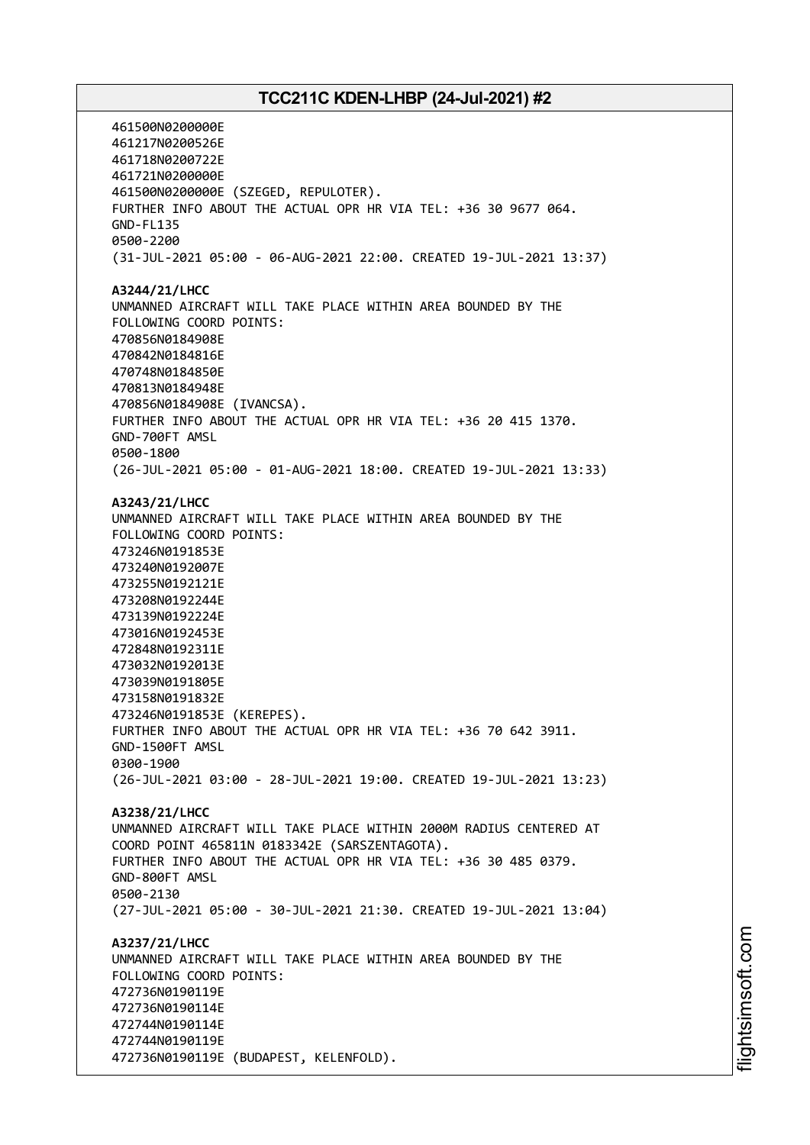461500N0200000E 461217N0200526E 461718N0200722E 461721N0200000E 461500N0200000E (SZEGED, REPULOTER). FURTHER INFO ABOUT THE ACTUAL OPR HR VIA TEL: +36 30 9677 064. GND-FL135 0500-2200 (31-JUL-2021 05:00 - 06-AUG-2021 22:00. CREATED 19-JUL-2021 13:37) **A3244/21/LHCC** UNMANNED AIRCRAFT WILL TAKE PLACE WITHIN AREA BOUNDED BY THE FOLLOWING COORD POINTS: 470856N0184908E 470842N0184816E 470748N0184850E 470813N0184948E 470856N0184908E (IVANCSA). FURTHER INFO ABOUT THE ACTUAL OPR HR VIA TEL: +36 20 415 1370. GND-700FT AMSL 0500-1800 (26-JUL-2021 05:00 - 01-AUG-2021 18:00. CREATED 19-JUL-2021 13:33) **A3243/21/LHCC** UNMANNED AIRCRAFT WILL TAKE PLACE WITHIN AREA BOUNDED BY THE FOLLOWING COORD POINTS: 473246N0191853E 473240N0192007E 473255N0192121E 473208N0192244E 473139N0192224E 473016N0192453E 472848N0192311E 473032N0192013E 473039N0191805E 473158N0191832E 473246N0191853E (KEREPES). FURTHER INFO ABOUT THE ACTUAL OPR HR VIA TEL: +36 70 642 3911. GND-1500FT AMSL 0300-1900 (26-JUL-2021 03:00 - 28-JUL-2021 19:00. CREATED 19-JUL-2021 13:23) **A3238/21/LHCC** UNMANNED AIRCRAFT WILL TAKE PLACE WITHIN 2000M RADIUS CENTERED AT COORD POINT 465811N 0183342E (SARSZENTAGOTA). FURTHER INFO ABOUT THE ACTUAL OPR HR VIA TEL: +36 30 485 0379. GND-800FT AMSL 0500-2130 (27-JUL-2021 05:00 - 30-JUL-2021 21:30. CREATED 19-JUL-2021 13:04) **A3237/21/LHCC** UNMANNED AIRCRAFT WILL TAKE PLACE WITHIN AREA BOUNDED BY THE FOLLOWING COORD POINTS: 472736N0190119E 472736N0190114E 472744N0190114E 472744N0190119E 472736N0190119E (BUDAPEST, KELENFOLD).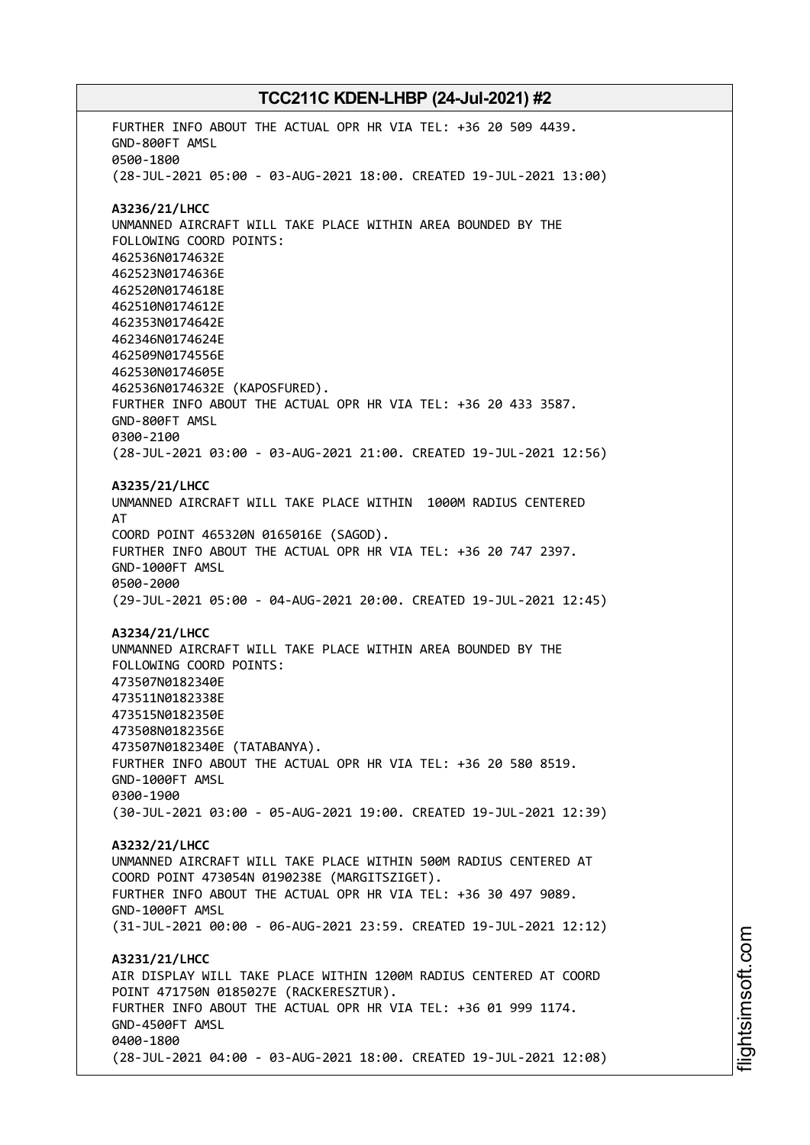FURTHER INFO ABOUT THE ACTUAL OPR HR VIA TEL: +36 20 509 4439. GND-800FT AMSL 0500-1800 (28-JUL-2021 05:00 - 03-AUG-2021 18:00. CREATED 19-JUL-2021 13:00) **A3236/21/LHCC** UNMANNED AIRCRAFT WILL TAKE PLACE WITHIN AREA BOUNDED BY THE FOLLOWING COORD POINTS: 462536N0174632E 462523N0174636E 462520N0174618E 462510N0174612E 462353N0174642E 462346N0174624E 462509N0174556E 462530N0174605E 462536N0174632E (KAPOSFURED). FURTHER INFO ABOUT THE ACTUAL OPR HR VIA TEL: +36 20 433 3587. GND-800FT AMSL 0300-2100 (28-JUL-2021 03:00 - 03-AUG-2021 21:00. CREATED 19-JUL-2021 12:56) **A3235/21/LHCC** UNMANNED AIRCRAFT WILL TAKE PLACE WITHIN 1000M RADIUS CENTERED AT COORD POINT 465320N 0165016E (SAGOD). FURTHER INFO ABOUT THE ACTUAL OPR HR VIA TEL: +36 20 747 2397. GND-1000FT AMSL 0500-2000 (29-JUL-2021 05:00 - 04-AUG-2021 20:00. CREATED 19-JUL-2021 12:45) **A3234/21/LHCC** UNMANNED AIRCRAFT WILL TAKE PLACE WITHIN AREA BOUNDED BY THE FOLLOWING COORD POINTS: 473507N0182340E 473511N0182338E 473515N0182350E 473508N0182356E 473507N0182340E (TATABANYA). FURTHER INFO ABOUT THE ACTUAL OPR HR VIA TEL: +36 20 580 8519. GND-1000FT AMSL 0300-1900 (30-JUL-2021 03:00 - 05-AUG-2021 19:00. CREATED 19-JUL-2021 12:39) **A3232/21/LHCC** UNMANNED AIRCRAFT WILL TAKE PLACE WITHIN 500M RADIUS CENTERED AT COORD POINT 473054N 0190238E (MARGITSZIGET). FURTHER INFO ABOUT THE ACTUAL OPR HR VIA TEL: +36 30 497 9089. GND-1000FT AMSL (31-JUL-2021 00:00 - 06-AUG-2021 23:59. CREATED 19-JUL-2021 12:12) **A3231/21/LHCC** AIR DISPLAY WILL TAKE PLACE WITHIN 1200M RADIUS CENTERED AT COORD POINT 471750N 0185027E (RACKERESZTUR). FURTHER INFO ABOUT THE ACTUAL OPR HR VIA TEL: +36 01 999 1174. GND-4500FT AMSL 0400-1800 (28-JUL-2021 04:00 - 03-AUG-2021 18:00. CREATED 19-JUL-2021 12:08)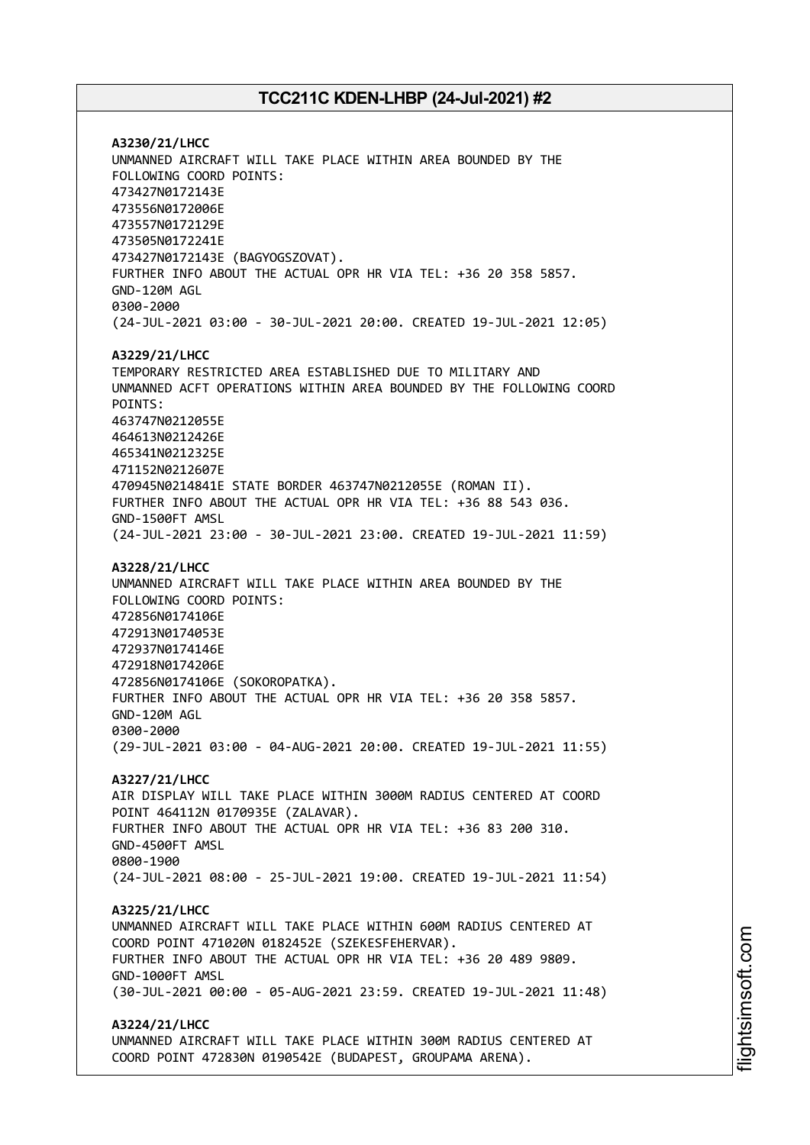**A3230/21/LHCC** UNMANNED AIRCRAFT WILL TAKE PLACE WITHIN AREA BOUNDED BY THE FOLLOWING COORD POINTS: 473427N0172143E 473556N0172006E 473557N0172129E 473505N0172241E 473427N0172143E (BAGYOGSZOVAT). FURTHER INFO ABOUT THE ACTUAL OPR HR VIA TEL: +36 20 358 5857. GND-120M AGL 0300-2000 (24-JUL-2021 03:00 - 30-JUL-2021 20:00. CREATED 19-JUL-2021 12:05) **A3229/21/LHCC** TEMPORARY RESTRICTED AREA ESTABLISHED DUE TO MILITARY AND UNMANNED ACFT OPERATIONS WITHIN AREA BOUNDED BY THE FOLLOWING COORD POINTS: 463747N0212055E 464613N0212426E 465341N0212325E 471152N0212607E 470945N0214841E STATE BORDER 463747N0212055E (ROMAN II). FURTHER INFO ABOUT THE ACTUAL OPR HR VIA TEL: +36 88 543 036. GND-1500FT AMSL (24-JUL-2021 23:00 - 30-JUL-2021 23:00. CREATED 19-JUL-2021 11:59) **A3228/21/LHCC** UNMANNED AIRCRAFT WILL TAKE PLACE WITHIN AREA BOUNDED BY THE FOLLOWING COORD POINTS: 472856N0174106E 472913N0174053E 472937N0174146E 472918N0174206E 472856N0174106E (SOKOROPATKA). FURTHER INFO ABOUT THE ACTUAL OPR HR VIA TEL: +36 20 358 5857. GND-120M AGL 0300-2000 (29-JUL-2021 03:00 - 04-AUG-2021 20:00. CREATED 19-JUL-2021 11:55) **A3227/21/LHCC** AIR DISPLAY WILL TAKE PLACE WITHIN 3000M RADIUS CENTERED AT COORD POINT 464112N 0170935E (ZALAVAR). FURTHER INFO ABOUT THE ACTUAL OPR HR VIA TEL: +36 83 200 310. GND-4500FT AMSL 0800-1900 (24-JUL-2021 08:00 - 25-JUL-2021 19:00. CREATED 19-JUL-2021 11:54) **A3225/21/LHCC** UNMANNED AIRCRAFT WILL TAKE PLACE WITHIN 600M RADIUS CENTERED AT COORD POINT 471020N 0182452E (SZEKESFEHERVAR). FURTHER INFO ABOUT THE ACTUAL OPR HR VIA TEL: +36 20 489 9809. GND-1000FT AMSL (30-JUL-2021 00:00 - 05-AUG-2021 23:59. CREATED 19-JUL-2021 11:48) **A3224/21/LHCC** UNMANNED AIRCRAFT WILL TAKE PLACE WITHIN 300M RADIUS CENTERED AT COORD POINT 472830N 0190542E (BUDAPEST, GROUPAMA ARENA).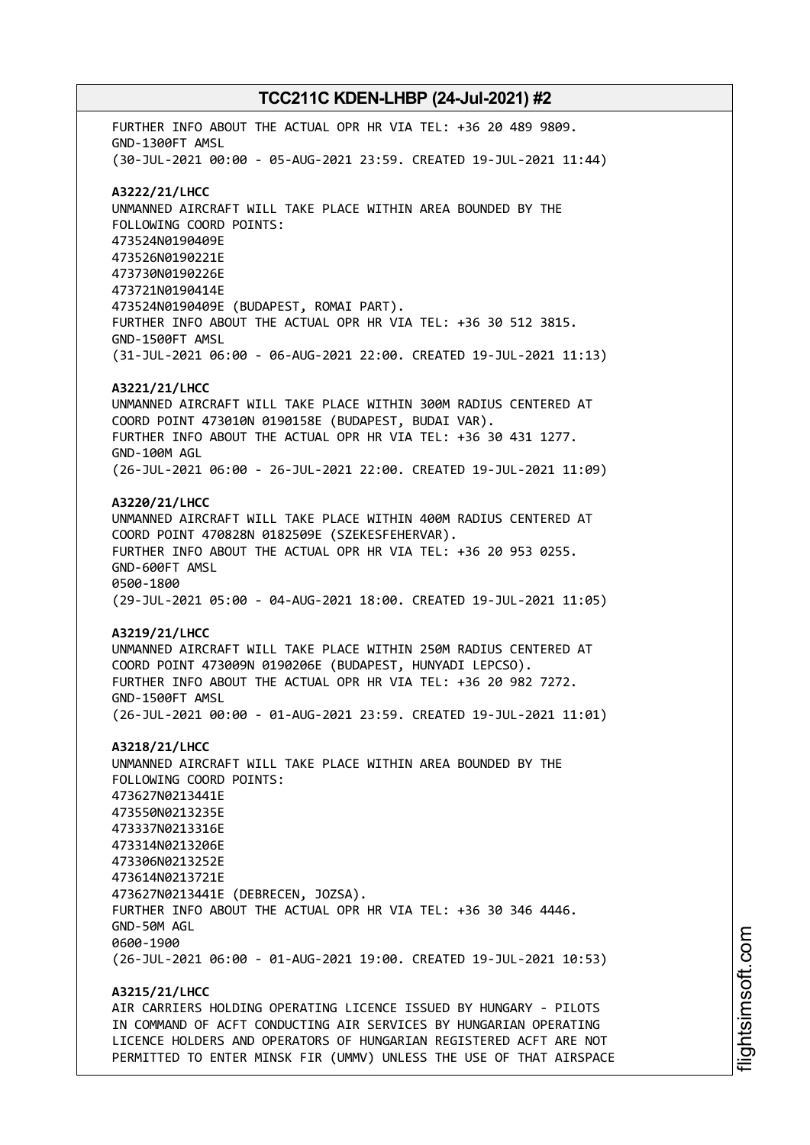FURTHER INFO ABOUT THE ACTUAL OPR HR VIA TEL: +36 20 489 9809. GND-1300FT AMSL (30-JUL-2021 00:00 - 05-AUG-2021 23:59. CREATED 19-JUL-2021 11:44) **A3222/21/LHCC** UNMANNED AIRCRAFT WILL TAKE PLACE WITHIN AREA BOUNDED BY THE FOLLOWING COORD POINTS: 473524N0190409E 473526N0190221E 473730N0190226E 473721N0190414E 473524N0190409E (BUDAPEST, ROMAI PART). FURTHER INFO ABOUT THE ACTUAL OPR HR VIA TEL: +36 30 512 3815. GND-1500FT AMSL (31-JUL-2021 06:00 - 06-AUG-2021 22:00. CREATED 19-JUL-2021 11:13) **A3221/21/LHCC** UNMANNED AIRCRAFT WILL TAKE PLACE WITHIN 300M RADIUS CENTERED AT COORD POINT 473010N 0190158E (BUDAPEST, BUDAI VAR). FURTHER INFO ABOUT THE ACTUAL OPR HR VIA TEL: +36 30 431 1277. GND-100M AGL (26-JUL-2021 06:00 - 26-JUL-2021 22:00. CREATED 19-JUL-2021 11:09) **A3220/21/LHCC** UNMANNED AIRCRAFT WILL TAKE PLACE WITHIN 400M RADIUS CENTERED AT COORD POINT 470828N 0182509E (SZEKESFEHERVAR). FURTHER INFO ABOUT THE ACTUAL OPR HR VIA TEL: +36 20 953 0255. GND-600FT AMSL 0500-1800 (29-JUL-2021 05:00 - 04-AUG-2021 18:00. CREATED 19-JUL-2021 11:05) **A3219/21/LHCC** UNMANNED AIRCRAFT WILL TAKE PLACE WITHIN 250M RADIUS CENTERED AT COORD POINT 473009N 0190206E (BUDAPEST, HUNYADI LEPCSO). FURTHER INFO ABOUT THE ACTUAL OPR HR VIA TEL: +36 20 982 7272. GND-1500FT AMSL (26-JUL-2021 00:00 - 01-AUG-2021 23:59. CREATED 19-JUL-2021 11:01) **A3218/21/LHCC** UNMANNED AIRCRAFT WILL TAKE PLACE WITHIN AREA BOUNDED BY THE FOLLOWING COORD POINTS: 473627N0213441E 473550N0213235E 473337N0213316E 473314N0213206E 473306N0213252E 473614N0213721E 473627N0213441E (DEBRECEN, JOZSA). FURTHER INFO ABOUT THE ACTUAL OPR HR VIA TEL: +36 30 346 4446. GND-50M AGL 0600-1900 (26-JUL-2021 06:00 - 01-AUG-2021 19:00. CREATED 19-JUL-2021 10:53) **A3215/21/LHCC**

AIR CARRIERS HOLDING OPERATING LICENCE ISSUED BY HUNGARY - PILOTS IN COMMAND OF ACFT CONDUCTING AIR SERVICES BY HUNGARIAN OPERATING LICENCE HOLDERS AND OPERATORS OF HUNGARIAN REGISTERED ACFT ARE NOT PERMITTED TO ENTER MINSK FIR (UMMV) UNLESS THE USE OF THAT AIRSPACE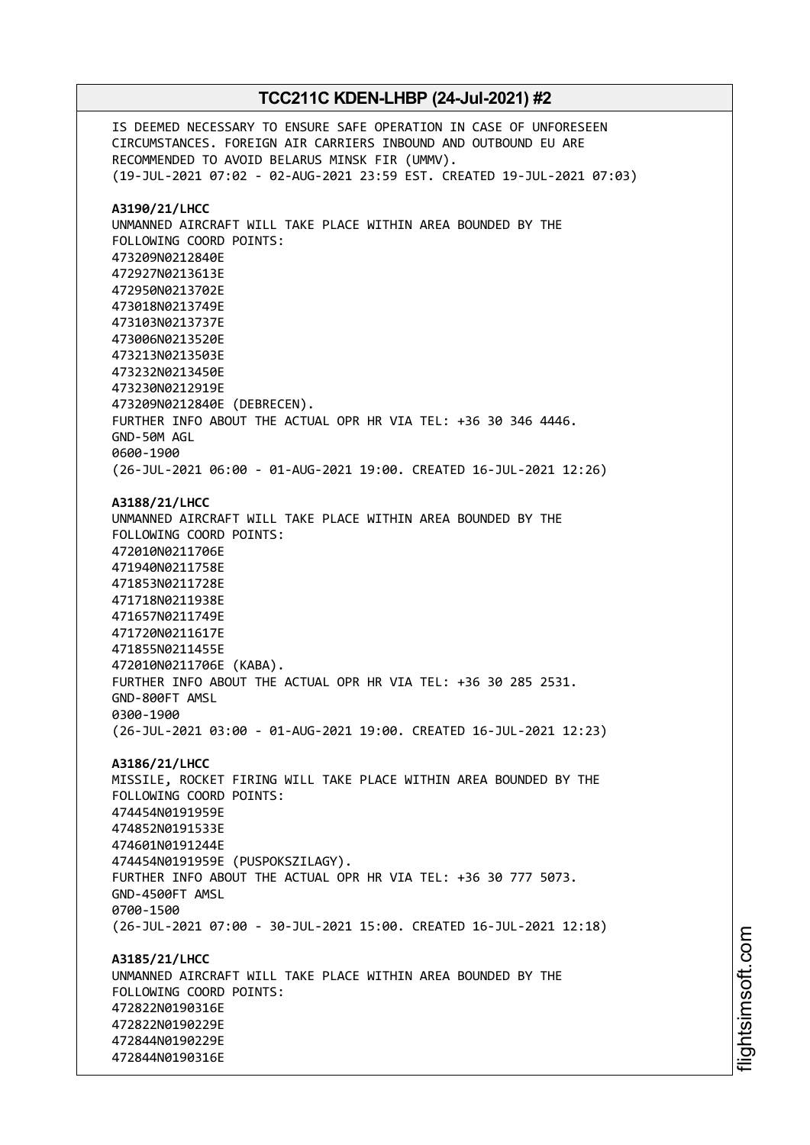IS DEEMED NECESSARY TO ENSURE SAFE OPERATION IN CASE OF UNFORESEEN CIRCUMSTANCES. FOREIGN AIR CARRIERS INBOUND AND OUTBOUND EU ARE RECOMMENDED TO AVOID BELARUS MINSK FIR (UMMV). (19-JUL-2021 07:02 - 02-AUG-2021 23:59 EST. CREATED 19-JUL-2021 07:03) **A3190/21/LHCC** UNMANNED AIRCRAFT WILL TAKE PLACE WITHIN AREA BOUNDED BY THE FOLLOWING COORD POINTS: 473209N0212840E 472927N0213613E 472950N0213702E 473018N0213749E 473103N0213737E 473006N0213520E 473213N0213503E 473232N0213450E 473230N0212919E 473209N0212840E (DEBRECEN). FURTHER INFO ABOUT THE ACTUAL OPR HR VIA TEL: +36 30 346 4446. GND-50M AGL 0600-1900 (26-JUL-2021 06:00 - 01-AUG-2021 19:00. CREATED 16-JUL-2021 12:26) **A3188/21/LHCC** UNMANNED AIRCRAFT WILL TAKE PLACE WITHIN AREA BOUNDED BY THE FOLLOWING COORD POINTS: 472010N0211706E 471940N0211758E 471853N0211728E 471718N0211938E 471657N0211749E 471720N0211617E 471855N0211455E 472010N0211706E (KABA). FURTHER INFO ABOUT THE ACTUAL OPR HR VIA TEL: +36 30 285 2531. GND-800FT AMSL 0300-1900 (26-JUL-2021 03:00 - 01-AUG-2021 19:00. CREATED 16-JUL-2021 12:23) **A3186/21/LHCC** MISSILE, ROCKET FIRING WILL TAKE PLACE WITHIN AREA BOUNDED BY THE FOLLOWING COORD POINTS: 474454N0191959E 474852N0191533E 474601N0191244E 474454N0191959E (PUSPOKSZILAGY). FURTHER INFO ABOUT THE ACTUAL OPR HR VIA TEL: +36 30 777 5073. GND-4500FT AMSL 0700-1500 (26-JUL-2021 07:00 - 30-JUL-2021 15:00. CREATED 16-JUL-2021 12:18) **A3185/21/LHCC** UNMANNED AIRCRAFT WILL TAKE PLACE WITHIN AREA BOUNDED BY THE FOLLOWING COORD POINTS: 472822N0190316E 472822N0190229E 472844N0190229E 472844N0190316E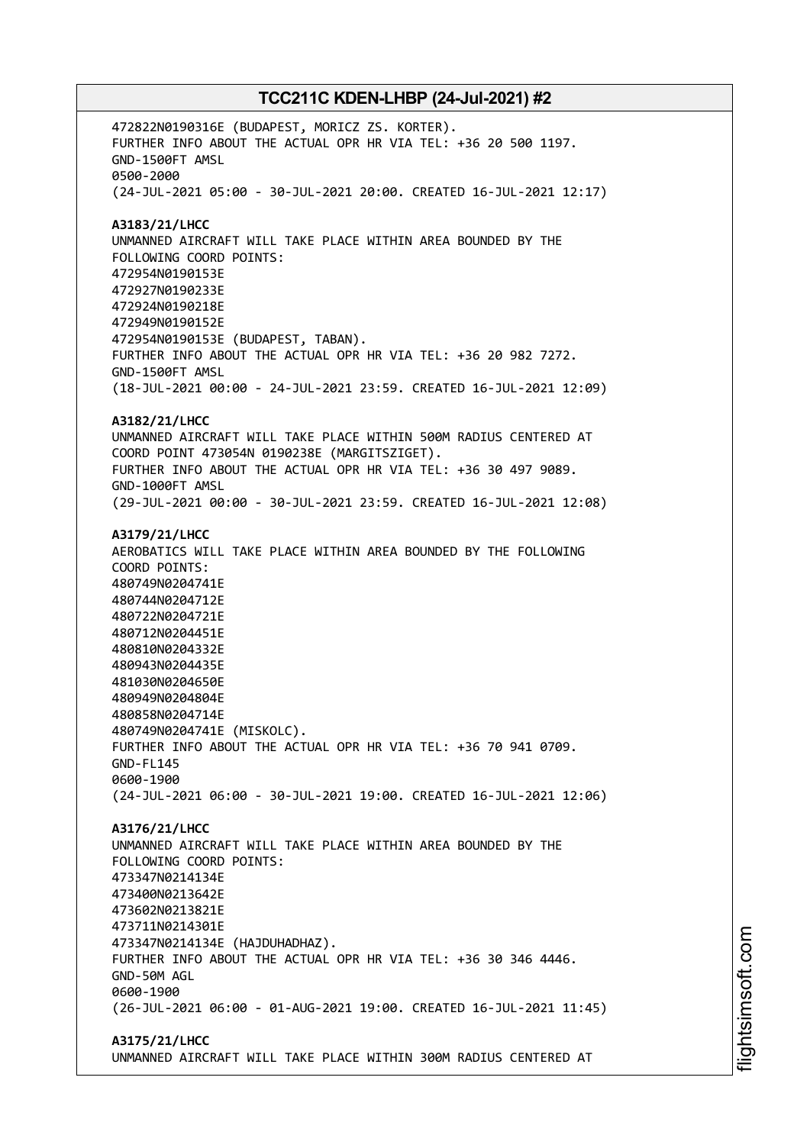472822N0190316E (BUDAPEST, MORICZ ZS. KORTER). FURTHER INFO ABOUT THE ACTUAL OPR HR VIA TEL: +36 20 500 1197. GND-1500FT AMSL 0500-2000 (24-JUL-2021 05:00 - 30-JUL-2021 20:00. CREATED 16-JUL-2021 12:17) **A3183/21/LHCC** UNMANNED AIRCRAFT WILL TAKE PLACE WITHIN AREA BOUNDED BY THE FOLLOWING COORD POINTS: 472954N0190153E 472927N0190233E 472924N0190218E 472949N0190152E 472954N0190153E (BUDAPEST, TABAN). FURTHER INFO ABOUT THE ACTUAL OPR HR VIA TEL: +36 20 982 7272. GND-1500FT AMSL (18-JUL-2021 00:00 - 24-JUL-2021 23:59. CREATED 16-JUL-2021 12:09) **A3182/21/LHCC** UNMANNED AIRCRAFT WILL TAKE PLACE WITHIN 500M RADIUS CENTERED AT COORD POINT 473054N 0190238E (MARGITSZIGET). FURTHER INFO ABOUT THE ACTUAL OPR HR VIA TEL: +36 30 497 9089. GND-1000FT AMSL (29-JUL-2021 00:00 - 30-JUL-2021 23:59. CREATED 16-JUL-2021 12:08) **A3179/21/LHCC** AEROBATICS WILL TAKE PLACE WITHIN AREA BOUNDED BY THE FOLLOWING COORD POINTS: 480749N0204741E 480744N0204712E 480722N0204721E 480712N0204451E 480810N0204332E 480943N0204435E 481030N0204650E 480949N0204804E 480858N0204714E 480749N0204741E (MISKOLC). FURTHER INFO ABOUT THE ACTUAL OPR HR VIA TEL: +36 70 941 0709. GND-FL145 0600-1900 (24-JUL-2021 06:00 - 30-JUL-2021 19:00. CREATED 16-JUL-2021 12:06) **A3176/21/LHCC** UNMANNED AIRCRAFT WILL TAKE PLACE WITHIN AREA BOUNDED BY THE FOLLOWING COORD POINTS: 473347N0214134E 473400N0213642E 473602N0213821E 473711N0214301E 473347N0214134E (HAJDUHADHAZ). FURTHER INFO ABOUT THE ACTUAL OPR HR VIA TEL: +36 30 346 4446. GND-50M AGL 0600-1900 (26-JUL-2021 06:00 - 01-AUG-2021 19:00. CREATED 16-JUL-2021 11:45) **A3175/21/LHCC**

UNMANNED AIRCRAFT WILL TAKE PLACE WITHIN 300M RADIUS CENTERED AT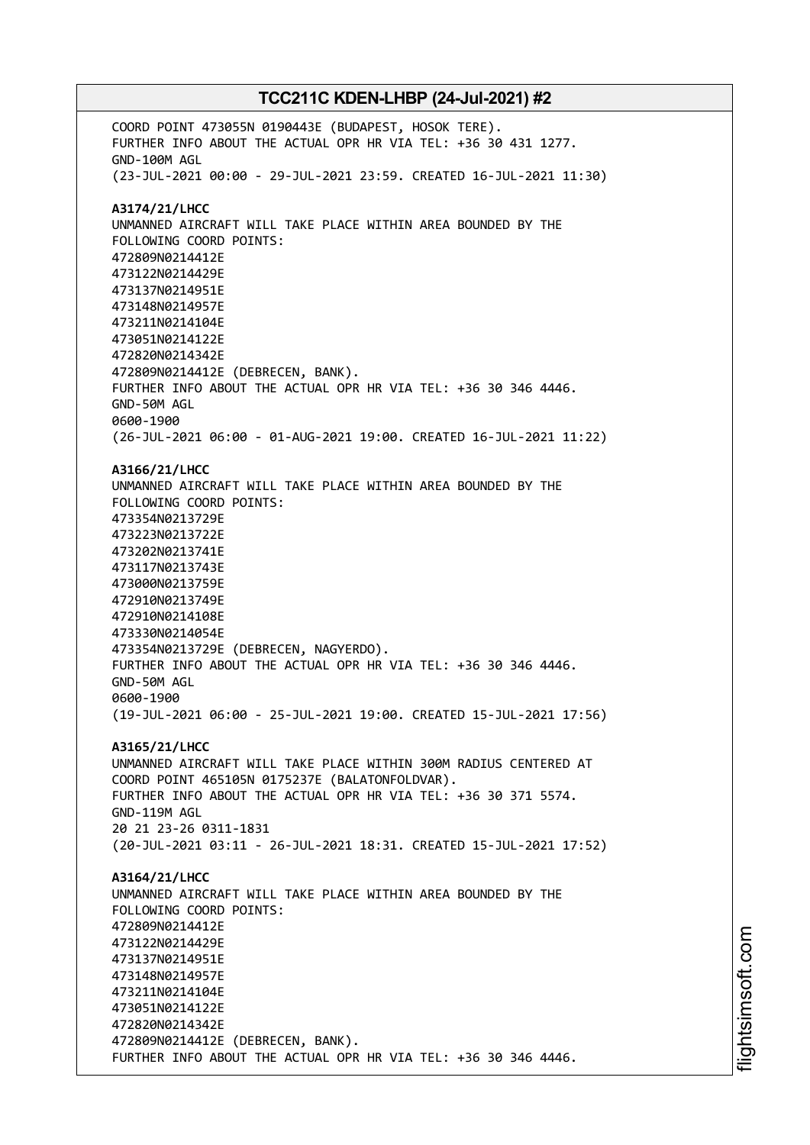COORD POINT 473055N 0190443E (BUDAPEST, HOSOK TERE). FURTHER INFO ABOUT THE ACTUAL OPR HR VIA TEL: +36 30 431 1277. GND-100M AGL (23-JUL-2021 00:00 - 29-JUL-2021 23:59. CREATED 16-JUL-2021 11:30) **A3174/21/LHCC** UNMANNED AIRCRAFT WILL TAKE PLACE WITHIN AREA BOUNDED BY THE FOLLOWING COORD POINTS: 472809N0214412E 473122N0214429E 473137N0214951E 473148N0214957E 473211N0214104E 473051N0214122E 472820N0214342E 472809N0214412E (DEBRECEN, BANK). FURTHER INFO ABOUT THE ACTUAL OPR HR VIA TEL: +36 30 346 4446. GND-50M AGL 0600-1900 (26-JUL-2021 06:00 - 01-AUG-2021 19:00. CREATED 16-JUL-2021 11:22) **A3166/21/LHCC** UNMANNED AIRCRAFT WILL TAKE PLACE WITHIN AREA BOUNDED BY THE FOLLOWING COORD POINTS: 473354N0213729E 473223N0213722E 473202N0213741E 473117N0213743E 473000N0213759E 472910N0213749E 472910N0214108E 473330N0214054E 473354N0213729E (DEBRECEN, NAGYERDO). FURTHER INFO ABOUT THE ACTUAL OPR HR VIA TEL: +36 30 346 4446. GND-50M AGL 0600-1900 (19-JUL-2021 06:00 - 25-JUL-2021 19:00. CREATED 15-JUL-2021 17:56) **A3165/21/LHCC** UNMANNED AIRCRAFT WILL TAKE PLACE WITHIN 300M RADIUS CENTERED AT COORD POINT 465105N 0175237E (BALATONFOLDVAR). FURTHER INFO ABOUT THE ACTUAL OPR HR VIA TEL: +36 30 371 5574. GND-119M AGL 20 21 23-26 0311-1831 (20-JUL-2021 03:11 - 26-JUL-2021 18:31. CREATED 15-JUL-2021 17:52) **A3164/21/LHCC** UNMANNED AIRCRAFT WILL TAKE PLACE WITHIN AREA BOUNDED BY THE FOLLOWING COORD POINTS: 472809N0214412E 473122N0214429E 473137N0214951E 473148N0214957E 473211N0214104E 473051N0214122E 472820N0214342E 472809N0214412E (DEBRECEN, BANK). FURTHER INFO ABOUT THE ACTUAL OPR HR VIA TEL: +36 30 346 4446.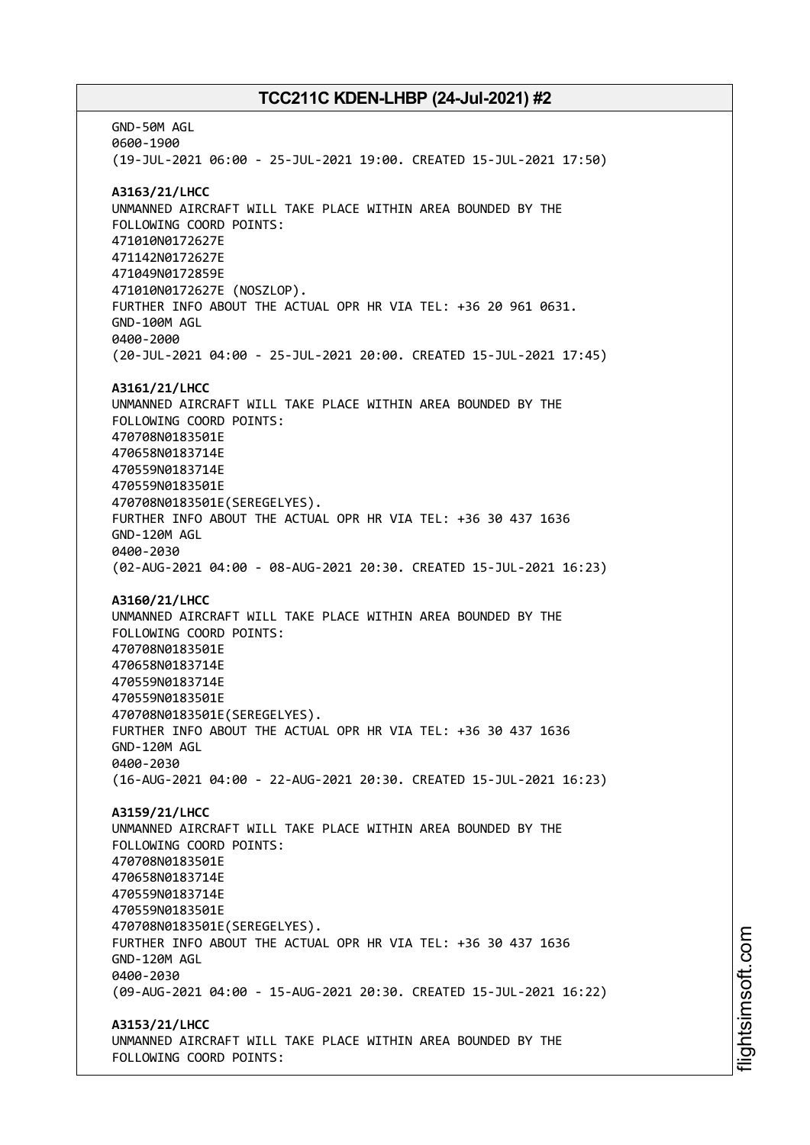GND-50M AGL 0600-1900 (19-JUL-2021 06:00 - 25-JUL-2021 19:00. CREATED 15-JUL-2021 17:50) **A3163/21/LHCC** UNMANNED AIRCRAFT WILL TAKE PLACE WITHIN AREA BOUNDED BY THE FOLLOWING COORD POINTS: 471010N0172627E 471142N0172627E 471049N0172859E 471010N0172627E (NOSZLOP). FURTHER INFO ABOUT THE ACTUAL OPR HR VIA TEL: +36 20 961 0631. GND-100M AGL 0400-2000 (20-JUL-2021 04:00 - 25-JUL-2021 20:00. CREATED 15-JUL-2021 17:45) **A3161/21/LHCC** UNMANNED AIRCRAFT WILL TAKE PLACE WITHIN AREA BOUNDED BY THE FOLLOWING COORD POINTS: 470708N0183501E 470658N0183714E 470559N0183714E 470559N0183501E 470708N0183501E(SEREGELYES). FURTHER INFO ABOUT THE ACTUAL OPR HR VIA TEL: +36 30 437 1636 GND-120M AGL 0400-2030 (02-AUG-2021 04:00 - 08-AUG-2021 20:30. CREATED 15-JUL-2021 16:23) **A3160/21/LHCC** UNMANNED AIRCRAFT WILL TAKE PLACE WITHIN AREA BOUNDED BY THE FOLLOWING COORD POINTS: 470708N0183501E 470658N0183714E 470559N0183714E 470559N0183501E 470708N0183501E(SEREGELYES). FURTHER INFO ABOUT THE ACTUAL OPR HR VIA TEL: +36 30 437 1636 GND-120M AGL 0400-2030 (16-AUG-2021 04:00 - 22-AUG-2021 20:30. CREATED 15-JUL-2021 16:23) **A3159/21/LHCC** UNMANNED AIRCRAFT WILL TAKE PLACE WITHIN AREA BOUNDED BY THE FOLLOWING COORD POINTS: 470708N0183501E 470658N0183714E 470559N0183714E 470559N0183501E 470708N0183501E(SEREGELYES). FURTHER INFO ABOUT THE ACTUAL OPR HR VIA TEL: +36 30 437 1636 GND-120M AGL 0400-2030 (09-AUG-2021 04:00 - 15-AUG-2021 20:30. CREATED 15-JUL-2021 16:22) **A3153/21/LHCC** UNMANNED AIRCRAFT WILL TAKE PLACE WITHIN AREA BOUNDED BY THE FOLLOWING COORD POINTS: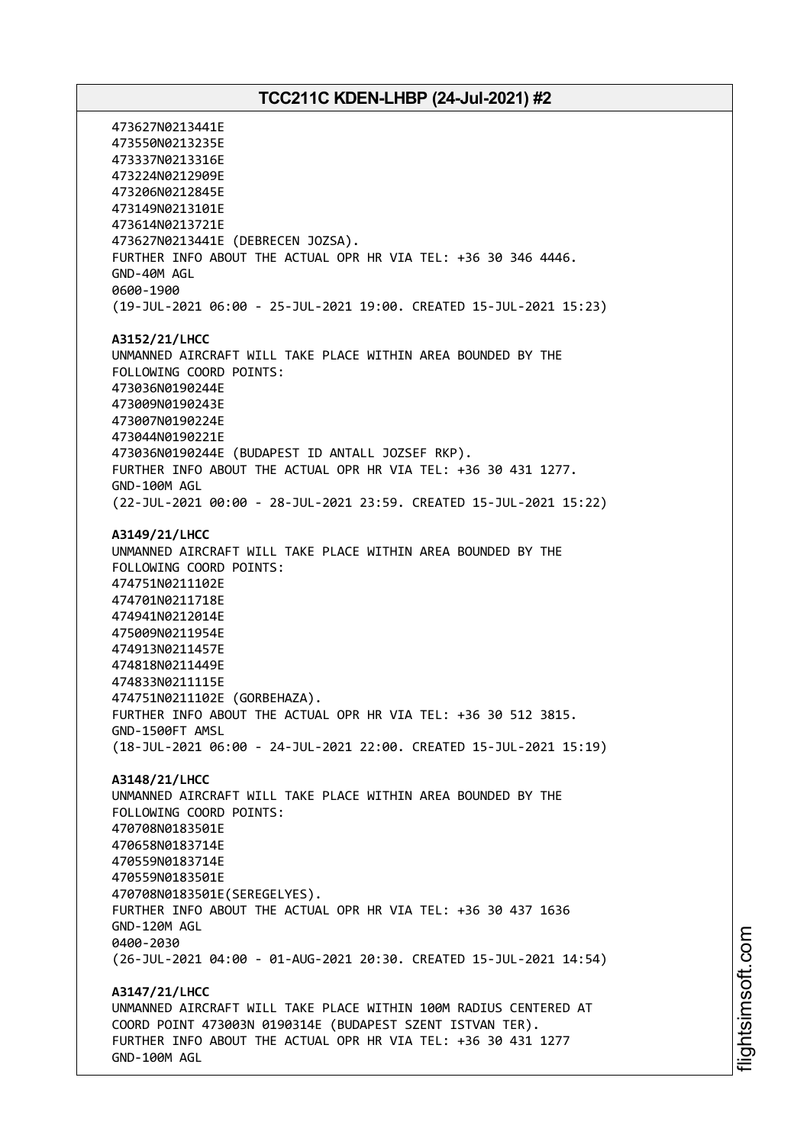473627N0213441E 473550N0213235E 473337N0213316E 473224N0212909E 473206N0212845E 473149N0213101E 473614N0213721E 473627N0213441E (DEBRECEN JOZSA). FURTHER INFO ABOUT THE ACTUAL OPR HR VIA TEL: +36 30 346 4446. GND-40M AGL 0600-1900 (19-JUL-2021 06:00 - 25-JUL-2021 19:00. CREATED 15-JUL-2021 15:23) **A3152/21/LHCC** UNMANNED AIRCRAFT WILL TAKE PLACE WITHIN AREA BOUNDED BY THE FOLLOWING COORD POINTS: 473036N0190244E 473009N0190243E 473007N0190224E 473044N0190221E 473036N0190244E (BUDAPEST ID ANTALL JOZSEF RKP). FURTHER INFO ABOUT THE ACTUAL OPR HR VIA TEL: +36 30 431 1277. GND-100M AGL (22-JUL-2021 00:00 - 28-JUL-2021 23:59. CREATED 15-JUL-2021 15:22) **A3149/21/LHCC** UNMANNED AIRCRAFT WILL TAKE PLACE WITHIN AREA BOUNDED BY THE FOLLOWING COORD POINTS: 474751N0211102E 474701N0211718E 474941N0212014E 475009N0211954E 474913N0211457E 474818N0211449E 474833N0211115E 474751N0211102E (GORBEHAZA). FURTHER INFO ABOUT THE ACTUAL OPR HR VIA TEL: +36 30 512 3815. GND-1500FT AMSL (18-JUL-2021 06:00 - 24-JUL-2021 22:00. CREATED 15-JUL-2021 15:19) **A3148/21/LHCC** UNMANNED AIRCRAFT WILL TAKE PLACE WITHIN AREA BOUNDED BY THE FOLLOWING COORD POINTS: 470708N0183501E 470658N0183714E 470559N0183714E 470559N0183501E 470708N0183501E(SEREGELYES). FURTHER INFO ABOUT THE ACTUAL OPR HR VIA TEL: +36 30 437 1636 GND-120M AGL 0400-2030 (26-JUL-2021 04:00 - 01-AUG-2021 20:30. CREATED 15-JUL-2021 14:54) **A3147/21/LHCC** UNMANNED AIRCRAFT WILL TAKE PLACE WITHIN 100M RADIUS CENTERED AT COORD POINT 473003N 0190314E (BUDAPEST SZENT ISTVAN TER). FURTHER INFO ABOUT THE ACTUAL OPR HR VIA TEL: +36 30 431 1277 GND-100M AGL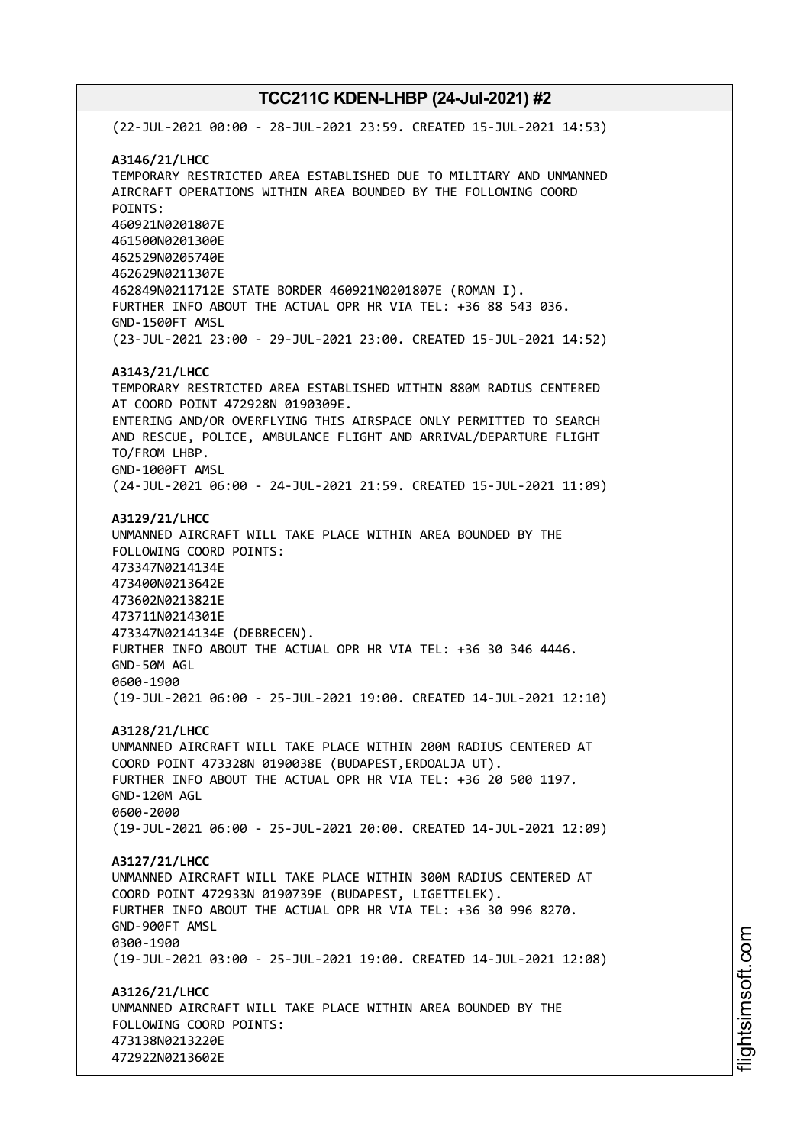(22-JUL-2021 00:00 - 28-JUL-2021 23:59. CREATED 15-JUL-2021 14:53) **A3146/21/LHCC** TEMPORARY RESTRICTED AREA ESTABLISHED DUE TO MILITARY AND UNMANNED AIRCRAFT OPERATIONS WITHIN AREA BOUNDED BY THE FOLLOWING COORD POINTS: 460921N0201807E 461500N0201300E 462529N0205740E 462629N0211307E 462849N0211712E STATE BORDER 460921N0201807E (ROMAN I). FURTHER INFO ABOUT THE ACTUAL OPR HR VIA TEL: +36 88 543 036. GND-1500FT AMSL (23-JUL-2021 23:00 - 29-JUL-2021 23:00. CREATED 15-JUL-2021 14:52) **A3143/21/LHCC** TEMPORARY RESTRICTED AREA ESTABLISHED WITHIN 880M RADIUS CENTERED AT COORD POINT 472928N 0190309E. ENTERING AND/OR OVERFLYING THIS AIRSPACE ONLY PERMITTED TO SEARCH AND RESCUE, POLICE, AMBULANCE FLIGHT AND ARRIVAL/DEPARTURE FLIGHT TO/FROM LHBP. GND-1000FT AMSL (24-JUL-2021 06:00 - 24-JUL-2021 21:59. CREATED 15-JUL-2021 11:09) **A3129/21/LHCC** UNMANNED AIRCRAFT WILL TAKE PLACE WITHIN AREA BOUNDED BY THE FOLLOWING COORD POINTS: 473347N0214134E 473400N0213642E 473602N0213821E 473711N0214301E 473347N0214134E (DEBRECEN). FURTHER INFO ABOUT THE ACTUAL OPR HR VIA TEL: +36 30 346 4446. GND-50M AGL 0600-1900 (19-JUL-2021 06:00 - 25-JUL-2021 19:00. CREATED 14-JUL-2021 12:10) **A3128/21/LHCC** UNMANNED AIRCRAFT WILL TAKE PLACE WITHIN 200M RADIUS CENTERED AT COORD POINT 473328N 0190038E (BUDAPEST,ERDOALJA UT). FURTHER INFO ABOUT THE ACTUAL OPR HR VIA TEL: +36 20 500 1197. GND-120M AGL 0600-2000 (19-JUL-2021 06:00 - 25-JUL-2021 20:00. CREATED 14-JUL-2021 12:09) **A3127/21/LHCC** UNMANNED AIRCRAFT WILL TAKE PLACE WITHIN 300M RADIUS CENTERED AT COORD POINT 472933N 0190739E (BUDAPEST, LIGETTELEK). FURTHER INFO ABOUT THE ACTUAL OPR HR VIA TEL: +36 30 996 8270. GND-900FT AMSL 0300-1900 (19-JUL-2021 03:00 - 25-JUL-2021 19:00. CREATED 14-JUL-2021 12:08) **A3126/21/LHCC** UNMANNED AIRCRAFT WILL TAKE PLACE WITHIN AREA BOUNDED BY THE FOLLOWING COORD POINTS: 473138N0213220E 472922N0213602E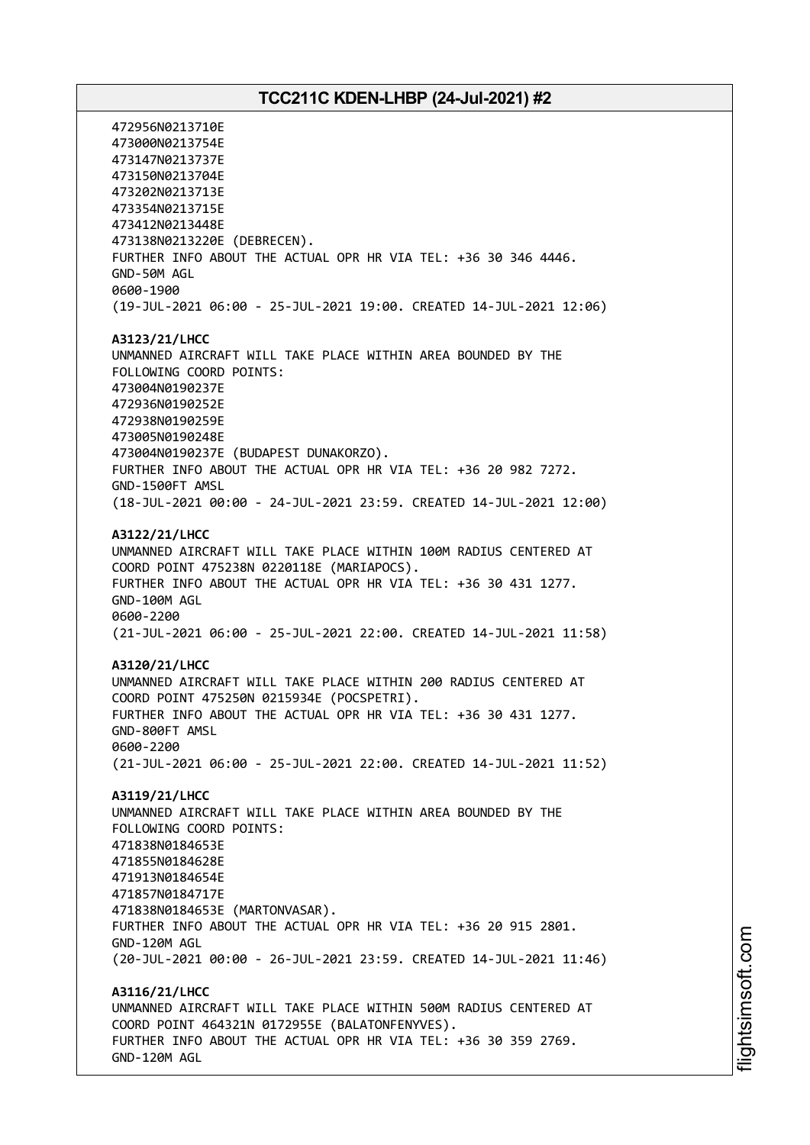472956N0213710E 473000N0213754E 473147N0213737E 473150N0213704E 473202N0213713E 473354N0213715E 473412N0213448E 473138N0213220E (DEBRECEN). FURTHER INFO ABOUT THE ACTUAL OPR HR VIA TEL: +36 30 346 4446. GND-50M AGL 0600-1900 (19-JUL-2021 06:00 - 25-JUL-2021 19:00. CREATED 14-JUL-2021 12:06) **A3123/21/LHCC** UNMANNED AIRCRAFT WILL TAKE PLACE WITHIN AREA BOUNDED BY THE FOLLOWING COORD POINTS: 473004N0190237E 472936N0190252E 472938N0190259E 473005N0190248E 473004N0190237E (BUDAPEST DUNAKORZO). FURTHER INFO ABOUT THE ACTUAL OPR HR VIA TEL: +36 20 982 7272. GND-1500FT AMSL (18-JUL-2021 00:00 - 24-JUL-2021 23:59. CREATED 14-JUL-2021 12:00) **A3122/21/LHCC** UNMANNED AIRCRAFT WILL TAKE PLACE WITHIN 100M RADIUS CENTERED AT COORD POINT 475238N 0220118E (MARIAPOCS). FURTHER INFO ABOUT THE ACTUAL OPR HR VIA TEL: +36 30 431 1277. GND-100M AGL 0600-2200 (21-JUL-2021 06:00 - 25-JUL-2021 22:00. CREATED 14-JUL-2021 11:58) **A3120/21/LHCC** UNMANNED AIRCRAFT WILL TAKE PLACE WITHIN 200 RADIUS CENTERED AT COORD POINT 475250N 0215934E (POCSPETRI). FURTHER INFO ABOUT THE ACTUAL OPR HR VIA TEL: +36 30 431 1277. GND-800FT AMSL 0600-2200 (21-JUL-2021 06:00 - 25-JUL-2021 22:00. CREATED 14-JUL-2021 11:52) **A3119/21/LHCC** UNMANNED AIRCRAFT WILL TAKE PLACE WITHIN AREA BOUNDED BY THE FOLLOWING COORD POINTS: 471838N0184653E 471855N0184628E 471913N0184654E 471857N0184717E 471838N0184653E (MARTONVASAR). FURTHER INFO ABOUT THE ACTUAL OPR HR VIA TEL: +36 20 915 2801. GND-120M AGL (20-JUL-2021 00:00 - 26-JUL-2021 23:59. CREATED 14-JUL-2021 11:46) **A3116/21/LHCC** UNMANNED AIRCRAFT WILL TAKE PLACE WITHIN 500M RADIUS CENTERED AT COORD POINT 464321N 0172955E (BALATONFENYVES). FURTHER INFO ABOUT THE ACTUAL OPR HR VIA TEL: +36 30 359 2769. GND-120M AGL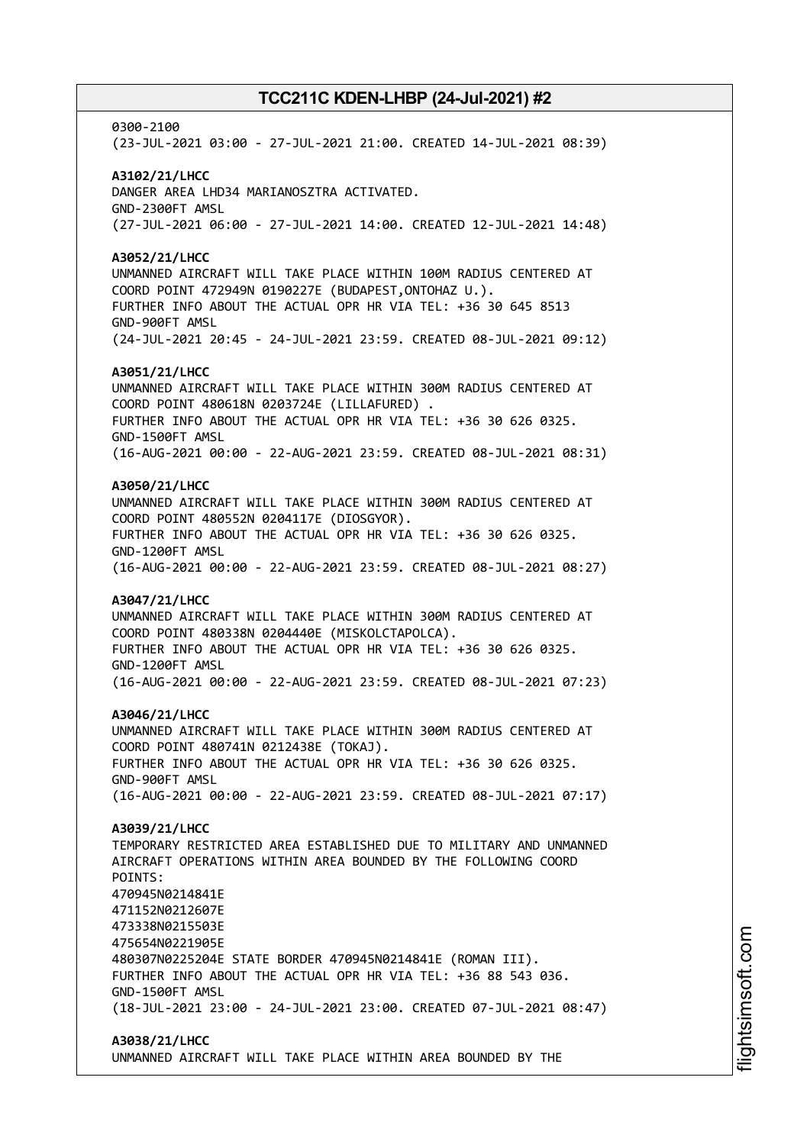0300-2100 (23-JUL-2021 03:00 - 27-JUL-2021 21:00. CREATED 14-JUL-2021 08:39) **A3102/21/LHCC** DANGER AREA LHD34 MARIANOSZTRA ACTIVATED. GND-2300FT AMSL (27-JUL-2021 06:00 - 27-JUL-2021 14:00. CREATED 12-JUL-2021 14:48) **A3052/21/LHCC** UNMANNED AIRCRAFT WILL TAKE PLACE WITHIN 100M RADIUS CENTERED AT COORD POINT 472949N 0190227E (BUDAPEST,ONTOHAZ U.). FURTHER INFO ABOUT THE ACTUAL OPR HR VIA TEL: +36 30 645 8513 GND-900FT AMSL (24-JUL-2021 20:45 - 24-JUL-2021 23:59. CREATED 08-JUL-2021 09:12) **A3051/21/LHCC** UNMANNED AIRCRAFT WILL TAKE PLACE WITHIN 300M RADIUS CENTERED AT COORD POINT 480618N 0203724E (LILLAFURED) . FURTHER INFO ABOUT THE ACTUAL OPR HR VIA TEL: +36 30 626 0325. GND-1500FT AMSL (16-AUG-2021 00:00 - 22-AUG-2021 23:59. CREATED 08-JUL-2021 08:31) **A3050/21/LHCC** UNMANNED AIRCRAFT WILL TAKE PLACE WITHIN 300M RADIUS CENTERED AT COORD POINT 480552N 0204117E (DIOSGYOR). FURTHER INFO ABOUT THE ACTUAL OPR HR VIA TEL: +36 30 626 0325. GND-1200FT AMSL (16-AUG-2021 00:00 - 22-AUG-2021 23:59. CREATED 08-JUL-2021 08:27) **A3047/21/LHCC** UNMANNED AIRCRAFT WILL TAKE PLACE WITHIN 300M RADIUS CENTERED AT COORD POINT 480338N 0204440E (MISKOLCTAPOLCA). FURTHER INFO ABOUT THE ACTUAL OPR HR VIA TEL: +36 30 626 0325. GND-1200FT AMSL (16-AUG-2021 00:00 - 22-AUG-2021 23:59. CREATED 08-JUL-2021 07:23) **A3046/21/LHCC** UNMANNED AIRCRAFT WILL TAKE PLACE WITHIN 300M RADIUS CENTERED AT COORD POINT 480741N 0212438E (TOKAJ). FURTHER INFO ABOUT THE ACTUAL OPR HR VIA TEL: +36 30 626 0325. GND-900FT AMSL (16-AUG-2021 00:00 - 22-AUG-2021 23:59. CREATED 08-JUL-2021 07:17) **A3039/21/LHCC** TEMPORARY RESTRICTED AREA ESTABLISHED DUE TO MILITARY AND UNMANNED AIRCRAFT OPERATIONS WITHIN AREA BOUNDED BY THE FOLLOWING COORD POINTS: 470945N0214841E 471152N0212607E 473338N0215503E 475654N0221905E 480307N0225204E STATE BORDER 470945N0214841E (ROMAN III). FURTHER INFO ABOUT THE ACTUAL OPR HR VIA TEL: +36 88 543 036. GND-1500FT AMSL (18-JUL-2021 23:00 - 24-JUL-2021 23:00. CREATED 07-JUL-2021 08:47) **A3038/21/LHCC**

UNMANNED AIRCRAFT WILL TAKE PLACE WITHIN AREA BOUNDED BY THE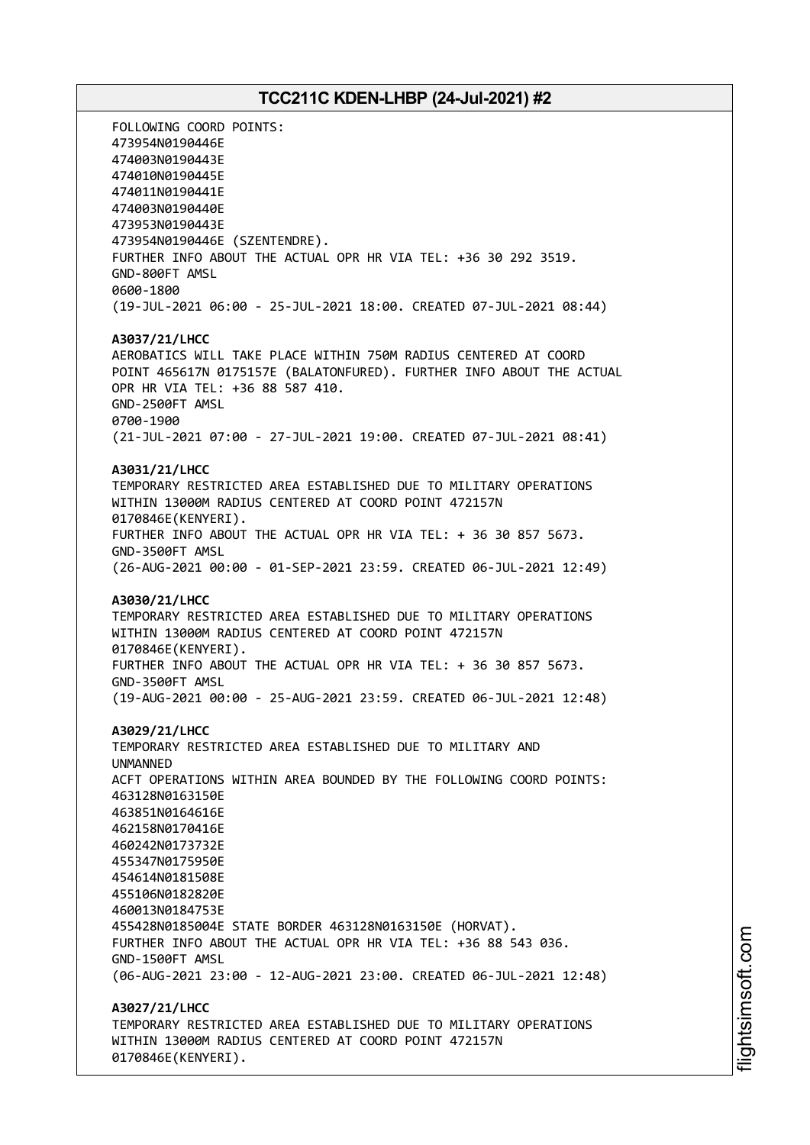FOLLOWING COORD POINTS: 473954N0190446E 474003N0190443E 474010N0190445E 474011N0190441E 474003N0190440E 473953N0190443E 473954N0190446E (SZENTENDRE). FURTHER INFO ABOUT THE ACTUAL OPR HR VIA TEL: +36 30 292 3519. GND-800FT AMSL 0600-1800 (19-JUL-2021 06:00 - 25-JUL-2021 18:00. CREATED 07-JUL-2021 08:44) **A3037/21/LHCC** AEROBATICS WILL TAKE PLACE WITHIN 750M RADIUS CENTERED AT COORD POINT 465617N 0175157E (BALATONFURED). FURTHER INFO ABOUT THE ACTUAL OPR HR VIA TEL: +36 88 587 410. GND-2500FT AMSL 0700-1900 (21-JUL-2021 07:00 - 27-JUL-2021 19:00. CREATED 07-JUL-2021 08:41) **A3031/21/LHCC** TEMPORARY RESTRICTED AREA ESTABLISHED DUE TO MILITARY OPERATIONS WITHIN 13000M RADIUS CENTERED AT COORD POINT 472157N 0170846E(KENYERI). FURTHER INFO ABOUT THE ACTUAL OPR HR VIA TEL: + 36 30 857 5673. GND-3500FT AMSL (26-AUG-2021 00:00 - 01-SEP-2021 23:59. CREATED 06-JUL-2021 12:49) **A3030/21/LHCC** TEMPORARY RESTRICTED AREA ESTABLISHED DUE TO MILITARY OPERATIONS WITHIN 13000M RADIUS CENTERED AT COORD POINT 472157N 0170846E(KENYERI). FURTHER INFO ABOUT THE ACTUAL OPR HR VIA TEL: + 36 30 857 5673. GND-3500FT AMSL (19-AUG-2021 00:00 - 25-AUG-2021 23:59. CREATED 06-JUL-2021 12:48) **A3029/21/LHCC** TEMPORARY RESTRICTED AREA ESTABLISHED DUE TO MILITARY AND UNMANNED ACFT OPERATIONS WITHIN AREA BOUNDED BY THE FOLLOWING COORD POINTS: 463128N0163150E 463851N0164616E 462158N0170416E 460242N0173732E 455347N0175950E 454614N0181508E 455106N0182820E 460013N0184753E 455428N0185004E STATE BORDER 463128N0163150E (HORVAT). FURTHER INFO ABOUT THE ACTUAL OPR HR VIA TEL: +36 88 543 036. GND-1500FT AMSL (06-AUG-2021 23:00 - 12-AUG-2021 23:00. CREATED 06-JUL-2021 12:48) **A3027/21/LHCC** TEMPORARY RESTRICTED AREA ESTABLISHED DUE TO MILITARY OPERATIONS WITHIN 13000M RADIUS CENTERED AT COORD POINT 472157N 0170846E(KENYERI).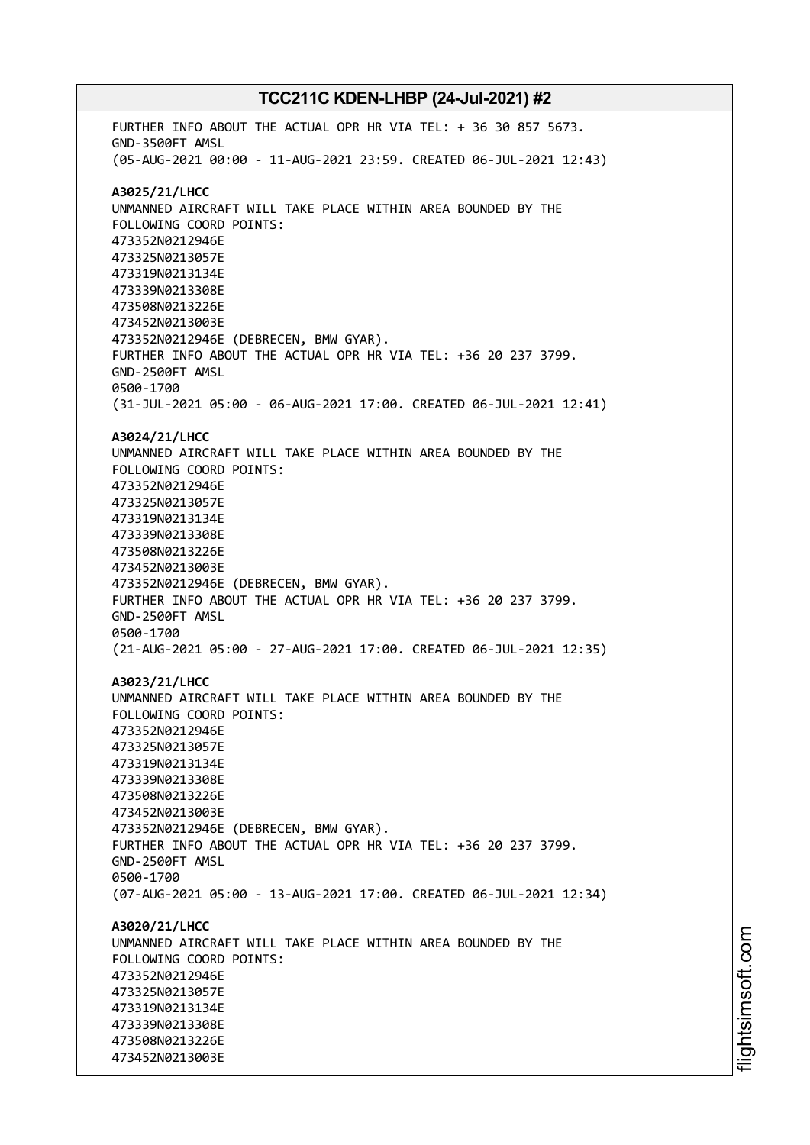FURTHER INFO ABOUT THE ACTUAL OPR HR VIA TEL: + 36 30 857 5673. GND-3500FT AMSL (05-AUG-2021 00:00 - 11-AUG-2021 23:59. CREATED 06-JUL-2021 12:43) **A3025/21/LHCC** UNMANNED AIRCRAFT WILL TAKE PLACE WITHIN AREA BOUNDED BY THE FOLLOWING COORD POINTS: 473352N0212946E 473325N0213057E 473319N0213134E 473339N0213308E 473508N0213226E 473452N0213003E 473352N0212946E (DEBRECEN, BMW GYAR). FURTHER INFO ABOUT THE ACTUAL OPR HR VIA TEL: +36 20 237 3799. GND-2500FT AMSL 0500-1700 (31-JUL-2021 05:00 - 06-AUG-2021 17:00. CREATED 06-JUL-2021 12:41) **A3024/21/LHCC** UNMANNED AIRCRAFT WILL TAKE PLACE WITHIN AREA BOUNDED BY THE FOLLOWING COORD POINTS: 473352N0212946E 473325N0213057E 473319N0213134E 473339N0213308E 473508N0213226E 473452N0213003E 473352N0212946E (DEBRECEN, BMW GYAR). FURTHER INFO ABOUT THE ACTUAL OPR HR VIA TEL: +36 20 237 3799. GND-2500FT AMSL 0500-1700 (21-AUG-2021 05:00 - 27-AUG-2021 17:00. CREATED 06-JUL-2021 12:35) **A3023/21/LHCC** UNMANNED AIRCRAFT WILL TAKE PLACE WITHIN AREA BOUNDED BY THE FOLLOWING COORD POINTS: 473352N0212946E 473325N0213057E 473319N0213134E 473339N0213308E 473508N0213226E 473452N0213003E 473352N0212946E (DEBRECEN, BMW GYAR). FURTHER INFO ABOUT THE ACTUAL OPR HR VIA TEL: +36 20 237 3799. GND-2500FT AMSL 0500-1700 (07-AUG-2021 05:00 - 13-AUG-2021 17:00. CREATED 06-JUL-2021 12:34) **A3020/21/LHCC** UNMANNED AIRCRAFT WILL TAKE PLACE WITHIN AREA BOUNDED BY THE FOLLOWING COORD POINTS: 473352N0212946E 473325N0213057E 473319N0213134E 473339N0213308E 473508N0213226E 473452N0213003E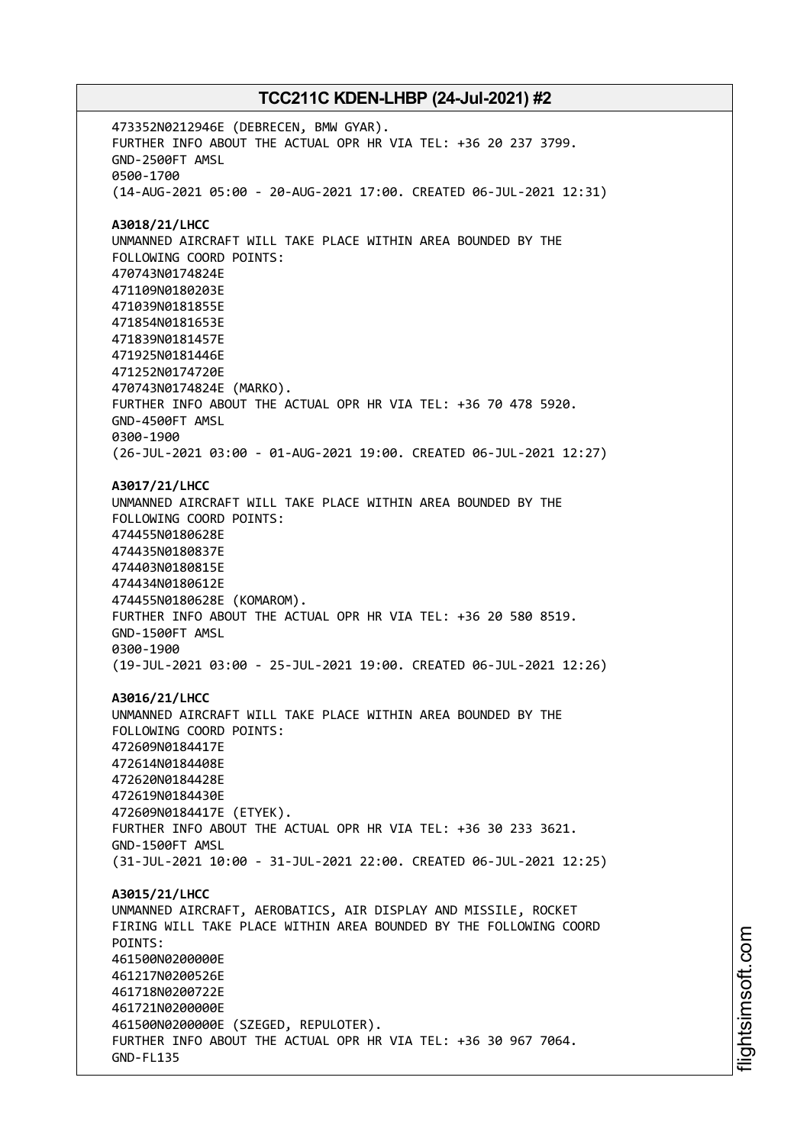473352N0212946E (DEBRECEN, BMW GYAR). FURTHER INFO ABOUT THE ACTUAL OPR HR VIA TEL: +36 20 237 3799. GND-2500FT AMSL 0500-1700 (14-AUG-2021 05:00 - 20-AUG-2021 17:00. CREATED 06-JUL-2021 12:31) **A3018/21/LHCC** UNMANNED AIRCRAFT WILL TAKE PLACE WITHIN AREA BOUNDED BY THE FOLLOWING COORD POINTS: 470743N0174824E 471109N0180203E 471039N0181855E 471854N0181653E 471839N0181457E 471925N0181446E 471252N0174720E 470743N0174824E (MARKO). FURTHER INFO ABOUT THE ACTUAL OPR HR VIA TEL: +36 70 478 5920. GND-4500FT AMSL 0300-1900 (26-JUL-2021 03:00 - 01-AUG-2021 19:00. CREATED 06-JUL-2021 12:27) **A3017/21/LHCC** UNMANNED AIRCRAFT WILL TAKE PLACE WITHIN AREA BOUNDED BY THE FOLLOWING COORD POINTS: 474455N0180628E 474435N0180837E 474403N0180815E 474434N0180612E 474455N0180628E (KOMAROM). FURTHER INFO ABOUT THE ACTUAL OPR HR VIA TEL: +36 20 580 8519. GND-1500FT AMSL 0300-1900 (19-JUL-2021 03:00 - 25-JUL-2021 19:00. CREATED 06-JUL-2021 12:26) **A3016/21/LHCC** UNMANNED AIRCRAFT WILL TAKE PLACE WITHIN AREA BOUNDED BY THE FOLLOWING COORD POINTS: 472609N0184417E 472614N0184408E 472620N0184428E 472619N0184430E 472609N0184417E (ETYEK). FURTHER INFO ABOUT THE ACTUAL OPR HR VIA TEL: +36 30 233 3621. GND-1500FT AMSL (31-JUL-2021 10:00 - 31-JUL-2021 22:00. CREATED 06-JUL-2021 12:25) **A3015/21/LHCC** UNMANNED AIRCRAFT, AEROBATICS, AIR DISPLAY AND MISSILE, ROCKET FIRING WILL TAKE PLACE WITHIN AREA BOUNDED BY THE FOLLOWING COORD POINTS: 461500N0200000E 461217N0200526E 461718N0200722E 461721N0200000E 461500N0200000E (SZEGED, REPULOTER). FURTHER INFO ABOUT THE ACTUAL OPR HR VIA TEL: +36 30 967 7064. GND-FL135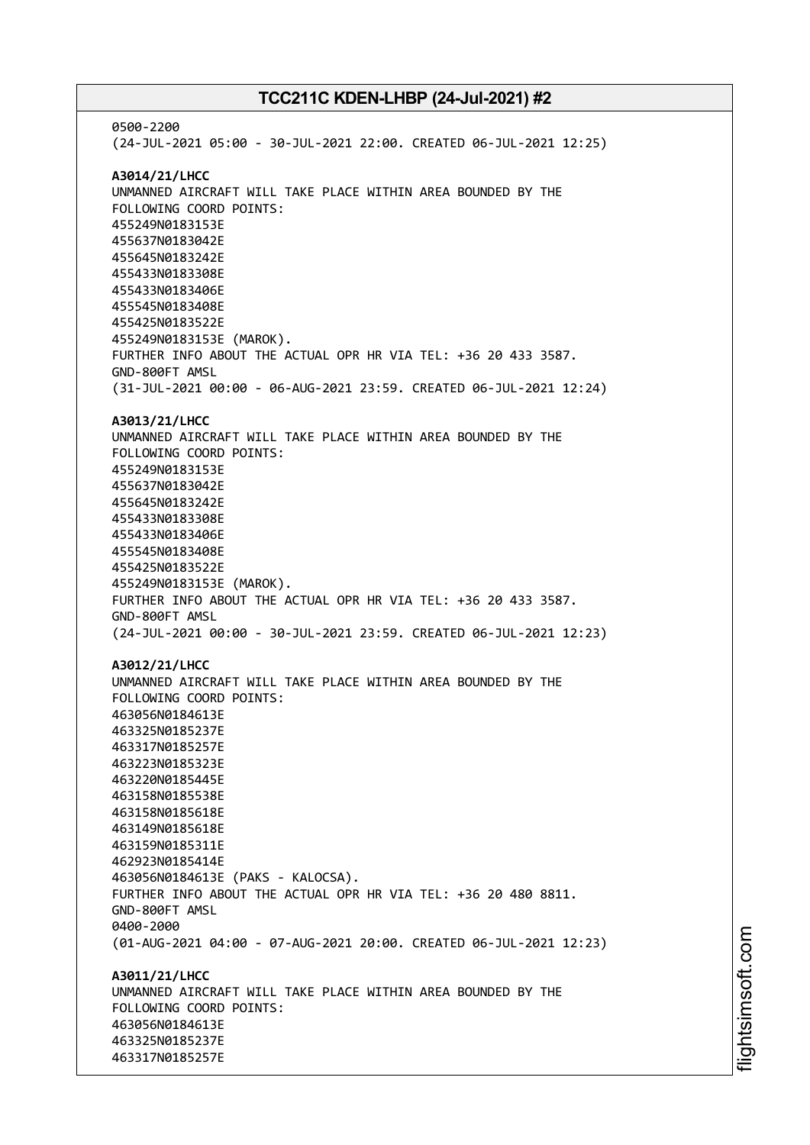0500-2200 (24-JUL-2021 05:00 - 30-JUL-2021 22:00. CREATED 06-JUL-2021 12:25) **A3014/21/LHCC** UNMANNED AIRCRAFT WILL TAKE PLACE WITHIN AREA BOUNDED BY THE FOLLOWING COORD POINTS: 455249N0183153E 455637N0183042E 455645N0183242E 455433N0183308E 455433N0183406E 455545N0183408E 455425N0183522E 455249N0183153E (MAROK). FURTHER INFO ABOUT THE ACTUAL OPR HR VIA TEL: +36 20 433 3587. GND-800FT AMSL (31-JUL-2021 00:00 - 06-AUG-2021 23:59. CREATED 06-JUL-2021 12:24) **A3013/21/LHCC** UNMANNED AIRCRAFT WILL TAKE PLACE WITHIN AREA BOUNDED BY THE FOLLOWING COORD POINTS: 455249N0183153E 455637N0183042E 455645N0183242E 455433N0183308E 455433N0183406E 455545N0183408E 455425N0183522E 455249N0183153E (MAROK). FURTHER INFO ABOUT THE ACTUAL OPR HR VIA TEL: +36 20 433 3587. GND-800FT AMSL (24-JUL-2021 00:00 - 30-JUL-2021 23:59. CREATED 06-JUL-2021 12:23) **A3012/21/LHCC** UNMANNED AIRCRAFT WILL TAKE PLACE WITHIN AREA BOUNDED BY THE FOLLOWING COORD POINTS: 463056N0184613E 463325N0185237E 463317N0185257E 463223N0185323E 463220N0185445E 463158N0185538E 463158N0185618E 463149N0185618E 463159N0185311E 462923N0185414E 463056N0184613E (PAKS - KALOCSA). FURTHER INFO ABOUT THE ACTUAL OPR HR VIA TEL: +36 20 480 8811. GND-800FT AMSL 0400-2000 (01-AUG-2021 04:00 - 07-AUG-2021 20:00. CREATED 06-JUL-2021 12:23) **A3011/21/LHCC** UNMANNED AIRCRAFT WILL TAKE PLACE WITHIN AREA BOUNDED BY THE FOLLOWING COORD POINTS: 463056N0184613E 463325N0185237E 463317N0185257E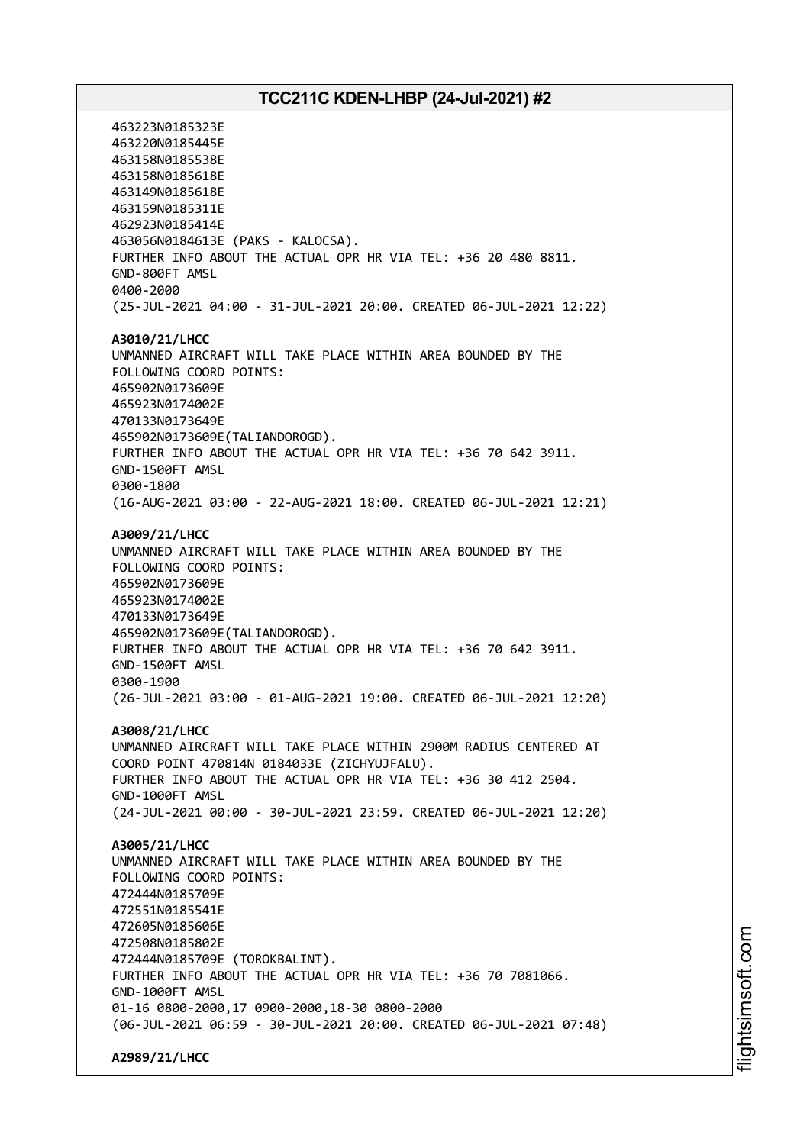463223N0185323E 463220N0185445E 463158N0185538E 463158N0185618E 463149N0185618E 463159N0185311E 462923N0185414E 463056N0184613E (PAKS - KALOCSA). FURTHER INFO ABOUT THE ACTUAL OPR HR VIA TEL: +36 20 480 8811. GND-800FT AMSL 0400-2000 (25-JUL-2021 04:00 - 31-JUL-2021 20:00. CREATED 06-JUL-2021 12:22) **A3010/21/LHCC** UNMANNED AIRCRAFT WILL TAKE PLACE WITHIN AREA BOUNDED BY THE FOLLOWING COORD POINTS: 465902N0173609E 465923N0174002E 470133N0173649E 465902N0173609E(TALIANDOROGD). FURTHER INFO ABOUT THE ACTUAL OPR HR VIA TEL: +36 70 642 3911. GND-1500FT AMSL 0300-1800 (16-AUG-2021 03:00 - 22-AUG-2021 18:00. CREATED 06-JUL-2021 12:21) **A3009/21/LHCC** UNMANNED AIRCRAFT WILL TAKE PLACE WITHIN AREA BOUNDED BY THE FOLLOWING COORD POINTS: 465902N0173609E 465923N0174002E 470133N0173649E 465902N0173609E(TALIANDOROGD). FURTHER INFO ABOUT THE ACTUAL OPR HR VIA TEL: +36 70 642 3911. GND-1500FT AMSL 0300-1900 (26-JUL-2021 03:00 - 01-AUG-2021 19:00. CREATED 06-JUL-2021 12:20) **A3008/21/LHCC** UNMANNED AIRCRAFT WILL TAKE PLACE WITHIN 2900M RADIUS CENTERED AT COORD POINT 470814N 0184033E (ZICHYUJFALU). FURTHER INFO ABOUT THE ACTUAL OPR HR VIA TEL: +36 30 412 2504. GND-1000FT AMSL (24-JUL-2021 00:00 - 30-JUL-2021 23:59. CREATED 06-JUL-2021 12:20) **A3005/21/LHCC** UNMANNED AIRCRAFT WILL TAKE PLACE WITHIN AREA BOUNDED BY THE FOLLOWING COORD POINTS: 472444N0185709E 472551N0185541E 472605N0185606E 472508N0185802E 472444N0185709E (TOROKBALINT). FURTHER INFO ABOUT THE ACTUAL OPR HR VIA TEL: +36 70 7081066. GND-1000FT AMSL 01-16 0800-2000,17 0900-2000,18-30 0800-2000 (06-JUL-2021 06:59 - 30-JUL-2021 20:00. CREATED 06-JUL-2021 07:48) **A2989/21/LHCC**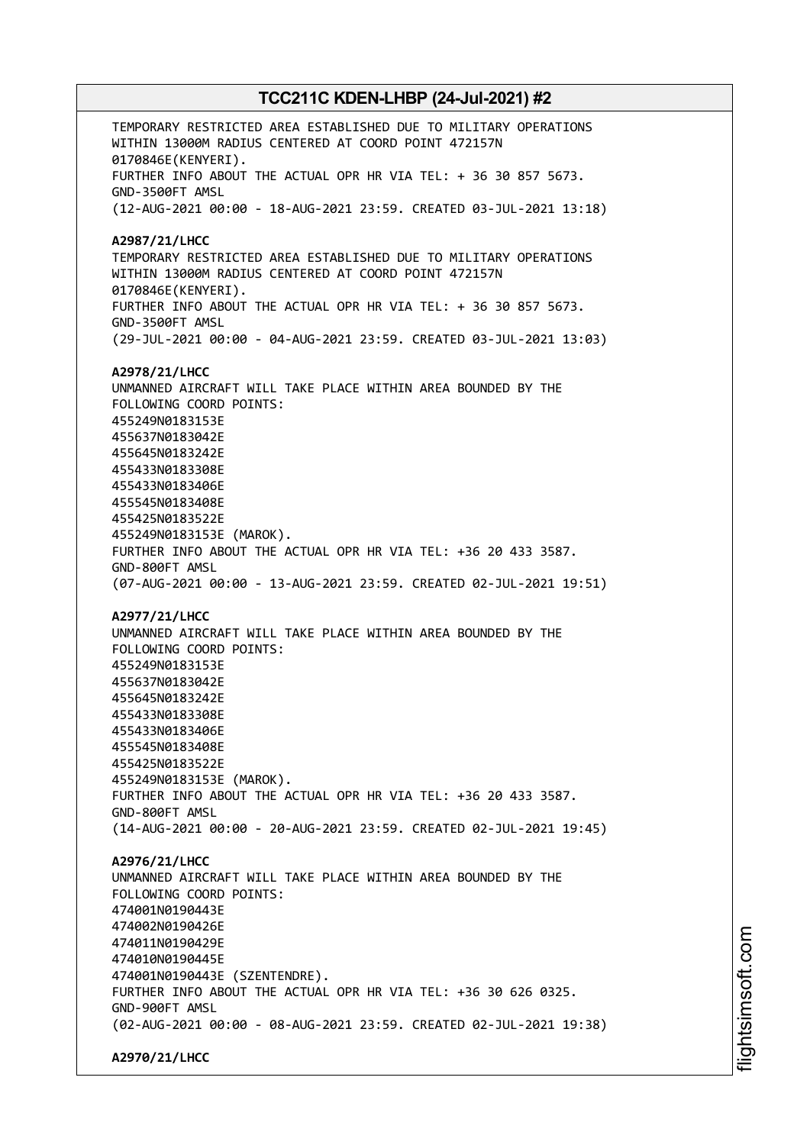TEMPORARY RESTRICTED AREA ESTABLISHED DUE TO MILITARY OPERATIONS WITHIN 13000M RADIUS CENTERED AT COORD POINT 472157N 0170846E(KENYERI). FURTHER INFO ABOUT THE ACTUAL OPR HR VIA TEL: + 36 30 857 5673. GND-3500FT AMSL (12-AUG-2021 00:00 - 18-AUG-2021 23:59. CREATED 03-JUL-2021 13:18) **A2987/21/LHCC** TEMPORARY RESTRICTED AREA ESTABLISHED DUE TO MILITARY OPERATIONS WITHIN 13000M RADIUS CENTERED AT COORD POINT 472157N 0170846E(KENYERI). FURTHER INFO ABOUT THE ACTUAL OPR HR VIA TEL: + 36 30 857 5673. GND-3500FT AMSL (29-JUL-2021 00:00 - 04-AUG-2021 23:59. CREATED 03-JUL-2021 13:03) **A2978/21/LHCC** UNMANNED AIRCRAFT WILL TAKE PLACE WITHIN AREA BOUNDED BY THE FOLLOWING COORD POINTS: 455249N0183153E 455637N0183042E 455645N0183242E 455433N0183308E 455433N0183406E 455545N0183408E 455425N0183522E 455249N0183153E (MAROK). FURTHER INFO ABOUT THE ACTUAL OPR HR VIA TEL: +36 20 433 3587. GND-800FT AMSL (07-AUG-2021 00:00 - 13-AUG-2021 23:59. CREATED 02-JUL-2021 19:51) **A2977/21/LHCC** UNMANNED AIRCRAFT WILL TAKE PLACE WITHIN AREA BOUNDED BY THE FOLLOWING COORD POINTS: 455249N0183153E 455637N0183042E 455645N0183242E 455433N0183308E 455433N0183406E 455545N0183408E 455425N0183522E 455249N0183153E (MAROK). FURTHER INFO ABOUT THE ACTUAL OPR HR VIA TEL: +36 20 433 3587. GND-800FT AMSL (14-AUG-2021 00:00 - 20-AUG-2021 23:59. CREATED 02-JUL-2021 19:45) **A2976/21/LHCC** UNMANNED AIRCRAFT WILL TAKE PLACE WITHIN AREA BOUNDED BY THE FOLLOWING COORD POINTS: 474001N0190443E 474002N0190426E 474011N0190429E 474010N0190445E 474001N0190443E (SZENTENDRE). FURTHER INFO ABOUT THE ACTUAL OPR HR VIA TEL: +36 30 626 0325. GND-900FT AMSL (02-AUG-2021 00:00 - 08-AUG-2021 23:59. CREATED 02-JUL-2021 19:38) **A2970/21/LHCC**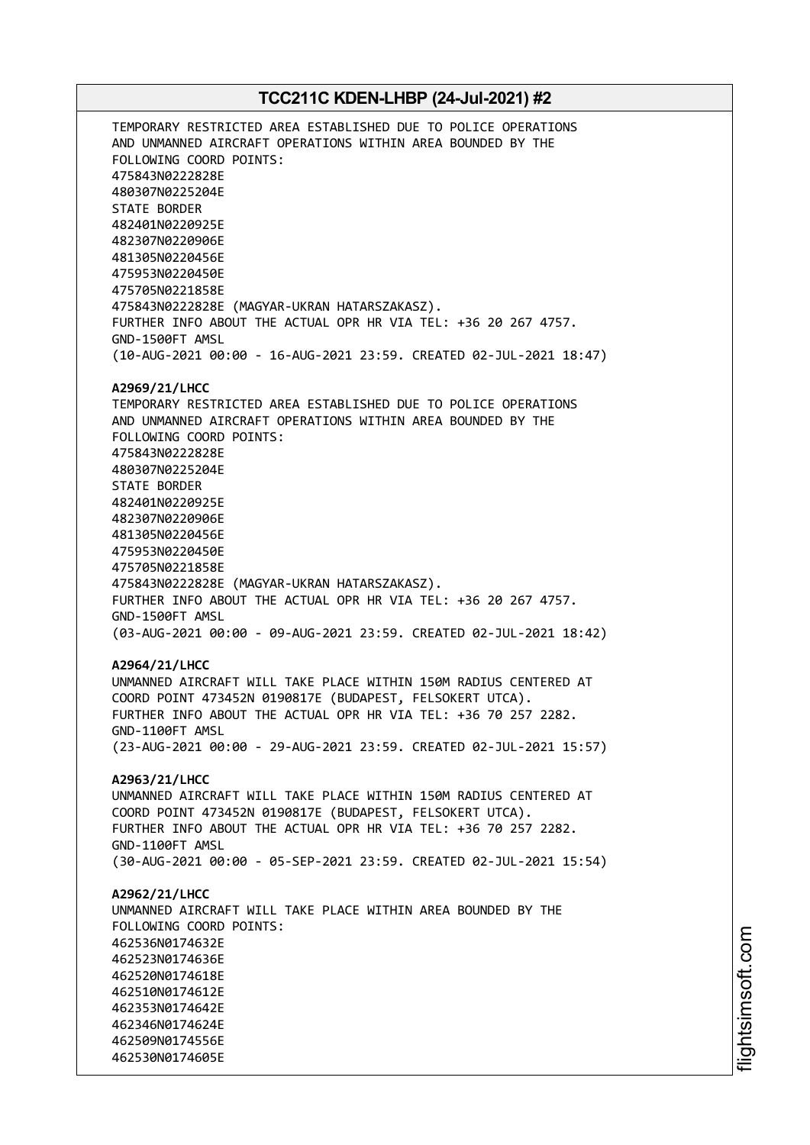TEMPORARY RESTRICTED AREA ESTABLISHED DUE TO POLICE OPERATIONS AND UNMANNED AIRCRAFT OPERATIONS WITHIN AREA BOUNDED BY THE FOLLOWING COORD POINTS: 475843N0222828E 480307N0225204E STATE BORDER 482401N0220925E 482307N0220906E 481305N0220456E 475953N0220450E 475705N0221858E 475843N0222828E (MAGYAR-UKRAN HATARSZAKASZ). FURTHER INFO ABOUT THE ACTUAL OPR HR VIA TEL: +36 20 267 4757. GND-1500FT AMSL (10-AUG-2021 00:00 - 16-AUG-2021 23:59. CREATED 02-JUL-2021 18:47) **A2969/21/LHCC** TEMPORARY RESTRICTED AREA ESTABLISHED DUE TO POLICE OPERATIONS AND UNMANNED AIRCRAFT OPERATIONS WITHIN AREA BOUNDED BY THE FOLLOWING COORD POINTS: 475843N0222828E 480307N0225204E STATE BORDER 482401N0220925E 482307N0220906E 481305N0220456E 475953N0220450E 475705N0221858E 475843N0222828E (MAGYAR-UKRAN HATARSZAKASZ). FURTHER INFO ABOUT THE ACTUAL OPR HR VIA TEL: +36 20 267 4757. GND-1500FT AMSL (03-AUG-2021 00:00 - 09-AUG-2021 23:59. CREATED 02-JUL-2021 18:42) **A2964/21/LHCC** UNMANNED AIRCRAFT WILL TAKE PLACE WITHIN 150M RADIUS CENTERED AT COORD POINT 473452N 0190817E (BUDAPEST, FELSOKERT UTCA). FURTHER INFO ABOUT THE ACTUAL OPR HR VIA TEL: +36 70 257 2282. GND-1100FT AMSL (23-AUG-2021 00:00 - 29-AUG-2021 23:59. CREATED 02-JUL-2021 15:57) **A2963/21/LHCC** UNMANNED AIRCRAFT WILL TAKE PLACE WITHIN 150M RADIUS CENTERED AT COORD POINT 473452N 0190817E (BUDAPEST, FELSOKERT UTCA). FURTHER INFO ABOUT THE ACTUAL OPR HR VIA TEL: +36 70 257 2282. GND-1100FT AMSL (30-AUG-2021 00:00 - 05-SEP-2021 23:59. CREATED 02-JUL-2021 15:54) **A2962/21/LHCC** UNMANNED AIRCRAFT WILL TAKE PLACE WITHIN AREA BOUNDED BY THE FOLLOWING COORD POINTS: 462536N0174632E 462523N0174636E 462520N0174618E 462510N0174612E 462353N0174642E 462346N0174624E 462509N0174556E 462530N0174605E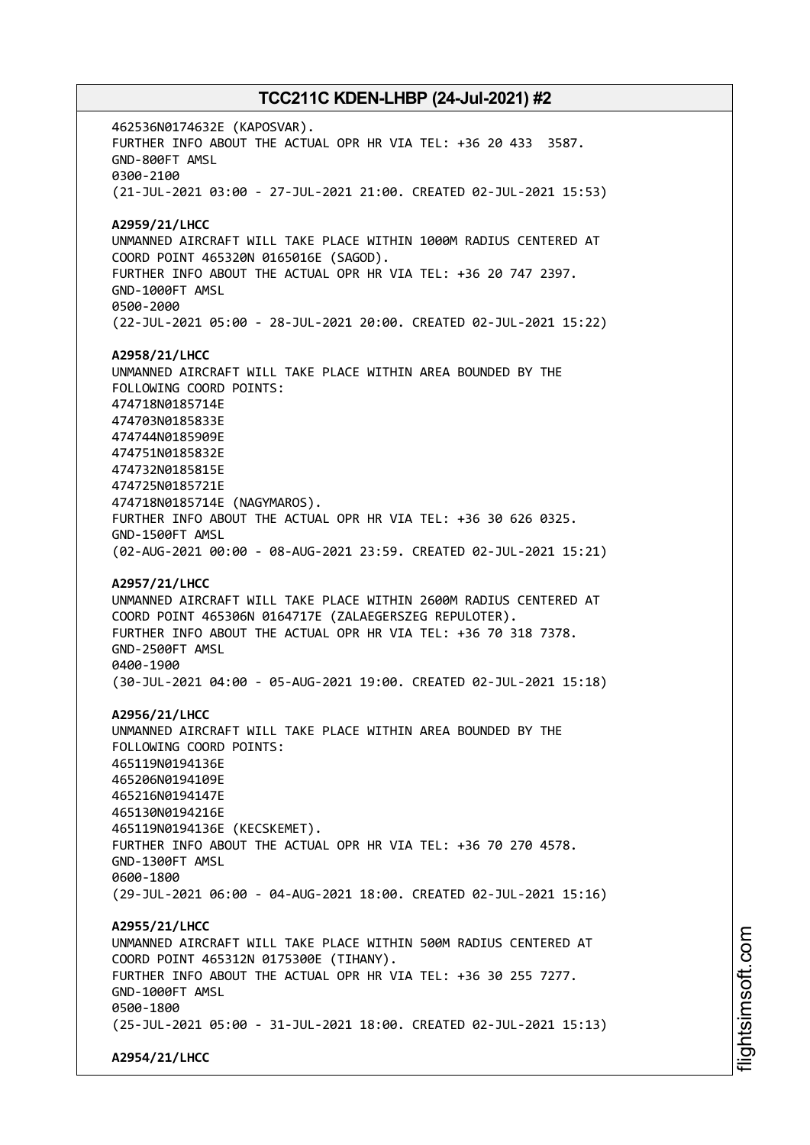462536N0174632E (KAPOSVAR). FURTHER INFO ABOUT THE ACTUAL OPR HR VIA TEL: +36 20 433 3587. GND-800FT AMSL 0300-2100 (21-JUL-2021 03:00 - 27-JUL-2021 21:00. CREATED 02-JUL-2021 15:53) **A2959/21/LHCC** UNMANNED AIRCRAFT WILL TAKE PLACE WITHIN 1000M RADIUS CENTERED AT COORD POINT 465320N 0165016E (SAGOD). FURTHER INFO ABOUT THE ACTUAL OPR HR VIA TEL: +36 20 747 2397. GND-1000FT AMSL 0500-2000 (22-JUL-2021 05:00 - 28-JUL-2021 20:00. CREATED 02-JUL-2021 15:22) **A2958/21/LHCC** UNMANNED AIRCRAFT WILL TAKE PLACE WITHIN AREA BOUNDED BY THE FOLLOWING COORD POINTS: 474718N0185714E 474703N0185833E 474744N0185909E 474751N0185832E 474732N0185815E 474725N0185721E 474718N0185714E (NAGYMAROS). FURTHER INFO ABOUT THE ACTUAL OPR HR VIA TEL: +36 30 626 0325. GND-1500FT AMSL (02-AUG-2021 00:00 - 08-AUG-2021 23:59. CREATED 02-JUL-2021 15:21) **A2957/21/LHCC** UNMANNED AIRCRAFT WILL TAKE PLACE WITHIN 2600M RADIUS CENTERED AT COORD POINT 465306N 0164717E (ZALAEGERSZEG REPULOTER). FURTHER INFO ABOUT THE ACTUAL OPR HR VIA TEL: +36 70 318 7378. GND-2500FT AMSL 0400-1900 (30-JUL-2021 04:00 - 05-AUG-2021 19:00. CREATED 02-JUL-2021 15:18) **A2956/21/LHCC** UNMANNED AIRCRAFT WILL TAKE PLACE WITHIN AREA BOUNDED BY THE FOLLOWING COORD POINTS: 465119N0194136E 465206N0194109E 465216N0194147E 465130N0194216E 465119N0194136E (KECSKEMET). FURTHER INFO ABOUT THE ACTUAL OPR HR VIA TEL: +36 70 270 4578. GND-1300FT AMSL 0600-1800 (29-JUL-2021 06:00 - 04-AUG-2021 18:00. CREATED 02-JUL-2021 15:16) **A2955/21/LHCC** UNMANNED AIRCRAFT WILL TAKE PLACE WITHIN 500M RADIUS CENTERED AT COORD POINT 465312N 0175300E (TIHANY). FURTHER INFO ABOUT THE ACTUAL OPR HR VIA TEL: +36 30 255 7277. GND-1000FT AMSL 0500-1800 (25-JUL-2021 05:00 - 31-JUL-2021 18:00. CREATED 02-JUL-2021 15:13) **A2954/21/LHCC**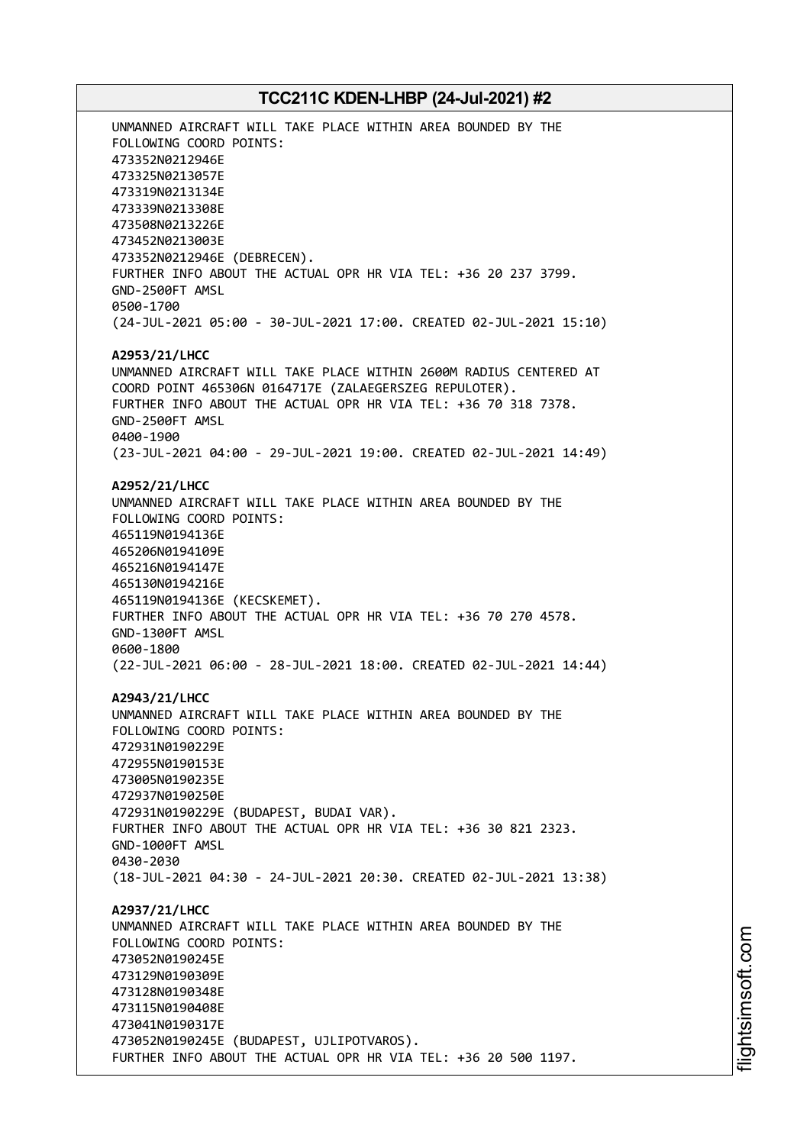UNMANNED AIRCRAFT WILL TAKE PLACE WITHIN AREA BOUNDED BY THE FOLLOWING COORD POINTS: 473352N0212946E 473325N0213057E 473319N0213134E 473339N0213308E 473508N0213226E 473452N0213003E 473352N0212946E (DEBRECEN). FURTHER INFO ABOUT THE ACTUAL OPR HR VIA TEL: +36 20 237 3799. GND-2500FT AMSL 0500-1700 (24-JUL-2021 05:00 - 30-JUL-2021 17:00. CREATED 02-JUL-2021 15:10) **A2953/21/LHCC** UNMANNED AIRCRAFT WILL TAKE PLACE WITHIN 2600M RADIUS CENTERED AT COORD POINT 465306N 0164717E (ZALAEGERSZEG REPULOTER). FURTHER INFO ABOUT THE ACTUAL OPR HR VIA TEL: +36 70 318 7378. GND-2500FT AMSL 0400-1900 (23-JUL-2021 04:00 - 29-JUL-2021 19:00. CREATED 02-JUL-2021 14:49) **A2952/21/LHCC** UNMANNED AIRCRAFT WILL TAKE PLACE WITHIN AREA BOUNDED BY THE FOLLOWING COORD POINTS: 465119N0194136E 465206N0194109E 465216N0194147E 465130N0194216E 465119N0194136E (KECSKEMET). FURTHER INFO ABOUT THE ACTUAL OPR HR VIA TEL: +36 70 270 4578. GND-1300FT AMSL 0600-1800 (22-JUL-2021 06:00 - 28-JUL-2021 18:00. CREATED 02-JUL-2021 14:44) **A2943/21/LHCC** UNMANNED AIRCRAFT WILL TAKE PLACE WITHIN AREA BOUNDED BY THE FOLLOWING COORD POINTS: 472931N0190229E 472955N0190153E 473005N0190235E 472937N0190250E 472931N0190229E (BUDAPEST, BUDAI VAR). FURTHER INFO ABOUT THE ACTUAL OPR HR VIA TEL: +36 30 821 2323. GND-1000FT AMSL 0430-2030 (18-JUL-2021 04:30 - 24-JUL-2021 20:30. CREATED 02-JUL-2021 13:38) **A2937/21/LHCC** UNMANNED AIRCRAFT WILL TAKE PLACE WITHIN AREA BOUNDED BY THE FOLLOWING COORD POINTS: 473052N0190245E 473129N0190309E 473128N0190348E 473115N0190408E 473041N0190317E 473052N0190245E (BUDAPEST, UJLIPOTVAROS). FURTHER INFO ABOUT THE ACTUAL OPR HR VIA TEL: +36 20 500 1197.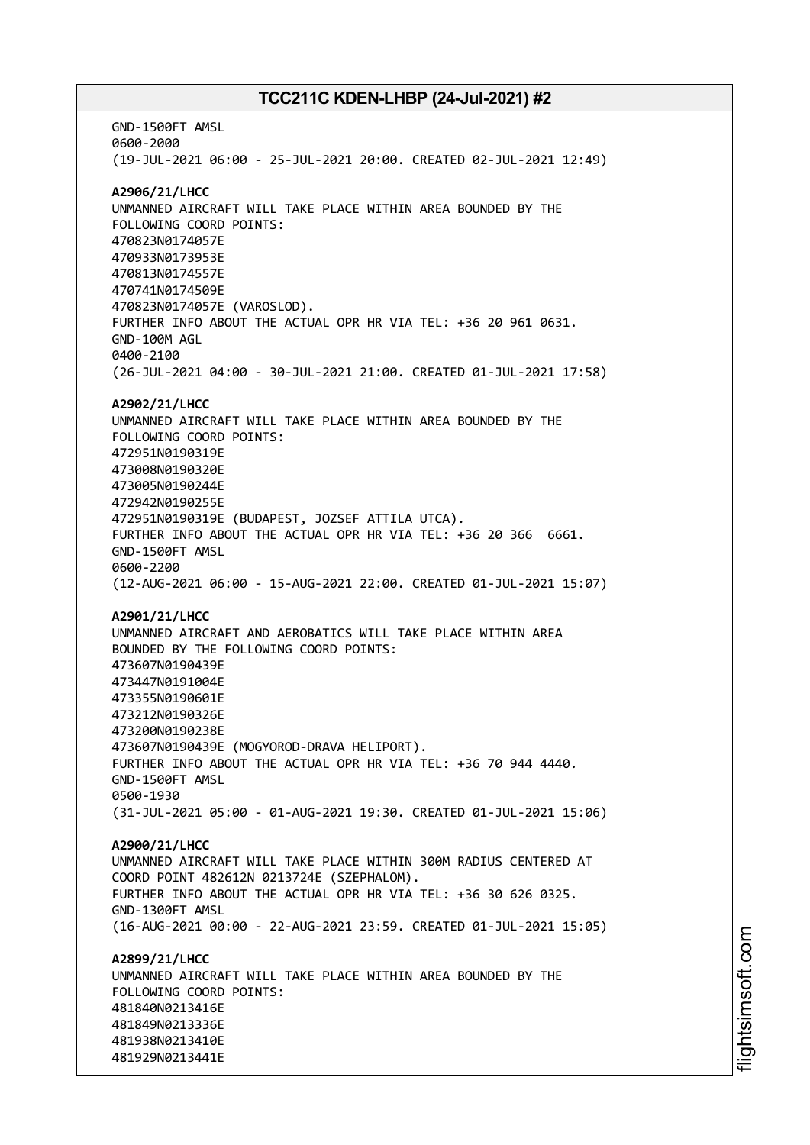GND-1500FT AMSL 0600-2000 (19-JUL-2021 06:00 - 25-JUL-2021 20:00. CREATED 02-JUL-2021 12:49) **A2906/21/LHCC** UNMANNED AIRCRAFT WILL TAKE PLACE WITHIN AREA BOUNDED BY THE FOLLOWING COORD POINTS: 470823N0174057E 470933N0173953E 470813N0174557E 470741N0174509E 470823N0174057E (VAROSLOD). FURTHER INFO ABOUT THE ACTUAL OPR HR VIA TEL: +36 20 961 0631. GND-100M AGL 0400-2100 (26-JUL-2021 04:00 - 30-JUL-2021 21:00. CREATED 01-JUL-2021 17:58) **A2902/21/LHCC** UNMANNED AIRCRAFT WILL TAKE PLACE WITHIN AREA BOUNDED BY THE FOLLOWING COORD POINTS: 472951N0190319E 473008N0190320E 473005N0190244E 472942N0190255E 472951N0190319E (BUDAPEST, JOZSEF ATTILA UTCA). FURTHER INFO ABOUT THE ACTUAL OPR HR VIA TEL: +36 20 366 6661. GND-1500FT AMSL 0600-2200 (12-AUG-2021 06:00 - 15-AUG-2021 22:00. CREATED 01-JUL-2021 15:07) **A2901/21/LHCC** UNMANNED AIRCRAFT AND AEROBATICS WILL TAKE PLACE WITHIN AREA BOUNDED BY THE FOLLOWING COORD POINTS: 473607N0190439E 473447N0191004E 473355N0190601E 473212N0190326E 473200N0190238E 473607N0190439E (MOGYOROD-DRAVA HELIPORT). FURTHER INFO ABOUT THE ACTUAL OPR HR VIA TEL: +36 70 944 4440. GND-1500FT AMSL 0500-1930 (31-JUL-2021 05:00 - 01-AUG-2021 19:30. CREATED 01-JUL-2021 15:06) **A2900/21/LHCC** UNMANNED AIRCRAFT WILL TAKE PLACE WITHIN 300M RADIUS CENTERED AT COORD POINT 482612N 0213724E (SZEPHALOM). FURTHER INFO ABOUT THE ACTUAL OPR HR VIA TEL: +36 30 626 0325. GND-1300FT AMSL (16-AUG-2021 00:00 - 22-AUG-2021 23:59. CREATED 01-JUL-2021 15:05) **A2899/21/LHCC** UNMANNED AIRCRAFT WILL TAKE PLACE WITHIN AREA BOUNDED BY THE FOLLOWING COORD POINTS: 481840N0213416E 481849N0213336E 481938N0213410E 481929N0213441E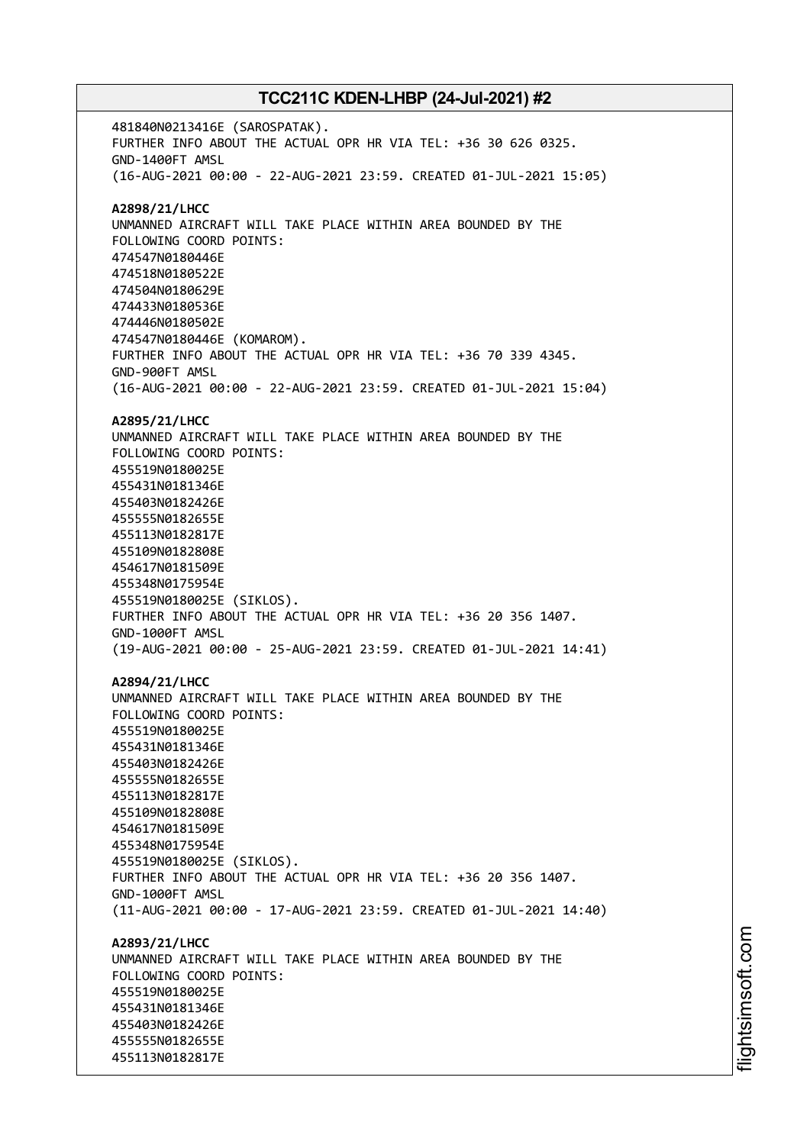481840N0213416E (SAROSPATAK). FURTHER INFO ABOUT THE ACTUAL OPR HR VIA TEL: +36 30 626 0325. GND-1400FT AMSL (16-AUG-2021 00:00 - 22-AUG-2021 23:59. CREATED 01-JUL-2021 15:05) **A2898/21/LHCC** UNMANNED AIRCRAFT WILL TAKE PLACE WITHIN AREA BOUNDED BY THE FOLLOWING COORD POINTS: 474547N0180446E 474518N0180522E 474504N0180629E 474433N0180536E 474446N0180502E 474547N0180446E (KOMAROM). FURTHER INFO ABOUT THE ACTUAL OPR HR VIA TEL: +36 70 339 4345. GND-900FT AMSL (16-AUG-2021 00:00 - 22-AUG-2021 23:59. CREATED 01-JUL-2021 15:04) **A2895/21/LHCC** UNMANNED AIRCRAFT WILL TAKE PLACE WITHIN AREA BOUNDED BY THE FOLLOWING COORD POINTS: 455519N0180025E 455431N0181346E 455403N0182426E 455555N0182655E 455113N0182817E 455109N0182808E 454617N0181509E 455348N0175954E 455519N0180025E (SIKLOS). FURTHER INFO ABOUT THE ACTUAL OPR HR VIA TEL: +36 20 356 1407. GND-1000FT AMSL (19-AUG-2021 00:00 - 25-AUG-2021 23:59. CREATED 01-JUL-2021 14:41) **A2894/21/LHCC** UNMANNED AIRCRAFT WILL TAKE PLACE WITHIN AREA BOUNDED BY THE FOLLOWING COORD POINTS: 455519N0180025E 455431N0181346E 455403N0182426E 455555N0182655E 455113N0182817E 455109N0182808E 454617N0181509E 455348N0175954E 455519N0180025E (SIKLOS). FURTHER INFO ABOUT THE ACTUAL OPR HR VIA TEL: +36 20 356 1407. GND-1000FT AMSL (11-AUG-2021 00:00 - 17-AUG-2021 23:59. CREATED 01-JUL-2021 14:40) **A2893/21/LHCC** UNMANNED AIRCRAFT WILL TAKE PLACE WITHIN AREA BOUNDED BY THE FOLLOWING COORD POINTS: 455519N0180025E 455431N0181346E 455403N0182426E 455555N0182655E 455113N0182817E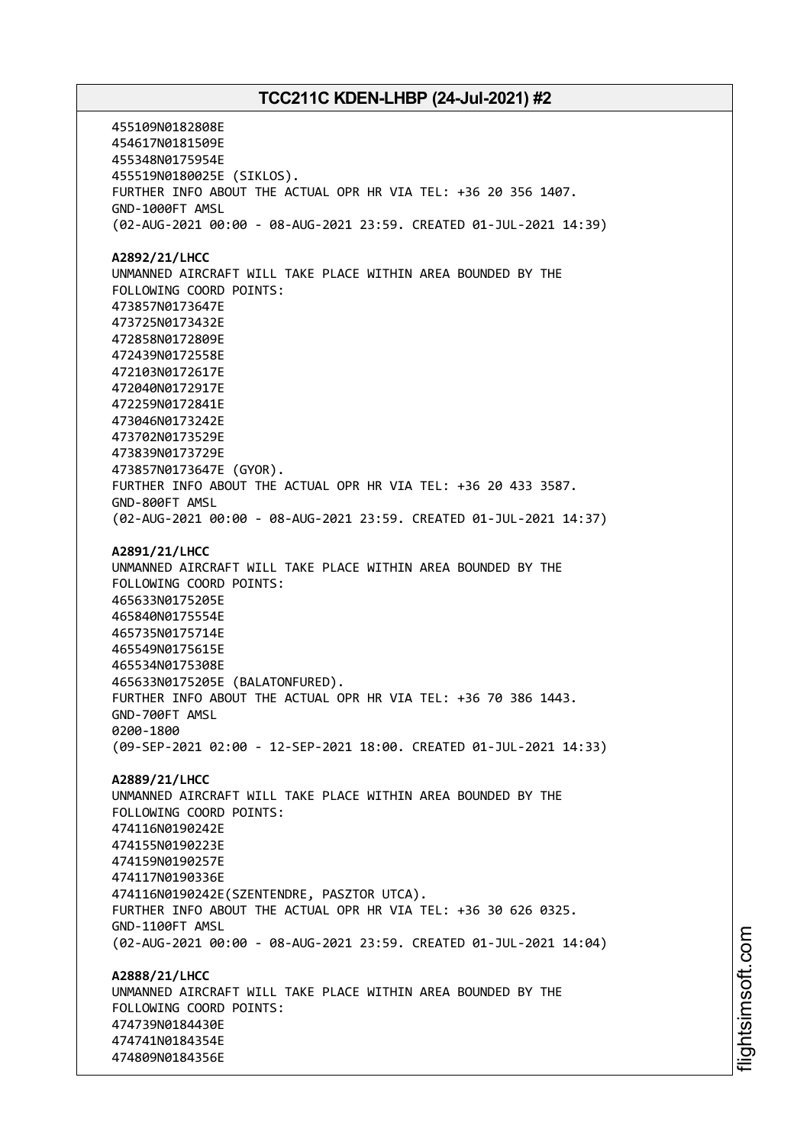455109N0182808E 454617N0181509E 455348N0175954E 455519N0180025E (SIKLOS). FURTHER INFO ABOUT THE ACTUAL OPR HR VIA TEL: +36 20 356 1407. GND-1000FT AMSL (02-AUG-2021 00:00 - 08-AUG-2021 23:59. CREATED 01-JUL-2021 14:39) **A2892/21/LHCC** UNMANNED AIRCRAFT WILL TAKE PLACE WITHIN AREA BOUNDED BY THE FOLLOWING COORD POINTS: 473857N0173647E 473725N0173432E 472858N0172809E 472439N0172558E 472103N0172617E 472040N0172917E 472259N0172841E 473046N0173242E 473702N0173529E 473839N0173729E 473857N0173647E (GYOR). FURTHER INFO ABOUT THE ACTUAL OPR HR VIA TEL: +36 20 433 3587. GND-800FT AMSL (02-AUG-2021 00:00 - 08-AUG-2021 23:59. CREATED 01-JUL-2021 14:37) **A2891/21/LHCC** UNMANNED AIRCRAFT WILL TAKE PLACE WITHIN AREA BOUNDED BY THE FOLLOWING COORD POINTS: 465633N0175205E 465840N0175554E 465735N0175714E 465549N0175615E 465534N0175308E 465633N0175205E (BALATONFURED). FURTHER INFO ABOUT THE ACTUAL OPR HR VIA TEL: +36 70 386 1443. GND-700FT AMSL 0200-1800 (09-SEP-2021 02:00 - 12-SEP-2021 18:00. CREATED 01-JUL-2021 14:33) **A2889/21/LHCC** UNMANNED AIRCRAFT WILL TAKE PLACE WITHIN AREA BOUNDED BY THE FOLLOWING COORD POINTS: 474116N0190242E 474155N0190223E 474159N0190257E 474117N0190336E 474116N0190242E(SZENTENDRE, PASZTOR UTCA). FURTHER INFO ABOUT THE ACTUAL OPR HR VIA TEL: +36 30 626 0325. GND-1100FT AMSL (02-AUG-2021 00:00 - 08-AUG-2021 23:59. CREATED 01-JUL-2021 14:04) **A2888/21/LHCC** UNMANNED AIRCRAFT WILL TAKE PLACE WITHIN AREA BOUNDED BY THE FOLLOWING COORD POINTS: 474739N0184430E 474741N0184354E 474809N0184356E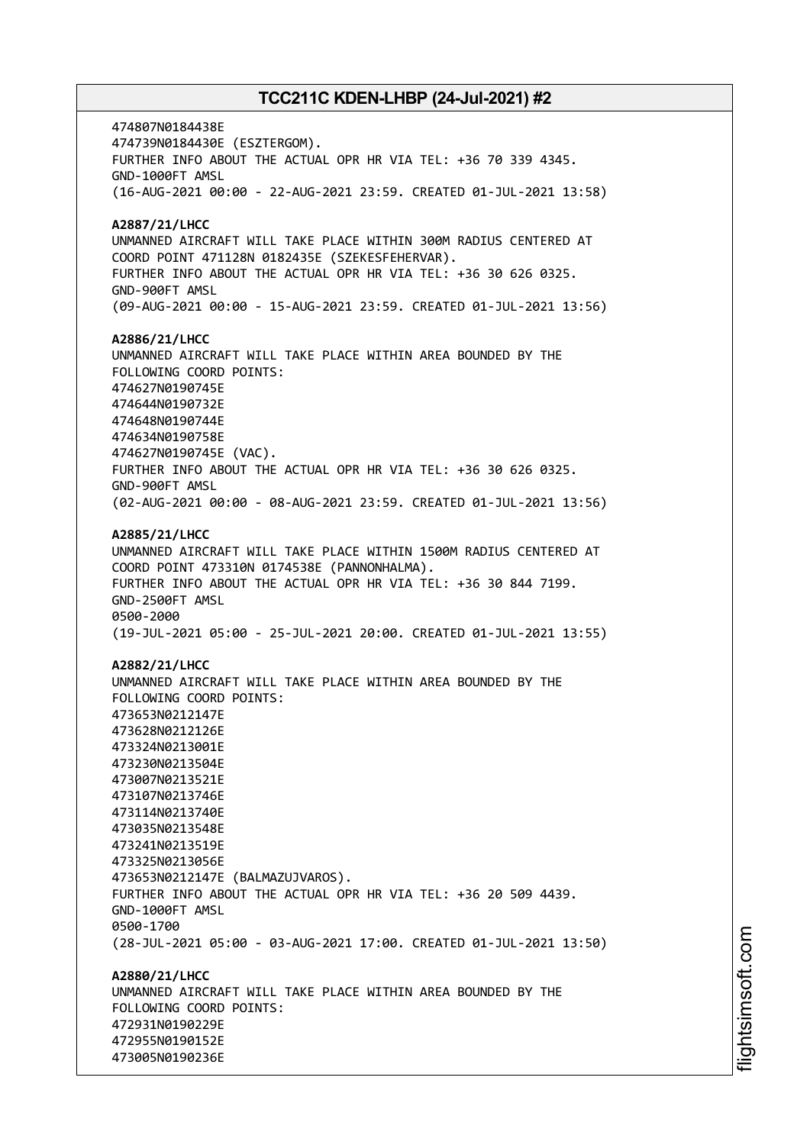474807N0184438E 474739N0184430E (ESZTERGOM). FURTHER INFO ABOUT THE ACTUAL OPR HR VIA TEL: +36 70 339 4345. GND-1000FT AMSL (16-AUG-2021 00:00 - 22-AUG-2021 23:59. CREATED 01-JUL-2021 13:58) **A2887/21/LHCC** UNMANNED AIRCRAFT WILL TAKE PLACE WITHIN 300M RADIUS CENTERED AT COORD POINT 471128N 0182435E (SZEKESFEHERVAR). FURTHER INFO ABOUT THE ACTUAL OPR HR VIA TEL: +36 30 626 0325. GND-900FT AMSL (09-AUG-2021 00:00 - 15-AUG-2021 23:59. CREATED 01-JUL-2021 13:56) **A2886/21/LHCC** UNMANNED AIRCRAFT WILL TAKE PLACE WITHIN AREA BOUNDED BY THE FOLLOWING COORD POINTS: 474627N0190745E 474644N0190732E 474648N0190744E 474634N0190758E 474627N0190745E (VAC). FURTHER INFO ABOUT THE ACTUAL OPR HR VIA TEL: +36 30 626 0325. GND-900FT AMSL (02-AUG-2021 00:00 - 08-AUG-2021 23:59. CREATED 01-JUL-2021 13:56) **A2885/21/LHCC** UNMANNED AIRCRAFT WILL TAKE PLACE WITHIN 1500M RADIUS CENTERED AT COORD POINT 473310N 0174538E (PANNONHALMA). FURTHER INFO ABOUT THE ACTUAL OPR HR VIA TEL: +36 30 844 7199. GND-2500FT AMSL 0500-2000 (19-JUL-2021 05:00 - 25-JUL-2021 20:00. CREATED 01-JUL-2021 13:55) **A2882/21/LHCC** UNMANNED AIRCRAFT WILL TAKE PLACE WITHIN AREA BOUNDED BY THE FOLLOWING COORD POINTS: 473653N0212147E 473628N0212126E 473324N0213001E 473230N0213504E 473007N0213521E 473107N0213746E 473114N0213740E 473035N0213548E 473241N0213519E 473325N0213056E 473653N0212147E (BALMAZUJVAROS). FURTHER INFO ABOUT THE ACTUAL OPR HR VIA TEL: +36 20 509 4439. GND-1000FT AMSL 0500-1700 (28-JUL-2021 05:00 - 03-AUG-2021 17:00. CREATED 01-JUL-2021 13:50) **A2880/21/LHCC** UNMANNED AIRCRAFT WILL TAKE PLACE WITHIN AREA BOUNDED BY THE FOLLOWING COORD POINTS: 472931N0190229E 472955N0190152E 473005N0190236E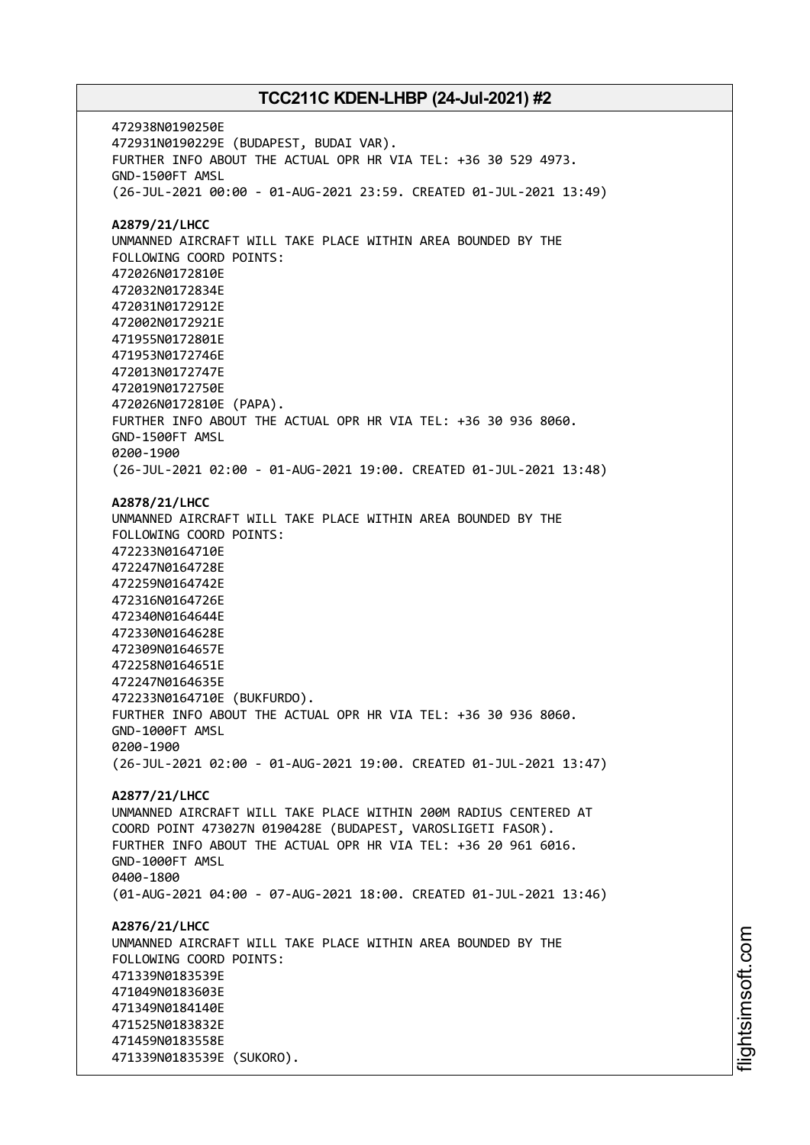472938N0190250E 472931N0190229E (BUDAPEST, BUDAI VAR). FURTHER INFO ABOUT THE ACTUAL OPR HR VIA TEL: +36 30 529 4973. GND-1500FT AMSL (26-JUL-2021 00:00 - 01-AUG-2021 23:59. CREATED 01-JUL-2021 13:49) **A2879/21/LHCC** UNMANNED AIRCRAFT WILL TAKE PLACE WITHIN AREA BOUNDED BY THE FOLLOWING COORD POINTS: 472026N0172810E 472032N0172834E 472031N0172912E 472002N0172921E 471955N0172801E 471953N0172746E 472013N0172747E 472019N0172750E 472026N0172810E (PAPA). FURTHER INFO ABOUT THE ACTUAL OPR HR VIA TEL: +36 30 936 8060. GND-1500FT AMSL 0200-1900 (26-JUL-2021 02:00 - 01-AUG-2021 19:00. CREATED 01-JUL-2021 13:48) **A2878/21/LHCC** UNMANNED AIRCRAFT WILL TAKE PLACE WITHIN AREA BOUNDED BY THE FOLLOWING COORD POINTS: 472233N0164710E 472247N0164728E 472259N0164742E 472316N0164726E 472340N0164644E 472330N0164628E 472309N0164657E 472258N0164651E 472247N0164635E 472233N0164710E (BUKFURDO). FURTHER INFO ABOUT THE ACTUAL OPR HR VIA TEL: +36 30 936 8060. GND-1000FT AMSL 0200-1900 (26-JUL-2021 02:00 - 01-AUG-2021 19:00. CREATED 01-JUL-2021 13:47) **A2877/21/LHCC** UNMANNED AIRCRAFT WILL TAKE PLACE WITHIN 200M RADIUS CENTERED AT COORD POINT 473027N 0190428E (BUDAPEST, VAROSLIGETI FASOR). FURTHER INFO ABOUT THE ACTUAL OPR HR VIA TEL: +36 20 961 6016. GND-1000FT AMSL 0400-1800 (01-AUG-2021 04:00 - 07-AUG-2021 18:00. CREATED 01-JUL-2021 13:46) **A2876/21/LHCC** UNMANNED AIRCRAFT WILL TAKE PLACE WITHIN AREA BOUNDED BY THE FOLLOWING COORD POINTS: 471339N0183539E 471049N0183603E 471349N0184140E 471525N0183832E 471459N0183558E 471339N0183539E (SUKORO).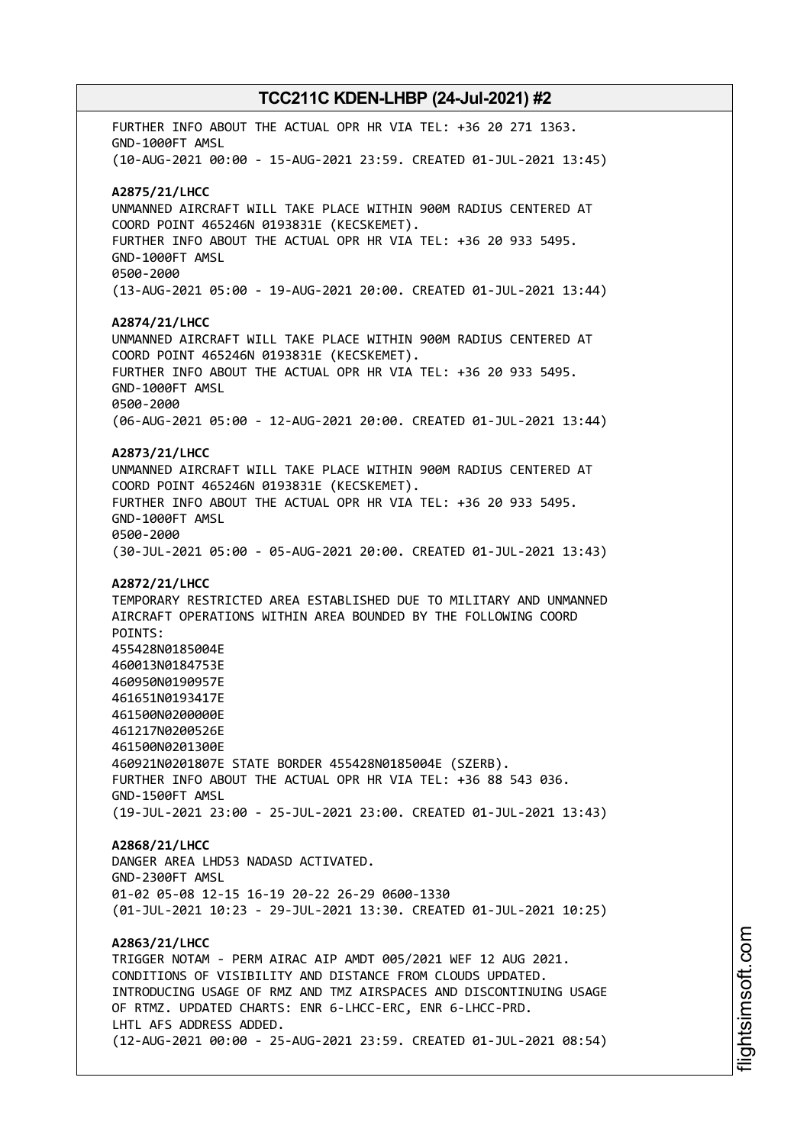FURTHER INFO ABOUT THE ACTUAL OPR HR VIA TEL: +36 20 271 1363. GND-1000FT AMSL (10-AUG-2021 00:00 - 15-AUG-2021 23:59. CREATED 01-JUL-2021 13:45) **A2875/21/LHCC** UNMANNED AIRCRAFT WILL TAKE PLACE WITHIN 900M RADIUS CENTERED AT COORD POINT 465246N 0193831E (KECSKEMET). FURTHER INFO ABOUT THE ACTUAL OPR HR VIA TEL: +36 20 933 5495. GND-1000FT AMSL 0500-2000 (13-AUG-2021 05:00 - 19-AUG-2021 20:00. CREATED 01-JUL-2021 13:44) **A2874/21/LHCC** UNMANNED AIRCRAFT WILL TAKE PLACE WITHIN 900M RADIUS CENTERED AT COORD POINT 465246N 0193831E (KECSKEMET). FURTHER INFO ABOUT THE ACTUAL OPR HR VIA TEL: +36 20 933 5495. GND-1000FT AMSL 0500-2000 (06-AUG-2021 05:00 - 12-AUG-2021 20:00. CREATED 01-JUL-2021 13:44) **A2873/21/LHCC** UNMANNED AIRCRAFT WILL TAKE PLACE WITHIN 900M RADIUS CENTERED AT COORD POINT 465246N 0193831E (KECSKEMET). FURTHER INFO ABOUT THE ACTUAL OPR HR VIA TEL: +36 20 933 5495. GND-1000FT AMSL 0500-2000 (30-JUL-2021 05:00 - 05-AUG-2021 20:00. CREATED 01-JUL-2021 13:43) **A2872/21/LHCC** TEMPORARY RESTRICTED AREA ESTABLISHED DUE TO MILITARY AND UNMANNED AIRCRAFT OPERATIONS WITHIN AREA BOUNDED BY THE FOLLOWING COORD POINTS: 455428N0185004E 460013N0184753E 460950N0190957E 461651N0193417E 461500N0200000E 461217N0200526E 461500N0201300E 460921N0201807E STATE BORDER 455428N0185004E (SZERB). FURTHER INFO ABOUT THE ACTUAL OPR HR VIA TEL: +36 88 543 036. GND-1500FT AMSL (19-JUL-2021 23:00 - 25-JUL-2021 23:00. CREATED 01-JUL-2021 13:43) **A2868/21/LHCC** DANGER AREA LHD53 NADASD ACTIVATED. GND-2300FT AMSL 01-02 05-08 12-15 16-19 20-22 26-29 0600-1330 (01-JUL-2021 10:23 - 29-JUL-2021 13:30. CREATED 01-JUL-2021 10:25) **A2863/21/LHCC** TRIGGER NOTAM - PERM AIRAC AIP AMDT 005/2021 WEF 12 AUG 2021. CONDITIONS OF VISIBILITY AND DISTANCE FROM CLOUDS UPDATED. INTRODUCING USAGE OF RMZ AND TMZ AIRSPACES AND DISCONTINUING USAGE OF RTMZ. UPDATED CHARTS: ENR 6-LHCC-ERC, ENR 6-LHCC-PRD. LHTL AFS ADDRESS ADDED. (12-AUG-2021 00:00 - 25-AUG-2021 23:59. CREATED 01-JUL-2021 08:54)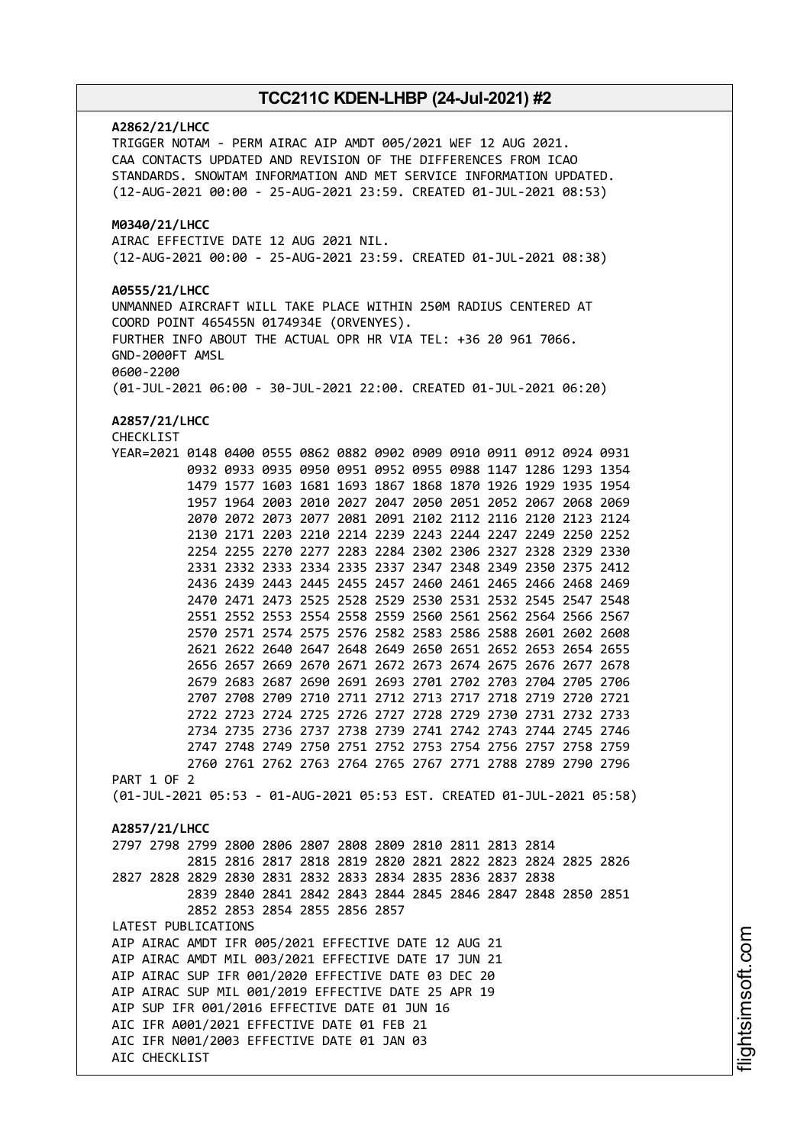## **A2862/21/LHCC** TRIGGER NOTAM - PERM AIRAC AIP AMDT 005/2021 WEF 12 AUG 2021. CAA CONTACTS UPDATED AND REVISION OF THE DIFFERENCES FROM ICAO STANDARDS. SNOWTAM INFORMATION AND MET SERVICE INFORMATION UPDATED. (12-AUG-2021 00:00 - 25-AUG-2021 23:59. CREATED 01-JUL-2021 08:53) **M0340/21/LHCC** AIRAC EFFECTIVE DATE 12 AUG 2021 NIL. (12-AUG-2021 00:00 - 25-AUG-2021 23:59. CREATED 01-JUL-2021 08:38) **A0555/21/LHCC** UNMANNED AIRCRAFT WILL TAKE PLACE WITHIN 250M RADIUS CENTERED AT COORD POINT 465455N 0174934E (ORVENYES). FURTHER INFO ABOUT THE ACTUAL OPR HR VIA TEL: +36 20 961 7066. GND-2000FT AMSL 0600-2200 (01-JUL-2021 06:00 - 30-JUL-2021 22:00. CREATED 01-JUL-2021 06:20) **A2857/21/LHCC** CHECKLIST YEAR=2021 0148 0400 0555 0862 0882 0902 0909 0910 0911 0912 0924 0931 0932 0933 0935 0950 0951 0952 0955 0988 1147 1286 1293 1354 1479 1577 1603 1681 1693 1867 1868 1870 1926 1929 1935 1954 1957 1964 2003 2010 2027 2047 2050 2051 2052 2067 2068 2069 2070 2072 2073 2077 2081 2091 2102 2112 2116 2120 2123 2124 2130 2171 2203 2210 2214 2239 2243 2244 2247 2249 2250 2252 2254 2255 2270 2277 2283 2284 2302 2306 2327 2328 2329 2330 2331 2332 2333 2334 2335 2337 2347 2348 2349 2350 2375 2412 2436 2439 2443 2445 2455 2457 2460 2461 2465 2466 2468 2469 2470 2471 2473 2525 2528 2529 2530 2531 2532 2545 2547 2548 2551 2552 2553 2554 2558 2559 2560 2561 2562 2564 2566 2567 2570 2571 2574 2575 2576 2582 2583 2586 2588 2601 2602 2608 2621 2622 2640 2647 2648 2649 2650 2651 2652 2653 2654 2655 2656 2657 2669 2670 2671 2672 2673 2674 2675 2676 2677 2678 2679 2683 2687 2690 2691 2693 2701 2702 2703 2704 2705 2706 2707 2708 2709 2710 2711 2712 2713 2717 2718 2719 2720 2721 2722 2723 2724 2725 2726 2727 2728 2729 2730 2731 2732 2733 2734 2735 2736 2737 2738 2739 2741 2742 2743 2744 2745 2746 2747 2748 2749 2750 2751 2752 2753 2754 2756 2757 2758 2759 2760 2761 2762 2763 2764 2765 2767 2771 2788 2789 2790 2796 PART 1 OF 2 (01-JUL-2021 05:53 - 01-AUG-2021 05:53 EST. CREATED 01-JUL-2021 05:58) **A2857/21/LHCC** 2797 2798 2799 2800 2806 2807 2808 2809 2810 2811 2813 2814 2815 2816 2817 2818 2819 2820 2821 2822 2823 2824 2825 2826 2827 2828 2829 2830 2831 2832 2833 2834 2835 2836 2837 2838 2839 2840 2841 2842 2843 2844 2845 2846 2847 2848 2850 2851 2852 2853 2854 2855 2856 2857 LATEST PUBLICATIONS AIP AIRAC AMDT IFR 005/2021 EFFECTIVE DATE 12 AUG 21 AIP AIRAC AMDT MIL 003/2021 EFFECTIVE DATE 17 JUN 21 AIP AIRAC SUP IFR 001/2020 EFFECTIVE DATE 03 DEC 20 AIP AIRAC SUP MIL 001/2019 EFFECTIVE DATE 25 APR 19 AIP SUP IFR 001/2016 EFFECTIVE DATE 01 JUN 16 AIC IFR A001/2021 EFFECTIVE DATE 01 FEB 21 AIC IFR N001/2003 EFFECTIVE DATE 01 JAN 03 AIC CHECKLIST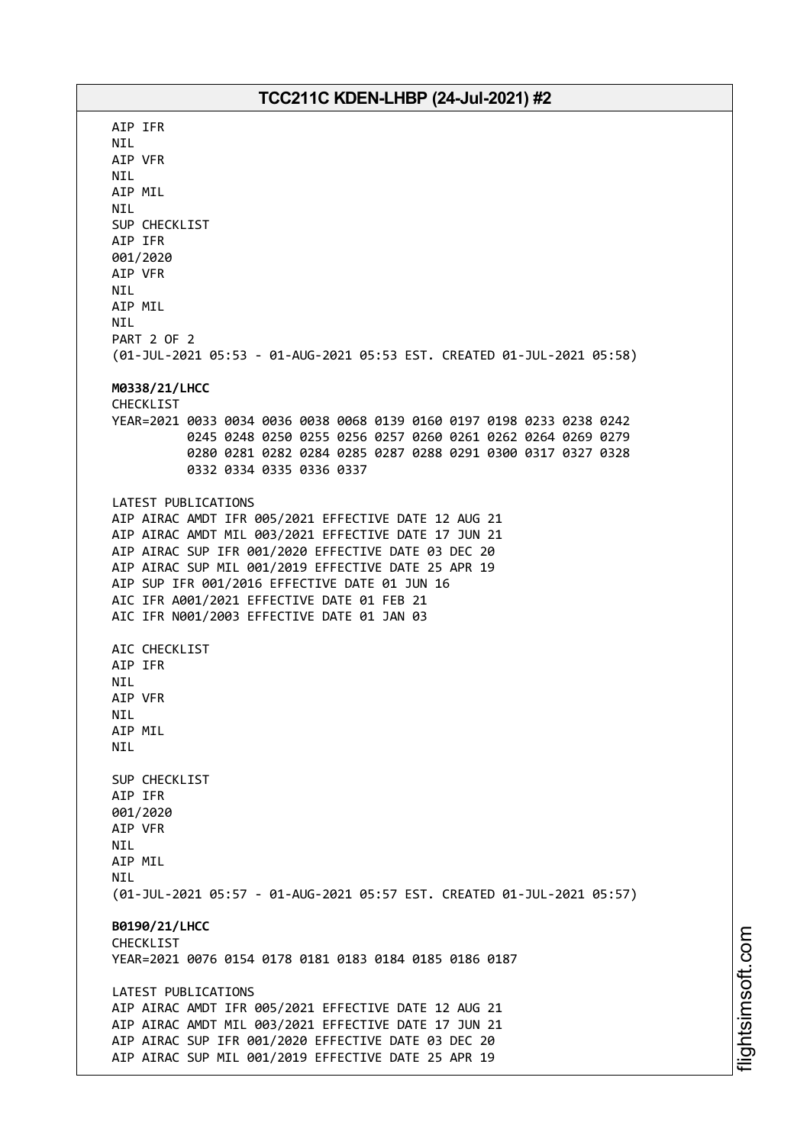AIP IFR NIL AIP VFR NIL AIP MIL NIL SUP CHECKLIST AIP IFR 001/2020 AIP VFR NIL AIP MIL NIL PART 2 OF 2 (01-JUL-2021 05:53 - 01-AUG-2021 05:53 EST. CREATED 01-JUL-2021 05:58) **M0338/21/LHCC** CHECKLIST YEAR=2021 0033 0034 0036 0038 0068 0139 0160 0197 0198 0233 0238 0242 0245 0248 0250 0255 0256 0257 0260 0261 0262 0264 0269 0279 0280 0281 0282 0284 0285 0287 0288 0291 0300 0317 0327 0328 0332 0334 0335 0336 0337 LATEST PUBLICATIONS AIP AIRAC AMDT IFR 005/2021 EFFECTIVE DATE 12 AUG 21 AIP AIRAC AMDT MIL 003/2021 EFFECTIVE DATE 17 JUN 21 AIP AIRAC SUP IFR 001/2020 EFFECTIVE DATE 03 DEC 20 AIP AIRAC SUP MIL 001/2019 EFFECTIVE DATE 25 APR 19 AIP SUP IFR 001/2016 EFFECTIVE DATE 01 JUN 16 AIC IFR A001/2021 EFFECTIVE DATE 01 FEB 21 AIC IFR N001/2003 EFFECTIVE DATE 01 JAN 03 AIC CHECKLIST AIP IFR NIL AIP VFR NIL AIP MIL NIL SUP CHECKLIST AIP IFR 001/2020 AIP VFR NIL AIP MIL **NTI** (01-JUL-2021 05:57 - 01-AUG-2021 05:57 EST. CREATED 01-JUL-2021 05:57) **B0190/21/LHCC** CHECKLIST YEAR=2021 0076 0154 0178 0181 0183 0184 0185 0186 0187 LATEST PUBLICATIONS AIP AIRAC AMDT IFR 005/2021 EFFECTIVE DATE 12 AUG 21 AIP AIRAC AMDT MIL 003/2021 EFFECTIVE DATE 17 JUN 21 AIP AIRAC SUP IFR 001/2020 EFFECTIVE DATE 03 DEC 20 AIP AIRAC SUP MIL 001/2019 EFFECTIVE DATE 25 APR 19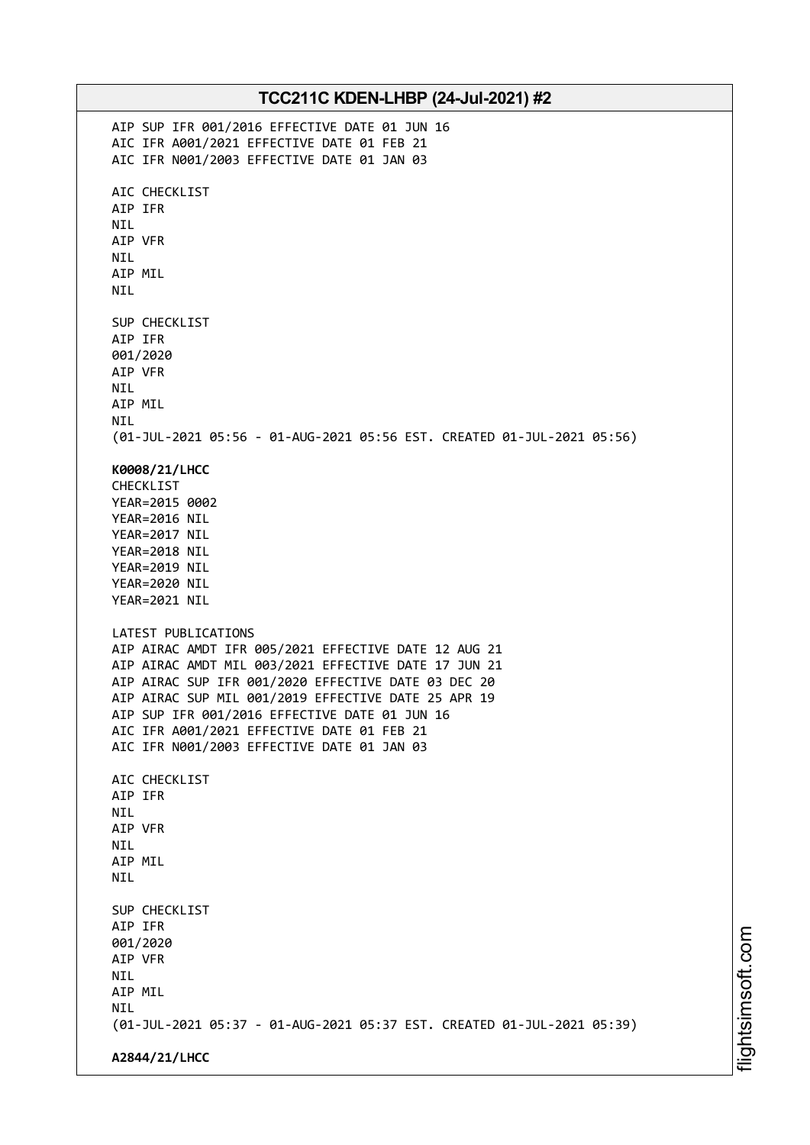| TCC211C KDEN-LHBP (24-Jul-2021) #2                                                                           |  |
|--------------------------------------------------------------------------------------------------------------|--|
| AIP SUP IFR 001/2016 EFFECTIVE DATE 01 JUN 16                                                                |  |
| AIC IFR A001/2021 EFFECTIVE DATE 01 FEB 21<br>AIC IFR N001/2003 EFFECTIVE DATE 01 JAN 03                     |  |
|                                                                                                              |  |
| AIC CHECKLIST                                                                                                |  |
| AIP IFR                                                                                                      |  |
| <b>NIL</b><br>AIP VFR                                                                                        |  |
| <b>NIL</b>                                                                                                   |  |
| AIP MIL                                                                                                      |  |
| <b>NIL</b>                                                                                                   |  |
| SUP CHECKLIST                                                                                                |  |
| AIP IFR                                                                                                      |  |
| 001/2020                                                                                                     |  |
| AIP VFR<br><b>NIL</b>                                                                                        |  |
| AIP MIL                                                                                                      |  |
| <b>NIL</b>                                                                                                   |  |
| (01-JUL-2021 05:56 - 01-AUG-2021 05:56 EST. CREATED 01-JUL-2021 05:56)                                       |  |
| K0008/21/LHCC                                                                                                |  |
| CHECKLIST                                                                                                    |  |
| YEAR=2015 0002<br>YEAR=2016 NIL                                                                              |  |
| YEAR=2017 NIL                                                                                                |  |
| YEAR=2018 NIL                                                                                                |  |
| YEAR=2019 NIL                                                                                                |  |
| YEAR=2020 NIL<br>YEAR=2021 NIL                                                                               |  |
|                                                                                                              |  |
| LATEST PUBLICATIONS                                                                                          |  |
| AIP AIRAC AMDT IFR 005/2021 EFFECTIVE DATE 12 AUG 21<br>AIP AIRAC AMDT MIL 003/2021 EFFECTIVE DATE 17 JUN 21 |  |
| AIP AIRAC SUP IFR 001/2020 EFFECTIVE DATE 03 DEC 20                                                          |  |
| AIP AIRAC SUP MIL 001/2019 EFFECTIVE DATE 25 APR 19                                                          |  |
| AIP SUP IFR 001/2016 EFFECTIVE DATE 01 JUN 16<br>AIC IFR A001/2021 EFFECTIVE DATE 01 FEB 21                  |  |
| AIC IFR N001/2003 EFFECTIVE DATE 01 JAN 03                                                                   |  |
|                                                                                                              |  |
| AIC CHECKLIST<br>AIP IFR                                                                                     |  |
| <b>NIL</b>                                                                                                   |  |
| AIP VFR                                                                                                      |  |
| <b>NIL</b><br>AIP MIL                                                                                        |  |
| <b>NIL</b>                                                                                                   |  |
|                                                                                                              |  |
| SUP CHECKLIST<br>AIP IFR                                                                                     |  |
| 001/2020                                                                                                     |  |
| AIP VFR                                                                                                      |  |
| <b>NIL</b>                                                                                                   |  |
| AIP MIL<br><b>NIL</b>                                                                                        |  |
| (01-JUL-2021 05:37 - 01-AUG-2021 05:37 EST. CREATED 01-JUL-2021 05:39)                                       |  |
| A2844/21/LHCC                                                                                                |  |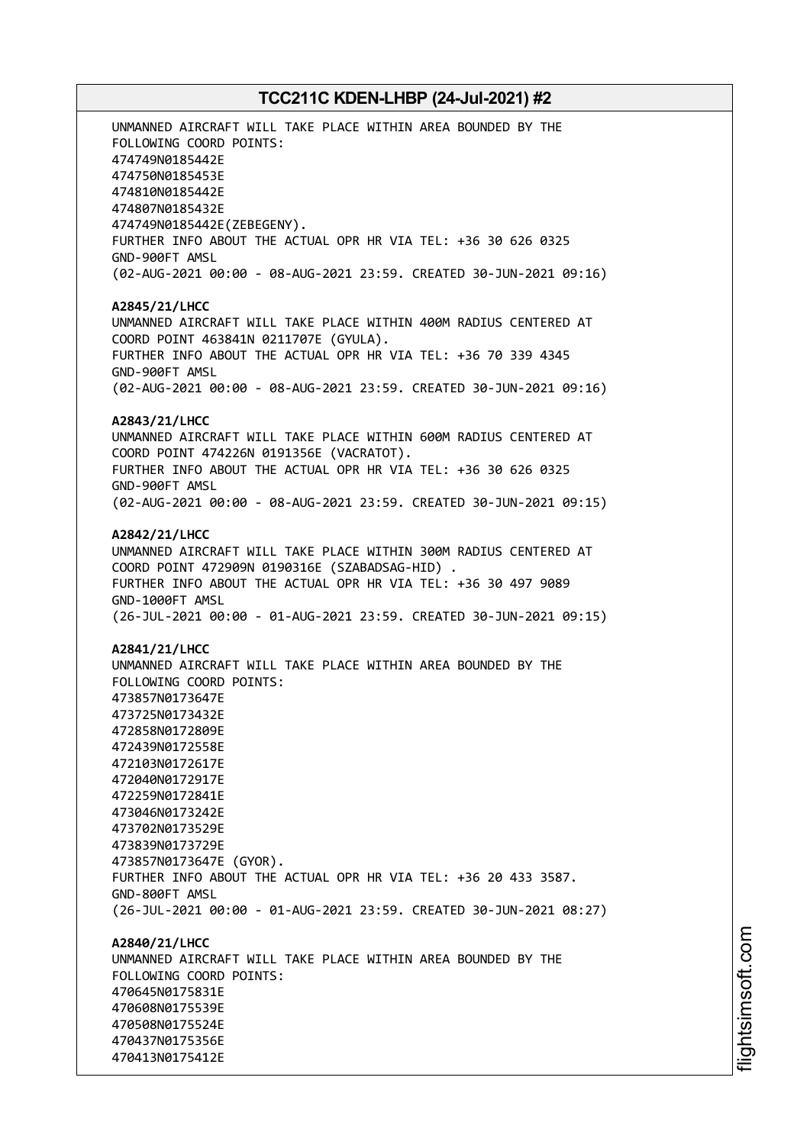UNMANNED AIRCRAFT WILL TAKE PLACE WITHIN AREA BOUNDED BY THE FOLLOWING COORD POINTS: 474749N0185442E 474750N0185453E 474810N0185442E 474807N0185432E 474749N0185442E(ZEBEGENY). FURTHER INFO ABOUT THE ACTUAL OPR HR VIA TEL: +36 30 626 0325 GND-900FT AMSL (02-AUG-2021 00:00 - 08-AUG-2021 23:59. CREATED 30-JUN-2021 09:16) **A2845/21/LHCC** UNMANNED AIRCRAFT WILL TAKE PLACE WITHIN 400M RADIUS CENTERED AT COORD POINT 463841N 0211707E (GYULA). FURTHER INFO ABOUT THE ACTUAL OPR HR VIA TEL: +36 70 339 4345 GND-900FT AMSL (02-AUG-2021 00:00 - 08-AUG-2021 23:59. CREATED 30-JUN-2021 09:16) **A2843/21/LHCC** UNMANNED AIRCRAFT WILL TAKE PLACE WITHIN 600M RADIUS CENTERED AT COORD POINT 474226N 0191356E (VACRATOT). FURTHER INFO ABOUT THE ACTUAL OPR HR VIA TEL: +36 30 626 0325 GND-900FT AMSL (02-AUG-2021 00:00 - 08-AUG-2021 23:59. CREATED 30-JUN-2021 09:15) **A2842/21/LHCC** UNMANNED AIRCRAFT WILL TAKE PLACE WITHIN 300M RADIUS CENTERED AT COORD POINT 472909N 0190316E (SZABADSAG-HID) . FURTHER INFO ABOUT THE ACTUAL OPR HR VIA TEL: +36 30 497 9089 GND-1000FT AMSL (26-JUL-2021 00:00 - 01-AUG-2021 23:59. CREATED 30-JUN-2021 09:15) **A2841/21/LHCC** UNMANNED AIRCRAFT WILL TAKE PLACE WITHIN AREA BOUNDED BY THE FOLLOWING COORD POINTS: 473857N0173647E 473725N0173432E 472858N0172809E 472439N0172558E 472103N0172617E 472040N0172917E 472259N0172841E 473046N0173242E 473702N0173529E 473839N0173729E 473857N0173647E (GYOR). FURTHER INFO ABOUT THE ACTUAL OPR HR VIA TEL: +36 20 433 3587. GND-800FT AMSL (26-JUL-2021 00:00 - 01-AUG-2021 23:59. CREATED 30-JUN-2021 08:27) **A2840/21/LHCC** UNMANNED AIRCRAFT WILL TAKE PLACE WITHIN AREA BOUNDED BY THE FOLLOWING COORD POINTS: 470645N0175831E 470608N0175539E 470508N0175524E 470437N0175356E

470413N0175412E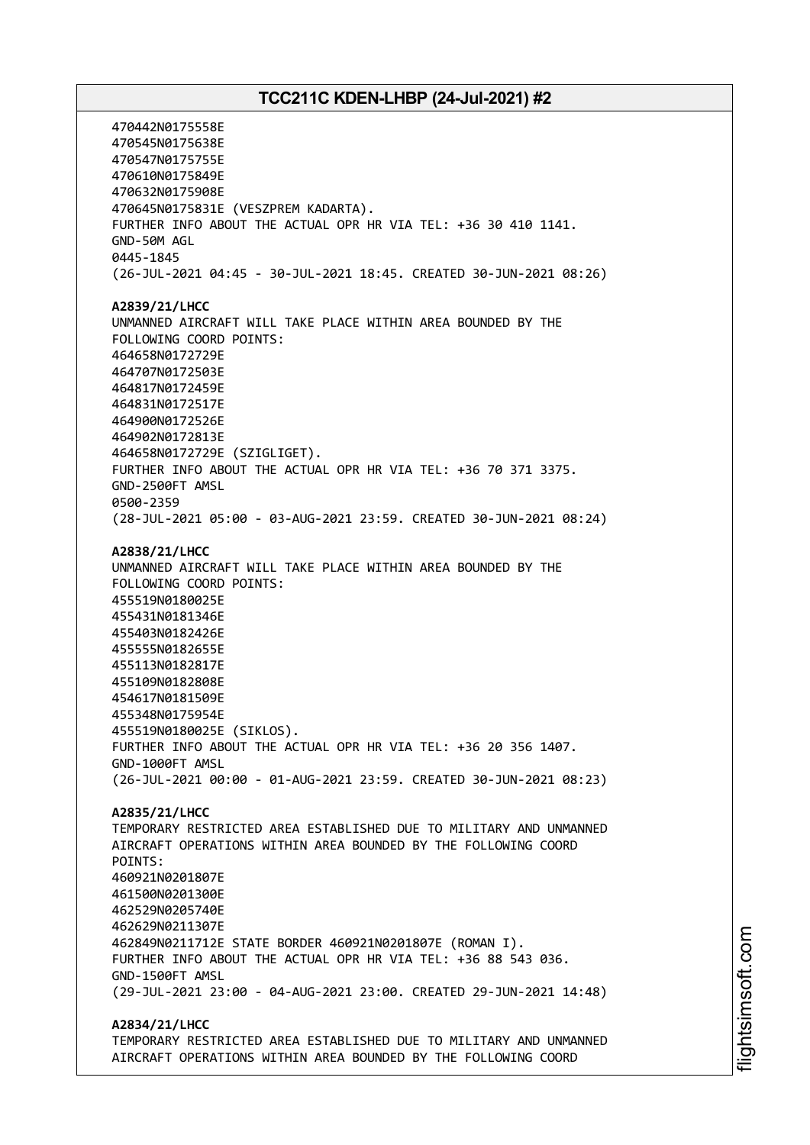470442N0175558E 470545N0175638E 470547N0175755E 470610N0175849E 470632N0175908E 470645N0175831E (VESZPREM KADARTA). FURTHER INFO ABOUT THE ACTUAL OPR HR VIA TEL: +36 30 410 1141. GND-50M AGL 0445-1845 (26-JUL-2021 04:45 - 30-JUL-2021 18:45. CREATED 30-JUN-2021 08:26) **A2839/21/LHCC** UNMANNED AIRCRAFT WILL TAKE PLACE WITHIN AREA BOUNDED BY THE FOLLOWING COORD POINTS: 464658N0172729E 464707N0172503E 464817N0172459E 464831N0172517E 464900N0172526E 464902N0172813E 464658N0172729E (SZIGLIGET). FURTHER INFO ABOUT THE ACTUAL OPR HR VIA TEL: +36 70 371 3375. GND-2500FT AMSL 0500-2359 (28-JUL-2021 05:00 - 03-AUG-2021 23:59. CREATED 30-JUN-2021 08:24) **A2838/21/LHCC** UNMANNED AIRCRAFT WILL TAKE PLACE WITHIN AREA BOUNDED BY THE FOLLOWING COORD POINTS: 455519N0180025E 455431N0181346E 455403N0182426E 455555N0182655E 455113N0182817E 455109N0182808E 454617N0181509E 455348N0175954E 455519N0180025E (SIKLOS). FURTHER INFO ABOUT THE ACTUAL OPR HR VIA TEL: +36 20 356 1407. GND-1000FT AMSL (26-JUL-2021 00:00 - 01-AUG-2021 23:59. CREATED 30-JUN-2021 08:23) **A2835/21/LHCC** TEMPORARY RESTRICTED AREA ESTABLISHED DUE TO MILITARY AND UNMANNED AIRCRAFT OPERATIONS WITHIN AREA BOUNDED BY THE FOLLOWING COORD POINTS: 460921N0201807E 461500N0201300E 462529N0205740E 462629N0211307E 462849N0211712E STATE BORDER 460921N0201807E (ROMAN I). FURTHER INFO ABOUT THE ACTUAL OPR HR VIA TEL: +36 88 543 036. GND-1500FT AMSL (29-JUL-2021 23:00 - 04-AUG-2021 23:00. CREATED 29-JUN-2021 14:48) **A2834/21/LHCC**

TEMPORARY RESTRICTED AREA ESTABLISHED DUE TO MILITARY AND UNMANNED AIRCRAFT OPERATIONS WITHIN AREA BOUNDED BY THE FOLLOWING COORD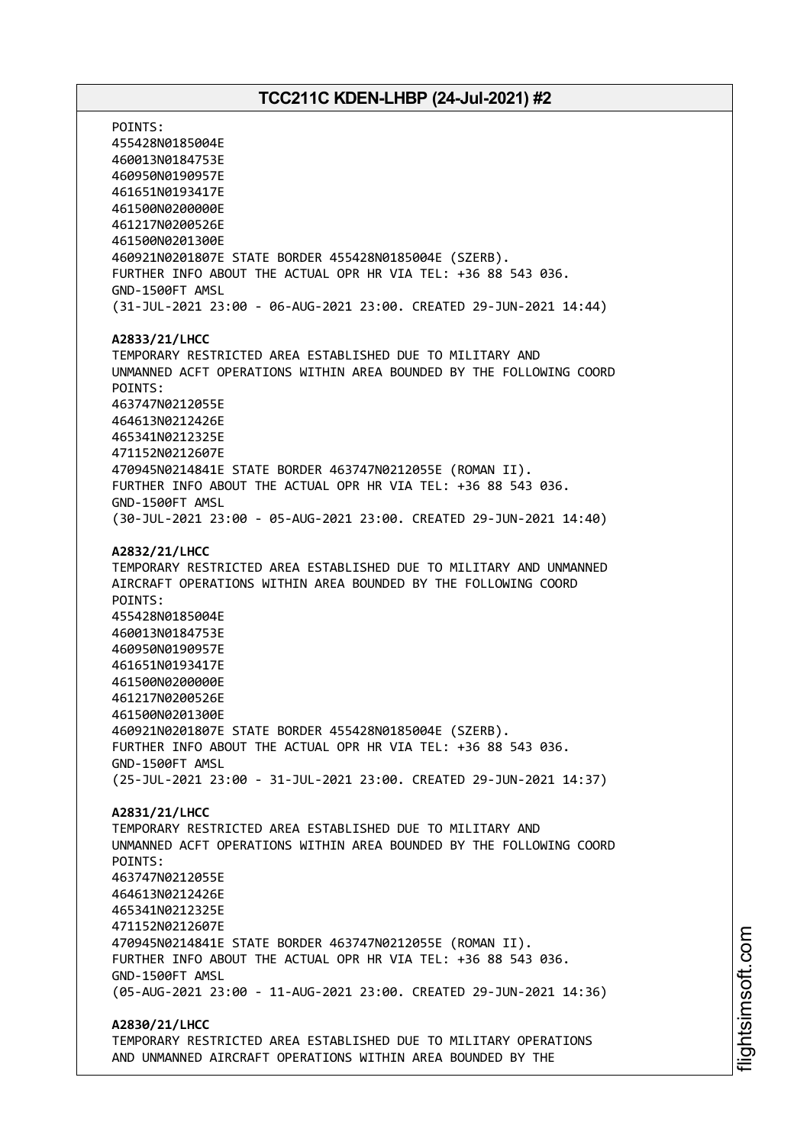POINTS: 455428N0185004E 460013N0184753E 460950N0190957E 461651N0193417E 461500N0200000E 461217N0200526E 461500N0201300E 460921N0201807E STATE BORDER 455428N0185004E (SZERB). FURTHER INFO ABOUT THE ACTUAL OPR HR VIA TEL: +36 88 543 036. GND-1500FT AMSL (31-JUL-2021 23:00 - 06-AUG-2021 23:00. CREATED 29-JUN-2021 14:44) **A2833/21/LHCC** TEMPORARY RESTRICTED AREA ESTABLISHED DUE TO MILITARY AND UNMANNED ACFT OPERATIONS WITHIN AREA BOUNDED BY THE FOLLOWING COORD POINTS: 463747N0212055E 464613N0212426E 465341N0212325E 471152N0212607E 470945N0214841E STATE BORDER 463747N0212055E (ROMAN II). FURTHER INFO ABOUT THE ACTUAL OPR HR VIA TEL: +36 88 543 036. GND-1500FT AMSL (30-JUL-2021 23:00 - 05-AUG-2021 23:00. CREATED 29-JUN-2021 14:40) **A2832/21/LHCC** TEMPORARY RESTRICTED AREA ESTABLISHED DUE TO MILITARY AND UNMANNED AIRCRAFT OPERATIONS WITHIN AREA BOUNDED BY THE FOLLOWING COORD POINTS: 455428N0185004E 460013N0184753E 460950N0190957E 461651N0193417E 461500N0200000E 461217N0200526E 461500N0201300E 460921N0201807E STATE BORDER 455428N0185004E (SZERB). FURTHER INFO ABOUT THE ACTUAL OPR HR VIA TEL: +36 88 543 036. GND-1500FT AMSL (25-JUL-2021 23:00 - 31-JUL-2021 23:00. CREATED 29-JUN-2021 14:37) **A2831/21/LHCC** TEMPORARY RESTRICTED AREA ESTABLISHED DUE TO MILITARY AND UNMANNED ACFT OPERATIONS WITHIN AREA BOUNDED BY THE FOLLOWING COORD POINTS: 463747N0212055E 464613N0212426E 465341N0212325E 471152N0212607E 470945N0214841E STATE BORDER 463747N0212055E (ROMAN II). FURTHER INFO ABOUT THE ACTUAL OPR HR VIA TEL: +36 88 543 036. GND-1500FT AMSL (05-AUG-2021 23:00 - 11-AUG-2021 23:00. CREATED 29-JUN-2021 14:36) **A2830/21/LHCC** TEMPORARY RESTRICTED AREA ESTABLISHED DUE TO MILITARY OPERATIONS

AND UNMANNED AIRCRAFT OPERATIONS WITHIN AREA BOUNDED BY THE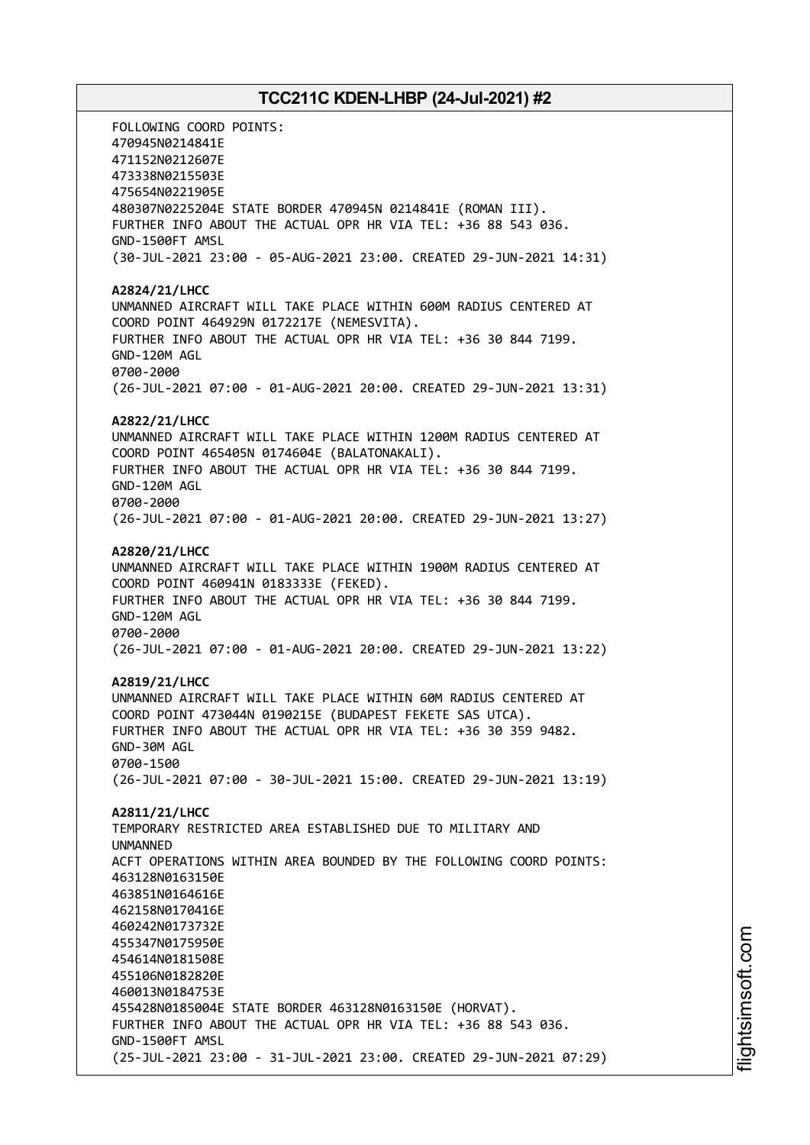FOLLOWING COORD POINTS: 470945N0214841E 471152N0212607E 473338N0215503E 475654N0221905E 480307N0225204E STATE BORDER 470945N 0214841E (ROMAN III). FURTHER INFO ABOUT THE ACTUAL OPR HR VIA TEL: +36 88 543 036. GND-1500FT AMSL (30-JUL-2021 23:00 - 05-AUG-2021 23:00. CREATED 29-JUN-2021 14:31) **A2824/21/LHCC** UNMANNED AIRCRAFT WILL TAKE PLACE WITHIN 600M RADIUS CENTERED AT COORD POINT 464929N 0172217E (NEMESVITA). FURTHER INFO ABOUT THE ACTUAL OPR HR VIA TEL: +36 30 844 7199. GND-120M AGL 0700-2000 (26-JUL-2021 07:00 - 01-AUG-2021 20:00. CREATED 29-JUN-2021 13:31) **A2822/21/LHCC** UNMANNED AIRCRAFT WILL TAKE PLACE WITHIN 1200M RADIUS CENTERED AT COORD POINT 465405N 0174604E (BALATONAKALI). FURTHER INFO ABOUT THE ACTUAL OPR HR VIA TEL: +36 30 844 7199. GND-120M AGL 0700-2000 (26-JUL-2021 07:00 - 01-AUG-2021 20:00. CREATED 29-JUN-2021 13:27) **A2820/21/LHCC** UNMANNED AIRCRAFT WILL TAKE PLACE WITHIN 1900M RADIUS CENTERED AT COORD POINT 460941N 0183333E (FEKED). FURTHER INFO ABOUT THE ACTUAL OPR HR VIA TEL: +36 30 844 7199. GND-120M AGL 0700-2000 (26-JUL-2021 07:00 - 01-AUG-2021 20:00. CREATED 29-JUN-2021 13:22) **A2819/21/LHCC** UNMANNED AIRCRAFT WILL TAKE PLACE WITHIN 60M RADIUS CENTERED AT COORD POINT 473044N 0190215E (BUDAPEST FEKETE SAS UTCA). FURTHER INFO ABOUT THE ACTUAL OPR HR VIA TEL: +36 30 359 9482. GND-30M AGL 0700-1500 (26-JUL-2021 07:00 - 30-JUL-2021 15:00. CREATED 29-JUN-2021 13:19) **A2811/21/LHCC** TEMPORARY RESTRICTED AREA ESTABLISHED DUE TO MILITARY AND UNMANNED ACFT OPERATIONS WITHIN AREA BOUNDED BY THE FOLLOWING COORD POINTS: 463128N0163150E 463851N0164616E 462158N0170416E 460242N0173732E 455347N0175950E 454614N0181508E 455106N0182820E 460013N0184753E 455428N0185004E STATE BORDER 463128N0163150E (HORVAT). FURTHER INFO ABOUT THE ACTUAL OPR HR VIA TEL: +36 88 543 036. GND-1500FT AMSL (25-JUL-2021 23:00 - 31-JUL-2021 23:00. CREATED 29-JUN-2021 07:29)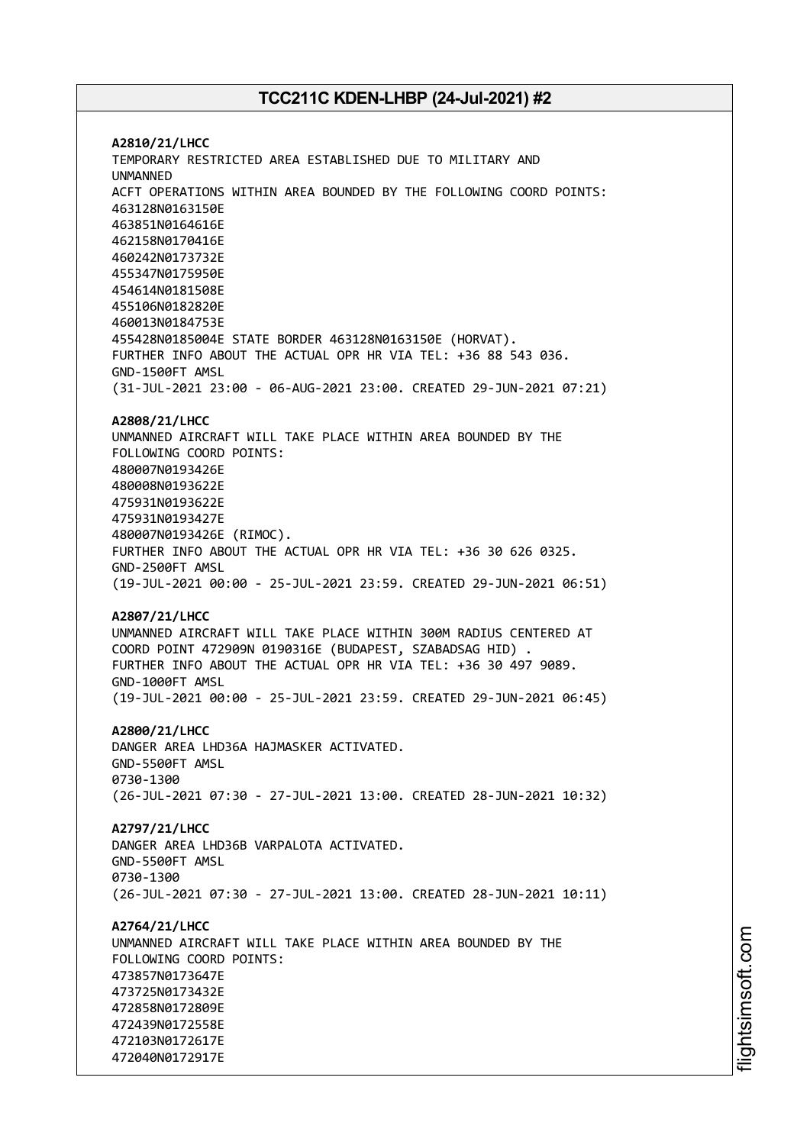**A2810/21/LHCC** TEMPORARY RESTRICTED AREA ESTABLISHED DUE TO MILITARY AND UNMANNED ACFT OPERATIONS WITHIN AREA BOUNDED BY THE FOLLOWING COORD POINTS: 463128N0163150E 463851N0164616E 462158N0170416E 460242N0173732E 455347N0175950E 454614N0181508E 455106N0182820E 460013N0184753E 455428N0185004E STATE BORDER 463128N0163150E (HORVAT). FURTHER INFO ABOUT THE ACTUAL OPR HR VIA TEL: +36 88 543 036. GND-1500FT AMSL (31-JUL-2021 23:00 - 06-AUG-2021 23:00. CREATED 29-JUN-2021 07:21) **A2808/21/LHCC** UNMANNED AIRCRAFT WILL TAKE PLACE WITHIN AREA BOUNDED BY THE FOLLOWING COORD POINTS: 480007N0193426E 480008N0193622E 475931N0193622E 475931N0193427E 480007N0193426E (RIMOC). FURTHER INFO ABOUT THE ACTUAL OPR HR VIA TEL: +36 30 626 0325. GND-2500FT AMSL (19-JUL-2021 00:00 - 25-JUL-2021 23:59. CREATED 29-JUN-2021 06:51) **A2807/21/LHCC** UNMANNED AIRCRAFT WILL TAKE PLACE WITHIN 300M RADIUS CENTERED AT COORD POINT 472909N 0190316E (BUDAPEST, SZABADSAG HID) . FURTHER INFO ABOUT THE ACTUAL OPR HR VIA TEL: +36 30 497 9089. GND-1000FT AMSL (19-JUL-2021 00:00 - 25-JUL-2021 23:59. CREATED 29-JUN-2021 06:45) **A2800/21/LHCC** DANGER AREA LHD36A HAJMASKER ACTIVATED. GND-5500FT AMSL 0730-1300 (26-JUL-2021 07:30 - 27-JUL-2021 13:00. CREATED 28-JUN-2021 10:32) **A2797/21/LHCC** DANGER AREA LHD36B VARPALOTA ACTIVATED. GND-5500FT AMSL 0730-1300 (26-JUL-2021 07:30 - 27-JUL-2021 13:00. CREATED 28-JUN-2021 10:11) **A2764/21/LHCC** UNMANNED AIRCRAFT WILL TAKE PLACE WITHIN AREA BOUNDED BY THE FOLLOWING COORD POINTS: 473857N0173647E 473725N0173432E 472858N0172809E 472439N0172558E 472103N0172617E 472040N0172917E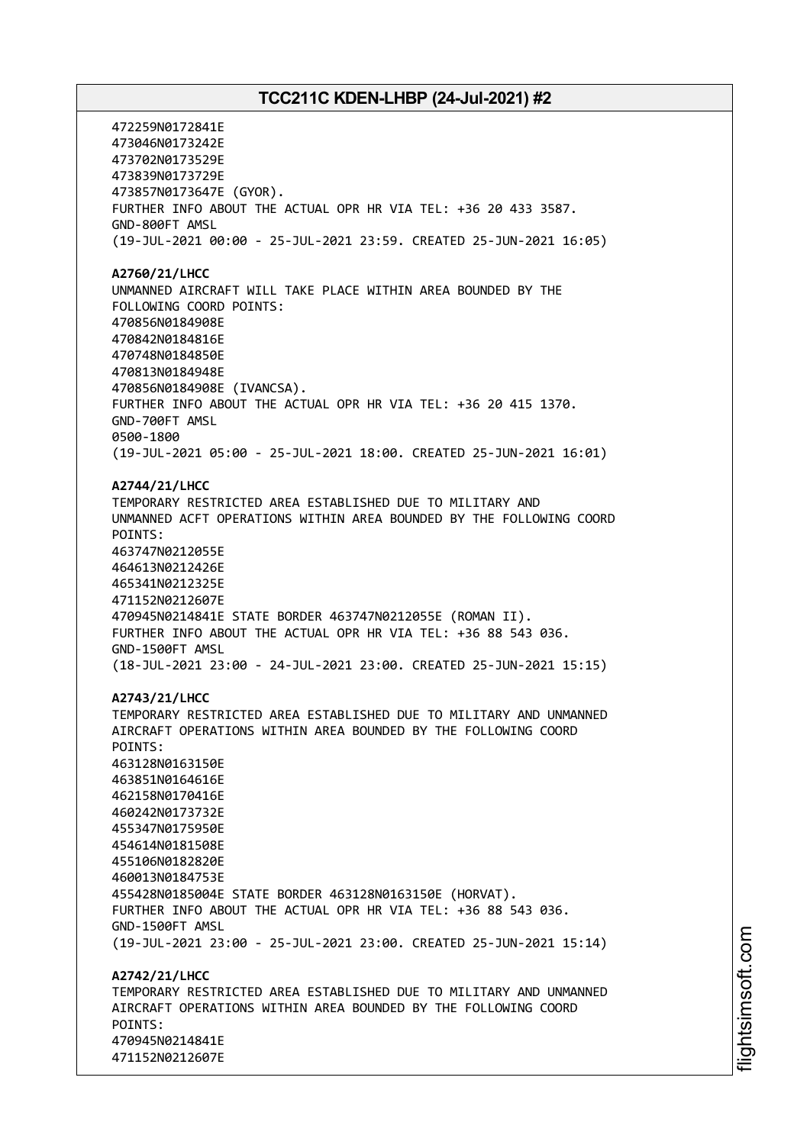472259N0172841E 473046N0173242E 473702N0173529E 473839N0173729E 473857N0173647E (GYOR). FURTHER INFO ABOUT THE ACTUAL OPR HR VIA TEL: +36 20 433 3587. GND-800FT AMSL (19-JUL-2021 00:00 - 25-JUL-2021 23:59. CREATED 25-JUN-2021 16:05) **A2760/21/LHCC** UNMANNED AIRCRAFT WILL TAKE PLACE WITHIN AREA BOUNDED BY THE FOLLOWING COORD POINTS: 470856N0184908E 470842N0184816E 470748N0184850E 470813N0184948E 470856N0184908E (IVANCSA). FURTHER INFO ABOUT THE ACTUAL OPR HR VIA TEL: +36 20 415 1370. GND-700FT AMSL 0500-1800 (19-JUL-2021 05:00 - 25-JUL-2021 18:00. CREATED 25-JUN-2021 16:01) **A2744/21/LHCC** TEMPORARY RESTRICTED AREA ESTABLISHED DUE TO MILITARY AND UNMANNED ACFT OPERATIONS WITHIN AREA BOUNDED BY THE FOLLOWING COORD POINTS: 463747N0212055E 464613N0212426E 465341N0212325E 471152N0212607E 470945N0214841E STATE BORDER 463747N0212055E (ROMAN II). FURTHER INFO ABOUT THE ACTUAL OPR HR VIA TEL: +36 88 543 036. GND-1500FT AMSL (18-JUL-2021 23:00 - 24-JUL-2021 23:00. CREATED 25-JUN-2021 15:15) **A2743/21/LHCC** TEMPORARY RESTRICTED AREA ESTABLISHED DUE TO MILITARY AND UNMANNED AIRCRAFT OPERATIONS WITHIN AREA BOUNDED BY THE FOLLOWING COORD POINTS: 463128N0163150E 463851N0164616E 462158N0170416E 460242N0173732E 455347N0175950E 454614N0181508E 455106N0182820E 460013N0184753E 455428N0185004E STATE BORDER 463128N0163150E (HORVAT). FURTHER INFO ABOUT THE ACTUAL OPR HR VIA TEL: +36 88 543 036. GND-1500FT AMSL (19-JUL-2021 23:00 - 25-JUL-2021 23:00. CREATED 25-JUN-2021 15:14) **A2742/21/LHCC** TEMPORARY RESTRICTED AREA ESTABLISHED DUE TO MILITARY AND UNMANNED AIRCRAFT OPERATIONS WITHIN AREA BOUNDED BY THE FOLLOWING COORD POINTS: 470945N0214841E 471152N0212607E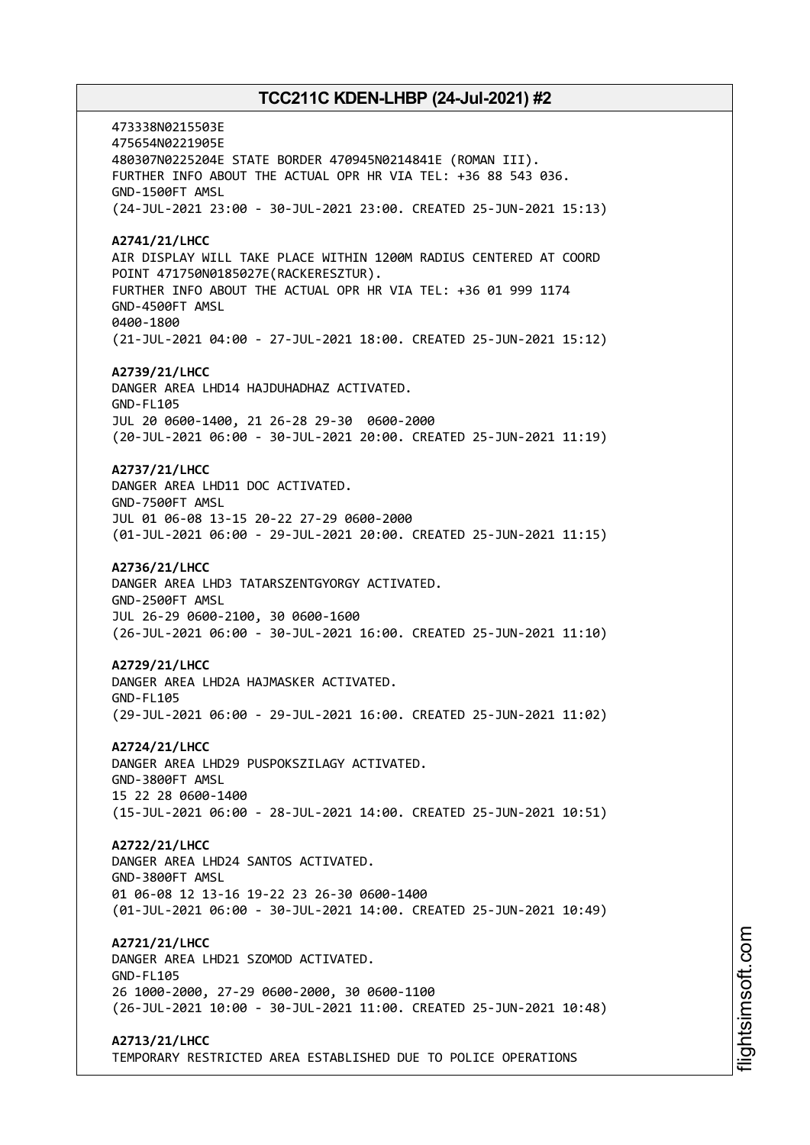473338N0215503E 475654N0221905E 480307N0225204E STATE BORDER 470945N0214841E (ROMAN III). FURTHER INFO ABOUT THE ACTUAL OPR HR VIA TEL: +36 88 543 036. GND-1500FT AMSL (24-JUL-2021 23:00 - 30-JUL-2021 23:00. CREATED 25-JUN-2021 15:13) **A2741/21/LHCC** AIR DISPLAY WILL TAKE PLACE WITHIN 1200M RADIUS CENTERED AT COORD POINT 471750N0185027E(RACKERESZTUR). FURTHER INFO ABOUT THE ACTUAL OPR HR VIA TEL: +36 01 999 1174 GND-4500FT AMSL 0400-1800 (21-JUL-2021 04:00 - 27-JUL-2021 18:00. CREATED 25-JUN-2021 15:12) **A2739/21/LHCC** DANGER AREA LHD14 HAJDUHADHAZ ACTIVATED. GND-FL105 JUL 20 0600-1400, 21 26-28 29-30 0600-2000 (20-JUL-2021 06:00 - 30-JUL-2021 20:00. CREATED 25-JUN-2021 11:19) **A2737/21/LHCC** DANGER AREA LHD11 DOC ACTIVATED. GND-7500FT AMSL JUL 01 06-08 13-15 20-22 27-29 0600-2000 (01-JUL-2021 06:00 - 29-JUL-2021 20:00. CREATED 25-JUN-2021 11:15) **A2736/21/LHCC** DANGER AREA LHD3 TATARSZENTGYORGY ACTIVATED. GND-2500FT AMSL JUL 26-29 0600-2100, 30 0600-1600 (26-JUL-2021 06:00 - 30-JUL-2021 16:00. CREATED 25-JUN-2021 11:10) **A2729/21/LHCC** DANGER AREA LHD2A HAJMASKER ACTIVATED. GND-FL105 (29-JUL-2021 06:00 - 29-JUL-2021 16:00. CREATED 25-JUN-2021 11:02) **A2724/21/LHCC** DANGER AREA LHD29 PUSPOKSZILAGY ACTIVATED. GND-3800FT AMSL 15 22 28 0600-1400 (15-JUL-2021 06:00 - 28-JUL-2021 14:00. CREATED 25-JUN-2021 10:51) **A2722/21/LHCC** DANGER AREA LHD24 SANTOS ACTIVATED. GND-3800FT AMSL 01 06-08 12 13-16 19-22 23 26-30 0600-1400 (01-JUL-2021 06:00 - 30-JUL-2021 14:00. CREATED 25-JUN-2021 10:49) **A2721/21/LHCC** DANGER AREA LHD21 SZOMOD ACTIVATED. GND-FL105 26 1000-2000, 27-29 0600-2000, 30 0600-1100 (26-JUL-2021 10:00 - 30-JUL-2021 11:00. CREATED 25-JUN-2021 10:48) **A2713/21/LHCC**

TEMPORARY RESTRICTED AREA ESTABLISHED DUE TO POLICE OPERATIONS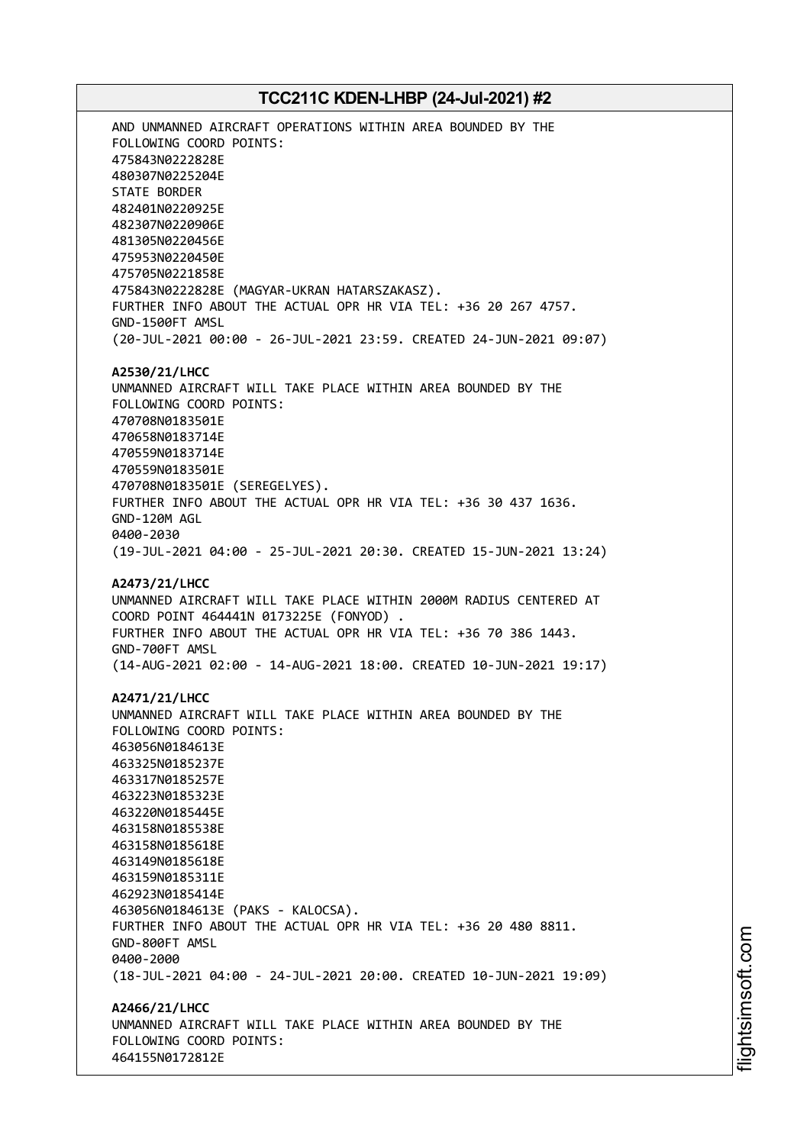AND UNMANNED AIRCRAFT OPERATIONS WITHIN AREA BOUNDED BY THE FOLLOWING COORD POINTS: 475843N0222828E 480307N0225204E STATE BORDER 482401N0220925E 482307N0220906E 481305N0220456E 475953N0220450E 475705N0221858E 475843N0222828E (MAGYAR-UKRAN HATARSZAKASZ). FURTHER INFO ABOUT THE ACTUAL OPR HR VIA TEL: +36 20 267 4757. GND-1500FT AMSL (20-JUL-2021 00:00 - 26-JUL-2021 23:59. CREATED 24-JUN-2021 09:07) **A2530/21/LHCC** UNMANNED AIRCRAFT WILL TAKE PLACE WITHIN AREA BOUNDED BY THE FOLLOWING COORD POINTS: 470708N0183501E 470658N0183714E 470559N0183714E 470559N0183501E 470708N0183501E (SEREGELYES). FURTHER INFO ABOUT THE ACTUAL OPR HR VIA TEL: +36 30 437 1636. GND-120M AGL 0400-2030 (19-JUL-2021 04:00 - 25-JUL-2021 20:30. CREATED 15-JUN-2021 13:24) **A2473/21/LHCC** UNMANNED AIRCRAFT WILL TAKE PLACE WITHIN 2000M RADIUS CENTERED AT COORD POINT 464441N 0173225E (FONYOD) . FURTHER INFO ABOUT THE ACTUAL OPR HR VIA TEL: +36 70 386 1443. GND-700FT AMSL (14-AUG-2021 02:00 - 14-AUG-2021 18:00. CREATED 10-JUN-2021 19:17) **A2471/21/LHCC** UNMANNED AIRCRAFT WILL TAKE PLACE WITHIN AREA BOUNDED BY THE FOLLOWING COORD POINTS: 463056N0184613E 463325N0185237E 463317N0185257E 463223N0185323E 463220N0185445E 463158N0185538E 463158N0185618E 463149N0185618E 463159N0185311E 462923N0185414E 463056N0184613E (PAKS - KALOCSA). FURTHER INFO ABOUT THE ACTUAL OPR HR VIA TEL: +36 20 480 8811. GND-800FT AMSL 0400-2000 (18-JUL-2021 04:00 - 24-JUL-2021 20:00. CREATED 10-JUN-2021 19:09) **A2466/21/LHCC** UNMANNED AIRCRAFT WILL TAKE PLACE WITHIN AREA BOUNDED BY THE FOLLOWING COORD POINTS: 464155N0172812E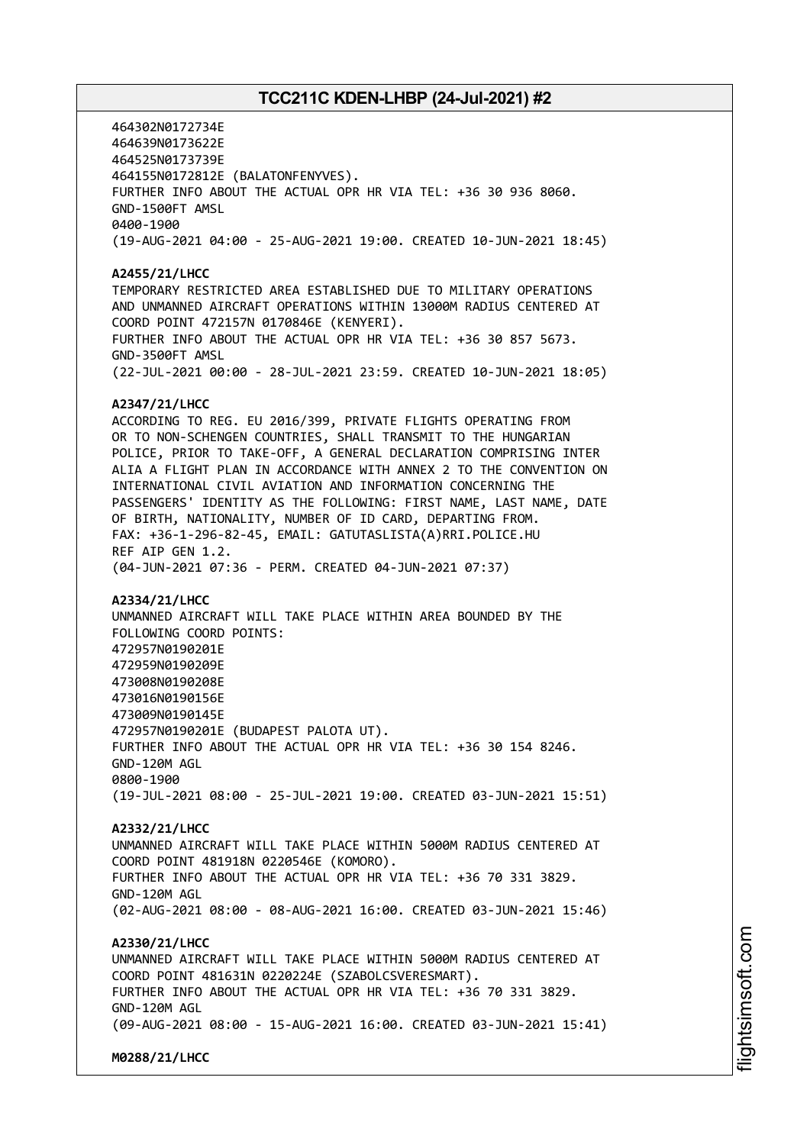464302N0172734E 464639N0173622E 464525N0173739E 464155N0172812E (BALATONFENYVES). FURTHER INFO ABOUT THE ACTUAL OPR HR VIA TEL: +36 30 936 8060. GND-1500FT AMSL 0400-1900 (19-AUG-2021 04:00 - 25-AUG-2021 19:00. CREATED 10-JUN-2021 18:45) **A2455/21/LHCC** TEMPORARY RESTRICTED AREA ESTABLISHED DUE TO MILITARY OPERATIONS AND UNMANNED AIRCRAFT OPERATIONS WITHIN 13000M RADIUS CENTERED AT COORD POINT 472157N 0170846E (KENYERI). FURTHER INFO ABOUT THE ACTUAL OPR HR VIA TEL: +36 30 857 5673. GND-3500FT AMSL (22-JUL-2021 00:00 - 28-JUL-2021 23:59. CREATED 10-JUN-2021 18:05) **A2347/21/LHCC** ACCORDING TO REG. EU 2016/399, PRIVATE FLIGHTS OPERATING FROM OR TO NON-SCHENGEN COUNTRIES, SHALL TRANSMIT TO THE HUNGARIAN POLICE, PRIOR TO TAKE-OFF, A GENERAL DECLARATION COMPRISING INTER ALIA A FLIGHT PLAN IN ACCORDANCE WITH ANNEX 2 TO THE CONVENTION ON INTERNATIONAL CIVIL AVIATION AND INFORMATION CONCERNING THE PASSENGERS' IDENTITY AS THE FOLLOWING: FIRST NAME, LAST NAME, DATE OF BIRTH, NATIONALITY, NUMBER OF ID CARD, DEPARTING FROM. FAX: +36-1-296-82-45, EMAIL: GATUTASLISTA(A)RRI.POLICE.HU REF AIP GEN 1.2. (04-JUN-2021 07:36 - PERM. CREATED 04-JUN-2021 07:37) **A2334/21/LHCC** UNMANNED AIRCRAFT WILL TAKE PLACE WITHIN AREA BOUNDED BY THE FOLLOWING COORD POINTS: 472957N0190201E 472959N0190209E 473008N0190208E 473016N0190156E 473009N0190145E 472957N0190201E (BUDAPEST PALOTA UT). FURTHER INFO ABOUT THE ACTUAL OPR HR VIA TEL: +36 30 154 8246. GND-120M AGL 0800-1900 (19-JUL-2021 08:00 - 25-JUL-2021 19:00. CREATED 03-JUN-2021 15:51) **A2332/21/LHCC** UNMANNED AIRCRAFT WILL TAKE PLACE WITHIN 5000M RADIUS CENTERED AT COORD POINT 481918N 0220546E (KOMORO). FURTHER INFO ABOUT THE ACTUAL OPR HR VIA TEL: +36 70 331 3829. GND-120M AGL (02-AUG-2021 08:00 - 08-AUG-2021 16:00. CREATED 03-JUN-2021 15:46) **A2330/21/LHCC** UNMANNED AIRCRAFT WILL TAKE PLACE WITHIN 5000M RADIUS CENTERED AT COORD POINT 481631N 0220224E (SZABOLCSVERESMART). FURTHER INFO ABOUT THE ACTUAL OPR HR VIA TEL: +36 70 331 3829. GND-120M AGL (09-AUG-2021 08:00 - 15-AUG-2021 16:00. CREATED 03-JUN-2021 15:41) **M0288/21/LHCC**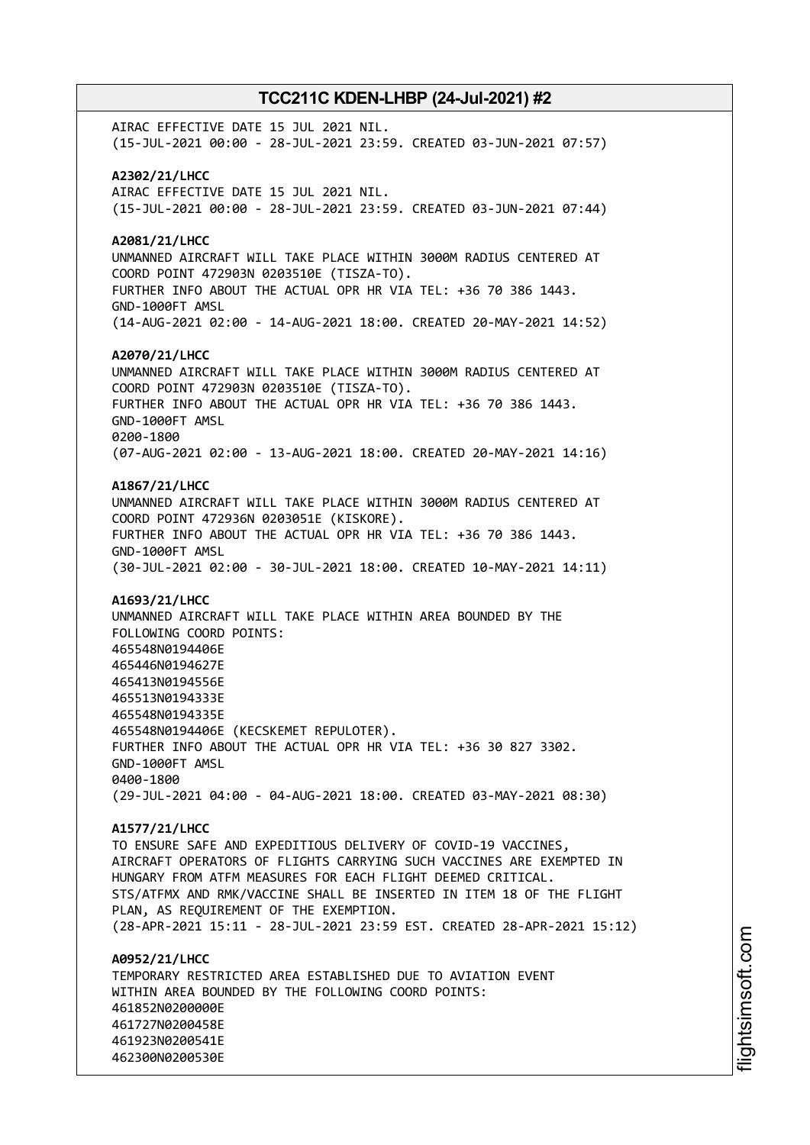AIRAC EFFECTIVE DATE 15 JUL 2021 NIL. (15-JUL-2021 00:00 - 28-JUL-2021 23:59. CREATED 03-JUN-2021 07:57) **A2302/21/LHCC** AIRAC EFFECTIVE DATE 15 JUL 2021 NIL. (15-JUL-2021 00:00 - 28-JUL-2021 23:59. CREATED 03-JUN-2021 07:44) **A2081/21/LHCC** UNMANNED AIRCRAFT WILL TAKE PLACE WITHIN 3000M RADIUS CENTERED AT COORD POINT 472903N 0203510E (TISZA-TO). FURTHER INFO ABOUT THE ACTUAL OPR HR VIA TEL: +36 70 386 1443. GND-1000FT AMSL (14-AUG-2021 02:00 - 14-AUG-2021 18:00. CREATED 20-MAY-2021 14:52) **A2070/21/LHCC** UNMANNED AIRCRAFT WILL TAKE PLACE WITHIN 3000M RADIUS CENTERED AT COORD POINT 472903N 0203510E (TISZA-TO). FURTHER INFO ABOUT THE ACTUAL OPR HR VIA TEL: +36 70 386 1443. GND-1000FT AMSL 0200-1800 (07-AUG-2021 02:00 - 13-AUG-2021 18:00. CREATED 20-MAY-2021 14:16) **A1867/21/LHCC** UNMANNED AIRCRAFT WILL TAKE PLACE WITHIN 3000M RADIUS CENTERED AT COORD POINT 472936N 0203051E (KISKORE). FURTHER INFO ABOUT THE ACTUAL OPR HR VIA TEL: +36 70 386 1443. GND-1000FT AMSL (30-JUL-2021 02:00 - 30-JUL-2021 18:00. CREATED 10-MAY-2021 14:11) **A1693/21/LHCC** UNMANNED AIRCRAFT WILL TAKE PLACE WITHIN AREA BOUNDED BY THE FOLLOWING COORD POINTS: 465548N0194406E 465446N0194627E 465413N0194556E 465513N0194333E 465548N0194335E 465548N0194406E (KECSKEMET REPULOTER). FURTHER INFO ABOUT THE ACTUAL OPR HR VIA TEL: +36 30 827 3302. GND-1000FT AMSL 0400-1800 (29-JUL-2021 04:00 - 04-AUG-2021 18:00. CREATED 03-MAY-2021 08:30) **A1577/21/LHCC** TO ENSURE SAFE AND EXPEDITIOUS DELIVERY OF COVID-19 VACCINES, AIRCRAFT OPERATORS OF FLIGHTS CARRYING SUCH VACCINES ARE EXEMPTED IN HUNGARY FROM ATFM MEASURES FOR EACH FLIGHT DEEMED CRITICAL. STS/ATFMX AND RMK/VACCINE SHALL BE INSERTED IN ITEM 18 OF THE FLIGHT PLAN, AS REQUIREMENT OF THE EXEMPTION. (28-APR-2021 15:11 - 28-JUL-2021 23:59 EST. CREATED 28-APR-2021 15:12) **A0952/21/LHCC** TEMPORARY RESTRICTED AREA ESTABLISHED DUE TO AVIATION EVENT WITHIN AREA BOUNDED BY THE FOLLOWING COORD POINTS: 461852N0200000E 461727N0200458E 461923N0200541E 462300N0200530E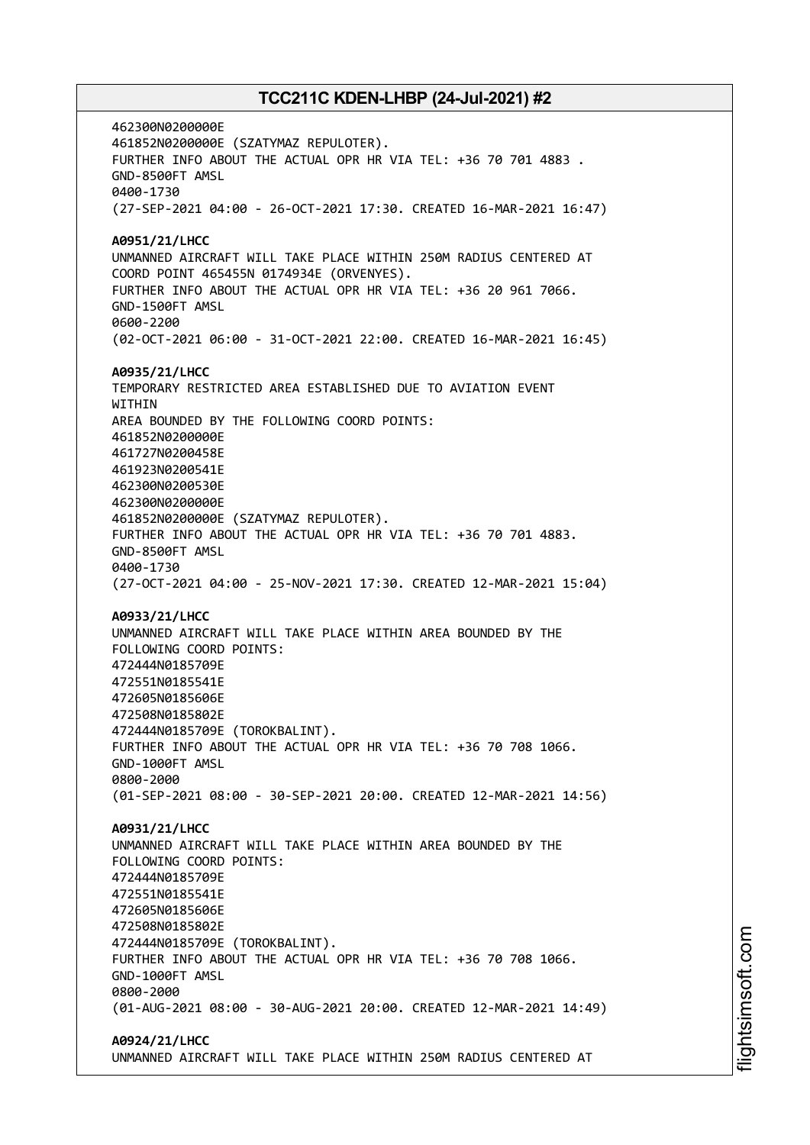462300N0200000E 461852N0200000E (SZATYMAZ REPULOTER). FURTHER INFO ABOUT THE ACTUAL OPR HR VIA TEL: +36 70 701 4883 . GND-8500FT AMSL 0400-1730 (27-SEP-2021 04:00 - 26-OCT-2021 17:30. CREATED 16-MAR-2021 16:47) **A0951/21/LHCC** UNMANNED AIRCRAFT WILL TAKE PLACE WITHIN 250M RADIUS CENTERED AT COORD POINT 465455N 0174934E (ORVENYES). FURTHER INFO ABOUT THE ACTUAL OPR HR VIA TEL: +36 20 961 7066. GND-1500FT AMSL 0600-2200 (02-OCT-2021 06:00 - 31-OCT-2021 22:00. CREATED 16-MAR-2021 16:45) **A0935/21/LHCC** TEMPORARY RESTRICTED AREA ESTABLISHED DUE TO AVIATION EVENT **WITHTN** AREA BOUNDED BY THE FOLLOWING COORD POINTS: 461852N0200000E 461727N0200458E 461923N0200541E 462300N0200530E 462300N0200000E 461852N0200000E (SZATYMAZ REPULOTER). FURTHER INFO ABOUT THE ACTUAL OPR HR VIA TEL: +36 70 701 4883. GND-8500FT AMSL 0400-1730 (27-OCT-2021 04:00 - 25-NOV-2021 17:30. CREATED 12-MAR-2021 15:04) **A0933/21/LHCC** UNMANNED AIRCRAFT WILL TAKE PLACE WITHIN AREA BOUNDED BY THE FOLLOWING COORD POINTS: 472444N0185709E 472551N0185541E 472605N0185606E 472508N0185802E 472444N0185709E (TOROKBALINT). FURTHER INFO ABOUT THE ACTUAL OPR HR VIA TEL: +36 70 708 1066. GND-1000FT AMSL 0800-2000 (01-SEP-2021 08:00 - 30-SEP-2021 20:00. CREATED 12-MAR-2021 14:56) **A0931/21/LHCC** UNMANNED AIRCRAFT WILL TAKE PLACE WITHIN AREA BOUNDED BY THE FOLLOWING COORD POINTS: 472444N0185709E 472551N0185541E 472605N0185606E 472508N0185802E 472444N0185709E (TOROKBALINT). FURTHER INFO ABOUT THE ACTUAL OPR HR VIA TEL: +36 70 708 1066. GND-1000FT AMSL 0800-2000 (01-AUG-2021 08:00 - 30-AUG-2021 20:00. CREATED 12-MAR-2021 14:49) **A0924/21/LHCC** UNMANNED AIRCRAFT WILL TAKE PLACE WITHIN 250M RADIUS CENTERED AT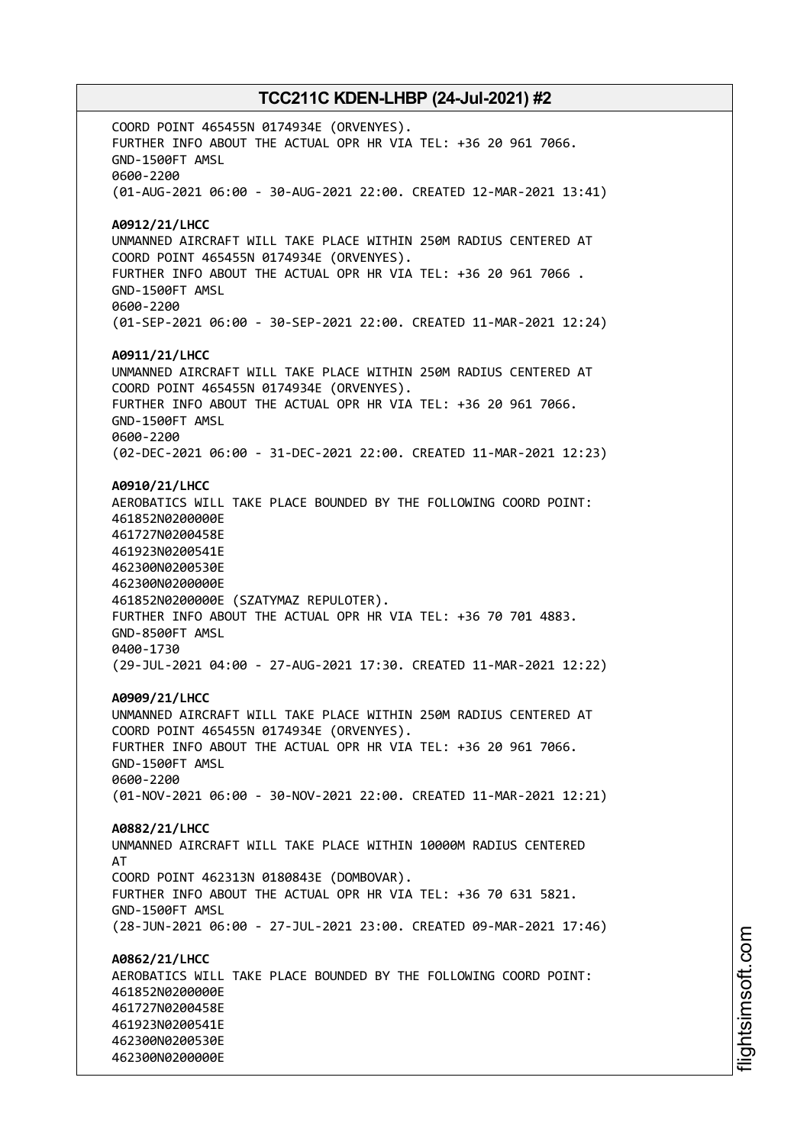COORD POINT 465455N 0174934E (ORVENYES). FURTHER INFO ABOUT THE ACTUAL OPR HR VIA TEL: +36 20 961 7066. GND-1500FT AMSL 0600-2200 (01-AUG-2021 06:00 - 30-AUG-2021 22:00. CREATED 12-MAR-2021 13:41) **A0912/21/LHCC** UNMANNED AIRCRAFT WILL TAKE PLACE WITHIN 250M RADIUS CENTERED AT COORD POINT 465455N 0174934E (ORVENYES). FURTHER INFO ABOUT THE ACTUAL OPR HR VIA TEL: +36 20 961 7066 . GND-1500FT AMSL 0600-2200 (01-SEP-2021 06:00 - 30-SEP-2021 22:00. CREATED 11-MAR-2021 12:24) **A0911/21/LHCC** UNMANNED AIRCRAFT WILL TAKE PLACE WITHIN 250M RADIUS CENTERED AT COORD POINT 465455N 0174934E (ORVENYES). FURTHER INFO ABOUT THE ACTUAL OPR HR VIA TEL: +36 20 961 7066. GND-1500FT AMSL 0600-2200 (02-DEC-2021 06:00 - 31-DEC-2021 22:00. CREATED 11-MAR-2021 12:23) **A0910/21/LHCC** AEROBATICS WILL TAKE PLACE BOUNDED BY THE FOLLOWING COORD POINT: 461852N0200000E 461727N0200458E 461923N0200541E 462300N0200530E 462300N0200000E 461852N0200000E (SZATYMAZ REPULOTER). FURTHER INFO ABOUT THE ACTUAL OPR HR VIA TEL: +36 70 701 4883. GND-8500FT AMSL 0400-1730 (29-JUL-2021 04:00 - 27-AUG-2021 17:30. CREATED 11-MAR-2021 12:22) **A0909/21/LHCC** UNMANNED AIRCRAFT WILL TAKE PLACE WITHIN 250M RADIUS CENTERED AT COORD POINT 465455N 0174934E (ORVENYES). FURTHER INFO ABOUT THE ACTUAL OPR HR VIA TEL: +36 20 961 7066. GND-1500FT AMSL 0600-2200 (01-NOV-2021 06:00 - 30-NOV-2021 22:00. CREATED 11-MAR-2021 12:21) **A0882/21/LHCC** UNMANNED AIRCRAFT WILL TAKE PLACE WITHIN 10000M RADIUS CENTERED AT COORD POINT 462313N 0180843E (DOMBOVAR). FURTHER INFO ABOUT THE ACTUAL OPR HR VIA TEL: +36 70 631 5821. GND-1500FT AMSL (28-JUN-2021 06:00 - 27-JUL-2021 23:00. CREATED 09-MAR-2021 17:46) **A0862/21/LHCC** AEROBATICS WILL TAKE PLACE BOUNDED BY THE FOLLOWING COORD POINT: 461852N0200000E 461727N0200458E 461923N0200541E 462300N0200530E 462300N0200000E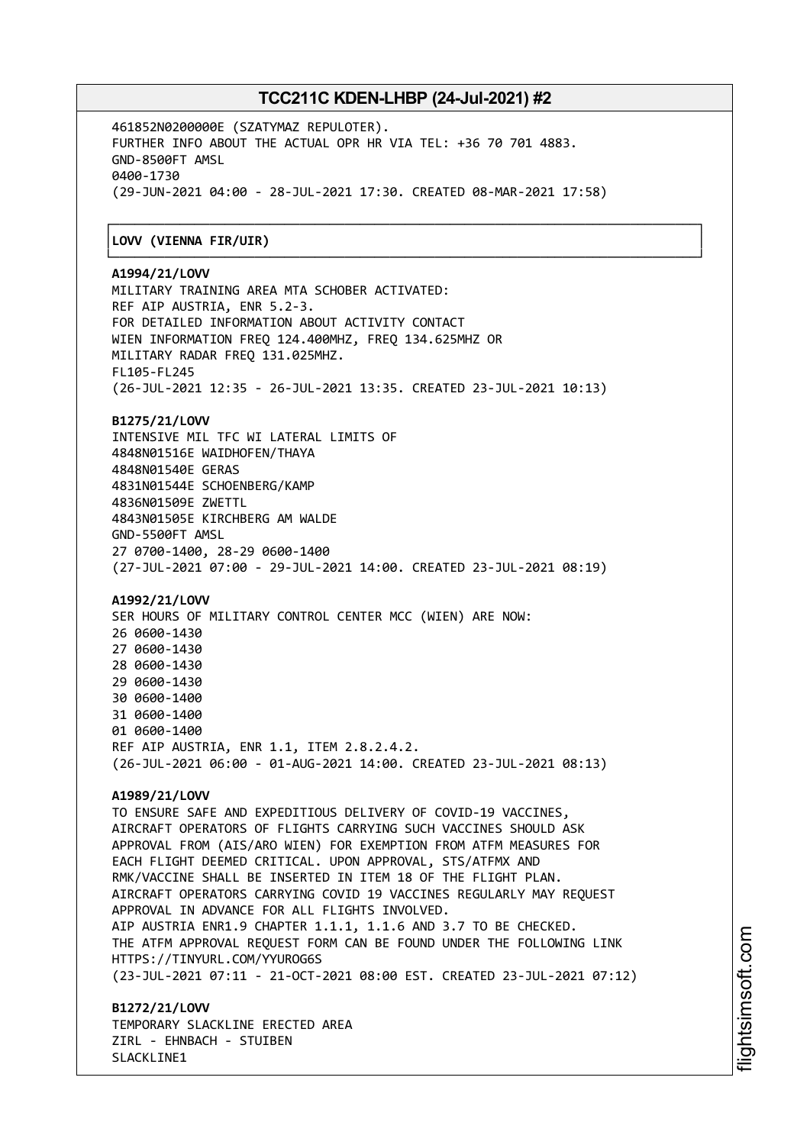┌──────────────────────────────────────────────────────────────────────────────┐

461852N0200000E (SZATYMAZ REPULOTER). FURTHER INFO ABOUT THE ACTUAL OPR HR VIA TEL: +36 70 701 4883. GND-8500FT AMSL 0400-1730 (29-JUN-2021 04:00 - 28-JUL-2021 17:30. CREATED 08-MAR-2021 17:58)

#### │**LOVV (VIENNA FIR/UIR)** │

#### └──────────────────────────────────────────────────────────────────────────────┘ **A1994/21/LOVV**

MILITARY TRAINING AREA MTA SCHOBER ACTIVATED: REF AIP AUSTRIA, ENR 5.2-3. FOR DETAILED INFORMATION ABOUT ACTIVITY CONTACT WIEN INFORMATION FREQ 124.400MHZ, FREQ 134.625MHZ OR MILITARY RADAR FREQ 131.025MHZ. FL105-FL245 (26-JUL-2021 12:35 - 26-JUL-2021 13:35. CREATED 23-JUL-2021 10:13)

#### **B1275/21/LOVV**

INTENSIVE MIL TFC WI LATERAL LIMITS OF 4848N01516E WAIDHOFEN/THAYA 4848N01540E GERAS 4831N01544E SCHOENBERG/KAMP 4836N01509E ZWETTL 4843N01505E KIRCHBERG AM WALDE GND-5500FT AMSL 27 0700-1400, 28-29 0600-1400 (27-JUL-2021 07:00 - 29-JUL-2021 14:00. CREATED 23-JUL-2021 08:19)

#### **A1992/21/LOVV**

SER HOURS OF MILITARY CONTROL CENTER MCC (WIEN) ARE NOW: 0600-1430 0600-1430 0600-1430 0600-1430 0600-1400 0600-1400 0600-1400 REF AIP AUSTRIA, ENR 1.1, ITEM 2.8.2.4.2. (26-JUL-2021 06:00 - 01-AUG-2021 14:00. CREATED 23-JUL-2021 08:13)

#### **A1989/21/LOVV**

TO ENSURE SAFE AND EXPEDITIOUS DELIVERY OF COVID-19 VACCINES, AIRCRAFT OPERATORS OF FLIGHTS CARRYING SUCH VACCINES SHOULD ASK APPROVAL FROM (AIS/ARO WIEN) FOR EXEMPTION FROM ATFM MEASURES FOR EACH FLIGHT DEEMED CRITICAL. UPON APPROVAL, STS/ATFMX AND RMK/VACCINE SHALL BE INSERTED IN ITEM 18 OF THE FLIGHT PLAN. AIRCRAFT OPERATORS CARRYING COVID 19 VACCINES REGULARLY MAY REQUEST APPROVAL IN ADVANCE FOR ALL FLIGHTS INVOLVED. AIP AUSTRIA ENR1.9 CHAPTER 1.1.1, 1.1.6 AND 3.7 TO BE CHECKED. THE ATFM APPROVAL REQUEST FORM CAN BE FOUND UNDER THE FOLLOWING LINK HTTPS://TINYURL.COM/YYUROG6S (23-JUL-2021 07:11 - 21-OCT-2021 08:00 EST. CREATED 23-JUL-2021 07:12)

**B1272/21/LOVV** TEMPORARY SLACKLINE ERECTED AREA ZIRL - EHNBACH - STUIBEN SLACKLINE1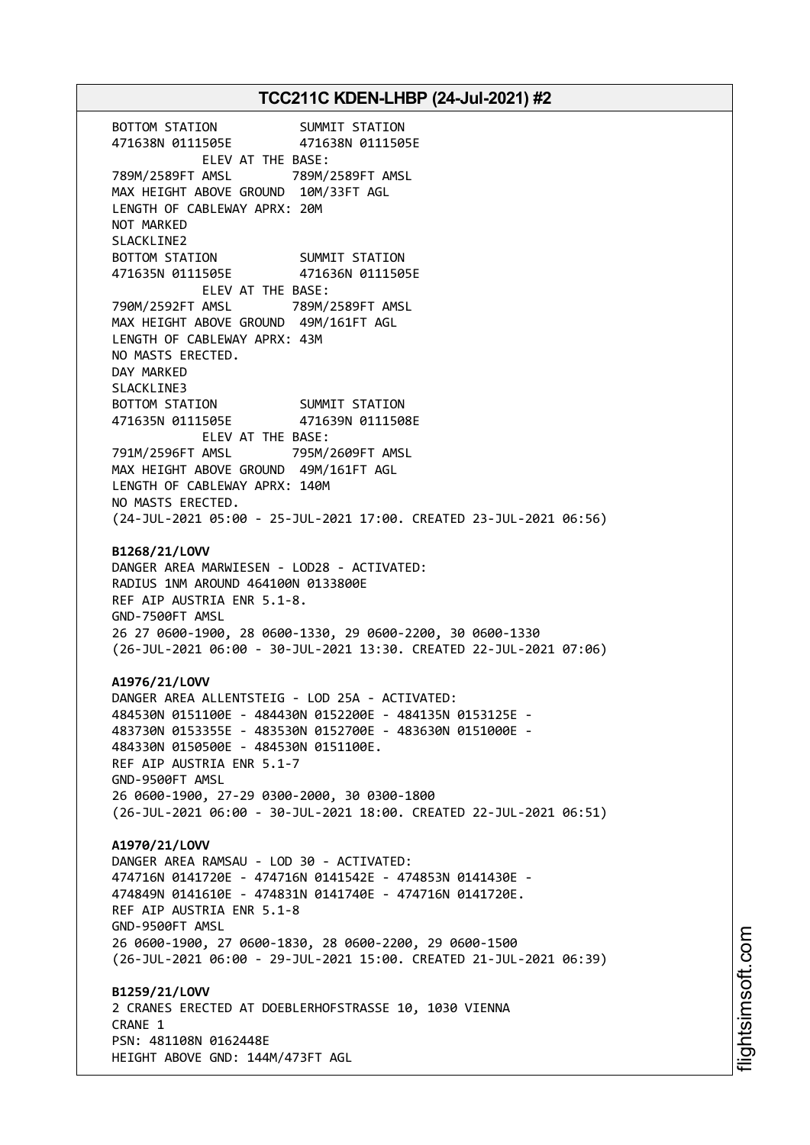BOTTOM STATION SUMMIT STATION 471638N 0111505E 471638N 0111505E ELEV AT THE BASE: 789M/2589FT AMSL 789M/2589FT AMSL MAX HEIGHT ABOVE GROUND 10M/33FT AGL LENGTH OF CABLEWAY APRX: 20M NOT MARKED SLACKLINE2 BOTTOM STATION SUMMIT STATION 471635N 0111505E 471636N 0111505E ELEV AT THE BASE: 790M/2592FT AMSL 789M/2589FT AMSL MAX HEIGHT ABOVE GROUND 49M/161FT AGL LENGTH OF CABLEWAY APRX: 43M NO MASTS ERECTED. DAY MARKED SLACKLINE3 BOTTOM STATION SUMMIT STATION 471635N 0111505E 471639N 0111508E ELEV AT THE BASE: 791M/2596FT AMSL 795M/2609FT AMSL MAX HEIGHT ABOVE GROUND 49M/161FT AGL LENGTH OF CABLEWAY APRX: 140M NO MASTS ERECTED. (24-JUL-2021 05:00 - 25-JUL-2021 17:00. CREATED 23-JUL-2021 06:56) **B1268/21/LOVV** DANGER AREA MARWIESEN - LOD28 - ACTIVATED: RADIUS 1NM AROUND 464100N 0133800E REF AIP AUSTRIA ENR 5.1-8. GND-7500FT AMSL 26 27 0600-1900, 28 0600-1330, 29 0600-2200, 30 0600-1330 (26-JUL-2021 06:00 - 30-JUL-2021 13:30. CREATED 22-JUL-2021 07:06) **A1976/21/LOVV** DANGER AREA ALLENTSTEIG - LOD 25A - ACTIVATED: 484530N 0151100E - 484430N 0152200E - 484135N 0153125E - 483730N 0153355E - 483530N 0152700E - 483630N 0151000E - 484330N 0150500E - 484530N 0151100E. REF AIP AUSTRIA ENR 5.1-7 GND-9500FT AMSL 26 0600-1900, 27-29 0300-2000, 30 0300-1800 (26-JUL-2021 06:00 - 30-JUL-2021 18:00. CREATED 22-JUL-2021 06:51) **A1970/21/LOVV** DANGER AREA RAMSAU - LOD 30 - ACTIVATED: 474716N 0141720E - 474716N 0141542E - 474853N 0141430E - 474849N 0141610E - 474831N 0141740E - 474716N 0141720E. REF AIP AUSTRIA ENR 5.1-8 GND-9500FT AMSL 26 0600-1900, 27 0600-1830, 28 0600-2200, 29 0600-1500 (26-JUL-2021 06:00 - 29-JUL-2021 15:00. CREATED 21-JUL-2021 06:39) **B1259/21/LOVV** 2 CRANES ERECTED AT DOEBLERHOFSTRASSE 10, 1030 VIENNA CRANE 1 PSN: 481108N 0162448E HEIGHT ABOVE GND: 144M/473FT AGL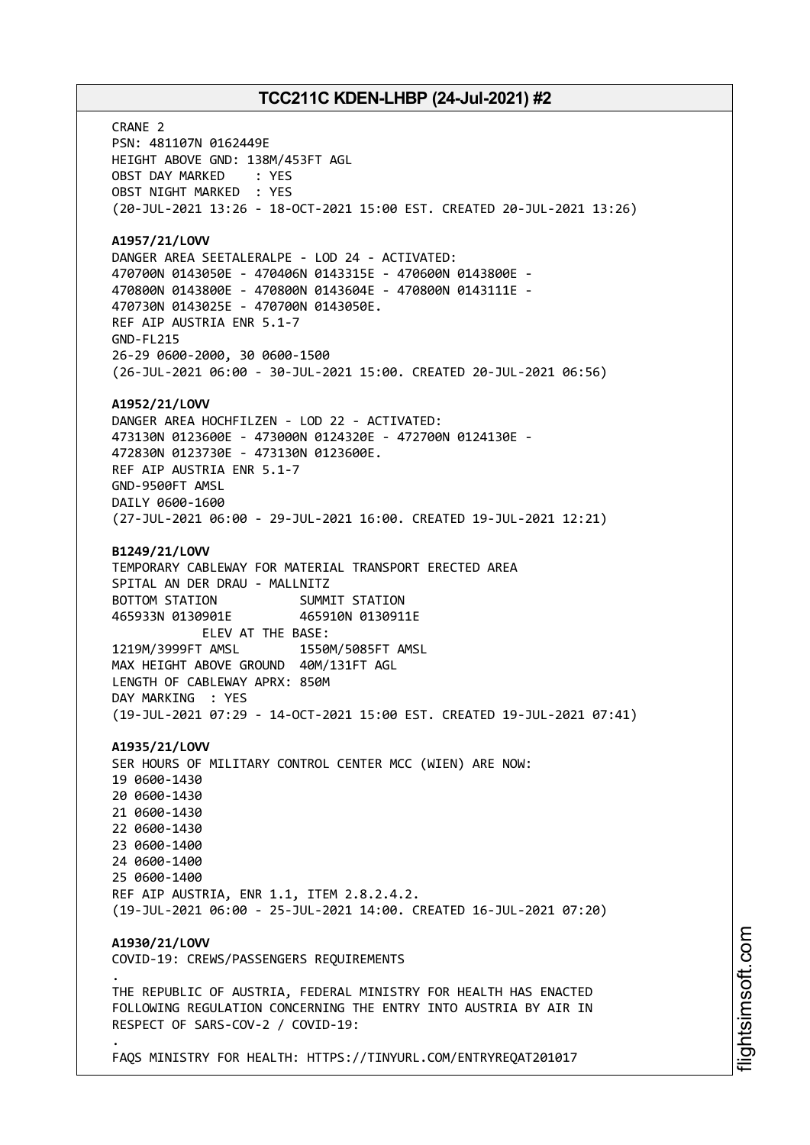CRANE 2 PSN: 481107N 0162449E HEIGHT ABOVE GND: 138M/453FT AGL OBST DAY MARKED : YES OBST NIGHT MARKED : YES (20-JUL-2021 13:26 - 18-OCT-2021 15:00 EST. CREATED 20-JUL-2021 13:26) **A1957/21/LOVV** DANGER AREA SEETALERALPE - LOD 24 - ACTIVATED: 470700N 0143050E - 470406N 0143315E - 470600N 0143800E - 470800N 0143800E - 470800N 0143604E - 470800N 0143111E - 470730N 0143025E - 470700N 0143050E. REF AIP AUSTRIA ENR 5.1-7 GND-FL215 26-29 0600-2000, 30 0600-1500 (26-JUL-2021 06:00 - 30-JUL-2021 15:00. CREATED 20-JUL-2021 06:56) **A1952/21/LOVV** DANGER AREA HOCHFILZEN - LOD 22 - ACTIVATED: 473130N 0123600E - 473000N 0124320E - 472700N 0124130E - 472830N 0123730E - 473130N 0123600E. REF AIP AUSTRIA ENR 5.1-7 GND-9500FT AMSL DAILY 0600-1600 (27-JUL-2021 06:00 - 29-JUL-2021 16:00. CREATED 19-JUL-2021 12:21) **B1249/21/LOVV** TEMPORARY CABLEWAY FOR MATERIAL TRANSPORT ERECTED AREA SPITAL AN DER DRAU - MALLNITZ BOTTOM STATION SUMMIT STATION 465933N 0130901E 465910N 0130911E ELEV AT THE BASE: 1219M/3999FT AMSL 1550M/5085FT AMSL MAX HEIGHT ABOVE GROUND 40M/131FT AGL LENGTH OF CABLEWAY APRX: 850M DAY MARKING : YES (19-JUL-2021 07:29 - 14-OCT-2021 15:00 EST. CREATED 19-JUL-2021 07:41) **A1935/21/LOVV** SER HOURS OF MILITARY CONTROL CENTER MCC (WIEN) ARE NOW: 19 0600-1430 20 0600-1430 21 0600-1430 22 0600-1430 23 0600-1400 24 0600-1400 25 0600-1400 REF AIP AUSTRIA, ENR 1.1, ITEM 2.8.2.4.2. (19-JUL-2021 06:00 - 25-JUL-2021 14:00. CREATED 16-JUL-2021 07:20) **A1930/21/LOVV** COVID-19: CREWS/PASSENGERS REQUIREMENTS . THE REPUBLIC OF AUSTRIA, FEDERAL MINISTRY FOR HEALTH HAS ENACTED FOLLOWING REGULATION CONCERNING THE ENTRY INTO AUSTRIA BY AIR IN RESPECT OF SARS-COV-2 / COVID-19: .

FAQS MINISTRY FOR HEALTH: HTTPS://TINYURL.COM/ENTRYREQAT201017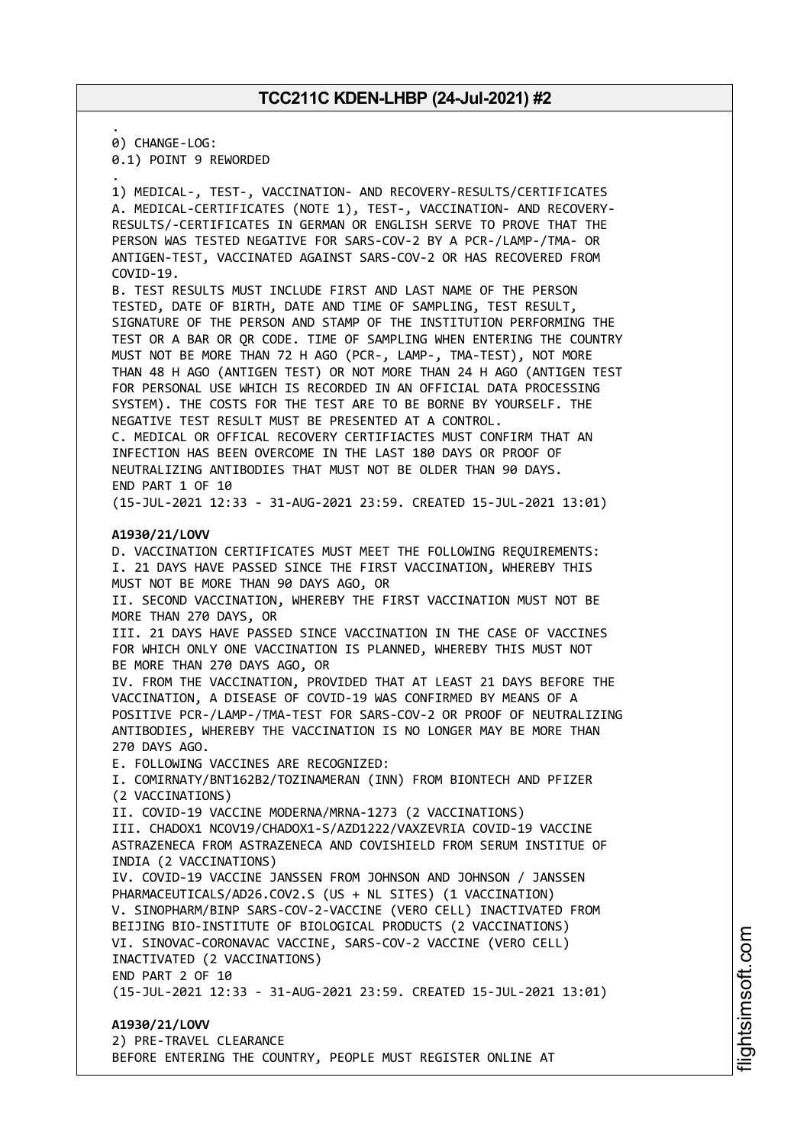. 0) CHANGE-LOG:

0.1) POINT 9 REWORDED

. 1) MEDICAL-, TEST-, VACCINATION- AND RECOVERY-RESULTS/CERTIFICATES A. MEDICAL-CERTIFICATES (NOTE 1), TEST-, VACCINATION- AND RECOVERY-RESULTS/-CERTIFICATES IN GERMAN OR ENGLISH SERVE TO PROVE THAT THE PERSON WAS TESTED NEGATIVE FOR SARS-COV-2 BY A PCR-/LAMP-/TMA- OR ANTIGEN-TEST, VACCINATED AGAINST SARS-COV-2 OR HAS RECOVERED FROM COVID-19.

B. TEST RESULTS MUST INCLUDE FIRST AND LAST NAME OF THE PERSON TESTED, DATE OF BIRTH, DATE AND TIME OF SAMPLING, TEST RESULT, SIGNATURE OF THE PERSON AND STAMP OF THE INSTITUTION PERFORMING THE TEST OR A BAR OR QR CODE. TIME OF SAMPLING WHEN ENTERING THE COUNTRY MUST NOT BE MORE THAN 72 H AGO (PCR-, LAMP-, TMA-TEST), NOT MORE THAN 48 H AGO (ANTIGEN TEST) OR NOT MORE THAN 24 H AGO (ANTIGEN TEST FOR PERSONAL USE WHICH IS RECORDED IN AN OFFICIAL DATA PROCESSING SYSTEM). THE COSTS FOR THE TEST ARE TO BE BORNE BY YOURSELF. THE NEGATIVE TEST RESULT MUST BE PRESENTED AT A CONTROL. C. MEDICAL OR OFFICAL RECOVERY CERTIFIACTES MUST CONFIRM THAT AN INFECTION HAS BEEN OVERCOME IN THE LAST 180 DAYS OR PROOF OF NEUTRALIZING ANTIBODIES THAT MUST NOT BE OLDER THAN 90 DAYS. END PART 1 OF 10

(15-JUL-2021 12:33 - 31-AUG-2021 23:59. CREATED 15-JUL-2021 13:01)

#### **A1930/21/LOVV**

D. VACCINATION CERTIFICATES MUST MEET THE FOLLOWING REQUIREMENTS: I. 21 DAYS HAVE PASSED SINCE THE FIRST VACCINATION, WHEREBY THIS MUST NOT BE MORE THAN 90 DAYS AGO, OR II. SECOND VACCINATION, WHEREBY THE FIRST VACCINATION MUST NOT BE MORE THAN 270 DAYS, OR III. 21 DAYS HAVE PASSED SINCE VACCINATION IN THE CASE OF VACCINES FOR WHICH ONLY ONE VACCINATION IS PLANNED, WHEREBY THIS MUST NOT BE MORE THAN 270 DAYS AGO, OR IV. FROM THE VACCINATION, PROVIDED THAT AT LEAST 21 DAYS BEFORE THE VACCINATION, A DISEASE OF COVID-19 WAS CONFIRMED BY MEANS OF A POSITIVE PCR-/LAMP-/TMA-TEST FOR SARS-COV-2 OR PROOF OF NEUTRALIZING ANTIBODIES, WHEREBY THE VACCINATION IS NO LONGER MAY BE MORE THAN 270 DAYS AGO. E. FOLLOWING VACCINES ARE RECOGNIZED: I. COMIRNATY/BNT162B2/TOZINAMERAN (INN) FROM BIONTECH AND PFIZER (2 VACCINATIONS) II. COVID-19 VACCINE MODERNA/MRNA-1273 (2 VACCINATIONS) III. CHADOX1 NCOV19/CHADOX1-S/AZD1222/VAXZEVRIA COVID-19 VACCINE ASTRAZENECA FROM ASTRAZENECA AND COVISHIELD FROM SERUM INSTITUE OF INDIA (2 VACCINATIONS) IV. COVID-19 VACCINE JANSSEN FROM JOHNSON AND JOHNSON / JANSSEN PHARMACEUTICALS/AD26.COV2.S (US + NL SITES) (1 VACCINATION) V. SINOPHARM/BINP SARS-COV-2-VACCINE (VERO CELL) INACTIVATED FROM BEIJING BIO-INSTITUTE OF BIOLOGICAL PRODUCTS (2 VACCINATIONS) VI. SINOVAC-CORONAVAC VACCINE, SARS-COV-2 VACCINE (VERO CELL) INACTIVATED (2 VACCINATIONS) END PART 2 OF 10 (15-JUL-2021 12:33 - 31-AUG-2021 23:59. CREATED 15-JUL-2021 13:01) **A1930/21/LOVV**

2) PRE-TRAVEL CLEARANCE BEFORE ENTERING THE COUNTRY, PEOPLE MUST REGISTER ONLINE AT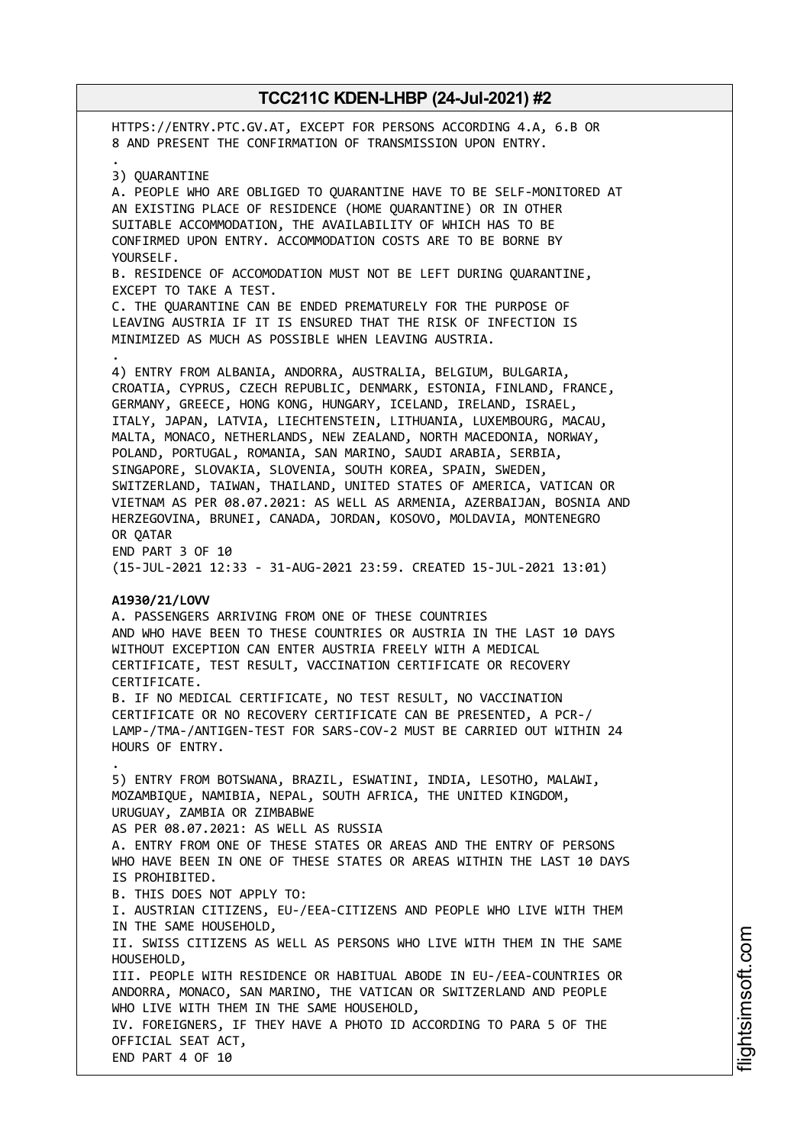HTTPS://ENTRY.PTC.GV.AT, EXCEPT FOR PERSONS ACCORDING 4.A, 6.B OR 8 AND PRESENT THE CONFIRMATION OF TRANSMISSION UPON ENTRY. . 3) QUARANTINE A. PEOPLE WHO ARE OBLIGED TO QUARANTINE HAVE TO BE SELF-MONITORED AT AN EXISTING PLACE OF RESIDENCE (HOME QUARANTINE) OR IN OTHER SUITABLE ACCOMMODATION, THE AVAILABILITY OF WHICH HAS TO BE CONFIRMED UPON ENTRY. ACCOMMODATION COSTS ARE TO BE BORNE BY YOURSELF. B. RESIDENCE OF ACCOMODATION MUST NOT BE LEFT DURING QUARANTINE, EXCEPT TO TAKE A TEST. C. THE QUARANTINE CAN BE ENDED PREMATURELY FOR THE PURPOSE OF LEAVING AUSTRIA IF IT IS ENSURED THAT THE RISK OF INFECTION IS MINIMIZED AS MUCH AS POSSIBLE WHEN LEAVING AUSTRIA. . 4) ENTRY FROM ALBANIA, ANDORRA, AUSTRALIA, BELGIUM, BULGARIA, CROATIA, CYPRUS, CZECH REPUBLIC, DENMARK, ESTONIA, FINLAND, FRANCE, GERMANY, GREECE, HONG KONG, HUNGARY, ICELAND, IRELAND, ISRAEL, ITALY, JAPAN, LATVIA, LIECHTENSTEIN, LITHUANIA, LUXEMBOURG, MACAU, MALTA, MONACO, NETHERLANDS, NEW ZEALAND, NORTH MACEDONIA, NORWAY, POLAND, PORTUGAL, ROMANIA, SAN MARINO, SAUDI ARABIA, SERBIA, SINGAPORE, SLOVAKIA, SLOVENIA, SOUTH KOREA, SPAIN, SWEDEN, SWITZERLAND, TAIWAN, THAILAND, UNITED STATES OF AMERICA, VATICAN OR VIETNAM AS PER 08.07.2021: AS WELL AS ARMENIA, AZERBAIJAN, BOSNIA AND HERZEGOVINA, BRUNEI, CANADA, JORDAN, KOSOVO, MOLDAVIA, MONTENEGRO OR QATAR END PART 3 OF 10 (15-JUL-2021 12:33 - 31-AUG-2021 23:59. CREATED 15-JUL-2021 13:01) **A1930/21/LOVV** A. PASSENGERS ARRIVING FROM ONE OF THESE COUNTRIES AND WHO HAVE BEEN TO THESE COUNTRIES OR AUSTRIA IN THE LAST 10 DAYS WITHOUT EXCEPTION CAN ENTER AUSTRIA FREELY WITH A MEDICAL CERTIFICATE, TEST RESULT, VACCINATION CERTIFICATE OR RECOVERY CERTIFICATE. B. IF NO MEDICAL CERTIFICATE, NO TEST RESULT, NO VACCINATION CERTIFICATE OR NO RECOVERY CERTIFICATE CAN BE PRESENTED, A PCR-/ LAMP-/TMA-/ANTIGEN-TEST FOR SARS-COV-2 MUST BE CARRIED OUT WITHIN 24 HOURS OF ENTRY. . 5) ENTRY FROM BOTSWANA, BRAZIL, ESWATINI, INDIA, LESOTHO, MALAWI, MOZAMBIQUE, NAMIBIA, NEPAL, SOUTH AFRICA, THE UNITED KINGDOM, URUGUAY, ZAMBIA OR ZIMBABWE AS PER 08.07.2021: AS WELL AS RUSSIA A. ENTRY FROM ONE OF THESE STATES OR AREAS AND THE ENTRY OF PERSONS WHO HAVE BEEN IN ONE OF THESE STATES OR AREAS WITHIN THE LAST 10 DAYS IS PROHIBITED. B. THIS DOES NOT APPLY TO: I. AUSTRIAN CITIZENS, EU-/EEA-CITIZENS AND PEOPLE WHO LIVE WITH THEM IN THE SAME HOUSEHOLD, II. SWISS CITIZENS AS WELL AS PERSONS WHO LIVE WITH THEM IN THE SAME HOUSEHOLD, III. PEOPLE WITH RESIDENCE OR HABITUAL ABODE IN EU-/EEA-COUNTRIES OR ANDORRA, MONACO, SAN MARINO, THE VATICAN OR SWITZERLAND AND PEOPLE WHO LIVE WITH THEM IN THE SAME HOUSEHOLD, IV. FOREIGNERS, IF THEY HAVE A PHOTO ID ACCORDING TO PARA 5 OF THE OFFICIAL SEAT ACT, END PART 4 OF 10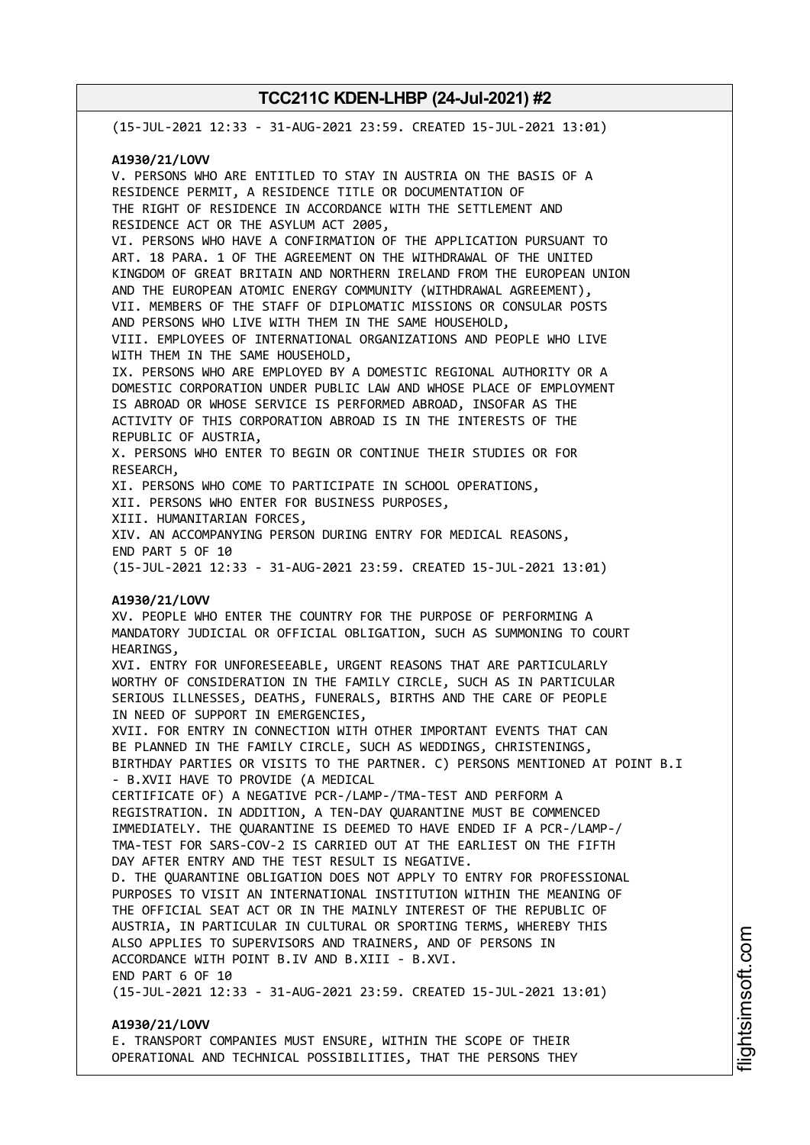(15-JUL-2021 12:33 - 31-AUG-2021 23:59. CREATED 15-JUL-2021 13:01) **A1930/21/LOVV** V. PERSONS WHO ARE ENTITLED TO STAY IN AUSTRIA ON THE BASIS OF A RESIDENCE PERMIT, A RESIDENCE TITLE OR DOCUMENTATION OF THE RIGHT OF RESIDENCE IN ACCORDANCE WITH THE SETTLEMENT AND RESIDENCE ACT OR THE ASYLUM ACT 2005, VI. PERSONS WHO HAVE A CONFIRMATION OF THE APPLICATION PURSUANT TO ART. 18 PARA. 1 OF THE AGREEMENT ON THE WITHDRAWAL OF THE UNITED KINGDOM OF GREAT BRITAIN AND NORTHERN IRELAND FROM THE EUROPEAN UNION AND THE EUROPEAN ATOMIC ENERGY COMMUNITY (WITHDRAWAL AGREEMENT), VII. MEMBERS OF THE STAFF OF DIPLOMATIC MISSIONS OR CONSULAR POSTS AND PERSONS WHO LIVE WITH THEM IN THE SAME HOUSEHOLD, VIII. EMPLOYEES OF INTERNATIONAL ORGANIZATIONS AND PEOPLE WHO LIVE WITH THEM IN THE SAME HOUSEHOLD, IX. PERSONS WHO ARE EMPLOYED BY A DOMESTIC REGIONAL AUTHORITY OR A DOMESTIC CORPORATION UNDER PUBLIC LAW AND WHOSE PLACE OF EMPLOYMENT IS ABROAD OR WHOSE SERVICE IS PERFORMED ABROAD, INSOFAR AS THE ACTIVITY OF THIS CORPORATION ABROAD IS IN THE INTERESTS OF THE REPUBLIC OF AUSTRIA, X. PERSONS WHO ENTER TO BEGIN OR CONTINUE THEIR STUDIES OR FOR RESEARCH, XI. PERSONS WHO COME TO PARTICIPATE IN SCHOOL OPERATIONS, XII. PERSONS WHO ENTER FOR BUSINESS PURPOSES, XIII. HUMANITARIAN FORCES, XIV. AN ACCOMPANYING PERSON DURING ENTRY FOR MEDICAL REASONS, END PART 5 OF 10 (15-JUL-2021 12:33 - 31-AUG-2021 23:59. CREATED 15-JUL-2021 13:01) **A1930/21/LOVV** XV. PEOPLE WHO ENTER THE COUNTRY FOR THE PURPOSE OF PERFORMING A MANDATORY JUDICIAL OR OFFICIAL OBLIGATION, SUCH AS SUMMONING TO COURT HEARINGS, XVI. ENTRY FOR UNFORESEEABLE, URGENT REASONS THAT ARE PARTICULARLY WORTHY OF CONSIDERATION IN THE FAMILY CIRCLE, SUCH AS IN PARTICULAR SERIOUS ILLNESSES, DEATHS, FUNERALS, BIRTHS AND THE CARE OF PEOPLE IN NEED OF SUPPORT IN EMERGENCIES, XVII. FOR ENTRY IN CONNECTION WITH OTHER IMPORTANT EVENTS THAT CAN BE PLANNED IN THE FAMILY CIRCLE, SUCH AS WEDDINGS, CHRISTENINGS, BIRTHDAY PARTIES OR VISITS TO THE PARTNER. C) PERSONS MENTIONED AT POINT B.I - B.XVII HAVE TO PROVIDE (A MEDICAL CERTIFICATE OF) A NEGATIVE PCR-/LAMP-/TMA-TEST AND PERFORM A REGISTRATION. IN ADDITION, A TEN-DAY QUARANTINE MUST BE COMMENCED IMMEDIATELY. THE QUARANTINE IS DEEMED TO HAVE ENDED IF A PCR-/LAMP-/ TMA-TEST FOR SARS-COV-2 IS CARRIED OUT AT THE EARLIEST ON THE FIFTH DAY AFTER ENTRY AND THE TEST RESULT IS NEGATIVE. D. THE QUARANTINE OBLIGATION DOES NOT APPLY TO ENTRY FOR PROFESSIONAL PURPOSES TO VISIT AN INTERNATIONAL INSTITUTION WITHIN THE MEANING OF THE OFFICIAL SEAT ACT OR IN THE MAINLY INTEREST OF THE REPUBLIC OF AUSTRIA, IN PARTICULAR IN CULTURAL OR SPORTING TERMS, WHEREBY THIS ALSO APPLIES TO SUPERVISORS AND TRAINERS, AND OF PERSONS IN ACCORDANCE WITH POINT B.IV AND B.XIII - B.XVI. END PART 6 OF 10 (15-JUL-2021 12:33 - 31-AUG-2021 23:59. CREATED 15-JUL-2021 13:01) **A1930/21/LOVV** E. TRANSPORT COMPANIES MUST ENSURE, WITHIN THE SCOPE OF THEIR

OPERATIONAL AND TECHNICAL POSSIBILITIES, THAT THE PERSONS THEY

m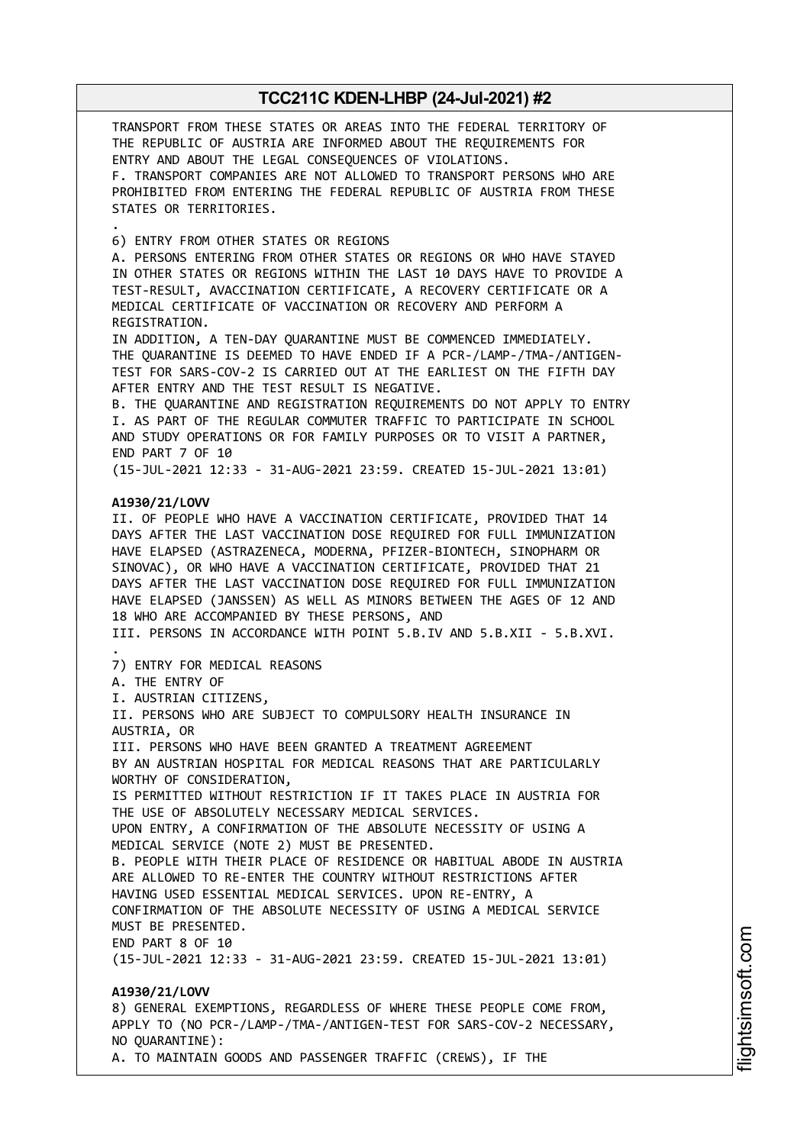TRANSPORT FROM THESE STATES OR AREAS INTO THE FEDERAL TERRITORY OF THE REPUBLIC OF AUSTRIA ARE INFORMED ABOUT THE REQUIREMENTS FOR ENTRY AND ABOUT THE LEGAL CONSEQUENCES OF VIOLATIONS. F. TRANSPORT COMPANIES ARE NOT ALLOWED TO TRANSPORT PERSONS WHO ARE PROHIBITED FROM ENTERING THE FEDERAL REPUBLIC OF AUSTRIA FROM THESE STATES OR TERRITORIES. . 6) ENTRY FROM OTHER STATES OR REGIONS A. PERSONS ENTERING FROM OTHER STATES OR REGIONS OR WHO HAVE STAYED IN OTHER STATES OR REGIONS WITHIN THE LAST 10 DAYS HAVE TO PROVIDE A TEST-RESULT, AVACCINATION CERTIFICATE, A RECOVERY CERTIFICATE OR A MEDICAL CERTIFICATE OF VACCINATION OR RECOVERY AND PERFORM A REGISTRATION. IN ADDITION, A TEN-DAY QUARANTINE MUST BE COMMENCED IMMEDIATELY. THE QUARANTINE IS DEEMED TO HAVE ENDED IF A PCR-/LAMP-/TMA-/ANTIGEN-TEST FOR SARS-COV-2 IS CARRIED OUT AT THE EARLIEST ON THE FIFTH DAY AFTER ENTRY AND THE TEST RESULT IS NEGATIVE. B. THE QUARANTINE AND REGISTRATION REQUIREMENTS DO NOT APPLY TO ENTRY I. AS PART OF THE REGULAR COMMUTER TRAFFIC TO PARTICIPATE IN SCHOOL AND STUDY OPERATIONS OR FOR FAMILY PURPOSES OR TO VISIT A PARTNER, END PART 7 OF 10 (15-JUL-2021 12:33 - 31-AUG-2021 23:59. CREATED 15-JUL-2021 13:01) **A1930/21/LOVV** II. OF PEOPLE WHO HAVE A VACCINATION CERTIFICATE, PROVIDED THAT 14 DAYS AFTER THE LAST VACCINATION DOSE REQUIRED FOR FULL IMMUNIZATION HAVE ELAPSED (ASTRAZENECA, MODERNA, PFIZER-BIONTECH, SINOPHARM OR SINOVAC), OR WHO HAVE A VACCINATION CERTIFICATE, PROVIDED THAT 21 DAYS AFTER THE LAST VACCINATION DOSE REQUIRED FOR FULL IMMUNIZATION HAVE ELAPSED (JANSSEN) AS WELL AS MINORS BETWEEN THE AGES OF 12 AND 18 WHO ARE ACCOMPANIED BY THESE PERSONS, AND III. PERSONS IN ACCORDANCE WITH POINT 5.B.IV AND 5.B.XII - 5.B.XVI. . 7) ENTRY FOR MEDICAL REASONS A. THE ENTRY OF I. AUSTRIAN CITIZENS, II. PERSONS WHO ARE SUBJECT TO COMPULSORY HEALTH INSURANCE IN AUSTRIA, OR III. PERSONS WHO HAVE BEEN GRANTED A TREATMENT AGREEMENT BY AN AUSTRIAN HOSPITAL FOR MEDICAL REASONS THAT ARE PARTICULARLY WORTHY OF CONSIDERATION, IS PERMITTED WITHOUT RESTRICTION IF IT TAKES PLACE IN AUSTRIA FOR THE USE OF ABSOLUTELY NECESSARY MEDICAL SERVICES. UPON ENTRY, A CONFIRMATION OF THE ABSOLUTE NECESSITY OF USING A MEDICAL SERVICE (NOTE 2) MUST BE PRESENTED. B. PEOPLE WITH THEIR PLACE OF RESIDENCE OR HABITUAL ABODE IN AUSTRIA ARE ALLOWED TO RE-ENTER THE COUNTRY WITHOUT RESTRICTIONS AFTER HAVING USED ESSENTIAL MEDICAL SERVICES. UPON RE-ENTRY, A CONFIRMATION OF THE ABSOLUTE NECESSITY OF USING A MEDICAL SERVICE MUST BE PRESENTED. END PART 8 OF 10 (15-JUL-2021 12:33 - 31-AUG-2021 23:59. CREATED 15-JUL-2021 13:01) **A1930/21/LOVV** 8) GENERAL EXEMPTIONS, REGARDLESS OF WHERE THESE PEOPLE COME FROM, APPLY TO (NO PCR-/LAMP-/TMA-/ANTIGEN-TEST FOR SARS-COV-2 NECESSARY, NO QUARANTINE):

A. TO MAINTAIN GOODS AND PASSENGER TRAFFIC (CREWS), IF THE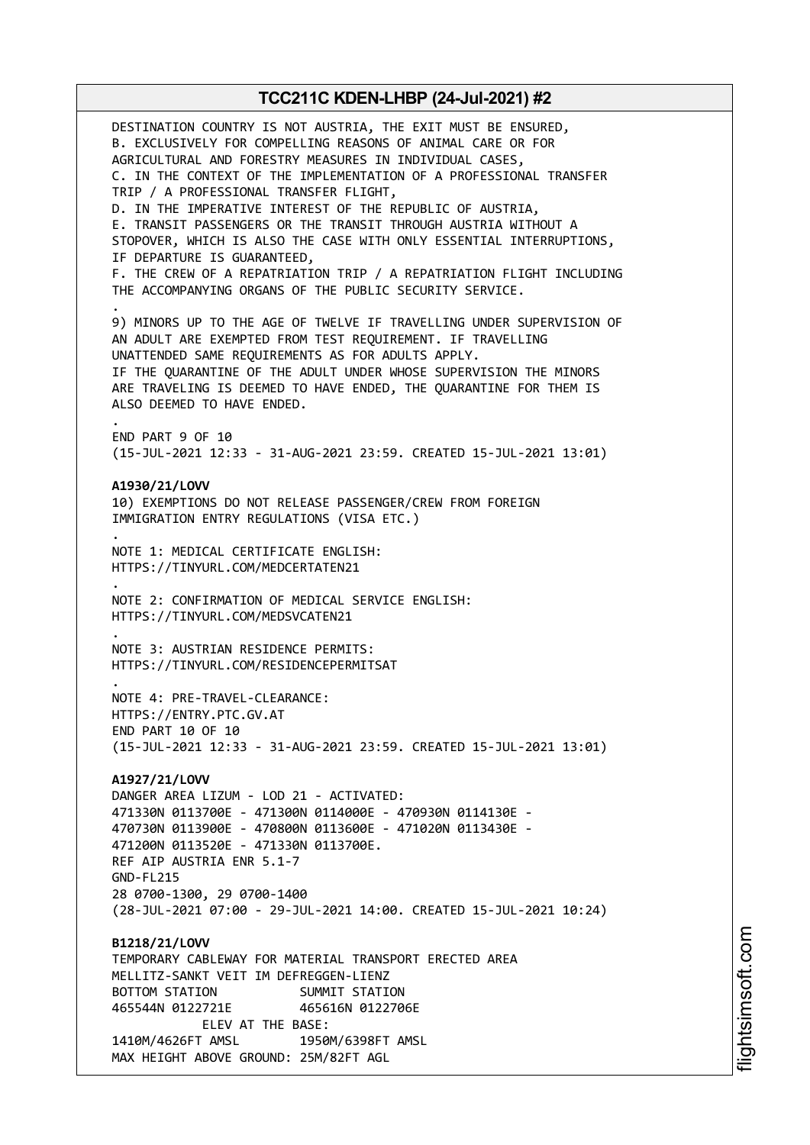DESTINATION COUNTRY IS NOT AUSTRIA, THE EXIT MUST BE ENSURED, B. EXCLUSIVELY FOR COMPELLING REASONS OF ANIMAL CARE OR FOR AGRICULTURAL AND FORESTRY MEASURES IN INDIVIDUAL CASES, C. IN THE CONTEXT OF THE IMPLEMENTATION OF A PROFESSIONAL TRANSFER TRIP / A PROFESSIONAL TRANSFER FLIGHT, D. IN THE IMPERATIVE INTEREST OF THE REPUBLIC OF AUSTRIA, E. TRANSIT PASSENGERS OR THE TRANSIT THROUGH AUSTRIA WITHOUT A STOPOVER, WHICH IS ALSO THE CASE WITH ONLY ESSENTIAL INTERRUPTIONS, IF DEPARTURE IS GUARANTEED, F. THE CREW OF A REPATRIATION TRIP / A REPATRIATION FLIGHT INCLUDING THE ACCOMPANYING ORGANS OF THE PUBLIC SECURITY SERVICE. . 9) MINORS UP TO THE AGE OF TWELVE IF TRAVELLING UNDER SUPERVISION OF AN ADULT ARE EXEMPTED FROM TEST REQUIREMENT. IF TRAVELLING UNATTENDED SAME REQUIREMENTS AS FOR ADULTS APPLY. IF THE QUARANTINE OF THE ADULT UNDER WHOSE SUPERVISION THE MINORS ARE TRAVELING IS DEEMED TO HAVE ENDED, THE QUARANTINE FOR THEM IS ALSO DEEMED TO HAVE ENDED. . END PART 9 OF 10 (15-JUL-2021 12:33 - 31-AUG-2021 23:59. CREATED 15-JUL-2021 13:01) **A1930/21/LOVV** 10) EXEMPTIONS DO NOT RELEASE PASSENGER/CREW FROM FOREIGN IMMIGRATION ENTRY REGULATIONS (VISA ETC.) . NOTE 1: MEDICAL CERTIFICATE ENGLISH: HTTPS://TINYURL.COM/MEDCERTATEN21 . NOTE 2: CONFIRMATION OF MEDICAL SERVICE ENGLISH: HTTPS://TINYURL.COM/MEDSVCATEN21 . NOTE 3: AUSTRIAN RESIDENCE PERMITS: HTTPS://TINYURL.COM/RESIDENCEPERMITSAT . NOTE 4: PRE-TRAVEL-CLEARANCE: HTTPS://ENTRY.PTC.GV.AT END PART 10 OF 10 (15-JUL-2021 12:33 - 31-AUG-2021 23:59. CREATED 15-JUL-2021 13:01) **A1927/21/LOVV** DANGER AREA LIZUM - LOD 21 - ACTIVATED: 471330N 0113700E - 471300N 0114000E - 470930N 0114130E - 470730N 0113900E - 470800N 0113600E - 471020N 0113430E - 471200N 0113520E - 471330N 0113700E. REF AIP AUSTRIA ENR 5.1-7 GND-FL215 28 0700-1300, 29 0700-1400 (28-JUL-2021 07:00 - 29-JUL-2021 14:00. CREATED 15-JUL-2021 10:24) **B1218/21/LOVV** TEMPORARY CABLEWAY FOR MATERIAL TRANSPORT ERECTED AREA MELLITZ-SANKT VEIT IM DEFREGGEN-LIENZ BOTTOM STATION SUMMIT STATION 465544N 0122721E 465616N 0122706E ELEV AT THE BASE: 1410M/4626FT AMSL 1950M/6398FT AMSL MAX HEIGHT ABOVE GROUND: 25M/82FT AGL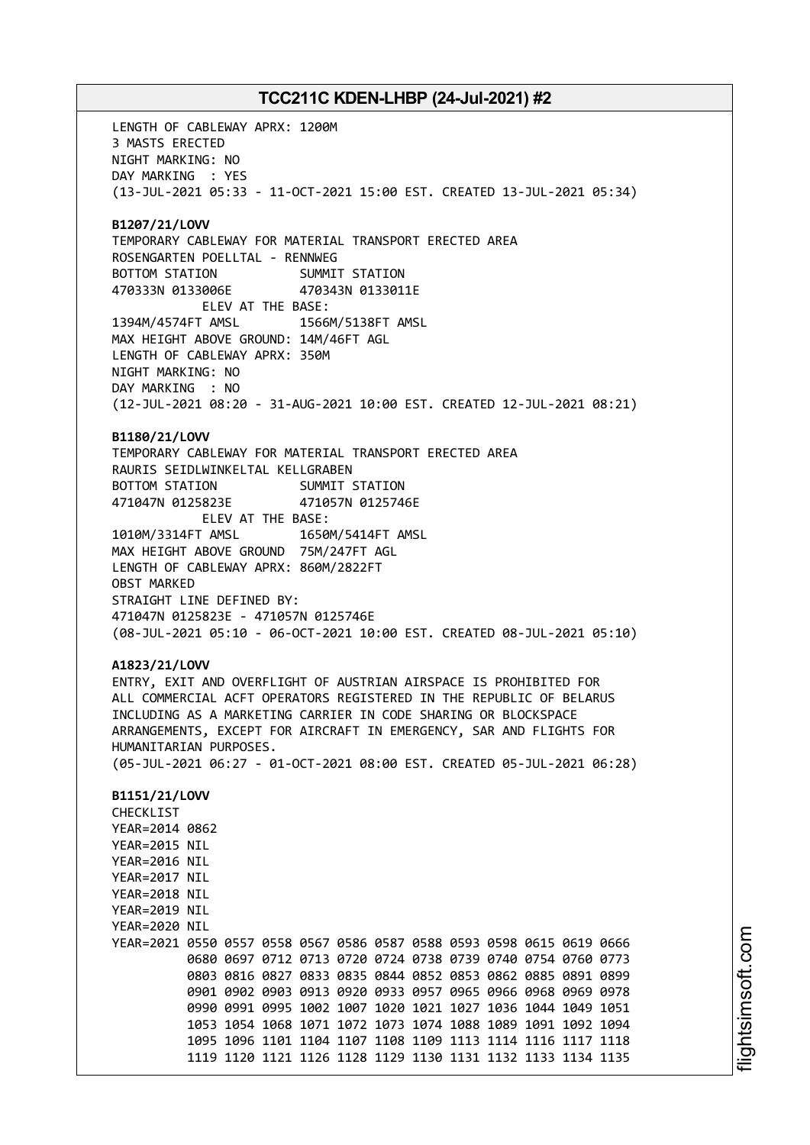LENGTH OF CABLEWAY APRX: 1200M 3 MASTS ERECTED NIGHT MARKING: NO DAY MARKING : YES (13-JUL-2021 05:33 - 11-OCT-2021 15:00 EST. CREATED 13-JUL-2021 05:34) **B1207/21/LOVV** TEMPORARY CABLEWAY FOR MATERIAL TRANSPORT ERECTED AREA ROSENGARTEN POELLTAL - RENNWEG BOTTOM STATION SUMMIT STATION 470333N 0133006E 470343N 0133011E ELEV AT THE BASE: 1394M/4574FT AMSL 1566M/5138FT AMSL MAX HEIGHT ABOVE GROUND: 14M/46FT AGL LENGTH OF CABLEWAY APRX: 350M NIGHT MARKING: NO DAY MARKING : NO (12-JUL-2021 08:20 - 31-AUG-2021 10:00 EST. CREATED 12-JUL-2021 08:21) **B1180/21/LOVV** TEMPORARY CABLEWAY FOR MATERIAL TRANSPORT ERECTED AREA RAURIS SEIDLWINKELTAL KELLGRABEN BOTTOM STATION SUMMIT STATION 471047N 0125823E 471057N 0125746E ELEV AT THE BASE: 1010M/3314FT AMSL 1650M/5414FT AMSL MAX HEIGHT ABOVE GROUND 75M/247FT AGL LENGTH OF CABLEWAY APRX: 860M/2822FT OBST MARKED STRAIGHT LINE DEFINED BY: 471047N 0125823E - 471057N 0125746E (08-JUL-2021 05:10 - 06-OCT-2021 10:00 EST. CREATED 08-JUL-2021 05:10) **A1823/21/LOVV** ENTRY, EXIT AND OVERFLIGHT OF AUSTRIAN AIRSPACE IS PROHIBITED FOR ALL COMMERCIAL ACFT OPERATORS REGISTERED IN THE REPUBLIC OF BELARUS INCLUDING AS A MARKETING CARRIER IN CODE SHARING OR BLOCKSPACE ARRANGEMENTS, EXCEPT FOR AIRCRAFT IN EMERGENCY, SAR AND FLIGHTS FOR HUMANITARIAN PURPOSES. (05-JUL-2021 06:27 - 01-OCT-2021 08:00 EST. CREATED 05-JUL-2021 06:28) **B1151/21/LOVV** CHECKLIST YEAR=2014 0862 YEAR=2015 NIL YEAR=2016 NIL YEAR=2017 NIL YEAR=2018 NIL YEAR=2019 NIL YEAR=2020 NIL YEAR=2021 0550 0557 0558 0567 0586 0587 0588 0593 0598 0615 0619 0666 0680 0697 0712 0713 0720 0724 0738 0739 0740 0754 0760 0773 0803 0816 0827 0833 0835 0844 0852 0853 0862 0885 0891 0899 0901 0902 0903 0913 0920 0933 0957 0965 0966 0968 0969 0978 0990 0991 0995 1002 1007 1020 1021 1027 1036 1044 1049 1051 1053 1054 1068 1071 1072 1073 1074 1088 1089 1091 1092 1094 1095 1096 1101 1104 1107 1108 1109 1113 1114 1116 1117 1118 1119 1120 1121 1126 1128 1129 1130 1131 1132 1133 1134 1135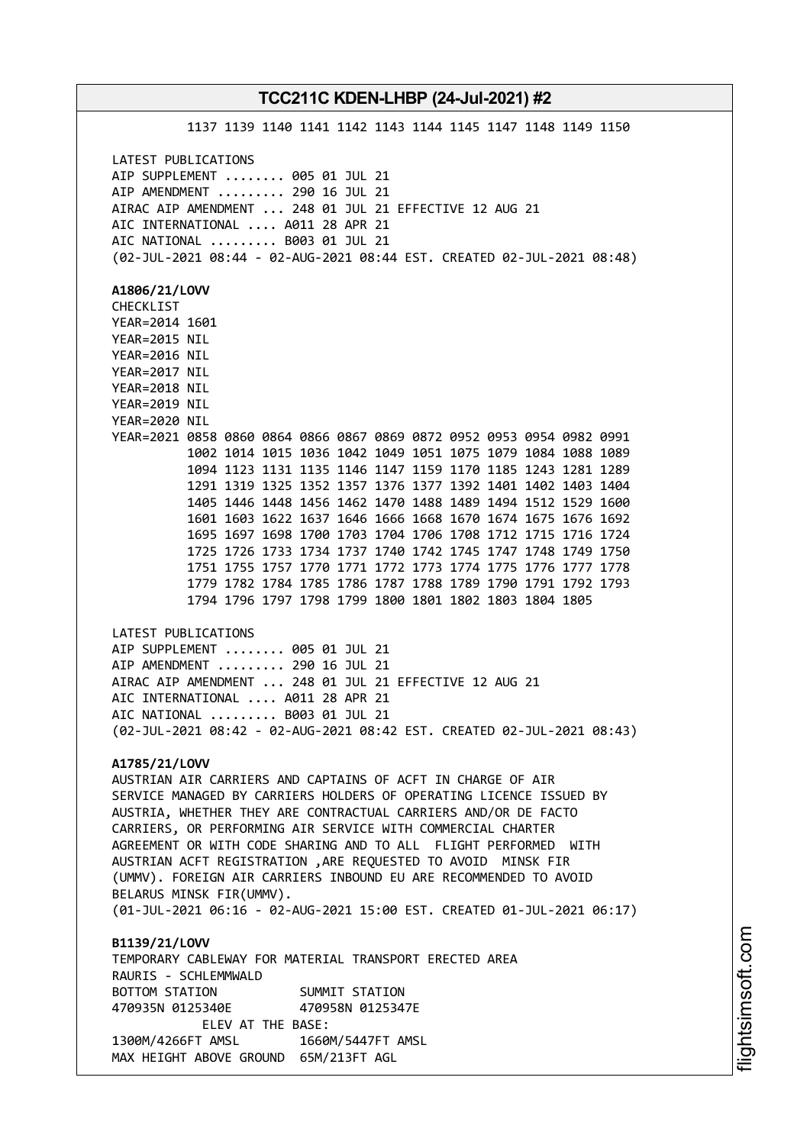1137 1139 1140 1141 1142 1143 1144 1145 1147 1148 1149 1150 LATEST PUBLICATIONS AIP SUPPLEMENT ........ 005 01 JUL 21 AIP AMENDMENT ......... 290 16 JUL 21 AIRAC AIP AMENDMENT ... 248 01 JUL 21 EFFECTIVE 12 AUG 21 AIC INTERNATIONAL .... A011 28 APR 21 AIC NATIONAL ......... B003 01 JUL 21 (02-JUL-2021 08:44 - 02-AUG-2021 08:44 EST. CREATED 02-JUL-2021 08:48) **A1806/21/LOVV** CHECKLIST YEAR=2014 1601 YEAR=2015 NIL YEAR=2016 NIL YEAR=2017 NIL YEAR=2018 NIL YEAR=2019 NIL YEAR=2020 NIL YEAR=2021 0858 0860 0864 0866 0867 0869 0872 0952 0953 0954 0982 0991 1002 1014 1015 1036 1042 1049 1051 1075 1079 1084 1088 1089 1094 1123 1131 1135 1146 1147 1159 1170 1185 1243 1281 1289 1291 1319 1325 1352 1357 1376 1377 1392 1401 1402 1403 1404 1405 1446 1448 1456 1462 1470 1488 1489 1494 1512 1529 1600 1601 1603 1622 1637 1646 1666 1668 1670 1674 1675 1676 1692 1695 1697 1698 1700 1703 1704 1706 1708 1712 1715 1716 1724 1725 1726 1733 1734 1737 1740 1742 1745 1747 1748 1749 1750 1751 1755 1757 1770 1771 1772 1773 1774 1775 1776 1777 1778 1779 1782 1784 1785 1786 1787 1788 1789 1790 1791 1792 1793 1794 1796 1797 1798 1799 1800 1801 1802 1803 1804 1805 LATEST PUBLICATIONS AIP SUPPLEMENT ........ 005 01 JUL 21 AIP AMENDMENT ......... 290 16 JUL 21 AIRAC AIP AMENDMENT ... 248 01 JUL 21 EFFECTIVE 12 AUG 21 AIC INTERNATIONAL .... A011 28 APR 21 AIC NATIONAL ......... B003 01 JUL 21 (02-JUL-2021 08:42 - 02-AUG-2021 08:42 EST. CREATED 02-JUL-2021 08:43) **A1785/21/LOVV** AUSTRIAN AIR CARRIERS AND CAPTAINS OF ACFT IN CHARGE OF AIR SERVICE MANAGED BY CARRIERS HOLDERS OF OPERATING LICENCE ISSUED BY AUSTRIA, WHETHER THEY ARE CONTRACTUAL CARRIERS AND/OR DE FACTO CARRIERS, OR PERFORMING AIR SERVICE WITH COMMERCIAL CHARTER AGREEMENT OR WITH CODE SHARING AND TO ALL FLIGHT PERFORMED WITH AUSTRIAN ACFT REGISTRATION ,ARE REQUESTED TO AVOID MINSK FIR (UMMV). FOREIGN AIR CARRIERS INBOUND EU ARE RECOMMENDED TO AVOID BELARUS MINSK FIR(UMMV). (01-JUL-2021 06:16 - 02-AUG-2021 15:00 EST. CREATED 01-JUL-2021 06:17) **B1139/21/LOVV** TEMPORARY CABLEWAY FOR MATERIAL TRANSPORT ERECTED AREA RAURIS - SCHLEMMWALD BOTTOM STATION SUMMIT STATION 470935N 0125340E 470958N 0125347E ELEV AT THE BASE: 1300M/4266FT AMSL 1660M/5447FT AMSL

MAX HEIGHT ABOVE GROUND 65M/213FT AGL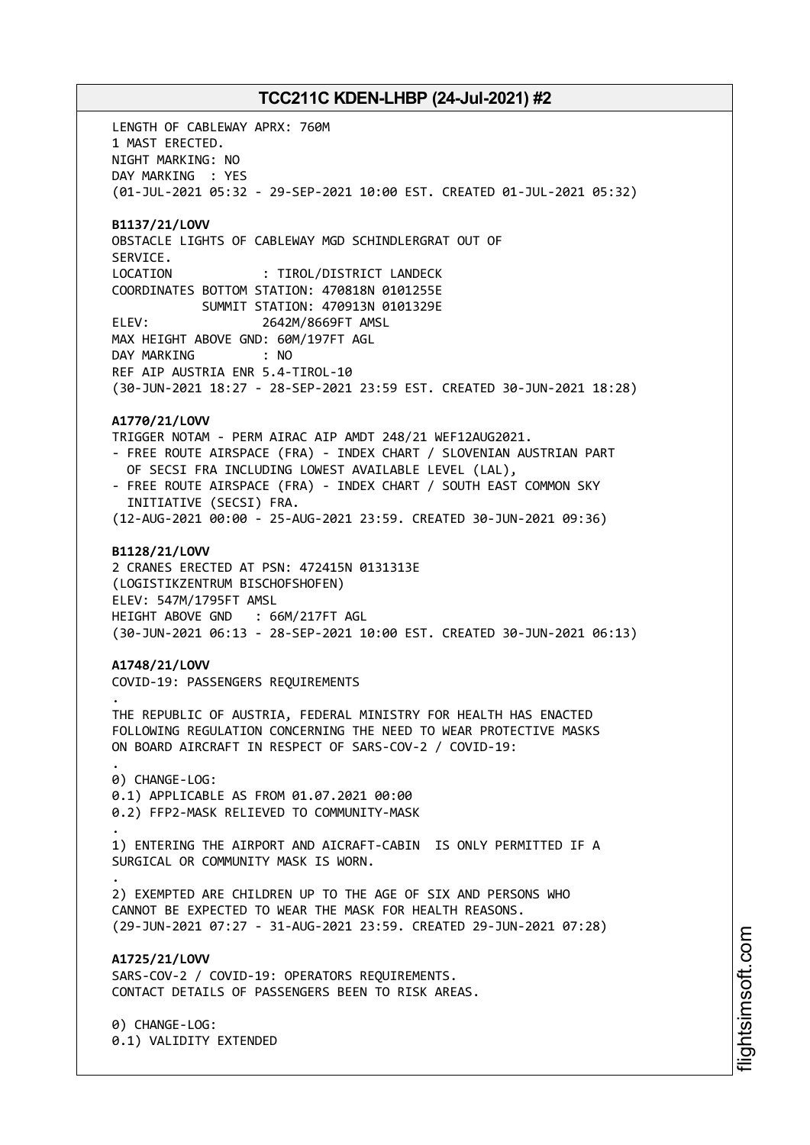LENGTH OF CABLEWAY APRX: 760M 1 MAST ERECTED. NIGHT MARKING: NO DAY MARKING : YES (01-JUL-2021 05:32 - 29-SEP-2021 10:00 EST. CREATED 01-JUL-2021 05:32) **B1137/21/LOVV** OBSTACLE LIGHTS OF CABLEWAY MGD SCHINDLERGRAT OUT OF SERVICE. LOCATION : TIROL/DISTRICT LANDECK COORDINATES BOTTOM STATION: 470818N 0101255E SUMMIT STATION: 470913N 0101329E ELEV: 2642M/8669FT AMSL MAX HEIGHT ABOVE GND: 60M/197FT AGL DAY MARKING : NO REF AIP AUSTRIA ENR 5.4-TIROL-10 (30-JUN-2021 18:27 - 28-SEP-2021 23:59 EST. CREATED 30-JUN-2021 18:28) **A1770/21/LOVV** TRIGGER NOTAM - PERM AIRAC AIP AMDT 248/21 WEF12AUG2021. - FREE ROUTE AIRSPACE (FRA) - INDEX CHART / SLOVENIAN AUSTRIAN PART OF SECSI FRA INCLUDING LOWEST AVAILABLE LEVEL (LAL), - FREE ROUTE AIRSPACE (FRA) - INDEX CHART / SOUTH EAST COMMON SKY INITIATIVE (SECSI) FRA. (12-AUG-2021 00:00 - 25-AUG-2021 23:59. CREATED 30-JUN-2021 09:36) **B1128/21/LOVV** 2 CRANES ERECTED AT PSN: 472415N 0131313E (LOGISTIKZENTRUM BISCHOFSHOFEN) ELEV: 547M/1795FT AMSL HEIGHT ABOVE GND : 66M/217FT AGL (30-JUN-2021 06:13 - 28-SEP-2021 10:00 EST. CREATED 30-JUN-2021 06:13) **A1748/21/LOVV** COVID-19: PASSENGERS REQUIREMENTS . THE REPUBLIC OF AUSTRIA, FEDERAL MINISTRY FOR HEALTH HAS ENACTED FOLLOWING REGULATION CONCERNING THE NEED TO WEAR PROTECTIVE MASKS ON BOARD AIRCRAFT IN RESPECT OF SARS-COV-2 / COVID-19: . 0) CHANGE-LOG: 0.1) APPLICABLE AS FROM 01.07.2021 00:00 0.2) FFP2-MASK RELIEVED TO COMMUNITY-MASK . 1) ENTERING THE AIRPORT AND AICRAFT-CABIN IS ONLY PERMITTED IF A SURGICAL OR COMMUNITY MASK IS WORN. . 2) EXEMPTED ARE CHILDREN UP TO THE AGE OF SIX AND PERSONS WHO CANNOT BE EXPECTED TO WEAR THE MASK FOR HEALTH REASONS. (29-JUN-2021 07:27 - 31-AUG-2021 23:59. CREATED 29-JUN-2021 07:28) **A1725/21/LOVV** SARS-COV-2 / COVID-19: OPERATORS REQUIREMENTS. CONTACT DETAILS OF PASSENGERS BEEN TO RISK AREAS. 0) CHANGE-LOG: 0.1) VALIDITY EXTENDED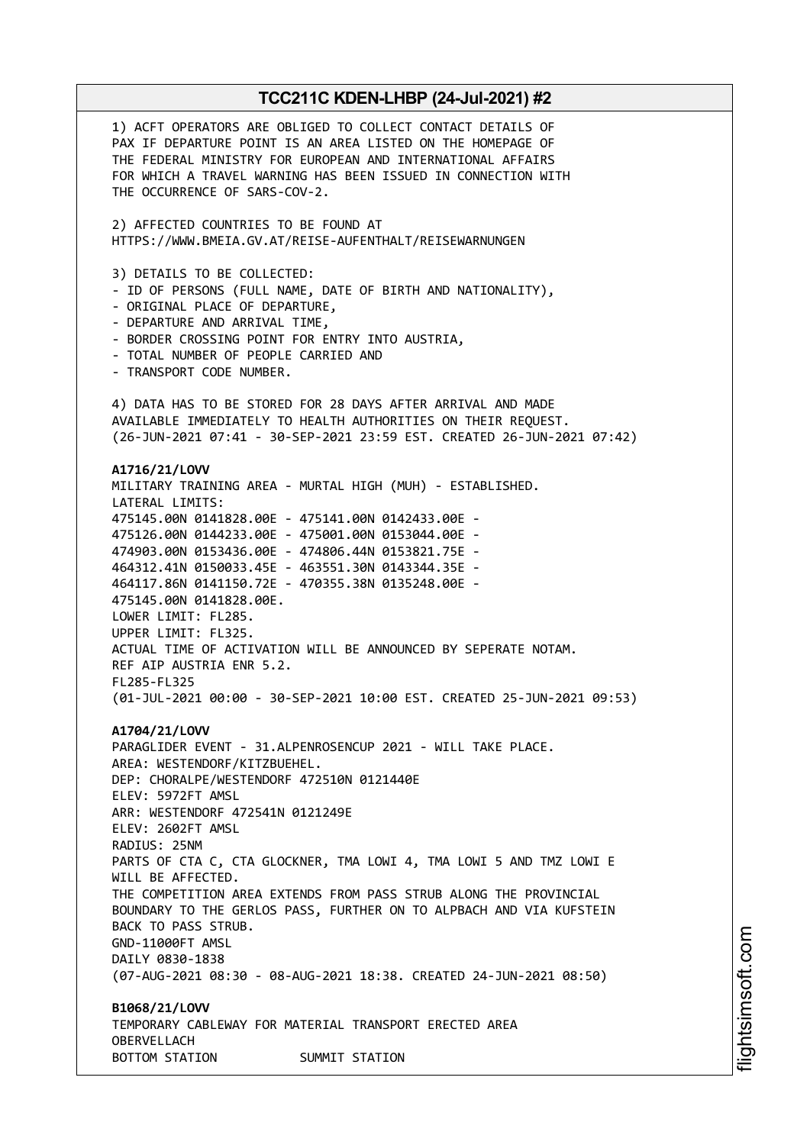1) ACFT OPERATORS ARE OBLIGED TO COLLECT CONTACT DETAILS OF PAX IF DEPARTURE POINT IS AN AREA LISTED ON THE HOMEPAGE OF THE FEDERAL MINISTRY FOR EUROPEAN AND INTERNATIONAL AFFAIRS FOR WHICH A TRAVEL WARNING HAS BEEN ISSUED IN CONNECTION WITH THE OCCURRENCE OF SARS-COV-2. 2) AFFECTED COUNTRIES TO BE FOUND AT HTTPS://WWW.BMEIA.GV.AT/REISE-AUFENTHALT/REISEWARNUNGEN 3) DETAILS TO BE COLLECTED: - ID OF PERSONS (FULL NAME, DATE OF BIRTH AND NATIONALITY), - ORIGINAL PLACE OF DEPARTURE, - DEPARTURE AND ARRIVAL TIME, - BORDER CROSSING POINT FOR ENTRY INTO AUSTRIA, - TOTAL NUMBER OF PEOPLE CARRIED AND - TRANSPORT CODE NUMBER. 4) DATA HAS TO BE STORED FOR 28 DAYS AFTER ARRIVAL AND MADE AVAILABLE IMMEDIATELY TO HEALTH AUTHORITIES ON THEIR REQUEST. (26-JUN-2021 07:41 - 30-SEP-2021 23:59 EST. CREATED 26-JUN-2021 07:42) **A1716/21/LOVV** MILITARY TRAINING AREA - MURTAL HIGH (MUH) - ESTABLISHED. LATERAL LIMITS: 475145.00N 0141828.00E - 475141.00N 0142433.00E - 475126.00N 0144233.00E - 475001.00N 0153044.00E - 474903.00N 0153436.00E - 474806.44N 0153821.75E - 464312.41N 0150033.45E - 463551.30N 0143344.35E - 464117.86N 0141150.72E - 470355.38N 0135248.00E - 475145.00N 0141828.00E. LOWER LIMIT: FL285. UPPER LIMIT: FL325. ACTUAL TIME OF ACTIVATION WILL BE ANNOUNCED BY SEPERATE NOTAM. REF AIP AUSTRIA ENR 5.2. FL285-FL325 (01-JUL-2021 00:00 - 30-SEP-2021 10:00 EST. CREATED 25-JUN-2021 09:53) **A1704/21/LOVV** PARAGLIDER EVENT - 31.ALPENROSENCUP 2021 - WILL TAKE PLACE. AREA: WESTENDORF/KITZBUEHEL. DEP: CHORALPE/WESTENDORF 472510N 0121440E ELEV: 5972FT AMSL ARR: WESTENDORF 472541N 0121249E ELEV: 2602FT AMSL RADIUS: 25NM PARTS OF CTA C, CTA GLOCKNER, TMA LOWI 4, TMA LOWI 5 AND TMZ LOWI E WILL BE AFFECTED. THE COMPETITION AREA EXTENDS FROM PASS STRUB ALONG THE PROVINCIAL BOUNDARY TO THE GERLOS PASS, FURTHER ON TO ALPBACH AND VIA KUFSTEIN BACK TO PASS STRUB. GND-11000FT AMSL DAILY 0830-1838 (07-AUG-2021 08:30 - 08-AUG-2021 18:38. CREATED 24-JUN-2021 08:50) **B1068/21/LOVV** TEMPORARY CABLEWAY FOR MATERIAL TRANSPORT ERECTED AREA OBERVELLACH BOTTOM STATION SUMMIT STATION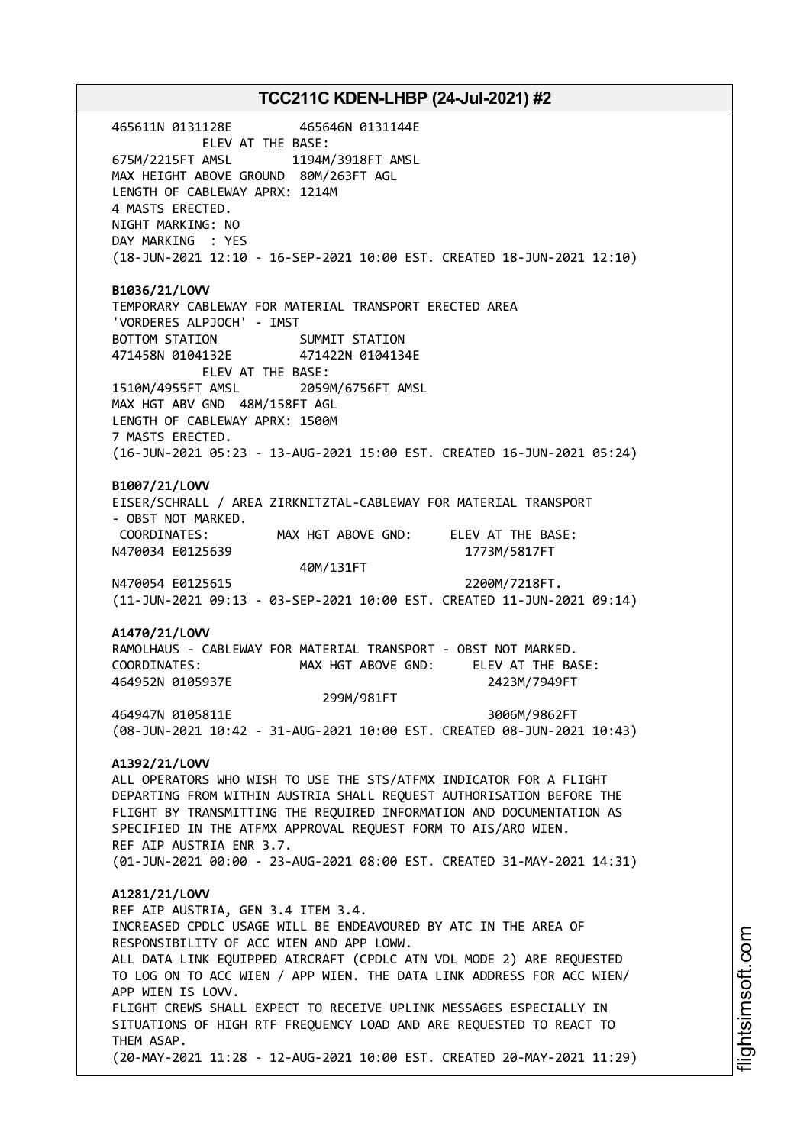465611N 0131128E 465646N 0131144E ELEV AT THE BASE: 675M/2215FT AMSL 1194M/3918FT AMSL MAX HEIGHT ABOVE GROUND 80M/263FT AGL LENGTH OF CABLEWAY APRX: 1214M 4 MASTS ERECTED. NIGHT MARKING: NO DAY MARKING : YES (18-JUN-2021 12:10 - 16-SEP-2021 10:00 EST. CREATED 18-JUN-2021 12:10) **B1036/21/LOVV** TEMPORARY CABLEWAY FOR MATERIAL TRANSPORT ERECTED AREA 'VORDERES ALPJOCH' - IMST BOTTOM STATION SUMMIT STATION 471458N 0104132E 471422N 0104134E ELEV AT THE BASE: 1510M/4955FT AMSL 2059M/6756FT AMSL MAX HGT ABV GND 48M/158FT AGL LENGTH OF CABLEWAY APRX: 1500M 7 MASTS ERECTED. (16-JUN-2021 05:23 - 13-AUG-2021 15:00 EST. CREATED 16-JUN-2021 05:24) **B1007/21/LOVV** EISER/SCHRALL / AREA ZIRKNITZTAL-CABLEWAY FOR MATERIAL TRANSPORT - OBST NOT MARKED. COORDINATES: MAX HGT ABOVE GND: ELEV AT THE BASE: N470034 E0125639 1773M/5817FT 40M/131FT N470054 E0125615 2200M/7218FT. (11-JUN-2021 09:13 - 03-SEP-2021 10:00 EST. CREATED 11-JUN-2021 09:14) **A1470/21/LOVV** RAMOLHAUS - CABLEWAY FOR MATERIAL TRANSPORT - OBST NOT MARKED. COORDINATES: MAX HGT ABOVE GND: ELEV AT THE BASE: 464952N 0105937E 2423M/7949FT 299M/981FT 464947N 0105811E 3006M/9862FT (08-JUN-2021 10:42 - 31-AUG-2021 10:00 EST. CREATED 08-JUN-2021 10:43) **A1392/21/LOVV** ALL OPERATORS WHO WISH TO USE THE STS/ATFMX INDICATOR FOR A FLIGHT DEPARTING FROM WITHIN AUSTRIA SHALL REQUEST AUTHORISATION BEFORE THE FLIGHT BY TRANSMITTING THE REQUIRED INFORMATION AND DOCUMENTATION AS SPECIFIED IN THE ATFMX APPROVAL REQUEST FORM TO AIS/ARO WIEN. REF AIP AUSTRIA ENR 3.7. (01-JUN-2021 00:00 - 23-AUG-2021 08:00 EST. CREATED 31-MAY-2021 14:31) **A1281/21/LOVV** REF AIP AUSTRIA, GEN 3.4 ITEM 3.4. INCREASED CPDLC USAGE WILL BE ENDEAVOURED BY ATC IN THE AREA OF RESPONSIBILITY OF ACC WIEN AND APP LOWW. ALL DATA LINK EQUIPPED AIRCRAFT (CPDLC ATN VDL MODE 2) ARE REQUESTED TO LOG ON TO ACC WIEN / APP WIEN. THE DATA LINK ADDRESS FOR ACC WIEN/ APP WIEN IS LOVV. FLIGHT CREWS SHALL EXPECT TO RECEIVE UPLINK MESSAGES ESPECIALLY IN SITUATIONS OF HIGH RTF FREQUENCY LOAD AND ARE REQUESTED TO REACT TO THEM ASAP. (20-MAY-2021 11:28 - 12-AUG-2021 10:00 EST. CREATED 20-MAY-2021 11:29)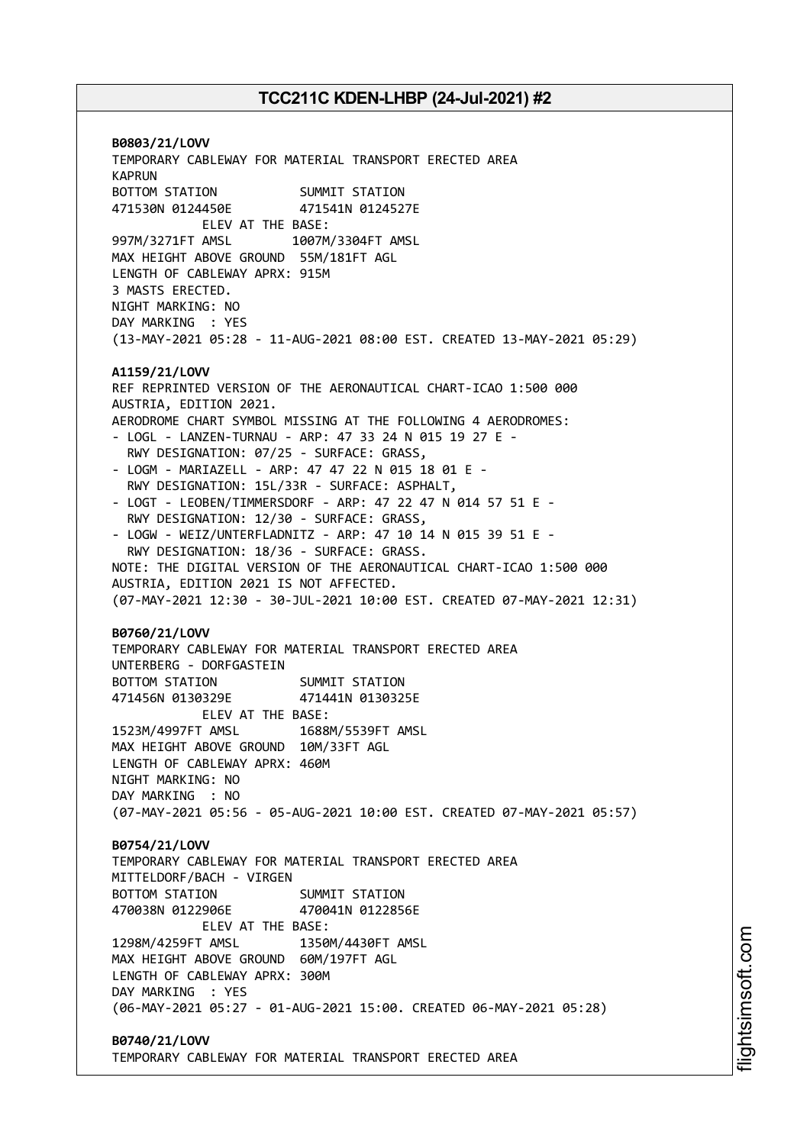**B0803/21/LOVV** TEMPORARY CABLEWAY FOR MATERIAL TRANSPORT ERECTED AREA KAPRUN BOTTOM STATION SUMMIT STATION 471530N 0124450E 471541N 0124527E ELEV AT THE BASE: 997M/3271FT AMSL 1007M/3304FT AMSL MAX HEIGHT ABOVE GROUND 55M/181FT AGL LENGTH OF CABLEWAY APRX: 915M 3 MASTS ERECTED. NIGHT MARKING: NO DAY MARKING : YES (13-MAY-2021 05:28 - 11-AUG-2021 08:00 EST. CREATED 13-MAY-2021 05:29) **A1159/21/LOVV** REF REPRINTED VERSION OF THE AERONAUTICAL CHART-ICAO 1:500 000 AUSTRIA, EDITION 2021. AERODROME CHART SYMBOL MISSING AT THE FOLLOWING 4 AERODROMES: - LOGL - LANZEN-TURNAU - ARP: 47 33 24 N 015 19 27 E - RWY DESIGNATION: 07/25 - SURFACE: GRASS, - LOGM - MARIAZELL - ARP: 47 47 22 N 015 18 01 E - RWY DESIGNATION: 15L/33R - SURFACE: ASPHALT, - LOGT - LEOBEN/TIMMERSDORF - ARP: 47 22 47 N 014 57 51 E - RWY DESIGNATION: 12/30 - SURFACE: GRASS, - LOGW - WEIZ/UNTERFLADNITZ - ARP: 47 10 14 N 015 39 51 E - RWY DESIGNATION: 18/36 - SURFACE: GRASS. NOTE: THE DIGITAL VERSION OF THE AERONAUTICAL CHART-ICAO 1:500 000 AUSTRIA, EDITION 2021 IS NOT AFFECTED. (07-MAY-2021 12:30 - 30-JUL-2021 10:00 EST. CREATED 07-MAY-2021 12:31) **B0760/21/LOVV** TEMPORARY CABLEWAY FOR MATERIAL TRANSPORT ERECTED AREA UNTERBERG - DORFGASTEIN BOTTOM STATION SUMMIT STATION 471456N 0130329E 471441N 0130325E ELEV AT THE BASE: 1523M/4997FT AMSL 1688M/5539FT AMSL MAX HEIGHT ABOVE GROUND 10M/33FT AGL LENGTH OF CABLEWAY APRX: 460M NIGHT MARKING: NO DAY MARKING : NO (07-MAY-2021 05:56 - 05-AUG-2021 10:00 EST. CREATED 07-MAY-2021 05:57) **B0754/21/LOVV** TEMPORARY CABLEWAY FOR MATERIAL TRANSPORT ERECTED AREA MITTELDORF/BACH - VIRGEN BOTTOM STATION SUMMIT STATION 470038N 0122906E 470041N 0122856E ELEV AT THE BASE: 1298M/4259FT AMSL 1350M/4430FT AMSL MAX HEIGHT ABOVE GROUND 60M/197FT AGL LENGTH OF CABLEWAY APRX: 300M DAY MARKING : YES (06-MAY-2021 05:27 - 01-AUG-2021 15:00. CREATED 06-MAY-2021 05:28) **B0740/21/LOVV**

TEMPORARY CABLEWAY FOR MATERIAL TRANSPORT ERECTED AREA